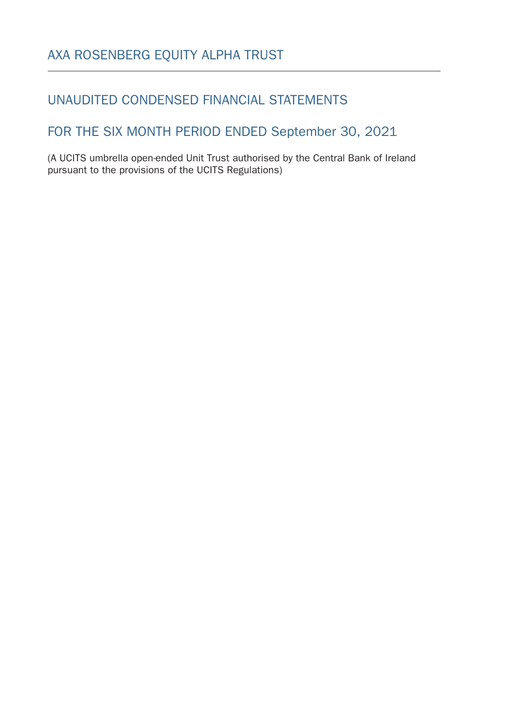## UNAUDITED CONDENSED FINANCIAL STATEMENTS

## FOR THE SIX MONTH PERIOD ENDED September 30, 2021

(A UCITS umbrella open-ended Unit Trust authorised by the Central Bank of Ireland pursuant to the provisions of the UCITS Regulations)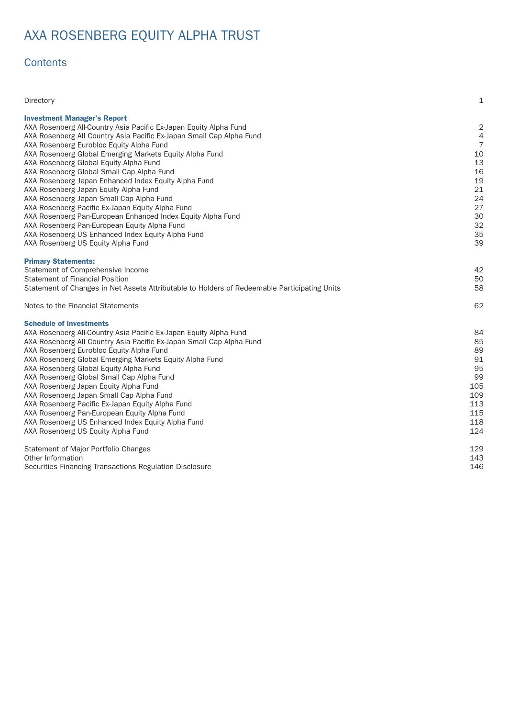# AXA ROSENBERG EQUITY ALPHA TRUST

## **Contents**

| Directory                                                                                    | $\mathbf{1}$   |
|----------------------------------------------------------------------------------------------|----------------|
| <b>Investment Manager's Report</b>                                                           |                |
| AXA Rosenberg All-Country Asia Pacific Ex-Japan Equity Alpha Fund                            | 2              |
| AXA Rosenberg All Country Asia Pacific Ex-Japan Small Cap Alpha Fund                         | 4              |
| AXA Rosenberg Eurobloc Equity Alpha Fund                                                     | $\overline{7}$ |
| AXA Rosenberg Global Emerging Markets Equity Alpha Fund                                      | 10             |
| AXA Rosenberg Global Equity Alpha Fund                                                       | 13             |
| AXA Rosenberg Global Small Cap Alpha Fund                                                    | 16             |
| AXA Rosenberg Japan Enhanced Index Equity Alpha Fund                                         | 19             |
| AXA Rosenberg Japan Equity Alpha Fund                                                        | 21             |
| AXA Rosenberg Japan Small Cap Alpha Fund                                                     | 24             |
| AXA Rosenberg Pacific Ex-Japan Equity Alpha Fund                                             | 27             |
| AXA Rosenberg Pan-European Enhanced Index Equity Alpha Fund                                  | 3 <sub>C</sub> |
| AXA Rosenberg Pan-European Equity Alpha Fund                                                 | 32             |
| AXA Rosenberg US Enhanced Index Equity Alpha Fund                                            | 35             |
| AXA Rosenberg US Equity Alpha Fund                                                           | 39             |
|                                                                                              |                |
| <b>Primary Statements:</b>                                                                   |                |
| Statement of Comprehensive Income                                                            | 42             |
| <b>Statement of Financial Position</b>                                                       | 5C             |
| Statement of Changes in Net Assets Attributable to Holders of Redeemable Participating Units | 58             |
| Notes to the Financial Statements                                                            | 62             |
| <b>Schedule of Investments</b>                                                               |                |
| AXA Rosenberg All-Country Asia Pacific Ex-Japan Equity Alpha Fund                            | 84             |
| AXA Rosenberg All Country Asia Pacific Ex-Japan Small Cap Alpha Fund                         | 85             |
| AXA Rosenberg Eurobloc Equity Alpha Fund                                                     | 89             |
| AXA Rosenberg Global Emerging Markets Equity Alpha Fund                                      | 91             |
| AXA Rosenberg Global Equity Alpha Fund                                                       | 95             |
| AXA Rosenberg Global Small Cap Alpha Fund                                                    | 99             |
| AXA Rosenberg Japan Equity Alpha Fund                                                        | 105            |
| AXA Rosenberg Japan Small Cap Alpha Fund                                                     | 109            |
| AXA Rosenberg Pacific Ex-Japan Equity Alpha Fund                                             | 113            |
| AXA Rosenberg Pan-European Equity Alpha Fund                                                 | 115            |
| AXA Rosenberg US Enhanced Index Equity Alpha Fund                                            | 118            |
| AXA Rosenberg US Equity Alpha Fund                                                           | 124            |
|                                                                                              |                |
| Statement of Major Portfolio Changes                                                         | 129            |
| Other Information                                                                            | 143            |
| Securities Financing Transactions Regulation Disclosure                                      | 146            |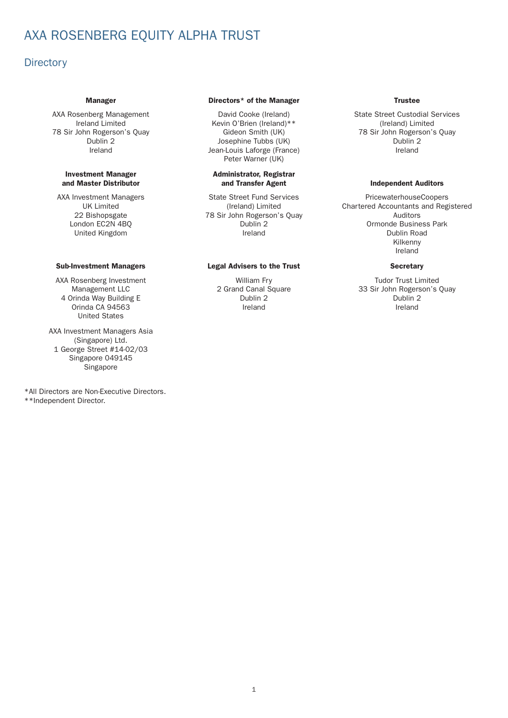## <span id="page-2-0"></span>AXA ROSENBERG EQUITY ALPHA TRUST

### **Directory**

78 Sir John Rogerson's Quay Gideon Smith (UK)

#### Investment Manager and Master Distributor

AXA Investment Managers UK Limited 22 Bishopsgate London EC2N 4BQ United Kingdom

AXA Rosenberg Investment Management LLC 4 Orinda Way Building E Orinda CA 94563 United States

AXA Investment Managers Asia (Singapore) Ltd. 1 George Street #14-02/03 Singapore 049145 Singapore

\*All Directors are Non-Executive Directors. \*\*Independent Director.

#### Manager **Directors**\* of the Manager **Directors**\* of the Manager

Dublin 2 **Dublin 2** Josephine Tubbs (UK) **Dublin 2** Dublin 2 Ireland **Ireland** Jean-Louis Laforge (France) **Ireland** Ireland Peter Warner (UK)

#### Administrator, Registrar and Transfer Agent **Independent Auditors**

State Street Fund Services (Ireland) Limited 78 Sir John Rogerson's Quay Dublin 2 Ireland

### Sub-Investment Managers Legal Advisers to the Trust Secretary

William Fry 2 Grand Canal Square Dublin 2 Ireland

AXA Rosenberg Management David Cooke (Ireland) State Street Custodial Services Ireland Limited Kevin O'Brien (Ireland)\*\* (Ireland) Limited

PricewaterhouseCoopers Char tered Accountants and Registered Auditors Ormonde Business Park Dublin Road Kilkenny Ireland

Tudor Trust Limited 33 Sir John Rogerson's Quay Dublin 2 Ireland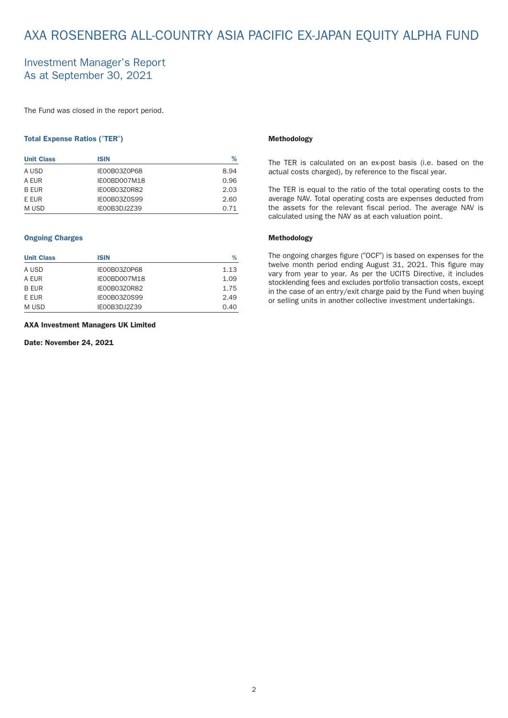## <span id="page-3-0"></span>AXA ROSENBERG ALL-COUNTRY ASIA PACIFIC EX-JAPAN EQUITY ALPHA FUND

### Investment Manager's Report As at September 30, 2021

The Fund was closed in the report period.

#### Total Expense Ratios ("TER")

| <b>Unit Class</b> | <b>ISIN</b>         | %    |
|-------------------|---------------------|------|
| A USD             | IE00B03Z0P68        | 8.94 |
| A EUR             | IE00BD007M18        | 0.96 |
| <b>B EUR</b>      | IE00B03Z0R82        | 2.03 |
| <b>F FUR</b>      | <b>IE00B03Z0S99</b> | 2.60 |
| M USD             | IE00B3DJ2Z39        | 0.71 |

### Ongoing Charges

| <b>Unit Class</b> | <b>ISIN</b>         | %    |
|-------------------|---------------------|------|
| A USD             | IE00B03Z0P68        | 1.13 |
| A EUR             | IE00BD007M18        | 1.09 |
| <b>B EUR</b>      | IE00B03Z0R82        | 1.75 |
| E EUR             | <b>IE00B03Z0S99</b> | 2.49 |
| M USD             | IE00B3DJ2Z39        | 0.40 |

#### AXA Investment Managers UK Limited

Date: November 24, 2021

#### Methodology

The TER is calculated on an ex-post basis (i.e. based on the actual costs charged), by reference to the fiscal year.

The TER is equal to the ratio of the total operating costs to the average NAV. Total operating costs are expenses deducted from the assets for the relevant fiscal period. The average NAV is calculated using the NAV as at each valuation point.

#### Methodology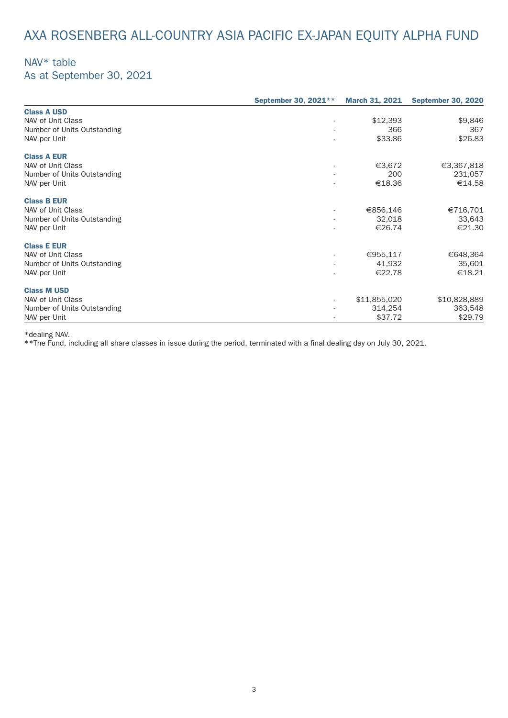# AXA ROSENBERG ALL-COUNTRY ASIA PACIFIC EX-JAPAN EQUITY ALPHA FUND

## NAV\* table

As at September 30, 2021

|                             | September 30, 2021**     | <b>March 31, 2021</b> | <b>September 30, 2020</b> |
|-----------------------------|--------------------------|-----------------------|---------------------------|
| <b>Class A USD</b>          |                          |                       |                           |
| NAV of Unit Class           |                          | \$12,393              | \$9,846                   |
| Number of Units Outstanding | $\sim$                   | 366                   | 367                       |
| NAV per Unit                | $\sim$                   | \$33.86               | \$26.83                   |
| <b>Class A EUR</b>          |                          |                       |                           |
| NAV of Unit Class           | $\overline{\phantom{a}}$ | €3,672                | €3,367,818                |
| Number of Units Outstanding | $\overline{\phantom{a}}$ | 200                   | 231,057                   |
| NAV per Unit                |                          | €18.36                | €14.58                    |
| <b>Class B EUR</b>          |                          |                       |                           |
| NAV of Unit Class           | ٠                        | €856,146              | €716,701                  |
| Number of Units Outstanding | $\sim$                   | 32,018                | 33,643                    |
| NAV per Unit                |                          | €26.74                | €21.30                    |
| <b>Class E EUR</b>          |                          |                       |                           |
| NAV of Unit Class           | $\sim$                   | €955,117              | €648,364                  |
| Number of Units Outstanding | $\overline{\phantom{a}}$ | 41,932                | 35,601                    |
| NAV per Unit                | $\sim$                   | €22.78                | €18.21                    |
| <b>Class M USD</b>          |                          |                       |                           |
| NAV of Unit Class           | $\sim$                   | \$11,855,020          | \$10,828,889              |
| Number of Units Outstanding |                          | 314,254               | 363,548                   |
| NAV per Unit                |                          | \$37.72               | \$29.79                   |

\*dealing NAV.

\*\*The Fund, including all share classes in issue during the period, terminated with a final dealing day on July 30, 2021.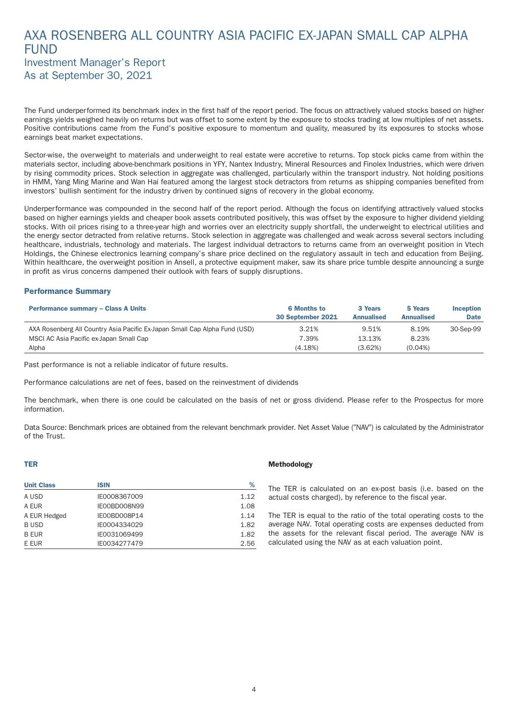### <span id="page-5-0"></span>AXA ROSENBERG ALL COUNTRY ASIA PACIFIC EX-JAPAN SMALL CAP ALPHA **FUND** Investment Manager's Report As at September 30, 2021

The Fund underper formed its benchmark index in the first half of the report period. The focus on attractively valued stocks based on higher earnings yields weighed heavily on returns but was offset to some extent by the exposure to stocks trading at low multiples of net assets. Positive contributions came from the Fund's positive exposure to momentum and quality, measured by its exposures to stocks whose earnings beat market expectations.

Sector-wise, the overweight to materials and underweight to real estate were accretive to returns. Top stock picks came from within the materials sector, including above-benchmark positions in YFY, Nantex Industry, Mineral Resources and Finolex Industries, which were driven by rising commodity prices. Stock selection in aggregate was challenged, particularly within the transport industry. Not holding positions in HMM, Yang Ming Marine and Wan Hai featured among the largest stock detractors from returns as shipping companies benefited from investors' bullish sentiment for the industry driven by continued signs of recovery in the global economy.

Underper formance was compounded in the second half of the report period. Although the focus on identifying attractively valued stocks based on higher earnings yields and cheaper book assets contributed positively, this was offset by the exposure to higher dividend yielding stocks. With oil prices rising to a three-year high and worries over an electricity supply shor tfall, the underweight to electrical utilities and the energy sector detracted from relative returns. Stock selection in aggregate was challenged and weak across several sectors including healthcare, industrials, technology and materials. The largest individual detractors to returns came from an overweight position in Vtech Holdings, the Chinese electronics learning company's share price declined on the regulatory assault in tech and education from Beijing. Within healthcare, the overweight position in Ansell, a protective equipment maker, saw its share price tumble despite announcing a surge in profit as virus concerns dampened their outlook with fears of supply disruptions.

### Performance Summary

| <b>Performance summary - Class A Units</b>                                 | <b>6 Months to</b><br>30 September 2021 | 3 Years<br><b>Annualised</b> | 5 Years<br><b>Annualised</b> | <b>Inception</b><br><b>Date</b> |
|----------------------------------------------------------------------------|-----------------------------------------|------------------------------|------------------------------|---------------------------------|
| AXA Rosenberg All Country Asia Pacific Ex-Japan Small Cap Alpha Fund (USD) | 3.21%                                   | 9.51%                        | 8.19%                        | 30-Sep-99                       |
| MSCI AC Asia Pacific ex-Japan Small Cap                                    | 7.39%                                   | 13.13%                       | 8.23%                        |                                 |
| Alpha                                                                      | (4.18%)                                 | (3.62%)                      | $(0.04\%)$                   |                                 |

Past performance is not a reliable indicator of future results.

Per formance calculations are net of fees, based on the reinvestment of dividends

The benchmark, when there is one could be calculated on the basis of net or gross dividend. Please refer to the Prospectus for more information.

Data Source: Benchmark prices are obtained from the relevant benchmark provider. Net Asset Value ("NAV") is calculated by the Administrator of the Trust.

#### TER

| <b>Unit Class</b> | <b>ISIN</b>  | %    |
|-------------------|--------------|------|
| A USD             | IE0008367009 | 1.12 |
| A EUR             | IE00BD008N99 | 1.08 |
| A EUR Hedged      | IE00BD008P14 | 1.14 |
| <b>BUSD</b>       | IE0004334029 | 1.82 |
| <b>B EUR</b>      | IE0031069499 | 1.82 |
| E EUR             | IE0034277479 | 2.56 |

#### Methodology

The TER is calculated on an ex-post basis (i.e. based on the actual costs charged), by reference to the fiscal year.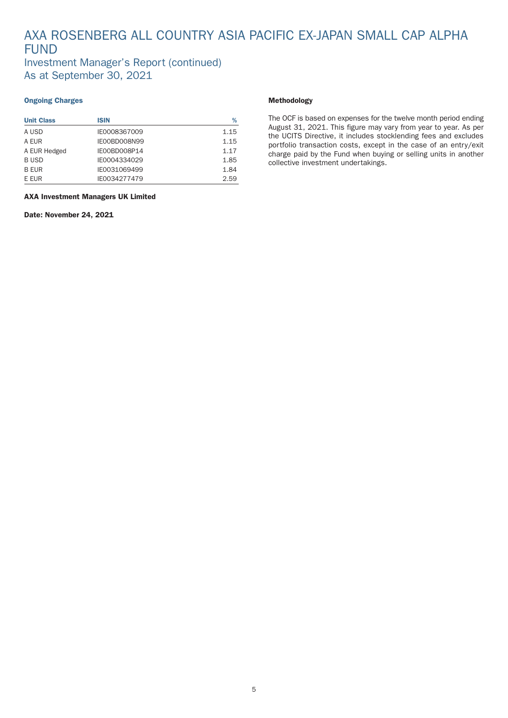## AXA ROSENBERG ALL COUNTRY ASIA PACIFIC EX-JAPAN SMALL CAP ALPHA FUND Investment Manager's Report (continued)

As at September 30, 2021

### Ongoing Charges

| <b>Unit Class</b> | <b>ISIN</b>  | %    |
|-------------------|--------------|------|
| A USD             | IE0008367009 | 1.15 |
| A EUR             | IE00BD008N99 | 1.15 |
| A EUR Hedged      | IE00BD008P14 | 1.17 |
| <b>BUSD</b>       | IE0004334029 | 1.85 |
| <b>B EUR</b>      | IE0031069499 | 1.84 |
| E EUR             | IE0034277479 | 2.59 |

AXA Investment Managers UK Limited

Date: November 24, 2021

### Methodology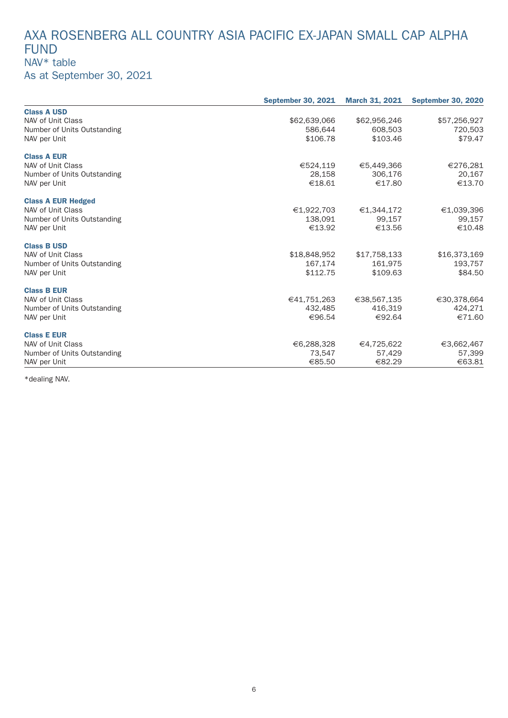## AXA ROSENBERG ALL COUNTRY ASIA PACIFIC EX-JAPAN SMALL CAP ALPHA FUND NAV\* table As at September 30, 2021

|                             | <b>September 30, 2021</b> | <b>March 31, 2021</b> | <b>September 30, 2020</b> |
|-----------------------------|---------------------------|-----------------------|---------------------------|
| <b>Class A USD</b>          |                           |                       |                           |
| NAV of Unit Class           | \$62,639,066              | \$62,956,246          | \$57,256,927              |
| Number of Units Outstanding | 586.644                   | 608,503               | 720,503                   |
| NAV per Unit                | \$106.78                  | \$103.46              | \$79.47                   |
| <b>Class A EUR</b>          |                           |                       |                           |
| NAV of Unit Class           | €524,119                  | €5,449,366            | €276,281                  |
| Number of Units Outstanding | 28,158                    | 306,176               | 20,167                    |
| NAV per Unit                | €18.61                    | €17.80                | €13.70                    |
| <b>Class A EUR Hedged</b>   |                           |                       |                           |
| NAV of Unit Class           | €1,922,703                | €1,344,172            | €1,039,396                |
| Number of Units Outstanding | 138,091                   | 99,157                | 99,157                    |
| NAV per Unit                | €13.92                    | €13.56                | €10.48                    |
| <b>Class B USD</b>          |                           |                       |                           |
| NAV of Unit Class           | \$18,848,952              | \$17,758,133          | \$16,373,169              |
| Number of Units Outstanding | 167,174                   | 161,975               | 193,757                   |
| NAV per Unit                | \$112.75                  | \$109.63              | \$84.50                   |
| <b>Class B EUR</b>          |                           |                       |                           |
| NAV of Unit Class           | €41,751,263               | €38,567,135           | €30,378,664               |
| Number of Units Outstanding | 432,485                   | 416,319               | 424,271                   |
| NAV per Unit                | €96.54                    | €92.64                | €71.60                    |
| <b>Class E EUR</b>          |                           |                       |                           |
| NAV of Unit Class           | €6,288,328                | €4,725,622            | €3,662,467                |
| Number of Units Outstanding | 73,547                    | 57,429                | 57,399                    |
| NAV per Unit                | €85.50                    | €82.29                | €63.81                    |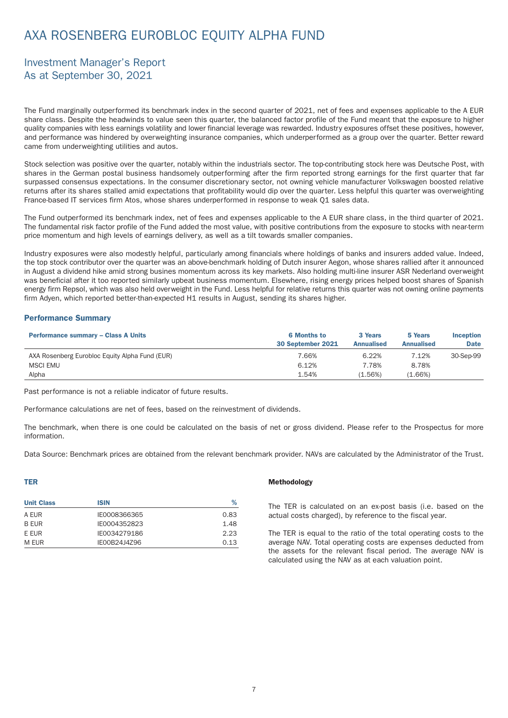## <span id="page-8-0"></span>AXA ROSENBERG EUROBLOC EQUITY ALPHA FUND

### Investment Manager's Report As at September 30, 2021

The Fund marginally outperformed its benchmark index in the second quarter of 2021, net of fees and expenses applicable to the A EUR share class. Despite the headwinds to value seen this quarter, the balanced factor profile of the Fund meant that the exposure to higher quality companies with less earnings volatility and lower financial leverage was rewarded. Industry exposures offset these positives, however, and performance was hindered by overweighting insurance companies, which underperformed as a group over the quarter. Better reward came from underweighting utilities and autos.

Stock selection was positive over the quarter, notably within the industrials sector. The top-contributing stock here was Deutsche Post, with shares in the German postal business handsomely outperforming after the firm reported strong earnings for the first quarter that far surpassed consensus expectations. In the consumer discretionary sector, not owning vehicle manufacturer Volkswagen boosted relative returns after its shares stalled amid expectations that profitability would dip over the quarter. Less helpful this quarter was overweighting France-based IT services firm Atos, whose shares underperformed in response to weak Q1 sales data.

The Fund outperformed its benchmark index, net of fees and expenses applicable to the A EUR share class, in the third quarter of 2021. The fundamental risk factor profile of the Fund added the most value, with positive contributions from the exposure to stocks with near-term price momentum and high levels of earnings delivery, as well as a tilt towards smaller companies.

Industry exposures were also modestly helpful, particularly among financials where holdings of banks and insurers added value. Indeed, the top stock contributor over the quarter was an above-benchmark holding of Dutch insurer Aegon, whose shares rallied after it announced in August a dividend hike amid strong busines momentum across its key markets. Also holding multi-line insurer ASR Nederland overweight was beneficial after it too reported similarly upbeat business momentum. Elsewhere, rising energy prices helped boost shares of Spanish energy firm Repsol, which was also held overweight in the Fund. Less helpful for relative returns this quarter was not owning online payments firm Adyen, which reported better-than-expected H1 results in August, sending its shares higher.

### Performance Summary

| <b>Performance summary - Class A Units</b>     | <b>6 Months to</b><br>30 September 2021 | 3 Years<br><b>Annualised</b> | 5 Years<br><b>Annualised</b> | <b>Inception</b><br><b>Date</b> |
|------------------------------------------------|-----------------------------------------|------------------------------|------------------------------|---------------------------------|
| AXA Rosenberg Eurobloc Equity Alpha Fund (EUR) | 7.66%                                   | 6.22%                        | 7.12%                        | 30-Sep-99                       |
| <b>MSCI EMU</b>                                | 6.12%                                   | 7.78%                        | 8.78%                        |                                 |
| Alpha                                          | 1.54%                                   | (1.56%)                      | $(1.66\%)$                   |                                 |

Past performance is not a reliable indicator of future results.

Per formance calculations are net of fees, based on the reinvestment of dividends.

The benchmark, when there is one could be calculated on the basis of net or gross dividend. Please refer to the Prospectus for more information.

Data Source: Benchmark prices are obtained from the relevant benchmark provider. NAVs are calculated by the Administrator of the Trust.

### TER

| <b>Unit Class</b> | <b>ISIN</b>  | %    |
|-------------------|--------------|------|
| A EUR             | IE0008366365 | 0.83 |
| B FUR             | IE0004352823 | 1.48 |
| F FUR             | IF0034279186 | 2.23 |
| M EUR             | IE00B24J4Z96 | 0.13 |

#### Methodology

The TER is calculated on an ex-post basis (i.e. based on the actual costs charged), by reference to the fiscal year.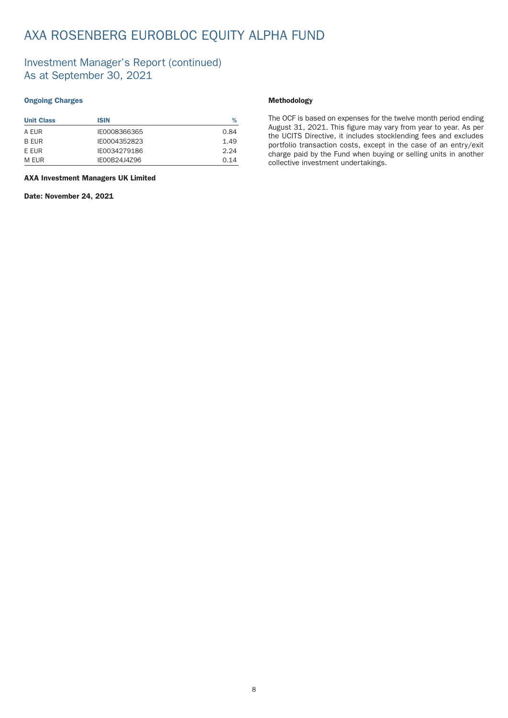## AXA ROSENBERG EUROBLOC EQUITY ALPHA FUND

### Investment Manager's Report (continued) As at September 30, 2021

### Ongoing Charges

| <b>Unit Class</b> | <b>ISIN</b>  | %    |
|-------------------|--------------|------|
| A FUR             | IE0008366365 | 0.84 |
| B EUR             | IE0004352823 | 1.49 |
| F FUR             | IE0034279186 | 2.24 |
| M FUR             | IE00B24J4Z96 | 0.14 |

AXA Investment Managers UK Limited

Date: November 24, 2021

### Methodology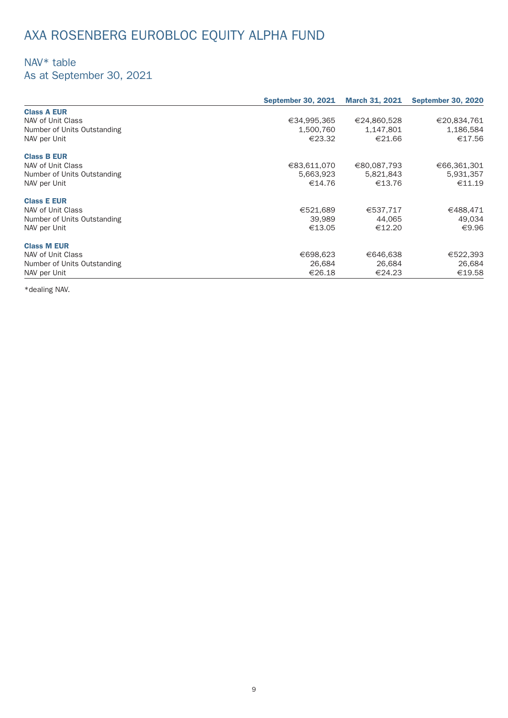# AXA ROSENBERG EUROBLOC EQUITY ALPHA FUND

## NAV\* table

As at September 30, 2021

|                             | <b>September 30, 2021</b> | <b>March 31, 2021</b> | <b>September 30, 2020</b> |
|-----------------------------|---------------------------|-----------------------|---------------------------|
| <b>Class A EUR</b>          |                           |                       |                           |
| NAV of Unit Class           | €34,995,365               | €24,860,528           | €20,834,761               |
| Number of Units Outstanding | 1,500,760                 | 1,147,801             | 1,186,584                 |
| NAV per Unit                | €23.32                    | €21.66                | €17.56                    |
| <b>Class B EUR</b>          |                           |                       |                           |
| NAV of Unit Class           | €83,611,070               | €80,087,793           | €66,361,301               |
| Number of Units Outstanding | 5,663,923                 | 5,821,843             | 5,931,357                 |
| NAV per Unit                | €14.76                    | €13.76                | €11.19                    |
| <b>Class E EUR</b>          |                           |                       |                           |
| NAV of Unit Class           | €521,689                  | €537,717              | €488,471                  |
| Number of Units Outstanding | 39,989                    | 44,065                | 49,034                    |
| NAV per Unit                | €13.05                    | €12.20                | €9.96                     |
| <b>Class M EUR</b>          |                           |                       |                           |
| NAV of Unit Class           | €698,623                  | €646,638              | €522,393                  |
| Number of Units Outstanding | 26.684                    | 26,684                | 26,684                    |
| NAV per Unit                | €26.18                    | €24.23                | €19.58                    |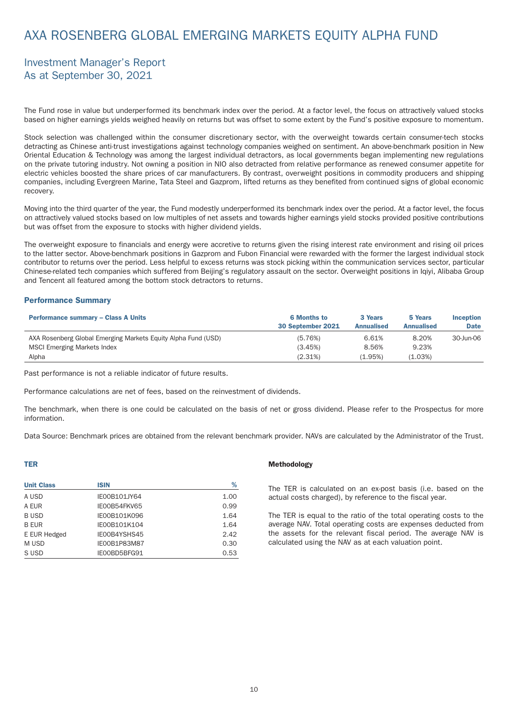## <span id="page-11-0"></span>AXA ROSENBERG GLOBAL EMERGING MARKETS EQUITY ALPHA FUND

### Investment Manager's Report As at September 30, 2021

The Fund rose in value but underper formed its benchmark index over the period. At a factor level, the focus on attractively valued stocks based on higher earnings yields weighed heavily on returns but was offset to some extent by the Fund's positive exposure to momentum.

Stock selection was challenged within the consumer discretionary sector, with the overweight towards certain consumer-tech stocks detracting as Chinese anti-trust investigations against technology companies weighed on sentiment. An above-benchmark position in New Oriental Education & Technology was among the largest individual detractors, as local governments began implementing new regulations on the private tutoring industry. Not owning a position in NIO also detracted from relative per formance as renewed consumer appetite for electric vehicles boosted the share prices of car manufacturers. By contrast, overweight positions in commodity producers and shipping companies, including Evergreen Marine, Tata Steel and Gazprom, lifted returns as they benefited from continued signs of global economic recovery.

Moving into the third quarter of the year, the Fund modestly underperformed its benchmark index over the period. At a factor level, the focus on attractively valued stocks based on low multiples of net assets and towards higher earnings yield stocks provided positive contributions but was offset from the exposure to stocks with higher dividend yields.

The overweight exposure to financials and energy were accretive to returns given the rising interest rate environment and rising oil prices to the latter sector. Above-benchmark positions in Gazprom and Fubon Financial were rewarded with the former the largest individual stock contributor to returns over the period. Less helpful to excess returns was stock picking within the communication services sector, particular Chinese-related tech companies which suffered from Beijing's regulatory assault on the sector. Overweight positions in Iqiyi, Alibaba Group and Tencent all featured among the bottom stock detractors to returns.

#### Performance Summary

| <b>Performance summary - Class A Units</b>                    | <b>6 Months to</b><br>30 September 2021 | 3 Years<br><b>Annualised</b> | 5 Years<br><b>Annualised</b> | <b>Inception</b><br><b>Date</b> |
|---------------------------------------------------------------|-----------------------------------------|------------------------------|------------------------------|---------------------------------|
| AXA Rosenberg Global Emerging Markets Equity Alpha Fund (USD) | (5.76%)                                 | 6.61%                        | 8.20%                        | 30-Jun-06                       |
| <b>MSCI Emerging Markets Index</b>                            | (3.45%)                                 | 8.56%                        | 9.23%                        |                                 |
| Alpha                                                         | (2.31%)                                 | (1.95%)                      | (1.03%)                      |                                 |

Past performance is not a reliable indicator of future results.

Per formance calculations are net of fees, based on the reinvestment of dividends.

The benchmark, when there is one could be calculated on the basis of net or gross dividend. Please refer to the Prospectus for more information.

Data Source: Benchmark prices are obtained from the relevant benchmark provider. NAVs are calculated by the Administrator of the Trust.

### TER

| <b>Unit Class</b> | <b>ISIN</b>  | %    |
|-------------------|--------------|------|
| A USD             | IE00B101JY64 | 1.00 |
| A EUR             | IE00B54FKV65 | 0.99 |
| <b>BUSD</b>       | IE00B101K096 | 1.64 |
| <b>B EUR</b>      | IE00B101K104 | 1.64 |
| E EUR Hedged      | IE00B4YSHS45 | 2.42 |
| M USD             | IE00B1P83M87 | 0.30 |
| S USD             | IE00BD5BFG91 | 0.53 |

#### Methodology

The TER is calculated on an ex-post basis (i.e. based on the actual costs charged), by reference to the fiscal year.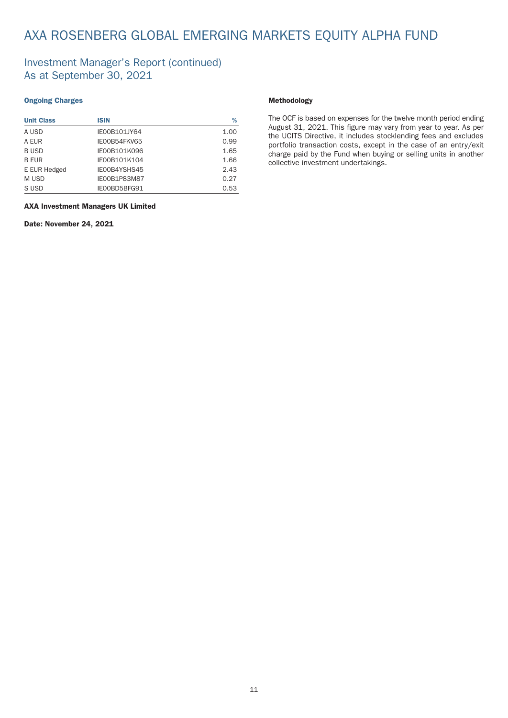## AXA ROSENBERG GLOBAL EMERGING MARKETS EQUITY ALPHA FUND

### Investment Manager's Report (continued) As at September 30, 2021

### Ongoing Charges

| <b>Unit Class</b> | <b>ISIN</b>  | %    |
|-------------------|--------------|------|
| A USD             | IE00B101JY64 | 1.00 |
| A EUR             | IE00B54FKV65 | 0.99 |
| <b>BUSD</b>       | IE00B101K096 | 1.65 |
| <b>B EUR</b>      | IE00B101K104 | 1.66 |
| E EUR Hedged      | IE00B4YSHS45 | 2.43 |
| M USD             | IE00B1P83M87 | 0.27 |
| S USD             | IE00BD5BFG91 | 0.53 |

### Methodology

The OCF is based on expenses for the twelve month period ending August 31, 2021. This figure may vary from year to year. As per the UCITS Directive, it includes stocklending fees and excludes portfolio transaction costs, except in the case of an entry/exit charge paid by the Fund when buying or selling units in another collective investment under takings.

### AXA Investment Managers UK Limited

Date: November 24, 2021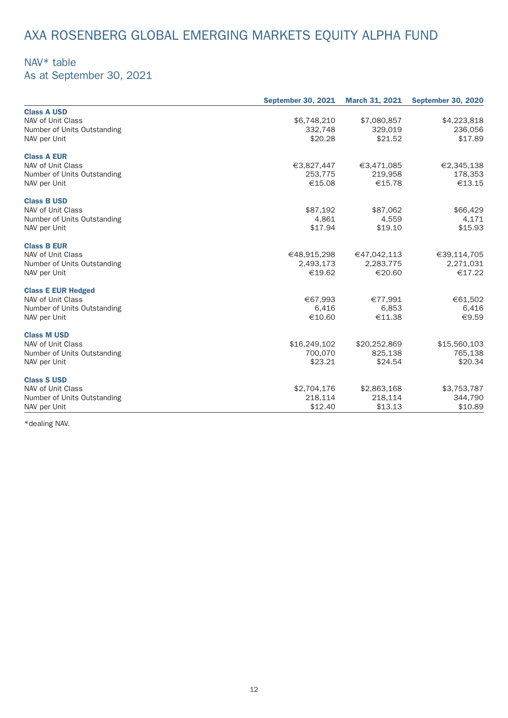# AXA ROSENBERG GLOBAL EMERGING MARKETS EQUITY ALPHA FUND

## NAV\* table

As at September 30, 2021

|                             | <b>September 30, 2021</b> | <b>March 31, 2021</b> | <b>September 30, 2020</b> |
|-----------------------------|---------------------------|-----------------------|---------------------------|
| <b>Class A USD</b>          |                           |                       |                           |
| NAV of Unit Class           | \$6,748,210               | \$7,080,857           | \$4,223,818               |
| Number of Units Outstanding | 332,748                   | 329,019               | 236,056                   |
| NAV per Unit                | \$20.28                   | \$21.52               | \$17.89                   |
| <b>Class A EUR</b>          |                           |                       |                           |
| NAV of Unit Class           | €3,827,447                | €3,471,085            | €2,345,138                |
| Number of Units Outstanding | 253,775                   | 219,958               | 178,353                   |
| NAV per Unit                | €15.08                    | €15.78                | €13.15                    |
| <b>Class B USD</b>          |                           |                       |                           |
| NAV of Unit Class           | \$87,192                  | \$87,062              | \$66,429                  |
| Number of Units Outstanding | 4,861                     | 4,559                 | 4,171                     |
| NAV per Unit                | \$17.94                   | \$19.10               | \$15.93                   |
| <b>Class B EUR</b>          |                           |                       |                           |
| NAV of Unit Class           | €48,915,298               | €47,042,113           | €39,114,705               |
| Number of Units Outstanding | 2,493,173                 | 2,283,775             | 2,271,031                 |
| NAV per Unit                | €19.62                    | €20.60                | €17.22                    |
| <b>Class E EUR Hedged</b>   |                           |                       |                           |
| NAV of Unit Class           | €67,993                   | €77,991               | €61,502                   |
| Number of Units Outstanding | 6,416                     | 6,853                 | 6,416                     |
| NAV per Unit                | €10.60                    | €11.38                | €9.59                     |
| <b>Class M USD</b>          |                           |                       |                           |
| NAV of Unit Class           | \$16,249,102              | \$20,252,869          | \$15,560,103              |
| Number of Units Outstanding | 700,070                   | 825,138               | 765,138                   |
| NAV per Unit                | \$23.21                   | \$24.54               | \$20.34                   |
| <b>Class S USD</b>          |                           |                       |                           |
| NAV of Unit Class           | \$2,704,176               | \$2,863,168           | \$3,753,787               |
| Number of Units Outstanding | 218,114                   | 218,114               | 344,790                   |
| NAV per Unit                | \$12.40                   | \$13.13               | \$10.89                   |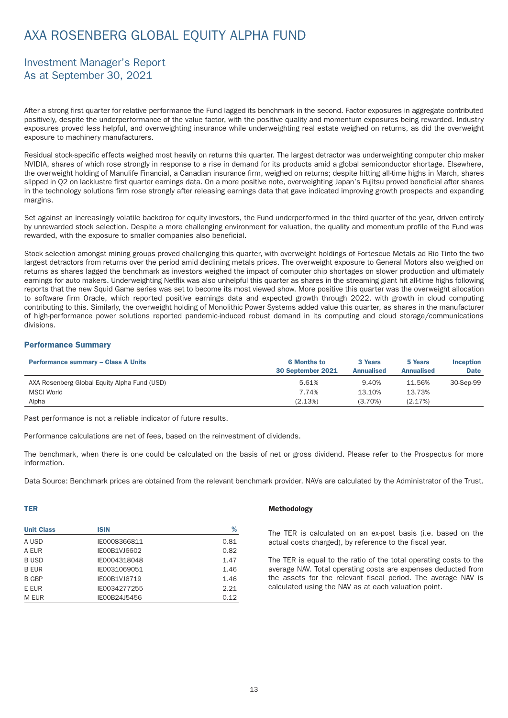## <span id="page-14-0"></span>AXA ROSENBERG GLOBAL EQUITY ALPHA FUND

### Investment Manager's Report As at September 30, 2021

After a strong first quarter for relative performance the Fund lagged its benchmark in the second. Factor exposures in aggregate contributed positively, despite the underper formance of the value factor, with the positive quality and momentum exposures being rewarded. Industry exposures proved less helpful, and overweighting insurance while underweighting real estate weighed on returns, as did the overweight exposure to machinery manufacturers.

Residual stock-specific effects weighed most heavily on returns this quarter. The largest detractor was underweighting computer chip maker NVIDIA, shares of which rose strongly in response to a rise in demand for its products amid a global semiconductor shortage. Elsewhere, the overweight holding of Manulife Financial, a Canadian insurance firm, weighed on returns; despite hitting all-time highs in March, shares slipped in Q2 on lacklustre first quarter earnings data. On a more positive note, overweighting Japan's Fujitsu proved beneficial after shares in the technology solutions firm rose strongly after releasing earnings data that gave indicated improving growth prospects and expanding margins.

Set against an increasingly volatile backdrop for equity investors, the Fund underper formed in the third quarter of the year, driven entirely by unrewarded stock selection. Despite a more challenging environment for valuation, the quality and momentum profile of the Fund was rewarded, with the exposure to smaller companies also beneficial.

Stock selection amongst mining groups proved challenging this quarter, with overweight holdings of Fortescue Metals ad Rio Tinto the two largest detractors from returns over the period amid declining metals prices. The overweight exposure to General Motors also weighed on returns as shares lagged the benchmark as investors weighed the impact of computer chip shortages on slower production and ultimately earnings for auto makers. Underweighting Netflix was also unhelpful this quarter as shares in the streaming giant hit all-time highs following reports that the new Squid Game series was set to become its most viewed show. More positive this quarter was the overweight allocation to software firm Oracle, which reported positive earnings data and expected growth through 2022, with growth in cloud computing contributing to this. Similarly, the overweight holding of Monolithic Power Systems added value this quar ter, as shares in the manufacturer of high-per formance power solutions repor ted pandemic-induced robust demand in its computing and cloud storage/communications divisions.

#### Performance Summary

| <b>Performance summary - Class A Units</b>   | <b>6 Months to</b><br>30 September 2021 | 3 Years<br><b>Annualised</b> | 5 Years<br><b>Annualised</b> | <b>Inception</b><br><b>Date</b> |
|----------------------------------------------|-----------------------------------------|------------------------------|------------------------------|---------------------------------|
| AXA Rosenberg Global Equity Alpha Fund (USD) | 5.61%                                   | 9.40%                        | 11.56%                       | 30-Sep-99                       |
| <b>MSCI World</b>                            | 7.74%                                   | 13.10%                       | 13.73%                       |                                 |
| Alpha                                        | (2.13%)                                 | (3.70%)                      | (2.17%)                      |                                 |

Past performance is not a reliable indicator of future results.

Per formance calculations are net of fees, based on the reinvestment of dividends.

The benchmark, when there is one could be calculated on the basis of net or gross dividend. Please refer to the Prospectus for more information.

Data Source: Benchmark prices are obtained from the relevant benchmark provider. NAVs are calculated by the Administrator of the Trust.

### TER

| <b>Unit Class</b> | <b>ISIN</b>         | %    |
|-------------------|---------------------|------|
| A USD             | IE0008366811        | 0.81 |
| A EUR             | IE00B1VJ6602        | 0.82 |
| <b>BUSD</b>       | IE0004318048        | 1.47 |
| <b>B EUR</b>      | IE0031069051        | 1.46 |
| B GBP             | <b>IE00B1VJ6719</b> | 1.46 |
| E EUR             | IE0034277255        | 2.21 |
| M EUR             | IE00B24J5456        | 0.12 |

#### Methodology

The TER is calculated on an ex-post basis (i.e. based on the actual costs charged), by reference to the fiscal year.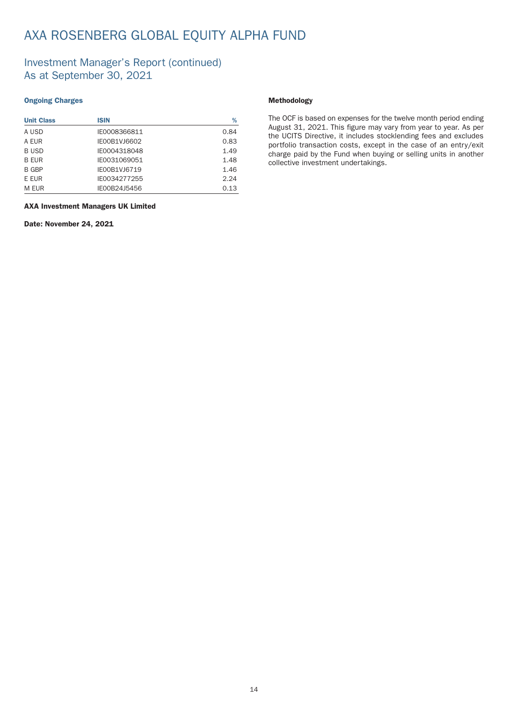## AXA ROSENBERG GLOBAL EQUITY ALPHA FUND

### Investment Manager's Report (continued) As at September 30, 2021

### Ongoing Charges

| <b>Unit Class</b> | <b>ISIN</b>         | %    |
|-------------------|---------------------|------|
| A USD             | IE0008366811        | 0.84 |
| A EUR             | IE00B1VJ6602        | 0.83 |
| <b>BUSD</b>       | IE0004318048        | 1.49 |
| <b>B EUR</b>      | IE0031069051        | 1.48 |
| B GBP             | <b>IE00B1VJ6719</b> | 1.46 |
| E EUR             | IE0034277255        | 2.24 |
| M EUR             | IE00B24J5456        | 0.13 |

### AXA Investment Managers UK Limited

Date: November 24, 2021

### Methodology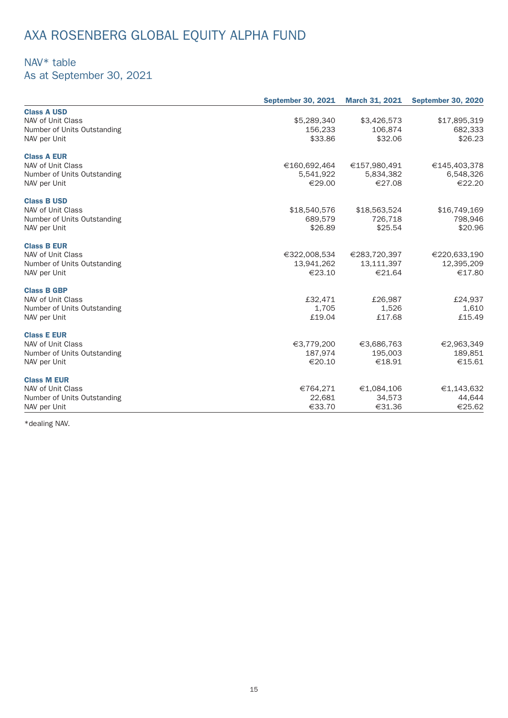# AXA ROSENBERG GLOBAL EQUITY ALPHA FUND

### NAV\* table

As at September 30, 2021

|                             | <b>September 30, 2021</b> | <b>March 31, 2021</b> | <b>September 30, 2020</b> |
|-----------------------------|---------------------------|-----------------------|---------------------------|
| <b>Class A USD</b>          |                           |                       |                           |
| NAV of Unit Class           | \$5,289,340               | \$3,426,573           | \$17,895,319              |
| Number of Units Outstanding | 156,233                   | 106,874               | 682,333                   |
| NAV per Unit                | \$33.86                   | \$32.06               | \$26.23                   |
| <b>Class A EUR</b>          |                           |                       |                           |
| NAV of Unit Class           | €160,692,464              | €157,980,491          | €145,403,378              |
| Number of Units Outstanding | 5,541,922                 | 5,834,382             | 6,548,326                 |
| NAV per Unit                | €29.00                    | €27.08                | €22.20                    |
| <b>Class B USD</b>          |                           |                       |                           |
| NAV of Unit Class           | \$18,540,576              | \$18,563,524          | \$16,749,169              |
| Number of Units Outstanding | 689,579                   | 726,718               | 798,946                   |
| NAV per Unit                | \$26.89                   | \$25.54               | \$20.96                   |
| <b>Class B EUR</b>          |                           |                       |                           |
| NAV of Unit Class           | €322,008,534              | €283,720,397          | €220,633,190              |
| Number of Units Outstanding | 13,941,262                | 13,111,397            | 12,395,209                |
| NAV per Unit                | €23.10                    | €21.64                | €17.80                    |
| <b>Class B GBP</b>          |                           |                       |                           |
| NAV of Unit Class           | £32,471                   | £26,987               | £24,937                   |
| Number of Units Outstanding | 1,705                     | 1,526                 | 1,610                     |
| NAV per Unit                | £19.04                    | £17.68                | £15.49                    |
| <b>Class E EUR</b>          |                           |                       |                           |
| NAV of Unit Class           | €3,779,200                | €3,686,763            | €2,963,349                |
| Number of Units Outstanding | 187,974                   | 195.003               | 189,851                   |
| NAV per Unit                | €20.10                    | €18.91                | €15.61                    |
| <b>Class M EUR</b>          |                           |                       |                           |
| NAV of Unit Class           | €764,271                  | €1,084,106            | €1,143,632                |
| Number of Units Outstanding | 22,681                    | 34,573                | 44,644                    |
| NAV per Unit                | €33.70                    | €31.36                | €25.62                    |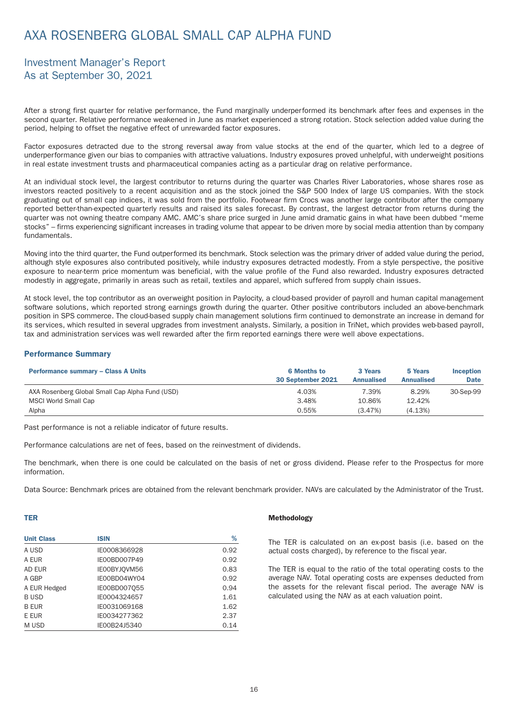## <span id="page-17-0"></span>AXA ROSENBERG GLOBAL SMALL CAP ALPHA FUND

### Investment Manager's Report As at September 30, 2021

After a strong first quarter for relative performance, the Fund marginally underperformed its benchmark after fees and expenses in the second quarter. Relative performance weakened in June as market experienced a strong rotation. Stock selection added value during the period, helping to offset the negative effect of unrewarded factor exposures.

Factor exposures detracted due to the strong reversal away from value stocks at the end of the quarter, which led to a degree of underper formance given our bias to companies with attractive valuations. Industry exposures proved unhelpful, with underweight positions in real estate investment trusts and pharmaceutical companies acting as a particular drag on relative performance.

At an individual stock level, the largest contributor to returns during the quarter was Charles River Laboratories, whose shares rose as investors reacted positively to a recent acquisition and as the stock joined the S&P 500 Index of large US companies. With the stock graduating out of small cap indices, it was sold from the portfolio. Footwear firm Crocs was another large contributor after the company reported better-than-expected quarterly results and raised its sales forecast. By contrast, the largest detractor from returns during the quarter was not owning theatre company AMC. AMC's share price surged in June amid dramatic gains in what have been dubbed "meme stocks" – firms experiencing significant increases in trading volume that appear to be driven more by social media attention than by company fundamentals.

Moving into the third quarter, the Fund outper formed its benchmark. Stock selection was the primary driver of added value during the period, although style exposures also contributed positively, while industry exposures detracted modestly. From a style perspective, the positive exposure to near-term price momentum was beneficial, with the value profile of the Fund also rewarded. Industry exposures detracted modestly in aggregate, primarily in areas such as retail, textiles and apparel, which suffered from supply chain issues.

At stock level, the top contributor as an overweight position in Paylocity, a cloud-based provider of payroll and human capital management software solutions, which reported strong earnings growth during the quarter. Other positive contributors included an above-benchmark position in SPS commerce. The cloud-based supply chain management solutions firm continued to demonstrate an increase in demand for its services, which resulted in several upgrades from investment analysts. Similarly, a position in TriNet, which provides web-based payroll, tax and administration services was well rewarded after the firm reported earnings there were well above expectations.

### Performance Summary

| <b>Performance summary - Class A Units</b>      | <b>6 Months to</b><br>30 September 2021 | 3 Years<br><b>Annualised</b> | 5 Years<br><b>Annualised</b> | <b>Inception</b><br><b>Date</b> |
|-------------------------------------------------|-----------------------------------------|------------------------------|------------------------------|---------------------------------|
| AXA Rosenberg Global Small Cap Alpha Fund (USD) | 4.03%                                   | 7.39%                        | 8.29%                        | 30-Sep-99                       |
| MSCI World Small Cap                            | 3.48%                                   | 10.86%                       | 12.42%                       |                                 |
| Alpha                                           | 0.55%                                   | (3.47%)                      | (4.13%)                      |                                 |

Past performance is not a reliable indicator of future results.

Per formance calculations are net of fees, based on the reinvestment of dividends.

The benchmark, when there is one could be calculated on the basis of net or gross dividend. Please refer to the Prospectus for more information.

Data Source: Benchmark prices are obtained from the relevant benchmark provider. NAVs are calculated by the Administrator of the Trust.

### TER

| <b>Unit Class</b> | <b>ISIN</b>         | %    |
|-------------------|---------------------|------|
| A USD             | IE0008366928        | 0.92 |
| A FUR             | <b>IE00BD007P49</b> | 0.92 |
| <b>AD EUR</b>     | IE00BYJQVM56        | 0.83 |
| A GBP             | IE00BD04WY04        | 0.92 |
| A EUR Hedged      | IE00BD007055        | 0.94 |
| <b>BUSD</b>       | IE0004324657        | 1.61 |
| <b>B FUR</b>      | IE0031069168        | 1.62 |
| E EUR             | IE0034277362        | 2.37 |
| M USD             | IE00B24J5340        | 0.14 |

#### Methodology

The TER is calculated on an ex-post basis (i.e. based on the actual costs charged), by reference to the fiscal year.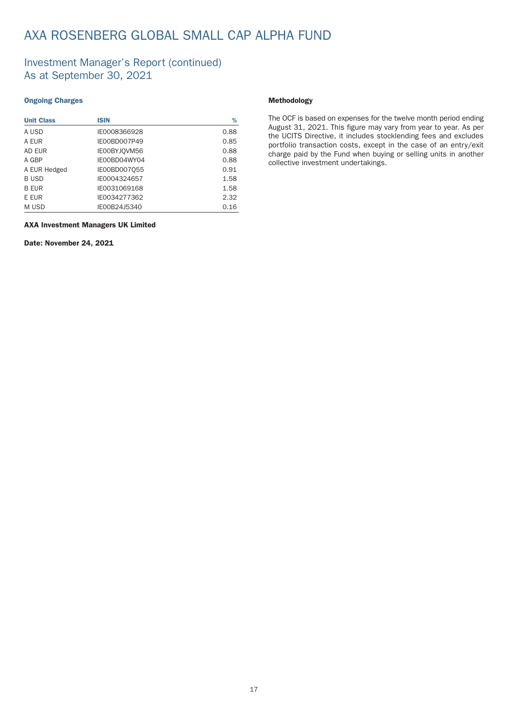## AXA ROSENBERG GLOBAL SMALL CAP ALPHA FUND

### Investment Manager's Report (continued) As at September 30, 2021

### Ongoing Charges

| <b>Unit Class</b> | <b>ISIN</b>  | %    |
|-------------------|--------------|------|
| A USD             | IE0008366928 | 0.88 |
| A EUR             | IE00BD007P49 | 0.85 |
| AD EUR            | IE00BYJQVM56 | 0.88 |
| A GBP             | IE00BD04WY04 | 0.88 |
| A EUR Hedged      | IE00BD007055 | 0.91 |
| <b>BUSD</b>       | IE0004324657 | 1.58 |
| <b>B EUR</b>      | IE0031069168 | 1.58 |
| E EUR             | IE0034277362 | 2.32 |
| M USD             | IE00B24J5340 | 0.16 |

### Methodology

The OCF is based on expenses for the twelve month period ending August 31, 2021. This figure may vary from year to year. As per the UCITS Directive, it includes stocklending fees and excludes portfolio transaction costs, except in the case of an entry/exit charge paid by the Fund when buying or selling units in another collective investment under takings.

#### AXA Investment Managers UK Limited

Date: November 24, 2021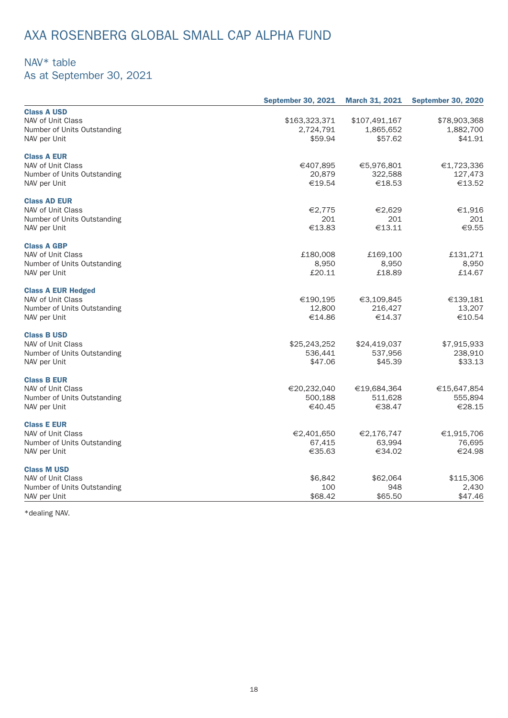## AXA ROSENBERG GLOBAL SMALL CAP ALPHA FUND

### NAV\* table

As at September 30, 2021

|                             | <b>September 30, 2021</b> | <b>March 31, 2021</b> | <b>September 30, 2020</b> |
|-----------------------------|---------------------------|-----------------------|---------------------------|
| <b>Class A USD</b>          |                           |                       |                           |
| NAV of Unit Class           | \$163,323,371             | \$107,491,167         | \$78,903,368              |
| Number of Units Outstanding | 2,724,791                 | 1,865,652             | 1,882,700                 |
| NAV per Unit                | \$59.94                   | \$57.62               | \$41.91                   |
|                             |                           |                       |                           |
| <b>Class A EUR</b>          |                           |                       |                           |
| NAV of Unit Class           | €407,895                  | €5,976,801            | €1,723,336                |
| Number of Units Outstanding | 20,879                    | 322,588               | 127,473                   |
| NAV per Unit                | €19.54                    | €18.53                | €13.52                    |
|                             |                           |                       |                           |
| <b>Class AD EUR</b>         |                           |                       |                           |
| NAV of Unit Class           | €2,775                    | €2,629                | €1,916                    |
| Number of Units Outstanding | 201                       | 201                   | 201                       |
| NAV per Unit                | €13.83                    | €13.11                | €9.55                     |
|                             |                           |                       |                           |
| <b>Class A GBP</b>          |                           |                       |                           |
| NAV of Unit Class           | £180,008                  | £169,100              | £131,271                  |
| Number of Units Outstanding | 8,950                     | 8,950                 | 8,950                     |
| NAV per Unit                | £20.11                    | £18.89                | £14.67                    |
| <b>Class A EUR Hedged</b>   |                           |                       |                           |
| NAV of Unit Class           | €190,195                  | €3,109,845            | €139,181                  |
|                             | 12,800                    |                       |                           |
| Number of Units Outstanding |                           | 216,427               | 13,207                    |
| NAV per Unit                | €14.86                    | €14.37                | €10.54                    |
| <b>Class B USD</b>          |                           |                       |                           |
| NAV of Unit Class           | \$25,243,252              | \$24,419,037          | \$7,915,933               |
| Number of Units Outstanding | 536,441                   | 537,956               | 238,910                   |
| NAV per Unit                | \$47.06                   | \$45.39               | \$33.13                   |
|                             |                           |                       |                           |
| <b>Class B EUR</b>          |                           |                       |                           |
| NAV of Unit Class           | €20,232,040               | €19,684,364           | €15,647,854               |
| Number of Units Outstanding | 500,188                   | 511,628               | 555,894                   |
| NAV per Unit                | €40.45                    | €38.47                | €28.15                    |
|                             |                           |                       |                           |
| <b>Class E EUR</b>          |                           |                       |                           |
| NAV of Unit Class           | €2,401,650                | €2,176,747            | €1,915,706                |
| Number of Units Outstanding | 67,415                    | 63,994                | 76,695                    |
| NAV per Unit                | €35.63                    | €34.02                | €24.98                    |
| <b>Class M USD</b>          |                           |                       |                           |
| NAV of Unit Class           | \$6,842                   | \$62,064              | \$115,306                 |
|                             | 100                       | 948                   | 2,430                     |
| Number of Units Outstanding |                           |                       |                           |
| NAV per Unit                | \$68.42                   | \$65.50               | \$47.46                   |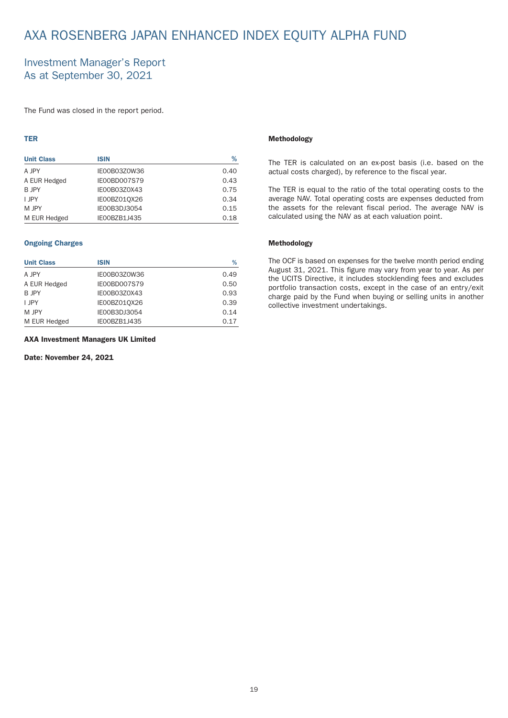## <span id="page-20-0"></span>AXA ROSENBERG JAPAN ENHANCED INDEX EQUITY ALPHA FUND

### Investment Manager's Report As at September 30, 2021

The Fund was closed in the report period.

### TER

| <b>Unit Class</b> | <b>ISIN</b>         | %    |
|-------------------|---------------------|------|
| A JPY             | IE00B03Z0W36        | 0.40 |
| A EUR Hedged      | <b>IE00BD007S79</b> | 0.43 |
| B JPY             | IE00B03Z0X43        | 0.75 |
| I JPY             | IE00BZ010X26        | 0.34 |
| M JPY             | IE00B3DJ3054        | 0.15 |
| M EUR Hedged      | IE00BZB1J435        | 0.18 |

### Ongoing Charges

| <b>Unit Class</b> | <b>ISIN</b>         | %    |
|-------------------|---------------------|------|
| A JPY             | IE00B03Z0W36        | 0.49 |
| A EUR Hedged      | <b>IE00BD007S79</b> | 0.50 |
| <b>B JPY</b>      | IE00B03Z0X43        | 0.93 |
| I JPY             | IE00BZ01QX26        | 0.39 |
| M JPY             | IE00B3DJ3054        | 0.14 |
| M EUR Hedged      | IE00BZB1J435        | 0.17 |

#### AXA Investment Managers UK Limited

Date: November 24, 2021

#### Methodology

The TER is calculated on an ex-post basis (i.e. based on the actual costs charged), by reference to the fiscal year.

The TER is equal to the ratio of the total operating costs to the average NAV. Total operating costs are expenses deducted from the assets for the relevant fiscal period. The average NAV is calculated using the NAV as at each valuation point.

### Methodology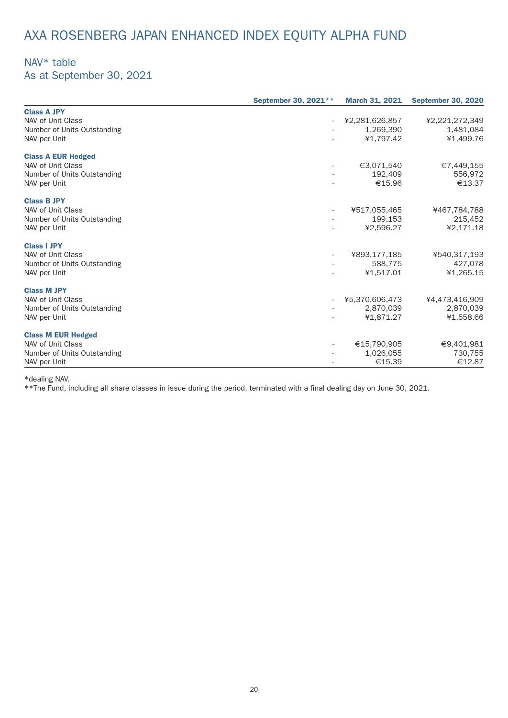## AXA ROSENBERG JAPAN ENHANCED INDEX EQUITY ALPHA FUND

### NAV\* table

As at September 30, 2021

|                             | September 30, 2021** | <b>March 31, 2021</b> | <b>September 30, 2020</b> |
|-----------------------------|----------------------|-----------------------|---------------------------|
| <b>Class A JPY</b>          |                      |                       |                           |
| NAV of Unit Class           |                      | ¥2,281,626,857        | ¥2,221,272,349            |
| Number of Units Outstanding |                      | 1,269,390             | 1,481,084                 |
| NAV per Unit                |                      | ¥1,797.42             | ¥1,499.76                 |
| <b>Class A EUR Hedged</b>   |                      |                       |                           |
| NAV of Unit Class           |                      | €3,071,540            | €7,449,155                |
| Number of Units Outstanding |                      | 192,409               | 556,972                   |
| NAV per Unit                |                      | €15.96                | €13.37                    |
| <b>Class B JPY</b>          |                      |                       |                           |
| NAV of Unit Class           |                      | ¥517,055,465          | ¥467,784,788              |
| Number of Units Outstanding |                      | 199,153               | 215,452                   |
| NAV per Unit                |                      | ¥2,596.27             | ¥2,171.18                 |
| <b>Class I JPY</b>          |                      |                       |                           |
| NAV of Unit Class           |                      | ¥893,177,185          | ¥540,317,193              |
| Number of Units Outstanding |                      | 588,775               | 427,078                   |
| NAV per Unit                |                      | ¥1,517.01             | ¥1,265.15                 |
| <b>Class M JPY</b>          |                      |                       |                           |
| NAV of Unit Class           |                      | ¥5,370,606,473        | ¥4,473,416,909            |
| Number of Units Outstanding |                      | 2,870,039             | 2,870,039                 |
| NAV per Unit                |                      | ¥1,871.27             | ¥1,558.66                 |
| <b>Class M EUR Hedged</b>   |                      |                       |                           |
| NAV of Unit Class           |                      | €15,790,905           | €9,401,981                |
| Number of Units Outstanding |                      | 1,026,055             | 730,755                   |
| NAV per Unit                |                      | €15.39                | €12.87                    |

\*dealing NAV.

\*\*The Fund, including all share classes in issue during the period, terminated with a final dealing day on June 30, 2021.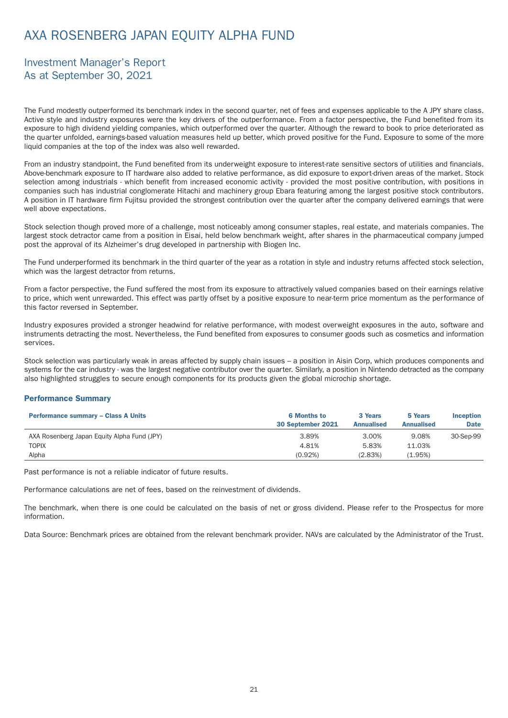## <span id="page-22-0"></span>AXA ROSENBERG JAPAN EQUITY ALPHA FUND

### Investment Manager's Report As at September 30, 2021

The Fund modestly outperformed its benchmark index in the second quarter, net of fees and expenses applicable to the A JPY share class. Active style and industry exposures were the key drivers of the outper formance. From a factor perspective, the Fund benefited from its exposure to high dividend yielding companies, which outperformed over the quarter. Although the reward to book to price deteriorated as the quarter unfolded, earnings-based valuation measures held up better, which proved positive for the Fund. Exposure to some of the more liquid companies at the top of the index was also well rewarded.

From an industry standpoint, the Fund benefited from its underweight exposure to interest-rate sensitive sectors of utilities and financials. Above-benchmark exposure to IT hardware also added to relative performance, as did exposure to export-driven areas of the market. Stock selection among industrials - which benefit from increased economic activity - provided the most positive contribution, with positions in companies such has industrial conglomerate Hitachi and machinery group Ebara featuring among the largest positive stock contributors. A position in IT hardware firm Fujitsu provided the strongest contribution over the quarter after the company delivered earnings that were well above expectations.

Stock selection though proved more of a challenge, most noticeably among consumer staples, real estate, and materials companies. The largest stock detractor came from a position in Eisai, held below benchmark weight, after shares in the pharmaceutical company jumped post the approval of its Alzheimer's drug developed in partnership with Biogen Inc.

The Fund underper formed its benchmark in the third quarter of the year as a rotation in style and industry returns affected stock selection, which was the largest detractor from returns.

From a factor perspective, the Fund suffered the most from its exposure to attractively valued companies based on their earnings relative to price, which went unrewarded. This effect was partly offset by a positive exposure to near-term price momentum as the performance of this factor reversed in September.

Industry exposures provided a stronger headwind for relative per formance, with modest overweight exposures in the auto, software and instruments detracting the most. Nevertheless, the Fund benefited from exposures to consumer goods such as cosmetics and information services.

Stock selection was particularly weak in areas affected by supply chain issues – a position in Aisin Corp, which produces components and systems for the car industry - was the largest negative contributor over the quarter. Similarly, a position in Nintendo detracted as the company also highlighted struggles to secure enough components for its products given the global microchip shortage.

### Performance Summary

| <b>Performance summary - Class A Units</b>  | <b>6 Months to</b><br>30 September 2021 | 3 Years<br><b>Annualised</b> | 5 Years<br><b>Annualised</b> | <b>Inception</b><br><b>Date</b> |
|---------------------------------------------|-----------------------------------------|------------------------------|------------------------------|---------------------------------|
| AXA Rosenberg Japan Equity Alpha Fund (JPY) | 3.89%                                   | 3.00%                        | 9.08%                        | 30-Sep-99                       |
| <b>TOPIX</b>                                | 4.81%                                   | 5.83%                        | 11.03%                       |                                 |
| Alpha                                       | (0.92%)                                 | (2.83%)                      | (1.95%)                      |                                 |

Past performance is not a reliable indicator of future results.

Per formance calculations are net of fees, based on the reinvestment of dividends.

The benchmark, when there is one could be calculated on the basis of net or gross dividend. Please refer to the Prospectus for more information.

Data Source: Benchmark prices are obtained from the relevant benchmark provider. NAVs are calculated by the Administrator of the Trust.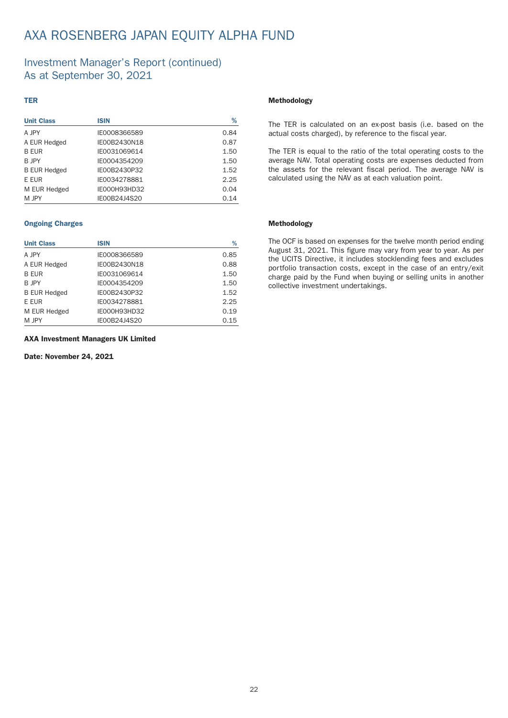## AXA ROSENBERG JAPAN EQUITY ALPHA FUND

### Investment Manager's Report (continued) As at September 30, 2021

### TER

| <b>Unit Class</b>   | <b>ISIN</b>  | ℅    |
|---------------------|--------------|------|
| A JPY               | IE0008366589 | 0.84 |
| A EUR Hedged        | IE00B2430N18 | 0.87 |
| <b>B EUR</b>        | IE0031069614 | 1.50 |
| B JPY               | IE0004354209 | 1.50 |
| <b>B EUR Hedged</b> | IE00B2430P32 | 1.52 |
| E EUR               | IE0034278881 | 2.25 |
| M EUR Hedged        | IE000H93HD32 | 0.04 |
| M JPY               | IE00B24J4S20 | 0.14 |

### Ongoing Charges

| <b>Unit Class</b>   | <b>ISIN</b>  | %    |
|---------------------|--------------|------|
| A JPY               | IE0008366589 | 0.85 |
| A EUR Hedged        | IE00B2430N18 | 0.88 |
| <b>B EUR</b>        | IE0031069614 | 1.50 |
| B JPY               | IE0004354209 | 1.50 |
| <b>B EUR Hedged</b> | IE00B2430P32 | 1.52 |
| E EUR               | IE0034278881 | 2.25 |
| M EUR Hedged        | IE000H93HD32 | 0.19 |
| M JPY               | IE00B24J4S20 | 0.15 |

AXA Investment Managers UK Limited

Date: November 24, 2021

#### Methodology

The TER is calculated on an ex-post basis (i.e. based on the actual costs charged), by reference to the fiscal year.

The TER is equal to the ratio of the total operating costs to the average NAV. Total operating costs are expenses deducted from the assets for the relevant fiscal period. The average NAV is calculated using the NAV as at each valuation point.

### Methodology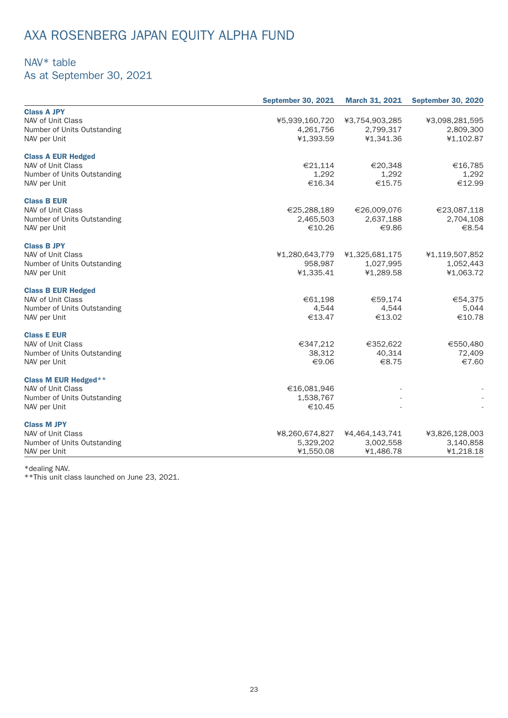# AXA ROSENBERG JAPAN EQUITY ALPHA FUND

### NAV\* table

As at September 30, 2021

|                             | <b>September 30, 2021</b> | <b>March 31, 2021</b> | <b>September 30, 2020</b> |
|-----------------------------|---------------------------|-----------------------|---------------------------|
| <b>Class A JPY</b>          |                           |                       |                           |
| NAV of Unit Class           | ¥5,939,160,720            | ¥3,754,903,285        | ¥3,098,281,595            |
| Number of Units Outstanding | 4,261,756                 | 2,799,317             | 2,809,300                 |
| NAV per Unit                | ¥1,393.59                 | ¥1,341.36             | ¥1,102.87                 |
| <b>Class A EUR Hedged</b>   |                           |                       |                           |
| NAV of Unit Class           | €21,114                   | €20,348               | €16,785                   |
| Number of Units Outstanding | 1,292                     | 1,292                 | 1,292                     |
| NAV per Unit                | €16.34                    | €15.75                | €12.99                    |
| <b>Class B EUR</b>          |                           |                       |                           |
| NAV of Unit Class           | €25,288,189               | €26,009,076           | €23,087,118               |
| Number of Units Outstanding | 2,465,503                 | 2,637,188             | 2,704,108                 |
| NAV per Unit                | €10.26                    | €9.86                 | €8.54                     |
| <b>Class B JPY</b>          |                           |                       |                           |
| NAV of Unit Class           | ¥1,280,643,779            | ¥1,325,681,175        | ¥1,119,507,852            |
| Number of Units Outstanding | 958,987                   | 1,027,995             | 1,052,443                 |
| NAV per Unit                | ¥1,335.41                 | ¥1,289.58             | ¥1,063.72                 |
| <b>Class B EUR Hedged</b>   |                           |                       |                           |
| NAV of Unit Class           | €61,198                   | €59,174               | €54,375                   |
| Number of Units Outstanding | 4,544                     | 4,544                 | 5,044                     |
| NAV per Unit                | €13.47                    | €13.02                | €10.78                    |
| <b>Class E EUR</b>          |                           |                       |                           |
| NAV of Unit Class           | €347,212                  | €352,622              | €550,480                  |
| Number of Units Outstanding | 38,312                    | 40,314                | 72,409                    |
| NAV per Unit                | €9.06                     | €8.75                 | €7.60                     |
| <b>Class M EUR Hedged**</b> |                           |                       |                           |
| NAV of Unit Class           | €16,081,946               |                       |                           |
| Number of Units Outstanding | 1,538,767                 |                       |                           |
| NAV per Unit                | €10.45                    |                       |                           |
| <b>Class M JPY</b>          |                           |                       |                           |
| NAV of Unit Class           | ¥8,260,674,827            | ¥4,464,143,741        | ¥3,826,128,003            |
| Number of Units Outstanding | 5,329,202                 | 3,002,558             | 3,140,858                 |
| NAV per Unit                | ¥1,550.08                 | ¥1,486.78             | ¥1,218.18                 |

\*dealing NAV.

\*\*This unit class launched on June 23, 2021.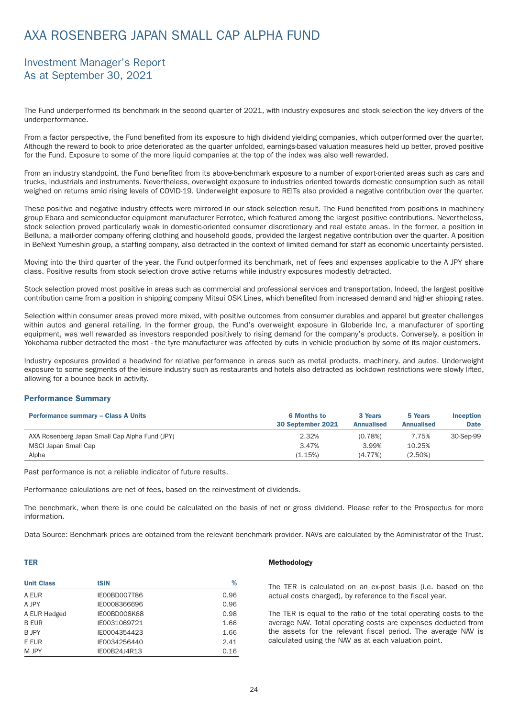## <span id="page-25-0"></span>AXA ROSENBERG JAPAN SMALL CAP ALPHA FUND

### Investment Manager's Report As at September 30, 2021

The Fund underper formed its benchmark in the second quarter of 2021, with industry exposures and stock selection the key drivers of the underper formance.

From a factor perspective, the Fund benefited from its exposure to high dividend yielding companies, which outperformed over the quarter. Although the reward to book to price deteriorated as the quarter unfolded, earnings-based valuation measures held up better, proved positive for the Fund. Exposure to some of the more liquid companies at the top of the index was also well rewarded.

From an industry standpoint, the Fund benefited from its above-benchmark exposure to a number of export-oriented areas such as cars and trucks, industrials and instruments. Never theless, overweight exposure to industries oriented towards domestic consumption such as retail weighed on returns amid rising levels of COVID-19. Underweight exposure to REITs also provided a negative contribution over the quarter.

These positive and negative industry effects were mirrored in our stock selection result. The Fund benefited from positions in machinery group Ebara and semiconductor equipment manufacturer Ferrotec, which featured among the largest positive contributions. Never theless, stock selection proved particularly weak in domestic-oriented consumer discretionary and real estate areas. In the former, a position in Belluna, a mail-order company offering clothing and household goods, provided the largest negative contribution over the quarter. A position in BeNext Yumeshin group, a staffing company, also detracted in the context of limited demand for staff as economic uncertainty persisted.

Moving into the third quarter of the year, the Fund outperformed its benchmark, net of fees and expenses applicable to the A JPY share class. Positive results from stock selection drove active returns while industry exposures modestly detracted.

Stock selection proved most positive in areas such as commercial and professional services and transportation. Indeed, the largest positive contribution came from a position in shipping company Mitsui OSK Lines, which benefited from increased demand and higher shipping rates.

Selection within consumer areas proved more mixed, with positive outcomes from consumer durables and apparel but greater challenges within autos and general retailing. In the former group, the Fund's overweight exposure in Globeride Inc, a manufacturer of sporting equipment, was well rewarded as investors responded positively to rising demand for the company's products. Conversely, a position in Yokohama rubber detracted the most - the tyre manufacturer was affected by cuts in vehicle production by some of its major customers.

Industry exposures provided a headwind for relative per formance in areas such as metal products, machinery, and autos. Underweight exposure to some segments of the leisure industry such as restaurants and hotels also detracted as lockdown restrictions were slowly lifted, allowing for a bounce back in activity.

### Performance Summary

| <b>Performance summary - Class A Units</b>     | <b>6 Months to</b><br>30 September 2021 | 3 Years<br><b>Annualised</b> | 5 Years<br><b>Annualised</b> | <b>Inception</b><br><b>Date</b> |
|------------------------------------------------|-----------------------------------------|------------------------------|------------------------------|---------------------------------|
| AXA Rosenberg Japan Small Cap Alpha Fund (JPY) | 2.32%                                   | (0.78%)                      | 7.75%                        | 30-Sep-99                       |
| MSCI Japan Small Cap                           | 3.47%                                   | 3.99%                        | 10.25%                       |                                 |
| Alpha                                          | (1.15%)                                 | $(4.77\%)$                   | $(2.50\%)$                   |                                 |

Past performance is not a reliable indicator of future results.

Per formance calculations are net of fees, based on the reinvestment of dividends.

The benchmark, when there is one could be calculated on the basis of net or gross dividend. Please refer to the Prospectus for more information.

Data Source: Benchmark prices are obtained from the relevant benchmark provider. NAVs are calculated by the Administrator of the Trust.

#### TER

| <b>Unit Class</b> | <b>ISIN</b>         | %    |
|-------------------|---------------------|------|
| A EUR             | <b>IE00BD007T86</b> | 0.96 |
| A JPY             | IE0008366696        | 0.96 |
| A EUR Hedged      | IE00BD008K68        | 0.98 |
| <b>B EUR</b>      | IE0031069721        | 1.66 |
| R IPY             | IE0004354423        | 1.66 |
| E EUR             | IE0034256440        | 2.41 |
| M JPY             | IE00B24J4R13        | 0.16 |

#### Methodology

The TER is calculated on an ex-post basis (i.e. based on the actual costs charged), by reference to the fiscal year.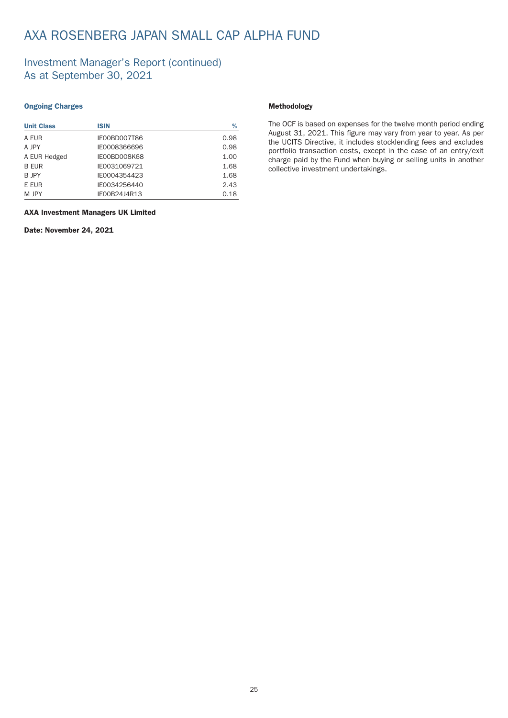## AXA ROSENBERG JAPAN SMALL CAP ALPHA FUND

### Investment Manager's Report (continued) As at September 30, 2021

### Ongoing Charges

| <b>Unit Class</b> | <b>ISIN</b>         | %    |
|-------------------|---------------------|------|
| A EUR             | <b>IE00BD007T86</b> | 0.98 |
| A JPY             | IE0008366696        | 0.98 |
| A EUR Hedged      | IE00BD008K68        | 1.00 |
| <b>B EUR</b>      | IE0031069721        | 1.68 |
| <b>B</b> JPY      | IE0004354423        | 1.68 |
| E EUR             | IE0034256440        | 2.43 |
| M JPY             | IE00B24J4R13        | 0.18 |

### AXA Investment Managers UK Limited

Date: November 24, 2021

### Methodology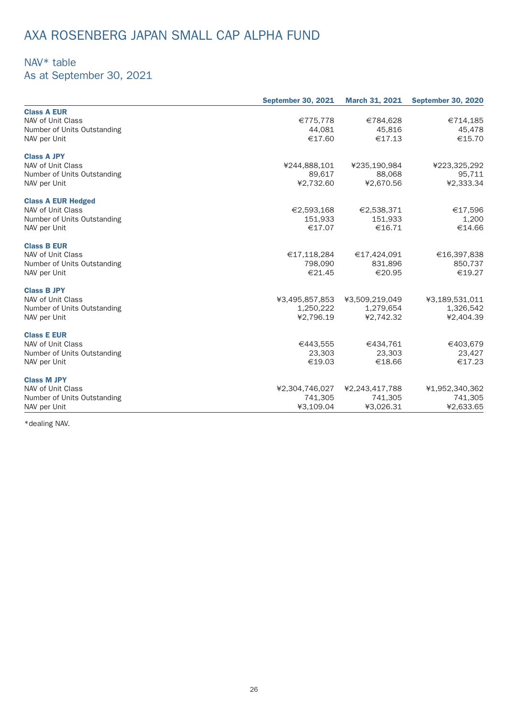## AXA ROSENBERG JAPAN SMALL CAP ALPHA FUND

## NAV\* table

As at September 30, 2021

|                             | <b>September 30, 2021</b> | <b>March 31, 2021</b> | <b>September 30, 2020</b> |
|-----------------------------|---------------------------|-----------------------|---------------------------|
| <b>Class A EUR</b>          |                           |                       |                           |
| NAV of Unit Class           | €775,778                  | €784,628              | €714,185                  |
| Number of Units Outstanding | 44,081                    | 45,816                | 45,478                    |
| NAV per Unit                | €17.60                    | €17.13                | €15.70                    |
| <b>Class A JPY</b>          |                           |                       |                           |
| NAV of Unit Class           | ¥244,888,101              | ¥235,190,984          | ¥223,325,292              |
| Number of Units Outstanding | 89,617                    | 88,068                | 95,711                    |
| NAV per Unit                | ¥2,732.60                 | ¥2,670.56             | ¥2,333.34                 |
| <b>Class A EUR Hedged</b>   |                           |                       |                           |
| NAV of Unit Class           | €2,593,168                | €2,538,371            | €17,596                   |
| Number of Units Outstanding | 151,933                   | 151,933               | 1,200                     |
| NAV per Unit                | €17.07                    | €16.71                | €14.66                    |
| <b>Class B EUR</b>          |                           |                       |                           |
| NAV of Unit Class           | €17,118,284               | €17,424,091           | €16,397,838               |
| Number of Units Outstanding | 798,090                   | 831,896               | 850,737                   |
| NAV per Unit                | €21.45                    | €20.95                | €19.27                    |
| <b>Class B JPY</b>          |                           |                       |                           |
| NAV of Unit Class           | ¥3,495,857,853            | ¥3,509,219,049        | ¥3,189,531,011            |
| Number of Units Outstanding | 1,250,222                 | 1,279,654             | 1,326,542                 |
| NAV per Unit                | ¥2,796.19                 | ¥2,742.32             | ¥2,404.39                 |
| <b>Class E EUR</b>          |                           |                       |                           |
| NAV of Unit Class           | €443,555                  | €434,761              | €403,679                  |
| Number of Units Outstanding | 23,303                    | 23,303                | 23,427                    |
| NAV per Unit                | €19.03                    | €18.66                | €17.23                    |
| <b>Class M JPY</b>          |                           |                       |                           |
| NAV of Unit Class           | ¥2,304,746,027            | ¥2,243,417,788        | ¥1,952,340,362            |
| Number of Units Outstanding | 741,305                   | 741,305               | 741,305                   |
| NAV per Unit                | ¥3,109.04                 | ¥3,026.31             | ¥2,633.65                 |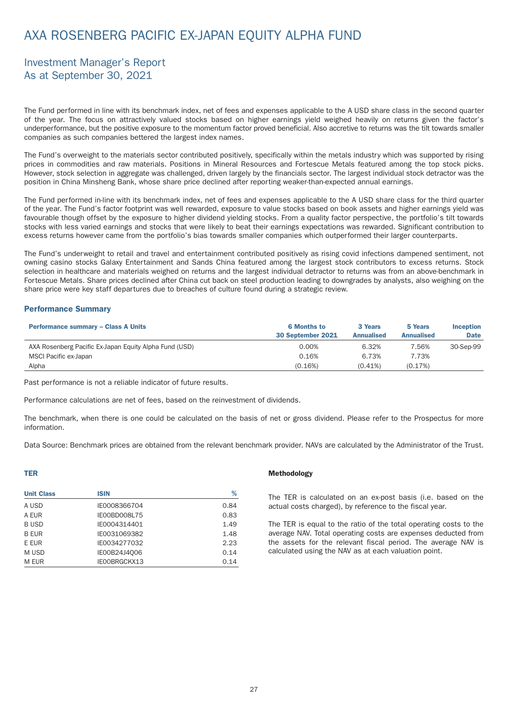## <span id="page-28-0"></span>AXA ROSENBERG PACIFIC EX-JAPAN EQUITY ALPHA FUND

### Investment Manager's Report As at September 30, 2021

The Fund performed in line with its benchmark index, net of fees and expenses applicable to the A USD share class in the second quarter of the year. The focus on attractively valued stocks based on higher earnings yield weighed heavily on returns given the factor's underper formance, but the positive exposure to the momentum factor proved beneficial. Also accretive to returns was the tilt towards smaller companies as such companies bettered the largest index names.

The Fund's overweight to the materials sector contributed positively, specifically within the metals industry which was supported by rising prices in commodities and raw materials. Positions in Mineral Resources and Fortescue Metals featured among the top stock picks. However, stock selection in aggregate was challenged, driven largely by the financials sector. The largest individual stock detractor was the position in China Minsheng Bank, whose share price declined after reporting weaker-than-expected annual earnings.

The Fund performed in-line with its benchmark index, net of fees and expenses applicable to the A USD share class for the third quarter of the year. The Fund's factor footprint was well rewarded, exposure to value stocks based on book assets and higher earnings yield was favourable though offset by the exposure to higher dividend yielding stocks. From a quality factor perspective, the portfolio's tilt towards stocks with less varied earnings and stocks that were likely to beat their earnings expectations was rewarded. Significant contribution to excess returns however came from the portfolio's bias towards smaller companies which outperformed their larger counterparts.

The Fund's underweight to retail and travel and entertainment contributed positively as rising covid infections dampened sentiment, not owning casino stocks Galaxy Entertainment and Sands China featured among the largest stock contributors to excess returns. Stock selection in healthcare and materials weighed on returns and the largest individual detractor to returns was from an above-benchmark in Fortescue Metals. Share prices declined after China cut back on steel production leading to downgrades by analysts, also weighing on the share price were key staff departures due to breaches of culture found during a strategic review.

### Performance Summary

| <b>Performance summary - Class A Units</b>             | <b>6 Months to</b><br>30 September 2021 | 3 Years<br><b>Annualised</b> | 5 Years<br><b>Annualised</b> | <b>Inception</b><br><b>Date</b> |
|--------------------------------------------------------|-----------------------------------------|------------------------------|------------------------------|---------------------------------|
| AXA Rosenberg Pacific Ex-Japan Equity Alpha Fund (USD) | 0.00%                                   | 6.32%                        | 7.56%                        | 30-Sep-99                       |
| MSCI Pacific ex-Japan                                  | 0.16%                                   | 6.73%                        | 7.73%                        |                                 |
| Alpha                                                  | (0.16%)                                 | $(0.41\%)$                   | (0.17%)                      |                                 |

Past performance is not a reliable indicator of future results.

Per formance calculations are net of fees, based on the reinvestment of dividends.

The benchmark, when there is one could be calculated on the basis of net or gross dividend. Please refer to the Prospectus for more information.

Data Source: Benchmark prices are obtained from the relevant benchmark provider. NAVs are calculated by the Administrator of the Trust.

### TER

| <b>Unit Class</b> | <b>ISIN</b>  | %    |
|-------------------|--------------|------|
| A USD             | IE0008366704 | 0.84 |
| A EUR             | IE00BD008L75 | 0.83 |
| <b>BUSD</b>       | IE0004314401 | 1.49 |
| <b>B FUR</b>      | IE0031069382 | 1.48 |
| E EUR             | IE0034277032 | 2.23 |
| M USD             | IE00B24J4Q06 | 0.14 |
| M EUR             | IE00BRGCKX13 | 0.14 |

#### Methodology

The TER is calculated on an ex-post basis (i.e. based on the actual costs charged), by reference to the fiscal year.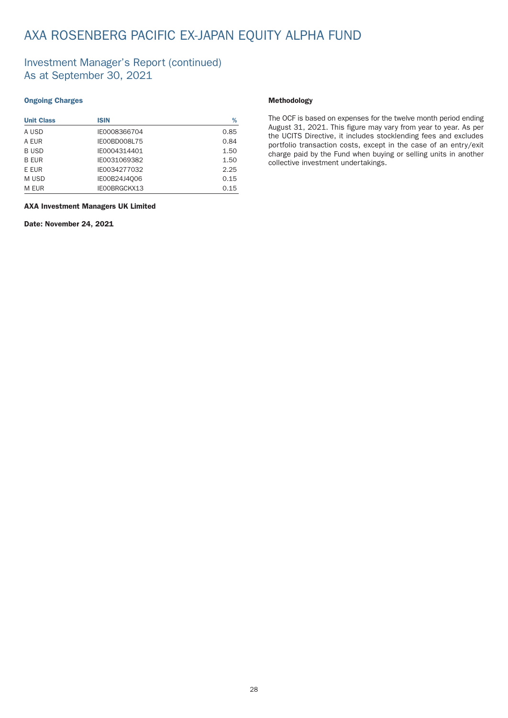## AXA ROSENBERG PACIFIC EX-JAPAN EQUITY ALPHA FUND

### Investment Manager's Report (continued) As at September 30, 2021

### Ongoing Charges

| <b>Unit Class</b> | <b>ISIN</b>  | %    |
|-------------------|--------------|------|
| A USD             | IE0008366704 | 0.85 |
| A EUR             | IE00BD008L75 | 0.84 |
| <b>BUSD</b>       | IE0004314401 | 1.50 |
| <b>B EUR</b>      | IE0031069382 | 1.50 |
| E EUR             | IE0034277032 | 2.25 |
| M USD             | IE00B24J4Q06 | 0.15 |
| M EUR             | IE00BRGCKX13 | 0.15 |

### AXA Investment Managers UK Limited

Date: November 24, 2021

### Methodology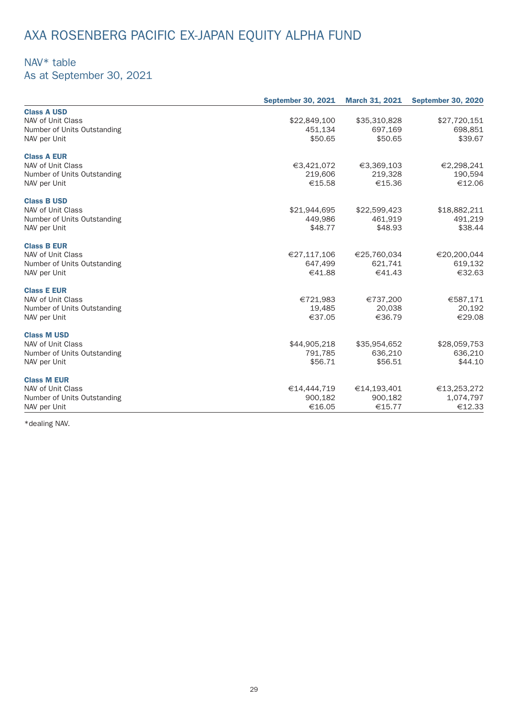# AXA ROSENBERG PACIFIC EX-JAPAN EQUITY ALPHA FUND

## NAV\* table

As at September 30, 2021

|                             | <b>September 30, 2021</b> | <b>March 31, 2021</b> | <b>September 30, 2020</b> |
|-----------------------------|---------------------------|-----------------------|---------------------------|
| <b>Class A USD</b>          |                           |                       |                           |
| NAV of Unit Class           | \$22,849,100              | \$35,310,828          | \$27,720,151              |
| Number of Units Outstanding | 451,134                   | 697,169               | 698,851                   |
| NAV per Unit                | \$50.65                   | \$50.65               | \$39.67                   |
| <b>Class A EUR</b>          |                           |                       |                           |
| NAV of Unit Class           | €3,421,072                | €3,369,103            | €2,298,241                |
| Number of Units Outstanding | 219,606                   | 219,328               | 190,594                   |
| NAV per Unit                | €15.58                    | €15.36                | €12.06                    |
| <b>Class B USD</b>          |                           |                       |                           |
| NAV of Unit Class           | \$21,944,695              | \$22,599,423          | \$18,882,211              |
| Number of Units Outstanding | 449,986                   | 461,919               | 491,219                   |
| NAV per Unit                | \$48.77                   | \$48.93               | \$38.44                   |
| <b>Class B EUR</b>          |                           |                       |                           |
| NAV of Unit Class           | €27,117,106               | €25,760,034           | €20,200,044               |
| Number of Units Outstanding | 647,499                   | 621,741               | 619,132                   |
| NAV per Unit                | €41.88                    | €41.43                | €32.63                    |
| <b>Class E EUR</b>          |                           |                       |                           |
| NAV of Unit Class           | €721,983                  | €737,200              | €587,171                  |
| Number of Units Outstanding | 19,485                    | 20.038                | 20,192                    |
| NAV per Unit                | €37.05                    | €36.79                | €29.08                    |
| <b>Class M USD</b>          |                           |                       |                           |
| NAV of Unit Class           | \$44,905,218              | \$35,954,652          | \$28,059,753              |
| Number of Units Outstanding | 791,785                   | 636,210               | 636,210                   |
| NAV per Unit                | \$56.71                   | \$56.51               | \$44.10                   |
| <b>Class M EUR</b>          |                           |                       |                           |
| NAV of Unit Class           | €14,444,719               | €14,193,401           | €13,253,272               |
| Number of Units Outstanding | 900,182                   | 900,182               | 1,074,797                 |
| NAV per Unit                | €16.05                    | €15.77                | €12.33                    |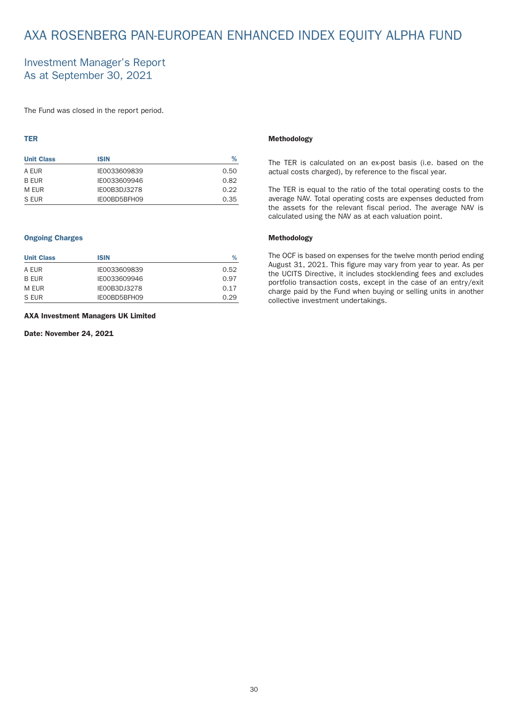## <span id="page-31-0"></span>AXA ROSENBERG PAN-EUROPEAN ENHANCED INDEX EQUITY ALPHA FUND

### Investment Manager's Report As at September 30, 2021

The Fund was closed in the report period.

### TER

| <b>Unit Class</b> | <b>ISIN</b>  | %    |
|-------------------|--------------|------|
| A EUR             | IE0033609839 | 0.50 |
| B EUR             | IE0033609946 | 0.82 |
| M FUR             | IE00B3DJ3278 | 0.22 |
| S EUR             | IE00BD5BFH09 | 0.35 |

### Ongoing Charges

| <b>Unit Class</b> | <b>ISIN</b>         | ℅    |
|-------------------|---------------------|------|
| A FUR             | IE0033609839        | 0.52 |
| <b>B FUR</b>      | IE0033609946        | 0.97 |
| M EUR             | <b>IE00B3DJ3278</b> | 0.17 |
| S EUR             | IE00BD5BFH09        | 0.29 |

#### AXA Investment Managers UK Limited

### Date: November 24, 2021

#### Methodology

The TER is calculated on an ex-post basis (i.e. based on the actual costs charged), by reference to the fiscal year.

The TER is equal to the ratio of the total operating costs to the average NAV. Total operating costs are expenses deducted from the assets for the relevant fiscal period. The average NAV is calculated using the NAV as at each valuation point.

### Methodology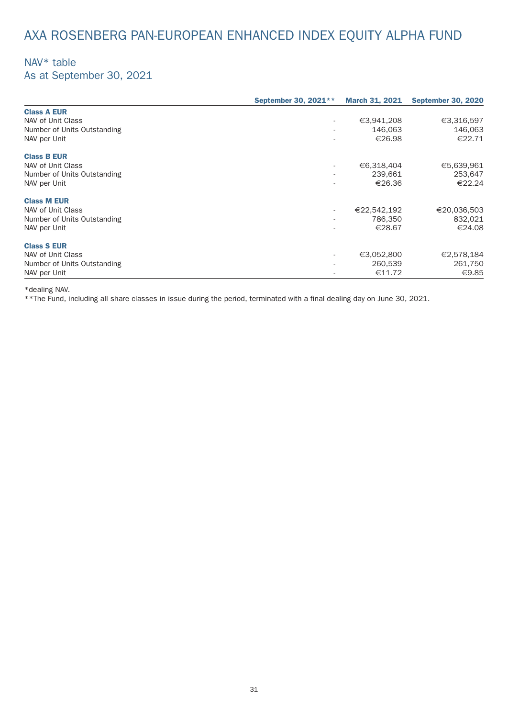## AXA ROSENBERG PAN-EUROPEAN ENHANCED INDEX EQUITY ALPHA FUND

### NAV\* table As at September 30, 2021

| September 30, 2021**     |             | <b>September 30, 2020</b> |
|--------------------------|-------------|---------------------------|
|                          |             |                           |
| $\sim$                   | €3,941,208  | €3,316,597                |
| $\sim$                   | 146,063     | 146,063                   |
| $\overline{\phantom{a}}$ | €26.98      | €22.71                    |
|                          |             |                           |
| $\sim$                   | €6,318,404  | €5,639,961                |
| $\sim$                   | 239,661     | 253,647                   |
|                          | €26.36      | €22.24                    |
|                          |             |                           |
| $\sim$                   | €22,542,192 | €20,036,503               |
|                          | 786,350     | 832,021                   |
| $\sim$                   | €28.67      | €24.08                    |
|                          |             |                           |
| $\sim$                   | €3,052,800  | €2,578,184                |
|                          | 260,539     | 261,750                   |
|                          | €11.72      | €9.85                     |
|                          |             | <b>March 31, 2021</b>     |

\*dealing NAV.

\*\*The Fund, including all share classes in issue during the period, terminated with a final dealing day on June 30, 2021.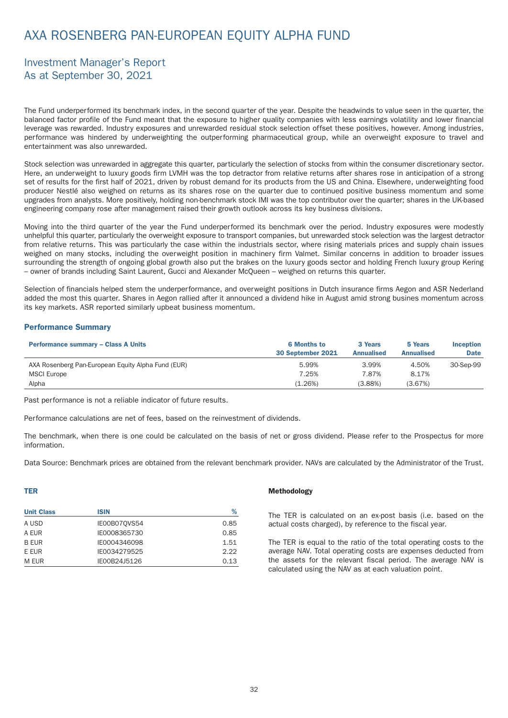## <span id="page-33-0"></span>AXA ROSENBERG PAN-EUROPEAN EQUITY ALPHA FUND

### Investment Manager's Report As at September 30, 2021

The Fund underper formed its benchmark index, in the second quarter of the year. Despite the headwinds to value seen in the quarter, the balanced factor profile of the Fund meant that the exposure to higher quality companies with less earnings volatility and lower financial leverage was rewarded. Industry exposures and unrewarded residual stock selection offset these positives, however. Among industries, per formance was hindered by underweighting the outper forming pharmaceutical group, while an overweight exposure to travel and enter tainment was also unrewarded.

Stock selection was unrewarded in aggregate this quarter, particularly the selection of stocks from within the consumer discretionary sector. Here, an underweight to luxury goods firm LVMH was the top detractor from relative returns after shares rose in anticipation of a strong set of results for the first half of 2021, driven by robust demand for its products from the US and China. Elsewhere, underweighting food producer Nestlé also weighed on returns as its shares rose on the quarter due to continued positive business momentum and some upgrades from analysts. More positively, holding non-benchmark stock IMI was the top contributor over the quarter; shares in the UK-based engineering company rose after management raised their growth outlook across its key business divisions.

Moving into the third quarter of the year the Fund underperformed its benchmark over the period. Industry exposures were modestly unhelpful this quarter, particularly the overweight exposure to transport companies, but unrewarded stock selection was the largest detractor from relative returns. This was particularly the case within the industrials sector, where rising materials prices and supply chain issues weighed on many stocks, including the overweight position in machinery firm Valmet. Similar concerns in addition to broader issues surrounding the strength of ongoing global growth also put the brakes on the luxury goods sector and holding French luxury group Kering – owner of brands including Saint Laurent, Gucci and Alexander McQueen – weighed on returns this quar ter.

Selection of financials helped stem the underperformance, and overweight positions in Dutch insurance firms Aegon and ASR Nederland added the most this quarter. Shares in Aegon rallied after it announced a dividend hike in August amid strong busines momentum across its key markets. ASR reported similarly upbeat business momentum.

### Performance Summary

| <b>Performance summary - Class A Units</b>         | <b>6 Months to</b><br>30 September 2021 | 3 Years<br><b>Annualised</b> | 5 Years<br><b>Annualised</b> | <b>Inception</b><br><b>Date</b> |
|----------------------------------------------------|-----------------------------------------|------------------------------|------------------------------|---------------------------------|
| AXA Rosenberg Pan-European Equity Alpha Fund (EUR) | 5.99%                                   | 3.99%                        | 4.50%                        | 30-Sep-99                       |
| <b>MSCI Europe</b>                                 | 7.25%                                   | 7.87%                        | 8.17%                        |                                 |
| Alpha                                              | $(1.26\%)$                              | (3.88%)                      | (3.67%)                      |                                 |

Past performance is not a reliable indicator of future results.

Per formance calculations are net of fees, based on the reinvestment of dividends.

The benchmark, when there is one could be calculated on the basis of net or gross dividend. Please refer to the Prospectus for more information.

Data Source: Benchmark prices are obtained from the relevant benchmark provider. NAVs are calculated by the Administrator of the Trust.

### TER

| <b>Unit Class</b> | <b>ISIN</b>  | %    |
|-------------------|--------------|------|
| A USD             | IE00B070VS54 | 0.85 |
| A FUR             | IE0008365730 | 0.85 |
| <b>B EUR</b>      | IE0004346098 | 1.51 |
| E EUR             | IE0034279525 | 2.22 |
| M EUR             | IE00B24J5126 | 0.13 |

#### Methodology

The TER is calculated on an ex-post basis (i.e. based on the actual costs charged), by reference to the fiscal year.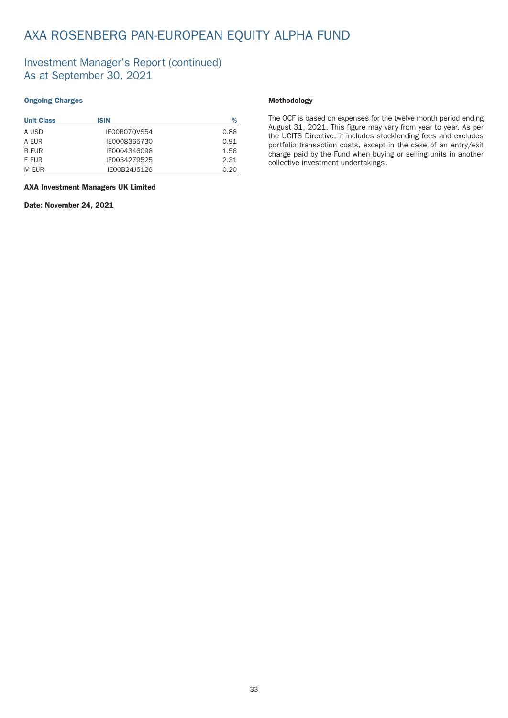## AXA ROSENBERG PAN-EUROPEAN EQUITY ALPHA FUND

### Investment Manager's Report (continued) As at September 30, 2021

### Ongoing Charges

| <b>Unit Class</b> | ISIN         | %    |
|-------------------|--------------|------|
| A USD             | IE00B070VS54 | 0.88 |
| A EUR             | IE0008365730 | 0.91 |
| <b>B FUR</b>      | IF0004346098 | 1.56 |
| E EUR             | IE0034279525 | 2.31 |
| M EUR             | IE00B24J5126 | 0.20 |

AXA Investment Managers UK Limited

#### Date: November 24, 2021

### Methodology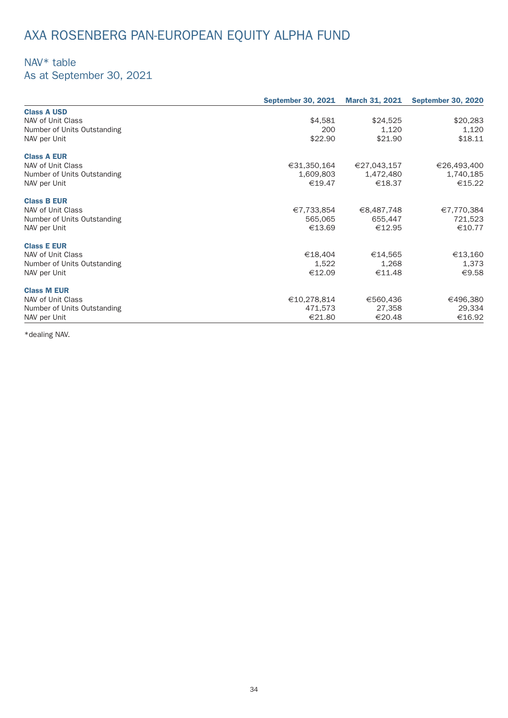# AXA ROSENBERG PAN-EUROPEAN EQUITY ALPHA FUND

## NAV\* table

As at September 30, 2021

|                             | <b>September 30, 2021</b> | <b>March 31, 2021</b> | <b>September 30, 2020</b> |
|-----------------------------|---------------------------|-----------------------|---------------------------|
| <b>Class A USD</b>          |                           |                       |                           |
| NAV of Unit Class           | \$4,581                   | \$24,525              | \$20,283                  |
| Number of Units Outstanding | 200                       | 1.120                 | 1,120                     |
| NAV per Unit                | \$22.90                   | \$21.90               | \$18.11                   |
| <b>Class A EUR</b>          |                           |                       |                           |
| NAV of Unit Class           | €31,350,164               | €27,043,157           | €26,493,400               |
| Number of Units Outstanding | 1,609,803                 | 1,472,480             | 1,740,185                 |
| NAV per Unit                | €19.47                    | €18.37                | €15.22                    |
| <b>Class B EUR</b>          |                           |                       |                           |
| NAV of Unit Class           | €7,733,854                | €8,487,748            | €7,770,384                |
| Number of Units Outstanding | 565,065                   | 655,447               | 721,523                   |
| NAV per Unit                | €13.69                    | €12.95                | €10.77                    |
| <b>Class E EUR</b>          |                           |                       |                           |
| NAV of Unit Class           | €18,404                   | €14,565               | €13,160                   |
| Number of Units Outstanding | 1,522                     | 1,268                 | 1,373                     |
| NAV per Unit                | €12.09                    | €11.48                | €9.58                     |
| <b>Class M EUR</b>          |                           |                       |                           |
| NAV of Unit Class           | €10,278,814               | €560,436              | €496,380                  |
| Number of Units Outstanding | 471,573                   | 27,358                | 29,334                    |
| NAV per Unit                | €21.80                    | €20.48                | €16.92                    |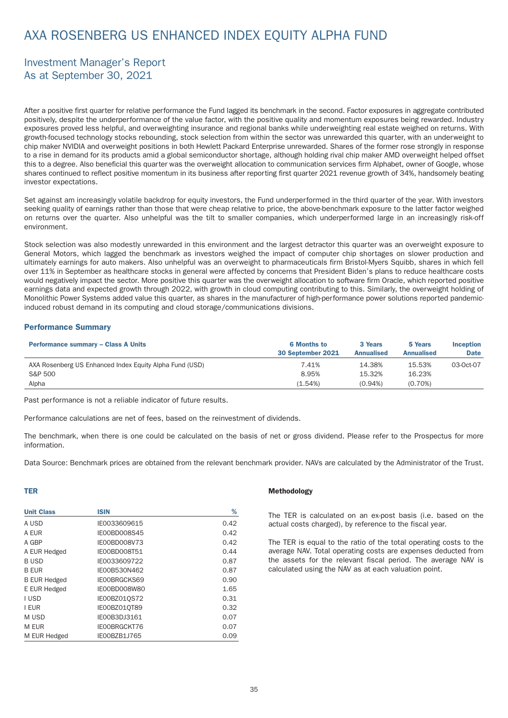## Investment Manager's Report As at September 30, 2021

After a positive first quarter for relative per formance the Fund lagged its benchmark in the second. Factor exposures in aggregate contributed positively, despite the underper formance of the value factor, with the positive quality and momentum exposures being rewarded. Industry exposures proved less helpful, and overweighting insurance and regional banks while underweighting real estate weighed on returns. With growth-focused technology stocks rebounding, stock selection from within the sector was unrewarded this quar ter, with an underweight to chip maker NVIDIA and overweight positions in both Hewlett Packard Enterprise unrewarded. Shares of the former rose strongly in response to a rise in demand for its products amid a global semiconductor shortage, although holding rival chip maker AMD overweight helped offset this to a degree. Also beneficial this quarter was the overweight allocation to communication services firm Alphabet, owner of Google, whose shares continued to reflect positive momentum in its business after reporting first quarter 2021 revenue growth of 34%, handsomely beating investor expectations.

Set against am increasingly volatile backdrop for equity investors, the Fund underperformed in the third quarter of the year. With investors seeking quality of earnings rather than those that were cheap relative to price, the above-benchmark exposure to the latter factor weighed on returns over the quarter. Also unhelpful was the tilt to smaller companies, which underperformed large in an increasingly risk-off environment.

Stock selection was also modestly unrewarded in this environment and the largest detractor this quarter was an overweight exposure to General Motors, which lagged the benchmark as investors weighed the impact of computer chip shortages on slower production and ultimately earnings for auto makers. Also unhelpful was an overweight to pharmaceuticals firm Bristol-Myers Squibb, shares in which fell over 11% in September as healthcare stocks in general were affected by concerns that President Biden's plans to reduce healthcare costs would negatively impact the sector. More positive this quarter was the overweight allocation to software firm Oracle, which reported positive earnings data and expected growth through 2022, with growth in cloud computing contributing to this. Similarly, the overweight holding of Monolithic Power Systems added value this quarter, as shares in the manufacturer of high-performance power solutions reported pandemicinduced robust demand in its computing and cloud storage/communications divisions.

#### Performance Summary

| <b>Performance summary - Class A Units</b>              | <b>6 Months to</b><br>30 September 2021 | 3 Years<br><b>Annualised</b> | 5 Years<br><b>Annualised</b> | <b>Inception</b><br><b>Date</b> |
|---------------------------------------------------------|-----------------------------------------|------------------------------|------------------------------|---------------------------------|
| AXA Rosenberg US Enhanced Index Equity Alpha Fund (USD) | 7.41%                                   | 14.38%                       | 15.53%                       | 03-0ct-07                       |
| S&P 500                                                 | 8.95%                                   | 15.32%                       | 16.23%                       |                                 |
| Alpha                                                   | (1.54%)                                 | $(0.94\%)$                   | $(0.70\%)$                   |                                 |

Past performance is not a reliable indicator of future results.

Per formance calculations are net of fees, based on the reinvestment of dividends.

The benchmark, when there is one could be calculated on the basis of net or gross dividend. Please refer to the Prospectus for more information.

Data Source: Benchmark prices are obtained from the relevant benchmark provider. NAVs are calculated by the Administrator of the Trust.

#### TER

| <b>Unit Class</b>   | <b>ISIN</b>         | %    |
|---------------------|---------------------|------|
| A USD               | IE0033609615        | 0.42 |
| A EUR               | <b>IE00BD008S45</b> | 0.42 |
| A GBP               | IFOOBDOO8V73        | 0.42 |
| A EUR Hedged        | IE00BD008T51        | 0.44 |
| <b>BUSD</b>         | IE0033609722        | 0.87 |
| <b>B EUR</b>        | IE00B530N462        | 0.87 |
| <b>B EUR Hedged</b> | IE00BRGCKS69        | 0.90 |
| E EUR Hedged        | IE00BD008W80        | 1.65 |
| I USD               | IE00BZ01QS72        | 0.31 |
| <b>I EUR</b>        | IE00BZ010T89        | 0.32 |
| M USD               | IE00B3DJ3161        | 0.07 |
| M EUR               | IE00BRGCKT76        | 0.07 |
| M EUR Hedged        | IE00BZB1J765        | 0.09 |

#### Methodology

The TER is calculated on an ex-post basis (i.e. based on the actual costs charged), by reference to the fiscal year.

The TER is equal to the ratio of the total operating costs to the average NAV. Total operating costs are expenses deducted from the assets for the relevant fiscal period. The average NAV is calculated using the NAV as at each valuation point.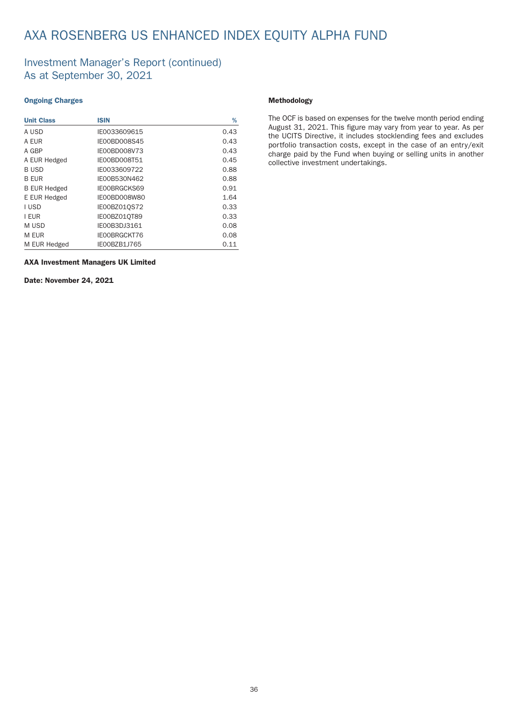### Investment Manager's Report (continued) As at September 30, 2021

#### Ongoing Charges

| <b>Unit Class</b>   | <b>ISIN</b>  | %    |
|---------------------|--------------|------|
| A USD               | IE0033609615 | 0.43 |
| A EUR               | IE00BD008S45 | 0.43 |
| A GBP               | IE00BD008V73 | 0.43 |
| A EUR Hedged        | IE00BD008T51 | 0.45 |
| <b>BUSD</b>         | IE0033609722 | 0.88 |
| <b>B EUR</b>        | IE00B530N462 | 0.88 |
| <b>B EUR Hedged</b> | IE00BRGCKS69 | 0.91 |
| E EUR Hedged        | IE00BD008W80 | 1.64 |
| I USD               | IE00BZ01QS72 | 0.33 |
| I EUR               | IE00BZ010T89 | 0.33 |
| M USD               | IE00B3DJ3161 | 0.08 |
| M EUR               | IE00BRGCKT76 | 0.08 |
| M EUR Hedged        | IE00BZB1J765 | 0.11 |

AXA Investment Managers UK Limited

Date: November 24, 2021

#### Methodology

The OCF is based on expenses for the twelve month period ending August 31, 2021. This figure may vary from year to year. As per the UCITS Directive, it includes stocklending fees and excludes portfolio transaction costs, except in the case of an entry/exit charge paid by the Fund when buying or selling units in another collective investment under takings.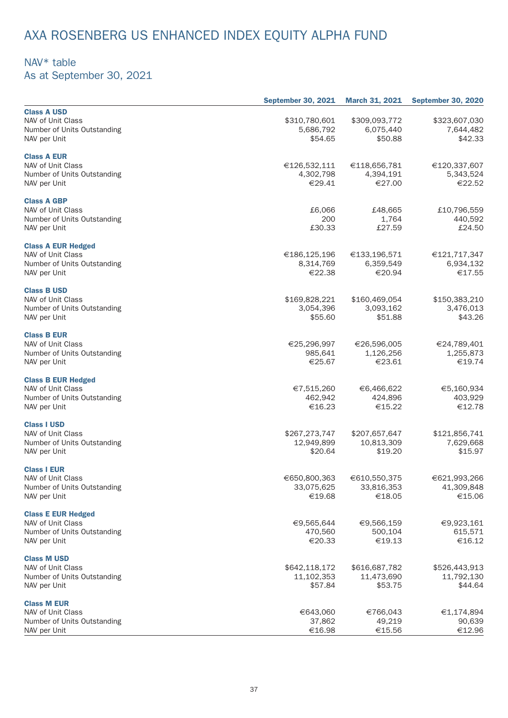## NAV\* table

As at September 30, 2021

|                             | <b>September 30, 2021</b> | <b>March 31, 2021</b> | <b>September 30, 2020</b> |
|-----------------------------|---------------------------|-----------------------|---------------------------|
| <b>Class A USD</b>          |                           |                       |                           |
| NAV of Unit Class           | \$310,780,601             | \$309,093,772         | \$323,607,030             |
| Number of Units Outstanding | 5,686,792                 | 6,075,440             | 7,644,482                 |
| NAV per Unit                | \$54.65                   | \$50.88               | \$42.33                   |
|                             |                           |                       |                           |
| <b>Class A EUR</b>          |                           |                       |                           |
| NAV of Unit Class           | €126,532,111              | €118,656,781          | €120,337,607              |
| Number of Units Outstanding | 4,302,798                 | 4,394,191             | 5,343,524                 |
| NAV per Unit                | €29.41                    | €27.00                | €22.52                    |
|                             |                           |                       |                           |
| <b>Class A GBP</b>          |                           |                       |                           |
| NAV of Unit Class           | £6,066                    | £48,665               | £10,796,559               |
| Number of Units Outstanding | 200                       | 1,764                 | 440,592                   |
| NAV per Unit                | £30.33                    | £27.59                | £24.50                    |
|                             |                           |                       |                           |
| <b>Class A EUR Hedged</b>   |                           |                       |                           |
| NAV of Unit Class           | €186,125,196              | €133,196,571          | €121,717,347              |
| Number of Units Outstanding | 8,314,769                 | 6,359,549             | 6,934,132                 |
| NAV per Unit                | €22.38                    | €20.94                | €17.55                    |
|                             |                           |                       |                           |
| <b>Class B USD</b>          |                           |                       |                           |
| NAV of Unit Class           | \$169,828,221             | \$160,469,054         | \$150,383,210             |
| Number of Units Outstanding | 3,054,396                 | 3,093,162             | 3,476,013                 |
|                             | \$55.60                   | \$51.88               | \$43.26                   |
| NAV per Unit                |                           |                       |                           |
| <b>Class B EUR</b>          |                           |                       |                           |
| NAV of Unit Class           | €25,296,997               | €26,596,005           | €24,789,401               |
| Number of Units Outstanding | 985,641                   | 1,126,256             | 1,255,873                 |
| NAV per Unit                | €25.67                    | €23.61                | €19.74                    |
|                             |                           |                       |                           |
| <b>Class B EUR Hedged</b>   |                           |                       |                           |
| NAV of Unit Class           | €7,515,260                | €6,466,622            | €5,160,934                |
| Number of Units Outstanding | 462,942                   | 424,896               | 403,929                   |
| NAV per Unit                | €16.23                    | €15.22                | €12.78                    |
|                             |                           |                       |                           |
| <b>Class I USD</b>          |                           |                       |                           |
| NAV of Unit Class           | \$267,273,747             | \$207,657,647         | \$121,856,741             |
| Number of Units Outstanding | 12,949,899                | 10,813,309            | 7,629,668                 |
| NAV per Unit                | \$20.64                   | \$19.20               | \$15.97                   |
|                             |                           |                       |                           |
| <b>Class I EUR</b>          |                           |                       |                           |
| NAV of Unit Class           | €650,800,363              | €610,550,375          | €621,993,266              |
| Number of Units Outstanding | 33,075,625                | 33,816,353            | 41,309,848                |
| NAV per Unit                | €19.68                    | €18.05                | €15.06                    |
|                             |                           |                       |                           |
| <b>Class E EUR Hedged</b>   |                           |                       |                           |
| NAV of Unit Class           | €9,565,644                | €9,566,159            | €9,923,161                |
| Number of Units Outstanding | 470,560                   | 500,104               | 615,571                   |
| NAV per Unit                | €20.33                    | €19.13                | €16.12                    |
|                             |                           |                       |                           |
| <b>Class M USD</b>          |                           |                       |                           |
| NAV of Unit Class           | \$642,118,172             | \$616,687,782         | \$526,443,913             |
| Number of Units Outstanding | 11,102,353                | 11,473,690            | 11,792,130                |
| NAV per Unit                | \$57.84                   | \$53.75               | \$44.64                   |
|                             |                           |                       |                           |
| <b>Class M EUR</b>          |                           |                       |                           |
| NAV of Unit Class           | €643,060                  | €766,043              | €1,174,894                |
| Number of Units Outstanding | 37,862                    | 49,219                | 90,639                    |
| NAV per Unit                | €16.98                    | €15.56                | €12.96                    |
|                             |                           |                       |                           |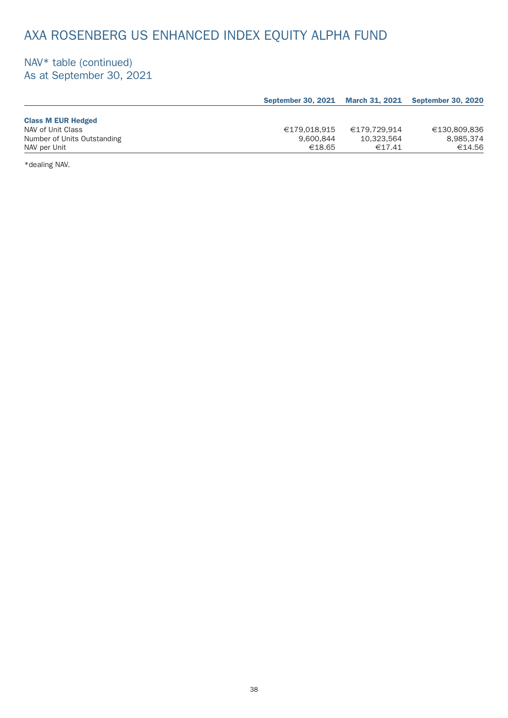## NAV\* table (continued) As at September 30, 2021

|                             |              |              | September 30, 2021 March 31, 2021 September 30, 2020 |
|-----------------------------|--------------|--------------|------------------------------------------------------|
|                             |              |              |                                                      |
| <b>Class M EUR Hedged</b>   |              |              |                                                      |
| NAV of Unit Class           | €179.018.915 | €179.729.914 | €130.809.836                                         |
| Number of Units Outstanding | 9.600.844    | 10.323.564   | 8.985.374                                            |
| NAV per Unit                | €18.65       | €17.41       | €14.56                                               |

\*dealing NAV.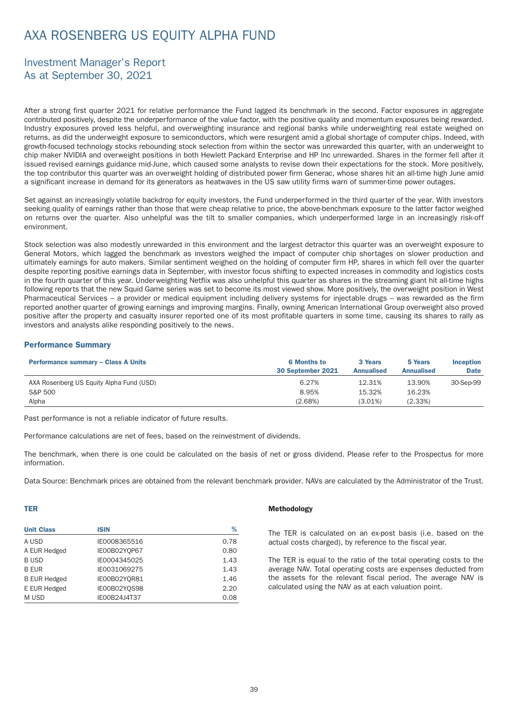# AXA ROSENBERG US EQUITY ALPHA FUND

## Investment Manager's Report As at September 30, 2021

After a strong first quarter 2021 for relative performance the Fund lagged its benchmark in the second. Factor exposures in aggregate contributed positively, despite the underper formance of the value factor, with the positive quality and momentum exposures being rewarded. Industry exposures proved less helpful, and overweighting insurance and regional banks while underweighting real estate weighed on returns, as did the underweight exposure to semiconductors, which were resurgent amid a global shor tage of computer chips. Indeed, with growth-focused technology stocks rebounding stock selection from within the sector was unrewarded this quar ter, with an underweight to chip maker NVIDIA and overweight positions in both Hewlett Packard Enterprise and HP Inc unrewarded. Shares in the former fell after it issued revised earnings guidance mid-June, which caused some analysts to revise down their expectations for the stock. More positively, the top contributor this quarter was an overweight holding of distributed power firm Generac, whose shares hit an all-time high June amid a significant increase in demand for its generators as heatwaves in the US saw utility firms warn of summer-time power outages.

Set against an increasingly volatile backdrop for equity investors, the Fund underper formed in the third quarter of the year. With investors seeking quality of earnings rather than those that were cheap relative to price, the above-benchmark exposure to the latter factor weighed on returns over the quarter. Also unhelpful was the tilt to smaller companies, which underperformed large in an increasingly risk-off environment.

Stock selection was also modestly unrewarded in this environment and the largest detractor this quarter was an overweight exposure to General Motors, which lagged the benchmark as investors weighed the impact of computer chip shortages on slower production and ultimately earnings for auto makers. Similar sentiment weighed on the holding of computer firm HP, shares in which fell over the quarter despite reporting positive earnings data in September, with investor focus shifting to expected increases in commodity and logistics costs in the fourth quarter of this year. Underweighting Netflix was also unhelpful this quarter as shares in the streaming giant hit all-time highs following reports that the new Squid Game series was set to become its most viewed show. More positively, the overweight position in West Pharmaceutical Services – a provider or medical equipment including delivery systems for injectable drugs – was rewarded as the firm reported another quarter of growing earnings and improving margins. Finally, owning American International Group overweight also proved positive after the property and casualty insurer reported one of its most profitable quarters in some time, causing its shares to rally as investors and analysts alike responding positively to the news.

#### Performance Summary

| <b>Performance summary - Class A Units</b> | <b>6 Months to</b><br>30 September 2021 | 3 Years<br><b>Annualised</b> | 5 Years<br><b>Annualised</b> | <b>Inception</b><br><b>Date</b> |
|--------------------------------------------|-----------------------------------------|------------------------------|------------------------------|---------------------------------|
| AXA Rosenberg US Equity Alpha Fund (USD)   | 6.27%                                   | 12.31%                       | 13.90%                       | 30-Sep-99                       |
| S&P 500                                    | 8.95%                                   | 15.32%                       | 16.23%                       |                                 |
| Alpha                                      | (2.68%)                                 | $(3.01\%)$                   | (2.33%)                      |                                 |

Past performance is not a reliable indicator of future results.

Per formance calculations are net of fees, based on the reinvestment of dividends.

The benchmark, when there is one could be calculated on the basis of net or gross dividend. Please refer to the Prospectus for more information.

Data Source: Benchmark prices are obtained from the relevant benchmark provider. NAVs are calculated by the Administrator of the Trust.

#### TER

| <b>Unit Class</b>   | <b>ISIN</b>  | %    |
|---------------------|--------------|------|
| A USD               | IE0008365516 | 0.78 |
| A EUR Hedged        | IE00B02YQP67 | 0.80 |
| <b>BUSD</b>         | IE0004345025 | 1.43 |
| <b>B EUR</b>        | IE0031069275 | 1.43 |
| <b>B EUR Hedged</b> | IE00B02YQR81 | 1.46 |
| E EUR Hedged        | IE00B02Y0S98 | 2.20 |
| M USD               | IE00B24J4T37 | 0.08 |

#### Methodology

The TER is calculated on an ex-post basis (i.e. based on the actual costs charged), by reference to the fiscal year.

The TER is equal to the ratio of the total operating costs to the average NAV. Total operating costs are expenses deducted from the assets for the relevant fiscal period. The average NAV is calculated using the NAV as at each valuation point.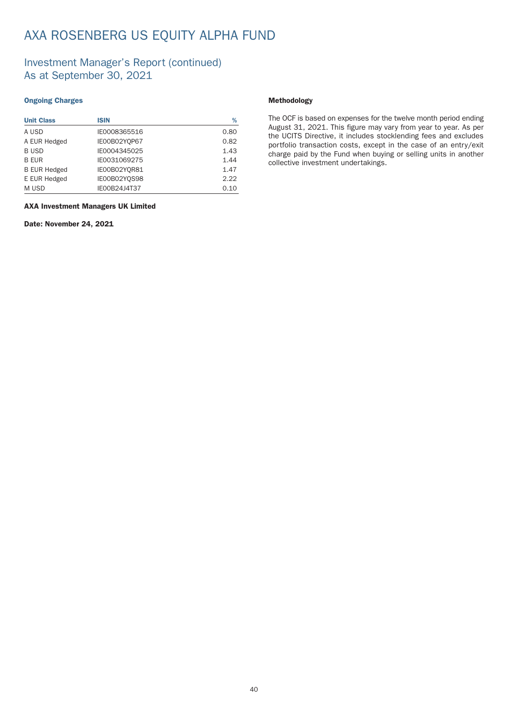# AXA ROSENBERG US EQUITY ALPHA FUND

## Investment Manager's Report (continued) As at September 30, 2021

#### Ongoing Charges

| <b>Unit Class</b>   | <b>ISIN</b>  | %    |
|---------------------|--------------|------|
| A USD               | IE0008365516 | 0.80 |
| A EUR Hedged        | IE00B02YQP67 | 0.82 |
| <b>BUSD</b>         | IE0004345025 | 1.43 |
| <b>B EUR</b>        | IE0031069275 | 1.44 |
| <b>B EUR Hedged</b> | IE00B02YQR81 | 1.47 |
| E EUR Hedged        | IE00B02YQS98 | 2.22 |
| M USD               | IE00B24J4T37 | 0.10 |

#### AXA Investment Managers UK Limited

Date: November 24, 2021

#### Methodology

The OCF is based on expenses for the twelve month period ending August 31, 2021. This figure may vary from year to year. As per the UCITS Directive, it includes stocklending fees and excludes portfolio transaction costs, except in the case of an entry/exit charge paid by the Fund when buying or selling units in another collective investment under takings.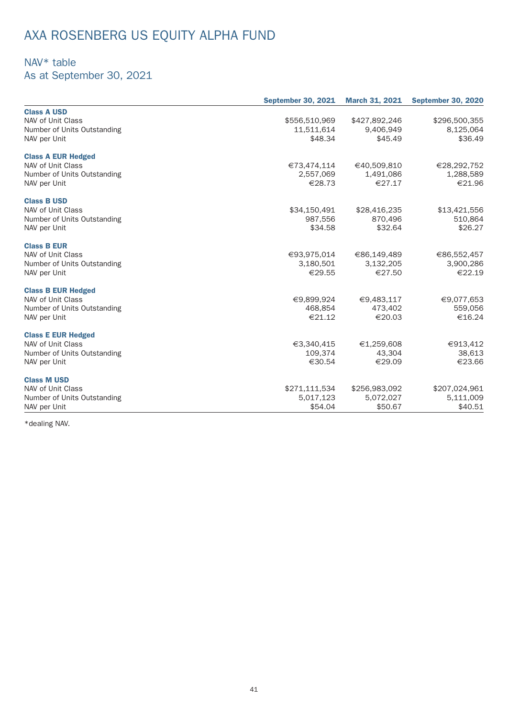# AXA ROSENBERG US EQUITY ALPHA FUND

## NAV\* table

As at September 30, 2021

|                             | <b>September 30, 2021</b> | <b>March 31, 2021</b> | <b>September 30, 2020</b> |
|-----------------------------|---------------------------|-----------------------|---------------------------|
| <b>Class A USD</b>          |                           |                       |                           |
| NAV of Unit Class           | \$556,510,969             | \$427,892,246         | \$296,500,355             |
| Number of Units Outstanding | 11,511,614                | 9,406,949             | 8,125,064                 |
| NAV per Unit                | \$48.34                   | \$45.49               | \$36.49                   |
| <b>Class A EUR Hedged</b>   |                           |                       |                           |
| NAV of Unit Class           | €73,474,114               | €40,509,810           | €28,292,752               |
| Number of Units Outstanding | 2,557,069                 | 1,491,086             | 1,288,589                 |
| NAV per Unit                | €28.73                    | €27.17                | €21.96                    |
| <b>Class B USD</b>          |                           |                       |                           |
| NAV of Unit Class           | \$34,150,491              | \$28,416,235          | \$13,421,556              |
| Number of Units Outstanding | 987,556                   | 870,496               | 510,864                   |
| NAV per Unit                | \$34.58                   | \$32.64               | \$26.27                   |
| <b>Class B EUR</b>          |                           |                       |                           |
| NAV of Unit Class           | €93,975,014               | €86,149,489           | €86,552,457               |
| Number of Units Outstanding | 3,180,501                 | 3,132,205             | 3,900,286                 |
| NAV per Unit                | €29.55                    | €27.50                | €22.19                    |
| <b>Class B EUR Hedged</b>   |                           |                       |                           |
| NAV of Unit Class           | €9,899,924                | €9,483,117            | €9,077,653                |
| Number of Units Outstanding | 468,854                   | 473,402               | 559,056                   |
| NAV per Unit                | €21.12                    | €20.03                | €16.24                    |
| <b>Class E EUR Hedged</b>   |                           |                       |                           |
| NAV of Unit Class           | €3,340,415                | €1,259,608            | €913,412                  |
| Number of Units Outstanding | 109,374                   | 43,304                | 38,613                    |
| NAV per Unit                | €30.54                    | €29.09                | €23.66                    |
| <b>Class M USD</b>          |                           |                       |                           |
| NAV of Unit Class           | \$271,111,534             | \$256,983,092         | \$207,024,961             |
| Number of Units Outstanding | 5,017,123                 | 5,072,027             | 5,111,009                 |
| NAV per Unit                | \$54.04                   | \$50.67               | \$40.51                   |

\*dealing NAV.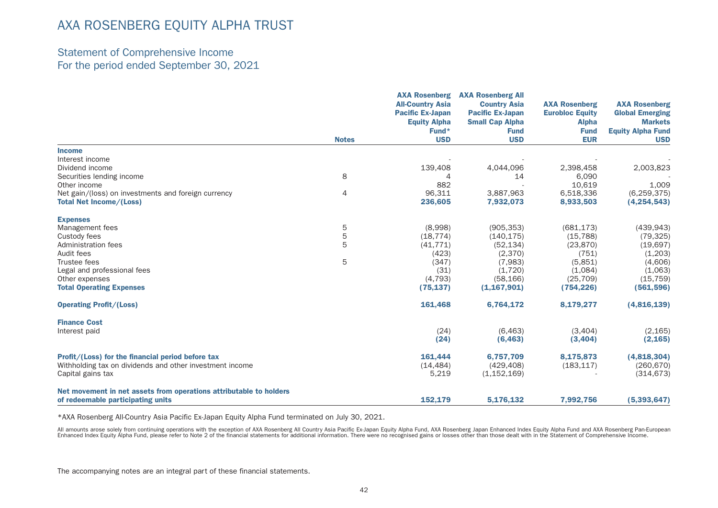### Statement of Comprehensive Income For the period ended September 30, 2021

|                                                                                                               |              | <b>AXA Rosenberg</b><br><b>All-Country Asia</b><br><b>Pacific Ex-Japan</b> | <b>AXA Rosenberg All</b><br><b>Country Asia</b><br><b>Pacific Ex-Japan</b> | <b>AXA Rosenberg</b><br><b>Eurobloc Equity</b> | <b>AXA Rosenberg</b><br><b>Global Emerging</b> |
|---------------------------------------------------------------------------------------------------------------|--------------|----------------------------------------------------------------------------|----------------------------------------------------------------------------|------------------------------------------------|------------------------------------------------|
|                                                                                                               |              | <b>Equity Alpha</b>                                                        | <b>Small Cap Alpha</b>                                                     | <b>Alpha</b>                                   | <b>Markets</b>                                 |
|                                                                                                               |              | Fund*                                                                      | <b>Fund</b>                                                                | <b>Fund</b>                                    | <b>Equity Alpha Fund</b>                       |
|                                                                                                               | <b>Notes</b> | <b>USD</b>                                                                 | <b>USD</b>                                                                 | <b>EUR</b>                                     | <b>USD</b>                                     |
| <b>Income</b>                                                                                                 |              |                                                                            |                                                                            |                                                |                                                |
| Interest income                                                                                               |              |                                                                            |                                                                            |                                                |                                                |
| Dividend income                                                                                               |              | 139,408                                                                    | 4,044,096                                                                  | 2,398,458                                      | 2,003,823                                      |
| Securities lending income                                                                                     | 8            | $\overline{A}$                                                             | 14                                                                         | 6,090                                          |                                                |
| Other income                                                                                                  |              | 882                                                                        |                                                                            | 10.619                                         | 1,009                                          |
| Net gain/(loss) on investments and foreign currency                                                           | 4            | 96,311                                                                     | 3,887,963                                                                  | 6,518,336                                      | (6, 259, 375)                                  |
| <b>Total Net Income/(Loss)</b>                                                                                |              | 236,605                                                                    | 7,932,073                                                                  | 8,933,503                                      | (4, 254, 543)                                  |
| <b>Expenses</b>                                                                                               |              |                                                                            |                                                                            |                                                |                                                |
| Management fees                                                                                               | 5            | (8,998)                                                                    | (905, 353)                                                                 | (681, 173)                                     | (439, 943)                                     |
| Custody fees                                                                                                  | 5            | (18, 774)                                                                  | (140, 175)                                                                 | (15, 788)                                      | (79, 325)                                      |
| Administration fees                                                                                           | 5            | (41, 771)                                                                  | (52, 134)                                                                  | (23, 870)                                      | (19,697)                                       |
| Audit fees                                                                                                    |              | (423)                                                                      | (2,370)                                                                    | (751)                                          | (1,203)                                        |
| Trustee fees                                                                                                  | 5            | (347)                                                                      | (7,983)                                                                    | (5,851)                                        | (4,606)                                        |
| Legal and professional fees                                                                                   |              | (31)                                                                       | (1,720)                                                                    | (1,084)                                        | (1,063)                                        |
| Other expenses                                                                                                |              | (4, 793)                                                                   | (58, 166)                                                                  | (25, 709)                                      | (15, 759)                                      |
| <b>Total Operating Expenses</b>                                                                               |              | (75, 137)                                                                  | (1, 167, 901)                                                              | (754, 226)                                     | (561, 596)                                     |
| <b>Operating Profit/(Loss)</b>                                                                                |              | 161,468                                                                    | 6,764,172                                                                  | 8,179,277                                      | (4,816,139)                                    |
| <b>Finance Cost</b>                                                                                           |              |                                                                            |                                                                            |                                                |                                                |
| Interest paid                                                                                                 |              | (24)                                                                       | (6, 463)                                                                   | (3,404)                                        | (2, 165)                                       |
|                                                                                                               |              | (24)                                                                       | (6, 463)                                                                   | (3,404)                                        | (2, 165)                                       |
|                                                                                                               |              | 161,444                                                                    | 6,757,709                                                                  | 8,175,873                                      | (4,818,304)                                    |
| Profit/(Loss) for the financial period before tax<br>Withholding tax on dividends and other investment income |              | (14, 484)                                                                  | (429, 408)                                                                 | (183, 117)                                     | (260, 670)                                     |
|                                                                                                               |              | 5,219                                                                      | (1, 152, 169)                                                              |                                                | (314, 673)                                     |
| Capital gains tax                                                                                             |              |                                                                            |                                                                            |                                                |                                                |
| Net movement in net assets from operations attributable to holders                                            |              |                                                                            |                                                                            |                                                |                                                |
| of redeemable participating units                                                                             |              | 152,179                                                                    | 5,176,132                                                                  | 7,992,756                                      | (5, 393, 647)                                  |

\*AXA Rosenberg All-Country Asia Pacific Ex-Japan Equity Alpha Fund terminated on July 30, 2021.

All amounts arose solely from continuing operations with the exception of AXA Rosenberg All Country Asia Pacific Ex-Japan Equity Alpha Fund, AXA Rosenberg Japan Enhanced Index Equity Alpha Fund and AXA Rosenberg Pan-Europe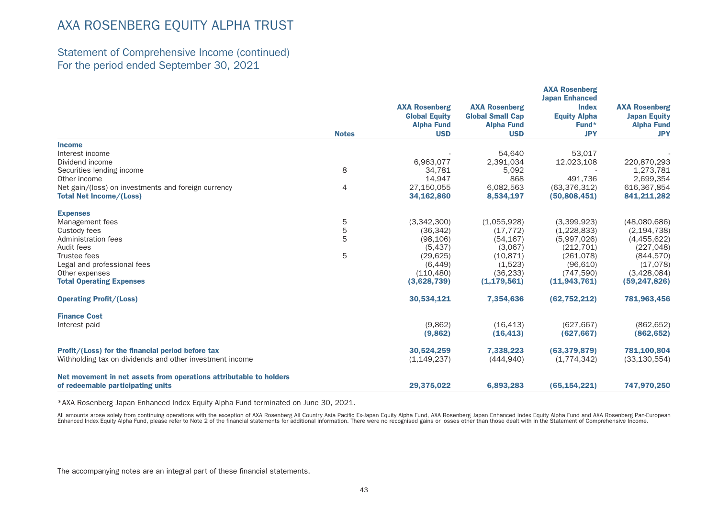### Statement of Comprehensive Income (continued) For the period ended September 30, 2021

|                                                                    |              |                      |                         | <b>AXA Rosenberg</b><br><b>Japan Enhanced</b> |                      |
|--------------------------------------------------------------------|--------------|----------------------|-------------------------|-----------------------------------------------|----------------------|
|                                                                    |              | <b>AXA Rosenberg</b> | <b>AXA Rosenberg</b>    | <b>Index</b>                                  | <b>AXA Rosenberg</b> |
|                                                                    |              | <b>Global Equity</b> | <b>Global Small Cap</b> | <b>Equity Alpha</b>                           | <b>Japan Equity</b>  |
|                                                                    |              | <b>Alpha Fund</b>    | <b>Alpha Fund</b>       | Fund*                                         | <b>Alpha Fund</b>    |
|                                                                    | <b>Notes</b> | <b>USD</b>           | <b>USD</b>              | <b>JPY</b>                                    | <b>JPY</b>           |
| <b>Income</b>                                                      |              |                      |                         |                                               |                      |
| Interest income                                                    |              |                      | 54,640                  | 53,017                                        |                      |
| Dividend income                                                    |              | 6,963,077            | 2,391,034               | 12,023,108                                    | 220,870,293          |
| Securities lending income                                          | 8            | 34.781               | 5,092                   |                                               | 1,273,781            |
| Other income                                                       |              | 14,947               | 868                     | 491.736                                       | 2,699,354            |
| Net gain/(loss) on investments and foreign currency                | 4            | 27,150,055           | 6,082,563               | (63, 376, 312)                                | 616,367,854          |
| <b>Total Net Income/(Loss)</b>                                     |              | 34,162,860           | 8,534,197               | (50,808,451)                                  | 841,211,282          |
| <b>Expenses</b>                                                    |              |                      |                         |                                               |                      |
| Management fees                                                    | 5            | (3,342,300)          | (1,055,928)             | (3,399,923)                                   | (48,080,686)         |
| Custody fees                                                       | 5            | (36, 342)            | (17, 772)               | (1,228,833)                                   | (2, 194, 738)        |
| Administration fees                                                | 5            | (98, 106)            | (54, 167)               | (5,997,026)                                   | (4,455,622)          |
| Audit fees                                                         |              | (5, 437)             | (3,067)                 | (212, 701)                                    | (227, 048)           |
| Trustee fees                                                       | 5            | (29, 625)            | (10, 871)               | (261, 078)                                    | (844, 570)           |
| Legal and professional fees                                        |              | (6, 449)             | (1,523)                 | (96, 610)                                     | (17,078)             |
| Other expenses                                                     |              | (110, 480)           | (36, 233)               | (747, 590)                                    | (3,428,084)          |
| <b>Total Operating Expenses</b>                                    |              | (3,628,739)          | (1, 179, 561)           | (11, 943, 761)                                | (59, 247, 826)       |
| <b>Operating Profit/(Loss)</b>                                     |              | 30,534,121           | 7,354,636               | (62, 752, 212)                                | 781,963,456          |
| <b>Finance Cost</b>                                                |              |                      |                         |                                               |                      |
| Interest paid                                                      |              | (9,862)              | (16, 413)               | (627.667)                                     | (862, 652)           |
|                                                                    |              | (9,862)              | (16, 413)               | (627, 667)                                    | (862, 652)           |
| Profit/(Loss) for the financial period before tax                  |              | 30,524,259           | 7,338,223               | (63, 379, 879)                                | 781,100,804          |
| Withholding tax on dividends and other investment income           |              | (1, 149, 237)        | (444, 940)              | (1,774,342)                                   | (33, 130, 554)       |
| Net movement in net assets from operations attributable to holders |              |                      |                         |                                               |                      |
| of redeemable participating units                                  |              | 29,375,022           | 6,893,283               | (65, 154, 221)                                | 747,970,250          |

\*AXA Rosenberg Japan Enhanced Index Equity Alpha Fund terminated on June 30, 2021.

All amounts arose solely from continuing operations with the exception of AXA Rosenberg All Country Asia Pacific Ex-Japan Equity Alpha Fund, AXA Rosenberg Japan Enhanced Index Equity Alpha Fund and AXA Rosenberg Pan-Europe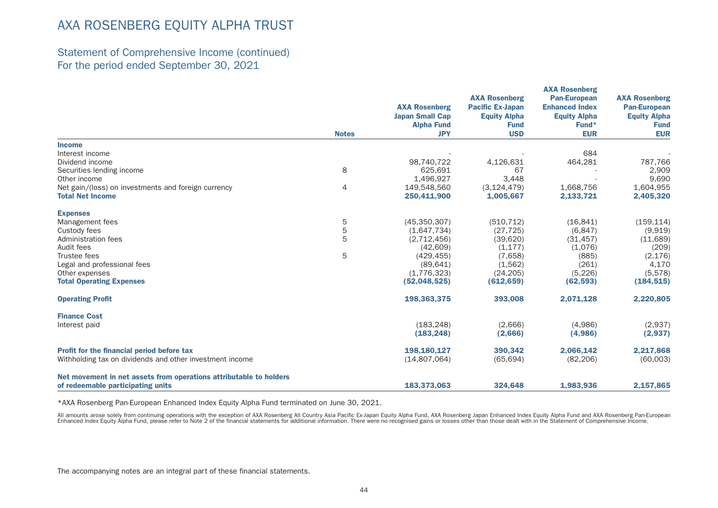### Statement of Comprehensive Income (continued) For the period ended September 30, 2021

|                                                                    |              |                        | <b>AXA Rosenberg</b>    | <b>AXA Rosenberg</b><br><b>Pan-European</b> | <b>AXA Rosenberg</b> |
|--------------------------------------------------------------------|--------------|------------------------|-------------------------|---------------------------------------------|----------------------|
|                                                                    |              | <b>AXA Rosenberg</b>   | <b>Pacific Ex-Japan</b> | <b>Enhanced Index</b>                       | <b>Pan-European</b>  |
|                                                                    |              | <b>Japan Small Cap</b> | <b>Equity Alpha</b>     | <b>Equity Alpha</b>                         | <b>Equity Alpha</b>  |
|                                                                    |              | <b>Alpha Fund</b>      | <b>Fund</b>             | Fund*                                       | <b>Fund</b>          |
|                                                                    | <b>Notes</b> | <b>JPY</b>             | <b>USD</b>              | <b>EUR</b>                                  | <b>EUR</b>           |
| <b>Income</b>                                                      |              |                        |                         |                                             |                      |
| Interest income                                                    |              |                        |                         | 684                                         |                      |
| Dividend income                                                    |              | 98,740,722             | 4,126,631               | 464,281                                     | 787,766              |
| Securities lending income                                          | 8            | 625.691                | 67                      |                                             | 2,909                |
| Other income                                                       |              | 1,496,927              | 3,448                   |                                             | 9,690                |
| Net gain/(loss) on investments and foreign currency                | 4            | 149,548,560            | (3, 124, 479)           | 1,668,756                                   | 1,604,955            |
| <b>Total Net Income</b>                                            |              | 250,411,900            | 1,005,667               | 2,133,721                                   | 2,405,320            |
| <b>Expenses</b>                                                    |              |                        |                         |                                             |                      |
| Management fees                                                    | 5            | (45,350,307)           | (510, 712)              | (16, 841)                                   | (159, 114)           |
| Custody fees                                                       | 5            | (1,647,734)            | (27, 725)               | (6, 847)                                    | (9,919)              |
| Administration fees                                                | 5            | (2,712,456)            | (39,620)                | (31, 457)                                   | (11,689)             |
| Audit fees                                                         |              | (42, 609)              | (1, 177)                | (1,076)                                     | (209)                |
| Trustee fees                                                       | 5            | (429, 455)             | (7,658)                 | (885)                                       | (2, 176)             |
| Legal and professional fees                                        |              | (89.641)               | (1,562)                 | (261)                                       | 4,170                |
| Other expenses                                                     |              | (1,776,323)            | (24, 205)               | (5, 226)                                    | (5,578)              |
| <b>Total Operating Expenses</b>                                    |              | (52,048,525)           | (612, 659)              | (62, 593)                                   | (184, 515)           |
| <b>Operating Profit</b>                                            |              | 198,363,375            | 393,008                 | 2,071,128                                   | 2,220,805            |
| <b>Finance Cost</b>                                                |              |                        |                         |                                             |                      |
| Interest paid                                                      |              | (183.248)              | (2,666)                 | (4,986)                                     | (2,937)              |
|                                                                    |              | (183, 248)             | (2,666)                 | (4,986)                                     | (2,937)              |
| Profit for the financial period before tax                         |              | 198,180,127            | 390,342                 | 2,066,142                                   | 2,217,868            |
| Withholding tax on dividends and other investment income           |              | (14,807,064)           | (65, 694)               | (82, 206)                                   | (60,003)             |
| Net movement in net assets from operations attributable to holders |              |                        |                         |                                             |                      |
| of redeemable participating units                                  |              | 183,373,063            | 324.648                 | 1,983,936                                   | 2,157,865            |

\*AXA Rosenberg Pan-European Enhanced Index Equity Alpha Fund terminated on June 30, 2021.

All amounts arose solely from continuing operations with the exception of AXA Rosenberg All Country Asia Pacific Ex-Japan Equity Alpha Fund, AXA Rosenberg Japan Enhanced Index Equity Alpha Fund and AXA Rosenberg Pan-Europe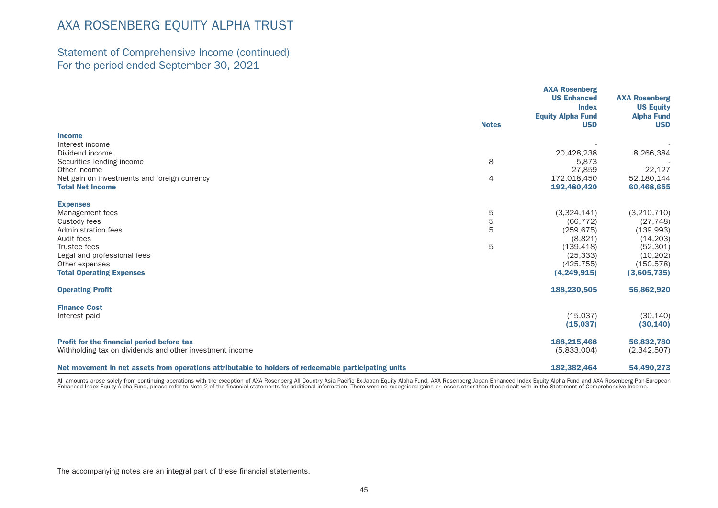### Statement of Comprehensive Income (continued) For the period ended September 30, 2021

|                                                                                                      |                | <b>AXA Rosenberg</b><br><b>US Enhanced</b><br><b>Index</b> | <b>AXA Rosenberg</b><br><b>US Equity</b> |
|------------------------------------------------------------------------------------------------------|----------------|------------------------------------------------------------|------------------------------------------|
|                                                                                                      |                | <b>Equity Alpha Fund</b>                                   | <b>Alpha Fund</b>                        |
|                                                                                                      | <b>Notes</b>   | <b>USD</b>                                                 | <b>USD</b>                               |
| <b>Income</b>                                                                                        |                |                                                            |                                          |
| Interest income                                                                                      |                |                                                            |                                          |
| Dividend income                                                                                      |                | 20,428,238                                                 | 8,266,384                                |
| Securities lending income                                                                            | 8              | 5,873                                                      |                                          |
| Other income                                                                                         |                | 27,859                                                     | 22,127                                   |
| Net gain on investments and foreign currency                                                         | $\overline{4}$ | 172,018,450                                                | 52,180,144                               |
| <b>Total Net Income</b>                                                                              |                | 192,480,420                                                | 60,468,655                               |
| <b>Expenses</b>                                                                                      |                |                                                            |                                          |
| Management fees                                                                                      | 5              | (3,324,141)                                                | (3,210,710)                              |
| Custody fees                                                                                         | $\overline{5}$ | (66, 772)                                                  | (27, 748)                                |
| Administration fees                                                                                  | 5              | (259, 675)                                                 | (139,993)                                |
| Audit fees                                                                                           |                | (8,821)                                                    | (14, 203)                                |
| Trustee fees                                                                                         | 5              | (139, 418)                                                 | (52, 301)                                |
| Legal and professional fees                                                                          |                | (25, 333)                                                  | (10, 202)                                |
| Other expenses                                                                                       |                | (425, 755)                                                 | (150, 578)                               |
| <b>Total Operating Expenses</b>                                                                      |                | (4,249,915)                                                | (3,605,735)                              |
| <b>Operating Profit</b>                                                                              |                | 188,230,505                                                | 56,862,920                               |
| <b>Finance Cost</b>                                                                                  |                |                                                            |                                          |
| Interest paid                                                                                        |                | (15.037)                                                   | (30, 140)                                |
|                                                                                                      |                | (15,037)                                                   | (30, 140)                                |
| Profit for the financial period before tax                                                           |                | 188,215,468                                                | 56,832,780                               |
| Withholding tax on dividends and other investment income                                             |                | (5,833,004)                                                | (2,342,507)                              |
| Net movement in net assets from operations attributable to holders of redeemable participating units |                | 182,382,464                                                | 54,490,273                               |

All amounts arose solely from continuing operations with the exception of AXA Rosenberg All Country Asia Pacific Ex-Japan Equity Alpha Fund, AXA Rosenberg Japan Enhanced Index Equity Alpha Fund and AXA Rosenberg Pan-Europe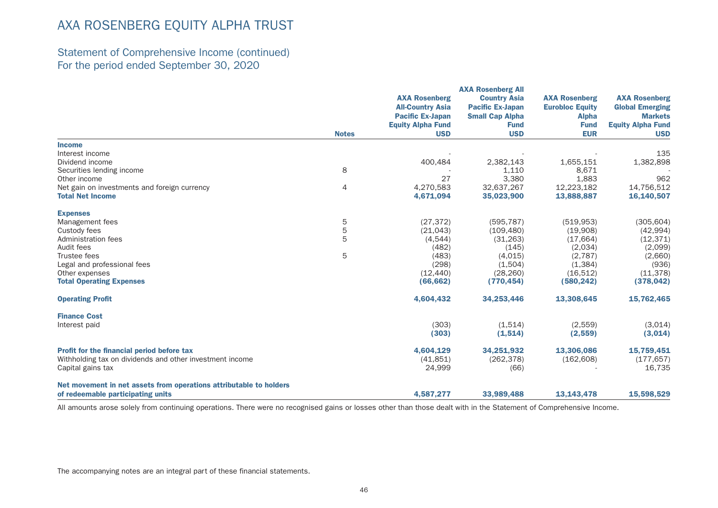## Statement of Comprehensive Income (continued) For the period ended September 30, 2020

|                                                                    |              |                          | <b>AXA Rosenberg All</b> |                        |                          |
|--------------------------------------------------------------------|--------------|--------------------------|--------------------------|------------------------|--------------------------|
|                                                                    |              | <b>AXA Rosenberg</b>     | <b>Country Asia</b>      | <b>AXA Rosenberg</b>   | <b>AXA Rosenberg</b>     |
|                                                                    |              | <b>All-Country Asia</b>  | <b>Pacific Ex-Japan</b>  | <b>Eurobloc Equity</b> | <b>Global Emerging</b>   |
|                                                                    |              | <b>Pacific Ex-Japan</b>  | <b>Small Cap Alpha</b>   | <b>Alpha</b>           | <b>Markets</b>           |
|                                                                    |              | <b>Equity Alpha Fund</b> | <b>Fund</b>              | <b>Fund</b>            | <b>Equity Alpha Fund</b> |
|                                                                    | <b>Notes</b> | <b>USD</b>               | <b>USD</b>               | <b>EUR</b>             | <b>USD</b>               |
| <b>Income</b>                                                      |              |                          |                          |                        |                          |
| Interest income                                                    |              |                          |                          |                        | 135                      |
| Dividend income                                                    |              | 400,484                  | 2,382,143                | 1,655,151              | 1,382,898                |
| Securities lending income                                          | 8            |                          | 1,110                    | 8,671                  |                          |
| Other income                                                       |              | 27                       | 3,380                    | 1,883                  | 962                      |
| Net gain on investments and foreign currency                       | 4            | 4,270,583                | 32,637,267               | 12,223,182             | 14,756,512               |
| <b>Total Net Income</b>                                            |              | 4,671,094                | 35,023,900               | 13,888,887             | 16,140,507               |
| <b>Expenses</b>                                                    |              |                          |                          |                        |                          |
| Management fees                                                    | 5            | (27, 372)                | (595, 787)               | (519, 953)             | (305, 604)               |
| Custody fees                                                       | 5            | (21, 043)                | (109, 480)               | (19,908)               | (42, 994)                |
| Administration fees                                                | 5            | (4, 544)                 | (31, 263)                | (17, 664)              | (12, 371)                |
| Audit fees                                                         |              | (482)                    | (145)                    | (2,034)                | (2,099)                  |
| Trustee fees                                                       | 5            | (483)                    | (4,015)                  | (2,787)                | (2,660)                  |
| Legal and professional fees                                        |              | (298)                    | (1,504)                  | (1, 384)               | (936)                    |
| Other expenses                                                     |              | (12, 440)                | (28, 260)                | (16,512)               | (11, 378)                |
| <b>Total Operating Expenses</b>                                    |              | (66, 662)                | (770, 454)               | (580, 242)             | (378, 042)               |
| <b>Operating Profit</b>                                            |              | 4,604,432                | 34,253,446               | 13,308,645             | 15,762,465               |
| <b>Finance Cost</b>                                                |              |                          |                          |                        |                          |
| Interest paid                                                      |              | (303)                    | (1,514)                  | (2,559)                | (3,014)                  |
|                                                                    |              | (303)                    | (1,514)                  | (2, 559)               | (3,014)                  |
| <b>Profit for the financial period before tax</b>                  |              | 4,604,129                | 34,251,932               | 13,306,086             | 15,759,451               |
| Withholding tax on dividends and other investment income           |              | (41, 851)                | (262, 378)               | (162, 608)             | (177, 657)               |
| Capital gains tax                                                  |              | 24,999                   | (66)                     |                        | 16,735                   |
| Net movement in net assets from operations attributable to holders |              |                          |                          |                        |                          |
| of redeemable participating units                                  |              | 4,587,277                | 33,989,488               | 13,143,478             | 15,598,529               |

All amounts arose solely from continuing operations. There were no recognised gains or losses other than those dealt with in the Statement of Comprehensive Income.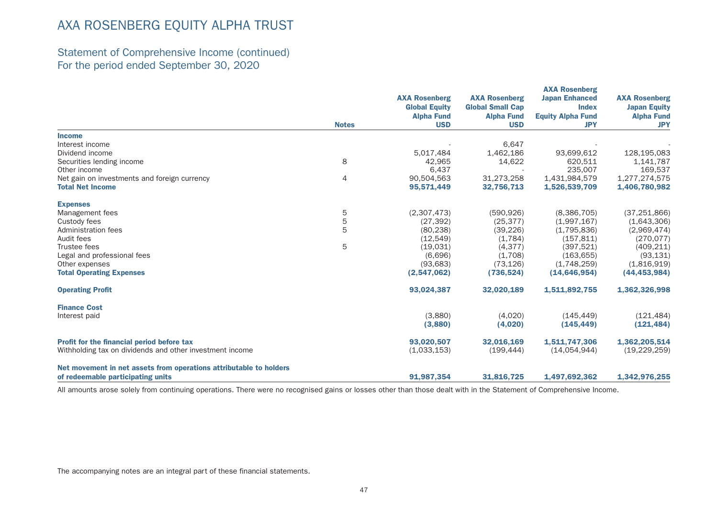## Statement of Comprehensive Income (continued) For the period ended September 30, 2020

|                                                                    |              |                                              |                                                 | <b>AXA Rosenberg</b>                  |                                             |
|--------------------------------------------------------------------|--------------|----------------------------------------------|-------------------------------------------------|---------------------------------------|---------------------------------------------|
|                                                                    |              | <b>AXA Rosenberg</b><br><b>Global Equity</b> | <b>AXA Rosenberg</b><br><b>Global Small Cap</b> | <b>Japan Enhanced</b><br><b>Index</b> | <b>AXA Rosenberg</b><br><b>Japan Equity</b> |
|                                                                    | <b>Notes</b> | <b>Alpha Fund</b>                            | <b>Alpha Fund</b>                               | <b>Equity Alpha Fund</b>              | <b>Alpha Fund</b>                           |
|                                                                    |              | <b>USD</b>                                   | <b>USD</b>                                      | <b>JPY</b>                            | <b>JPY</b>                                  |
| <b>Income</b>                                                      |              |                                              |                                                 |                                       |                                             |
| Interest income                                                    |              |                                              | 6,647                                           |                                       |                                             |
| Dividend income                                                    |              | 5,017,484                                    | 1,462,186                                       | 93,699,612                            | 128,195,083                                 |
| Securities lending income                                          | 8            | 42.965                                       | 14,622                                          | 620.511                               | 1,141,787                                   |
| Other income                                                       |              | 6,437                                        |                                                 | 235,007                               | 169,537                                     |
| Net gain on investments and foreign currency                       | 4            | 90.504.563                                   | 31,273,258                                      | 1,431,984,579                         | 1,277,274,575                               |
| <b>Total Net Income</b>                                            |              | 95,571,449                                   | 32,756,713                                      | 1,526,539,709                         | 1,406,780,982                               |
| <b>Expenses</b>                                                    |              |                                              |                                                 |                                       |                                             |
| Management fees                                                    | 5            | (2,307,473)                                  | (590, 926)                                      | (8,386,705)                           | (37, 251, 866)                              |
| Custody fees                                                       | 5            | (27, 392)                                    | (25, 377)                                       | (1,997,167)                           | (1,643,306)                                 |
| Administration fees                                                | 5            | (80, 238)                                    | (39, 226)                                       | (1,795,836)                           | (2,969,474)                                 |
| Audit fees                                                         |              | (12, 549)                                    | (1,784)                                         | (157, 811)                            | (270, 077)                                  |
| Trustee fees                                                       | 5            | (19,031)                                     | (4, 377)                                        | (397, 521)                            | (409, 211)                                  |
| Legal and professional fees                                        |              | (6,696)                                      | (1,708)                                         | (163, 655)                            | (93, 131)                                   |
| Other expenses                                                     |              | (93, 683)                                    | (73, 126)                                       | (1,748,259)                           | (1,816,919)                                 |
| <b>Total Operating Expenses</b>                                    |              | (2,547,062)                                  | (736, 524)                                      | (14, 646, 954)                        | (44, 453, 984)                              |
| <b>Operating Profit</b>                                            |              | 93,024,387                                   | 32,020,189                                      | 1,511,892,755                         | 1,362,326,998                               |
| <b>Finance Cost</b>                                                |              |                                              |                                                 |                                       |                                             |
| Interest paid                                                      |              | (3,880)                                      | (4,020)                                         | (145, 449)                            | (121, 484)                                  |
|                                                                    |              | (3,880)                                      | (4,020)                                         | (145, 449)                            | (121, 484)                                  |
| Profit for the financial period before tax                         |              | 93.020.507                                   | 32,016,169                                      | 1,511,747,306                         | 1,362,205,514                               |
| Withholding tax on dividends and other investment income           |              | (1,033,153)                                  | (199, 444)                                      | (14,054,944)                          | (19, 229, 259)                              |
| Net movement in net assets from operations attributable to holders |              |                                              |                                                 |                                       |                                             |
| of redeemable participating units                                  |              | 91,987,354                                   | 31,816,725                                      | 1,497,692,362                         | 1,342,976,255                               |

All amounts arose solely from continuing operations. There were no recognised gains or losses other than those dealt with in the Statement of Comprehensive Income.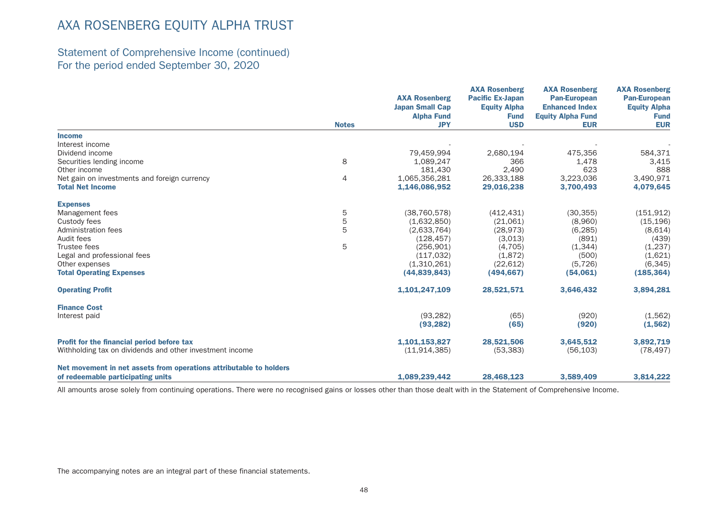## Statement of Comprehensive Income (continued) For the period ended September 30, 2020

|                                                                    |              | <b>AXA Rosenberg</b><br><b>Japan Small Cap</b><br><b>Alpha Fund</b> | <b>AXA Rosenberg</b><br><b>Pacific Ex-Japan</b><br><b>Equity Alpha</b><br><b>Fund</b> | <b>AXA Rosenberg</b><br><b>Pan-European</b><br><b>Enhanced Index</b><br><b>Equity Alpha Fund</b> | <b>AXA Rosenberg</b><br><b>Pan-European</b><br><b>Equity Alpha</b><br><b>Fund</b> |
|--------------------------------------------------------------------|--------------|---------------------------------------------------------------------|---------------------------------------------------------------------------------------|--------------------------------------------------------------------------------------------------|-----------------------------------------------------------------------------------|
|                                                                    | <b>Notes</b> | <b>JPY</b>                                                          | <b>USD</b>                                                                            | <b>EUR</b>                                                                                       | <b>EUR</b>                                                                        |
| <b>Income</b>                                                      |              |                                                                     |                                                                                       |                                                                                                  |                                                                                   |
| Interest income                                                    |              |                                                                     |                                                                                       |                                                                                                  |                                                                                   |
| Dividend income                                                    |              | 79,459,994                                                          | 2.680.194                                                                             | 475.356                                                                                          | 584,371                                                                           |
| Securities lending income                                          | 8            | 1,089,247                                                           | 366                                                                                   | 1,478                                                                                            | 3,415                                                                             |
| Other income                                                       |              | 181,430                                                             | 2,490                                                                                 | 623                                                                                              | 888                                                                               |
| Net gain on investments and foreign currency                       | 4            | 1,065,356,281                                                       | 26,333,188                                                                            | 3,223,036                                                                                        | 3,490,971                                                                         |
| <b>Total Net Income</b>                                            |              | 1,146,086,952                                                       | 29,016,238                                                                            | 3,700,493                                                                                        | 4,079,645                                                                         |
| <b>Expenses</b>                                                    |              |                                                                     |                                                                                       |                                                                                                  |                                                                                   |
| Management fees                                                    | 5            | (38, 760, 578)                                                      | (412, 431)                                                                            | (30, 355)                                                                                        | (151, 912)                                                                        |
| Custody fees                                                       | 5            | (1,632,850)                                                         | (21,061)                                                                              | (8,960)                                                                                          | (15, 196)                                                                         |
| Administration fees                                                | 5            | (2,633,764)                                                         | (28, 973)                                                                             | (6, 285)                                                                                         | (8,614)                                                                           |
| Audit fees                                                         |              | (128, 457)                                                          | (3,013)                                                                               | (891)                                                                                            | (439)                                                                             |
| Trustee fees                                                       | 5            | (256, 901)                                                          | (4,705)                                                                               | (1,344)                                                                                          | (1,237)                                                                           |
| Legal and professional fees                                        |              | (117, 032)                                                          | (1,872)                                                                               | (500)                                                                                            | (1,621)                                                                           |
| Other expenses                                                     |              | (1,310,261)                                                         | (22, 612)                                                                             | (5, 726)                                                                                         | (6, 345)                                                                          |
| <b>Total Operating Expenses</b>                                    |              | (44,839,843)                                                        | (494, 667)                                                                            | (54,061)                                                                                         | (185, 364)                                                                        |
| <b>Operating Profit</b>                                            |              | 1,101,247,109                                                       | 28,521,571                                                                            | 3,646,432                                                                                        | 3,894,281                                                                         |
| <b>Finance Cost</b>                                                |              |                                                                     |                                                                                       |                                                                                                  |                                                                                   |
| Interest paid                                                      |              | (93, 282)                                                           | (65)                                                                                  | (920)                                                                                            | (1,562)                                                                           |
|                                                                    |              | (93, 282)                                                           | (65)                                                                                  | (920)                                                                                            | (1, 562)                                                                          |
| Profit for the financial period before tax                         |              | 1,101,153,827                                                       | 28,521,506                                                                            | 3,645,512                                                                                        | 3,892,719                                                                         |
| Withholding tax on dividends and other investment income           |              | (11, 914, 385)                                                      | (53, 383)                                                                             | (56, 103)                                                                                        | (78, 497)                                                                         |
| Net movement in net assets from operations attributable to holders |              |                                                                     |                                                                                       |                                                                                                  |                                                                                   |
| of redeemable participating units                                  |              | 1,089,239,442                                                       | 28,468,123                                                                            | 3,589,409                                                                                        | 3,814,222                                                                         |

All amounts arose solely from continuing operations. There were no recognised gains or losses other than those dealt with in the Statement of Comprehensive Income.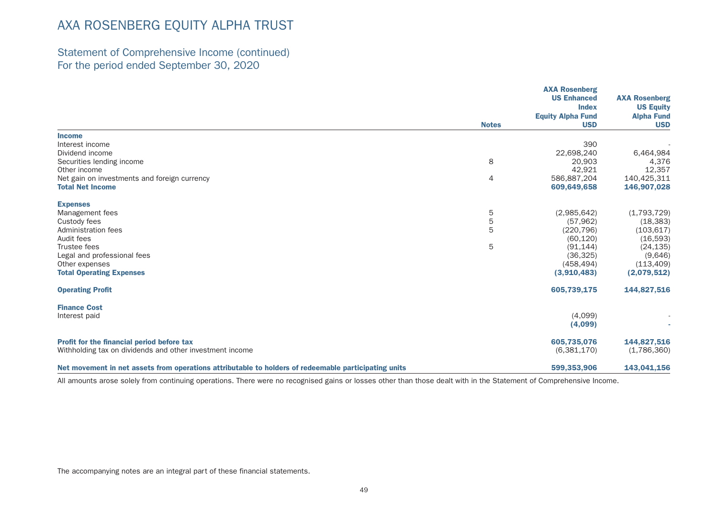## Statement of Comprehensive Income (continued) For the period ended September 30, 2020

|                                                                                                      |                | <b>AXA Rosenberg</b><br><b>US Enhanced</b> | <b>AXA Rosenberg</b> |
|------------------------------------------------------------------------------------------------------|----------------|--------------------------------------------|----------------------|
|                                                                                                      |                | <b>Index</b>                               | <b>US Equity</b>     |
|                                                                                                      |                | <b>Equity Alpha Fund</b>                   | <b>Alpha Fund</b>    |
|                                                                                                      | <b>Notes</b>   | <b>USD</b>                                 | <b>USD</b>           |
| <b>Income</b>                                                                                        |                |                                            |                      |
| Interest income                                                                                      |                | 390                                        |                      |
| Dividend income                                                                                      |                | 22,698,240                                 | 6,464,984            |
| Securities lending income                                                                            | 8              | 20,903                                     | 4,376                |
| Other income                                                                                         |                | 42,921                                     | 12,357               |
| Net gain on investments and foreign currency                                                         | $\overline{4}$ | 586,887,204                                | 140,425,311          |
| <b>Total Net Income</b>                                                                              |                | 609,649,658                                | 146,907,028          |
| <b>Expenses</b>                                                                                      |                |                                            |                      |
| Management fees                                                                                      | 5              | (2,985,642)                                | (1,793,729)          |
| Custody fees                                                                                         | $\mathbf 5$    | (57, 962)                                  | (18, 383)            |
| Administration fees                                                                                  | 5              | (220, 796)                                 | (103, 617)           |
| Audit fees                                                                                           |                | (60, 120)                                  | (16, 593)            |
| Trustee fees                                                                                         | 5              | (91, 144)                                  | (24, 135)            |
| Legal and professional fees                                                                          |                | (36, 325)                                  | (9,646)              |
| Other expenses                                                                                       |                | (458, 494)                                 | (113, 409)           |
| <b>Total Operating Expenses</b>                                                                      |                | (3,910,483)                                | (2,079,512)          |
| <b>Operating Profit</b>                                                                              |                | 605,739,175                                | 144,827,516          |
| <b>Finance Cost</b>                                                                                  |                |                                            |                      |
| Interest paid                                                                                        |                | (4,099)                                    |                      |
|                                                                                                      |                | (4,099)                                    |                      |
| Profit for the financial period before tax                                                           |                | 605,735,076                                | 144,827,516          |
| Withholding tax on dividends and other investment income                                             |                | (6,381,170)                                | (1,786,360)          |
| Net movement in net assets from operations attributable to holders of redeemable participating units |                | 599,353,906                                | 143,041,156          |

All amounts arose solely from continuing operations. There were no recognised gains or losses other than those dealt with in the Statement of Comprehensive Income.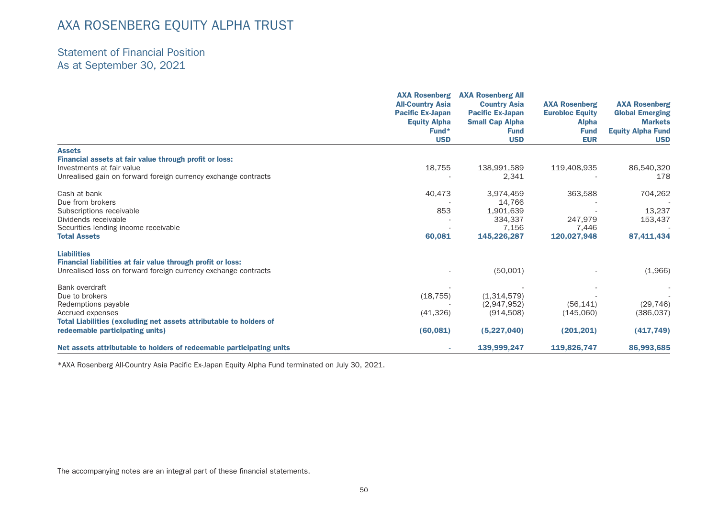### Statement of Financial Position As at September 30, 2021

|                                                                      | <b>AXA Rosenberg</b><br><b>All-Country Asia</b><br><b>Pacific Ex-Japan</b><br><b>Equity Alpha</b><br>$Fund*$ | <b>AXA Rosenberg All</b><br><b>Country Asia</b>   | <b>AXA Rosenberg</b>                   | <b>AXA Rosenberg</b><br><b>Global Emerging</b><br><b>Markets</b> |
|----------------------------------------------------------------------|--------------------------------------------------------------------------------------------------------------|---------------------------------------------------|----------------------------------------|------------------------------------------------------------------|
|                                                                      |                                                                                                              | <b>Pacific Ex-Japan</b><br><b>Small Cap Alpha</b> | <b>Eurobloc Equity</b><br><b>Alpha</b> |                                                                  |
|                                                                      |                                                                                                              | <b>Fund</b>                                       | <b>Fund</b>                            | <b>Equity Alpha Fund</b>                                         |
|                                                                      | <b>USD</b>                                                                                                   | <b>USD</b>                                        | <b>EUR</b>                             | <b>USD</b>                                                       |
| <b>Assets</b>                                                        |                                                                                                              |                                                   |                                        |                                                                  |
| Financial assets at fair value through profit or loss:               |                                                                                                              |                                                   |                                        |                                                                  |
| Investments at fair value                                            | 18,755                                                                                                       | 138,991,589                                       | 119,408,935                            | 86,540,320                                                       |
| Unrealised gain on forward foreign currency exchange contracts       |                                                                                                              | 2,341                                             |                                        | 178                                                              |
| Cash at bank                                                         | 40,473                                                                                                       | 3,974,459                                         | 363,588                                | 704,262                                                          |
| Due from brokers                                                     |                                                                                                              | 14,766                                            |                                        |                                                                  |
| Subscriptions receivable                                             | 853                                                                                                          | 1,901,639                                         |                                        | 13,237                                                           |
| Dividends receivable                                                 |                                                                                                              | 334.337                                           | 247.979                                | 153,437                                                          |
| Securities lending income receivable                                 |                                                                                                              | 7,156                                             | 7,446                                  |                                                                  |
| <b>Total Assets</b>                                                  | 60,081                                                                                                       | 145,226,287                                       | 120,027,948                            | 87,411,434                                                       |
| <b>Liabilities</b>                                                   |                                                                                                              |                                                   |                                        |                                                                  |
| Financial liabilities at fair value through profit or loss:          |                                                                                                              |                                                   |                                        |                                                                  |
| Unrealised loss on forward foreign currency exchange contracts       |                                                                                                              | (50,001)                                          |                                        | (1,966)                                                          |
| Bank overdraft                                                       |                                                                                                              |                                                   |                                        |                                                                  |
| Due to brokers                                                       | (18, 755)                                                                                                    | (1,314,579)                                       |                                        |                                                                  |
| Redemptions payable                                                  |                                                                                                              | (2,947,952)                                       | (56, 141)                              | (29, 746)                                                        |
| Accrued expenses                                                     | (41,326)                                                                                                     | (914, 508)                                        | (145,060)                              | (386, 037)                                                       |
| Total Liabilities (excluding net assets attributable to holders of   |                                                                                                              |                                                   |                                        |                                                                  |
| redeemable participating units)                                      | (60, 081)                                                                                                    | (5,227,040)                                       | (201, 201)                             | (417, 749)                                                       |
| Net assets attributable to holders of redeemable participating units |                                                                                                              | 139,999,247                                       | 119,826,747                            | 86,993,685                                                       |

\*AXA Rosenberg All-Country Asia Pacific Ex-Japan Equity Alpha Fund terminated on July 30, 2021.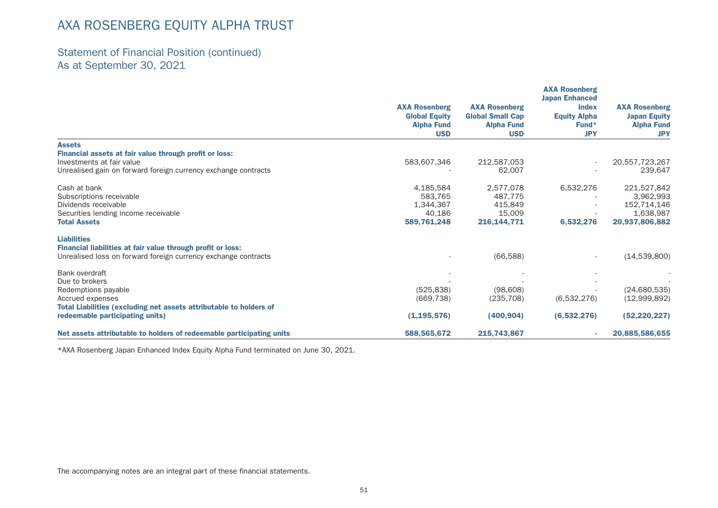## Statement of Financial Position (continued) As at September 30, 2021

|                                                                                                                                                     | <b>AXA Rosenberg</b><br><b>Global Equity</b><br><b>Alpha Fund</b><br><b>USD</b> | <b>AXA Rosenberg</b><br><b>Global Small Cap</b><br><b>Alpha Fund</b><br><b>USD</b> | <b>AXA Rosenberg</b><br><b>Japan Enhanced</b><br><b>Index</b><br><b>Equity Alpha</b><br>$Fund*$<br><b>JPY</b> | <b>AXA Rosenberg</b><br><b>Japan Equity</b><br><b>Alpha Fund</b><br><b>JPY</b> |
|-----------------------------------------------------------------------------------------------------------------------------------------------------|---------------------------------------------------------------------------------|------------------------------------------------------------------------------------|---------------------------------------------------------------------------------------------------------------|--------------------------------------------------------------------------------|
| <b>Assets</b>                                                                                                                                       |                                                                                 |                                                                                    |                                                                                                               |                                                                                |
| Financial assets at fair value through profit or loss:                                                                                              |                                                                                 |                                                                                    |                                                                                                               |                                                                                |
| Investments at fair value                                                                                                                           | 583,607,346                                                                     | 212,587,053                                                                        |                                                                                                               | 20,557,723,267                                                                 |
| Unrealised gain on forward foreign currency exchange contracts                                                                                      |                                                                                 | 62,007                                                                             |                                                                                                               | 239,647                                                                        |
| Cash at bank                                                                                                                                        | 4,185,584                                                                       | 2,577,078                                                                          | 6,532,276                                                                                                     | 221,527,842                                                                    |
| Subscriptions receivable                                                                                                                            | 583.765                                                                         | 487.775                                                                            |                                                                                                               | 3.962.993                                                                      |
| Dividends receivable                                                                                                                                | 1,344,367                                                                       | 415,849                                                                            |                                                                                                               | 152,714,146                                                                    |
| Securities lending income receivable                                                                                                                | 40,186                                                                          | 15,009                                                                             |                                                                                                               | 1,638,987                                                                      |
| <b>Total Assets</b>                                                                                                                                 | 589,761,248                                                                     | 216,144,771                                                                        | 6,532,276                                                                                                     | 20,937,806,882                                                                 |
| <b>Liabilities</b><br>Financial liabilities at fair value through profit or loss:<br>Unrealised loss on forward foreign currency exchange contracts |                                                                                 | (66, 588)                                                                          |                                                                                                               | (14,539,800)                                                                   |
| Bank overdraft                                                                                                                                      |                                                                                 |                                                                                    |                                                                                                               |                                                                                |
| Due to brokers                                                                                                                                      |                                                                                 |                                                                                    |                                                                                                               |                                                                                |
| Redemptions payable                                                                                                                                 | (525, 838)                                                                      | (98,608)                                                                           |                                                                                                               | (24,680,535)                                                                   |
| Accrued expenses                                                                                                                                    | (669, 738)                                                                      | (235, 708)                                                                         | (6,532,276)                                                                                                   | (12,999,892)                                                                   |
| Total Liabilities (excluding net assets attributable to holders of                                                                                  |                                                                                 |                                                                                    |                                                                                                               |                                                                                |
| redeemable participating units)                                                                                                                     | (1, 195, 576)                                                                   | (400, 904)                                                                         | (6,532,276)                                                                                                   | (52, 220, 227)                                                                 |
| Net assets attributable to holders of redeemable participating units                                                                                | 588,565,672                                                                     | 215,743,867                                                                        | ٠                                                                                                             | 20,885,586,655                                                                 |

\*AXA Rosenberg Japan Enhanced Index Equity Alpha Fund terminated on June 30, 2021.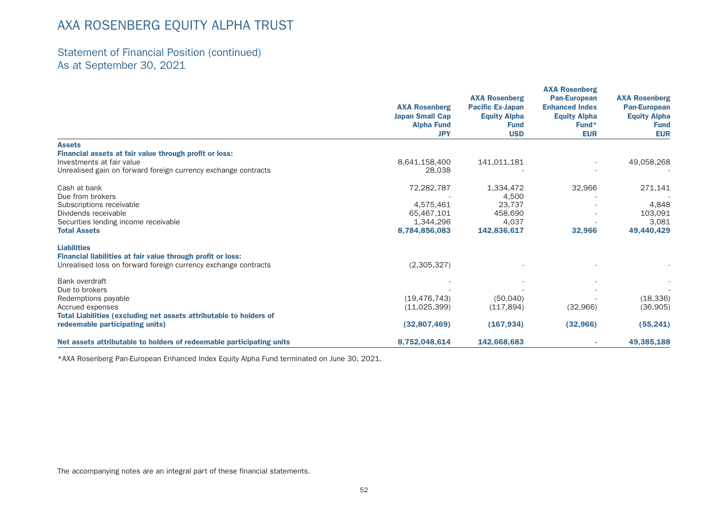## Statement of Financial Position (continued) As at September 30, 2021

|                                                                         |                                                | <b>AXA Rosenberg</b>    | <b>AXA Rosenberg</b><br><b>Pan-European</b> | <b>AXA Rosenberg</b><br><b>Pan-European</b> |
|-------------------------------------------------------------------------|------------------------------------------------|-------------------------|---------------------------------------------|---------------------------------------------|
|                                                                         | <b>AXA Rosenberg</b><br><b>Japan Small Cap</b> | <b>Pacific Ex-Japan</b> | <b>Enhanced Index</b>                       |                                             |
|                                                                         |                                                | <b>Equity Alpha</b>     | <b>Equity Alpha</b>                         | <b>Equity Alpha</b>                         |
|                                                                         | <b>Alpha Fund</b>                              | <b>Fund</b>             | $Fund*$                                     | <b>Fund</b>                                 |
|                                                                         | <b>JPY</b>                                     | <b>USD</b>              | <b>EUR</b>                                  | <b>EUR</b>                                  |
| <b>Assets</b><br>Financial assets at fair value through profit or loss: |                                                |                         |                                             |                                             |
| Investments at fair value                                               | 8,641,158,400                                  | 141,011,181             |                                             | 49,058,268                                  |
| Unrealised gain on forward foreign currency exchange contracts          | 28,038                                         |                         |                                             |                                             |
| Cash at bank                                                            | 72,282,787                                     | 1,334,472               | 32,966                                      | 271,141                                     |
| Due from brokers                                                        |                                                | 4,500                   |                                             |                                             |
| Subscriptions receivable                                                | 4,575,461                                      | 23,737                  |                                             | 4,848                                       |
| Dividends receivable                                                    | 65,467,101                                     | 458,690                 |                                             | 103,091                                     |
| Securities lending income receivable                                    | 1,344,296                                      | 4,037                   |                                             | 3,081                                       |
| <b>Total Assets</b>                                                     | 8,784,856,083                                  | 142,836,617             | 32,966                                      | 49,440,429                                  |
| <b>Liabilities</b>                                                      |                                                |                         |                                             |                                             |
| Financial liabilities at fair value through profit or loss:             |                                                |                         |                                             |                                             |
| Unrealised loss on forward foreign currency exchange contracts          | (2,305,327)                                    |                         |                                             |                                             |
| Bank overdraft                                                          |                                                |                         |                                             |                                             |
| Due to brokers                                                          |                                                |                         |                                             |                                             |
| Redemptions payable                                                     | (19, 476, 743)                                 | (50,040)                |                                             | (18, 336)                                   |
| Accrued expenses                                                        | (11,025,399)                                   | (117, 894)              | (32,966)                                    | (36,905)                                    |
| Total Liabilities (excluding net assets attributable to holders of      |                                                |                         |                                             |                                             |
| redeemable participating units)                                         | (32,807,469)                                   | (167, 934)              | (32, 966)                                   | (55, 241)                                   |
| Net assets attributable to holders of redeemable participating units    | 8,752,048,614                                  | 142,668,683             |                                             | 49,385,188                                  |

\*AXA Rosenberg Pan-European Enhanced Index Equity Alpha Fund terminated on June 30, 2021.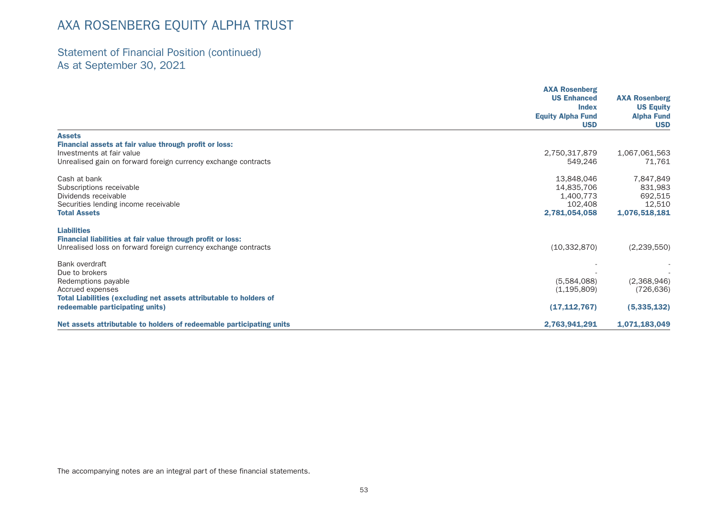## Statement of Financial Position (continued) As at September 30, 2021

|                                                                      | <b>AXA Rosenberg</b><br><b>US Enhanced</b> | <b>AXA Rosenberg</b>            |  |
|----------------------------------------------------------------------|--------------------------------------------|---------------------------------|--|
|                                                                      | <b>Index</b>                               | <b>US Equity</b>                |  |
|                                                                      | <b>Equity Alpha Fund</b><br><b>USD</b>     | <b>Alpha Fund</b><br><b>USD</b> |  |
| <b>Assets</b>                                                        |                                            |                                 |  |
| Financial assets at fair value through profit or loss:               |                                            |                                 |  |
| Investments at fair value                                            | 2,750,317,879                              | 1,067,061,563                   |  |
| Unrealised gain on forward foreign currency exchange contracts       | 549,246                                    | 71,761                          |  |
| Cash at bank                                                         | 13,848,046                                 | 7,847,849                       |  |
| Subscriptions receivable                                             | 14,835,706                                 | 831,983                         |  |
| Dividends receivable                                                 | 1,400,773                                  | 692,515                         |  |
| Securities lending income receivable                                 | 102.408                                    | 12,510                          |  |
| <b>Total Assets</b>                                                  | 2,781,054,058                              | 1,076,518,181                   |  |
| <b>Liabilities</b>                                                   |                                            |                                 |  |
| Financial liabilities at fair value through profit or loss:          |                                            |                                 |  |
| Unrealised loss on forward foreign currency exchange contracts       | (10, 332, 870)                             | (2,239,550)                     |  |
| Bank overdraft                                                       |                                            |                                 |  |
| Due to brokers                                                       |                                            |                                 |  |
| Redemptions payable                                                  | (5,584,088)                                | (2,368,946)                     |  |
| Accrued expenses                                                     | (1, 195, 809)                              | (726, 636)                      |  |
| Total Liabilities (excluding net assets attributable to holders of   |                                            |                                 |  |
| redeemable participating units)                                      | (17, 112, 767)                             | (5,335,132)                     |  |
| Net assets attributable to holders of redeemable participating units | 2,763,941,291                              | 1,071,183,049                   |  |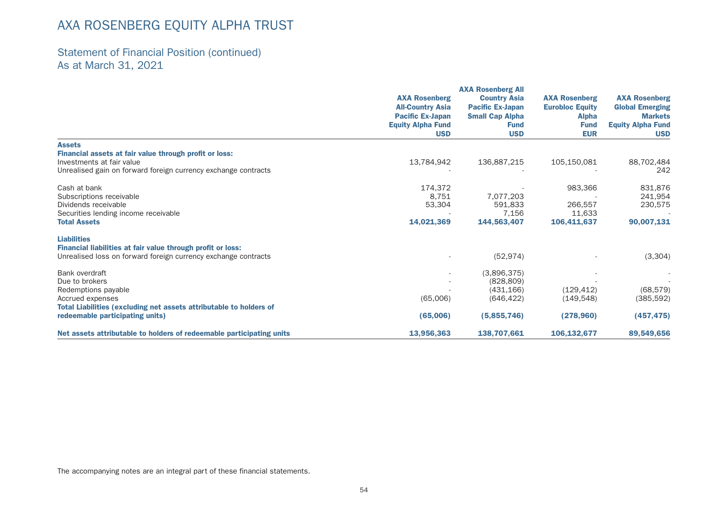## Statement of Financial Position (continued) As at March 31, 2021

|                                                                      | <b>AXA Rosenberg</b><br><b>All-Country Asia</b><br><b>Pacific Ex-Japan</b><br><b>Equity Alpha Fund</b> | <b>Country Asia</b><br><b>Pacific Ex-Japan</b> | <b>AXA Rosenberg</b><br><b>Eurobloc Equity</b> | <b>AXA Rosenberg</b><br><b>Global Emerging</b> |
|----------------------------------------------------------------------|--------------------------------------------------------------------------------------------------------|------------------------------------------------|------------------------------------------------|------------------------------------------------|
|                                                                      |                                                                                                        | <b>Small Cap Alpha</b><br><b>Fund</b>          | <b>Alpha</b><br><b>Fund</b>                    | <b>Markets</b><br><b>Equity Alpha Fund</b>     |
|                                                                      | <b>USD</b>                                                                                             | <b>USD</b>                                     | <b>EUR</b>                                     | <b>USD</b>                                     |
| <b>Assets</b>                                                        |                                                                                                        |                                                |                                                |                                                |
| Financial assets at fair value through profit or loss:               |                                                                                                        |                                                |                                                |                                                |
| Investments at fair value                                            | 13,784,942                                                                                             | 136,887,215                                    | 105,150,081                                    | 88,702,484                                     |
| Unrealised gain on forward foreign currency exchange contracts       |                                                                                                        |                                                |                                                | 242                                            |
| Cash at bank                                                         | 174,372                                                                                                |                                                | 983,366                                        | 831,876                                        |
| Subscriptions receivable                                             | 8.751                                                                                                  | 7,077,203                                      |                                                | 241,954                                        |
| Dividends receivable                                                 | 53,304                                                                                                 | 591,833                                        | 266,557                                        | 230,575                                        |
| Securities lending income receivable                                 |                                                                                                        | 7,156                                          | 11,633                                         |                                                |
| <b>Total Assets</b>                                                  | 14,021,369                                                                                             | 144,563,407                                    | 106,411,637                                    | 90,007,131                                     |
| <b>Liabilities</b>                                                   |                                                                                                        |                                                |                                                |                                                |
| Financial liabilities at fair value through profit or loss:          |                                                                                                        |                                                |                                                |                                                |
| Unrealised loss on forward foreign currency exchange contracts       |                                                                                                        | (52, 974)                                      |                                                | (3,304)                                        |
| Bank overdraft                                                       |                                                                                                        | (3,896,375)                                    |                                                |                                                |
| Due to brokers                                                       |                                                                                                        | (828, 809)                                     |                                                |                                                |
| Redemptions payable                                                  |                                                                                                        | (431, 166)                                     | (129, 412)                                     | (68, 579)                                      |
| Accrued expenses                                                     | (65,006)                                                                                               | (646, 422)                                     | (149, 548)                                     | (385, 592)                                     |
| Total Liabilities (excluding net assets attributable to holders of   |                                                                                                        |                                                |                                                |                                                |
| redeemable participating units)                                      | (65,006)                                                                                               | (5,855,746)                                    | (278,960)                                      | (457, 475)                                     |
| Net assets attributable to holders of redeemable participating units | 13,956,363                                                                                             | 138,707,661                                    | 106,132,677                                    | 89,549,656                                     |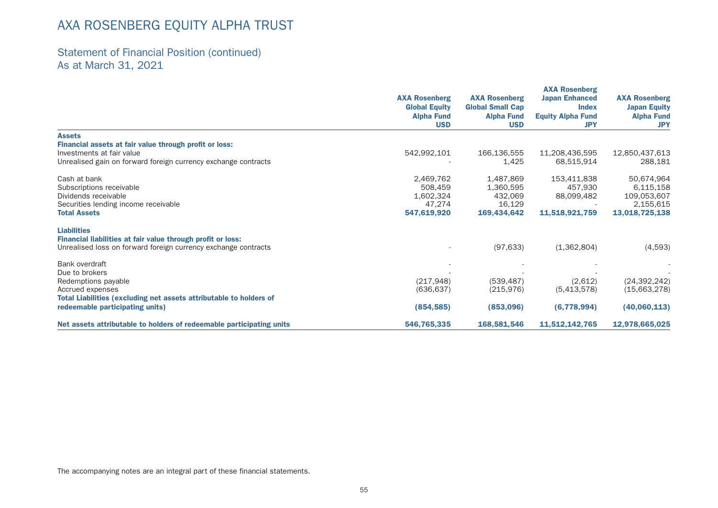## Statement of Financial Position (continued) As at March 31, 2021

|                                                                      | <b>AXA Rosenberg</b><br><b>Global Equity</b><br><b>Alpha Fund</b><br><b>USD</b> | <b>AXA Rosenberg</b><br><b>Global Small Cap</b><br><b>Alpha Fund</b><br><b>USD</b> | <b>AXA Rosenberg</b><br><b>Japan Enhanced</b><br><b>Index</b><br><b>Equity Alpha Fund</b><br><b>JPY</b> | <b>AXA Rosenberg</b><br><b>Japan Equity</b><br><b>Alpha Fund</b><br><b>JPY</b> |
|----------------------------------------------------------------------|---------------------------------------------------------------------------------|------------------------------------------------------------------------------------|---------------------------------------------------------------------------------------------------------|--------------------------------------------------------------------------------|
| <b>Assets</b>                                                        |                                                                                 |                                                                                    |                                                                                                         |                                                                                |
| Financial assets at fair value through profit or loss:               |                                                                                 |                                                                                    |                                                                                                         |                                                                                |
| Investments at fair value                                            | 542,992,101                                                                     | 166,136,555                                                                        | 11,208,436,595                                                                                          | 12,850,437,613                                                                 |
| Unrealised gain on forward foreign currency exchange contracts       |                                                                                 | 1,425                                                                              | 68,515,914                                                                                              | 288,181                                                                        |
| Cash at bank                                                         | 2,469,762                                                                       | 1,487,869                                                                          | 153,411,838                                                                                             | 50,674,964                                                                     |
| Subscriptions receivable                                             | 508,459                                                                         | 1,360,595                                                                          | 457,930                                                                                                 | 6,115,158                                                                      |
| Dividends receivable                                                 | 1,602,324                                                                       | 432,069                                                                            | 88,099,482                                                                                              | 109,053,607                                                                    |
| Securities lending income receivable                                 | 47,274                                                                          | 16,129                                                                             |                                                                                                         | 2,155,615                                                                      |
| <b>Total Assets</b>                                                  | 547,619,920                                                                     | 169,434,642                                                                        | 11,518,921,759                                                                                          | 13,018,725,138                                                                 |
| <b>Liabilities</b>                                                   |                                                                                 |                                                                                    |                                                                                                         |                                                                                |
| Financial liabilities at fair value through profit or loss:          |                                                                                 |                                                                                    |                                                                                                         |                                                                                |
| Unrealised loss on forward foreign currency exchange contracts       |                                                                                 | (97, 633)                                                                          | (1,362,804)                                                                                             | (4,593)                                                                        |
| Bank overdraft                                                       |                                                                                 |                                                                                    |                                                                                                         |                                                                                |
| Due to brokers                                                       |                                                                                 |                                                                                    |                                                                                                         |                                                                                |
| Redemptions payable                                                  | (217, 948)                                                                      | (539, 487)                                                                         | (2,612)                                                                                                 | (24, 392, 242)                                                                 |
| Accrued expenses                                                     | (636, 637)                                                                      | (215, 976)                                                                         | (5,413,578)                                                                                             | (15,663,278)                                                                   |
| Total Liabilities (excluding net assets attributable to holders of   |                                                                                 |                                                                                    |                                                                                                         |                                                                                |
| redeemable participating units)                                      | (854, 585)                                                                      | (853,096)                                                                          | (6,778,994)                                                                                             | (40,060,113)                                                                   |
| Net assets attributable to holders of redeemable participating units | 546,765,335                                                                     | 168,581,546                                                                        | 11,512,142,765                                                                                          | 12,978,665,025                                                                 |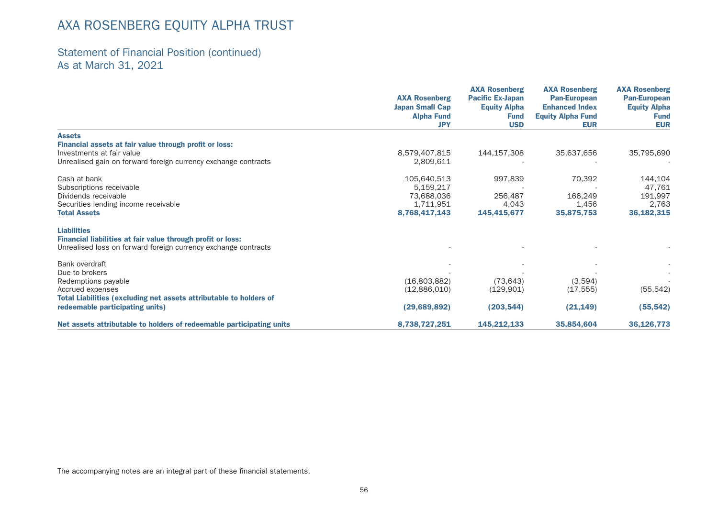## Statement of Financial Position (continued) As at March 31, 2021

|                                                                      | <b>AXA Rosenberg</b><br><b>Japan Small Cap</b><br><b>Alpha Fund</b> | <b>AXA Rosenberg</b><br><b>Pacific Ex-Japan</b><br><b>Equity Alpha</b><br><b>Fund</b> | <b>AXA Rosenberg</b><br><b>Pan-European</b><br><b>Enhanced Index</b><br><b>Equity Alpha Fund</b> | <b>AXA Rosenberg</b><br><b>Pan-European</b><br><b>Equity Alpha</b><br><b>Fund</b> |
|----------------------------------------------------------------------|---------------------------------------------------------------------|---------------------------------------------------------------------------------------|--------------------------------------------------------------------------------------------------|-----------------------------------------------------------------------------------|
|                                                                      | <b>JPY</b>                                                          | <b>USD</b>                                                                            | <b>EUR</b>                                                                                       | <b>EUR</b>                                                                        |
| <b>Assets</b>                                                        |                                                                     |                                                                                       |                                                                                                  |                                                                                   |
| Financial assets at fair value through profit or loss:               |                                                                     |                                                                                       |                                                                                                  |                                                                                   |
| Investments at fair value                                            | 8,579,407,815                                                       | 144,157,308                                                                           | 35,637,656                                                                                       | 35,795,690                                                                        |
| Unrealised gain on forward foreign currency exchange contracts       | 2,809,611                                                           |                                                                                       |                                                                                                  |                                                                                   |
| Cash at bank                                                         | 105,640,513                                                         | 997,839                                                                               | 70,392                                                                                           | 144,104                                                                           |
| Subscriptions receivable                                             | 5,159,217                                                           |                                                                                       |                                                                                                  | 47,761                                                                            |
| Dividends receivable                                                 | 73,688,036                                                          | 256,487                                                                               | 166,249                                                                                          | 191,997                                                                           |
| Securities lending income receivable                                 | 1,711,951                                                           | 4,043                                                                                 | 1,456                                                                                            | 2,763                                                                             |
| <b>Total Assets</b>                                                  | 8,768,417,143                                                       | 145,415,677                                                                           | 35,875,753                                                                                       | 36, 182, 315                                                                      |
| <b>Liabilities</b>                                                   |                                                                     |                                                                                       |                                                                                                  |                                                                                   |
| Financial liabilities at fair value through profit or loss:          |                                                                     |                                                                                       |                                                                                                  |                                                                                   |
| Unrealised loss on forward foreign currency exchange contracts       |                                                                     |                                                                                       |                                                                                                  |                                                                                   |
| Bank overdraft                                                       |                                                                     |                                                                                       |                                                                                                  |                                                                                   |
| Due to brokers                                                       |                                                                     |                                                                                       |                                                                                                  |                                                                                   |
| Redemptions payable                                                  | (16,803,882)                                                        | (73, 643)                                                                             | (3,594)                                                                                          |                                                                                   |
| Accrued expenses                                                     | (12,886,010)                                                        | (129, 901)                                                                            | (17, 555)                                                                                        | (55, 542)                                                                         |
| Total Liabilities (excluding net assets attributable to holders of   |                                                                     |                                                                                       |                                                                                                  |                                                                                   |
| redeemable participating units)                                      | (29, 689, 892)                                                      | (203, 544)                                                                            | (21, 149)                                                                                        | (55, 542)                                                                         |
| Net assets attributable to holders of redeemable participating units | 8,738,727,251                                                       | 145,212,133                                                                           | 35,854,604                                                                                       | 36,126,773                                                                        |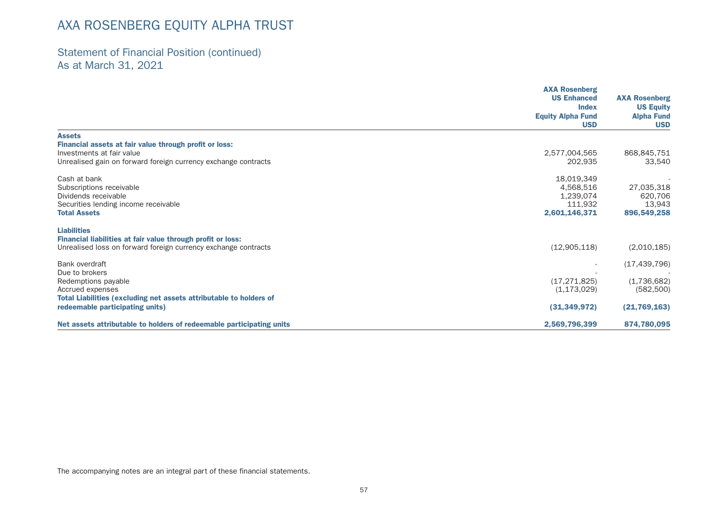## Statement of Financial Position (continued) As at March 31, 2021

|                                                                                                       | <b>AXA Rosenberg</b><br><b>US Enhanced</b> | <b>AXA Rosenberg</b>            |
|-------------------------------------------------------------------------------------------------------|--------------------------------------------|---------------------------------|
|                                                                                                       | <b>Index</b>                               | <b>US Equity</b>                |
|                                                                                                       | <b>Equity Alpha Fund</b><br><b>USD</b>     | <b>Alpha Fund</b><br><b>USD</b> |
| <b>Assets</b>                                                                                         |                                            |                                 |
| Financial assets at fair value through profit or loss:<br>Investments at fair value                   | 2,577,004,565                              | 868,845,751                     |
| Unrealised gain on forward foreign currency exchange contracts                                        | 202,935                                    | 33,540                          |
| Cash at bank                                                                                          | 18,019,349                                 |                                 |
| Subscriptions receivable                                                                              | 4,568,516                                  | 27,035,318                      |
| Dividends receivable                                                                                  | 1,239,074                                  | 620,706                         |
| Securities lending income receivable<br><b>Total Assets</b>                                           | 111.932                                    | 13,943                          |
|                                                                                                       | 2,601,146,371                              | 896,549,258                     |
| <b>Liabilities</b>                                                                                    |                                            |                                 |
| Financial liabilities at fair value through profit or loss:                                           |                                            |                                 |
| Unrealised loss on forward foreign currency exchange contracts                                        | (12,905,118)                               | (2,010,185)                     |
| Bank overdraft                                                                                        |                                            | (17, 439, 796)                  |
| Due to brokers                                                                                        |                                            |                                 |
| Redemptions payable                                                                                   | (17, 271, 825)                             | (1,736,682)                     |
| Accrued expenses                                                                                      | (1, 173, 029)                              | (582, 500)                      |
| Total Liabilities (excluding net assets attributable to holders of<br>redeemable participating units) | (31, 349, 972)                             | (21, 769, 163)                  |
| Net assets attributable to holders of redeemable participating units                                  | 2,569,796,399                              | 874,780,095                     |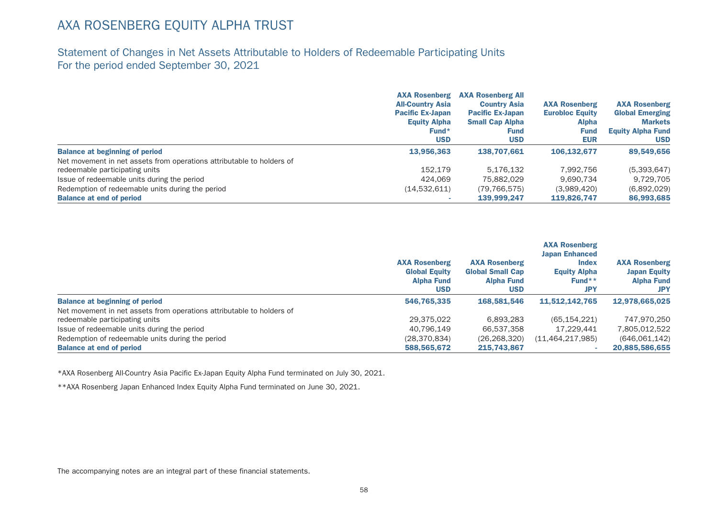## Statement of Changes in Net Assets Attributable to Holders of Redeemable Participating Units For the period ended September 30, 2021

|                                                                       | <b>AXA Rosenberg</b><br><b>All-Country Asia</b><br><b>Pacific Ex-Japan</b><br><b>Equity Alpha</b><br>$Fund*$<br><b>USD</b> | <b>AXA Rosenberg All</b><br><b>Country Asia</b><br><b>Pacific Ex-Japan</b><br><b>Small Cap Alpha</b><br><b>Fund</b><br><b>USD</b> | <b>AXA Rosenberg</b><br><b>Eurobloc Equity</b><br><b>Alpha</b><br><b>Fund</b><br><b>EUR</b> | <b>AXA Rosenberg</b><br><b>Global Emerging</b><br><b>Markets</b><br><b>Equity Alpha Fund</b><br><b>USD</b> |
|-----------------------------------------------------------------------|----------------------------------------------------------------------------------------------------------------------------|-----------------------------------------------------------------------------------------------------------------------------------|---------------------------------------------------------------------------------------------|------------------------------------------------------------------------------------------------------------|
|                                                                       |                                                                                                                            |                                                                                                                                   |                                                                                             |                                                                                                            |
| <b>Balance at beginning of period</b>                                 | 13,956,363                                                                                                                 | 138.707.661                                                                                                                       | 106.132.677                                                                                 | 89,549,656                                                                                                 |
| Net movement in net assets from operations attributable to holders of |                                                                                                                            |                                                                                                                                   |                                                                                             |                                                                                                            |
| redeemable participating units                                        | 152.179                                                                                                                    | 5.176.132                                                                                                                         | 7.992.756                                                                                   | (5,393,647)                                                                                                |
| Issue of redeemable units during the period                           | 424.069                                                                                                                    | 75,882,029                                                                                                                        | 9.690.734                                                                                   | 9,729,705                                                                                                  |
| Redemption of redeemable units during the period                      | (14,532,611)                                                                                                               | (79, 766, 575)                                                                                                                    | (3,989,420)                                                                                 | (6,892,029)                                                                                                |
| <b>Balance at end of period</b>                                       |                                                                                                                            | 139,999.247                                                                                                                       | 119,826.747                                                                                 | 86,993,685                                                                                                 |

|                                                                       | <b>AXA Rosenberg</b><br><b>Global Equity</b><br><b>Alpha Fund</b><br><b>USD</b> | <b>AXA Rosenberg</b><br><b>Global Small Cap</b><br><b>Alpha Fund</b><br><b>USD</b> | <b>AXA Rosenberg</b><br><b>Japan Enhanced</b><br><b>Index</b><br><b>Equity Alpha</b><br>Fund <sup>**</sup><br><b>JPY</b> | <b>AXA Rosenberg</b><br><b>Japan Equity</b><br><b>Alpha Fund</b><br><b>JPY</b> |
|-----------------------------------------------------------------------|---------------------------------------------------------------------------------|------------------------------------------------------------------------------------|--------------------------------------------------------------------------------------------------------------------------|--------------------------------------------------------------------------------|
| <b>Balance at beginning of period</b>                                 | 546,765,335                                                                     | 168,581,546                                                                        | 11,512,142,765                                                                                                           | 12.978.665.025                                                                 |
| Net movement in net assets from operations attributable to holders of |                                                                                 |                                                                                    |                                                                                                                          |                                                                                |
| redeemable participating units                                        | 29.375.022                                                                      | 6.893.283                                                                          | (65, 154, 221)                                                                                                           | 747.970.250                                                                    |
| Issue of redeemable units during the period                           | 40.796.149                                                                      | 66.537.358                                                                         | 17.229.441                                                                                                               | 7.805.012.522                                                                  |
| Redemption of redeemable units during the period                      | (28, 370, 834)                                                                  | (26, 268, 320)                                                                     | (11, 464, 217, 985)                                                                                                      | (646,061,142)                                                                  |
| <b>Balance at end of period</b>                                       | 588,565,672                                                                     | 215,743,867                                                                        |                                                                                                                          | 20,885,586,655                                                                 |

\*AXA Rosenberg All-Country Asia Pacific Ex-Japan Equity Alpha Fund terminated on July 30, 2021.

\*\*AXA Rosenberg Japan Enhanced Index Equity Alpha Fund terminated on June 30, 2021.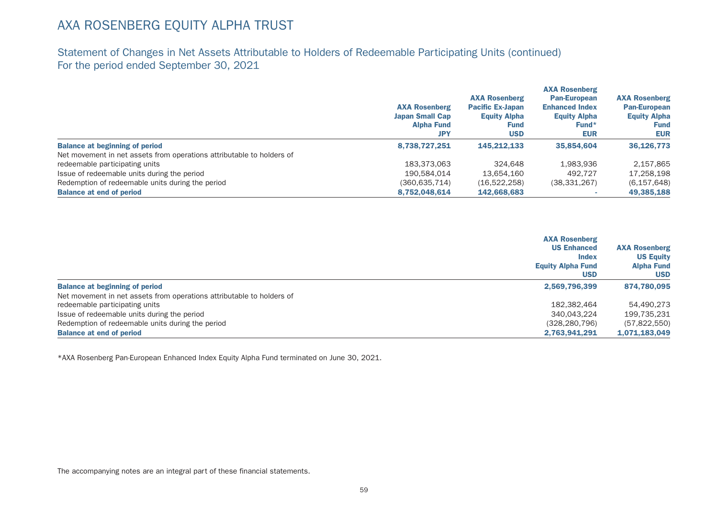Statement of Changes in Net Assets Attributable to Holders of Redeemable Participating Units (continued) For the period ended September 30, 2021

|                                                                       | <b>AXA Rosenberg</b><br><b>Japan Small Cap</b><br><b>Alpha Fund</b><br><b>JPY</b> | <b>AXA Rosenberg</b><br><b>Pacific Ex-Japan</b><br><b>Equity Alpha</b><br>Fund<br><b>USD</b> | <b>AXA Rosenberg</b><br><b>Pan-European</b><br><b>Enhanced Index</b><br><b>Equity Alpha</b><br>Fund*<br><b>EUR</b> | <b>AXA Rosenberg</b><br><b>Pan-European</b><br><b>Equity Alpha</b><br><b>Fund</b><br><b>EUR</b> |
|-----------------------------------------------------------------------|-----------------------------------------------------------------------------------|----------------------------------------------------------------------------------------------|--------------------------------------------------------------------------------------------------------------------|-------------------------------------------------------------------------------------------------|
| <b>Balance at beginning of period</b>                                 | 8,738,727,251                                                                     | 145.212.133                                                                                  | 35,854,604                                                                                                         | 36,126,773                                                                                      |
| Net movement in net assets from operations attributable to holders of |                                                                                   |                                                                                              |                                                                                                                    |                                                                                                 |
| redeemable participating units                                        | 183,373,063                                                                       | 324.648                                                                                      | 1,983,936                                                                                                          | 2,157,865                                                                                       |
| Issue of redeemable units during the period                           | 190.584.014                                                                       | 13.654.160                                                                                   | 492.727                                                                                                            | 17,258,198                                                                                      |
| Redemption of redeemable units during the period                      | (360, 635, 714)                                                                   | (16,522,258)                                                                                 | (38, 331, 267)                                                                                                     | (6, 157, 648)                                                                                   |
| <b>Balance at end of period</b>                                       | 8,752,048,614                                                                     | 142,668,683                                                                                  |                                                                                                                    | 49,385,188                                                                                      |

|                                                                       | <b>AXA Rosenberg</b><br><b>US Enhanced</b><br><b>Index</b> | <b>AXA Rosenberg</b><br><b>US Equity</b> |
|-----------------------------------------------------------------------|------------------------------------------------------------|------------------------------------------|
|                                                                       | <b>Equity Alpha Fund</b><br><b>USD</b>                     | <b>Alpha Fund</b><br><b>USD</b>          |
| <b>Balance at beginning of period</b>                                 | 2,569,796,399                                              | 874,780,095                              |
| Net movement in net assets from operations attributable to holders of |                                                            |                                          |
| redeemable participating units                                        | 182,382,464                                                | 54.490.273                               |
| Issue of redeemable units during the period                           | 340,043,224                                                | 199,735,231                              |
| Redemption of redeemable units during the period                      | (328, 280, 796)                                            | (57,822,550)                             |
| <b>Balance at end of period</b>                                       | 2.763.941.291                                              | 1,071,183,049                            |

\*AXA Rosenberg Pan-European Enhanced Index Equity Alpha Fund terminated on June 30, 2021.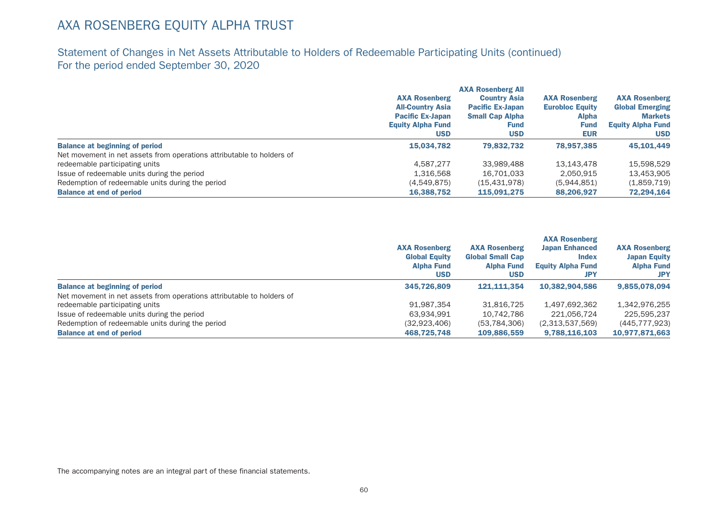## Statement of Changes in Net Assets Attributable to Holders of Redeemable Participating Units (continued) For the period ended September 30, 2020

|                                                                       | <b>AXA Rosenberg</b><br><b>All-Country Asia</b><br><b>Pacific Ex-Japan</b><br><b>Equity Alpha Fund</b><br><b>USD</b> | <b>AXA Rosenberg All</b><br><b>Country Asia</b><br><b>Pacific Ex-Japan</b><br><b>Small Cap Alpha</b><br><b>Fund</b><br><b>USD</b> | <b>AXA Rosenberg</b><br><b>Eurobloc Equity</b><br><b>Alpha</b><br><b>Fund</b><br><b>EUR</b> | <b>AXA Rosenberg</b><br><b>Global Emerging</b><br><b>Markets</b><br><b>Equity Alpha Fund</b><br><b>USD</b> |
|-----------------------------------------------------------------------|----------------------------------------------------------------------------------------------------------------------|-----------------------------------------------------------------------------------------------------------------------------------|---------------------------------------------------------------------------------------------|------------------------------------------------------------------------------------------------------------|
| <b>Balance at beginning of period</b>                                 | 15,034,782                                                                                                           | 79.832.732                                                                                                                        | 78,957,385                                                                                  | 45,101,449                                                                                                 |
| Net movement in net assets from operations attributable to holders of |                                                                                                                      |                                                                                                                                   |                                                                                             |                                                                                                            |
| redeemable participating units                                        | 4.587.277                                                                                                            | 33.989.488                                                                                                                        | 13,143,478                                                                                  | 15,598,529                                                                                                 |
| Issue of redeemable units during the period                           | 1.316.568                                                                                                            | 16.701.033                                                                                                                        | 2.050.915                                                                                   | 13,453,905                                                                                                 |
| Redemption of redeemable units during the period                      | (4,549,875)                                                                                                          | (15, 431, 978)                                                                                                                    | (5,944,851)                                                                                 | (1,859,719)                                                                                                |
| <b>Balance at end of period</b>                                       | 16,388,752                                                                                                           | 115,091,275                                                                                                                       | 88,206,927                                                                                  | 72,294,164                                                                                                 |

|                                                                       | <b>AXA Rosenberg</b><br><b>Global Equity</b><br><b>Alpha Fund</b><br><b>USD</b> | <b>AXA Rosenberg</b><br><b>Global Small Cap</b><br><b>Alpha Fund</b><br><b>USD</b> | <b>AXA Rosenberg</b><br><b>Japan Enhanced</b><br><b>Index</b><br><b>Equity Alpha Fund</b><br><b>JPY</b> | <b>AXA Rosenberg</b><br><b>Japan Equity</b><br><b>Alpha Fund</b><br><b>JPY</b> |
|-----------------------------------------------------------------------|---------------------------------------------------------------------------------|------------------------------------------------------------------------------------|---------------------------------------------------------------------------------------------------------|--------------------------------------------------------------------------------|
| <b>Balance at beginning of period</b>                                 | 345,726,809                                                                     | 121.111.354                                                                        | 10.382.904.586                                                                                          | 9.855.078.094                                                                  |
| Net movement in net assets from operations attributable to holders of |                                                                                 |                                                                                    |                                                                                                         |                                                                                |
| redeemable participating units                                        | 91.987.354                                                                      | 31,816,725                                                                         | 1,497,692,362                                                                                           | 1,342,976,255                                                                  |
| Issue of redeemable units during the period                           | 63,934,991                                                                      | 10.742.786                                                                         | 221.056.724                                                                                             | 225,595,237                                                                    |
| Redemption of redeemable units during the period                      | (32,923,406)                                                                    | (53, 784, 306)                                                                     | (2,313,537,569)                                                                                         | (445, 777, 923)                                                                |
| <b>Balance at end of period</b>                                       | 468.725.748                                                                     | 109,886,559                                                                        | 9.788.116.103                                                                                           | 10.977.871.663                                                                 |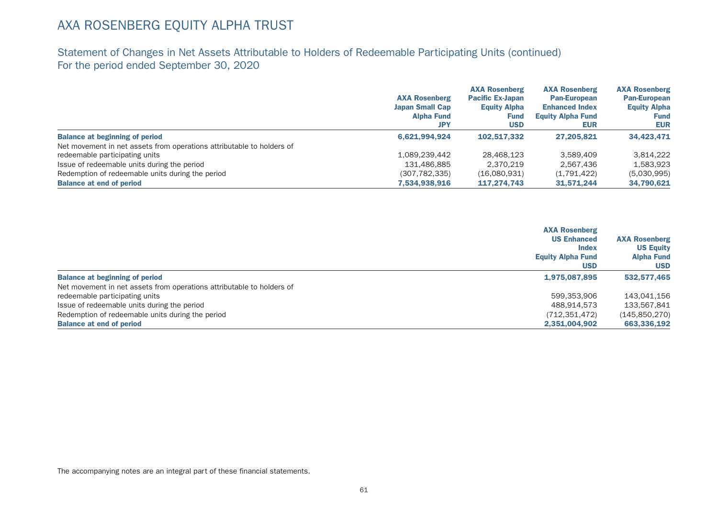## Statement of Changes in Net Assets Attributable to Holders of Redeemable Participating Units (continued) For the period ended September 30, 2020

|                                                                       |                        | <b>AXA Rosenberg</b>    | <b>AXA Rosenberg</b>     | <b>AXA Rosenberg</b> |
|-----------------------------------------------------------------------|------------------------|-------------------------|--------------------------|----------------------|
|                                                                       | <b>AXA Rosenberg</b>   | <b>Pacific Ex-Japan</b> | <b>Pan-European</b>      | <b>Pan-European</b>  |
|                                                                       | <b>Japan Small Cap</b> | <b>Equity Alpha</b>     | <b>Enhanced Index</b>    | <b>Equity Alpha</b>  |
|                                                                       | <b>Alpha Fund</b>      | Fund                    | <b>Equity Alpha Fund</b> | Fund                 |
|                                                                       | <b>JPY</b>             | <b>USD</b>              | <b>EUR</b>               | <b>EUR</b>           |
| <b>Balance at beginning of period</b>                                 | 6.621.994.924          | 102.517.332             | 27.205.821               | 34,423,471           |
| Net movement in net assets from operations attributable to holders of |                        |                         |                          |                      |
| redeemable participating units                                        | 1,089,239,442          | 28,468,123              | 3.589.409                | 3.814.222            |
| Issue of redeemable units during the period                           | 131,486,885            | 2.370.219               | 2.567.436                | 1,583,923            |
| Redemption of redeemable units during the period                      | (307, 782, 335)        | (16,080,931)            | (1,791,422)              | (5,030,995)          |
| <b>Balance at end of period</b>                                       | 7,534,938,916          | 117.274.743             | 31,571,244               | 34,790,621           |

|                                                                       | <b>AXA Rosenberg</b><br><b>US Enhanced</b><br><b>Index</b><br><b>Equity Alpha Fund</b><br><b>USD</b> | <b>AXA Rosenberg</b><br><b>US Equity</b><br><b>Alpha Fund</b><br><b>USD</b> |
|-----------------------------------------------------------------------|------------------------------------------------------------------------------------------------------|-----------------------------------------------------------------------------|
| <b>Balance at beginning of period</b>                                 | 1,975,087,895                                                                                        | 532,577,465                                                                 |
| Net movement in net assets from operations attributable to holders of |                                                                                                      |                                                                             |
| redeemable participating units                                        | 599,353,906                                                                                          | 143.041.156                                                                 |
| Issue of redeemable units during the period                           | 488,914,573                                                                                          | 133,567,841                                                                 |
| Redemption of redeemable units during the period                      | (712, 351, 472)                                                                                      | (145,850,270)                                                               |
| <b>Balance at end of period</b>                                       | 2,351,004,902                                                                                        | 663,336,192                                                                 |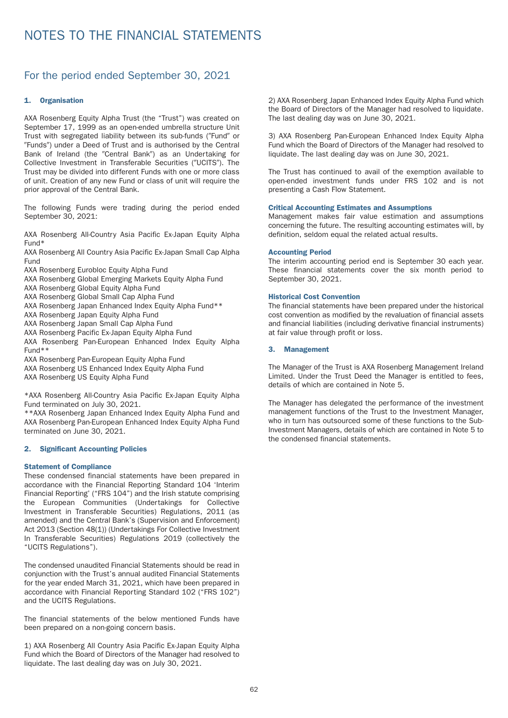## For the period ended September 30, 2021

#### 1. Organisation

AXA Rosenberg Equity Alpha Trust (the "Trust") was created on September 17, 1999 as an open-ended umbrella structure Unit Trust with segregated liability between its sub-funds ("Fund" or "Funds") under a Deed of Trust and is authorised by the Central Bank of Ireland (the "Central Bank") as an Undertaking for Collective Investment in Transferable Securities ("UCITS"). The Trust may be divided into different Funds with one or more class of unit. Creation of any new Fund or class of unit will require the prior approval of the Central Bank.

The following Funds were trading during the period ended September 30, 2021:

AXA Rosenberg All-Country Asia Pacific Ex-Japan Equity Alpha Fund\*

AXA Rosenberg All Country Asia Pacific Ex-Japan Small Cap Alpha Fund

- AXA Rosenberg Eurobloc Equity Alpha Fund
- AXA Rosenberg Global Emerging Markets Equity Alpha Fund
- AXA Rosenberg Global Equity Alpha Fund
- AXA Rosenberg Global Small Cap Alpha Fund
- AXA Rosenberg Japan Enhanced Index Equity Alpha Fund\*\*
- AXA Rosenberg Japan Equity Alpha Fund
- AXA Rosenberg Japan Small Cap Alpha Fund
- AXA Rosenberg Pacific Ex-Japan Equity Alpha Fund
- AXA Rosenberg Pan-European Enhanced Index Equity Alpha Fund\*\*
- AXA Rosenberg Pan-European Equity Alpha Fund
- AXA Rosenberg US Enhanced Index Equity Alpha Fund
- AXA Rosenberg US Equity Alpha Fund

\*AXA Rosenberg All-Country Asia Pacific Ex-Japan Equity Alpha Fund terminated on July 30, 2021.

\*\*AXA Rosenberg Japan Enhanced Index Equity Alpha Fund and AXA Rosenberg Pan-European Enhanced Index Equity Alpha Fund terminated on June 30, 2021.

#### 2. Significant Accounting Policies

#### Statement of Compliance

These condensed financial statements have been prepared in accordance with the Financial Reporting Standard 104 'Interim Financial Reporting' ("FRS 104") and the Irish statute comprising the European Communities (Undertakings for Collective Investment in Transferable Securities) Regulations, 2011 (as amended) and the Central Bank's (Supervision and Enforcement) Act 2013 (Section 48(1)) (Under takings For Collective Investment In Transferable Securities) Regulations 2019 (collectively the "UCITS Regulations").

The condensed unaudited Financial Statements should be read in conjunction with the Trust's annual audited Financial Statements for the year ended March 31, 2021, which have been prepared in accordance with Financial Reporting Standard 102 ("FRS 102") and the UCITS Regulations.

The financial statements of the below mentioned Funds have been prepared on a non-going concern basis.

1) AXA Rosenberg All Country Asia Pacific Ex-Japan Equity Alpha Fund which the Board of Directors of the Manager had resolved to liquidate. The last dealing day was on July 30, 2021.

2) AXA Rosenberg Japan Enhanced Index Equity Alpha Fund which the Board of Directors of the Manager had resolved to liquidate. The last dealing day was on June 30, 2021.

3) AXA Rosenberg Pan-European Enhanced Index Equity Alpha Fund which the Board of Directors of the Manager had resolved to liquidate. The last dealing day was on June 30, 2021.

The Trust has continued to avail of the exemption available to open-ended investment funds under FRS 102 and is not presenting a Cash Flow Statement.

#### Critical Accounting Estimates and Assumptions

Management makes fair value estimation and assumptions concerning the future. The resulting accounting estimates will, by definition, seldom equal the related actual results.

#### Accounting Period

The interim accounting period end is September 30 each year. These financial statements cover the six month period to September 30, 2021.

#### Historical Cost Convention

The financial statements have been prepared under the historical cost convention as modified by the revaluation of financial assets and financial liabilities (including derivative financial instruments) at fair value through profit or loss.

#### 3. Management

The Manager of the Trust is AXA Rosenberg Management Ireland Limited. Under the Trust Deed the Manager is entitled to fees, details of which are contained in Note 5.

The Manager has delegated the per formance of the investment management functions of the Trust to the Investment Manager, who in turn has outsourced some of these functions to the Sub-Investment Managers, details of which are contained in Note 5 to the condensed financial statements.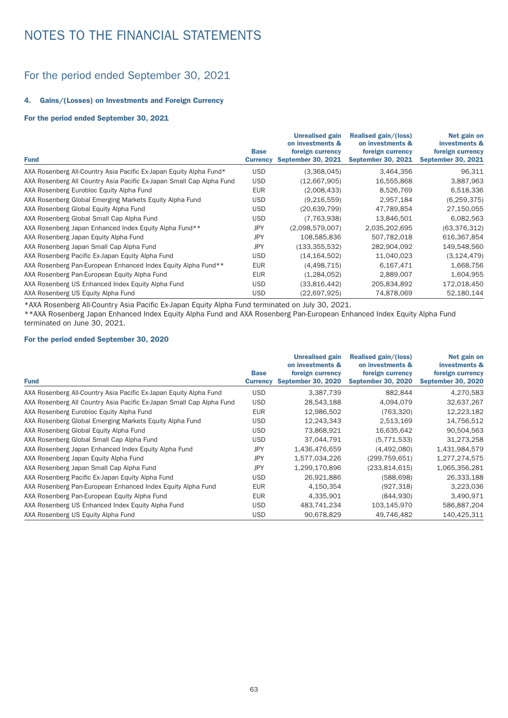## For the period ended September 30, 2021

#### 4. Gains/(Losses) on Investments and Foreign Currency

#### For the period ended September 30, 2021

|                                                                      |                                | <b>Unrealised gain</b><br>on investments &    | Realised gain/(loss)<br>on investments &      | Net gain on<br>investments &                  |
|----------------------------------------------------------------------|--------------------------------|-----------------------------------------------|-----------------------------------------------|-----------------------------------------------|
| <b>Fund</b>                                                          | <b>Base</b><br><b>Currency</b> | foreign currency<br><b>September 30, 2021</b> | foreign currency<br><b>September 30, 2021</b> | foreign currency<br><b>September 30, 2021</b> |
| AXA Rosenberg All-Country Asia Pacific Ex-Japan Equity Alpha Fund*   | <b>USD</b>                     | (3,368,045)                                   | 3,464,356                                     | 96,311                                        |
| AXA Rosenberg All Country Asia Pacific Ex-Japan Small Cap Alpha Fund | <b>USD</b>                     | (12,667,905)                                  | 16,555,868                                    | 3,887,963                                     |
| AXA Rosenberg Eurobloc Equity Alpha Fund                             | <b>EUR</b>                     | (2,008,433)                                   | 8.526.769                                     | 6,518,336                                     |
| AXA Rosenberg Global Emerging Markets Equity Alpha Fund              | <b>USD</b>                     | (9,216,559)                                   | 2,957,184                                     | (6, 259, 375)                                 |
| AXA Rosenberg Global Equity Alpha Fund                               | <b>USD</b>                     | (20, 639, 799)                                | 47,789,854                                    | 27,150,055                                    |
| AXA Rosenberg Global Small Cap Alpha Fund                            | <b>USD</b>                     | (7,763,938)                                   | 13,846,501                                    | 6,082,563                                     |
| AXA Rosenberg Japan Enhanced Index Equity Alpha Fund**               | <b>JPY</b>                     | (2,098,579,007)                               | 2,035,202,695                                 | (63, 376, 312)                                |
| AXA Rosenberg Japan Equity Alpha Fund                                | <b>JPY</b>                     | 108,585,836                                   | 507,782,018                                   | 616,367,854                                   |
| AXA Rosenberg Japan Small Cap Alpha Fund                             | JPY                            | (133, 355, 532)                               | 282,904,092                                   | 149,548,560                                   |
| AXA Rosenberg Pacific Ex-Japan Equity Alpha Fund                     | <b>USD</b>                     | (14, 164, 502)                                | 11,040,023                                    | (3, 124, 479)                                 |
| AXA Rosenberg Pan-European Enhanced Index Equity Alpha Fund**        | <b>EUR</b>                     | (4,498,715)                                   | 6,167,471                                     | 1,668,756                                     |
| AXA Rosenberg Pan-European Equity Alpha Fund                         | <b>EUR</b>                     | (1,284,052)                                   | 2,889,007                                     | 1,604,955                                     |
| AXA Rosenberg US Enhanced Index Equity Alpha Fund                    | <b>USD</b>                     | (33,816,442)                                  | 205,834,892                                   | 172,018,450                                   |
| AXA Rosenberg US Equity Alpha Fund                                   | <b>USD</b>                     | (22,697,925)                                  | 74,878,069                                    | 52,180,144                                    |

\*AXA Rosenberg All-Country Asia Pacific Ex-Japan Equity Alpha Fund terminated on July 30, 2021.

\*\*AXA Rosenberg Japan Enhanced Index Equity Alpha Fund and AXA Rosenberg Pan-European Enhanced Index Equity Alpha Fund terminated on June 30, 2021.

#### For the period ended September 30, 2020

|                                                                      |                                | <b>Unrealised gain</b><br>on investments &    | Realised gain/(loss)<br>on investments &      | Net gain on<br>investments &                  |
|----------------------------------------------------------------------|--------------------------------|-----------------------------------------------|-----------------------------------------------|-----------------------------------------------|
| <b>Fund</b>                                                          | <b>Base</b><br><b>Currency</b> | foreign currency<br><b>September 30, 2020</b> | foreign currency<br><b>September 30, 2020</b> | foreign currency<br><b>September 30, 2020</b> |
| AXA Rosenberg All-Country Asia Pacific Ex-Japan Equity Alpha Fund    | <b>USD</b>                     | 3,387,739                                     | 882.844                                       | 4,270,583                                     |
| AXA Rosenberg All Country Asia Pacific Ex-Japan Small Cap Alpha Fund | <b>USD</b>                     | 28,543,188                                    | 4,094,079                                     | 32,637,267                                    |
| AXA Rosenberg Eurobloc Equity Alpha Fund                             | <b>EUR</b>                     | 12.986.502                                    | (763.320)                                     | 12,223,182                                    |
| AXA Rosenberg Global Emerging Markets Equity Alpha Fund              | <b>USD</b>                     | 12,243,343                                    | 2,513,169                                     | 14,756,512                                    |
| AXA Rosenberg Global Equity Alpha Fund                               | <b>USD</b>                     | 73,868,921                                    | 16,635,642                                    | 90,504,563                                    |
| AXA Rosenberg Global Small Cap Alpha Fund                            | <b>USD</b>                     | 37.044.791                                    | (5,771,533)                                   | 31,273,258                                    |
| AXA Rosenberg Japan Enhanced Index Equity Alpha Fund                 | <b>JPY</b>                     | 1,436,476,659                                 | (4,492,080)                                   | 1,431,984,579                                 |
| AXA Rosenberg Japan Equity Alpha Fund                                | <b>JPY</b>                     | 1,577,034,226                                 | (299, 759, 651)                               | 1,277,274,575                                 |
| AXA Rosenberg Japan Small Cap Alpha Fund                             | <b>JPY</b>                     | 1,299,170,896                                 | (233, 814, 615)                               | 1,065,356,281                                 |
| AXA Rosenberg Pacific Ex-Japan Equity Alpha Fund                     | <b>USD</b>                     | 26,921,886                                    | (588, 698)                                    | 26,333,188                                    |
| AXA Rosenberg Pan-European Enhanced Index Equity Alpha Fund          | <b>EUR</b>                     | 4,150,354                                     | (927, 318)                                    | 3,223,036                                     |
| AXA Rosenberg Pan-European Equity Alpha Fund                         | <b>EUR</b>                     | 4,335,901                                     | (844, 930)                                    | 3,490,971                                     |
| AXA Rosenberg US Enhanced Index Equity Alpha Fund                    | <b>USD</b>                     | 483.741.234                                   | 103,145,970                                   | 586,887,204                                   |
| AXA Rosenberg US Equity Alpha Fund                                   | <b>USD</b>                     | 90.678.829                                    | 49.746.482                                    | 140,425,311                                   |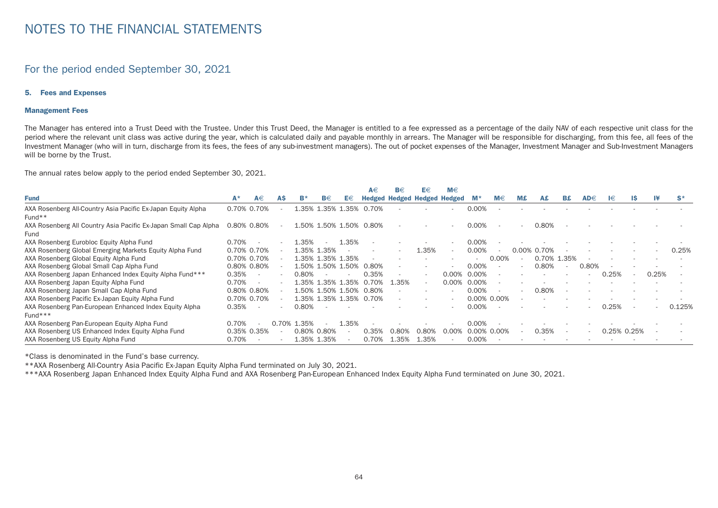### For the period ended September 30, 2021

#### 5. Fees and Expenses

#### Management Fees

The Manager has entered into a Trust Deed with the Trustee. Under this Trust Deed, the Manager is entitled to a fee expressed as a percentage of the daily NAV of each respective unit class for the period where the relevant unit class was active during the year, which is calculated daily and payable monthly in arrears. The Manager will be responsible for discharging, from this fee, all fees of the Investment Manager (who will in turn, discharge from its fees, the fees of any sub-investment managers). The out of pocket expenses of the Manager, Investment Manager and Sub-Investment Managers will be borne by the Trust.

The annual rates below apply to the period ended September 30, 2021.

|                                                                 |       |                          |       |       |                   |                          | A€    | B€                                 | E€                       | M€     |                |                          |       |             |                          |          |                |     |       |        |
|-----------------------------------------------------------------|-------|--------------------------|-------|-------|-------------------|--------------------------|-------|------------------------------------|--------------------------|--------|----------------|--------------------------|-------|-------------|--------------------------|----------|----------------|-----|-------|--------|
| <b>Fund</b>                                                     | $A^*$ | A€                       | AS    | в۰    | $B \in$           | E€                       |       | <b>Hedged Hedged Hedged Hedged</b> |                          |        | - M            | M€                       | M£    | A£          | B£.                      | $AD \in$ | Ι€             | IS. | Ι¥    | 'S*    |
| AXA Rosenberg All-Country Asia Pacific Ex-Japan Equity Alpha    |       | 0.70% 0.70%              |       | .35%  | 1.35% 1.35%       |                          | 0.70% |                                    |                          |        | 0.00%          |                          |       |             |                          |          |                |     |       |        |
| Fund <sup>**</sup>                                              |       |                          |       |       |                   |                          |       |                                    |                          |        |                |                          |       |             |                          |          |                |     |       |        |
| AXA Rosenberg All Country Asia Pacific Ex-Japan Small Cap Alpha |       | 0.80% 0.80%              |       |       | 1.50% 1.50% 1.50% |                          | 0.80% |                                    |                          |        | 0.00%          | $\overline{\phantom{a}}$ |       | 0.80%       |                          |          |                |     |       |        |
| Fund                                                            |       |                          |       |       |                   |                          |       |                                    |                          |        |                |                          |       |             |                          |          |                |     |       |        |
| AXA Rosenberg Eurobloc Equity Alpha Fund                        | 0.70% |                          |       | .35%  |                   | 1.35%                    |       |                                    |                          |        | 0.00%          |                          |       |             |                          |          |                |     |       |        |
| AXA Rosenberg Global Emerging Markets Equity Alpha Fund         |       | 0.70% 0.70%              |       |       | 35% 1.35%         |                          |       |                                    | 1.35%                    | $\sim$ | 0.00%          | $\overline{\phantom{a}}$ | 0.00% | 0.70%       |                          |          |                |     |       | 0.25%  |
| AXA Rosenberg Global Equity Alpha Fund                          |       | 0.70% 0.70%              |       |       | 1.35% 1.35% 1.35% |                          |       |                                    |                          |        | $\sim$         | 0.00%                    |       | 0.70% 1.35% |                          |          |                |     |       |        |
| AXA Rosenberg Global Small Cap Alpha Fund                       |       | 0.80% 0.80%              |       |       | 1.50% 1.50% 1.50% |                          | 0.80% |                                    |                          |        | 0.00%          | $\overline{\phantom{a}}$ |       | 0.80%       | $\overline{\phantom{0}}$ | 0.80%    |                |     |       |        |
| AXA Rosenberg Japan Enhanced Index Equity Alpha Fund***         | 0.35% | $\overline{\phantom{a}}$ |       | 0.80% |                   |                          | 0.35% |                                    | $\overline{\phantom{a}}$ | 0.00%  | 0.00%          |                          |       |             |                          |          | 0.25%          |     | 0.25% |        |
| AXA Rosenberg Japan Equity Alpha Fund                           | 0.70% |                          |       |       | 1.35% 1.35% 1.35% |                          | 0.70% | 1.35%                              | $\overline{\phantom{0}}$ | 0.00%  | 0.00%          |                          |       |             |                          |          |                |     |       |        |
| AXA Rosenberg Japan Small Cap Alpha Fund                        |       | 0.80% 0.80%              |       |       | 1.50% 1.50% 1.50% |                          | 0.80% |                                    | $\overline{\phantom{a}}$ |        | 0.00%          |                          |       | 0.80%       |                          |          |                |     |       |        |
| AXA Rosenberg Pacific Ex-Japan Equity Alpha Fund                |       | 0.70% 0.70%              |       |       | 1.35% 1.35% 1.35% |                          | 0.70% |                                    |                          |        | $0.00\%$ 0.00% |                          |       |             |                          |          |                |     |       |        |
| AXA Rosenberg Pan-European Enhanced Index Equity Alpha          | 0.35% |                          |       | 0.80% |                   |                          |       |                                    |                          |        | 0.00%          |                          |       |             |                          |          | 0.25%          |     |       | 0.125% |
| $Fund***$                                                       |       |                          |       |       |                   |                          |       |                                    |                          |        |                |                          |       |             |                          |          |                |     |       |        |
| AXA Rosenberg Pan-European Equity Alpha Fund                    | 0.70% |                          | 0.70% | .35%  |                   | 35%                      |       |                                    |                          |        | $0.00\%$       |                          |       |             |                          |          |                |     |       |        |
| AXA Rosenberg US Enhanced Index Equity Alpha Fund               |       | 0.35% 0.35%              |       |       | 0.80% 0.80%       |                          | 0.35% | 0.80%                              | 0.80%                    |        | 0.00% 0.00%    |                          |       | 0.35%       |                          |          | $0.25\%$ 0.25% |     |       |        |
| AXA Rosenberg US Equity Alpha Fund                              | 0.70% |                          |       |       | 1.35% 1.35%       | $\overline{\phantom{a}}$ | 0.70% | 1.35%                              | 1.35%                    |        | 0.00%          |                          |       |             |                          |          |                |     |       |        |

\*Class is denominated in the Fund's base currency.

\*\*AXA Rosenberg All-Country Asia Pacific Ex-Japan Equity Alpha Fund terminated on July 30, 2021.

\*\*\*AXA Rosenberg Japan Enhanced Index Equity Alpha Fund and AXA Rosenberg Pan-European Enhanced Index Equity Alpha Fund terminated on June 30, 2021.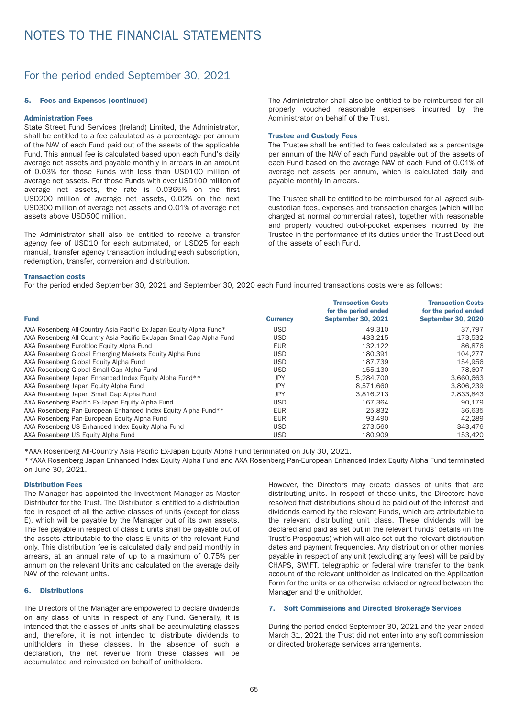## For the period ended September 30, 2021

#### 5. Fees and Expenses (continued)

#### Administration Fees

State Street Fund Services (Ireland) Limited, the Administrator, shall be entitled to a fee calculated as a percentage per annum of the NAV of each Fund paid out of the assets of the applicable Fund. This annual fee is calculated based upon each Fund's daily average net assets and payable monthly in arrears in an amount of 0.03% for those Funds with less than USD100 million of average net assets. For those Funds with over USD100 million of average net assets, the rate is 0.0365% on the first USD200 million of average net assets, 0.02% on the next USD300 million of average net assets and 0.01% of average net assets above USD500 million.

The Administrator shall also be entitled to receive a transfer agency fee of USD10 for each automated, or USD25 for each manual, transfer agency transaction including each subscription, redemption, transfer, conversion and distribution.

The Administrator shall also be entitled to be reimbursed for all properly vouched reasonable expenses incurred by the Administrator on behalf of the Trust.

#### Trustee and Custody Fees

The Trustee shall be entitled to fees calculated as a percentage per annum of the NAV of each Fund payable out of the assets of each Fund based on the average NAV of each Fund of 0.01% of average net assets per annum, which is calculated daily and payable monthly in arrears.

The Trustee shall be entitled to be reimbursed for all agreed subcustodian fees, expenses and transaction charges (which will be charged at normal commercial rates), together with reasonable and properly vouched out-of-pocket expenses incurred by the Trustee in the performance of its duties under the Trust Deed out of the assets of each Fund.

#### Transaction costs

For the period ended September 30, 2021 and September 30, 2020 each Fund incurred transactions costs were as follows:

|                                                                      |                 | <b>Transaction Costs</b><br>for the period ended | <b>Transaction Costs</b><br>for the period ended |
|----------------------------------------------------------------------|-----------------|--------------------------------------------------|--------------------------------------------------|
| <b>Fund</b>                                                          | <b>Currency</b> | <b>September 30, 2021</b>                        | <b>September 30, 2020</b>                        |
| AXA Rosenberg All-Country Asia Pacific Ex-Japan Equity Alpha Fund*   | <b>USD</b>      | 49.310                                           | 37.797                                           |
| AXA Rosenberg All Country Asia Pacific Ex-Japan Small Cap Alpha Fund | <b>USD</b>      | 433.215                                          | 173,532                                          |
| AXA Rosenberg Eurobloc Equity Alpha Fund                             | <b>EUR</b>      | 132.122                                          | 86,876                                           |
| AXA Rosenberg Global Emerging Markets Equity Alpha Fund              | <b>USD</b>      | 180.391                                          | 104.277                                          |
| AXA Rosenberg Global Equity Alpha Fund                               | <b>USD</b>      | 187.739                                          | 154.956                                          |
| AXA Rosenberg Global Small Cap Alpha Fund                            | <b>USD</b>      | 155.130                                          | 78.607                                           |
| AXA Rosenberg Japan Enhanced Index Equity Alpha Fund**               | <b>JPY</b>      | 5.284.700                                        | 3,660,663                                        |
| AXA Rosenberg Japan Equity Alpha Fund                                | <b>JPY</b>      | 8.571.660                                        | 3,806,239                                        |
| AXA Rosenberg Japan Small Cap Alpha Fund                             | JPY             | 3.816.213                                        | 2,833,843                                        |
| AXA Rosenberg Pacific Ex-Japan Equity Alpha Fund                     | <b>USD</b>      | 167,364                                          | 90,179                                           |
| AXA Rosenberg Pan-European Enhanced Index Equity Alpha Fund**        | <b>EUR</b>      | 25,832                                           | 36.635                                           |
| AXA Rosenberg Pan-European Equity Alpha Fund                         | <b>EUR</b>      | 93.490                                           | 42.289                                           |
| AXA Rosenberg US Enhanced Index Equity Alpha Fund                    | <b>USD</b>      | 273,560                                          | 343,476                                          |
| AXA Rosenberg US Equity Alpha Fund                                   | <b>USD</b>      | 180.909                                          | 153,420                                          |

\*AXA Rosenberg All-Country Asia Pacific Ex-Japan Equity Alpha Fund terminated on July 30, 2021.

\*\*AXA Rosenberg Japan Enhanced Index Equity Alpha Fund and AXA Rosenberg Pan-European Enhanced Index Equity Alpha Fund terminated on June 30, 2021.

#### Distribution Fees

The Manager has appointed the Investment Manager as Master Distributor for the Trust. The Distributor is entitled to a distribution fee in respect of all the active classes of units (except for class E), which will be payable by the Manager out of its own assets. The fee payable in respect of class E units shall be payable out of the assets attributable to the class E units of the relevant Fund only. This distribution fee is calculated daily and paid monthly in arrears, at an annual rate of up to a maximum of 0.75% per annum on the relevant Units and calculated on the average daily NAV of the relevant units.

#### 6. Distributions

The Directors of the Manager are empowered to declare dividends on any class of units in respect of any Fund. Generally, it is intended that the classes of units shall be accumulating classes and, therefore, it is not intended to distribute dividends to unitholders in these classes. In the absence of such a declaration, the net revenue from these classes will be accumulated and reinvested on behalf of unitholders.

However, the Directors may create classes of units that are distributing units. In respect of these units, the Directors have resolved that distributions should be paid out of the interest and dividends earned by the relevant Funds, which are attributable to the relevant distributing unit class. These dividends will be declared and paid as set out in the relevant Funds' details (in the Trust's Prospectus) which will also set out the relevant distribution dates and payment frequencies. Any distribution or other monies payable in respect of any unit (excluding any fees) will be paid by CHAPS, SWIFT, telegraphic or federal wire transfer to the bank account of the relevant unitholder as indicated on the Application Form for the units or as otherwise advised or agreed between the Manager and the unitholder.

#### 7. Soft Commissions and Directed Brokerage Services

During the period ended September 30, 2021 and the year ended March 31, 2021 the Trust did not enter into any soft commission or directed brokerage services arrangements.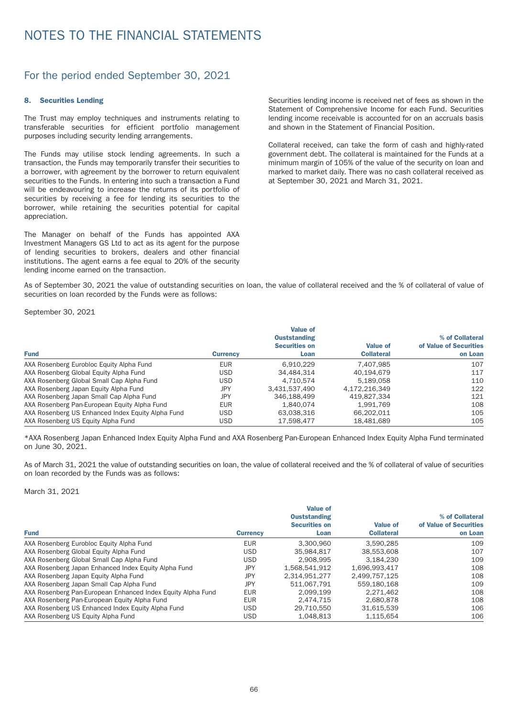## For the period ended September 30, 2021

#### 8. Securities Lending

The Trust may employ techniques and instruments relating to transferable securities for efficient por tfolio management purposes including security lending arrangements.

The Funds may utilise stock lending agreements. In such a transaction, the Funds may temporarily transfer their securities to a borrower, with agreement by the borrower to return equivalent securities to the Funds. In entering into such a transaction a Fund will be endeavouring to increase the returns of its portfolio of securities by receiving a fee for lending its securities to the borrower, while retaining the securities potential for capital appreciation.

The Manager on behalf of the Funds has appointed AXA Investment Managers GS Ltd to act as its agent for the purpose of lending securities to brokers, dealers and other financial institutions. The agent earns a fee equal to 20% of the security lending income earned on the transaction.

Securities lending income is received net of fees as shown in the Statement of Comprehensive Income for each Fund. Securities lending income receivable is accounted for on an accruals basis and shown in the Statement of Financial Position.

Collateral received, can take the form of cash and highly-rated government debt. The collateral is maintained for the Funds at a minimum margin of 105% of the value of the security on loan and marked to market daily. There was no cash collateral received as at September 30, 2021 and March 31, 2021.

As of September 30, 2021 the value of outstanding securities on loan, the value of collateral received and the % of collateral of value of securities on loan recorded by the Funds were as follows:

September 30, 2021

| <b>Fund</b>                                       | <b>Currency</b> | <b>Value of</b><br><b>Ouststanding</b><br><b>Securities on</b><br>Loan | <b>Value of</b><br><b>Collateral</b> | % of Collateral<br>of Value of Securities<br>on Loan |
|---------------------------------------------------|-----------------|------------------------------------------------------------------------|--------------------------------------|------------------------------------------------------|
| AXA Rosenberg Eurobloc Equity Alpha Fund          | <b>EUR</b>      | 6.910.229                                                              | 7.407.985                            | 107                                                  |
| AXA Rosenberg Global Equity Alpha Fund            | <b>USD</b>      | 34,484,314                                                             | 40.194.679                           | 117                                                  |
| AXA Rosenberg Global Small Cap Alpha Fund         | <b>USD</b>      | 4.710.574                                                              | 5.189.058                            | 110                                                  |
| AXA Rosenberg Japan Equity Alpha Fund             | JPY             | 3.431.537.490                                                          | 4.172.216.349                        | 122                                                  |
| AXA Rosenberg Japan Small Cap Alpha Fund          | JPY             | 346,188,499                                                            | 419.827.334                          | 121                                                  |
| AXA Rosenberg Pan-European Equity Alpha Fund      | <b>EUR</b>      | 1.840.074                                                              | 1.991.769                            | 108                                                  |
| AXA Rosenberg US Enhanced Index Equity Alpha Fund | <b>USD</b>      | 63.038.316                                                             | 66.202.011                           | 105                                                  |
| AXA Rosenberg US Equity Alpha Fund                | <b>USD</b>      | 17,598,477                                                             | 18,481,689                           | 105                                                  |

\*AXA Rosenberg Japan Enhanced Index Equity Alpha Fund and AXA Rosenberg Pan-European Enhanced Index Equity Alpha Fund terminated on June 30, 2021.

As of March 31, 2021 the value of outstanding securities on loan, the value of collateral received and the % of collateral of value of securities on loan recorded by the Funds was as follows:

March 31, 2021

| <b>Fund</b>                                                 | <b>Currency</b> | <b>Value of</b><br><b>Ouststanding</b><br><b>Securities on</b><br>Loan | <b>Value of</b><br><b>Collateral</b> | % of Collateral<br>of Value of Securities<br>on Loan |
|-------------------------------------------------------------|-----------------|------------------------------------------------------------------------|--------------------------------------|------------------------------------------------------|
| AXA Rosenberg Eurobloc Equity Alpha Fund                    | <b>EUR</b>      | 3.300.960                                                              | 3.590.285                            | 109                                                  |
| AXA Rosenberg Global Equity Alpha Fund                      | <b>USD</b>      | 35.984.817                                                             | 38,553,608                           | 107                                                  |
| AXA Rosenberg Global Small Cap Alpha Fund                   | <b>USD</b>      | 2.908.995                                                              | 3.184.230                            | 109                                                  |
| AXA Rosenberg Japan Enhanced Index Equity Alpha Fund        | JPY             | 1.568.541.912                                                          | 1.696.993.417                        | 108                                                  |
| AXA Rosenberg Japan Equity Alpha Fund                       | JPY             | 2.314.951.277                                                          | 2.499.757.125                        | 108                                                  |
| AXA Rosenberg Japan Small Cap Alpha Fund                    | JPY             | 511.067.791                                                            | 559.180.168                          | 109                                                  |
| AXA Rosenberg Pan-European Enhanced Index Equity Alpha Fund | <b>EUR</b>      | 2.099.199                                                              | 2.271.462                            | 108                                                  |
| AXA Rosenberg Pan-European Equity Alpha Fund                | <b>EUR</b>      | 2.474.715                                                              | 2.680.878                            | 108                                                  |
| AXA Rosenberg US Enhanced Index Equity Alpha Fund           | <b>USD</b>      | 29.710.550                                                             | 31.615.539                           | 106                                                  |
| AXA Rosenberg US Equity Alpha Fund                          | <b>USD</b>      | 1.048.813                                                              | 1.115.654                            | 106                                                  |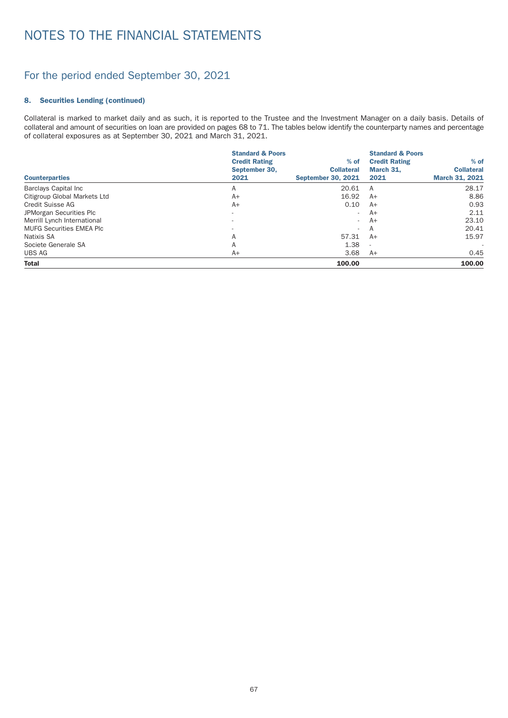## For the period ended September 30, 2021

#### 8. Securities Lending (continued)

Collateral is marked to market daily and as such, it is reported to the Trustee and the Investment Manager on a daily basis. Details of collateral and amount of securities on loan are provided on pages 68 to 71. The tables below identify the counterparty names and percentage of collateral exposures as at September 30, 2021 and March 31, 2021.

| <b>Counterparties</b>           | <b>Standard &amp; Poors</b><br><b>Credit Rating</b><br>September 30,<br>2021 | $%$ of<br><b>Collateral</b><br><b>September 30, 2021</b> | <b>Standard &amp; Poors</b><br><b>Credit Rating</b><br>March 31.<br>2021 | $%$ of<br><b>Collateral</b><br><b>March 31, 2021</b> |
|---------------------------------|------------------------------------------------------------------------------|----------------------------------------------------------|--------------------------------------------------------------------------|------------------------------------------------------|
| <b>Barclays Capital Inc</b>     | A                                                                            | 20.61                                                    | A                                                                        | 28.17                                                |
| Citigroup Global Markets Ltd    | $A+$                                                                         | 16.92                                                    | $A+$                                                                     | 8.86                                                 |
| Credit Suisse AG                | $A+$                                                                         | 0.10                                                     | $A+$                                                                     | 0.93                                                 |
| JPMorgan Securities Plc         |                                                                              | $\overline{\phantom{a}}$                                 | $A+$                                                                     | 2.11                                                 |
| Merrill Lynch International     |                                                                              | $\sim$                                                   | $A+$                                                                     | 23.10                                                |
| <b>MUFG Securities EMEA Plc</b> |                                                                              | $\sim$                                                   | A                                                                        | 20.41                                                |
| Natixis SA                      | A                                                                            | 57.31                                                    | $A+$                                                                     | 15.97                                                |
| Societe Generale SA             | A                                                                            | 1.38                                                     | $\overline{\phantom{a}}$                                                 |                                                      |
| UBS AG                          | $A+$                                                                         | 3.68                                                     | $A+$                                                                     | 0.45                                                 |
| <b>Total</b>                    |                                                                              | 100.00                                                   |                                                                          | 100.00                                               |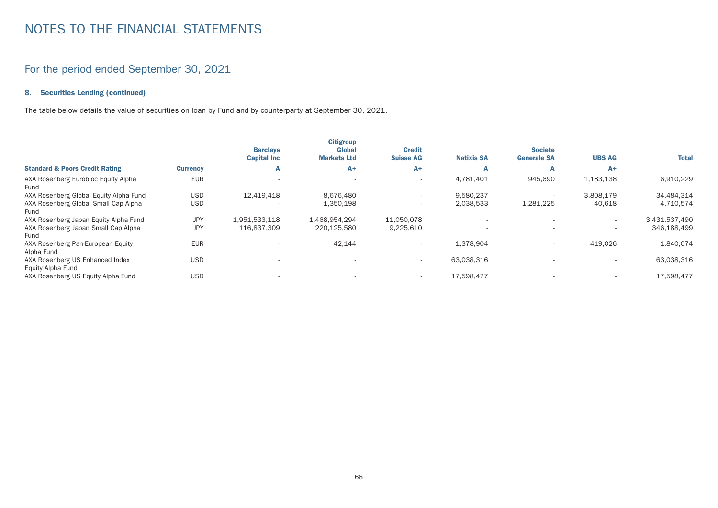## For the period ended September 30, 2021

#### 8. Securities Lending (continued)

The table below details the value of securities on loan by Fund and by counterparty at September 30, 2021.

|                                                      |                 | <b>Barclays</b><br><b>Capital Inc</b> | <b>Citigroup</b><br><b>Global</b><br><b>Markets Ltd</b> | <b>Credit</b><br><b>Suisse AG</b> | <b>Natixis SA</b> | <b>Societe</b><br><b>Generale SA</b> | <b>UBS AG</b>            | <b>Total</b>  |
|------------------------------------------------------|-----------------|---------------------------------------|---------------------------------------------------------|-----------------------------------|-------------------|--------------------------------------|--------------------------|---------------|
| <b>Standard &amp; Poors Credit Rating</b>            | <b>Currency</b> | A                                     | $A+$                                                    | $A+$                              | A                 | А                                    | A+                       |               |
| AXA Rosenberg Eurobloc Equity Alpha<br>Fund          | <b>EUR</b>      | $\overline{\phantom{a}}$              |                                                         | $\overline{\phantom{0}}$          | 4,781,401         | 945,690                              | 1,183,138                | 6,910,229     |
| AXA Rosenberg Global Equity Alpha Fund               | <b>USD</b>      | 12,419,418                            | 8.676.480                                               | $\overline{\phantom{a}}$          | 9,580,237         |                                      | 3,808,179                | 34,484,314    |
| AXA Rosenberg Global Small Cap Alpha<br>Fund         | <b>USD</b>      |                                       | 1,350,198                                               |                                   | 2,038,533         | 1,281,225                            | 40,618                   | 4,710,574     |
| AXA Rosenberg Japan Equity Alpha Fund                | <b>JPY</b>      | 1,951,533,118                         | 1.468.954.294                                           | 11,050,078                        |                   |                                      |                          | 3,431,537,490 |
| AXA Rosenberg Japan Small Cap Alpha<br>Fund          | <b>JPY</b>      | 116,837,309                           | 220,125,580                                             | 9,225,610                         |                   |                                      | $\overline{\phantom{a}}$ | 346,188,499   |
| AXA Rosenberg Pan-European Equity<br>Alpha Fund      | <b>EUR</b>      |                                       | 42,144                                                  |                                   | 1.378.904         | $\overline{\phantom{a}}$             | 419.026                  | 1,840,074     |
| AXA Rosenberg US Enhanced Index<br>Equity Alpha Fund | <b>USD</b>      | $\overline{\phantom{a}}$              |                                                         | $\sim$                            | 63,038,316        |                                      |                          | 63,038,316    |
| AXA Rosenberg US Equity Alpha Fund                   | <b>USD</b>      |                                       |                                                         | $\overline{\phantom{0}}$          | 17,598,477        |                                      | $\overline{\phantom{0}}$ | 17.598.477    |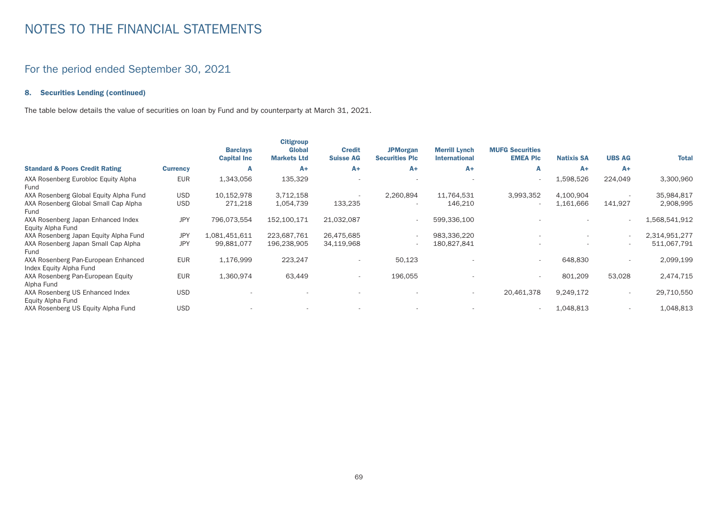## For the period ended September 30, 2021

#### 8. Securities Lending (continued)

The table below details the value of securities on loan by Fund and by counterparty at March 31, 2021.

|                                                                |                 | <b>Barclays</b><br><b>Capital Inc</b> | <b>Citigroup</b><br><b>Global</b><br><b>Markets Ltd</b> | <b>Credit</b><br><b>Suisse AG</b> | <b>JPMorgan</b><br><b>Securities Plc</b> | <b>Merrill Lynch</b><br><b>International</b> | <b>MUFG Securities</b><br><b>EMEA PIC</b> | <b>Natixis SA</b> | <b>UBS AG</b> | <b>Total</b>  |
|----------------------------------------------------------------|-----------------|---------------------------------------|---------------------------------------------------------|-----------------------------------|------------------------------------------|----------------------------------------------|-------------------------------------------|-------------------|---------------|---------------|
| <b>Standard &amp; Poors Credit Rating</b>                      | <b>Currency</b> | A                                     | $A+$                                                    | $A+$                              | $A+$                                     | $A+$                                         | A                                         | $A+$              | $A+$          |               |
| AXA Rosenberg Eurobloc Equity Alpha<br>Fund                    | <b>EUR</b>      | 1,343,056                             | 135,329                                                 |                                   |                                          |                                              |                                           | 1,598,526         | 224,049       | 3,300,960     |
| AXA Rosenberg Global Equity Alpha Fund                         | <b>USD</b>      | 10,152,978                            | 3,712,158                                               |                                   | 2,260,894                                | 11,764,531                                   | 3,993,352                                 | 4,100,904         |               | 35,984,817    |
| AXA Rosenberg Global Small Cap Alpha<br>Fund                   | <b>USD</b>      | 271,218                               | 1,054,739                                               | 133,235                           |                                          | 146,210                                      |                                           | 1,161,666         | 141,927       | 2,908,995     |
| AXA Rosenberg Japan Enhanced Index<br>Equity Alpha Fund        | <b>JPY</b>      | 796,073,554                           | 152,100,171                                             | 21,032,087                        |                                          | 599,336,100                                  |                                           |                   |               | 1,568,541,912 |
| AXA Rosenberg Japan Equity Alpha Fund                          | <b>JPY</b>      | 1,081,451,611                         | 223,687,761                                             | 26,475,685                        |                                          | 983,336,220                                  |                                           |                   |               | 2,314,951,277 |
| AXA Rosenberg Japan Small Cap Alpha<br>Fund                    | <b>JPY</b>      | 99,881,077                            | 196,238,905                                             | 34,119,968                        |                                          | 180,827,841                                  |                                           |                   |               | 511,067,791   |
| AXA Rosenberg Pan-European Enhanced<br>Index Equity Alpha Fund | <b>EUR</b>      | 1,176,999                             | 223,247                                                 |                                   | 50,123                                   |                                              |                                           | 648,830           |               | 2,099,199     |
| AXA Rosenberg Pan-European Equity<br>Alpha Fund                | <b>EUR</b>      | 1,360,974                             | 63,449                                                  | $\overline{\phantom{a}}$          | 196,055                                  |                                              |                                           | 801,209           | 53,028        | 2,474,715     |
| AXA Rosenberg US Enhanced Index<br>Equity Alpha Fund           | <b>USD</b>      |                                       |                                                         |                                   |                                          | $\overline{\phantom{a}}$                     | 20,461,378                                | 9,249,172         |               | 29,710,550    |
| AXA Rosenberg US Equity Alpha Fund                             | <b>USD</b>      |                                       |                                                         |                                   |                                          |                                              |                                           | 1,048,813         |               | 1,048,813     |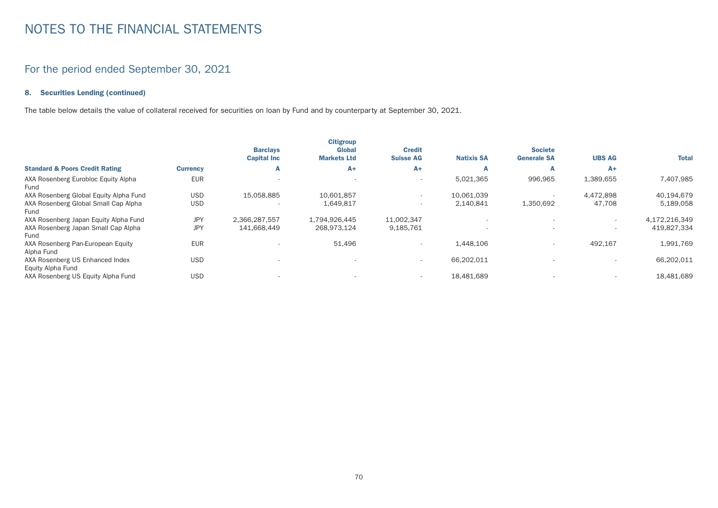## For the period ended September 30, 2021

#### 8. Securities Lending (continued)

The table below details the value of collateral received for securities on loan by Fund and by counterparty at September 30, 2021.

|                                                      |                 | <b>Barclays</b><br><b>Capital Inc</b> | <b>Citigroup</b><br><b>Global</b><br><b>Markets Ltd</b> | <b>Credit</b><br><b>Suisse AG</b> | <b>Natixis SA</b> | <b>Societe</b><br><b>Generale SA</b> | <b>UBS AG</b>            | <b>Total</b>  |
|------------------------------------------------------|-----------------|---------------------------------------|---------------------------------------------------------|-----------------------------------|-------------------|--------------------------------------|--------------------------|---------------|
| <b>Standard &amp; Poors Credit Rating</b>            | <b>Currency</b> | A                                     | $A+$                                                    | A+                                | А                 |                                      | $A+$                     |               |
| AXA Rosenberg Eurobloc Equity Alpha<br>Fund          | <b>EUR</b>      | $\overline{\phantom{a}}$              |                                                         | $\overline{\phantom{0}}$          | 5,021,365         | 996,965                              | 1,389,655                | 7,407,985     |
| AXA Rosenberg Global Equity Alpha Fund               | <b>USD</b>      | 15,058,885                            | 10.601.857                                              |                                   | 10,061,039        |                                      | 4.472.898                | 40,194,679    |
| AXA Rosenberg Global Small Cap Alpha<br>Fund         | <b>USD</b>      | $\overline{\phantom{a}}$              | 1,649,817                                               | $\overline{\phantom{a}}$          | 2,140,841         | 1,350,692                            | 47,708                   | 5,189,058     |
| AXA Rosenberg Japan Equity Alpha Fund                | <b>JPY</b>      | 2,366,287,557                         | 1,794,926,445                                           | 11,002,347                        |                   |                                      | $\overline{\phantom{a}}$ | 4,172,216,349 |
| AXA Rosenberg Japan Small Cap Alpha<br>Fund          | <b>JPY</b>      | 141,668,449                           | 268.973.124                                             | 9,185,761                         |                   |                                      | $\overline{\phantom{a}}$ | 419,827,334   |
| AXA Rosenberg Pan-European Equity<br>Alpha Fund      | <b>EUR</b>      |                                       | 51,496                                                  |                                   | 1.448.106         | $\overline{\phantom{a}}$             | 492,167                  | 1,991,769     |
| AXA Rosenberg US Enhanced Index<br>Equity Alpha Fund | <b>USD</b>      | $\overline{\phantom{a}}$              |                                                         | $\sim$                            | 66,202,011        |                                      | $\overline{\phantom{0}}$ | 66,202,011    |
| AXA Rosenberg US Equity Alpha Fund                   | <b>USD</b>      |                                       |                                                         | $\overline{\phantom{0}}$          | 18,481,689        |                                      | $\overline{\phantom{0}}$ | 18,481,689    |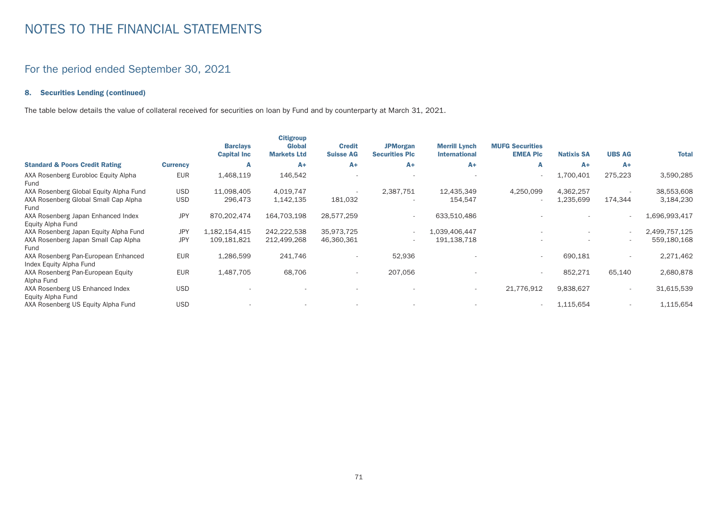### For the period ended September 30, 2021

### 8. Securities Lending (continued)

The table below details the value of collateral received for securities on loan by Fund and by counterparty at March 31, 2021.

|                                                                |                 | <b>Barclays</b><br><b>Capital Inc.</b> | <b>Citigroup</b><br><b>Global</b><br><b>Markets Ltd</b> | <b>Credit</b><br><b>Suisse AG</b> | <b>JPMorgan</b><br><b>Securities Plc</b> | <b>Merrill Lynch</b><br><b>International</b> | <b>MUFG Securities</b><br><b>EMEA PIC</b> | <b>Natixis SA</b> | <b>UBS AG</b> | <b>Total</b>  |
|----------------------------------------------------------------|-----------------|----------------------------------------|---------------------------------------------------------|-----------------------------------|------------------------------------------|----------------------------------------------|-------------------------------------------|-------------------|---------------|---------------|
| <b>Standard &amp; Poors Credit Rating</b>                      | <b>Currency</b> | A                                      | $A+$                                                    | $A+$                              | $A+$                                     | $A+$                                         | A                                         | $A+$              | $A+$          |               |
| AXA Rosenberg Eurobloc Equity Alpha<br>Fund                    | <b>EUR</b>      | 1,468,119                              | 146,542                                                 |                                   |                                          |                                              |                                           | 1,700,401         | 275,223       | 3,590,285     |
| AXA Rosenberg Global Equity Alpha Fund                         | <b>USD</b>      | 11,098,405                             | 4,019,747                                               |                                   | 2,387,751                                | 12,435,349                                   | 4,250,099                                 | 4,362,257         |               | 38,553,608    |
| AXA Rosenberg Global Small Cap Alpha<br>Fund                   | <b>USD</b>      | 296,473                                | 1,142,135                                               | 181,032                           |                                          | 154,547                                      |                                           | 1,235,699         | 174,344       | 3,184,230     |
| AXA Rosenberg Japan Enhanced Index<br>Equity Alpha Fund        | <b>JPY</b>      | 870,202,474                            | 164,703,198                                             | 28,577,259                        | $\overline{\phantom{a}}$                 | 633,510,486                                  |                                           |                   |               | 1,696,993,417 |
| AXA Rosenberg Japan Equity Alpha Fund                          | <b>JPY</b>      | 1,182,154,415                          | 242,222,538                                             | 35,973,725                        | $\overline{\phantom{0}}$                 | 1,039,406,447                                |                                           |                   |               | 2,499,757,125 |
| AXA Rosenberg Japan Small Cap Alpha<br>Fund                    | <b>JPY</b>      | 109,181,821                            | 212,499,268                                             | 46,360,361                        |                                          | 191,138,718                                  |                                           |                   |               | 559,180,168   |
| AXA Rosenberg Pan-European Enhanced<br>Index Equity Alpha Fund | <b>EUR</b>      | 1,286,599                              | 241,746                                                 |                                   | 52,936                                   |                                              |                                           | 690,181           |               | 2,271,462     |
| AXA Rosenberg Pan-European Equity<br>Alpha Fund                | <b>EUR</b>      | 1,487,705                              | 68,706                                                  |                                   | 207,056                                  |                                              |                                           | 852,271           | 65,140        | 2,680,878     |
| AXA Rosenberg US Enhanced Index<br>Equity Alpha Fund           | <b>USD</b>      |                                        |                                                         |                                   |                                          | $\overline{\phantom{a}}$                     | 21,776,912                                | 9,838,627         |               | 31,615,539    |
| AXA Rosenberg US Equity Alpha Fund                             | <b>USD</b>      |                                        |                                                         |                                   |                                          |                                              |                                           | 1,115,654         |               | 1,115,654     |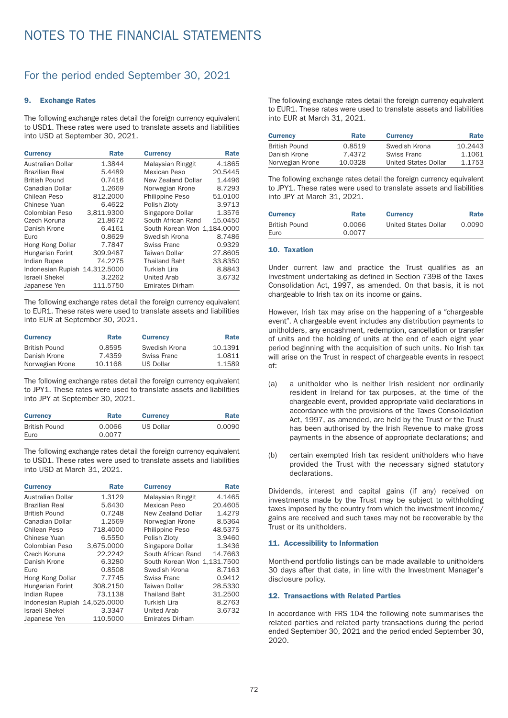### For the period ended September 30, 2021

#### 9. Exchange Rates

The following exchange rates detail the foreign currency equivalent to USD1. These rates were used to translate assets and liabilities into USD at September 30, 2021.

| <b>Currency</b>               | Rate       | <b>Currency</b>             | Rate    |
|-------------------------------|------------|-----------------------------|---------|
| Australian Dollar             | 1.3844     | Malaysian Ringgit           | 4.1865  |
| <b>Brazilian Real</b>         | 5.4489     | Mexican Peso                | 20.5445 |
| <b>British Pound</b>          | 0.7416     | New Zealand Dollar          | 1.4496  |
| Canadian Dollar               | 1.2669     | Norwegian Krone             | 8.7293  |
| Chilean Peso                  | 812.2000   | <b>Philippine Peso</b>      | 51.0100 |
| Chinese Yuan                  | 6.4622     | Polish Zloty                | 3.9713  |
| Colombian Peso                | 3,811.9300 | Singapore Dollar            | 1.3576  |
| Czech Koruna                  | 21.8672    | South African Rand          | 15.0450 |
| Danish Krone                  | 6.4161     | South Korean Won 1,184.0000 |         |
| Euro                          | 0.8629     | Swedish Krona               | 8.7486  |
| Hong Kong Dollar              | 7.7847     | Swiss Franc                 | 0.9329  |
| Hungarian Forint              | 309.9487   | <b>Taiwan Dollar</b>        | 27.8605 |
| Indian Rupee                  | 74.2275    | <b>Thailand Baht</b>        | 33.8350 |
| Indonesian Rupiah 14,312.5000 |            | <b>Turkish Lira</b>         | 8.8843  |
| <b>Israeli Shekel</b>         | 3.2262     | <b>United Arab</b>          | 3.6732  |
| Japanese Yen                  | 111.5750   | <b>Emirates Dirham</b>      |         |

The following exchange rates detail the foreign currency equivalent to EUR1. These rates were used to translate assets and liabilities into EUR at September 30, 2021.

| <b>Currency</b>      | Rate    | <b>Currency</b> | Rate    |
|----------------------|---------|-----------------|---------|
| <b>British Pound</b> | 0.8595  | Swedish Krona   | 10.1391 |
| Danish Krone         | 7.4359  | Swiss Franc     | 1.0811  |
| Norwegian Krone      | 10.1168 | US Dollar       | 1.1589  |

The following exchange rates detail the foreign currency equivalent to JPY1. These rates were used to translate assets and liabilities into JPY at September 30, 2021.

| <b>Currency</b>      | Rate   | <b>Currency</b> | Rate   |
|----------------------|--------|-----------------|--------|
| <b>British Pound</b> | 0.0066 | US Dollar       | 0.0090 |
| Euro                 | 0.0077 |                 |        |

The following exchange rates detail the foreign currency equivalent to USD1. These rates were used to translate assets and liabilities into USD at March 31, 2021.

| <b>Currency</b>               | Rate       | <b>Currency</b>             | Rate    |
|-------------------------------|------------|-----------------------------|---------|
| Australian Dollar             | 1.3129     | Malaysian Ringgit           | 4.1465  |
| <b>Brazilian Real</b>         | 5.6430     | Mexican Peso                | 20.4605 |
| <b>British Pound</b>          | 0.7248     | New Zealand Dollar          | 1.4279  |
| Canadian Dollar               | 1.2569     | Norwegian Krone             | 8.5364  |
| Chilean Peso                  | 718,4000   | <b>Philippine Peso</b>      | 48.5375 |
| Chinese Yuan                  | 6.5550     | Polish Zloty                | 3.9460  |
| Colombian Peso                | 3.675.0000 | Singapore Dollar            | 1.3436  |
| Czech Koruna                  | 22.2242    | South African Rand          | 14.7663 |
| Danish Krone                  | 6.3280     | South Korean Won 1,131.7500 |         |
| Euro                          | 0.8508     | Swedish Krona               | 8.7163  |
| Hong Kong Dollar              | 7.7745     | Swiss Franc                 | 0.9412  |
| Hungarian Forint              | 308.2150   | Taiwan Dollar               | 28.5330 |
| Indian Rupee                  | 73.1138    | <b>Thailand Baht</b>        | 31.2500 |
| Indonesian Rupiah 14,525.0000 |            | Turkish Lira                | 8.2763  |
| <b>Israeli Shekel</b>         | 3.3347     | United Arab                 | 3.6732  |
| Japanese Yen                  | 110.5000   | <b>Emirates Dirham</b>      |         |

The following exchange rates detail the foreign currency equivalent to EUR1. These rates were used to translate assets and liabilities into EUR at March 31, 2021.

| <b>Currency</b>      | Rate    | <b>Currency</b>      | Rate    |
|----------------------|---------|----------------------|---------|
| <b>British Pound</b> | 0.8519  | Swedish Krona        | 10.2443 |
| Danish Krone         | 7.4372  | Swiss Franc          | 1.1061  |
| Norwegian Krone      | 10.0328 | United States Dollar | 1.1753  |

The following exchange rates detail the foreign currency equivalent to JPY1. These rates were used to translate assets and liabilities into JPY at March 31, 2021.

| <b>Currency</b>      | Rate   | <b>Currency</b>      | Rate   |
|----------------------|--------|----------------------|--------|
| <b>British Pound</b> | 0.0066 | United States Dollar | 0.0090 |
| Euro                 | 0.0077 |                      |        |

#### 10. Taxation

Under current law and practice the Trust qualifies as an investment under taking as defined in Section 739B of the Taxes Consolidation Act, 1997, as amended. On that basis, it is not chargeable to Irish tax on its income or gains.

However, Irish tax may arise on the happening of a "chargeable event". A chargeable event includes any distribution payments to unitholders, any encashment, redemption, cancellation or transfer of units and the holding of units at the end of each eight year period beginning with the acquisition of such units. No Irish tax will arise on the Trust in respect of chargeable events in respect of:

- (a) a unitholder who is neither Irish resident nor ordinarily resident in Ireland for tax purposes, at the time of the chargeable event, provided appropriate valid declarations in accordance with the provisions of the Taxes Consolidation Act, 1997, as amended, are held by the Trust or the Trust has been authorised by the Irish Revenue to make gross payments in the absence of appropriate declarations; and
- (b) certain exempted Irish tax resident unitholders who have provided the Trust with the necessary signed statutory declarations.

Dividends, interest and capital gains (if any) received on investments made by the Trust may be subject to withholding taxes imposed by the country from which the investment income/ gains are received and such taxes may not be recoverable by the Trust or its unitholders.

### 11. Accessibility to Information

Month-end portfolio listings can be made available to unitholders 30 days after that date, in line with the Investment Manager's disclosure policy.

### 12. Transactions with Related Parties

In accordance with FRS 104 the following note summarises the related parties and related party transactions during the period ended September 30, 2021 and the period ended September 30, 2020.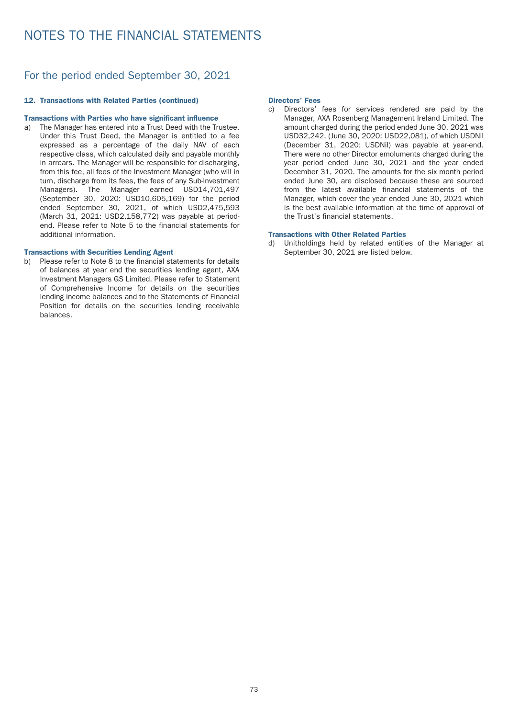### For the period ended September 30, 2021

#### 12. Transactions with Related Parties (continued)

#### Transactions with Parties who have significant influence

a) The Manager has entered into a Trust Deed with the Trustee. Under this Trust Deed, the Manager is entitled to a fee expressed as a percentage of the daily NAV of each respective class, which calculated daily and payable monthly in arrears. The Manager will be responsible for discharging, from this fee, all fees of the Investment Manager (who will in turn, discharge from its fees, the fees of any Sub-Investment Managers). The Manager earned USD14,701,497 (September 30, 2020: USD10,605,169) for the period ended September 30, 2021, of which USD2,475,593 (March 31, 2021: USD2,158,772) was payable at periodend. Please refer to Note 5 to the financial statements for additional information.

#### Transactions with Securities Lending Agent

b) Please refer to Note 8 to the financial statements for details of balances at year end the securities lending agent, AXA Investment Managers GS Limited. Please refer to Statement of Comprehensive Income for details on the securities lending income balances and to the Statements of Financial Position for details on the securities lending receivable balances.

#### Directors' Fees

c) Directors' fees for services rendered are paid by the Manager, AXA Rosenberg Management Ireland Limited. The amount charged during the period ended June 30, 2021 was USD32,242, (June 30, 2020: USD22,081), of which USDNil (December 31, 2020: USDNil) was payable at year-end. There were no other Director emoluments charged during the year period ended June 30, 2021 and the year ended December 31, 2020. The amounts for the six month period ended June 30, are disclosed because these are sourced from the latest available financial statements of the Manager, which cover the year ended June 30, 2021 which is the best available information at the time of approval of the Trust's financial statements.

#### Transactions with Other Related Parties

d) Unitholdings held by related entities of the Manager at September 30, 2021 are listed below.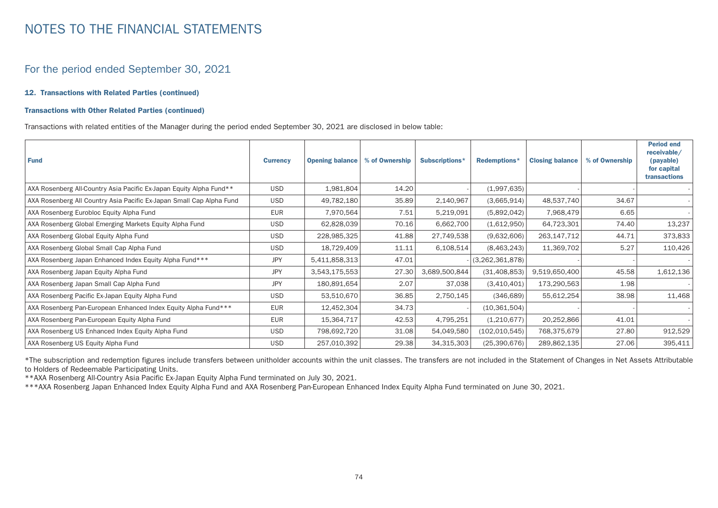### For the period ended September 30, 2021

#### 12. Transactions with Related Parties (continued)

#### Transactions with Other Related Parties (continued)

Transactions with related entities of the Manager during the period ended September 30, 2021 are disclosed in below table:

| <b>Fund</b>                                                          | <b>Currency</b> | <b>Opening balance</b> | % of Ownership | Subscriptions* | Redemptions*    | <b>Closing balance</b> | % of Ownership | <b>Period end</b><br>receivable/<br>(payable)<br>for capital<br>transactions |
|----------------------------------------------------------------------|-----------------|------------------------|----------------|----------------|-----------------|------------------------|----------------|------------------------------------------------------------------------------|
| AXA Rosenberg All-Country Asia Pacific Ex-Japan Equity Alpha Fund**  | <b>USD</b>      | 1,981,804              | 14.20          |                | (1,997,635)     |                        |                |                                                                              |
| AXA Rosenberg All Country Asia Pacific Ex-Japan Small Cap Alpha Fund | <b>USD</b>      | 49,782,180             | 35.89          | 2,140,967      | (3,665,914)     | 48,537,740             | 34.67          |                                                                              |
| AXA Rosenberg Eurobloc Equity Alpha Fund                             | <b>EUR</b>      | 7,970,564              | 7.51           | 5,219,091      | (5,892,042)     | 7,968,479              | 6.65           |                                                                              |
| AXA Rosenberg Global Emerging Markets Equity Alpha Fund              | <b>USD</b>      | 62,828,039             | 70.16          | 6,662,700      | (1,612,950)     | 64,723,301             | 74.40          | 13,237                                                                       |
| AXA Rosenberg Global Equity Alpha Fund                               | USD             | 228,985,325            | 41.88          | 27,749,538     | (9,632,606)     | 263,147,712            | 44.71          | 373,833                                                                      |
| AXA Rosenberg Global Small Cap Alpha Fund                            | <b>USD</b>      | 18,729,409             | 11.11          | 6,108,514      | (8,463,243)     | 11,369,702             | 5.27           | 110,426                                                                      |
| AXA Rosenberg Japan Enhanced Index Equity Alpha Fund***              | JPY             | 5,411,858,313          | 47.01          |                | (3,262,361,878) |                        |                |                                                                              |
| AXA Rosenberg Japan Equity Alpha Fund                                | <b>JPY</b>      | 3,543,175,553          | 27.30          | 3,689,500,844  | (31, 408, 853)  | 9,519,650,400          | 45.58          | 1,612,136                                                                    |
| AXA Rosenberg Japan Small Cap Alpha Fund                             | <b>JPY</b>      | 180,891,654            | 2.07           | 37,038         | (3,410,401)     | 173,290,563            | 1.98           |                                                                              |
| AXA Rosenberg Pacific Ex-Japan Equity Alpha Fund                     | <b>USD</b>      | 53,510,670             | 36.85          | 2,750,145      | (346, 689)      | 55,612,254             | 38.98          | 11,468                                                                       |
| AXA Rosenberg Pan-European Enhanced Index Equity Alpha Fund***       | <b>EUR</b>      | 12,452,304             | 34.73          |                | (10, 361, 504)  |                        |                |                                                                              |
| AXA Rosenberg Pan-European Equity Alpha Fund                         | <b>EUR</b>      | 15,364,717             | 42.53          | 4,795,251      | (1,210,677)     | 20,252,866             | 41.01          |                                                                              |
| AXA Rosenberg US Enhanced Index Equity Alpha Fund                    | USD.            | 798,692,720            | 31.08          | 54,049,580     | (102, 010, 545) | 768,375,679            | 27.80          | 912,529                                                                      |
| AXA Rosenberg US Equity Alpha Fund                                   | <b>USD</b>      | 257,010,392            | 29.38          | 34,315,303     | (25, 390, 676)  | 289,862,135            | 27.06          | 395,411                                                                      |

\*The subscription and redemption figures include transfers between unitholder accounts within the unit classes. The transfers are not included in the Statement of Changes in Net Assets Attributable to Holders of Redeemable Participating Units.

\*\*AXA Rosenberg All-Country Asia Pacific Ex-Japan Equity Alpha Fund terminated on July 30, 2021.

\*\*\*AXA Rosenberg Japan Enhanced Index Equity Alpha Fund and AXA Rosenberg Pan-European Enhanced Index Equity Alpha Fund terminated on June 30, 2021.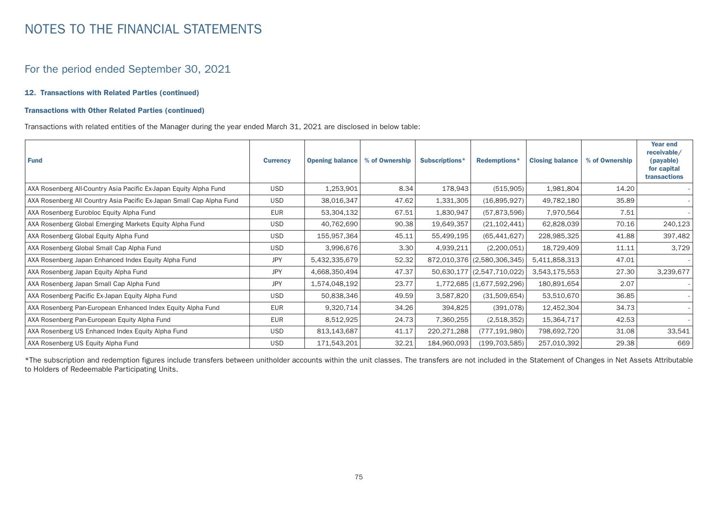### For the period ended September 30, 2021

#### 12. Transactions with Related Parties (continued)

#### Transactions with Other Related Parties (continued)

Transactions with related entities of the Manager during the year ended March 31, 2021 are disclosed in below table:

| <b>Fund</b>                                                          | <b>Currency</b> | <b>Opening balance</b> | % of Ownership | Subscriptions* | Redemptions*                | <b>Closing balance</b> | % of Ownership | Year end<br>receivable/<br>(payable)<br>for capital<br>transactions |
|----------------------------------------------------------------------|-----------------|------------------------|----------------|----------------|-----------------------------|------------------------|----------------|---------------------------------------------------------------------|
| AXA Rosenberg All-Country Asia Pacific Ex-Japan Equity Alpha Fund    | <b>USD</b>      | 1,253,901              | 8.34           | 178,943        | (515,905)                   | 1,981,804              | 14.20          |                                                                     |
| AXA Rosenberg All Country Asia Pacific Ex-Japan Small Cap Alpha Fund | USD             | 38,016,347             | 47.62          | 1,331,305      | (16,895,927)                | 49,782,180             | 35.89          |                                                                     |
| AXA Rosenberg Eurobloc Equity Alpha Fund                             | <b>EUR</b>      | 53,304,132             | 67.51          | 1,830,947      | (57, 873, 596)              | 7,970,564              | 7.51           |                                                                     |
| AXA Rosenberg Global Emerging Markets Equity Alpha Fund              | <b>USD</b>      | 40,762,690             | 90.38          | 19,649,357     | (21, 102, 441)              | 62,828,039             | 70.16          | 240,123                                                             |
| AXA Rosenberg Global Equity Alpha Fund                               | <b>USD</b>      | 155,957,364            | 45.11          | 55,499,195     | (65, 441, 627)              | 228,985,325            | 41.88          | 397,482                                                             |
| AXA Rosenberg Global Small Cap Alpha Fund                            | <b>USD</b>      | 3,996,676              | 3.30           | 4,939,211      | (2,200,051)                 | 18,729,409             | 11.11          | 3,729                                                               |
| AXA Rosenberg Japan Enhanced Index Equity Alpha Fund                 | <b>JPY</b>      | 5,432,335,679          | 52.32          |                | 872,010,376 (2,580,306,345) | 5,411,858,313          | 47.01          |                                                                     |
| AXA Rosenberg Japan Equity Alpha Fund                                | <b>JPY</b>      | 4,668,350,494          | 47.37          |                | 50,630,177 (2,547,710,022)  | 3,543,175,553          | 27.30          | 3,239,677                                                           |
| AXA Rosenberg Japan Small Cap Alpha Fund                             | <b>JPY</b>      | 1,574,048,192          | 23.77          |                | 1,772,685 (1,677,592,296)   | 180,891,654            | 2.07           |                                                                     |
| AXA Rosenberg Pacific Ex-Japan Equity Alpha Fund                     | USD             | 50,838,346             | 49.59          | 3,587,820      | (31,509,654)                | 53,510,670             | 36.85          |                                                                     |
| AXA Rosenberg Pan-European Enhanced Index Equity Alpha Fund          | <b>EUR</b>      | 9,320,714              | 34.26          | 394,825        | (391,078)                   | 12,452,304             | 34.73          |                                                                     |
| AXA Rosenberg Pan-European Equity Alpha Fund                         | <b>EUR</b>      | 8,512,925              | 24.73          | 7,360,255      | (2,518,352)                 | 15,364,717             | 42.53          |                                                                     |
| AXA Rosenberg US Enhanced Index Equity Alpha Fund                    | USD.            | 813,143,687            | 41.17          | 220,271,288    | (777, 191, 980)             | 798,692,720            | 31.08          | 33,541                                                              |
| AXA Rosenberg US Equity Alpha Fund                                   | <b>USD</b>      | 171,543,201            | 32.21          | 184,960,093    | (199, 703, 585)             | 257,010,392            | 29.38          | 669                                                                 |

\*The subscription and redemption figures include transfers between unitholder accounts within the unit classes. The transfers are not included in the Statement of Changes in Net Assets Attributable to Holders of Redeemable Participating Units.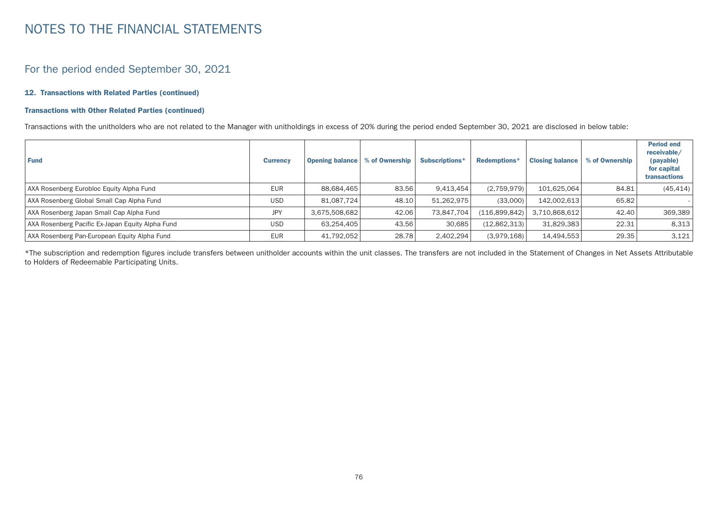### For the period ended September 30, 2021

#### 12. Transactions with Related Parties (continued)

#### Transactions with Other Related Parties (continued)

Transactions with the unitholders who are not related to the Manager with unitholdings in excess of 20% during the period ended September 30, 2021 are disclosed in below table:

| <b>Fund</b>                                      | <b>Currency</b> | <b>Opening balance</b> | % of Ownership | Subscriptions* | Redemptions*  | <b>Closing balance</b> | % of Ownership | <b>Period end</b><br>receivable/<br>(payable)<br>for capital<br><b>transactions</b> |
|--------------------------------------------------|-----------------|------------------------|----------------|----------------|---------------|------------------------|----------------|-------------------------------------------------------------------------------------|
| AXA Rosenberg Eurobloc Equity Alpha Fund         | <b>EUR</b>      | 88.684.465             | 83.56          | 9.413.454      | (2,759,979)   | 101.625.064            | 84.81          | (45, 414)                                                                           |
| AXA Rosenberg Global Small Cap Alpha Fund        | <b>USD</b>      | 81.087.724             | 48.10          | 51.262.975     | (33,000)      | 142.002.613            | 65.82          |                                                                                     |
| AXA Rosenberg Japan Small Cap Alpha Fund         | <b>JPY</b>      | 3,675,508,682          | 42.06          | 73,847,704     | (116,899,842) | 3,710,868,612          | 42.40          | 369,389                                                                             |
| AXA Rosenberg Pacific Ex-Japan Equity Alpha Fund | <b>USD</b>      | 63,254,405             | 43.56          | 30,685         | (12,862,313)  | 31,829,383             | 22.31          | 8,313                                                                               |
| AXA Rosenberg Pan-European Equity Alpha Fund     | <b>EUR</b>      | 41,792,052             | 28.78          | 2,402,294      | (3,979,168)   | 14,494,553             | 29.35          | 3,121                                                                               |

\*The subscription and redemption figures include transfers between unitholder accounts within the unit classes. The transfers are not included in the Statement of Changes in Net Assets Attributable to Holders of Redeemable Participating Units.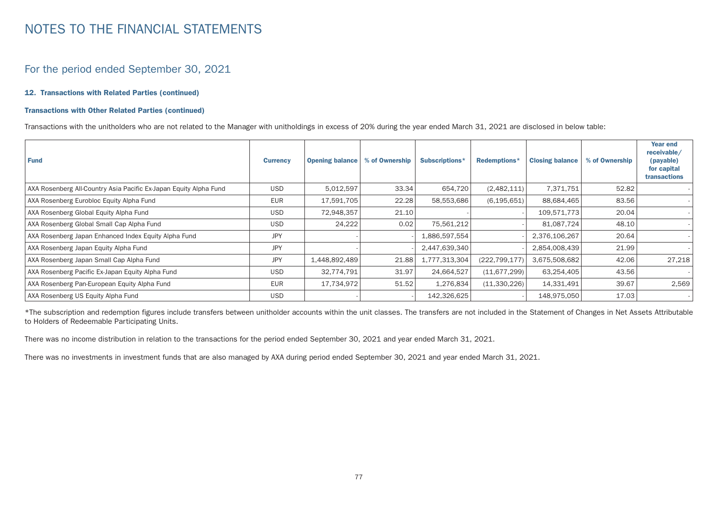### For the period ended September 30, 2021

#### 12. Transactions with Related Parties (continued)

#### Transactions with Other Related Parties (continued)

Transactions with the unitholders who are not related to the Manager with unitholdings in excess of 20% during the year ended March 31, 2021 are disclosed in below table:

| <b>Fund</b>                                                       | <b>Currency</b> | <b>Opening balance</b> | % of Ownership | Subscriptions* | Redemptions*    | <b>Closing balance</b> | % of Ownership | Year end<br>receivable/<br>(payable)<br>for capital<br>transactions |
|-------------------------------------------------------------------|-----------------|------------------------|----------------|----------------|-----------------|------------------------|----------------|---------------------------------------------------------------------|
| AXA Rosenberg All-Country Asia Pacific Ex-Japan Equity Alpha Fund | <b>USD</b>      | 5,012,597              | 33.34          | 654,720        | (2,482,111)     | 7,371,751              | 52.82          |                                                                     |
| AXA Rosenberg Eurobloc Equity Alpha Fund                          | <b>EUR</b>      | 17,591,705             | 22.28          | 58,553,686     | (6, 195, 651)   | 88,684,465             | 83.56          |                                                                     |
| AXA Rosenberg Global Equity Alpha Fund                            | <b>USD</b>      | 72,948,357             | 21.10          |                |                 | 109,571,773            | 20.04          |                                                                     |
| AXA Rosenberg Global Small Cap Alpha Fund                         | <b>USD</b>      | 24,222                 | 0.02           | 75,561,212     |                 | 81,087,724             | 48.10          |                                                                     |
| AXA Rosenberg Japan Enhanced Index Equity Alpha Fund              | <b>JPY</b>      |                        |                | 1,886,597,554  |                 | 2,376,106,267          | 20.64          |                                                                     |
| AXA Rosenberg Japan Equity Alpha Fund                             | <b>JPY</b>      |                        |                | 2,447,639,340  |                 | 2,854,008,439          | 21.99          |                                                                     |
| AXA Rosenberg Japan Small Cap Alpha Fund                          | <b>JPY</b>      | 1,448,892,489          | 21.88          | 1,777,313,304  | (222, 799, 177) | 3,675,508,682          | 42.06          | 27,218                                                              |
| AXA Rosenberg Pacific Ex-Japan Equity Alpha Fund                  | USD             | 32,774,791             | 31.97          | 24,664,527     | (11, 677, 299)  | 63,254,405             | 43.56          |                                                                     |
| AXA Rosenberg Pan-European Equity Alpha Fund                      | <b>EUR</b>      | 17,734,972             | 51.52          | 1,276,834      | (11,330,226)    | 14,331,491             | 39.67          | 2,569                                                               |
| AXA Rosenberg US Equity Alpha Fund                                | <b>USD</b>      |                        |                | 142,326,625    |                 | 148,975,050            | 17.03          |                                                                     |

\*The subscription and redemption figures include transfers between unitholder accounts within the unit classes. The transfers are not included in the Statement of Changes in Net Assets Attributable to Holders of Redeemable Participating Units.

There was no income distribution in relation to the transactions for the period ended September 30, 2021 and year ended March 31, 2021.

There was no investments in investment funds that are also managed by AXA during period ended September 30, 2021 and year ended March 31, 2021.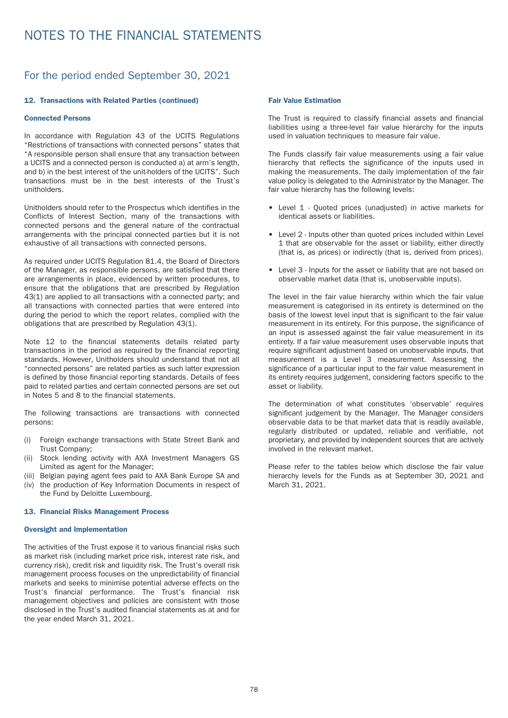### For the period ended September 30, 2021

#### 12. Transactions with Related Parties (continued)

#### Connected Persons

In accordance with Regulation 43 of the UCITS Regulations "Restrictions of transactions with connected persons" states that "A responsible person shall ensure that any transaction between a UCITS and a connected person is conducted a) at arm's length, and b) in the best interest of the unit-holders of the UCITS". Such transactions must be in the best interests of the Trust's unitholders.

Unitholders should refer to the Prospectus which identifies in the Conflicts of Interest Section, many of the transactions with connected persons and the general nature of the contractual arrangements with the principal connected parties but it is not exhaustive of all transactions with connected persons.

As required under UCITS Regulation 81.4, the Board of Directors of the Manager, as responsible persons, are satisfied that there are arrangements in place, evidenced by written procedures, to ensure that the obligations that are prescribed by Regulation 43(1) are applied to all transactions with a connected party; and all transactions with connected parties that were entered into during the period to which the report relates, complied with the obligations that are prescribed by Regulation 43(1).

Note 12 to the financial statements details related party transactions in the period as required by the financial reporting standards. However, Unitholders should understand that not all "connected persons" are related parties as such latter expression is defined by those financial reporting standards. Details of fees paid to related parties and certain connected persons are set out in Notes 5 and 8 to the financial statements.

The following transactions are transactions with connected persons:

- (i) Foreign exchange transactions with State Street Bank and Trust Company;
- (ii) Stock lending activity with AXA Investment Managers GS Limited as agent for the Manager;
- (iii) Belgian paying agent fees paid to AXA Bank Europe SA and (iv) the production of Key Information Documents in respect of the Fund by Deloitte Luxembourg.

#### 13. Financial Risks Management Process

#### Oversight and Implementation

The activities of the Trust expose it to various financial risks such as market risk (including market price risk, interest rate risk, and currency risk), credit risk and liquidity risk. The Trust's overall risk management process focuses on the unpredictability of financial markets and seeks to minimise potential adverse effects on the Trust's financial performance. The Trust's financial risk management objectives and policies are consistent with those disclosed in the Trust's audited financial statements as at and for the year ended March 31, 2021.

#### Fair Value Estimation

The Trust is required to classify financial assets and financial liabilities using a three-level fair value hierarchy for the inputs used in valuation techniques to measure fair value.

The Funds classify fair value measurements using a fair value hierarchy that reflects the significance of the inputs used in making the measurements. The daily implementation of the fair value policy is delegated to the Administrator by the Manager. The fair value hierarchy has the following levels:

- Level 1 Quoted prices (unadjusted) in active markets for identical assets or liabilities.
- Level 2 Inputs other than quoted prices included within Level 1 that are observable for the asset or liability, either directly (that is, as prices) or indirectly (that is, derived from prices).
- Level 3 Inputs for the asset or liability that are not based on observable market data (that is, unobservable inputs).

The level in the fair value hierarchy within which the fair value measurement is categorised in its entirety is determined on the basis of the lowest level input that is significant to the fair value measurement in its entirety. For this purpose, the significance of an input is assessed against the fair value measurement in its entirety. If a fair value measurement uses observable inputs that require significant adjustment based on unobservable inputs, that measurement is a Level 3 measurement. Assessing the significance of a particular input to the fair value measurement in its entirety requires judgement, considering factors specific to the asset or liability.

The determination of what constitutes 'observable' requires significant judgement by the Manager. The Manager considers observable data to be that market data that is readily available, regularly distributed or updated, reliable and verifiable, not proprietary, and provided by independent sources that are actively involved in the relevant market.

Please refer to the tables below which disclose the fair value hierarchy levels for the Funds as at September 30, 2021 and March 31, 2021.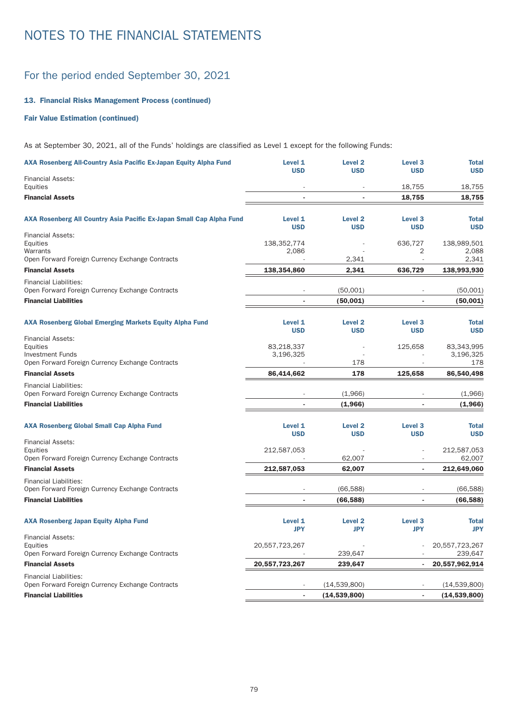### For the period ended September 30, 2021

### 13. Financial Risks Management Process (continued)

### Fair Value Estimation (continued)

As at September 30, 2021, all of the Funds' holdings are classified as Level 1 except for the following Funds:

| AXA Rosenberg All-Country Asia Pacific Ex-Japan Equity Alpha Fund                                                   | Level 1<br><b>USD</b>        | <b>Level 2</b><br><b>USD</b> | Level <sub>3</sub><br><b>USD</b> | <b>Total</b><br><b>USD</b>     |
|---------------------------------------------------------------------------------------------------------------------|------------------------------|------------------------------|----------------------------------|--------------------------------|
| <b>Financial Assets:</b><br>Equities                                                                                |                              |                              | 18,755                           | 18,755                         |
| <b>Financial Assets</b>                                                                                             |                              |                              | 18,755                           | 18,755                         |
| AXA Rosenberg All Country Asia Pacific Ex-Japan Small Cap Alpha Fund                                                | Level 1<br><b>USD</b>        | <b>Level 2</b><br><b>USD</b> | Level <sub>3</sub><br><b>USD</b> | <b>Total</b><br><b>USD</b>     |
| <b>Financial Assets:</b><br>Equities<br>Warrants                                                                    | 138,352,774<br>2,086         |                              | 636,727<br>2                     | 138,989,501<br>2,088           |
| Open Forward Foreign Currency Exchange Contracts                                                                    |                              | 2,341                        | $\overline{a}$                   | 2,341                          |
| <b>Financial Assets</b>                                                                                             | 138,354,860                  | 2,341                        | 636,729                          | 138,993,930                    |
| <b>Financial Liabilities:</b><br>Open Forward Foreign Currency Exchange Contracts                                   |                              | (50,001)                     |                                  | (50,001)                       |
| <b>Financial Liabilities</b>                                                                                        | L,                           | (50,001)                     |                                  | (50,001)                       |
| <b>AXA Rosenberg Global Emerging Markets Equity Alpha Fund</b>                                                      | Level 1<br><b>USD</b>        | <b>Level 2</b><br><b>USD</b> | Level <sub>3</sub><br><b>USD</b> | <b>Total</b><br><b>USD</b>     |
| <b>Financial Assets:</b><br>Equities<br><b>Investment Funds</b><br>Open Forward Foreign Currency Exchange Contracts | 83,218,337<br>3,196,325      | 178                          | 125,658                          | 83,343,995<br>3,196,325<br>178 |
| <b>Financial Assets</b>                                                                                             | 86,414,662                   | 178                          | 125,658                          | 86.540.498                     |
| <b>Financial Liabilities:</b><br>Open Forward Foreign Currency Exchange Contracts                                   |                              | (1,966)                      |                                  | (1,966)                        |
| <b>Financial Liabilities</b>                                                                                        |                              | (1,966)                      |                                  | (1,966)                        |
| <b>AXA Rosenberg Global Small Cap Alpha Fund</b>                                                                    | Level 1<br><b>USD</b>        | <b>Level 2</b><br><b>USD</b> | Level <sub>3</sub><br><b>USD</b> | <b>Total</b><br><b>USD</b>     |
| <b>Financial Assets:</b><br>Equities                                                                                | 212,587,053                  |                              |                                  | 212,587,053                    |
| Open Forward Foreign Currency Exchange Contracts                                                                    |                              | 62,007                       |                                  | 62,007                         |
| <b>Financial Assets</b>                                                                                             | 212,587,053                  | 62,007                       |                                  | 212,649,060                    |
| <b>Financial Liabilities:</b><br>Open Forward Foreign Currency Exchange Contracts                                   |                              | (66, 588)                    |                                  | (66, 588)                      |
| <b>Financial Liabilities</b>                                                                                        |                              | (66, 588)                    |                                  | (66, 588)                      |
| <b>AXA Rosenberg Japan Equity Alpha Fund</b>                                                                        | <b>Level 1</b><br><b>JPY</b> | <b>Level 2</b><br><b>JPY</b> | Level <sub>3</sub><br><b>JPY</b> | <b>Total</b><br><b>JPY</b>     |
| <b>Financial Assets:</b><br>Equities<br>Open Forward Foreign Currency Exchange Contracts                            | 20,557,723,267               | 239,647                      |                                  | 20,557,723,267<br>239,647      |
| <b>Financial Assets</b>                                                                                             | 20,557,723,267               | 239,647                      |                                  | 20,557,962,914                 |
| <b>Financial Liabilities:</b><br>Open Forward Foreign Currency Exchange Contracts                                   |                              | (14,539,800)                 |                                  | (14,539,800)                   |
| <b>Financial Liabilities</b>                                                                                        | ä,                           | (14, 539, 800)               |                                  | (14, 539, 800)                 |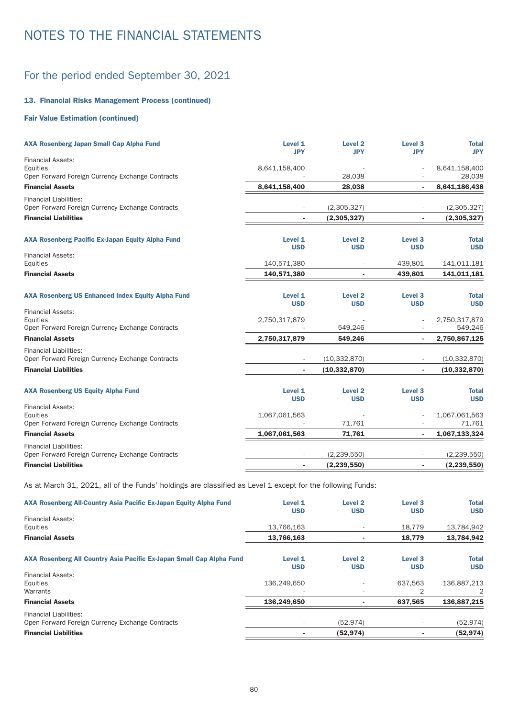### For the period ended September 30, 2021

### 13. Financial Risks Management Process (continued)

### Fair Value Estimation (continued)

| <b>AXA Rosenberg Japan Small Cap Alpha Fund</b>                                          | Level 1<br><b>JPY</b> | Level <sub>2</sub><br><b>JPY</b> | Level <sub>3</sub><br><b>JPY</b> | <b>Total</b><br><b>JPY</b> |
|------------------------------------------------------------------------------------------|-----------------------|----------------------------------|----------------------------------|----------------------------|
| <b>Financial Assets:</b><br>Equities                                                     | 8,641,158,400         |                                  |                                  | 8,641,158,400              |
| Open Forward Foreign Currency Exchange Contracts                                         |                       | 28,038                           |                                  | 28,038                     |
| <b>Financial Assets</b>                                                                  | 8,641,158,400         | 28,038                           |                                  | 8,641,186,438              |
| <b>Financial Liabilities:</b><br>Open Forward Foreign Currency Exchange Contracts        |                       | (2,305,327)                      |                                  | (2,305,327)                |
| <b>Financial Liabilities</b>                                                             |                       | (2,305,327)                      |                                  | (2,305,327)                |
| <b>AXA Rosenberg Pacific Ex-Japan Equity Alpha Fund</b>                                  | Level 1<br><b>USD</b> | Level <sub>2</sub><br><b>USD</b> | Level <sub>3</sub><br><b>USD</b> | <b>Total</b><br><b>USD</b> |
| <b>Financial Assets:</b><br>Equities                                                     | 140,571,380           |                                  | 439,801                          | 141,011,181                |
| <b>Financial Assets</b>                                                                  | 140,571,380           |                                  | 439,801                          | 141,011,181                |
| <b>AXA Rosenberg US Enhanced Index Equity Alpha Fund</b>                                 | Level 1<br><b>USD</b> | Level <sub>2</sub><br><b>USD</b> | Level <sub>3</sub><br><b>USD</b> | <b>Total</b><br><b>USD</b> |
| <b>Financial Assets:</b><br>Equities                                                     | 2,750,317,879         |                                  |                                  | 2,750,317,879              |
| Open Forward Foreign Currency Exchange Contracts<br><b>Financial Assets</b>              | 2,750,317,879         | 549,246<br>549,246               | ٠                                | 549,246<br>2,750,867,125   |
| <b>Financial Liabilities:</b><br>Open Forward Foreign Currency Exchange Contracts        |                       | (10, 332, 870)                   |                                  | (10, 332, 870)             |
| <b>Financial Liabilities</b>                                                             |                       | (10, 332, 870)                   |                                  | (10, 332, 870)             |
| <b>AXA Rosenberg US Equity Alpha Fund</b>                                                | Level 1<br><b>USD</b> | <b>Level 2</b><br><b>USD</b>     | Level <sub>3</sub><br><b>USD</b> | <b>Total</b><br><b>USD</b> |
| <b>Financial Assets:</b><br>Equities<br>Open Forward Foreign Currency Exchange Contracts | 1,067,061,563         | 71,761                           |                                  | 1,067,061,563<br>71,761    |
| <b>Financial Assets</b>                                                                  | 1,067,061,563         | 71,761                           |                                  | 1,067,133,324              |
| <b>Financial Liabilities:</b><br>Open Forward Foreign Currency Exchange Contracts        |                       | (2, 239, 550)                    |                                  | (2, 239, 550)              |
| <b>Financial Liabilities</b>                                                             |                       | (2, 239, 550)                    |                                  | (2, 239, 550)              |

As at March 31, 2021, all of the Funds' holdings are classified as Level 1 except for the following Funds:

| AXA Rosenberg All-Country Asia Pacific Ex-Japan Equity Alpha Fund                 | Level 1<br><b>USD</b>    | Level <sub>2</sub><br><b>USD</b> | Level <sub>3</sub><br><b>USD</b> | <b>Total</b><br><b>USD</b> |
|-----------------------------------------------------------------------------------|--------------------------|----------------------------------|----------------------------------|----------------------------|
| <b>Financial Assets:</b><br>Equities                                              | 13,766,163               |                                  | 18,779                           | 13,784,942                 |
| <b>Financial Assets</b>                                                           | 13,766,163               |                                  | 18,779                           | 13,784,942                 |
| AXA Rosenberg All Country Asia Pacific Ex-Japan Small Cap Alpha Fund              | Level 1<br><b>USD</b>    | Level <sub>2</sub><br><b>USD</b> | Level <sub>3</sub><br><b>USD</b> | <b>Total</b><br><b>USD</b> |
| <b>Financial Assets:</b><br>Equities<br>Warrants                                  | 136,249,650              |                                  | 637.563<br>2                     | 136.887.213                |
| <b>Financial Assets</b>                                                           | 136,249,650              |                                  | 637,565                          | 136,887,215                |
| <b>Financial Liabilities:</b><br>Open Forward Foreign Currency Exchange Contracts | $\overline{\phantom{a}}$ | (52, 974)                        |                                  | (52, 974)                  |
| <b>Financial Liabilities</b>                                                      |                          | (52, 974)                        |                                  | (52, 974)                  |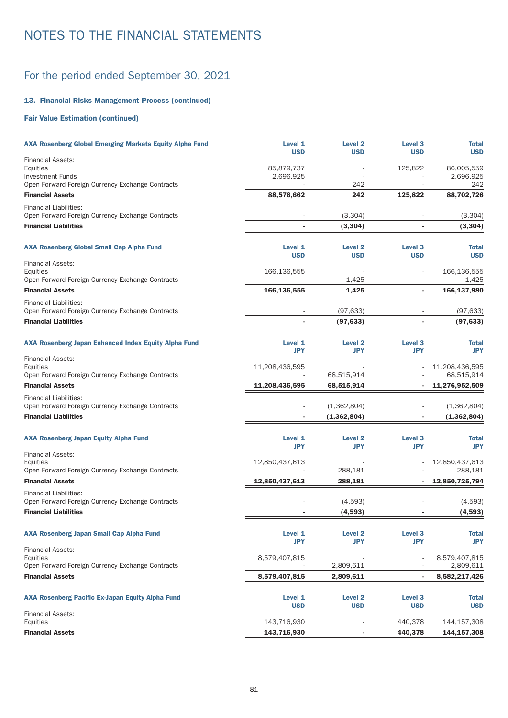### For the period ended September 30, 2021

### 13. Financial Risks Management Process (continued)

### Fair Value Estimation (continued)

| <b>AXA Rosenberg Global Emerging Markets Equity Alpha Fund</b>                    | Level 1<br><b>USD</b>   | <b>Level 2</b><br><b>USD</b>     | Level <sub>3</sub><br><b>USD</b> | <b>Total</b><br><b>USD</b> |
|-----------------------------------------------------------------------------------|-------------------------|----------------------------------|----------------------------------|----------------------------|
| <b>Financial Assets:</b>                                                          |                         |                                  |                                  |                            |
| Equities<br><b>Investment Funds</b>                                               | 85,879,737<br>2,696,925 |                                  | 125,822                          | 86,005,559<br>2,696,925    |
| Open Forward Foreign Currency Exchange Contracts                                  |                         | 242                              |                                  | 242                        |
| <b>Financial Assets</b>                                                           | 88,576,662              | 242                              | 125,822                          | 88,702,726                 |
| <b>Financial Liabilities:</b>                                                     |                         |                                  |                                  |                            |
| Open Forward Foreign Currency Exchange Contracts                                  |                         | (3,304)                          |                                  | (3,304)                    |
| <b>Financial Liabilities</b>                                                      |                         | (3,304)                          |                                  | (3, 304)                   |
|                                                                                   |                         |                                  |                                  |                            |
| <b>AXA Rosenberg Global Small Cap Alpha Fund</b>                                  | Level 1<br><b>USD</b>   | Level <sub>2</sub><br><b>USD</b> | Level <sub>3</sub><br><b>USD</b> | <b>Total</b><br><b>USD</b> |
| <b>Financial Assets:</b>                                                          |                         |                                  |                                  |                            |
| Equities                                                                          | 166,136,555             |                                  |                                  | 166,136,555                |
| Open Forward Foreign Currency Exchange Contracts                                  |                         | 1,425                            | $\overline{\phantom{a}}$         | 1,425                      |
| <b>Financial Assets</b>                                                           | 166,136,555             | 1,425                            |                                  | 166,137,980                |
| <b>Financial Liabilities:</b>                                                     |                         |                                  |                                  |                            |
| Open Forward Foreign Currency Exchange Contracts                                  |                         | (97, 633)                        |                                  | (97, 633)                  |
| <b>Financial Liabilities</b>                                                      |                         | (97, 633)                        |                                  | (97, 633)                  |
| <b>AXA Rosenberg Japan Enhanced Index Equity Alpha Fund</b>                       | Level 1                 | Level <sub>2</sub>               | Level <sub>3</sub>               | <b>Total</b>               |
|                                                                                   | <b>JPY</b>              | <b>JPY</b>                       | <b>JPY</b>                       | <b>JPY</b>                 |
| <b>Financial Assets:</b><br>Equities                                              | 11,208,436,595          |                                  |                                  | 11,208,436,595             |
| Open Forward Foreign Currency Exchange Contracts                                  |                         | 68,515,914                       |                                  | 68,515,914                 |
| <b>Financial Assets</b>                                                           | 11,208,436,595          | 68,515,914                       |                                  | 11,276,952,509             |
| <b>Financial Liabilities:</b>                                                     |                         |                                  |                                  |                            |
| Open Forward Foreign Currency Exchange Contracts                                  |                         | (1,362,804)                      |                                  | (1,362,804)                |
| <b>Financial Liabilities</b>                                                      |                         | (1,362,804)                      |                                  | (1,362,804)                |
|                                                                                   |                         |                                  |                                  |                            |
| <b>AXA Rosenberg Japan Equity Alpha Fund</b>                                      | Level 1<br>JPY          | <b>Level 2</b><br><b>JPY</b>     | Level <sub>3</sub><br>JPY        | <b>Total</b><br><b>JPY</b> |
| <b>Financial Assets:</b>                                                          |                         |                                  |                                  |                            |
| Equities                                                                          | 12,850,437,613          |                                  |                                  | 12,850,437,613             |
| Open Forward Foreign Currency Exchange Contracts                                  |                         | 288,181                          |                                  | 288,181                    |
| <b>Financial Assets</b>                                                           | 12,850,437,613          | 288,181                          |                                  | 12,850,725,794             |
| <b>Financial Liabilities:</b><br>Open Forward Foreign Currency Exchange Contracts |                         | (4,593)                          |                                  | (4,593)                    |
| <b>Financial Liabilities</b>                                                      |                         | (4, 593)                         |                                  | (4,593)                    |
|                                                                                   |                         |                                  |                                  |                            |
| <b>AXA Rosenberg Japan Small Cap Alpha Fund</b>                                   | Level 1                 | <b>Level 2</b>                   | Level 3                          | <b>Total</b>               |
|                                                                                   | <b>JPY</b>              | <b>JPY</b>                       | <b>JPY</b>                       | <b>JPY</b>                 |
| <b>Financial Assets:</b><br>Equities                                              | 8,579,407,815           |                                  |                                  | 8,579,407,815              |
| Open Forward Foreign Currency Exchange Contracts                                  |                         | 2,809,611                        |                                  | 2,809,611                  |
| <b>Financial Assets</b>                                                           | 8,579,407,815           | 2,809,611                        | ٠                                | 8,582,217,426              |
|                                                                                   |                         |                                  |                                  |                            |
| <b>AXA Rosenberg Pacific Ex-Japan Equity Alpha Fund</b>                           | Level 1                 | <b>Level 2</b>                   | Level 3                          | <b>Total</b>               |
| <b>Financial Assets:</b>                                                          | <b>USD</b>              | <b>USD</b>                       | <b>USD</b>                       | <b>USD</b>                 |
| Equities                                                                          | 143,716,930             |                                  | 440,378                          | 144,157,308                |
| <b>Financial Assets</b>                                                           | 143,716,930             | $\overline{\phantom{a}}$         | 440,378                          | 144,157,308                |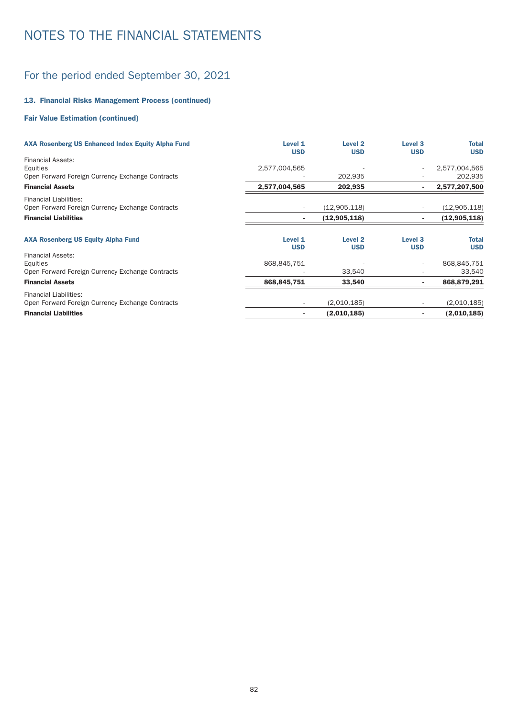### For the period ended September 30, 2021

### 13. Financial Risks Management Process (continued)

### Fair Value Estimation (continued)

| <b>AXA Rosenberg US Enhanced Index Equity Alpha Fund</b>                          | Level 1<br><b>USD</b>    | Level <sub>2</sub><br><b>USD</b> | Level <sub>3</sub><br><b>USD</b> | Total<br><b>USD</b> |
|-----------------------------------------------------------------------------------|--------------------------|----------------------------------|----------------------------------|---------------------|
| <b>Financial Assets:</b><br>Equities                                              | 2,577,004,565            |                                  |                                  | 2,577,004,565       |
| Open Forward Foreign Currency Exchange Contracts                                  |                          | 202,935                          |                                  | 202,935             |
| <b>Financial Assets</b>                                                           | 2,577,004,565            | 202,935                          |                                  | 2,577,207,500       |
| <b>Financial Liabilities:</b><br>Open Forward Foreign Currency Exchange Contracts |                          | (12,905,118)                     |                                  | (12,905,118)        |
| <b>Financial Liabilities</b>                                                      |                          | (12, 905, 118)                   |                                  | (12, 905, 118)      |
| <b>AXA Rosenberg US Equity Alpha Fund</b>                                         | Level 1<br><b>USD</b>    | Level <sub>2</sub><br><b>USD</b> | Level <sub>3</sub><br><b>USD</b> | Total<br><b>USD</b> |
| <b>Financial Assets:</b>                                                          |                          |                                  |                                  |                     |
| Equities                                                                          | 868,845,751              |                                  |                                  | 868,845,751         |
| Open Forward Foreign Currency Exchange Contracts                                  |                          | 33,540                           |                                  | 33,540              |
| <b>Financial Assets</b>                                                           | 868,845,751              | 33,540                           |                                  | 868,879,291         |
| <b>Financial Liabilities:</b>                                                     |                          |                                  |                                  |                     |
| Open Forward Foreign Currency Exchange Contracts                                  | $\overline{\phantom{a}}$ | (2,010,185)                      |                                  | (2,010,185)         |
| <b>Financial Liabilities</b>                                                      |                          | (2,010,185)                      |                                  | (2,010,185)         |
|                                                                                   |                          |                                  |                                  |                     |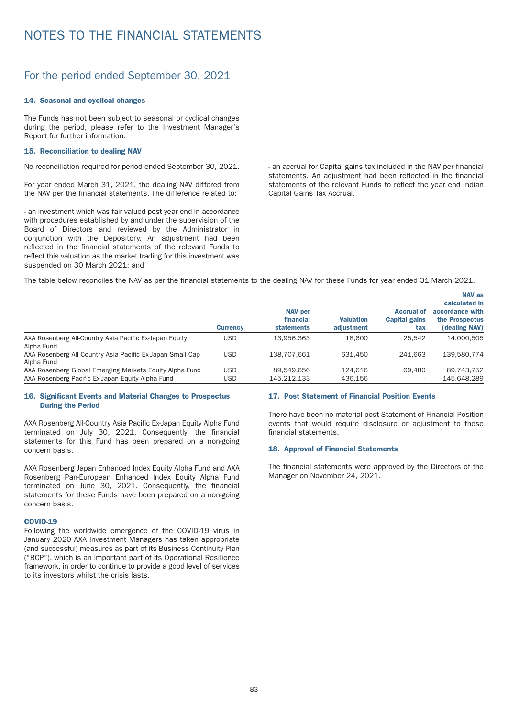### For the period ended September 30, 2021

#### 14. Seasonal and cyclical changes

The Funds has not been subject to seasonal or cyclical changes during the period, please refer to the Investment Manager's Report for further information.

#### 15. Reconciliation to dealing NAV

No reconciliation required for period ended September 30, 2021.

For year ended March 31, 2021, the dealing NAV differed from the NAV per the financial statements. The difference related to:

- an investment which was fair valued post year end in accordance with procedures established by and under the supervision of the Board of Directors and reviewed by the Administrator in conjunction with the Depository. An adjustment had been reflected in the financial statements of the relevant Funds to reflect this valuation as the market trading for this investment was suspended on 30 March 2021; and

- an accrual for Capital gains tax included in the NAV per financial statements. An adjustment had been reflected in the financial statements of the relevant Funds to reflect the year end Indian Capital Gains Tax Accrual.

The table below reconciles the NAV as per the financial statements to the dealing NAV for these Funds for year ended 31 March 2021.

|                                                           | <b>Currency</b> | <b>NAV per</b><br>financial<br><b>statements</b> | <b>Valuation</b><br>adiustment | <b>Accrual of</b><br><b>Capital gains</b><br>tax | <b>NAV as</b><br>calculated in<br>accordance with<br>the Prospectus<br>(dealing NAV) |
|-----------------------------------------------------------|-----------------|--------------------------------------------------|--------------------------------|--------------------------------------------------|--------------------------------------------------------------------------------------|
| AXA Rosenberg All-Country Asia Pacific Ex-Japan Equity    | USD             | 13.956.363                                       | 18,600                         | 25.542                                           | 14.000.505                                                                           |
| Alpha Fund                                                |                 |                                                  |                                |                                                  |                                                                                      |
| AXA Rosenberg All Country Asia Pacific Ex-Japan Small Cap | USD             | 138.707.661                                      | 631.450                        | 241.663                                          | 139,580,774                                                                          |
| Alpha Fund                                                |                 |                                                  |                                |                                                  |                                                                                      |
| AXA Rosenberg Global Emerging Markets Equity Alpha Fund   | <b>USD</b>      | 89.549.656                                       | 124.616                        | 69.480                                           | 89.743.752                                                                           |
| AXA Rosenberg Pacific Ex-Japan Equity Alpha Fund          | USD             | 145.212.133                                      | 436.156                        |                                                  | 145.648.289                                                                          |

#### 16. Significant Events and Material Changes to Prospectus During the Period

AXA Rosenberg All-Country Asia Pacific Ex-Japan Equity Alpha Fund terminated on July 30, 2021. Consequently, the financial statements for this Fund has been prepared on a non-going concern basis.

AXA Rosenberg Japan Enhanced Index Equity Alpha Fund and AXA Rosenberg Pan-European Enhanced Index Equity Alpha Fund terminated on June 30, 2021. Consequently, the financial statements for these Funds have been prepared on a non-going concern basis.

#### COVID-19

Following the worldwide emergence of the COVID-19 virus in January 2020 AXA Investment Managers has taken appropriate (and successful) measures as part of its Business Continuity Plan ("BCP"), which is an impor tant par t of its Operational Resilience framework, in order to continue to provide a good level of services to its investors whilst the crisis lasts.

### 17. Post Statement of Financial Position Events

There have been no material post Statement of Financial Position events that would require disclosure or adjustment to these financial statements.

#### 18. Approval of Financial Statements

The financial statements were approved by the Directors of the Manager on November 24, 2021.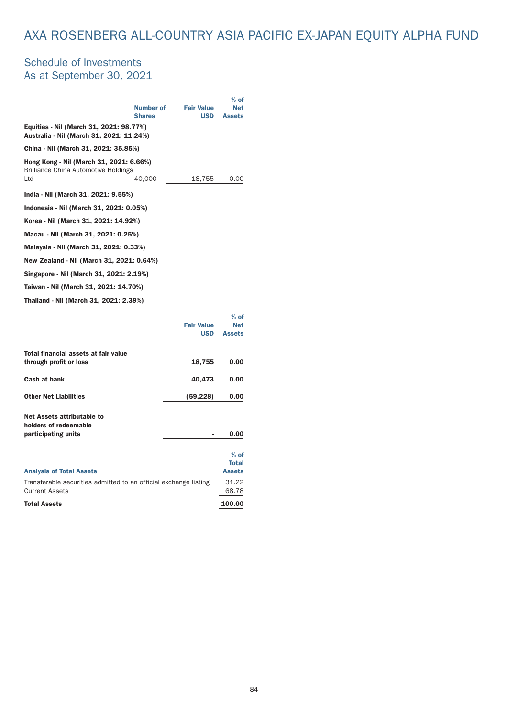# AXA ROSENBERG ALL-COUNTRY ASIA PACIFIC EX-JAPAN EQUITY ALPHA FUND

### Schedule of Investments As at September 30, 2021

|                                                                                        |                  |                   | $%$ of        |
|----------------------------------------------------------------------------------------|------------------|-------------------|---------------|
|                                                                                        | <b>Number of</b> | <b>Fair Value</b> | <b>Net</b>    |
|                                                                                        | <b>Shares</b>    | <b>USD</b>        | <b>Assets</b> |
| Equities - Nil (March 31, 2021: 98.77%)<br>Australia - Nil (March 31, 2021: 11.24%)    |                  |                   |               |
| China - Nil (March 31, 2021: 35.85%)                                                   |                  |                   |               |
| Hong Kong - Nil (March 31, 2021: 6.66%)<br><b>Brilliance China Automotive Holdings</b> |                  |                   |               |
| Ltd                                                                                    | 40,000           | 18,755            | 0.00          |
| India - Nil (March 31, 2021: 9.55%)                                                    |                  |                   |               |
| Indonesia - Nil (March 31, 2021: 0.05%)                                                |                  |                   |               |
| Korea - Nil (March 31, 2021: 14.92%)                                                   |                  |                   |               |
| Macau - Nil (March 31, 2021: 0.25%)                                                    |                  |                   |               |
| Malaysia - Nil (March 31, 2021: 0.33%)                                                 |                  |                   |               |
| New Zealand - Nil (March 31, 2021: 0.64%)                                              |                  |                   |               |
| Singapore - Nil (March 31, 2021: 2.19%)                                                |                  |                   |               |
| Taiwan - Nil (March 31, 2021: 14.70%)                                                  |                  |                   |               |
| Thailand - Nil (March 31, 2021: 2.39%)                                                 |                  |                   |               |

|                                                                  |                                 | $%$ of                      |
|------------------------------------------------------------------|---------------------------------|-----------------------------|
|                                                                  | <b>Fair Value</b><br><b>USD</b> | <b>Net</b><br><b>Assets</b> |
|                                                                  |                                 |                             |
| Total financial assets at fair value                             |                                 |                             |
| through profit or loss                                           | 18,755                          | 0.00                        |
| Cash at bank                                                     | 40,473                          | 0.00                        |
|                                                                  |                                 |                             |
| <b>Other Net Liabilities</b>                                     | (59, 228)                       | 0.00                        |
|                                                                  |                                 |                             |
| Net Assets attributable to<br>holders of redeemable              |                                 |                             |
| participating units                                              |                                 | 0.00                        |
|                                                                  |                                 |                             |
|                                                                  |                                 | $%$ of                      |
|                                                                  |                                 | <b>Total</b>                |
| <b>Analysis of Total Assets</b>                                  |                                 | <b>Assets</b>               |
| Transferable securities admitted to an official exchange listing |                                 | 31.22                       |
| <b>Current Assets</b>                                            |                                 | 68.78                       |
| <b>Total Assets</b>                                              |                                 | 100.00                      |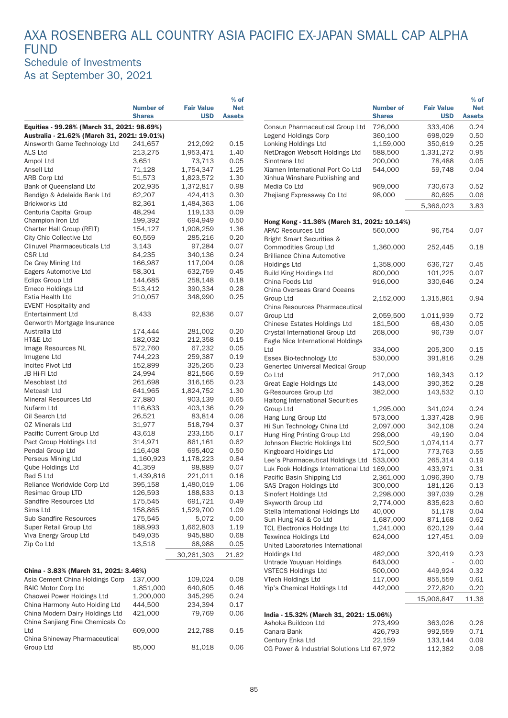### AXA ROSENBERG ALL COUNTRY ASIA PACIFIC EX-JAPAN SMALL CAP ALPHA FUND Schedule of Investments As at September 30, 2021

|                                                                              |                      |                      | $%$ of        |                                                            |                      |                    | $%$ of        |
|------------------------------------------------------------------------------|----------------------|----------------------|---------------|------------------------------------------------------------|----------------------|--------------------|---------------|
|                                                                              | <b>Number of</b>     | <b>Fair Value</b>    | <b>Net</b>    |                                                            | <b>Number of</b>     | <b>Fair Value</b>  | <b>Net</b>    |
|                                                                              | <b>Shares</b>        | <b>USD</b>           | <b>Assets</b> |                                                            | <b>Shares</b>        | <b>USD</b>         | <b>Assets</b> |
| Equities - 99.28% (March 31, 2021: 98.69%)                                   |                      |                      |               | Consun Pharmaceutical Group Ltd                            | 726,000              | 333,406            | 0.24<br>0.5C  |
| Australia - 21.62% (March 31, 2021: 19.01%)<br>Ainsworth Game Technology Ltd | 241,657              | 212,092              | 0.15          | Legend Holdings Corp<br>Lonking Holdings Ltd               | 360,100<br>1,159,000 | 698,029<br>350,619 | 0.25          |
| ALS Ltd                                                                      | 213,275              | 1,953,471            | 1.40          | NetDragon Websoft Holdings Ltd                             | 588,500              | 1,331,272          | 0.95          |
| Ampol Ltd                                                                    | 3,651                | 73,713               | 0.05          | Sinotrans Ltd                                              | 200,000              | 78,488             | 0.05          |
| Ansell Ltd                                                                   | 71,128               | 1,754,347            | 1.25          | Xiamen International Port Co Ltd                           | 544,000              | 59,748             | 0.04          |
| <b>ARB Corp Ltd</b>                                                          | 51,573               | 1,823,572            | 1.30          | Xinhua Winshare Publishing and                             |                      |                    |               |
| Bank of Queensland Ltd                                                       | 202,935              | 1,372,817            | 0.98          | Media Co Ltd                                               | 969,000              | 730,673            | 0.52          |
| Bendigo & Adelaide Bank Ltd                                                  | 62,207               | 424,413              | 0.30          | Zhejiang Expressway Co Ltd                                 | 98,000               | 80,695             | 0.06          |
| <b>Brickworks Ltd</b>                                                        | 82,361               | 1,484,363            | 1.06          |                                                            |                      | 5,366,023          |               |
| Centuria Capital Group                                                       | 48,294               | 119,133              | 0.09          |                                                            |                      |                    | 3.83          |
| Champion Iron Ltd                                                            | 199,392              | 694,949              | 0.50          | Hong Kong - 11.36% (March 31, 2021: 10.14%)                |                      |                    |               |
| Charter Hall Group (REIT)                                                    | 154,127              | 1,908,259            | 1.36          | <b>APAC Resources Ltd</b>                                  | 560,000              | 96,754             | 0.07          |
| City Chic Collective Ltd                                                     | 60,559               | 285,216              | 0.20          | <b>Bright Smart Securities &amp;</b>                       |                      |                    |               |
| <b>Clinuvel Pharmaceuticals Ltd</b>                                          | 3,143                | 97,284               | 0.07          | Commodities Group Ltd                                      | 1,360,000            | 252,445            | 0.18          |
| <b>CSR Ltd</b>                                                               | 84,235               | 340,136              | 0.24          | <b>Brilliance China Automotive</b>                         |                      |                    |               |
| De Grey Mining Ltd                                                           | 166,987              | 117,004              | 0.08          | <b>Holdings Ltd</b>                                        | 1,358,000            | 636,727            | 0.45          |
| Eagers Automotive Ltd                                                        | 58,301               | 632,759              | 0.45          | Build King Holdings Ltd                                    | 800,000              | 101,225            | 0.07          |
| <b>Eclipx Group Ltd</b>                                                      | 144,685              | 258,148              | 0.18          | China Foods Ltd                                            | 916,000              | 330,646            | 0.24          |
| Emeco Holdings Ltd                                                           | 513,412              | 390,334              | 0.28          | China Overseas Grand Oceans                                |                      |                    |               |
| Estia Health Ltd                                                             | 210,057              | 348,990              | 0.25          | Group Ltd                                                  | 2,152,000            | 1,315,861          | 0.94          |
| <b>EVENT Hospitality and</b>                                                 |                      |                      |               | China Resources Pharmaceutical                             |                      |                    |               |
| <b>Entertainment Ltd</b>                                                     | 8,433                | 92,836               | 0.07          | Group Ltd                                                  | 2,059,500            | 1,011,939          | 0.72          |
| Genworth Mortgage Insurance                                                  |                      |                      |               | Chinese Estates Holdings Ltd                               | 181,500              | 68,430             | 0.05          |
| Australia Ltd                                                                | 174,444              | 281,002              | 0.20          | Crystal International Group Ltd                            | 268,000              | 96,739             | 0.07          |
| HT&E Ltd                                                                     | 182,032              | 212,358              | 0.15          | Eagle Nice International Holdings                          |                      |                    |               |
| Image Resources NL                                                           | 572,760              | 67,232               | 0.05          | Ltd                                                        | 334,000              | 205,300            | 0.15          |
| Imugene Ltd                                                                  | 744,223              | 259,387              | 0.19          | Essex Bio-technology Ltd                                   | 530,000              | 391,816            | 0.28          |
| Incitec Pivot Ltd                                                            | 152,899              | 325,265              | 0.23          | Genertec Universal Medical Group                           |                      |                    |               |
| JB Hi-Fi Ltd                                                                 | 24,994               | 821,566              | 0.59          | Co Ltd                                                     | 217,000              | 169,343            | 0.12          |
| Mesoblast Ltd                                                                | 261,698              | 316,165              | 0.23          | Great Eagle Holdings Ltd                                   | 143,000              | 390,352            | 0.28          |
| Metcash Ltd                                                                  | 641,965              | 1,824,752            | 1.30          | <b>G-Resources Group Ltd</b>                               | 382,000              | 143,532            | 0.10          |
| Mineral Resources Ltd                                                        | 27,880               | 903,139              | 0.65          | Haitong International Securities                           |                      |                    |               |
| Nufarm Ltd                                                                   | 116,633              | 403,136              | 0.29          | Group Ltd                                                  | 1,295,000            | 341,024            | 0.24          |
| Oil Search Ltd                                                               | 26,521               | 83,814               | 0.06          | Hang Lung Group Ltd                                        | 573,000              | 1,337,428          | 0.96          |
| <b>OZ Minerals Ltd</b>                                                       | 31,977               | 518,794              | 0.37          | Hi Sun Technology China Ltd                                | 2,097,000            | 342,108            | 0.24          |
| Pacific Current Group Ltd                                                    | 43,618               | 233,155              | 0.17          | Hung Hing Printing Group Ltd                               | 298,000              | 49,190             | 0.04          |
| Pact Group Holdings Ltd                                                      | 314,971              | 861,161              | 0.62          | Johnson Electric Holdings Ltd                              | 502,500              | 1,074,114          | 0.77          |
| Pendal Group Ltd<br>Perseus Mining Ltd                                       | 116,408<br>1,160,923 | 695,402<br>1,178,223 | 0.50<br>0.84  | Kingboard Holdings Ltd                                     | 171,000              | 773,763            | 0.55          |
| Qube Holdings Ltd                                                            | 41,359               | 98,889               | 0.07          | Lee's Pharmaceutical Holdings Ltd                          | 533,000              | 265,314            | 0.19          |
| Red 5 Ltd                                                                    | 1,439,816            | 221,011              | 0.16          | Luk Fook Holdings International Ltd 169,000                |                      | 433,971            | 0.31          |
| Reliance Worldwide Corp Ltd                                                  | 395,158              | 1,480,019            | 1.06          | Pacific Basin Shipping Ltd                                 | 2,361,000            | 1,096,390          | 0.78          |
| Resimac Group LTD                                                            | 126,593              | 188,833              | 0.13          | SAS Dragon Holdings Ltd                                    | 300,000              | 181,126            | 0.13          |
| Sandfire Resources Ltd                                                       | 175,545              | 691,721              | 0.49          | Sinofert Holdings Ltd                                      | 2,298,000            | 397,039            | 0.28          |
| Sims Ltd                                                                     | 158,865              | 1,529,700            | 1.09          | Skyworth Group Ltd                                         | 2,774,000            | 835,623            | 0.60<br>0.04  |
| Sub Sandfire Resources                                                       | 175,545              | 5,072                | 0.00          | Stella International Holdings Ltd<br>Sun Hung Kai & Co Ltd | 40,000<br>1,687,000  | 51,178<br>871,168  | 0.62          |
| Super Retail Group Ltd                                                       | 188,993              | 1,662,803            | 1.19          | <b>TCL Electronics Holdings Ltd</b>                        | 1,241,000            | 620,129            | 0.44          |
| Viva Energy Group Ltd                                                        | 549,035              | 945,880              | 0.68          | <b>Texwinca Holdings Ltd</b>                               | 624,000              | 127,451            | 0.09          |
| Zip Co Ltd                                                                   | 13,518               | 68,988               | 0.05          | United Laboratories International                          |                      |                    |               |
|                                                                              |                      |                      |               | Holdings Ltd                                               | 482,000              | 320,419            | 0.23          |
|                                                                              |                      | 30,261,303           | 21.62         | Untrade Youyuan Holdings                                   | 643,000              |                    | 0.0C          |
| China - 3.83% (March 31, 2021: 3.46%)                                        |                      |                      |               | <b>VSTECS Holdings Ltd</b>                                 | 500,000              | 449,924            | 0.32          |
| Asia Cement China Holdings Corp                                              | 137,000              | 109,024              | 0.08          | VTech Holdings Ltd                                         | 117,000              | 855,559            | 0.61          |
| <b>BAIC Motor Corp Ltd</b>                                                   | 1,851,000            | 640,805              | 0.46          | Yip's Chemical Holdings Ltd                                | 442,000              | 272,820            | 0.2C          |
| Chaowei Power Holdings Ltd                                                   | 1,200,000            | 345,295              | 0.24          |                                                            |                      |                    |               |
| China Harmony Auto Holding Ltd                                               | 444,500              | 234,394              | 0.17          |                                                            |                      | 15,906,847         | 11.36         |
| China Modern Dairy Holdings Ltd                                              | 421,000              | 79,769               | 0.06          | India - 15.32% (March 31, 2021: 15.06%)                    |                      |                    |               |
| China Sanjiang Fine Chemicals Co                                             |                      |                      |               | Ashoka Buildcon Ltd                                        | 273,499              | 363,026            | 0.26          |
| Ltd                                                                          | 609,000              | 212,788              | 0.15          | Canara Bank                                                | 426,793              | 992,559            | 0.71          |
| China Shineway Pharmaceutical                                                |                      |                      |               | Century Enka Ltd                                           | 22,159               | 133,144            | 0.09          |
| Group Ltd                                                                    | 85,000               | 81,018               | 0.06          | CG Power & Industrial Solutions Ltd 67,972                 |                      | 112,382            | 0.08          |
|                                                                              |                      |                      |               |                                                            |                      |                    |               |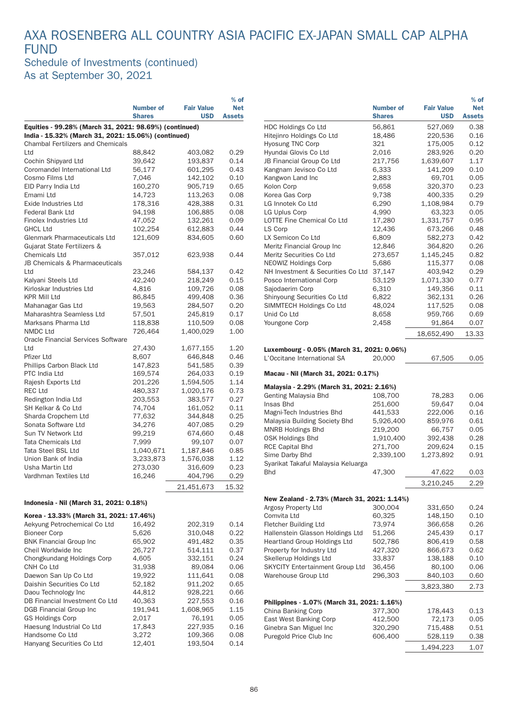### AXA ROSENBERG ALL COUNTRY ASIA PACIFIC EX-JAPAN SMALL CAP ALPHA **FUND** Schedule of Investments (continued)

As at September 30, 2021

|                                                        |                  |                   | $%$ of        |
|--------------------------------------------------------|------------------|-------------------|---------------|
|                                                        | <b>Number of</b> | <b>Fair Value</b> | <b>Net</b>    |
|                                                        | <b>Shares</b>    | <b>USD</b>        | <b>Assets</b> |
| Equities - 99.28% (March 31, 2021: 98.69%) (continued) |                  |                   |               |
| India - 15.32% (March 31, 2021: 15.06%) (continued)    |                  |                   |               |
| <b>Chambal Fertilizers and Chemicals</b>               |                  |                   |               |
| Ltd                                                    | 88,842           | 403,082           | 0.29          |
| Cochin Shipyard Ltd                                    | 39,642           | 193,837           | 0.14          |
| Coromandel International Ltd                           | 56,177           | 601,295           | 0.43          |
| Cosmo Films Ltd                                        | 7,046            | 142,102           | 0.10          |
| EID Parry India Ltd                                    | 160,270          | 905,719           | 0.65          |
| Emami Ltd                                              | 14,723           | 113,263           | 0.08          |
| <b>Exide Industries Ltd</b>                            | 178,316          | 428,388           | 0.31          |
| <b>Federal Bank Ltd</b>                                | 94,198           | 106,885           | 0.08          |
| Finolex Industries Ltd                                 | 47,052           | 132,261           | 0.09          |
| <b>GHCL Ltd</b>                                        | 102,254          | 612,883           | 0.44          |
| Glenmark Pharmaceuticals Ltd                           | 121,609          | 834,605           | 0.60          |
| Gujarat State Fertilizers &                            |                  |                   |               |
| <b>Chemicals Ltd</b>                                   | 357,012          | 623,938           | 0.44          |
| JB Chemicals & Pharmaceuticals                         |                  |                   |               |
| Ltd                                                    | 23,246           | 584,137           | 0.42          |
| Kalyani Steels Ltd                                     | 42,240           | 218,249           | 0.15          |
| Kirloskar Industries Ltd                               | 4,816            | 109,726           | 0.08          |
| KPR Mill Ltd                                           | 86,845           | 499,408           | 0.36          |
| Mahanagar Gas Ltd                                      | 19,563           | 284,507           | 0.20          |
| Maharashtra Seamless Ltd                               | 57,501           | 245,819           | 0.17          |
| Marksans Pharma Ltd                                    | 118,838          | 110,509           | 0.08          |
| NMDC Ltd                                               | 726,464          | 1,400,029         | 1.00          |
| <b>Oracle Financial Services Software</b>              |                  |                   |               |
| Ltd                                                    | 27,430           | 1,677,155         | 1.20          |
| Pfizer Ltd                                             | 8,607            | 646,848           | 0.46          |
| Phillips Carbon Black Ltd                              | 147,823          | 541,585           | 0.39          |
| PTC India Ltd                                          | 169,574          | 264,033           | 0.19          |
| Rajesh Exports Ltd                                     | 201,226          | 1,594,505         | 1.14          |
| REC Ltd                                                | 480,337          | 1,020,176         | 0.73          |
| Redington India Ltd                                    | 203,553          | 383,577           | 0.27          |
| SH Kelkar & Co Ltd                                     | 74,704           | 161,052           | 0.11          |
| Sharda Cropchem Ltd                                    | 77,632           | 344,848           | 0.25          |
| Sonata Software Ltd                                    | 34,276           | 407,085           | 0.29          |
| Sun TV Network Ltd                                     | 99,219           | 674,660           | 0.48          |
| Tata Chemicals Ltd                                     | 7,999            | 99,107            | 0.07          |
| Tata Steel BSL Ltd                                     | 1,040,671        | 1,187,846         | 0.85          |
| Union Bank of India                                    | 3,233,873        | 1,576,038         | 1.12          |
| Usha Martin Ltd                                        | 273,030          | 316,609           | 0.23          |
| Vardhman Textiles Ltd                                  | 16,246           | 404,796           | 0.29          |
|                                                        |                  | 21,451,673        | 15.32         |
| Indonesia - Nil (March 31, 2021: 0.18%)                |                  |                   |               |
| Korea - 13.33% (March 31, 2021: 17.46%)                |                  |                   |               |
| Aekyung Petrochemical Co Ltd                           | 16,492           | 202,319           | 0.14          |

| Aekyung Petrochemical Co Ltd   | 16,492  | 202,319   | 0.14 |
|--------------------------------|---------|-----------|------|
| <b>Bioneer Corp</b>            | 5,626   | 310.048   | 0.22 |
| <b>BNK Financial Group Inc</b> | 65,902  | 491.482   | 0.35 |
| Cheil Worldwide Inc.           | 26,727  | 514.111   | 0.37 |
| Chongkundang Holdings Corp     | 4.605   | 332.151   | 0.24 |
| CNH Co Ltd                     | 31,938  | 89,084    | 0.06 |
| Daewon San Up Co Ltd           | 19,922  | 111.641   | 0.08 |
| Daishin Securities Co Ltd      | 52,182  | 911.202   | 0.65 |
| Daou Technology Inc            | 44.812  | 928.221   | 0.66 |
| DB Financial Investment Co Ltd | 40.363  | 227.553   | 0.16 |
| DGB Financial Group Inc        | 191,941 | 1.608.965 | 1.15 |
| <b>GS Holdings Corp</b>        | 2,017   | 76.191    | 0.05 |
| Haesung Industrial Co Ltd      | 17.843  | 227.935   | 0.16 |
| Handsome Co Ltd                | 3,272   | 109,366   | 0.08 |
| Hanyang Securities Co Ltd      | 12.401  | 193.504   | 0.14 |

|                                                                   |                  |                   | $%$ of        |
|-------------------------------------------------------------------|------------------|-------------------|---------------|
|                                                                   | <b>Number of</b> | <b>Fair Value</b> | <b>Net</b>    |
|                                                                   | <b>Shares</b>    | <b>USD</b>        | <b>Assets</b> |
| <b>HDC Holdings Co Ltd</b>                                        | 56,861           | 527,069           | 0.38          |
| Hitejinro Holdings Co Ltd                                         | 18,486           | 220,536           | 0.16          |
| Hyosung TNC Corp                                                  | 321              | 175,005           | 0.12          |
| Hyundai Glovis Co Ltd                                             | 2,016            | 283,926           | 0.20          |
| JB Financial Group Co Ltd                                         | 217,756          | 1,639,607         | 1.17          |
| Kangnam Jevisco Co Ltd                                            | 6,333            | 141,209           | 0.10          |
| Kangwon Land Inc                                                  | 2,883            | 69,701            | 0.05          |
| Kolon Corp                                                        | 9,658            | 320,370           | 0.23          |
| Korea Gas Corp                                                    | 9,738            | 400,335           | 0.29          |
| LG Innotek Co Ltd                                                 | 6,290            | 1,108,984         | 0.79          |
| LG Uplus Corp                                                     | 4,990            | 63,323            | 0.05          |
| <b>LOTTE Fine Chemical Co Ltd</b>                                 | 17,280           | 1,331,757         | 0.95          |
| LS Corp                                                           | 12,436           | 673,266           | 0.48          |
| LX Semicon Co Ltd                                                 | 6,809            | 582,273           | 0.42          |
| Meritz Financial Group Inc                                        | 12,846           | 364,820           | 0.26          |
| Meritz Securities Co Ltd                                          | 273,657          | 1,145,245         | 0.82          |
| <b>NEOWIZ Holdings Corp</b>                                       | 5,686            | 115,377           | 0.08          |
| NH Investment & Securities Co Ltd                                 | 37,147           | 403,942           | 0.29          |
| Posco International Corp                                          | 53,129           | 1,071,330         | 0.77          |
| Sajodaerim Corp                                                   | 6,310            | 149,356           | 0.11          |
| Shinyoung Securities Co Ltd                                       | 6,822            | 362,131           | 0.26          |
| SIMMTECH Holdings Co Ltd                                          | 48,024           | 117,525           | 0.08          |
| Unid Co Ltd                                                       | 8,658            | 959,766           | 0.69          |
| Youngone Corp                                                     | 2,458            | 91,864            | 0.07          |
|                                                                   |                  |                   |               |
|                                                                   |                  | 18,652,490        | 13.33         |
| Luxembourg - 0.05% (March 31, 2021: 0.06%)                        |                  |                   |               |
| L'Occitane International SA                                       |                  |                   |               |
|                                                                   | 20,000           | 67,505            | 0.05          |
| Macau - Nil (March 31, 2021: 0.17%)                               |                  |                   |               |
|                                                                   |                  |                   |               |
| Malaysia - 2.29% (March 31, 2021: 2.16%)                          |                  |                   |               |
| Genting Malaysia Bhd                                              | 108,700          | 78,283            | 0.06          |
| Insas Bhd                                                         | 251,600          | 59,647            | 0.04          |
| Magni-Tech Industries Bhd                                         | 441,533          | 222,006           | 0.16          |
| Malaysia Building Society Bhd                                     | 5,926,400        | 859,976           | 0.61          |
| <b>MNRB Holdings Bhd</b>                                          | 219.200          | 66,757            | 0.05          |
| <b>OSK Holdings Bhd</b>                                           | 1,910,400        | 392,438           | 0.28          |
| <b>RCE Capital Bhd</b>                                            | 271,700          | 209,624           | 0.15          |
| Sime Darby Bhd                                                    | 2,339,100        | 1,273,892         | 0.91          |
| Syarikat Takaful Malaysia Keluarga                                |                  |                   |               |
| <b>Bhd</b>                                                        | 47,300           | 47,622            | 0.03          |
|                                                                   |                  | 3,210,245         | 2.29          |
|                                                                   |                  |                   |               |
| New Zealand - 2.73% (March 31, 2021: 1.14%)                       |                  |                   |               |
| Argosy Property Ltd                                               | 300,004          | 331,650           | 0.24          |
| Comvita Ltd                                                       | 60,325           | 148,150           | 0.10          |
| Fletcher Building Ltd                                             | 73,974           | 366,658           | 0.26          |
| Hallenstein Glasson Holdings Ltd                                  | 51,266           | 245,439           | 0.17          |
| <b>Heartland Group Holdings Ltd</b>                               | 502,786          | 806,419           | 0.58          |
| Property for Industry Ltd                                         | 427,320          | 866,673           | 0.62          |
| Skellerup Holdings Ltd                                            | 33,837           | 138,188           | 0.10          |
| SKYCITY Entertainment Group Ltd                                   | 36,456           | 80,100            | 0.06          |
| Warehouse Group Ltd                                               | 296,303          | 840,103           | 0.60          |
|                                                                   |                  |                   |               |
|                                                                   |                  | 3,823,380         | 2.73          |
|                                                                   |                  |                   |               |
| Philippines - 1.07% (March 31, 2021: 1.16%)<br>China Banking Corp | 377,300          | 178,443           | 0.13          |
| East West Banking Corp                                            | 412,500          | 72,173            | 0.05          |
| Ginebra San Miguel Inc                                            | 320,290          | 715,488           | 0.51          |
| Puregold Price Club Inc                                           | 606,400          | 528,119           | 0.38          |
|                                                                   |                  |                   |               |
|                                                                   |                  | 1,494,223         | 1.07          |
|                                                                   |                  |                   |               |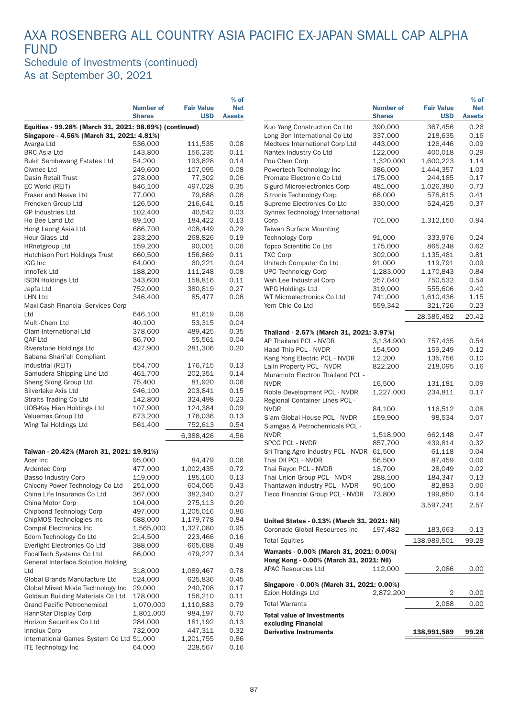### AXA ROSENBERG ALL COUNTRY ASIA PACIFIC EX-JAPAN SMALL CAP ALPHA FUND Schedule of Investments (continued)

% of

As at September 30, 2021

|                                                                |                  |                   | $%$ of        |                                                                  |                      |                   | $%$ of        |
|----------------------------------------------------------------|------------------|-------------------|---------------|------------------------------------------------------------------|----------------------|-------------------|---------------|
|                                                                | <b>Number of</b> | <b>Fair Value</b> | <b>Net</b>    |                                                                  | <b>Number of</b>     | <b>Fair Value</b> | <b>Net</b>    |
|                                                                | <b>Shares</b>    | <b>USD</b>        | <b>Assets</b> |                                                                  | <b>Shares</b>        | <b>USD</b>        | <b>Assets</b> |
| Equities - 99.28% (March 31, 2021: 98.69%) (continued)         |                  |                   |               | Kuo Yang Construction Co Ltd                                     | 390,000              | 367,456           | 0.26          |
| Singapore - 4.56% (March 31, 2021: 4.81%)                      |                  |                   |               | Long Bon International Co Ltd                                    | 337,000              | 218,635           | 0.16          |
| Avarga Ltd                                                     | 536,000          | 111,535           | 0.08          | Medtecs International Corp Ltd                                   | 443,000              | 126,446           | 0.09          |
| <b>BRC Asia Ltd</b>                                            | 143,800          | 156,235           | 0.11          | Nantex Industry Co Ltd                                           | 122,000              | 400,018           | 0.29          |
| <b>Bukit Sembawang Estates Ltd</b>                             | 54,200           | 193,628           | 0.14          | Pou Chen Corp                                                    | 1,320,000            | 1,600,223         | 1.14          |
| Civmec Ltd                                                     | 249,600          | 107,095           | 0.08          | Powertech Technology Inc                                         | 386,000              | 1,444,357         | 1.03          |
| Dasin Retail Trust                                             | 278,000          | 77,302            | 0.06          | Promate Electronic Co Ltd                                        | 175,000              | 244,185           | 0.17          |
| EC World (REIT)                                                | 846,100          | 497,028           | 0.35          | Sigurd Microelectronics Corp                                     | 481,000              | 1,026,380         | 0.73          |
| Fraser and Neave Ltd                                           | 77,000           | 79,688            | 0.06          | Sitronix Technology Corp                                         | 66,000               | 578,615           | 0.41          |
| Frencken Group Ltd                                             | 126,500          | 216,641           | 0.15          | Supreme Electronics Co Ltd                                       | 330,000              | 524,425           | 0.37          |
| <b>GP Industries Ltd</b>                                       | 102,400          | 40,542            | 0.03          | Synnex Technology International                                  |                      |                   |               |
| Ho Bee Land Ltd                                                | 89,100           | 184,422           | 0.13          | Corp                                                             | 701,000              | 1,312,150         | 0.94          |
| Hong Leong Asia Ltd                                            | 686,700          | 408,449           | 0.29          | <b>Taiwan Surface Mounting</b>                                   |                      |                   |               |
| Hour Glass Ltd                                                 | 233,200          | 268,826           | 0.19          | <b>Technology Corp</b>                                           | 91,000               | 333,976           | 0.24          |
| <b>HRnetgroup Ltd</b>                                          | 159,200          | 90,001            | 0.06          | Topco Scientific Co Ltd                                          | 175,000              | 865,248           | 0.62          |
| Hutchison Port Holdings Trust                                  | 660,500          | 156,869           | 0.11          | <b>TXC Corp</b>                                                  | 302,000              | 1,135,461         | 0.81          |
| IGG Inc                                                        | 64,000           | 60,221            | 0.04          | Unitech Computer Co Ltd                                          | 91,000               | 119,791           | 0.09          |
| InnoTek Ltd                                                    | 188,200          | 111,248           | 0.08          | <b>UPC Technology Corp</b>                                       | 1,283,000            | 1,170,843         | 0.84          |
| <b>ISDN Holdings Ltd</b>                                       | 343,600          | 158,816           | 0.11          | Wah Lee Industrial Corp                                          | 257,040              | 750,532           | 0.54          |
| Japfa Ltd                                                      | 752,000          | 380,819           | 0.27          | WPG Holdings Ltd                                                 | 319,000              | 555,606           | 0.40          |
| <b>LHN Ltd</b>                                                 | 346,400          | 85,477            | 0.06          | WT Microelectronics Co Ltd                                       | 741,000              | 1,610,436         | 1.15          |
| Maxi-Cash Financial Services Corp                              |                  |                   |               | Yem Chio Co Ltd                                                  | 559,342              | 321,726           | 0.23          |
| Ltd                                                            | 646,100          | 81,619            | 0.06          |                                                                  |                      |                   |               |
| Multi-Chem Ltd                                                 | 40,100           | 53,315            | 0.04          |                                                                  |                      | 28,586,482        | 20.42         |
| Olam International Ltd                                         | 378,600          | 489,425           | 0.35          | Thailand - 2.57% (March 31, 2021: 3.97%)                         |                      |                   |               |
| QAF Ltd                                                        | 86,700           | 55,561            | 0.04          | AP Thailand PCL - NVDR                                           | 3,134,900            | 757,435           | 0.54          |
| Riverstone Holdings Ltd                                        | 427,900          | 281,306           | 0.20          | Haad Thip PCL - NVDR                                             | 154,500              | 159,249           | 0.12          |
| Sabana Shari'ah Compliant                                      |                  |                   |               | Kang Yong Electric PCL - NVDR                                    | 12,200               | 135,756           | 0.10          |
| Industrial (REIT)                                              | 554,700          | 176,715           | 0.13          | Lalin Property PCL - NVDR                                        | 822,200              | 218,095           | 0.16          |
| Samudera Shipping Line Ltd                                     | 461,700          | 202,351           | 0.14          | Muramoto Electron Thailand PCL -                                 |                      |                   |               |
| Sheng Siong Group Ltd                                          | 75,400           | 81,920            | 0.06          | <b>NVDR</b>                                                      | 16,500               | 131,181           | 0.09          |
| Silverlake Axis Ltd                                            | 946,100          | 203,841           | 0.15          | Noble Development PCL - NVDR                                     | 1,227,000            | 234,811           | 0.17          |
| Straits Trading Co Ltd                                         | 142,800          | 324,498           | 0.23          | Regional Container Lines PCL -                                   |                      |                   |               |
| UOB-Kay Hian Holdings Ltd                                      | 107,900          | 124,384           | 0.09          | <b>NVDR</b>                                                      | 84,100               |                   | 0.08          |
| Valuemax Group Ltd                                             | 673,200          | 176,036           | 0.13          | Siam Global House PCL - NVDR                                     | 159,900              | 116,512<br>98,534 | 0.07          |
| Wing Tai Holdings Ltd                                          | 561,400          | 752,613           | 0.54          |                                                                  |                      |                   |               |
|                                                                |                  |                   |               | Siamgas & Petrochemicals PCL -<br><b>NVDR</b>                    |                      | 662,148           |               |
|                                                                |                  | 6,388,426         | 4.56          | SPCG PCL - NVDR                                                  | 1,518,900<br>857,700 | 439,814           | 0.47<br>0.32  |
|                                                                |                  |                   |               |                                                                  |                      |                   |               |
| Taiwan - 20.42% (March 31, 2021: 19.91%)                       |                  |                   | 0.06          | Sri Trang Agro Industry PCL - NVDR 61,500<br>Thai Oil PCL - NVDR |                      | 61,118            | 0.04<br>0.06  |
| Acer Inc                                                       | 95,000           | 84,479            |               |                                                                  | 56,500               | 87,459            |               |
| <b>Ardentec Corp</b>                                           | 477,000          | 1,002,435         | 0.72          | Thai Rayon PCL - NVDR                                            | 18,700               | 28,049            | 0.02          |
| <b>Basso Industry Corp</b>                                     | 119,000          | 185,160           | 0.13          | Thai Union Group PCL - NVDR                                      | 288,100              | 184,347           | 0.13          |
| Chicony Power Technology Co Ltd<br>China Life Insurance Co Ltd | 251,000          | 604,065           | 0.43          | Thantawan Industry PCL - NVDR                                    | 90,100               | 82,883            | 0.06          |
|                                                                | 367,000          | 382,340           | 0.27          | Tisco Financial Group PCL - NVDR                                 | 73,800               | 199,850           | 0.14          |
| China Motor Corp                                               | 104,000          | 275,113           | 0.20          |                                                                  |                      | 3,597,241         | 2.57          |
| Chipbond Technology Corp                                       | 497,000          | 1,205,016         | 0.86          |                                                                  |                      |                   |               |
| ChipMOS Technologies Inc.                                      | 688,000          | 1,179,778         | 0.84          | United States - 0.13% (March 31, 2021: Nil)                      |                      |                   |               |
| Compal Electronics Inc                                         | 1,565,000        | 1,327,080         | 0.95          | Coronado Global Resources Inc                                    | 197,482              | 183,663           | 0.13          |
| Edom Technology Co Ltd                                         | 214,500          | 223,466           | 0.16          | <b>Total Equities</b>                                            |                      | 138,989,501       | 99.28         |
| Everlight Electronics Co Ltd                                   | 388,000          | 665,688           | 0.48          | Warrants - 0.00% (March 31, 2021: 0.00%)                         |                      |                   |               |
| FocalTech Systems Co Ltd                                       | 86,000           | 479,227           | 0.34          | Hong Kong - 0.00% (March 31, 2021: Nil)                          |                      |                   |               |
| General Interface Solution Holding                             |                  |                   |               | <b>APAC Resources Ltd</b>                                        | 112,000              | 2,086             | 0.00          |
| Ltd                                                            | 318,000          | 1,089,467         | 0.78          |                                                                  |                      |                   |               |
| Global Brands Manufacture Ltd                                  | 524,000          | 625,836           | 0.45          | Singapore - 0.00% (March 31, 2021: 0.00%)                        |                      |                   |               |
| Global Mixed Mode Technology Inc                               | 29,000           | 240,708           | 0.17          | Ezion Holdings Ltd                                               | 2,872,200            | 2                 | 0.00          |
| Goldsun Building Materials Co Ltd                              | 178,000          | 156,210           | 0.11          |                                                                  |                      |                   |               |
| <b>Grand Pacific Petrochemical</b>                             | 1,070,000        | 1,110,883         | 0.79          | <b>Total Warrants</b>                                            |                      | 2,088             | 0.00          |
| HannStar Display Corp                                          | 1,801,000        | 984,197           | 0.70          | <b>Total value of Investments</b>                                |                      |                   |               |
| Horizon Securities Co Ltd                                      | 284,000          | 181,192           | 0.13          | excluding Financial                                              |                      |                   |               |
| Innolux Corp                                                   | 732,000          | 447,311           | 0.32          | <b>Derivative Instruments</b>                                    |                      | 138,991,589       | 99.28         |
| International Games System Co Ltd 51,000                       |                  | 1,201,755         | 0.86          |                                                                  |                      |                   |               |
| <b>ITE Technology Inc</b>                                      | 64,000           | 228,567           | 0.16          |                                                                  |                      |                   |               |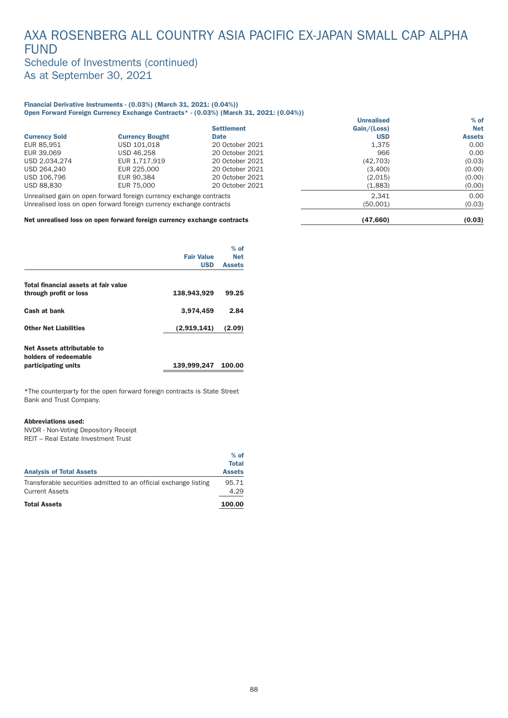### AXA ROSENBERG ALL COUNTRY ASIA PACIFIC EX-JAPAN SMALL CAP ALPHA FUND Schedule of Investments (continued)

As at September 30, 2021

#### Financial Derivative Instruments - (0.03%) (March 31, 2021: (0.04%)) Open Forward Foreign Currency Exchange Contracts\* - (0.03%) (March 31, 2021: (0.04%))

|                      |                                                                     |                   | <b>Unrealised</b> | $%$ of        |
|----------------------|---------------------------------------------------------------------|-------------------|-------------------|---------------|
|                      |                                                                     | <b>Settlement</b> | Gain/(Loss)       | <b>Net</b>    |
| <b>Currency Sold</b> | <b>Currency Bought</b>                                              | <b>Date</b>       | <b>USD</b>        | <b>Assets</b> |
| EUR 85,951           | USD 101.018                                                         | 20 October 2021   | 1.375             | 0.00          |
| EUR 39.069           | USD 46.258                                                          | 20 October 2021   | 966               | 0.00          |
| USD 2.034.274        | EUR 1.717.919                                                       | 20 October 2021   | (42, 703)         | (0.03)        |
| USD 264,240          | EUR 225,000                                                         | 20 October 2021   | (3,400)           | (0.00)        |
| USD 106.796          | EUR 90.384                                                          | 20 October 2021   | (2,015)           | (0.00)        |
| USD 88.830           | EUR 75,000                                                          | 20 October 2021   | (1,883)           | (0.00)        |
|                      | Unrealised gain on open forward foreign currency exchange contracts |                   | 2.341             | 0.00          |
|                      | Unrealised loss on open forward foreign currency exchange contracts |                   | (50,001)          | (0.03)        |
|                      |                                                                     |                   |                   |               |

#### Net unrealised loss on open forward foreign currency exchange contracts (47,660) (47,660) (0.03)

|                                                                            | <b>Fair Value</b><br><b>USD</b> | $%$ of<br><b>Net</b><br><b>Assets</b> |
|----------------------------------------------------------------------------|---------------------------------|---------------------------------------|
| Total financial assets at fair value                                       |                                 |                                       |
| through profit or loss                                                     | 138,943,929                     | 99.25                                 |
| Cash at bank                                                               | 3.974.459                       | 2.84                                  |
| <b>Other Net Liabilities</b>                                               | (2,919,141)                     | (2.09)                                |
| Net Assets attributable to<br>holders of redeemable<br>participating units | 139,999,247                     | 100.00                                |

\*The counterpar ty for the open forward foreign contracts is State Street Bank and Trust Company.

#### Abbreviations used:

NVDR - Non-Voting Depository Receipt REIT – Real Estate Investment Trust

| <b>Analysis of Total Assets</b>                                                           | $%$ of<br><b>Total</b><br><b>Assets</b> |
|-------------------------------------------------------------------------------------------|-----------------------------------------|
| Transferable securities admitted to an official exchange listing<br><b>Current Assets</b> | 95.71<br>4.29                           |
| <b>Total Assets</b>                                                                       | 100.00                                  |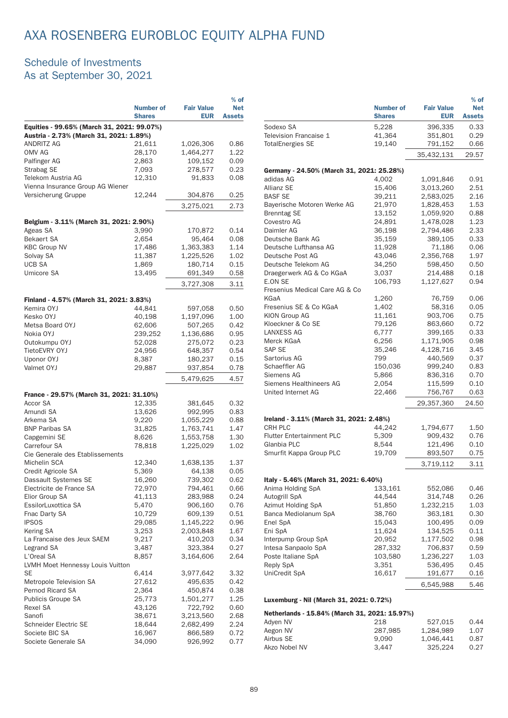# AXA ROSENBERG EUROBLOC EQUITY ALPHA FUND

### Schedule of Investments As at September 30, 2021

|                                                                                       |                  |                   | $%$ of        |  |  |
|---------------------------------------------------------------------------------------|------------------|-------------------|---------------|--|--|
|                                                                                       | <b>Number of</b> | <b>Fair Value</b> | <b>Net</b>    |  |  |
|                                                                                       | <b>Shares</b>    | <b>EUR</b>        | <b>Assets</b> |  |  |
| Equities - 99.65% (March 31, 2021: 99.07%)<br>Austria - 2.73% (March 31, 2021: 1.89%) |                  |                   |               |  |  |
| <b>ANDRITZ AG</b>                                                                     | 21,611           | 1,026,306         | 0.86          |  |  |
| OMV AG                                                                                | 28,170           | 1,464,277         | 1.22          |  |  |
| Palfinger AG                                                                          | 2,863            | 109,152           | 0.09          |  |  |
| Strabag SE                                                                            | 7,093            | 278,577           | 0.23          |  |  |
| Telekom Austria AG                                                                    | 12,310           | 91,833            | 0.08          |  |  |
| Vienna Insurance Group AG Wiener                                                      |                  |                   |               |  |  |
| Versicherung Gruppe                                                                   | 12,244           | 304,876           | 0.25          |  |  |
|                                                                                       |                  |                   |               |  |  |
|                                                                                       |                  | 3,275,021         | 2.73          |  |  |
| Belgium - 3.11% (March 31, 2021: 2.90%)                                               |                  |                   |               |  |  |
| Ageas SA                                                                              | 3,990            | 170,872           | 0.14          |  |  |
| <b>Bekaert SA</b>                                                                     | 2,654            | 95,464            | 0.08          |  |  |
| <b>KBC Group NV</b>                                                                   | 17,486           | 1,363,383         | 1.14          |  |  |
| Solvay SA                                                                             | 11,387           | 1,225,526         | 1.02          |  |  |
| <b>UCB SA</b>                                                                         | 1,869            | 180,714           | 0.15          |  |  |
| Umicore SA                                                                            | 13,495           | 691,349           | 0.58          |  |  |
|                                                                                       |                  |                   |               |  |  |
|                                                                                       |                  | 3,727,308         | 3.11          |  |  |
| Finland - 4.57% (March 31, 2021: 3.83%)                                               |                  |                   |               |  |  |
| Kemira OYJ                                                                            | 44,841           | 597,058           | 0.50          |  |  |
| Kesko OYJ                                                                             | 40,198           | 1,197,096         | 1.00          |  |  |
| Metsa Board OYJ                                                                       | 62,606           | 507,265           | 0.42          |  |  |
| Nokia OYJ                                                                             | 239,252          | 1,136,686         | 0.95          |  |  |
| Outokumpu OYJ                                                                         | 52,028           | 275,072           | 0.23          |  |  |
| TietoEVRY OYJ                                                                         | 24,956           | 648,357           | 0.54          |  |  |
| Uponor OYJ                                                                            | 8,387            | 180,237           | 0.15          |  |  |
| Valmet OYJ                                                                            | 29,887           | 937,854           | 0.78          |  |  |
|                                                                                       |                  |                   |               |  |  |
|                                                                                       |                  | 5,479,625         | 4.57          |  |  |
| France - 29.57% (March 31, 2021: 31.10%)                                              |                  |                   |               |  |  |
| Accor SA                                                                              | 12,335           | 381,645           | 0.32          |  |  |
| Amundi SA                                                                             | 13,626           | 992,995           | 0.83          |  |  |
| Arkema SA                                                                             | 9,220            | 1,055,229         | 0.88          |  |  |
| <b>BNP Paribas SA</b>                                                                 | 31,825           | 1,763,741         | 1.47          |  |  |
| Capgemini SE                                                                          | 8,626            | 1,553,758         | 1.30          |  |  |
| Carrefour SA                                                                          | 78,818           | 1,225,029         | 1.02          |  |  |
| Cie Generale des Etablissements                                                       |                  |                   |               |  |  |
| Michelin SCA                                                                          | 12,340           | 1,638,135         | 1.37          |  |  |
| Credit Agricole SA                                                                    | 5,369            | 64,138            | 0.05          |  |  |
| Dassault Systemes SE                                                                  | 16,260           | 739,302           | 0.62          |  |  |
| Electricite de France SA                                                              | 72,970           | 794,461           | 0.66          |  |  |
| Elior Group SA                                                                        | 41,113           | 283,988           | 0.24          |  |  |
| EssilorLuxottica SA                                                                   | 5,470            | 906,160           | 0.76          |  |  |
| Fnac Darty SA                                                                         | 10,729           | 609,139           | 0.51          |  |  |
| <b>IPSOS</b>                                                                          | 29,085           | 1,145,222         | 0.96          |  |  |
| Kering SA                                                                             | 3,253            | 2,003,848         | 1.67          |  |  |
| La Francaise des Jeux SAEM                                                            | 9,217            | 410,203           | 0.34          |  |  |
| Legrand SA                                                                            | 3,487            | 323,384           | 0.27          |  |  |
| L'Oreal SA                                                                            | 8,857            | 3,164,606         | 2.64          |  |  |
| LVMH Moet Hennessy Louis Vuitton<br>SE                                                | 6,414            | 3,977,642         | 3.32          |  |  |
| Metropole Television SA                                                               | 27,612           | 495,635           | 0.42          |  |  |
| Pernod Ricard SA                                                                      | 2,364            | 450,874           | 0.38          |  |  |
| Publicis Groupe SA                                                                    | 25,773           | 1,501,277         | 1.25          |  |  |
| Rexel SA                                                                              | 43,126           | 722,792           | 0.60          |  |  |
| Sanofi                                                                                | 38,671           | 3,213,560         | 2.68          |  |  |
| Schneider Electric SE                                                                 | 18,644           | 2,682,499         | 2.24          |  |  |
| Societe BIC SA                                                                        | 16,967           | 866,589           | 0.72          |  |  |
| Societe Generale SA                                                                   | 34,090           | 926,992           | 0.77          |  |  |
|                                                                                       |                  |                   |               |  |  |

|                                                           |                                   |                                 | $%$ of                      |
|-----------------------------------------------------------|-----------------------------------|---------------------------------|-----------------------------|
|                                                           | <b>Number of</b><br><b>Shares</b> | <b>Fair Value</b><br><b>EUR</b> | <b>Net</b><br><b>Assets</b> |
| Sodexo SA                                                 | 5,228                             | 396,335                         | 0.33                        |
| Television Francaise 1                                    | 41,364                            | 351,801                         | 0.29                        |
| <b>TotalEnergies SE</b>                                   | 19,140                            | 791,152                         | 0.66                        |
|                                                           |                                   | 35,432,131                      | 29.57                       |
| Germany - 24.50% (March 31, 2021: 25.28%)                 |                                   |                                 |                             |
| adidas AG                                                 | 4,002                             | 1,091,846                       | 0.91                        |
| <b>Allianz SE</b>                                         | 15,406                            | 3,013,260                       | 2.51                        |
| <b>BASF SE</b>                                            | 39,211                            | 2,583,025                       | 2.16                        |
| Bayerische Motoren Werke AG                               | 21,970                            | 1,828,453                       | 1.53                        |
| <b>Brenntag SE</b>                                        | 13,152                            | 1,059,920                       | 0.88                        |
| Covestro AG<br>Daimler AG                                 | 24,891<br>36,198                  | 1,478,028<br>2,794,486          | 1.23<br>2.33                |
| Deutsche Bank AG                                          | 35,159                            | 389,105                         | 0.33                        |
| Deutsche Lufthansa AG                                     | 11,928                            | 71,186                          | 0.06                        |
| Deutsche Post AG                                          | 43,046                            | 2,356,768                       | 1.97                        |
| Deutsche Telekom AG                                       | 34,250                            | 598,450                         | 0.50                        |
| Draegerwerk AG & Co KGaA                                  | 3,037                             | 214,488                         | 0.18                        |
| E.ON SE                                                   | 106,793                           | 1,127,627                       | 0.94                        |
| Fresenius Medical Care AG & Co                            |                                   |                                 |                             |
| KGaA                                                      | 1,260                             | 76,759                          | 0.06                        |
| Fresenius SE & Co KGaA                                    | 1,402                             | 58,316                          | 0.05                        |
| KION Group AG                                             | 11,161                            | 903,706                         | 0.75                        |
| Kloeckner & Co SE                                         | 79.126                            | 863,660                         | 0.72                        |
| <b>LANXESS AG</b><br>Merck KGaA                           | 6,777<br>6,256                    | 399,165<br>1,171,905            | 0.33<br>0.98                |
| SAP SE                                                    | 35,246                            | 4,128,716                       | 3.45                        |
| Sartorius AG                                              | 799                               | 440,569                         | 0.37                        |
| Schaeffler AG                                             | 150,036                           | 999,240                         | 0.83                        |
| Siemens AG                                                | 5,866                             | 836,316                         | 0.70                        |
| Siemens Healthineers AG                                   | 2,054                             | 115,599                         | 0.10                        |
| United Internet AG                                        | 22,466                            | 756,767                         | 0.63                        |
|                                                           |                                   | 29,357,360                      | 24.50                       |
| Ireland - 3.11% (March 31, 2021: 2.48%)                   |                                   |                                 |                             |
| <b>CRH PLC</b>                                            | 44,242                            | 1,794,677                       | 1.50                        |
| <b>Flutter Entertainment PLC</b>                          | 5,309                             | 909,432                         | 0.76                        |
| Glanbia PLC                                               | 8,544                             | 121,496                         | 0.10                        |
| Smurfit Kappa Group PLC                                   | 19,709                            | 893,507                         | 0.75                        |
|                                                           |                                   | 3,719,112                       | 3.11                        |
| Italy - 5.46% (March 31, 2021: 6.40%)                     |                                   |                                 |                             |
| Anima Holding SpA                                         | 133,161                           | 552,086                         | 0.46                        |
| Autogrill SpA                                             | 44,544                            | 314,748                         | 0.26                        |
| Azimut Holding SpA                                        | 51,850                            | 1,232,215                       | 1.03                        |
| Banca Mediolanum SpA                                      | 38,760                            | 363,181                         | 0.30                        |
| Enel SpA                                                  | 15,043                            | 100,495                         | 0.09                        |
| Eni SpA                                                   | 11,624                            | 134,525                         | 0.11                        |
| Interpump Group SpA                                       | 20,952                            | 1,177,502                       | 0.98                        |
| Intesa Sanpaolo SpA<br>Poste Italiane SpA                 | 287,332<br>103,580                | 706,837<br>1,236,227            | 0.59<br>1.03                |
| Reply SpA                                                 | 3,351                             | 536,495                         | 0.45                        |
| UniCredit SpA                                             | 16,617                            | 191,677                         | 0.16                        |
|                                                           |                                   | 6,545,988                       | 5.46                        |
| Luxemburg - Nil (March 31, 2021: 0.72%)                   |                                   |                                 |                             |
|                                                           |                                   |                                 |                             |
| Netherlands - 15.84% (March 31, 2021: 15.97%)<br>Adyen NV | 218                               | 527,015                         | 0.44                        |
| Aegon NV                                                  | 287,985                           | 1,284,989                       | 1.07                        |
| Airbus SE                                                 | 9,090                             | 1,046,441                       | 0.87                        |

9,090 1,046,441 0.87<br>3,447 325,224 0.27

Akzo Nobel NV 3,447 325,224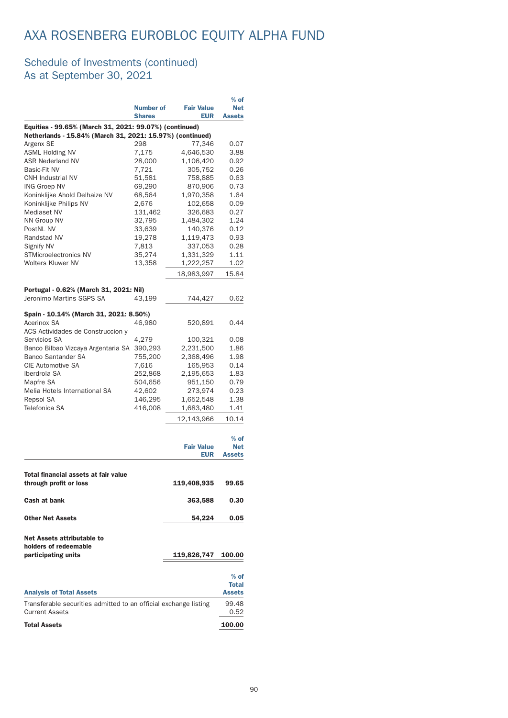# AXA ROSENBERG EUROBLOC EQUITY ALPHA FUND

|                                                                                           | <b>Number of</b><br><b>Shares</b> | <b>Fair Value</b><br><b>EUR</b> | $%$ of<br><b>Net</b><br><b>Assets</b> |
|-------------------------------------------------------------------------------------------|-----------------------------------|---------------------------------|---------------------------------------|
| Equities - 99.65% (March 31, 2021: 99.07%) (continued)                                    |                                   |                                 |                                       |
| Netherlands - 15.84% (March 31, 2021: 15.97%) (continued)                                 |                                   |                                 |                                       |
| Argenx SE                                                                                 | 298                               | 77,346                          | 0.07                                  |
| <b>ASML Holding NV</b>                                                                    | 7,175                             | 4,646,530                       | 3.88                                  |
| <b>ASR Nederland NV</b>                                                                   | 28,000                            | 1,106,420                       | 0.92                                  |
| Basic-Fit NV<br><b>CNH Industrial NV</b>                                                  | 7,721                             | 305,752                         | 0.26<br>0.63                          |
| <b>ING Groep NV</b>                                                                       | 51,581<br>69,290                  | 758,885<br>870,906              | 0.73                                  |
| Koninklijke Ahold Delhaize NV                                                             | 68,564                            | 1,970,358                       | 1.64                                  |
| Koninklijke Philips NV                                                                    | 2.676                             | 102,658                         | 0.09                                  |
| <b>Mediaset NV</b>                                                                        | 131,462                           | 326,683                         | 0.27                                  |
| <b>NN Group NV</b>                                                                        | 32,795                            | 1,484,302                       | 1.24                                  |
| PostNL NV                                                                                 | 33,639                            | 140,376                         | 0.12                                  |
| Randstad NV                                                                               | 19,278                            | 1,119,473                       | 0.93                                  |
| <b>Signify NV</b>                                                                         | 7,813                             | 337,053                         | 0.28                                  |
| <b>STMicroelectronics NV</b>                                                              | 35,274                            | 1,331,329                       | 1.11                                  |
| <b>Wolters Kluwer NV</b>                                                                  | 13,358                            | 1,222,257                       | 1.02                                  |
|                                                                                           |                                   | 18,983,997                      | 15.84                                 |
| Portugal - 0.62% (March 31, 2021: Nil)                                                    |                                   |                                 |                                       |
| Jeronimo Martins SGPS SA                                                                  | 43,199                            | 744.427                         | 0.62                                  |
|                                                                                           |                                   |                                 |                                       |
| Spain - 10.14% (March 31, 2021: 8.50%)<br>Acerinox SA                                     | 46,980                            | 520,891                         | 0.44                                  |
| ACS Actividades de Construccion y                                                         |                                   |                                 |                                       |
| Servicios SA                                                                              | 4,279                             | 100,321                         | 0.08                                  |
| Banco Bilbao Vizcaya Argentaria SA                                                        | 390,293                           | 2,231,500                       | 1.86                                  |
| <b>Banco Santander SA</b>                                                                 | 755,200                           | 2,368,496                       | 1.98                                  |
| <b>CIE Automotive SA</b>                                                                  | 7,616                             | 165,953                         | 0.14                                  |
| Iberdrola SA                                                                              | 252,868                           | 2,195,653                       | 1.83                                  |
| Mapfre SA                                                                                 | 504,656                           | 951,150                         | 0.79                                  |
| Melia Hotels International SA                                                             | 42,602                            | 273,974                         | 0.23                                  |
| Repsol SA                                                                                 | 146,295                           | 1,652,548                       | 1.38                                  |
| Telefonica SA                                                                             | 416,008                           | 1,683,480                       | 1.41                                  |
|                                                                                           |                                   | 12,143,966                      | 10.14                                 |
|                                                                                           |                                   | <b>Fair Value</b><br><b>EUR</b> | $%$ of<br><b>Net</b><br><b>Assets</b> |
|                                                                                           |                                   |                                 |                                       |
| Total financial assets at fair value<br>through profit or loss                            |                                   | 119,408,935                     | 99.65                                 |
| <b>Cash at bank</b>                                                                       |                                   | 363,588                         | 0.30                                  |
| <b>Other Net Assets</b>                                                                   |                                   | 54,224                          | 0.05                                  |
| Net Assets attributable to<br>holders of redeemable<br>participating units                |                                   | 119,826,747                     | 100.00                                |
|                                                                                           |                                   |                                 |                                       |
|                                                                                           |                                   |                                 | $%$ of                                |
|                                                                                           |                                   |                                 | <b>Total</b>                          |
| <b>Analysis of Total Assets</b>                                                           |                                   |                                 | <b>Assets</b>                         |
| Transferable securities admitted to an official exchange listing<br><b>Current Assets</b> |                                   |                                 | 99.48                                 |
| <b>Total Assets</b>                                                                       |                                   |                                 | 0.52<br>100.00                        |
|                                                                                           |                                   |                                 |                                       |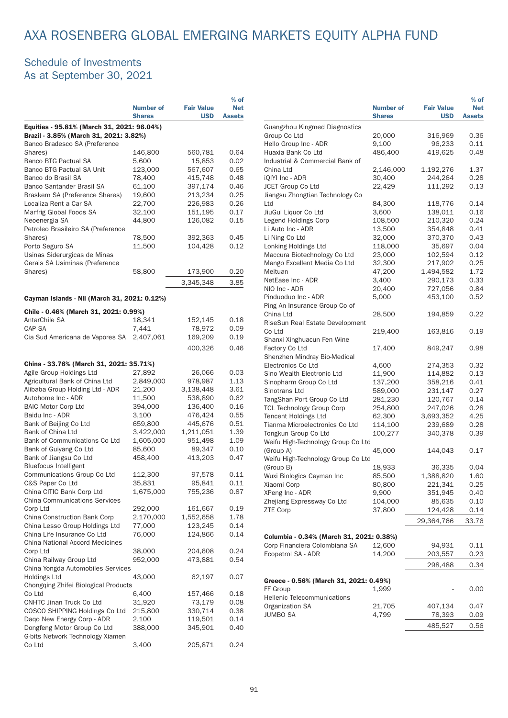### Schedule of Investments As at September 30, 2021

|                                                                                      |                                   |                                 | $%$ of                      |
|--------------------------------------------------------------------------------------|-----------------------------------|---------------------------------|-----------------------------|
|                                                                                      | <b>Number of</b><br><b>Shares</b> | <b>Fair Value</b><br><b>USD</b> | <b>Net</b><br><b>Assets</b> |
| Equities - 95.81% (March 31, 2021: 96.04%)<br>Brazil - 3.85% (March 31, 2021: 3.82%) |                                   |                                 |                             |
| Banco Bradesco SA (Preference                                                        |                                   |                                 |                             |
| Shares)                                                                              | 146,800                           | 560,781                         | 0.64                        |
| <b>Banco BTG Pactual SA</b>                                                          | 5,600                             | 15,853                          | 0.02                        |
| Banco BTG Pactual SA Unit                                                            | 123,000                           | 567,607                         | 0.65                        |
| Banco do Brasil SA                                                                   | 78,400                            | 415,748                         | 0.48                        |
| Banco Santander Brasil SA                                                            | 61,100                            | 397,174                         | 0.46                        |
| Braskem SA (Preference Shares)                                                       | 19,600                            | 213,234                         | 0.25                        |
| Localiza Rent a Car SA                                                               | 22,700                            | 226,983                         | 0.26                        |
| Marfrig Global Foods SA                                                              | 32,100                            | 151,195                         | 0.17                        |
| Neoenergia SA                                                                        | 44,800                            | 126,082                         | 0.15                        |
| Petroleo Brasileiro SA (Preference                                                   |                                   |                                 |                             |
| Shares)                                                                              | 78,500                            | 392,363                         | 0.45                        |
| Porto Seguro SA                                                                      | 11,500                            | 104,428                         | 0.12                        |
| Usinas Siderurgicas de Minas<br>Gerais SA Usiminas (Preference                       |                                   |                                 |                             |
| Shares)                                                                              | 58,800                            | 173,900                         | 0.20                        |
|                                                                                      |                                   | 3,345,348                       | 3.85                        |
| Cayman Islands - Nil (March 31, 2021: 0.12%)                                         |                                   |                                 |                             |
| Chile - 0.46% (March 31, 2021: 0.99%)                                                |                                   |                                 |                             |
| AntarChile SA                                                                        | 18,341                            | 152,145                         | 0.18                        |
| CAP SA                                                                               | 7,441                             | 78,972                          | 0.09                        |
| Cia Sud Americana de Vapores SA                                                      | 2,407,061                         | 169,209                         | 0.19                        |
|                                                                                      |                                   | 400,326                         | 0.46                        |
|                                                                                      |                                   |                                 |                             |
| China - 33.76% (March 31, 2021: 35.71%)                                              |                                   |                                 |                             |
| Agile Group Holdings Ltd                                                             | 27,892                            | 26,066                          | 0.03                        |
| Agricultural Bank of China Ltd                                                       | 2,849,000                         | 978,987                         | 1.13                        |
| Alibaba Group Holding Ltd - ADR                                                      | 21,200                            | 3,138,448                       | 3.61                        |
| Autohome Inc - ADR                                                                   | 11,500                            | 538,890                         | 0.62                        |
| <b>BAIC Motor Corp Ltd</b>                                                           | 394,000                           | 136,400                         | 0.16                        |
| Baidu Inc - ADR                                                                      | 3,100                             | 476,424                         | 0.55                        |
| Bank of Beijing Co Ltd                                                               | 659,800                           | 445,676                         | 0.51                        |
| Bank of China Ltd                                                                    | 3,422,000                         | 1,211,051                       | 1.39                        |
| Bank of Communications Co Ltd                                                        | 1,605,000                         | 951,498                         | 1.09                        |
| Bank of Guiyang Co Ltd                                                               | 85,600                            | 89,347                          | 0.10                        |
| Bank of Jiangsu Co Ltd                                                               | 458,400                           | 413,203                         | 0.47                        |
| <b>Bluefocus Intelligent</b>                                                         |                                   |                                 |                             |
| Communications Group Co Ltd                                                          | 112,300                           | 97,578                          | 0.11                        |
| C&S Paper Co Ltd                                                                     | 35,831                            | 95,841                          | 0.11                        |
| China CITIC Bank Corp Ltd                                                            | 1,675,000                         | 755,236                         | 0.87                        |
| <b>China Communications Services</b>                                                 |                                   |                                 |                             |
| Corp Ltd                                                                             | 292,000<br>2,170,000              | 161,667                         | 0.19                        |
| China Construction Bank Corp<br>China Lesso Group Holdings Ltd                       | 77,000                            | 1,552,658<br>123,245            | 1.78<br>0.14                |
| China Life Insurance Co Ltd                                                          | 76,000                            | 124,866                         | 0.14                        |
| <b>China National Accord Medicines</b>                                               |                                   |                                 |                             |
| Corp Ltd                                                                             | 38,000                            | 204,608                         | 0.24                        |
| China Railway Group Ltd                                                              | 952,000                           | 473,881                         | 0.54                        |
| China Yongda Automobiles Services                                                    |                                   |                                 |                             |
| Holdings Ltd                                                                         | 43,000                            | 62,197                          | 0.07                        |
| Chongqing Zhifei Biological Products                                                 |                                   |                                 |                             |
| Co Ltd                                                                               | 6,400                             | 157,466                         | 0.18                        |
| <b>CNHTC Jinan Truck Co Ltd</b>                                                      | 31,920                            | 73,179                          | 0.08                        |
| COSCO SHIPPING Holdings Co Ltd                                                       | 215,800                           | 330,714                         | 0.38                        |
| Daqo New Energy Corp - ADR                                                           | 2,100                             | 119,501                         | 0.14                        |
| Dongfeng Motor Group Co Ltd                                                          | 388,000                           | 345,901                         | 0.40                        |
| G-bits Network Technology Xiamen                                                     |                                   |                                 |                             |
| Co Ltd                                                                               | 3,400                             | 205,871                         | 0.24                        |

|                                          | <b>Number of</b><br><b>Shares</b> | <b>Fair Value</b><br><b>USD</b> | $%$ of<br><b>Net</b><br><b>Assets</b> |
|------------------------------------------|-----------------------------------|---------------------------------|---------------------------------------|
| Guangzhou Kingmed Diagnostics            |                                   |                                 |                                       |
| Group Co Ltd                             | 20,000                            | 316,969                         | 0.36                                  |
| Hello Group Inc - ADR                    | 9,100                             | 96,233                          | 0.11                                  |
| Huaxia Bank Co Ltd                       | 486,400                           | 419,625                         | 0.48                                  |
| Industrial & Commercial Bank of          |                                   |                                 |                                       |
| China Ltd                                | 2,146,000                         | 1,192,276                       | 1.37                                  |
| iQIYI Inc - ADR                          | 30,400                            | 244,264                         | 0.28                                  |
| JCET Group Co Ltd                        | 22,429                            | 111,292                         | 0.13                                  |
| Jiangsu Zhongtian Technology Co          |                                   |                                 |                                       |
| Ltd                                      | 84,300                            | 118,776                         | 0.14                                  |
| JiuGui Liquor Co Ltd                     | 3,600                             | 138,011                         | 0.16                                  |
| Legend Holdings Corp                     | 108,500                           | 210,320                         | 0.24                                  |
| Li Auto Inc - ADR                        | 13,500                            | 354,848                         | 0.41                                  |
| Li Ning Co Ltd                           | 32,000                            | 370,370                         | 0.43                                  |
| Lonking Holdings Ltd                     | 118,000                           | 35,697                          | 0.04                                  |
| Maccura Biotechnology Co Ltd             | 23,000                            | 102,594                         | 0.12                                  |
| Mango Excellent Media Co Ltd             | 32,300                            | 217,902                         | 0.25                                  |
| Meituan                                  | 47,200                            | 1,494,582                       | 1.72                                  |
| NetEase Inc - ADR                        | 3,400                             | 290,173                         | 0.33                                  |
| NIO Inc - ADR                            | 20,400                            | 727,056                         | 0.84                                  |
| Pinduoduo Inc - ADR                      | 5,000                             | 453,100                         | 0.52                                  |
| Ping An Insurance Group Co of            |                                   |                                 |                                       |
| China Ltd                                | 28,500                            | 194,859                         | 0.22                                  |
| RiseSun Real Estate Development          |                                   |                                 |                                       |
| Co Ltd                                   | 219,400                           | 163,816                         | 0.19                                  |
| Shanxi Xinghuacun Fen Wine               |                                   |                                 |                                       |
| Factory Co Ltd                           | 17,400                            | 849,247                         | 0.98                                  |
| Shenzhen Mindray Bio-Medical             |                                   |                                 |                                       |
| Electronics Co Ltd                       | 4,600                             | 274,353                         | 0.32                                  |
| Sino Wealth Electronic Ltd               | 11,900                            | 114,882                         | 0.13                                  |
| Sinopharm Group Co Ltd                   | 137,200                           | 358,216                         | 0.41                                  |
| Sinotrans Ltd                            | 589,000                           | 231,147                         | 0.27                                  |
| TangShan Port Group Co Ltd               | 281,230                           | 120,767                         | 0.14                                  |
| <b>TCL Technology Group Corp</b>         | 254,800                           | 247,026                         | 0.28                                  |
| Tencent Holdings Ltd                     | 62,300                            | 3,693,352                       | 4.25                                  |
| Tianma Microelectronics Co Ltd           | 114,100                           | 239,689                         | 0.28                                  |
| Tongkun Group Co Ltd                     | 100,277                           | 340,378                         | 0.39                                  |
| Weifu High-Technology Group Co Ltd       |                                   |                                 |                                       |
| (Group A)                                | 45,000                            | 144,043                         | 0.17                                  |
| Weifu High-Technology Group Co Ltd       |                                   |                                 |                                       |
| (Group B)                                | 18,933                            | 36,335                          | 0.04                                  |
| Wuxi Biologics Cayman Inc                | 85,500                            | 1,388,820                       | 1.60                                  |
| Xiaomi Corp                              | 80,800                            | 221,341                         | 0.25                                  |
| XPeng Inc - ADR                          | 9,900                             | 351,945                         | 0.40                                  |
| Zhejiang Expressway Co Ltd               | 104,000                           | 85,635                          | 0.10                                  |
| ZTE Corp                                 | 37,800                            | 124,428                         | 0.14                                  |
|                                          |                                   |                                 |                                       |
|                                          |                                   | 29,364,766                      | 33.76                                 |
| Columbia - 0.34% (March 31, 2021: 0.38%) |                                   |                                 |                                       |
| Corp Financiera Colombiana SA            | 12,600                            | 94,931                          | 0.11                                  |
| Ecopetrol SA - ADR                       | 14,200                            | 203,557                         | 0.23                                  |
|                                          |                                   |                                 |                                       |
|                                          |                                   | 298,488                         | 0.34                                  |
|                                          |                                   |                                 |                                       |
| Greece - 0.56% (March 31, 2021: 0.49%)   |                                   |                                 |                                       |
| FF Group                                 | 1,999                             |                                 | 0.00                                  |
| <b>Hellenic Telecommunications</b>       |                                   |                                 |                                       |
| Organization SA                          | 21,705                            | 407,134                         | 0.47                                  |
| <b>JUMBO SA</b>                          | 4,799                             | 78,393                          | 0.09                                  |
|                                          |                                   | 485,527                         | 0.56                                  |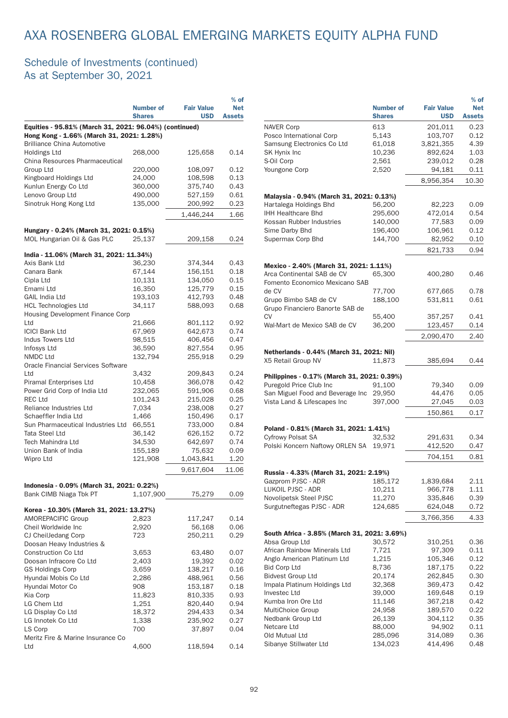|                                                                                                     |                   |                    | $%$ of        |  |  |
|-----------------------------------------------------------------------------------------------------|-------------------|--------------------|---------------|--|--|
|                                                                                                     | Number of         | <b>Fair Value</b>  | <b>Net</b>    |  |  |
|                                                                                                     | <b>Shares</b>     | <b>USD</b>         | <b>Assets</b> |  |  |
| Equities - 95.81% (March 31, 2021: 96.04%) (continued)<br>Hong Kong - 1.66% (March 31, 2021: 1.28%) |                   |                    |               |  |  |
| <b>Brilliance China Automotive</b>                                                                  |                   |                    |               |  |  |
| Holdings Ltd                                                                                        | 268,000           | 125,658            | 0.14          |  |  |
| China Resources Pharmaceutical                                                                      |                   |                    |               |  |  |
| Group Ltd<br>Kingboard Holdings Ltd                                                                 | 220,000           | 108,097<br>108,598 | 0.12<br>0.13  |  |  |
| Kunlun Energy Co Ltd                                                                                | 24,000<br>360,000 | 375,740            | 0.43          |  |  |
| Lenovo Group Ltd                                                                                    | 490,000           | 527,159            | 0.61          |  |  |
| Sinotruk Hong Kong Ltd                                                                              | 135,000           | 200,992            | 0.23          |  |  |
|                                                                                                     |                   |                    |               |  |  |
|                                                                                                     |                   | 1.446.244          | 1.66          |  |  |
| Hungary - 0.24% (March 31, 2021: 0.15%)                                                             |                   |                    |               |  |  |
| MOL Hungarian Oil & Gas PLC                                                                         | 25,137            | 209,158            | 0.24          |  |  |
| India - 11.06% (March 31, 2021: 11.34%)                                                             |                   |                    |               |  |  |
| Axis Bank Ltd                                                                                       | 36,230            | 374,344            | 0.43          |  |  |
| Canara Bank                                                                                         | 67,144            | 156,151            | 0.18          |  |  |
| Cipla Ltd                                                                                           | 10,131            | 134,050            | 0.15          |  |  |
| Emami Ltd                                                                                           | 16,350            | 125,779            | 0.15          |  |  |
| <b>GAIL India Ltd</b>                                                                               | 193,103           | 412,793            | 0.48          |  |  |
| <b>HCL Technologies Ltd</b>                                                                         | 34,117            | 588,093            | 0.68          |  |  |
| Housing Development Finance Corp                                                                    |                   |                    |               |  |  |
| Ltd                                                                                                 | 21,666            | 801,112            | 0.92          |  |  |
| <b>ICICI Bank Ltd</b>                                                                               | 67,969            | 642,673            | 0.74          |  |  |
| <b>Indus Towers Ltd</b>                                                                             | 98,515            | 406,456            | 0.47          |  |  |
| Infosys Ltd                                                                                         | 36,590            | 827,554            | 0.95          |  |  |
| NMDC Ltd                                                                                            | 132,794           | 255,918            | 0.29          |  |  |
| <b>Oracle Financial Services Software</b>                                                           |                   |                    |               |  |  |
| Ltd                                                                                                 | 3,432             | 209,843            | 0.24          |  |  |
| Piramal Enterprises Ltd                                                                             | 10,458            | 366,078            | 0.42          |  |  |
| Power Grid Corp of India Ltd                                                                        | 232,065           | 591,906            | 0.68          |  |  |
| REC Ltd                                                                                             | 101,243           | 215,028            | 0.25          |  |  |
| Reliance Industries Ltd                                                                             | 7,034             | 238,008            | 0.27          |  |  |
| Schaeffler India Ltd                                                                                | 1,466             | 150,496            | 0.17          |  |  |
| Sun Pharmaceutical Industries Ltd                                                                   | 66,551            | 733,000            | 0.84          |  |  |
| <b>Tata Steel Ltd</b>                                                                               | 36,142            | 626,152            | 0.72          |  |  |
| Tech Mahindra Ltd                                                                                   | 34,530            | 642,697            | 0.74          |  |  |
| Union Bank of India                                                                                 | 155,189           | 75,632             | 0.09          |  |  |
| Wipro Ltd                                                                                           | 121,908           | 1,043,841          | 1.20          |  |  |
|                                                                                                     |                   | 9,617,604          | 11.06         |  |  |
|                                                                                                     |                   |                    |               |  |  |
| Indonesia - 0.09% (March 31, 2021: 0.22%)<br>Bank CIMB Niaga Tbk PT                                 | 1,107,900         | 75,279             | 0.09          |  |  |
|                                                                                                     |                   |                    |               |  |  |
| Korea - 10.30% (March 31, 2021: 13.27%)                                                             |                   |                    |               |  |  |
| AMOREPACIFIC Group                                                                                  | 2,823             | 117,247            | 0.14          |  |  |
| Cheil Worldwide Inc                                                                                 | 2,920             | 56,168             | 0.06          |  |  |
| CJ CheilJedang Corp                                                                                 | 723               | 250,211            | 0.29          |  |  |
| Doosan Heavy Industries &                                                                           |                   |                    |               |  |  |
| <b>Construction Co Ltd</b>                                                                          | 3,653             | 63,480             | 0.07          |  |  |
| Doosan Infracore Co Ltd                                                                             | 2,403             | 19,392             | 0.02          |  |  |
| <b>GS Holdings Corp</b>                                                                             | 3,659             | 138,217            | 0.16          |  |  |
| Hyundai Mobis Co Ltd                                                                                | 2,286             | 488,961            | 0.56          |  |  |
| Hyundai Motor Co                                                                                    | 908               | 153,187            | 0.18          |  |  |
| Kia Corp                                                                                            | 11,823            | 810,335            | 0.93          |  |  |
| LG Chem Ltd                                                                                         | 1,251             | 820,440            | 0.94          |  |  |
| LG Display Co Ltd                                                                                   | 18,372            | 294,433            | 0.34          |  |  |
| LG Innotek Co Ltd                                                                                   | 1,338             | 235,902            | 0.27          |  |  |
| LS Corp                                                                                             | 700               | 37,897             | 0.04          |  |  |
| Meritz Fire & Marine Insurance Co                                                                   |                   |                    |               |  |  |
| Ltd                                                                                                 | 4,600             | 118,594            | 0.14          |  |  |

|                                                          |                  |                   | $%$ of        |
|----------------------------------------------------------|------------------|-------------------|---------------|
|                                                          | <b>Number of</b> | <b>Fair Value</b> | <b>Net</b>    |
|                                                          | <b>Shares</b>    | <b>USD</b>        | <b>Assets</b> |
| <b>NAVER Corp</b>                                        | 613              | 201,011           | 0.23          |
| Posco International Corp                                 | 5,143            | 103,707           | 0.12          |
| Samsung Electronics Co Ltd                               | 61,018           | 3,821,355         | 4.39          |
| SK Hynix Inc                                             | 10,236           | 892,624           | 1.03          |
| S-Oil Corp                                               | 2,561            | 239,012           | 0.28          |
| Youngone Corp                                            | 2,520            | 94,181            | 0.11          |
|                                                          |                  | 8,956,354         | 10.30         |
| Malaysia - 0.94% (March 31, 2021: 0.13%)                 |                  |                   |               |
| Hartalega Holdings Bhd                                   | 56,200           | 82,223            | 0.09          |
| <b>IHH Healthcare Bhd</b>                                | 295,600          | 472,014           | 0.54          |
| Kossan Rubber Industries                                 | 140,000          | 77,583            | 0.09          |
| Sime Darby Bhd                                           | 196,400          | 106,961           | 0.12          |
| Supermax Corp Bhd                                        | 144,700          | 82,952            | 0.10          |
|                                                          |                  | 821,733           | 0.94          |
| Mexico - 2.40% (March 31, 2021: 1.11%)                   |                  |                   |               |
| Arca Continental SAB de CV                               | 65,300           | 400,280           | 0.46          |
| Fomento Economico Mexicano SAB                           |                  |                   |               |
| de CV                                                    | 77,700           | 677,665           | 0.78          |
| Grupo Bimbo SAB de CV<br>Grupo Financiero Banorte SAB de | 188,100          | 531,811           | 0.61          |
| CV                                                       | 55,400           | 357,257           | 0.41          |
| Wal-Mart de Mexico SAB de CV                             | 36,200           | 123,457           | 0.14          |
|                                                          |                  | 2,090,470         | 2.40          |
| Netherlands - 0.44% (March 31, 2021: Nil)                |                  |                   |               |
| X5 Retail Group NV                                       | 11,873           | 385,694           | 0.44          |
| Philippines - 0.17% (March 31, 2021: 0.39%)              |                  |                   |               |
| Puregold Price Club Inc                                  | 91,100           | 79,340            | 0.09          |
| San Miguel Food and Beverage Inc                         | 29,950           | 44,476            | 0.05          |
| Vista Land & Lifescapes Inc                              | 397,000          | 27,045            | 0.03          |
|                                                          |                  | 150,861           | 0.17          |
| Poland - 0.81% (March 31, 2021: 1.41%)                   |                  |                   |               |
| <b>Cyfrowy Polsat SA</b>                                 | 32,532           | 291,631           | 0.34          |
| Polski Koncern Naftowy ORLEN SA                          | 19.971           | 412,520           | 0.47          |
|                                                          |                  | 704,151           | 0.81          |
|                                                          |                  |                   |               |
| Russia - 4.33% (March 31, 2021: 2.19%)                   |                  |                   |               |
| Gazprom PJSC - ADR                                       | 185,172          | 1,839,684         | 2.11          |
| LUKOIL PJSC - ADR                                        | 10,211           | 966,778           | 1.11          |
| Novolipetsk Steel PJSC                                   | 11,270           | 335,846           | 0.39          |
| Surgutneftegas PJSC - ADR                                | 124,685          | 624,048           | 0.72          |
|                                                          |                  | 3,766,356         | 4.33          |
| South Africa - 3.85% (March 31, 2021: 3.69%)             |                  |                   |               |
| Absa Group Ltd                                           | 30,572           | 310,251           | 0.36          |
| African Rainbow Minerals Ltd                             | 7,721            | 97,309            | 0.11          |
| Anglo American Platinum Ltd                              | 1,215            | 105,346           | 0.12          |
| <b>Bid Corp Ltd</b>                                      | 8,736            | 187,175           | 0.22          |
| <b>Bidvest Group Ltd</b>                                 | 20,174           | 262,845           | 0.30          |
| Impala Platinum Holdings Ltd                             | 32,368           | 369,473           | 0.42          |
| <b>Investec Ltd</b>                                      | 39,000           | 169,648           | 0.19          |
| Kumba Iron Ore Ltd                                       | 11,146           | 367,218           | 0.42          |
| MultiChoice Group                                        | 24,958           | 189,570           | 0.22          |
| Nedbank Group Ltd                                        | 26,139           | 304,112           | 0.35          |
| Netcare Ltd                                              | 88,000           | 94,902            | 0.11          |
| Old Mutual Ltd                                           | 285,096          | 314,089           | 0.36          |
| Sibanye Stillwater Ltd                                   | 134,023          | 414,496           | 0.48          |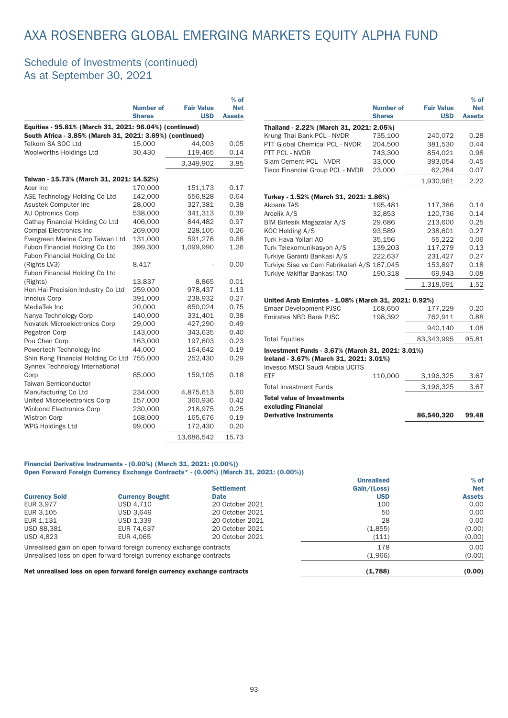### Schedule of Investments (continued) As at September 30, 2021

|                                                                                                                    | <b>Number of</b><br><b>Shares</b> | <b>Fair Value</b><br><b>USD</b> | $%$ of<br><b>Net</b><br><b>Assets</b> |
|--------------------------------------------------------------------------------------------------------------------|-----------------------------------|---------------------------------|---------------------------------------|
| Equities - 95.81% (March 31, 2021: 96.04%) (continued)<br>South Africa - 3.85% (March 31, 2021: 3.69%) (continued) |                                   |                                 |                                       |
| Telkom SA SOC Ltd                                                                                                  | 15,000                            | 44,003                          | 0.05                                  |
| Woolworths Holdings Ltd                                                                                            | 30,430                            | 119,465                         | 0.14                                  |
|                                                                                                                    |                                   | 3,349,902                       | 3.85                                  |
| Taiwan - 15.73% (March 31, 2021: 14.52%)                                                                           |                                   |                                 |                                       |
| Acer Inc                                                                                                           | 170,000                           | 151,173                         | 0.17                                  |
| ASE Technology Holding Co Ltd                                                                                      | 142,000                           | 556,828                         | 0.64                                  |
| Asustek Computer Inc                                                                                               | 28,000                            | 327,381                         | 0.38                                  |
| AU Optronics Corp                                                                                                  | 538,000                           | 341,313                         | 0.39                                  |
| Cathay Financial Holding Co Ltd                                                                                    | 406,000                           | 844,482                         | 0.97                                  |
| <b>Compal Electronics Inc</b>                                                                                      | 269,000                           | 228,105                         | 0.26                                  |
| Evergreen Marine Corp Taiwan Ltd                                                                                   | 131,000                           | 591,276                         | 0.68                                  |
| Fubon Financial Holding Co Ltd                                                                                     | 399,300                           | 1,099,990                       | 1.26                                  |
| Fubon Financial Holding Co Ltd                                                                                     |                                   |                                 |                                       |
| (Rights LV3)                                                                                                       | 8,417                             |                                 | 0.00                                  |
| Fubon Financial Holding Co Ltd                                                                                     |                                   |                                 |                                       |
| (Rights)                                                                                                           | 13.837                            | 8,865                           | 0.01                                  |
| Hon Hai Precision Industry Co Ltd                                                                                  | 259,000                           | 978,437                         | 1.13                                  |
| Innolux Corp                                                                                                       | 391,000                           | 238,932                         | 0.27                                  |
| MediaTek Inc                                                                                                       | 20,000                            | 650,024                         | 0.75                                  |
| Nanya Technology Corp                                                                                              | 140,000                           | 331,401                         | 0.38                                  |
| Novatek Microelectronics Corp                                                                                      | 29,000                            | 427,290                         | 0.49                                  |
| Pegatron Corp                                                                                                      | 143,000                           | 343,635                         | 0.40                                  |
| Pou Chen Corp                                                                                                      | 163,000                           | 197,603                         | 0.23                                  |
| Powertech Technology Inc                                                                                           | 44,000                            | 164,642                         | 0.19                                  |
| Shin Kong Financial Holding Co Ltd<br>Synnex Technology International                                              | 755,000                           | 252,430                         | 0.29                                  |
| Corp                                                                                                               | 85,000                            | 159,105                         | 0.18                                  |
| Taiwan Semiconductor                                                                                               |                                   |                                 |                                       |
| Manufacturing Co Ltd                                                                                               | 234,000                           | 4,875,613                       | 5.60                                  |
| United Microelectronics Corp                                                                                       | 157,000                           | 360,936                         | 0.42                                  |
| <b>Winbond Electronics Corp</b>                                                                                    | 230,000                           | 218,975                         | 0.25                                  |
| <b>Wistron Corp</b>                                                                                                | 168,000                           | 165,676                         | 0.19                                  |
| WPG Holdings Ltd                                                                                                   | 99,000                            | 172,430                         | 0.20                                  |
|                                                                                                                    |                                   | 13,686,542                      | 15.73                                 |

|                                                                            |                                   |                                 | $\%$ OT                     |
|----------------------------------------------------------------------------|-----------------------------------|---------------------------------|-----------------------------|
|                                                                            | <b>Number of</b><br><b>Shares</b> | <b>Fair Value</b><br><b>USD</b> | <b>Net</b><br><b>Assets</b> |
| Thailand - 2.22% (March 31, 2021: 2.05%)                                   |                                   |                                 |                             |
| Krung Thai Bank PCL - NVDR                                                 | 735,100                           | 240,072                         | 0.28                        |
| PTT Global Chemical PCL - NVDR                                             | 204.500                           | 381.530                         | 0.44                        |
| PTT PCL - NVDR                                                             | 743.300                           | 854.021                         | 0.98                        |
| Siam Cement PCL - NVDR                                                     | 33,000                            | 393,054                         | 0.45                        |
| Tisco Financial Group PCL - NVDR                                           | 23,000                            | 62,284                          | 0.07                        |
|                                                                            |                                   | 1,930,961                       | 2.22                        |
| Turkey - 1.52% (March 31, 2021: 1.86%)                                     |                                   |                                 |                             |
| <b>Akbank TAS</b>                                                          | 195,481                           | 117,386                         | 0.14                        |
| Arcelik A/S                                                                | 32,853                            | 120,736                         | 0.14                        |
| BIM Birlesik Magazalar A/S                                                 | 29,686                            | 213.600                         | 0.25                        |
| KOC Holding A/S                                                            | 93,589                            | 238,601                         | 0.27                        |
| Turk Hava Yollari AO                                                       | 35,156                            | 55,222                          | 0.06                        |
| Turk Telekomunikasyon A/S                                                  | 139,203                           | 117,279                         | 0.13                        |
| Turkiye Garanti Bankasi A/S                                                | 222,637                           | 231,427                         | 0.27                        |
| Turkiye Sise ve Cam Fabrikalari A/S 167,045                                |                                   | 153.897                         | 0.18                        |
| Turkiye Vakiflar Bankasi TAO                                               | 190,318                           | 69,943                          | 0.08                        |
|                                                                            |                                   | 1,318,091                       | 1.52                        |
| United Arab Emirates - 1.08% (March 31, 2021: 0.92%)                       |                                   |                                 |                             |
| <b>Emaar Development PJSC</b>                                              | 168,650                           | 177,229                         | 0.20                        |
| Emirates NBD Bank PJSC                                                     | 198,392                           | 762,911                         | 0.88                        |
|                                                                            |                                   | 940,140                         | 1.08                        |
| <b>Total Equities</b>                                                      |                                   | 83,343,995                      | 95.81                       |
| Investment Funds - 3.67% (March 31, 2021: 3.01%)                           |                                   |                                 |                             |
| Ireland - 3.67% (March 31, 2021: 3.01%)<br>Invesco MSCI Saudi Arabia UCITS |                                   |                                 |                             |
| ETF                                                                        | 110,000                           | 3,196,325                       | 3.67                        |
| <b>Total Investment Funds</b>                                              |                                   | 3,196,325                       | 3.67                        |
| <b>Total value of Investments</b>                                          |                                   |                                 |                             |
| excluding Financial                                                        |                                   |                                 |                             |
| <b>Derivative Instruments</b>                                              |                                   | 86,540,320                      | 99.48                       |

 $\sim$ 

#### Financial Derivative Instruments - (0.00%) (March 31, 2021: (0.00%)) Open Forward Foreign Currency Exchange Contracts\* - (0.00%) (March 31, 2021: (0.00%))

|                                                                     |                                                                         |                   | <b>Unrealised</b> | $%$ of        |
|---------------------------------------------------------------------|-------------------------------------------------------------------------|-------------------|-------------------|---------------|
|                                                                     |                                                                         | <b>Settlement</b> | Gain/(Loss)       | <b>Net</b>    |
| <b>Currency Sold</b>                                                | <b>Currency Bought</b>                                                  | <b>Date</b>       | <b>USD</b>        | <b>Assets</b> |
| EUR 3.977                                                           | USD 4.710                                                               | 20 October 2021   | 100               | 0.00          |
| EUR 3.105                                                           | USD 3.649                                                               | 20 October 2021   | 50                | 0.00          |
| EUR 1,131                                                           | USD 1,339                                                               | 20 October 2021   | 28                | 0.00          |
| USD 88,381                                                          | EUR 74,637                                                              | 20 October 2021   | (1,855)           | (0.00)        |
| <b>USD 4,823</b>                                                    | EUR 4.065                                                               | 20 October 2021   | (111)             | (0.00)        |
|                                                                     | Unrealised gain on open forward foreign currency exchange contracts     |                   | 178               | 0.00          |
| Unrealised loss on open forward foreign currency exchange contracts |                                                                         | (1,966)           | (0.00)            |               |
|                                                                     | Net unrealised loss on open forward foreign currency exchange contracts |                   | (1,788)           | (0.00)        |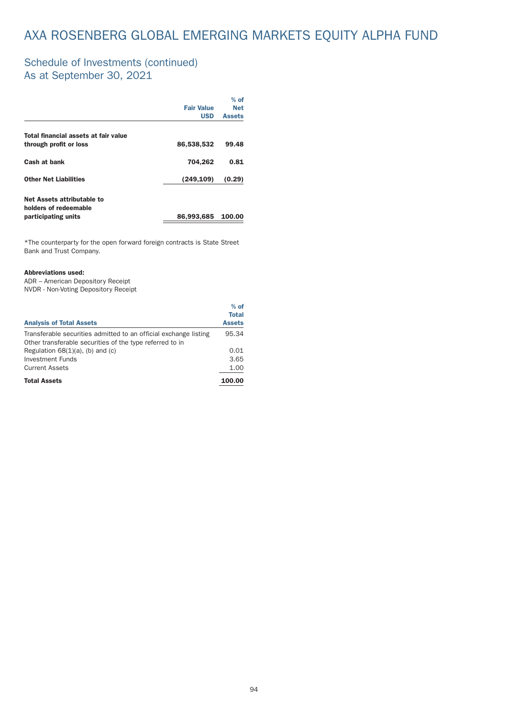### Schedule of Investments (continued) As at September 30, 2021

|                                                     |                   | $%$ of        |
|-----------------------------------------------------|-------------------|---------------|
|                                                     | <b>Fair Value</b> | <b>Net</b>    |
|                                                     | <b>USD</b>        | <b>Assets</b> |
| Total financial assets at fair value                |                   |               |
| through profit or loss                              | 86,538,532        | 99.48         |
| Cash at bank                                        | 704,262           | 0.81          |
| <b>Other Net Liabilities</b>                        | (249, 109)        | (0.29)        |
| Net Assets attributable to<br>holders of redeemable |                   |               |
| participating units                                 | 86,993,685        | 100.00        |

\*The counterpar ty for the open forward foreign contracts is State Street Bank and Trust Company.

#### Abbreviations used:

ADR – American Depository Receipt NVDR - Non-Voting Depository Receipt

| <b>Analysis of Total Assets</b>                                  | $%$ of<br><b>Total</b><br><b>Assets</b> |
|------------------------------------------------------------------|-----------------------------------------|
| Transferable securities admitted to an official exchange listing | 95.34                                   |
| Other transferable securities of the type referred to in         |                                         |
| Regulation $68(1)(a)$ , (b) and (c)                              | 0.01                                    |
| Investment Funds                                                 | 3.65                                    |
| <b>Current Assets</b>                                            | 1.00                                    |
| <b>Total Assets</b>                                              | 100.00                                  |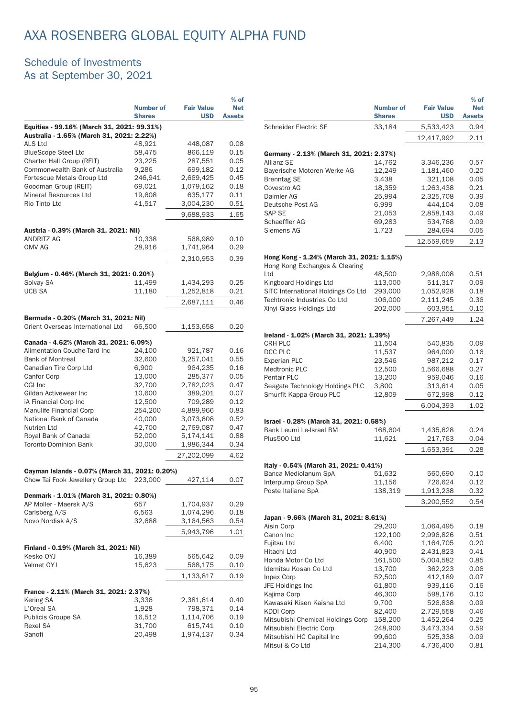### Schedule of Investments As at September 30, 2021

|                                                                                         |                                   |                                 | $%$ of                      |
|-----------------------------------------------------------------------------------------|-----------------------------------|---------------------------------|-----------------------------|
|                                                                                         | <b>Number of</b><br><b>Shares</b> | <b>Fair Value</b><br><b>USD</b> | <b>Net</b><br><b>Assets</b> |
| Equities - 99.16% (March 31, 2021: 99.31%)<br>Australia - 1.65% (March 31, 2021: 2.22%) |                                   |                                 |                             |
| <b>ALS Ltd</b>                                                                          | 48.921                            | 448,087                         | 0.08                        |
| <b>BlueScope Steel Ltd</b>                                                              | 58,475                            | 866,119                         | 0.15                        |
| Charter Hall Group (REIT)                                                               | 23,225                            | 287,551                         | 0.05                        |
| Commonwealth Bank of Australia                                                          | 9,286                             | 699,182                         | 0.12                        |
| Fortescue Metals Group Ltd                                                              | 246,941                           | 2,669,425                       | 0.45                        |
| Goodman Group (REIT)                                                                    | 69,021                            | 1,079,162                       | 0.18                        |
| Mineral Resources Ltd                                                                   | 19,608                            | 635,177                         | 0.11                        |
| Rio Tinto Ltd                                                                           |                                   |                                 |                             |
|                                                                                         | 41,517                            | 3,004,230                       | 0.51                        |
|                                                                                         |                                   | 9,688,933                       | 1.65                        |
| Austria - 0.39% (March 31, 2021: Nil)                                                   |                                   |                                 |                             |
| ANDRITZ AG                                                                              | 10,338                            | 568,989                         | 0.10                        |
| OMV AG                                                                                  | 28,916                            | 1,741,964                       | 0.29                        |
|                                                                                         |                                   | 2,310,953                       | 0.39                        |
|                                                                                         |                                   |                                 |                             |
| Belgium - 0.46% (March 31, 2021: 0.20%)                                                 |                                   |                                 |                             |
| Solvay SA                                                                               | 11,499                            | 1,434,293                       | 0.25                        |
| <b>UCB SA</b>                                                                           | 11,180                            | 1,252,818                       | 0.21                        |
|                                                                                         |                                   | 2,687,111                       | 0.46                        |
| Bermuda - 0.20% (March 31, 2021: Nil)                                                   |                                   |                                 |                             |
| Orient Overseas International Ltd                                                       | 66,500                            | 1,153,658                       |                             |
|                                                                                         |                                   |                                 | 0.20                        |
| Canada - 4.62% (March 31, 2021: 6.09%)                                                  |                                   |                                 |                             |
| Alimentation Couche-Tard Inc                                                            | 24,100                            | 921,787                         | 0.16                        |
| <b>Bank of Montreal</b>                                                                 | 32,600                            | 3,257,041                       | 0.55                        |
| Canadian Tire Corp Ltd                                                                  | 6,900                             | 964,235                         | 0.16                        |
| Canfor Corp                                                                             | 13,000                            | 285,377                         | 0.05                        |
| CGI Inc                                                                                 | 32,700                            | 2,782,023                       | 0.47                        |
| Gildan Activewear Inc                                                                   | 10,600                            | 389,201                         | 0.07                        |
| iA Financial Corp Inc                                                                   | 12,500                            | 709,289                         | 0.12                        |
| Manulife Financial Corp                                                                 | 254,200                           | 4,889,966                       | 0.83                        |
| National Bank of Canada                                                                 | 40,000                            | 3,073,608                       | 0.52                        |
| Nutrien Ltd                                                                             | 42,700                            | 2,769,087                       | 0.47                        |
| Royal Bank of Canada                                                                    | 52,000                            | 5,174,141                       | 0.88                        |
| <b>Toronto-Dominion Bank</b>                                                            | 30,000                            | 1,986,344                       | 0.34                        |
|                                                                                         |                                   | 27,202,099                      | 4.62                        |
|                                                                                         |                                   |                                 |                             |
| Cayman Islands - 0.07% (March 31, 2021: 0.20%)                                          |                                   |                                 |                             |
| Chow Tai Fook Jewellery Group Ltd 223,000                                               |                                   | 427,114                         | 0.07                        |
| Denmark - 1.01% (March 31, 2021: 0.80%)                                                 |                                   |                                 |                             |
| AP Moller - Maersk A/S                                                                  | 657                               | 1,704,937                       | 0.29                        |
| Carlsberg A/S                                                                           | 6,563                             | 1,074,296                       | 0.18                        |
| Novo Nordisk A/S                                                                        | 32,688                            | 3,164,563                       | 0.54                        |
|                                                                                         |                                   | 5,943,796                       | 1.01                        |
|                                                                                         |                                   |                                 |                             |
| Finland - 0.19% (March 31, 2021: Nil)<br>Kesko OYJ                                      | 16,389                            | 565,642                         | 0.09                        |
| Valmet OYJ                                                                              | 15,623                            | 568,175                         | 0.10                        |
|                                                                                         |                                   | 1,133,817                       | 0.19                        |
|                                                                                         |                                   |                                 |                             |
| France - 2.11% (March 31, 2021: 2.37%)                                                  |                                   |                                 |                             |
| Kering SA                                                                               | 3,336                             | 2,381,614                       | 0.40                        |
| L'Oreal SA                                                                              | 1,928                             | 798,371                         | 0.14                        |
| Publicis Groupe SA                                                                      | 16,512                            | 1,114,706                       | 0.19                        |
| Rexel SA                                                                                | 31,700                            | 615,741                         | 0.10                        |
| Sanofi                                                                                  | 20,498                            | 1,974,137                       | 0.34                        |

|                                                                             |                                   |                                 | $%$ of                      |
|-----------------------------------------------------------------------------|-----------------------------------|---------------------------------|-----------------------------|
|                                                                             | <b>Number of</b><br><b>Shares</b> | <b>Fair Value</b><br><b>USD</b> | <b>Net</b><br><b>Assets</b> |
| Schneider Electric SE                                                       | 33,184                            | 5,533,423                       | 0.94                        |
|                                                                             |                                   | 12,417,992                      | 2.11                        |
| Germany - 2.13% (March 31, 2021: 2.37%)                                     |                                   |                                 |                             |
| <b>Allianz SE</b>                                                           | 14,762                            | 3,346,236                       | 0.57                        |
| Bayerische Motoren Werke AG                                                 | 12,249                            | 1,181,460                       | 0.20                        |
| <b>Brenntag SE</b>                                                          | 3,438                             | 321,108                         | 0.05                        |
| Covestro AG                                                                 | 18,359                            | 1,263,438                       | 0.21                        |
| Daimler AG                                                                  | 25,994                            | 2,325,708                       | 0.39                        |
| Deutsche Post AG                                                            | 6,999                             | 444,104                         | 0.08                        |
| <b>SAP SE</b>                                                               | 21,053                            | 2,858,143                       | 0.49                        |
| Schaeffler AG                                                               | 69,283                            | 534,768                         | 0.09                        |
| Siemens AG                                                                  | 1,723                             | 284,694                         | 0.05                        |
|                                                                             |                                   | 12,559,659                      | 2.13                        |
| Hong Kong - 1.24% (March 31, 2021: 1.15%)<br>Hong Kong Exchanges & Clearing |                                   |                                 |                             |
| Ltd                                                                         | 48,500                            | 2,988,008                       | 0.51                        |
| Kingboard Holdings Ltd                                                      | 113,000                           | 511,317                         | 0.09                        |
| SITC International Holdings Co Ltd                                          | 293,000                           | 1,052,928                       | 0.18                        |
| Techtronic Industries Co Ltd                                                | 106,000                           | 2,111,245                       | 0.36                        |
| Xinyi Glass Holdings Ltd                                                    | 202,000                           | 603,951                         | 0.10                        |
|                                                                             |                                   | 7,267,449                       | 1.24                        |
|                                                                             |                                   |                                 |                             |
| Ireland - 1.02% (March 31, 2021: 1.39%)                                     |                                   |                                 |                             |
| <b>CRH PLC</b>                                                              | 11,504                            | 540,835                         | 0.09                        |
| DCC PLC                                                                     | 11,537                            | 964,000                         | 0.16                        |
| <b>Experian PLC</b>                                                         | 23,546                            | 987,212                         | 0.17                        |
| Medtronic PLC                                                               | 12,500                            | 1,566,688                       | 0.27                        |
| <b>Pentair PLC</b>                                                          | 13,200                            | 959,046                         | 0.16                        |
| Seagate Technology Holdings PLC<br>Smurfit Kappa Group PLC                  | 3,800                             | 313,614                         | 0.05<br>0.12                |
|                                                                             | 12,809                            | 672,998<br>6,004,393            | 1.02                        |
|                                                                             |                                   |                                 |                             |
| Israel - 0.28% (March 31, 2021: 0.58%)<br>Bank Leumi Le-Israel BM           | 168,604                           |                                 | 0.24                        |
| Plus500 Ltd                                                                 | 11,621                            | 1,435,628<br>217,763            | 0.04                        |
|                                                                             |                                   |                                 |                             |
|                                                                             |                                   | 1,653,391                       | 0.28                        |
| Italy - 0.54% (March 31, 2021: 0.41%)<br>Banca Mediolanum SpA               |                                   |                                 |                             |
| Interpump Group SpA                                                         | 51,632                            | 560,690                         | 0.10                        |
| Poste Italiane SpA                                                          | 11,156<br>138,319                 | 726,624<br>1,913,238            | 0.12<br>0.32                |
|                                                                             |                                   |                                 |                             |
|                                                                             |                                   | 3,200,552                       | 0.54                        |
| Japan - 9.66% (March 31, 2021: 8.61%)                                       |                                   |                                 |                             |
| Aisin Corp                                                                  | 29,200                            | 1,064,495                       | 0.18                        |
| Canon Inc                                                                   | 122,100                           | 2,996,826                       | 0.51                        |
| Fujitsu Ltd                                                                 | 6,400                             | 1,164,705                       | 0.20                        |
| Hitachi Ltd                                                                 | 40,900                            | 2,431,823                       | 0.41                        |
| Honda Motor Co Ltd                                                          | 161,500                           | 5,004,582                       | 0.85                        |
| Idemitsu Kosan Co Ltd                                                       | 13,700                            | 362,223                         | 0.06                        |
| Inpex Corp                                                                  | 52,500                            | 412,189                         | 0.07                        |
| JFE Holdings Inc                                                            | 61,800                            | 939,116                         | 0.16                        |
| Kajima Corp                                                                 | 46,300                            | 598,176                         | 0.10                        |
| Kawasaki Kisen Kaisha Ltd                                                   | 9,700                             | 526,838                         | 0.09                        |
| <b>KDDI Corp</b>                                                            | 82,400                            | 2,729,558                       | 0.46                        |
| Mitsubishi Chemical Holdings Corp                                           | 158,200                           | 1,452,264                       | 0.25                        |
| Mitsubishi Electric Corp                                                    | 248,900                           | 3,473,334                       | 0.59                        |
| Mitsubishi HC Capital Inc                                                   | 99,600                            | 525,338                         | 0.09                        |
| Mitsui & Co Ltd                                                             | 214,300                           | 4,736,400                       | 0.81                        |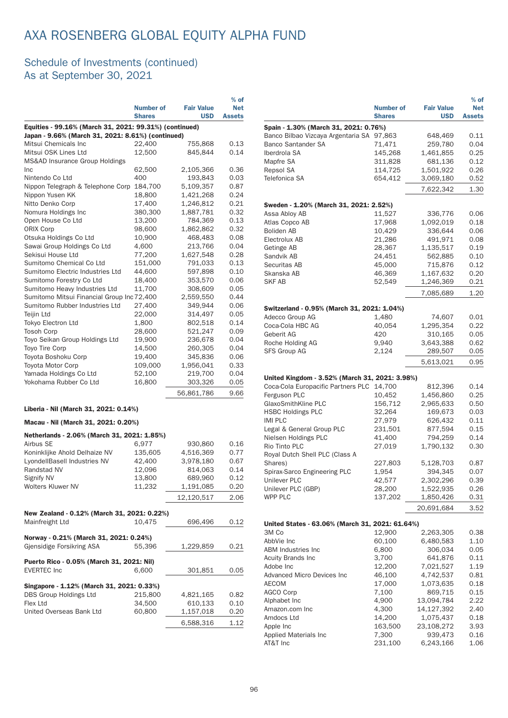|                                                        |                  |                   | $%$ of        |
|--------------------------------------------------------|------------------|-------------------|---------------|
|                                                        | <b>Number of</b> | <b>Fair Value</b> | <b>Net</b>    |
|                                                        | <b>Shares</b>    | <b>USD</b>        | <b>Assets</b> |
| Equities - 99.16% (March 31, 2021: 99.31%) (continued) |                  |                   |               |
| Japan - 9.66% (March 31, 2021: 8.61%) (continued)      |                  |                   |               |
| Mitsui Chemicals Inc                                   | 22,400           | 755,868           | 0.13          |
| Mitsui OSK Lines Ltd                                   | 12,500           | 845,844           | 0.14          |
| <b>MS&amp;AD Insurance Group Holdings</b>              |                  |                   |               |
| Inc                                                    | 62,500           | 2,105,366         | 0.36          |
| Nintendo Co Ltd                                        | 400              | 193,843           | 0.03          |
| Nippon Telegraph & Telephone Corp                      | 184,700          | 5,109,357         | 0.87          |
| Nippon Yusen KK                                        | 18,800           | 1,421,268         | 0.24          |
| Nitto Denko Corp                                       | 17,400           | 1,246,812         | 0.21          |
| Nomura Holdings Inc                                    | 380,300          | 1,887,781         | 0.32          |
| Open House Co Ltd                                      | 13,200           | 784,369           | 0.13          |
| <b>ORIX Corp</b>                                       | 98,600           | 1,862,862         | 0.32          |
| Otsuka Holdings Co Ltd                                 | 10,900           | 468,483           | 0.08          |
| Sawai Group Holdings Co Ltd                            | 4,600            | 213,766           | 0.04          |
| Sekisui House Ltd                                      | 77,200           | 1,627,548         | 0.28          |
| Sumitomo Chemical Co Ltd                               | 151,000          | 791,033           | 0.13          |
| Sumitomo Electric Industries Ltd                       | 44,600           | 597,898           | 0.10          |
| Sumitomo Forestry Co Ltd                               | 18,400           | 353,570           | 0.06          |
| Sumitomo Heavy Industries Ltd                          | 11,700           | 308,609           | 0.05          |
| Sumitomo Mitsui Financial Group Inc 72,400             |                  | 2,559,550         | 0.44          |
| Sumitomo Rubber Industries Ltd                         | 27,400           | 349,944           | 0.06          |
| <b>Teijin Ltd</b>                                      | 22,000           | 314,497           | 0.05          |
| <b>Tokyo Electron Ltd</b>                              | 1.800            | 802,518           | 0.14          |
| <b>Tosoh Corp</b>                                      | 28,600           | 521,247           | 0.09          |
| Toyo Seikan Group Holdings Ltd                         | 19,900           | 236,678           | 0.04          |
| <b>Toyo Tire Corp</b>                                  | 14,500           | 260,305           | 0.04          |
| Toyota Boshoku Corp                                    | 19,400           | 345,836           | 0.06          |
| Toyota Motor Corp                                      | 109,000          | 1,956,041         | 0.33          |
| Yamada Holdings Co Ltd                                 | 52,100           | 219,700           | 0.04          |
| Yokohama Rubber Co Ltd                                 | 16,800           | 303,326           | 0.05          |
|                                                        |                  | 56,861,786        | 9.66          |
| Liberia - Nil (March 31, 2021: 0.14%)                  |                  |                   |               |
| Macau - Nil (March 31, 2021: 0.20%)                    |                  |                   |               |
| Netherlands - 2.06% (March 31, 2021: 1.85%)            |                  |                   |               |

| $\frac{1}{2}$                               |         |            |      |
|---------------------------------------------|---------|------------|------|
| Airbus SE                                   | 6.977   | 930,860    | 0.16 |
| Koninklijke Ahold Delhaize NV               | 135,605 | 4.516.369  | 0.77 |
| LyondellBasell Industries NV                | 42,400  | 3,978,180  | 0.67 |
| Randstad NV                                 | 12,096  | 814,063    | 0.14 |
| Signify NV                                  | 13,800  | 689,960    | 0.12 |
| <b>Wolters Kluwer NV</b>                    | 11,232  | 1,191,085  | 0.20 |
|                                             |         | 12,120,517 | 2.06 |
| New Zealand - 0.12% (March 31, 2021: 0.22%) |         |            |      |
| Mainfreight Ltd                             | 10,475  | 696,496    | 0.12 |
|                                             |         |            |      |
| Norway - 0.21% (March 31, 2021: 0.24%)      |         |            |      |
| Gjensidige Forsikring ASA                   | 55,396  | 1,229,859  | 0.21 |
| Puerto Rico - 0.05% (March 31, 2021: Nil)   |         |            |      |
| <b>EVERTEC Inc</b>                          | 6,600   | 301,851    | 0.05 |
| Singapore - 1.12% (March 31, 2021: 0.33%)   |         |            |      |
| DBS Group Holdings Ltd                      | 215,800 | 4,821,165  | 0.82 |
| Flex Ltd                                    | 34,500  | 610,133    | 0.10 |
|                                             |         |            |      |
| United Overseas Bank Ltd                    | 60,800  | 1,157,018  | 0.20 |
|                                             |         | 6,588,316  | 1.12 |
|                                             |         |            |      |

|                                                 |                  |                   | $%$ of        |
|-------------------------------------------------|------------------|-------------------|---------------|
|                                                 | <b>Number of</b> | <b>Fair Value</b> | <b>Net</b>    |
|                                                 | <b>Shares</b>    | <b>USD</b>        | <b>Assets</b> |
| Spain - 1.30% (March 31, 2021: 0.76%)           |                  |                   |               |
| Banco Bilbao Vizcaya Argentaria SA 97,863       |                  | 648,469           | 0.11          |
| <b>Banco Santander SA</b>                       | 71,471           | 259,780           | 0.04          |
| Iberdrola SA                                    | 145,268          | 1,461,855         | 0.25          |
| Mapfre SA                                       | 311,828          | 681,136           | 0.12          |
| Repsol SA                                       | 114,725          | 1,501,922         | 0.26          |
| Telefonica SA                                   | 654,412          | 3,069,180         | 0.52          |
|                                                 |                  |                   |               |
|                                                 |                  | 7,622,342         | 1.30          |
| Sweden - 1.20% (March 31, 2021: 2.52%)          |                  |                   |               |
| Assa Abloy AB                                   | 11,527           | 336,776           | 0.06          |
| Atlas Copco AB                                  | 17,968           | 1,092,019         | 0.18          |
| <b>Boliden AB</b>                               | 10,429           | 336,644           | 0.06          |
| Electrolux AB                                   | 21,286           | 491,971           | 0.08          |
| Getinge AB                                      | 28,367           | 1,135,517         | 0.19          |
| Sandvik AB                                      |                  |                   |               |
|                                                 | 24,451           | 562,885           | 0.10          |
| Securitas AB                                    | 45,000           | 715,876           | 0.12          |
| Skanska AB                                      | 46,369           | 1,167,632         | 0.20          |
| <b>SKF AB</b>                                   | 52,549           | 1,246,369         | 0.21          |
|                                                 |                  | 7,085,689         | 1.20          |
|                                                 |                  |                   |               |
| Switzerland - 0.95% (March 31, 2021: 1.04%)     |                  |                   |               |
| Adecco Group AG                                 | 1,480            | 74,607            | 0.01          |
| Coca-Cola HBC AG                                | 40,054           | 1,295,354         | 0.22          |
| Geberit AG                                      | 420              | 310,165           | 0.05          |
| Roche Holding AG                                | 9,940            | 3,643,388         | 0.62          |
| <b>SFS Group AG</b>                             | 2,124            | 289,507           | 0.05          |
|                                                 |                  | 5,613,021         | 0.95          |
|                                                 |                  |                   |               |
| United Kingdom - 3.52% (March 31, 2021: 3.98%)  |                  |                   |               |
| Coca-Cola Europacific Partners PLC              | 14,700           | 812,396           | 0.14          |
| Ferguson PLC                                    | 10,452           | 1,456,860         | 0.25          |
| GlaxoSmithKline PLC                             | 156,712          | 2,965,633         | 0.50          |
| <b>HSBC Holdings PLC</b>                        | 32,264           | 169,673           | 0.03          |
| <b>IMI PLC</b>                                  | 27,979           | 626,432           | 0.11          |
| Legal & General Group PLC                       | 231,501          | 877,594           | 0.15          |
| Nielsen Holdings PLC                            | 41,400           | 794,259           | 0.14          |
| Rio Tinto PLC                                   | 27,019           | 1,790,132         | 0.30          |
| Royal Dutch Shell PLC (Class A                  |                  |                   |               |
| Shares)                                         | 227,803          | 5,128,703         | 0.87          |
| Spirax-Sarco Engineering PLC                    | 1,954            | 394,345           | 0.07          |
| Unilever PLC                                    | 42,577           | 2,302,296         | 0.39          |
| Unilever PLC (GBP)                              | 28,200           | 1,522,935         | 0.26          |
| WPP PLC                                         | 137,202          | 1,850,426         | 0.31          |
|                                                 |                  | 20,691,684        | 3.52          |
|                                                 |                  |                   |               |
| United States - 63.06% (March 31, 2021: 61.64%) |                  |                   |               |
| 3M Co                                           | 12,900           | 2,263,305         | 0.38          |
| AbbVie Inc                                      | 60,100           | 6,480,583         | 1.10          |
| <b>ABM Industries Inc</b>                       | 6,800            | 306,034           | 0.05          |
| <b>Acuity Brands Inc</b>                        | 3,700            | 641,876           | 0.11          |
| Adobe Inc                                       | 12,200           | 7,021,527         | 1.19          |
| <b>Advanced Micro Devices Inc</b>               | 46,100           | 4,742,537         | 0.81          |
| <b>AECOM</b>                                    | 17,000           | 1,073,635         | 0.18          |
| <b>AGCO Corp</b>                                | 7,100            | 869,715           | 0.15          |
| Alphabet Inc                                    | 4,900            | 13,094,784        | 2.22          |
| Amazon.com Inc                                  | 4,300            | 14,127,392        | 2.40          |
| Amdocs Ltd                                      | 14,200           | 1,075,437         | 0.18          |
| Apple Inc                                       | 163,500          | 23,108,272        | 3.93          |
| Applied Materials Inc                           | 7,300            | 939,473           | 0.16          |
| AT&T Inc                                        | 231,100          | 6,243,166         | 1.06          |
|                                                 |                  |                   |               |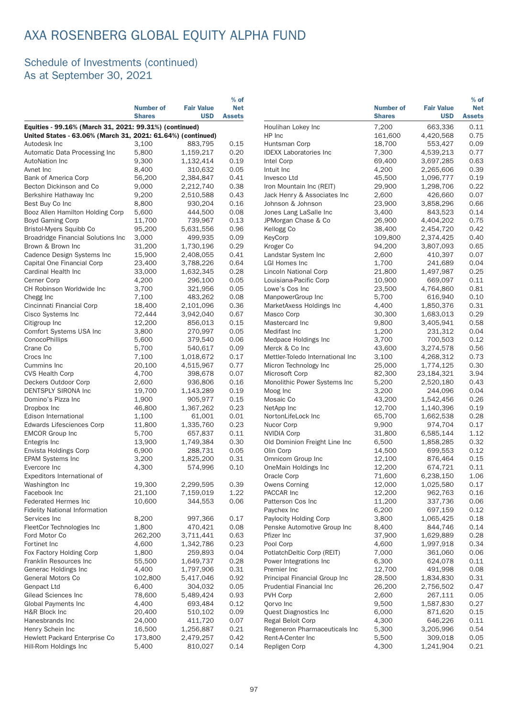|                                                             |                                   |                                 | $%$ of                      |                                  |                                   |                                 | $%$ of                      |
|-------------------------------------------------------------|-----------------------------------|---------------------------------|-----------------------------|----------------------------------|-----------------------------------|---------------------------------|-----------------------------|
|                                                             | <b>Number of</b><br><b>Shares</b> | <b>Fair Value</b><br><b>USD</b> | <b>Net</b><br><b>Assets</b> |                                  | <b>Number of</b><br><b>Shares</b> | <b>Fair Value</b><br><b>USD</b> | <b>Net</b><br><b>Assets</b> |
| Equities - 99.16% (March 31, 2021: 99.31%) (continued)      |                                   |                                 |                             | Houlihan Lokey Inc               | 7,200                             | 663,336                         | 0.11                        |
| United States - 63.06% (March 31, 2021: 61.64%) (continued) |                                   |                                 |                             | HP Inc                           | 161,600                           | 4,420,568                       | 0.75                        |
| Autodesk Inc                                                | 3,100                             | 883,795                         | 0.15                        | Huntsman Corp                    | 18,700                            | 553,427                         | 0.09                        |
| Automatic Data Processing Inc.                              | 5,800                             | 1,159,217                       | 0.20                        | <b>IDEXX Laboratories Inc.</b>   | 7,300                             | 4,539,213                       | 0.77                        |
| <b>AutoNation Inc</b>                                       | 9,300                             | 1,132,414                       | 0.19                        | Intel Corp                       | 69,400                            | 3,697,285                       | 0.63                        |
| Avnet Inc                                                   | 8,400                             | 310,632                         | 0.05                        | Intuit Inc                       | 4,200                             | 2,265,606                       | 0.39                        |
| Bank of America Corp                                        | 56,200                            | 2,384,847                       | 0.41                        | Invesco Ltd                      | 45,500                            | 1,096,777                       | 0.19                        |
| Becton Dickinson and Co                                     | 9,000                             | 2,212,740                       | 0.38                        | Iron Mountain Inc (REIT)         | 29,900                            | 1,298,706                       | 0.22                        |
| Berkshire Hathaway Inc                                      | 9,200                             | 2,510,588                       | 0.43                        | Jack Henry & Associates Inc      | 2,600                             | 426,660                         | 0.07                        |
| Best Buy Co Inc                                             | 8,800                             | 930,204                         | 0.16                        | Johnson & Johnson                | 23,900                            | 3,858,296                       | 0.66                        |
| Booz Allen Hamilton Holding Corp                            | 5,600                             | 444,500                         | 0.08                        | Jones Lang LaSalle Inc           | 3,400                             | 843,523                         | 0.14                        |
| <b>Boyd Gaming Corp</b>                                     | 11,700                            | 739,967                         | 0.13                        | JPMorgan Chase & Co              | 26,900                            | 4,404,202                       | 0.75                        |
| Bristol-Myers Squibb Co                                     | 95,200                            | 5,631,556                       | 0.96                        | Kellogg Co                       | 38,400                            | 2,454,720                       | 0.42                        |
| Broadridge Financial Solutions Inc                          | 3,000                             | 499,935                         | 0.09                        | KeyCorp                          | 109,800                           | 2,374,425                       | 0.40                        |
| Brown & Brown Inc                                           | 31,200                            | 1,730,196                       | 0.29                        | Kroger Co                        | 94,200                            | 3,807,093                       | 0.65                        |
| Cadence Design Systems Inc                                  | 15,900                            | 2,408,055                       | 0.41                        | Landstar System Inc              | 2,600                             | 410,397                         | 0.07                        |
| Capital One Financial Corp                                  | 23,400                            | 3,788,226                       | 0.64                        | LGI Homes Inc                    | 1,700                             | 241,689                         | 0.04                        |
| Cardinal Health Inc                                         | 33,000                            | 1,632,345                       | 0.28                        | Lincoln National Corp            | 21,800                            | 1,497,987                       | 0.25                        |
| Cerner Corp                                                 | 4,200                             | 296,100                         | 0.05                        | Louisiana-Pacific Corp           | 10,900                            | 669,097                         | 0.11                        |
| CH Robinson Worldwide Inc                                   | 3,700                             | 321,956                         | 0.05                        | Lowe's Cos Inc                   | 23,500                            | 4,764,860                       | 0.81                        |
| Chegg Inc                                                   | 7,100                             | 483,262                         | 0.08                        | ManpowerGroup Inc                | 5,700                             | 616,940                         | 0.10                        |
| Cincinnati Financial Corp                                   | 18,400                            | 2,101,096                       | 0.36                        | MarketAxess Holdings Inc         | 4,400                             | 1,850,376                       | 0.31                        |
| Cisco Systems Inc                                           | 72,444                            | 3,942,040                       | 0.67                        | Masco Corp                       | 30,300                            | 1,683,013                       | 0.29                        |
| Citigroup Inc                                               | 12,200                            | 856,013                         | 0.15                        | Mastercard Inc                   | 9,800                             | 3,405,941                       | 0.58                        |
| Comfort Systems USA Inc                                     | 3,800                             | 270,997                         | 0.05                        | Medifast Inc                     | 1,200                             | 231,312                         | 0.04                        |
| ConocoPhillips                                              | 5,600                             | 379,540                         | 0.06                        | Medpace Holdings Inc             | 3,700                             | 700,503                         | 0.12                        |
| Crane Co                                                    | 5,700                             | 540,617                         | 0.09                        | Merck & Co Inc                   | 43,600                            | 3,274,578                       | 0.56                        |
| Crocs Inc                                                   | 7,100                             | 1,018,672                       | 0.17                        | Mettler-Toledo International Inc | 3,100                             | 4,268,312                       | 0.73                        |
| Cummins Inc                                                 | 20,100                            | 4,515,967                       | 0.77                        | Micron Technology Inc            | 25,000                            | 1,774,125                       | 0.30                        |
| <b>CVS Health Corp</b>                                      | 4,700                             | 398,678                         | 0.07                        | Microsoft Corp                   | 82,300                            | 23,184,321                      | 3.94                        |
| Deckers Outdoor Corp<br><b>DENTSPLY SIRONA Inc.</b>         | 2,600                             | 936,806                         | 0.16                        | Monolithic Power Systems Inc     | 5,200                             | 2,520,180                       | 0.43<br>0.04                |
| Domino's Pizza Inc                                          | 19,700<br>1,900                   | 1,143,289<br>905,977            | 0.19<br>0.15                | Moog Inc<br>Mosaic Co            | 3,200<br>43,200                   | 244,096<br>1,542,456            | 0.26                        |
| Dropbox Inc                                                 | 46,800                            | 1,367,262                       | 0.23                        | NetApp Inc                       | 12,700                            | 1,140,396                       | 0.19                        |
| Edison International                                        | 1,100                             | 61,001                          | 0.01                        | NortonLifeLock Inc               | 65,700                            | 1,662,538                       | 0.28                        |
| Edwards Lifesciences Corp                                   | 11,800                            | 1,335,760                       | 0.23                        | Nucor Corp                       | 9,900                             | 974,704                         | 0.17                        |
| <b>EMCOR Group Inc</b>                                      | 5,700                             | 657,837                         | 0.11                        | <b>NVIDIA Corp</b>               | 31,800                            | 6,585,144                       | 1.12                        |
| Entegris Inc                                                | 13,900                            | 1,749,384                       | 0.30                        | Old Dominion Freight Line Inc    | 6,500                             | 1,858,285                       | 0.32                        |
| Envista Holdings Corp                                       | 6,900                             | 288,731                         | 0.05                        | Olin Corp                        | 14,500                            | 699,553                         | 0.12                        |
| <b>EPAM Systems Inc</b>                                     | 3,200                             | 1,825,200                       | 0.31                        | Omnicom Group Inc                | 12,100                            | 876,464                         | 0.15                        |
| Evercore Inc                                                | 4,300                             | 574,996                         | 0.10                        | OneMain Holdings Inc             | 12,200                            | 674,721                         | 0.11                        |
| Expeditors International of                                 |                                   |                                 |                             | Oracle Corp                      | 71,600                            | 6,238,150                       | 1.06                        |
| Washington Inc                                              | 19,300                            | 2,299,595                       | 0.39                        | <b>Owens Corning</b>             | 12,000                            | 1,025,580                       | 0.17                        |
| Facebook Inc                                                | 21,100                            | 7,159,019                       | 1.22                        | PACCAR Inc                       | 12,200                            | 962,763                         | 0.16                        |
| <b>Federated Hermes Inc</b>                                 | 10,600                            | 344,553                         | 0.06                        | Patterson Cos Inc                | 11,200                            | 337,736                         | 0.06                        |
| <b>Fidelity National Information</b>                        |                                   |                                 |                             | Paychex Inc                      | 6,200                             | 697,159                         | 0.12                        |
| Services Inc                                                | 8,200                             | 997,366                         | 0.17                        | Paylocity Holding Corp           | 3,800                             | 1,065,425                       | 0.18                        |
| FleetCor Technologies Inc                                   | 1,800                             | 470,421                         | 0.08                        | Penske Automotive Group Inc      | 8,400                             | 844,746                         | 0.14                        |
| Ford Motor Co                                               | 262,200                           | 3,711,441                       | 0.63                        | Pfizer Inc                       | 37,900                            | 1,629,889                       | 0.28                        |
| Fortinet Inc                                                | 4,600                             | 1,342,786                       | 0.23                        | Pool Corp                        | 4,600                             | 1,997,918                       | 0.34                        |
| Fox Factory Holding Corp                                    | 1,800                             | 259,893                         | 0.04                        | PotlatchDeltic Corp (REIT)       | 7,000                             | 361,060                         | 0.06                        |
| Franklin Resources Inc                                      | 55,500                            | 1,649,737                       | 0.28                        | Power Integrations Inc.          | 6,300                             | 624,078                         | 0.11                        |
| Generac Holdings Inc                                        | 4,400                             | 1,797,906                       | 0.31                        | Premier Inc                      | 12,700                            | 491,998                         | 0.08                        |
| <b>General Motors Co</b>                                    | 102,800                           | 5,417,046                       | 0.92                        | Principal Financial Group Inc    | 28,500                            | 1,834,830                       | 0.31                        |
| Genpact Ltd                                                 | 6,400                             | 304,032                         | 0.05                        | Prudential Financial Inc         | 26,200                            | 2,756,502                       | 0.47                        |
| Gilead Sciences Inc                                         | 78,600                            | 5,489,424                       | 0.93                        | PVH Corp                         | 2,600                             | 267,111                         | 0.05                        |
| Global Payments Inc                                         | 4,400                             | 693,484                         | 0.12                        | Qorvo Inc                        | 9,500                             | 1,587,830                       | 0.27                        |
| H&R Block Inc                                               | 20,400                            | 510,102                         | 0.09                        | Quest Diagnostics Inc            | 6,000                             | 871,620                         | 0.15                        |
| Hanesbrands Inc                                             | 24,000                            | 411,720                         | 0.07                        | Regal Beloit Corp                | 4,300                             | 646,226                         | 0.11                        |
| Henry Schein Inc                                            | 16,500                            | 1,256,887                       | 0.21                        | Regeneron Pharmaceuticals Inc    | 5,300                             | 3,205,996                       | 0.54                        |
| Hewlett Packard Enterprise Co                               | 173,800                           | 2,479,257                       | 0.42                        | Rent-A-Center Inc                | 5,500                             | 309,018                         | 0.05                        |
| Hill-Rom Holdings Inc                                       | 5,400                             | 810,027                         | 0.14                        | Repligen Corp                    | 4,300                             | 1,241,904                       | 0.21                        |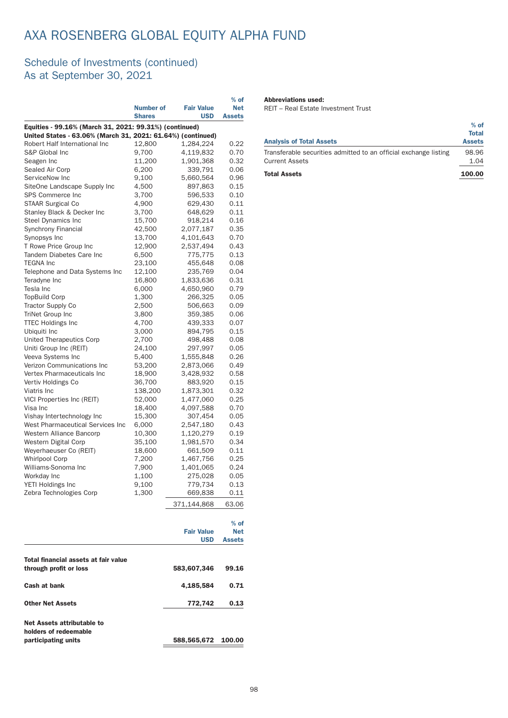### Schedule of Investments (continued) As at September 30, 2021

|                                                             |                                   |                                 | $%$ of                      |
|-------------------------------------------------------------|-----------------------------------|---------------------------------|-----------------------------|
|                                                             | <b>Number of</b><br><b>Shares</b> | <b>Fair Value</b><br><b>USD</b> | <b>Net</b><br><b>Assets</b> |
| Equities - 99.16% (March 31, 2021: 99.31%) (continued)      |                                   |                                 |                             |
| United States - 63.06% (March 31, 2021: 61.64%) (continued) |                                   |                                 |                             |
| Robert Half International Inc                               | 12,800                            | 1,284,224                       | 0.22                        |
| S&P Global Inc                                              | 9,700                             | 4,119,832                       | 0.70                        |
| Seagen Inc                                                  | 11,200                            | 1,901,368                       | 0.32                        |
| Sealed Air Corp                                             | 6,200                             | 339,791                         | 0.06                        |
| ServiceNow Inc                                              | 9,100                             | 5,660,564                       | 0.96                        |
| SiteOne Landscape Supply Inc                                | 4,500                             | 897,863                         | 0.15                        |
| SPS Commerce Inc                                            | 3,700                             | 596,533                         | 0.10                        |
| <b>STAAR Surgical Co</b>                                    | 4,900                             | 629,430                         | 0.11                        |
| Stanley Black & Decker Inc                                  | 3,700                             | 648,629                         | 0.11                        |
| <b>Steel Dynamics Inc</b>                                   | 15,700                            | 918,214                         | 0.16                        |
| <b>Synchrony Financial</b>                                  | 42,500                            | 2,077,187                       | 0.35                        |
| Synopsys Inc                                                | 13,700                            | 4,101,643                       | 0.70                        |
| T Rowe Price Group Inc                                      | 12,900                            | 2,537,494                       | 0.43                        |
| Tandem Diabetes Care Inc                                    | 6,500                             | 775,775                         | 0.13                        |
| <b>TEGNA Inc</b>                                            | 23,100                            | 455,648                         | 0.08                        |
| Telephone and Data Systems Inc                              | 12,100                            | 235,769                         | 0.04                        |
| Teradvne Inc                                                | 16,800                            | 1,833,636                       | 0.31                        |
| Tesla Inc                                                   | 6,000                             | 4,650,960                       | 0.79                        |
| <b>TopBuild Corp</b>                                        | 1,300                             | 266,325                         | 0.05                        |
| <b>Tractor Supply Co</b>                                    | 2,500                             | 506,663                         | 0.09                        |
| <b>TriNet Group Inc</b>                                     | 3,800                             | 359,385                         | 0.06                        |
| <b>TTEC Holdings Inc</b>                                    | 4,700                             | 439,333                         | 0.07                        |
| Ubiquiti Inc                                                | 3,000                             | 894,795                         | 0.15                        |
| United Therapeutics Corp                                    | 2,700                             | 498,488                         | 0.08                        |
| Uniti Group Inc (REIT)                                      | 24,100                            | 297,997                         | 0.05                        |
| Veeva Systems Inc                                           | 5,400                             | 1,555,848                       | 0.26                        |
| Verizon Communications Inc                                  | 53,200                            | 2,873,066                       | 0.49                        |
| Vertex Pharmaceuticals Inc                                  | 18,900                            | 3,428,932                       | 0.58                        |
| Vertiv Holdings Co                                          | 36,700                            | 883,920                         | 0.15                        |
| Viatris Inc                                                 | 138,200                           | 1,873,301                       | 0.32                        |
| <b>VICI Properties Inc (REIT)</b>                           | 52,000                            | 1,477,060                       | 0.25                        |
| Visa Inc                                                    | 18,400                            | 4,097,588                       | 0.70                        |
| Vishay Intertechnology Inc                                  | 15,300                            | 307,454                         | 0.05                        |
| West Pharmaceutical Services Inc                            | 6,000                             | 2,547,180                       | 0.43                        |
| Western Alliance Bancorp                                    | 10,300                            | 1,120,279                       | 0.19                        |
| Western Digital Corp                                        | 35,100                            | 1,981,570                       | 0.34                        |
| Weyerhaeuser Co (REIT)                                      | 18,600                            | 661,509                         | 0.11                        |
| <b>Whirlpool Corp</b>                                       | 7,200                             | 1,467,756                       | 0.25                        |
| Williams-Sonoma Inc                                         | 7,900                             | 1,401,065                       | 0.24                        |
| Workday Inc                                                 | 1,100                             | 275,028                         | 0.05                        |
| YETI Holdings Inc                                           | 9,100                             | 779,734                         | 0.13                        |
| Zebra Technologies Corp                                     | 1,300                             | 669,838                         | 0.11                        |
|                                                             |                                   | 371,144,868                     | 63.06                       |
|                                                             |                                   |                                 | $%$ of                      |
|                                                             |                                   | <b>Fair Value</b>               | <b>Net</b>                  |
|                                                             |                                   | USD                             | <b>Assets</b>               |
|                                                             |                                   |                                 |                             |

through profit or loss 583,607,346 99.16

Cash at bank 4,185,584 0.71 Other Net Assets 772,742 0.13

Total financial assets at fair value

Net Assets attributable to holders of redeemable

### Abbreviations used:

REIT – Real Estate Investment Trust

| <b>Analysis of Total Assets</b>                                  | $%$ of<br><b>Total</b><br><b>Assets</b> |
|------------------------------------------------------------------|-----------------------------------------|
| Transferable securities admitted to an official exchange listing | 98.96                                   |
| <b>Current Assets</b>                                            | 1.04                                    |
| <b>Total Assets</b>                                              | 100.00                                  |

participating units 588,565,672 100.00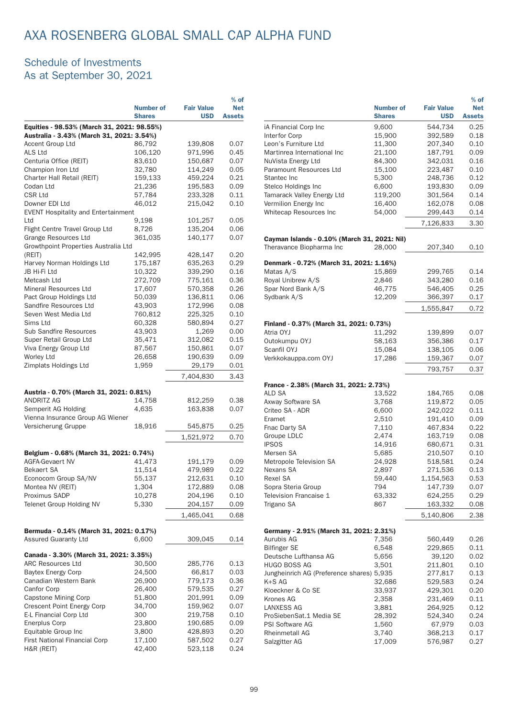### Schedule of Investments As at September 30, 2021

|                                            | <b>Number of</b><br><b>Shares</b> | <b>Fair Value</b><br><b>USD</b> | $%$ of<br><b>Net</b><br><b>Assets</b> |  |  |  |
|--------------------------------------------|-----------------------------------|---------------------------------|---------------------------------------|--|--|--|
| Equities - 98.53% (March 31, 2021: 98.55%) |                                   |                                 |                                       |  |  |  |
| Australia - 3.43% (March 31, 2021: 3.54%)  |                                   |                                 |                                       |  |  |  |
| Accent Group Ltd                           | 86,792                            | 139,808                         | 0.07                                  |  |  |  |
| ALS Ltd                                    | 106,120                           | 971,996                         | 0.45                                  |  |  |  |
| Centuria Office (REIT)                     | 83,610                            | 150,687                         | 0.07                                  |  |  |  |
| Champion Iron Ltd                          | 32,780                            | 114,249                         | 0.05                                  |  |  |  |
| Charter Hall Retail (REIT)                 | 159,133                           | 459,224                         | 0.21                                  |  |  |  |
| Codan Ltd<br>CSR Ltd                       | 21,236<br>57,784                  | 195,583<br>233,328              | 0.09<br>0.11                          |  |  |  |
| Downer EDI Ltd                             | 46,012                            | 215,042                         | 0.10                                  |  |  |  |
| <b>EVENT Hospitality and Entertainment</b> |                                   |                                 |                                       |  |  |  |
| Ltd                                        | 9,198                             | 101,257                         | 0.05                                  |  |  |  |
| Flight Centre Travel Group Ltd             | 8,726                             | 135,204                         | 0.06                                  |  |  |  |
| Grange Resources Ltd                       | 361,035                           | 140,177                         | 0.07                                  |  |  |  |
| Growthpoint Properties Australia Ltd       |                                   |                                 |                                       |  |  |  |
| (REIT)<br>Harvey Norman Holdings Ltd       | 142,995<br>175,187                | 428,147<br>635,263              | 0.20<br>0.29                          |  |  |  |
| JB Hi-Fi Ltd                               | 10,322                            | 339,290                         | 0.16                                  |  |  |  |
| Metcash Ltd                                | 272,709                           | 775,161                         | 0.36                                  |  |  |  |
| Mineral Resources Ltd                      | 17,607                            | 570,358                         | 0.26                                  |  |  |  |
| Pact Group Holdings Ltd                    | 50.039                            | 136,811                         | 0.06                                  |  |  |  |
| Sandfire Resources Ltd                     | 43,903                            | 172,996                         | 0.08                                  |  |  |  |
| Seven West Media Ltd                       | 760,812                           | 225,325                         | 0.10                                  |  |  |  |
| Sims Ltd                                   | 60,328                            | 580,894                         | 0.27                                  |  |  |  |
| <b>Sub Sandfire Resources</b>              | 43,903                            | 1,269                           | 0.00                                  |  |  |  |
| Super Retail Group Ltd                     | 35,471                            | 312,082                         | 0.15                                  |  |  |  |
| Viva Energy Group Ltd                      | 87,567                            | 150,861                         | 0.07                                  |  |  |  |
| <b>Worley Ltd</b>                          | 26,658                            | 190,639                         | 0.09                                  |  |  |  |
| Zimplats Holdings Ltd                      | 1,959                             | 29,179                          | 0.01                                  |  |  |  |
|                                            |                                   | 7,404,830                       | 3.43                                  |  |  |  |
| Austria - 0.70% (March 31, 2021: 0.81%)    |                                   |                                 |                                       |  |  |  |
| ANDRITZ AG                                 | 14,758                            | 812,259                         | 0.38                                  |  |  |  |
| Semperit AG Holding                        | 4,635                             | 163,838                         | 0.07                                  |  |  |  |
| Vienna Insurance Group AG Wiener           |                                   |                                 |                                       |  |  |  |
| Versicherung Gruppe                        | 18,916                            | 545,875                         | 0.25                                  |  |  |  |
|                                            |                                   | 1,521,972                       | 0.70                                  |  |  |  |
| Belgium - 0.68% (March 31, 2021: 0.74%)    |                                   |                                 |                                       |  |  |  |
| <b>AGFA-Gevaert NV</b>                     | 41,473                            | 191,179                         | 0.09                                  |  |  |  |
| <b>Bekaert SA</b>                          | 11,514                            | 479,989                         | 0.22                                  |  |  |  |
| Econocom Group SA/NV                       | 55,137                            | 212,631                         | 0.10                                  |  |  |  |
| Montea NV (REIT)                           | 1,304                             | 172,889                         | 0.08                                  |  |  |  |
| Proximus SADP                              | 10,278                            | 204,196                         | 0.10                                  |  |  |  |
| <b>Telenet Group Holding NV</b>            | 5,330                             | 204,157                         | 0.09                                  |  |  |  |
|                                            |                                   | 1,465,041                       | 0.68                                  |  |  |  |
| Bermuda - 0.14% (March 31, 2021: 0.17%)    |                                   |                                 |                                       |  |  |  |
| <b>Assured Guaranty Ltd</b>                | 6,600                             | 309,045                         | 0.14                                  |  |  |  |
| Canada - 3.30% (March 31, 2021: 3.35%)     |                                   |                                 |                                       |  |  |  |
| <b>ARC Resources Ltd</b>                   | 30,500                            | 285,776                         | 0.13                                  |  |  |  |
| <b>Baytex Energy Corp</b>                  | 24,500                            | 66,817                          | 0.03                                  |  |  |  |
| Canadian Western Bank                      | 26,900                            | 779,173                         | 0.36                                  |  |  |  |
| Canfor Corp                                | 26,400                            | 579,535                         | 0.27                                  |  |  |  |
| Capstone Mining Corp                       | 51,800                            | 201,991                         | 0.09                                  |  |  |  |
| <b>Crescent Point Energy Corp</b>          | 34,700                            | 159,962                         | 0.07                                  |  |  |  |
| E-L Financial Corp Ltd                     | 300                               | 219,758                         | 0.10                                  |  |  |  |
| <b>Enerplus Corp</b>                       | 23,800                            | 190,685                         | 0.09                                  |  |  |  |
| Equitable Group Inc                        | 3,800                             | 428,893                         | 0.20                                  |  |  |  |
| First National Financial Corp              | 17,100                            | 587,502                         | 0.27                                  |  |  |  |
| H&R (REIT)                                 | 42,400                            | 523,118                         | 0.24                                  |  |  |  |

|                                              |                  |                   | $%$ of        |
|----------------------------------------------|------------------|-------------------|---------------|
|                                              | <b>Number of</b> | <b>Fair Value</b> | <b>Net</b>    |
|                                              | <b>Shares</b>    | <b>USD</b>        | <b>Assets</b> |
| iA Financial Corp Inc                        | 9,600            | 544,734           | 0.25          |
| Interfor Corp                                | 15,900           | 392,589           | 0.18          |
| Leon's Furniture Ltd                         | 11,300           | 207,340           | 0.10          |
| Martinrea International Inc                  | 21,100           | 187,791           | 0.09          |
| NuVista Energy Ltd                           | 84,300           | 342,031           | 0.16          |
| Paramount Resources Ltd                      | 15,100           | 223,487           | 0.10          |
| Stantec Inc                                  | 5,300            | 248,736           | 0.12          |
| Stelco Holdings Inc                          | 6,600            | 193,830           | 0.09          |
| Tamarack Valley Energy Ltd                   | 119,200          | 301,564           | 0.14          |
| Vermilion Energy Inc                         | 16,400           | 162,078           | 0.08          |
|                                              | 54,000           |                   |               |
| Whitecap Resources Inc                       |                  | 299,443           | 0.14          |
|                                              |                  | 7,126,833         | 3.30          |
| Cayman Islands - 0.10% (March 31, 2021: Nil) |                  |                   |               |
| Theravance Biopharma Inc                     | 28,000           | 207,340           | 0.10          |
| Denmark - 0.72% (March 31, 2021: 1.16%)      |                  |                   |               |
| Matas A/S                                    | 15,869           | 299,765           | 0.14          |
| Royal Unibrew A/S                            | 2.846            |                   | 0.16          |
| Spar Nord Bank A/S                           |                  | 343,280           |               |
|                                              | 46,775           | 546,405           | 0.25          |
| Sydbank A/S                                  | 12,209           | 366,397           | 0.17          |
|                                              |                  | 1,555,847         | 0.72          |
| Finland - 0.37% (March 31, 2021: 0.73%)      |                  |                   |               |
| Atria OYJ                                    | 11,292           | 139,899           | 0.07          |
| Outokumpu OYJ                                | 58,163           | 356,386           | 0.17          |
| Scanfil OYJ                                  | 15,084           | 138,105           | 0.06          |
| Verkkokauppa.com OYJ                         | 17,286           | 159,367           | 0.07          |
|                                              |                  |                   |               |
|                                              |                  | 793,757           | 0.37          |
| France - 2.38% (March 31, 2021: 2.73%)       |                  |                   |               |
| ALD SA                                       | 13,522           | 184,765           | 0.08          |
| Axway Software SA                            | 3,768            | 119,872           | 0.05          |
| Criteo SA - ADR                              | 6,600            | 242,022           | 0.11          |
| Eramet                                       | 2,510            | 191,410           | 0.09          |
| Fnac Darty SA                                | 7,110            |                   | 0.22          |
|                                              |                  | 467,834           |               |
| Groupe LDLC                                  | 2,474            | 163,719           | 0.08          |
| <b>IPSOS</b>                                 | 14,916           | 680,671           | 0.31          |
| Mersen SA                                    | 5,685            | 210,507           | 0.10          |
| Metropole Television SA                      | 24,928           | 518,581           | 0.24          |
| Nexans SA                                    | 2,897            | 271,536           | 0.13          |
| Rexel SA                                     | 59,440           | 1,154,563         | 0.53          |
| Sopra Steria Group                           | 794              | 147,739           | 0.07          |
| Television Francaise 1                       | 63,332           | 624,255           | 0.29          |
| Trigano SA                                   | 867              | 163,332           | 0.08          |
|                                              |                  | 5,140,806         | 2.38          |
|                                              |                  |                   |               |
| Germany - 2.91% (March 31, 2021: 2.31%)      |                  |                   |               |
| Aurubis AG                                   | 7,356            | 560,449           | 0.26          |
| <b>Bilfinger SE</b>                          | 6,548            | 229,865           | 0.11          |
| Deutsche Lufthansa AG                        | 5,656            | 39,120            | 0.02          |
| <b>HUGO BOSS AG</b>                          | 3,501            | 211,801           | 0.10          |
| Jungheinrich AG (Preference shares) 5,935    |                  | 277,817           | 0.13          |
| $K+SAG$                                      | 32,686           | 529,583           | 0.24          |
| Kloeckner & Co SE                            | 33,937           | 429,301           | 0.20          |
|                                              |                  |                   |               |
| Krones AG                                    | 2,358            | 231,469           | 0.11          |
| LANXESS AG                                   | 3,881            | 264,925           | 0.12          |
| ProSiebenSat.1 Media SE                      | 28,392           | 524,340           | 0.24          |
| PSI Software AG                              | 1,560            | 67,979            | 0.03          |
| Rheinmetall AG                               | 3,740            | 368,213           | 0.17          |
| Salzgitter AG                                | 17,009           | 576,987           | 0.27          |
|                                              |                  |                   |               |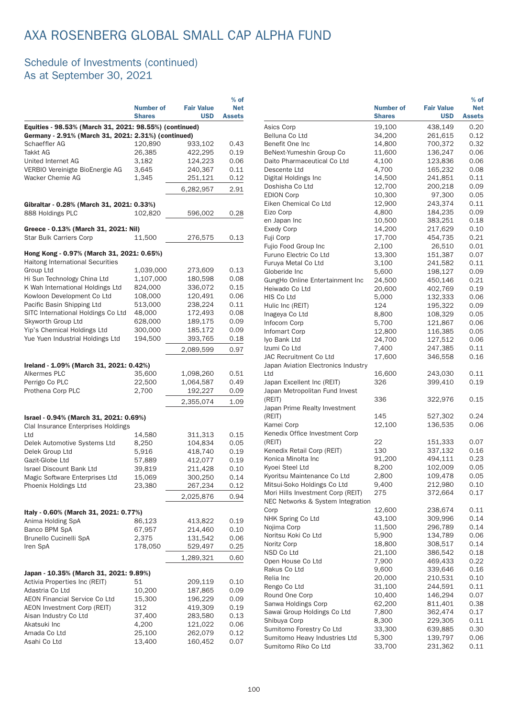|                                                                                                               |                                   |                                 | $%$ of                      |
|---------------------------------------------------------------------------------------------------------------|-----------------------------------|---------------------------------|-----------------------------|
|                                                                                                               | <b>Number of</b><br><b>Shares</b> | <b>Fair Value</b><br><b>USD</b> | <b>Net</b><br><b>Assets</b> |
| Equities - 98.53% (March 31, 2021: 98.55%) (continued)<br>Germany - 2.91% (March 31, 2021: 2.31%) (continued) |                                   |                                 |                             |
| Schaeffler AG                                                                                                 | 120,890                           | 933,102                         | 0.43                        |
| <b>Takkt AG</b>                                                                                               | 26,385                            | 422,295                         | 0.19                        |
| United Internet AG                                                                                            | 3,182                             | 124,223                         | 0.06                        |
| VERBIO Vereinigte BioEnergie AG                                                                               | 3,645                             | 240,367                         | 0.11                        |
| Wacker Chemie AG                                                                                              | 1,345                             | 251,121                         | 0.12                        |
|                                                                                                               |                                   | 6,282,957                       | 2.91                        |
| Gibraltar - 0.28% (March 31, 2021: 0.33%)                                                                     |                                   |                                 |                             |
| 888 Holdings PLC                                                                                              | 102,820                           | 596,002                         | 0.28                        |
| Greece - 0.13% (March 31, 2021: Nil)                                                                          |                                   |                                 |                             |
| <b>Star Bulk Carriers Corp</b>                                                                                | 11,500                            | 276,575                         | 0.13                        |
| Hong Kong - 0.97% (March 31, 2021: 0.65%)<br><b>Haitong International Securities</b>                          |                                   |                                 |                             |
| Group Ltd                                                                                                     | 1,039,000                         | 273,609                         | 0.13                        |
| Hi Sun Technology China Ltd                                                                                   | 1,107,000                         | 180.598                         | 0.08                        |
| K Wah International Holdings Ltd                                                                              | 824,000                           | 336,072                         | 0.15                        |
| Kowloon Development Co Ltd                                                                                    | 108,000                           | 120,491                         | 0.06                        |
| Pacific Basin Shipping Ltd                                                                                    | 513,000                           | 238,224                         | 0.11                        |
| SITC International Holdings Co Ltd                                                                            | 48,000                            | 172,493                         | 0.08                        |
| Skyworth Group Ltd                                                                                            | 628,000                           | 189,175                         | 0.09                        |
| Yip's Chemical Holdings Ltd                                                                                   | 300,000                           | 185,172                         | 0.09                        |
| Yue Yuen Industrial Holdings Ltd                                                                              | 194,500                           | 393,765                         | 0.18                        |
|                                                                                                               |                                   | 2,089,599                       | 0.97                        |
| Ireland - 1.09% (March 31, 2021: 0.42%)                                                                       |                                   |                                 |                             |
| Alkermes PLC                                                                                                  | 35,600                            | 1,098,260                       | 0.51                        |
| Perrigo Co PLC                                                                                                | 22,500                            | 1,064,587                       | 0.49                        |
| Prothena Corp PLC                                                                                             | 2,700                             | 192,227                         | 0.09                        |
|                                                                                                               |                                   | 2,355,074                       | 1.09                        |
| Israel - 0.94% (March 31, 2021: 0.69%)                                                                        |                                   |                                 |                             |
| Clal Insurance Enterprises Holdings                                                                           |                                   |                                 |                             |
| Ltd                                                                                                           | 14,580                            | 311,313                         | 0.15                        |
| Delek Automotive Systems Ltd                                                                                  | 8,250                             | 104,834                         | 0.05                        |
| Delek Group Ltd                                                                                               |                                   |                                 |                             |
| Gazit-Globe Ltd                                                                                               | 5,916<br>57,889                   | 418,740<br>412,077              | 0.19<br>0.19                |
|                                                                                                               |                                   | 211,428                         |                             |
| <b>Israel Discount Bank Ltd</b>                                                                               | 39,819                            |                                 | 0.10                        |
| Magic Software Enterprises Ltd                                                                                | 15,069                            | 300,250                         | 0.14                        |
| Phoenix Holdings Ltd                                                                                          | 23,380                            | 267,234                         | 0.12                        |
|                                                                                                               |                                   | 2,025,876                       | 0.94                        |
| Italy - 0.60% (March 31, 2021: 0.77%)                                                                         |                                   |                                 |                             |
| Anima Holding SpA                                                                                             | 86,123                            | 413,822                         | 0.19                        |
| Banco BPM SpA                                                                                                 | 67,957                            | 214,460                         | 0.10                        |
| <b>Brunello Cucinelli SpA</b>                                                                                 | 2,375                             | 131,542                         | 0.06                        |
| Iren SpA                                                                                                      | 178,050                           | 529,497                         | 0.25                        |
|                                                                                                               |                                   | 1,289,321                       | 0.60                        |
| Japan - 10.35% (March 31, 2021: 9.89%)                                                                        |                                   |                                 |                             |
| Activia Properties Inc (REIT)                                                                                 | 51                                | 209,119                         | 0.10                        |
| Adastria Co Ltd                                                                                               | 10,200                            | 187,865                         | 0.09                        |
| <b>AEON Financial Service Co Ltd</b>                                                                          | 15,300                            | 196,229                         | 0.09                        |
| <b>AEON Investment Corp (REIT)</b>                                                                            | 312                               | 419,309                         | 0.19                        |
| Aisan Industry Co Ltd                                                                                         | 37,400                            | 283,580                         | 0.13                        |
| Akatsuki Inc                                                                                                  | 4,200                             | 121,022                         | 0.06                        |
| Amada Co Ltd                                                                                                  | 25,100                            | 262,079                         | 0.12                        |
| Asahi Co Ltd                                                                                                  | 13,400                            | 160,452                         | 0.07                        |
|                                                                                                               |                                   |                                 |                             |

|                                               |                  |                    | $%$ of        |
|-----------------------------------------------|------------------|--------------------|---------------|
|                                               | <b>Number of</b> | <b>Fair Value</b>  | <b>Net</b>    |
|                                               | <b>Shares</b>    | <b>USD</b>         | <b>Assets</b> |
| Asics Corp                                    | 19,100           | 438,149            | 0.20          |
| Belluna Co Ltd                                | 34,200           | 261,615            | 0.12          |
| Benefit One Inc.                              | 14,800           | 700,372            | 0.32          |
| BeNext-Yumeshin Group Co                      | 11,600           | 136,247            | 0.06          |
| Daito Pharmaceutical Co Ltd                   | 4,100            | 123,836            | 0.06          |
| Descente Ltd                                  | 4,700            | 165,232            | 0.08          |
| Digital Holdings Inc                          | 14,500           | 241,851            | 0.11          |
| Doshisha Co Ltd                               | 12,700           | 200,218            | 0.09          |
| <b>EDION Corp</b>                             | 10,300           | 97,300             | 0.05          |
| Eiken Chemical Co Ltd                         | 12,900           | 243,374            | 0.11          |
| Eizo Corp                                     | 4,800            | 184,235            | 0.09          |
| en Japan Inc                                  | 10,500           | 383,251            | 0.18          |
| <b>Exedy Corp</b>                             | 14,200           | 217,629            | 0.10          |
| Fuji Corp                                     | 17,700           | 454,735            | 0.21          |
| Fujio Food Group Inc                          | 2,100            | 26,510             | 0.01          |
| Furuno Electric Co Ltd<br>Furuya Metal Co Ltd | 13,300           | 151,387            | 0.07          |
| Globeride Inc                                 | 3,100<br>5,600   | 241,582<br>198,127 | 0.11<br>0.09  |
| GungHo Online Entertainment Inc               | 24,500           | 450,146            | 0.21          |
| Heiwado Co Ltd                                | 20,600           | 402,769            | 0.19          |
| HIS Co Ltd                                    | 5,000            | 132,333            | 0.06          |
| Hulic Inc (REIT)                              | 124              | 195,322            | 0.09          |
| Inageya Co Ltd                                | 8,800            | 108,329            | 0.05          |
| Infocom Corp                                  | 5,700            | 121,867            | 0.06          |
| Infomart Corp                                 | 12,800           | 116,385            | 0.05          |
| Iyo Bank Ltd                                  | 24,700           | 127,512            | 0.06          |
| Izumi Co Ltd                                  | 7,400            | 247,385            | 0.11          |
| <b>JAC Recruitment Co Ltd</b>                 | 17,600           | 346,558            | 0.16          |
| Japan Aviation Electronics Industry           |                  |                    |               |
| Ltd                                           | 16,600           | 243,030            | 0.11          |
| Japan Excellent Inc (REIT)                    | 326              | 399,410            | 0.19          |
| Japan Metropolitan Fund Invest                |                  |                    |               |
| (REIT)                                        | 336              | 322,976            | 0.15          |
| Japan Prime Realty Investment                 |                  |                    |               |
| (REIT)                                        | 145              | 527,302            | 0.24          |
| Kamei Corp                                    | 12,100           | 136,535            | 0.06          |
| Kenedix Office Investment Corp                |                  |                    |               |
| (REIT)                                        | 22               | 151,333            | 0.07          |
| Kenedix Retail Corp (REIT)                    | 130              | 337,132            | 0.16          |
| Konica Minolta Inc                            | 91,200           | 494,111            | 0.23          |
| Kyoei Steel Ltd                               | 8,200            | 102,009            | 0.05          |
| Kyoritsu Maintenance Co Ltd                   | 2,800            | 109,478            | 0.05          |
| Mitsui-Soko Holdings Co Ltd                   | 9,400            | 212,980            | 0.10          |
| Mori Hills Investment Corp (REIT)             | 275              | 372,664            | 0.17          |
| NEC Networks & System Integration             |                  |                    |               |
| Corp                                          | 12,600           | 238,674            | 0.11          |
| NHK Spring Co Ltd                             | 43,100           | 309,996            | 0.14          |
| Nojima Corp                                   | 11,500           | 296,789            | 0.14          |
| Noritsu Koki Co Ltd                           | 5,900            | 134,789            | 0.06          |
| Noritz Corp<br>NSD Co Ltd                     | 18,800<br>21,100 | 308,517<br>386,542 | 0.14<br>0.18  |
| Open House Co Ltd                             | 7,900            | 469,433            | 0.22          |
| Rakus Co Ltd                                  | 9,600            | 339,646            | 0.16          |
| Relia Inc                                     | 20,000           | 210,531            | 0.10          |
| Rengo Co Ltd                                  | 31,100           | 244,591            | 0.11          |
| Round One Corp                                | 10,400           | 146,294            | 0.07          |
| Sanwa Holdings Corp                           | 62,200           | 811,401            | 0.38          |
| Sawai Group Holdings Co Ltd                   | 7,800            | 362,474            | 0.17          |
| Shibuya Corp                                  | 8,300            | 229,305            | 0.11          |
| Sumitomo Forestry Co Ltd                      | 33,300           | 639,885            | 0.30          |
| Sumitomo Heavy Industries Ltd                 | 5,300            | 139,797            | 0.06          |
| Sumitomo Riko Co Ltd                          | 33,700           | 231,362            | 0.11          |
|                                               |                  |                    |               |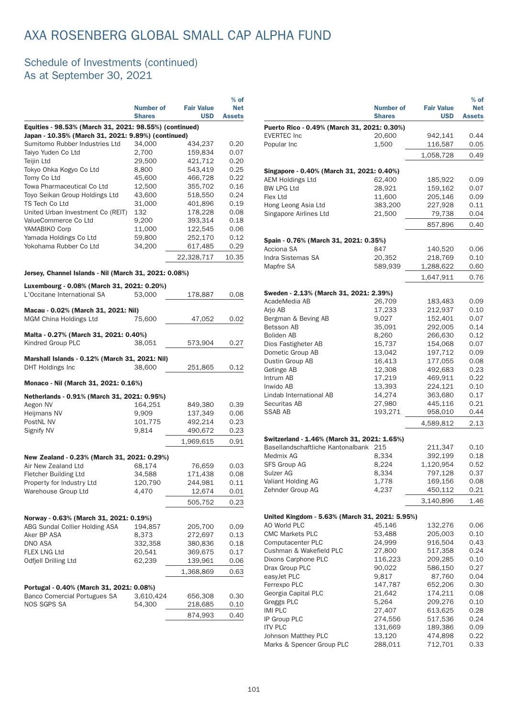|                                                                                 | Number of<br><b>Shares</b> | <b>Fair Value</b><br><b>USD</b> | $%$ of<br><b>Net</b><br><b>Assets</b> |
|---------------------------------------------------------------------------------|----------------------------|---------------------------------|---------------------------------------|
| Equities - 98.53% (March 31, 2021: 98.55%) (continued)                          |                            |                                 |                                       |
| Japan - 10.35% (March 31, 2021: 9.89%) (continued)                              |                            |                                 |                                       |
| Sumitomo Rubber Industries Ltd                                                  | 34,000                     | 434,237                         | 0.20                                  |
| Taiyo Yuden Co Ltd                                                              | 2,700                      | 159,834                         | 0.07                                  |
| Teijin Ltd                                                                      | 29,500                     | 421,712                         | 0.20                                  |
| Tokyo Ohka Kogyo Co Ltd<br>Tomy Co Ltd                                          | 8,800<br>45,600            | 543,419<br>466,728              | 0.25<br>0.22                          |
| Towa Pharmaceutical Co Ltd                                                      | 12,500                     | 355,702                         | 0.16                                  |
| Toyo Seikan Group Holdings Ltd                                                  | 43,600                     | 518,550                         | 0.24                                  |
| TS Tech Co Ltd                                                                  | 31,000                     | 401.896                         | 0.19                                  |
| United Urban Investment Co (REIT)                                               | 132                        | 178,228                         | 0.08                                  |
| ValueCommerce Co Ltd                                                            | 9,200                      | 393,314                         | 0.18                                  |
| YAMABIKO Corp                                                                   | 11,000                     | 122,545                         | 0.06                                  |
| Yamada Holdings Co Ltd                                                          | 59,800                     | 252,170                         | 0.12                                  |
| Yokohama Rubber Co Ltd                                                          | 34,200                     | 617,485                         | 0.29                                  |
|                                                                                 |                            | 22,328,717                      | 10.35                                 |
|                                                                                 |                            |                                 |                                       |
| Jersey, Channel Islands - Nil (March 31, 2021: 0.08%)                           |                            |                                 |                                       |
| Luxembourg - 0.08% (March 31, 2021: 0.20%)<br>L'Occitane International SA       |                            |                                 | 0.08                                  |
|                                                                                 | 53,000                     | 178,887                         |                                       |
| Macau - 0.02% (March 31, 2021: Nil)                                             |                            |                                 |                                       |
| MGM China Holdings Ltd                                                          | 75,600                     | 47,052                          | 0.02                                  |
| Malta - 0.27% (March 31, 2021: 0.40%)                                           |                            |                                 |                                       |
| Kindred Group PLC                                                               | 38,051                     | 573,904                         | 0.27                                  |
|                                                                                 |                            |                                 |                                       |
| Marshall Islands - 0.12% (March 31, 2021: Nil)<br><b>DHT Holdings Inc</b>       | 38,600                     |                                 |                                       |
|                                                                                 |                            | 251,865                         | 0.12                                  |
| Monaco - Nil (March 31, 2021: 0.16%)                                            |                            |                                 |                                       |
| Netherlands - 0.91% (March 31, 2021: 0.95%)                                     |                            |                                 |                                       |
| Aegon NV                                                                        | 164,251                    | 849,380                         | 0.39                                  |
| Heijmans NV                                                                     | 9,909                      | 137,349                         | 0.06                                  |
| PostNL NV                                                                       | 101,775                    | 492,214                         | 0.23                                  |
| Signify NV                                                                      | 9,814                      | 490,672                         | 0.23                                  |
|                                                                                 |                            | 1,969,615                       | 0.91                                  |
|                                                                                 |                            |                                 |                                       |
| New Zealand - 0.23% (March 31, 2021: 0.29%)                                     |                            |                                 |                                       |
| Air New Zealand Ltd                                                             | 68,174                     | 76,659                          | 0.03                                  |
| Fletcher Building Ltd                                                           | 34,588                     | 171,438                         | 0.08                                  |
| Property for Industry Ltd<br>Warehouse Group Ltd                                | 120,790                    | 244,981                         | 0.11                                  |
|                                                                                 | 4,470                      | 12,674                          | 0.01                                  |
|                                                                                 |                            | 505,752                         | 0.23                                  |
| Norway - 0.63% (March 31, 2021: 0.19%)                                          |                            |                                 |                                       |
| ABG Sundal Collier Holding ASA                                                  | 194,857                    | 205,700                         | 0.09                                  |
| Aker BP ASA                                                                     | 8,373                      | 272,697                         | 0.13                                  |
| DNO ASA                                                                         | 332,358                    | 380,836                         | 0.18                                  |
| FLEX LNG Ltd                                                                    | 20,541                     | 369,675                         | 0.17                                  |
| Odfjell Drilling Ltd                                                            | 62,239                     | 139,961                         | 0.06                                  |
|                                                                                 |                            | 1,368,869                       | 0.63                                  |
|                                                                                 |                            |                                 |                                       |
| Portugal - 0.40% (March 31, 2021: 0.08%)<br><b>Banco Comercial Portugues SA</b> | 3,610,424                  | 656,308                         | 0.30                                  |
| NOS SGPS SA                                                                     | 54,300                     | 218,685                         | 0.10                                  |
|                                                                                 |                            |                                 |                                       |
|                                                                                 |                            | 874,993                         | 0.40                                  |

|                                                | <b>Number of</b><br><b>Shares</b> | <b>Fair Value</b><br><b>USD</b> | $%$ of<br><b>Net</b><br><b>Assets</b> |
|------------------------------------------------|-----------------------------------|---------------------------------|---------------------------------------|
| Puerto Rico - 0.49% (March 31, 2021: 0.30%)    |                                   |                                 |                                       |
| <b>EVERTEC Inc</b>                             | 20,600                            | 942,141                         | 0.44                                  |
| Popular Inc                                    | 1,500                             | 116,587                         | 0.05                                  |
|                                                |                                   | 1,058,728                       | 0.49                                  |
|                                                |                                   |                                 |                                       |
| Singapore - 0.40% (March 31, 2021: 0.40%)      |                                   |                                 |                                       |
| <b>AEM Holdings Ltd</b><br><b>BW LPG Ltd</b>   | 62,400<br>28,921                  | 185,922<br>159,162              | 0.09<br>0.07                          |
| Flex Ltd                                       | 11,600                            | 205,146                         | 0.09                                  |
| Hong Leong Asia Ltd                            | 383,200                           | 227,928                         | 0.11                                  |
| Singapore Airlines Ltd                         | 21,500                            | 79,738                          | 0.04                                  |
|                                                |                                   | 857,896                         | 0.40                                  |
|                                                |                                   |                                 |                                       |
| Spain - 0.76% (March 31, 2021: 0.35%)          |                                   |                                 |                                       |
| Acciona SA                                     | 847                               | 140,520                         | 0.06                                  |
| Indra Sistemas SA                              | 20,352                            | 218,769                         | 0.10                                  |
| Mapfre SA                                      | 589,939                           | 1,288,622                       | 0.60                                  |
|                                                |                                   | 1,647,911                       | 0.76                                  |
| Sweden - 2.13% (March 31, 2021: 2.39%)         |                                   |                                 |                                       |
| AcadeMedia AB                                  | 26,709                            | 183,483                         | 0.09                                  |
| Arjo AB                                        | 17,233                            | 212,937                         | 0.10                                  |
| Bergman & Beving AB                            | 9,027                             | 152,401                         | 0.07                                  |
| Betsson AB                                     | 35,091                            | 292,005                         | 0.14                                  |
| Boliden AB                                     | 8,260                             | 266,630                         | 0.12                                  |
| Dios Fastigheter AB                            | 15,737                            | 154,068                         | 0.07                                  |
| Dometic Group AB                               | 13,042                            | 197,712                         | 0.09                                  |
| Dustin Group AB                                | 16,413                            | 177,055                         | 0.08                                  |
| Getinge AB                                     | 12,308                            | 492,683                         | 0.23                                  |
| Intrum AB<br>Inwido AB                         | 17,219<br>13,393                  | 469,911<br>224,121              | 0.22<br>0.10                          |
| Lindab International AB                        | 14,274                            | 363,680                         | 0.17                                  |
| Securitas AB                                   | 27,980                            | 445,116                         | 0.21                                  |
| SSAB AB                                        | 193,271                           | 958,010                         | 0.44                                  |
|                                                |                                   | 4,589,812                       | 2.13                                  |
|                                                |                                   |                                 |                                       |
| Switzerland - 1.46% (March 31, 2021: 1.65%)    |                                   |                                 |                                       |
| Basellandschaftliche Kantonalbank 215          |                                   | 211,347                         | 0.10                                  |
| Medmix AG                                      | 8,334                             | 392,199                         | 0.18                                  |
| <b>SFS Group AG</b><br>Sulzer AG               | 8,224<br>8,334                    | 1,120,954<br>797,128            | 0.52<br>0.37                          |
| Valiant Holding AG                             | 1,778                             | 169,156                         | 0.08                                  |
| Zehnder Group AG                               | 4,237                             | 450,112                         | 0.21                                  |
|                                                |                                   | 3,140,896                       | 1.46                                  |
|                                                |                                   |                                 |                                       |
| United Kingdom - 5.63% (March 31, 2021: 5.95%) |                                   |                                 |                                       |
| AO World PLC<br><b>CMC Markets PLC</b>         | 45,146<br>53,488                  | 132,276                         | 0.06                                  |
| Computacenter PLC                              | 24,999                            | 205,003<br>916,504              | 0.10<br>0.43                          |
| Cushman & Wakefield PLC                        | 27,800                            | 517,358                         | 0.24                                  |
| Dixons Carphone PLC                            | 116,223                           | 209,285                         | 0.10                                  |
| Drax Group PLC                                 | 90,022                            | 586,150                         | 0.27                                  |
| easyJet PLC                                    | 9,817                             | 87,760                          | 0.04                                  |
| Ferrexpo PLC                                   | 147,787                           | 652,206                         | 0.30                                  |
| Georgia Capital PLC                            | 21,642                            | 174,211                         | 0.08                                  |
| Greggs PLC                                     | 5,264                             | 209,276                         | 0.10                                  |
| <b>IMI PLC</b>                                 | 27,407                            | 613,625                         | 0.28                                  |
| IP Group PLC                                   | 274,556                           | 517,536                         | 0.24                                  |
| <b>ITV PLC</b>                                 | 131,669                           | 189,386                         | 0.09                                  |
| Johnson Matthey PLC                            | 13,120                            | 474,898                         | 0.22                                  |
| Marks & Spencer Group PLC                      | 288,011                           | 712,701                         | 0.33                                  |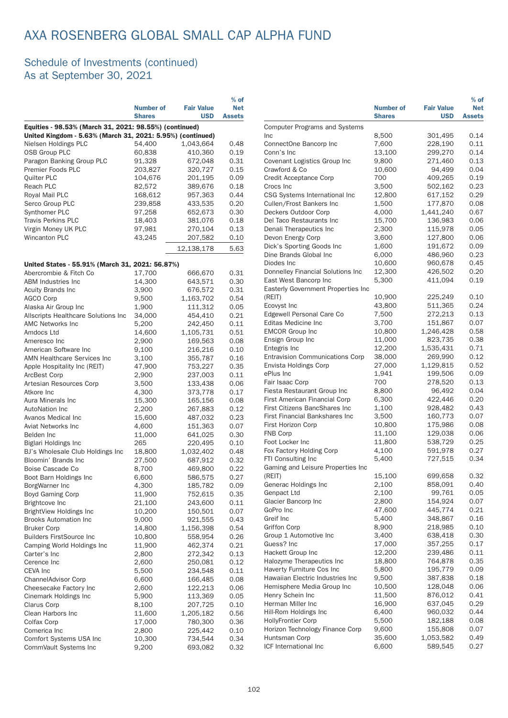|                                                                                                                      |                  |                    | $%$ of        |                                           |
|----------------------------------------------------------------------------------------------------------------------|------------------|--------------------|---------------|-------------------------------------------|
|                                                                                                                      | <b>Number of</b> | <b>Fair Value</b>  | <b>Net</b>    |                                           |
|                                                                                                                      | <b>Shares</b>    | <b>USD</b>         | <b>Assets</b> |                                           |
| Equities - 98.53% (March 31, 2021: 98.55%) (continued)<br>United Kingdom - 5.63% (March 31, 2021: 5.95%) (continued) |                  |                    |               | Computer<br><b>Inc</b>                    |
| Nielsen Holdings PLC                                                                                                 | 54,400           | 1,043,664          | 0.48          | ConnectOr                                 |
| <b>OSB Group PLC</b>                                                                                                 | 60,838           | 410,360            | 0.19          | Conn's Inc                                |
| Paragon Banking Group PLC                                                                                            | 91,328           | 672,048            | 0.31          | Covenant                                  |
| Premier Foods PLC                                                                                                    | 203,827          | 320,727            | 0.15          | Crawford &                                |
| Quilter PLC                                                                                                          | 104,676          | 201,195            | 0.09          | Credit Acc                                |
| Reach PLC                                                                                                            | 82,572           | 389,676            | 0.18          | Crocs Inc                                 |
| Royal Mail PLC                                                                                                       | 168,612          | 957,363            | 0.44          | <b>CSG Syste</b>                          |
| Serco Group PLC                                                                                                      | 239,858          | 433,535            | 0.20          | Cullen/Fro                                |
| Synthomer PLC                                                                                                        | 97,258           | 652,673            | 0.30          | Deckers O                                 |
| <b>Travis Perkins PLC</b>                                                                                            | 18,403           | 381,076            | 0.18          | Del Taco R                                |
| Virgin Money UK PLC                                                                                                  | 97,981           | 270,104            | 0.13          | Denali The                                |
| Wincanton PLC                                                                                                        | 43,245           | 207,582            | 0.10          | Devon Ene                                 |
|                                                                                                                      |                  | 12,138,178         | 5.63          | Dick's Spo                                |
|                                                                                                                      |                  |                    |               | Dine Bran                                 |
| United States - 55.91% (March 31, 2021: 56.87%)                                                                      |                  |                    |               | Diodes Inc                                |
| Abercrombie & Fitch Co                                                                                               | 17,700           | 666,670            | 0.31          | Donnelley                                 |
| <b>ABM Industries Inc.</b>                                                                                           | 14,300           | 643,571            | 0.30          | <b>East West</b>                          |
| <b>Acuity Brands Inc</b>                                                                                             | 3,900            | 676,572            | 0.31          | Easterly G                                |
| <b>AGCO Corp</b>                                                                                                     | 9,500            | 1,163,702          | 0.54          | (REIT)                                    |
| Alaska Air Group Inc                                                                                                 | 1,900            | 111,312            | 0.05          | Ecovyst In                                |
| Allscripts Healthcare Solutions Inc                                                                                  | 34,000           | 454,410            | 0.21          | Edgewell F                                |
| <b>AMC Networks Inc</b>                                                                                              | 5,200            | 242,450            | 0.11          | Editas Me                                 |
| Amdocs Ltd                                                                                                           | 14,600           | 1,105,731          | 0.51          | <b>EMCOR Gr</b>                           |
| Ameresco Inc                                                                                                         | 2,900            | 169,563            | 0.08          | Ensign Gro                                |
| American Software Inc                                                                                                | 9,100            | 216,216            | 0.10          | Entegris Ir                               |
| <b>AMN Healthcare Services Inc</b>                                                                                   | 3,100            | 355,787            | 0.16          | Entravisior                               |
| Apple Hospitality Inc (REIT)                                                                                         | 47,900           | 753,227            | 0.35          | Envista Ho                                |
| ArcBest Corp                                                                                                         | 2,900            | 237,003            | 0.11          | ePlus Inc                                 |
| Artesian Resources Corp                                                                                              | 3,500            | 133,438            | 0.06          | Fair Isaac                                |
| Atkore Inc                                                                                                           | 4,300            | 373,778            | 0.17          | <b>Fiesta Res</b>                         |
| Aura Minerals Inc                                                                                                    | 15,300           | 165,156            | 0.08          | <b>First Amer</b>                         |
| <b>AutoNation Inc</b>                                                                                                | 2,200            | 267,883            | 0.12          | <b>First Citize</b><br><b>First Finan</b> |
| Avanos Medical Inc                                                                                                   | 15,600           | 487,032            | 0.23          | <b>First Horiz</b>                        |
| Aviat Networks Inc                                                                                                   | 4,600            | 151,363            | 0.07          | FNB Corp                                  |
| Belden Inc                                                                                                           | 11,000           | 641,025            | 0.30          | Foot Locke                                |
| Biglari Holdings Inc                                                                                                 | 265              | 220,495            | 0.10          | Fox Factor                                |
| BJ's Wholesale Club Holdings Inc                                                                                     | 18,800           | 1,032,402          | 0.48          | FTI Consul                                |
| Bloomin' Brands Inc<br>Boise Cascade Co                                                                              | 27,500           | 687,912            | 0.32<br>0.22  | Gaming ar                                 |
|                                                                                                                      | 8,700            | 469,800            | 0.27          | (REIT)                                    |
| Boot Barn Holdings Inc<br>BorgWarner Inc                                                                             | 6,600<br>4,300   | 586,575<br>185,782 | 0.09          | Generac H                                 |
| Boyd Gaming Corp                                                                                                     | 11,900           | 752,615            | 0.35          | Genpact L                                 |
| Brightcove Inc                                                                                                       | 21,100           | 243,600            | 0.11          | Glacier Ba                                |
| BrightView Holdings Inc                                                                                              | 10,200           | 150,501            | 0.07          | GoPro Inc                                 |
| <b>Brooks Automation Inc</b>                                                                                         | 9,000            | 921,555            | 0.43          | Greif Inc                                 |
| <b>Bruker Corp</b>                                                                                                   | 14,800           | 1,156,398          | 0.54          | Griffon Co                                |
| <b>Builders FirstSource Inc</b>                                                                                      | 10,800           | 558,954            | 0.26          | Group 1 A                                 |
| Camping World Holdings Inc                                                                                           | 11,900           | 462,374            | 0.21          | Guess? In                                 |
| Carter's Inc                                                                                                         | 2,800            | 272,342            | 0.13          | Hackett G                                 |
| Cerence Inc                                                                                                          | 2,600            | 250,081            | 0.12          | Halozyme                                  |
| CEVA Inc                                                                                                             | 5,500            | 234,548            | 0.11          | Haverty Fu                                |
| ChannelAdvisor Corp                                                                                                  | 6,600            | 166,485            | 0.08          | Hawaiian I                                |
| Cheesecake Factory Inc                                                                                               | 2,600            | 122,213            | 0.06          | Hemisphe                                  |
| Cinemark Holdings Inc                                                                                                | 5,900            | 113,369            | 0.05          | Henry Sch                                 |
| Clarus Corp                                                                                                          | 8,100            | 207,725            | 0.10          | Herman M                                  |
| Clean Harbors Inc                                                                                                    | 11,600           | 1,205,182          | 0.56          | Hill-Rom H                                |
| Colfax Corp                                                                                                          | 17,000           | 780,300            | 0.36          | HollyFronti                               |
| Comerica Inc                                                                                                         | 2,800            | 225,442            | 0.10          | Horizon Te                                |
| Comfort Systems USA Inc                                                                                              | 10,300           | 734,544            | 0.34          | Huntsman                                  |
| CommVault Systems Inc                                                                                                | 9,200            | 693,082            | 0.32          | <b>ICF</b> Interna                        |

|                                                  | <b>Number of</b><br><b>Shares</b> | <b>Fair Value</b><br><b>USD</b> | $%$ of<br><b>Net</b><br><b>Assets</b> |
|--------------------------------------------------|-----------------------------------|---------------------------------|---------------------------------------|
| <b>Computer Programs and Systems</b>             |                                   |                                 |                                       |
| <b>Inc</b>                                       | 8,500                             | 301,495                         | 0.14                                  |
| ConnectOne Bancorp Inc                           | 7,600                             | 228,190                         | 0.11                                  |
| Conn's Inc                                       | 13,100                            | 299,270                         | 0.14                                  |
| Covenant Logistics Group Inc                     | 9,800                             | 271,460                         | 0.13                                  |
| Crawford & Co                                    | 10,600                            | 94,499                          | 0.04                                  |
| Credit Acceptance Corp                           | 700                               | 409,265                         | 0.19                                  |
| Crocs Inc                                        | 3,500                             | 502,162                         | 0.23                                  |
| CSG Systems International Inc                    | 12,800                            | 617,152                         | 0.29                                  |
| Cullen/Frost Bankers Inc<br>Deckers Outdoor Corp | 1,500<br>4,000                    | 177,870<br>1,441,240            | 0.08<br>0.67                          |
| Del Taco Restaurants Inc                         | 15,700                            | 136,983                         | 0.06                                  |
| Denali Therapeutics Inc                          | 2,300                             | 115,978                         | 0.05                                  |
| Devon Energy Corp                                | 3,600                             | 127,800                         | 0.06                                  |
| Dick's Sporting Goods Inc                        | 1,600                             | 191,672                         | 0.09                                  |
| Dine Brands Global Inc                           | 6,000                             | 486,960                         | 0.23                                  |
| Diodes Inc                                       | 10,600                            | 960,678                         | 0.45                                  |
| Donnelley Financial Solutions Inc                | 12,300                            | 426,502                         | 0.20                                  |
| East West Bancorp Inc                            | 5,300                             | 411,094                         | 0.19                                  |
| Easterly Government Properties Inc               |                                   |                                 |                                       |
| (REIT)                                           | 10,900                            | 225,249                         | 0.10                                  |
| Ecovyst Inc                                      | 43,800                            | 511,365                         | 0.24                                  |
| Edgewell Personal Care Co                        | 7,500                             | 272,213                         | 0.13                                  |
| Editas Medicine Inc                              | 3,700                             | 151,867                         | 0.07                                  |
| <b>EMCOR Group Inc</b>                           | 10,800                            | 1,246,428                       | 0.58                                  |
| Ensign Group Inc                                 | 11,000                            | 823,735                         | 0.38                                  |
| Entegris Inc                                     | 12,200                            | 1,535,431                       | 0.71                                  |
| <b>Entravision Communications Corp</b>           | 38,000                            | 269,990                         | 0.12                                  |
| Envista Holdings Corp                            | 27,000                            | 1,129,815                       | 0.52                                  |
| ePlus Inc<br>Fair Isaac Corp                     | 1,941<br>700                      | 199,506<br>278,520              | 0.09<br>0.13                          |
| Fiesta Restaurant Group Inc                      | 8,800                             | 96,492                          | 0.04                                  |
| First American Financial Corp                    | 6,300                             | 422,446                         | 0.20                                  |
| <b>First Citizens BancShares Inc</b>             | 1,100                             | 928,482                         | 0.43                                  |
| First Financial Bankshares Inc                   | 3,500                             | 160,773                         | 0.07                                  |
| First Horizon Corp                               | 10,800                            | 175,986                         | 0.08                                  |
| FNB Corp                                         | 11,100                            | 129,038                         | 0.06                                  |
| Foot Locker Inc                                  | 11,800                            | 538,729                         | 0.25                                  |
| Fox Factory Holding Corp                         | 4,100                             | 591,978                         | 0.27                                  |
| FTI Consulting Inc                               | 5,400                             | 727,515                         | 0.34                                  |
| Gaming and Leisure Properties Inc                |                                   |                                 |                                       |
| (REIT)                                           | 15,100                            | 699,658                         | 0.32                                  |
| Generac Holdings Inc                             | 2,100                             | 858,091                         | 0.40                                  |
| Genpact Ltd                                      | 2,100                             | 99,761                          | 0.05                                  |
| Glacier Bancorp Inc                              | 2,800                             | 154,924                         | 0.07                                  |
| GoPro Inc                                        | 47,600                            | 445,774                         | 0.21                                  |
| Greif Inc                                        | 5,400                             | 348,867                         | 0.16                                  |
| <b>Griffon Corp</b>                              | 8,900                             | 218,985                         | 0.10                                  |
| Group 1 Automotive Inc<br>Guess? Inc             | 3,400<br>17,000                   | 638,418<br>357,255              | 0.30<br>0.17                          |
| Hackett Group Inc                                | 12,200                            | 239,486                         | 0.11                                  |
| Halozyme Therapeutics Inc                        | 18,800                            | 764,878                         | 0.35                                  |
| Haverty Furniture Cos Inc                        | 5,800                             | 195,779                         | 0.09                                  |
| Hawaiian Electric Industries Inc                 | 9,500                             | 387,838                         | 0.18                                  |
| Hemisphere Media Group Inc                       | 10,500                            | 128,048                         | 0.06                                  |
| Henry Schein Inc                                 | 11,500                            | 876,012                         | 0.41                                  |
| Herman Miller Inc                                | 16,900                            | 637,045                         | 0.29                                  |
| Hill-Rom Holdings Inc                            | 6,400                             | 960,032                         | 0.44                                  |
| <b>HollyFrontier Corp</b>                        | 5,500                             | 182,188                         | 0.08                                  |
| Horizon Technology Finance Corp                  | 9,600                             | 155,808                         | 0.07                                  |
| Huntsman Corp                                    | 35,600                            | 1,053,582                       | 0.49                                  |
| ICF International Inc                            | 6,600                             | 589,545                         | 0.27                                  |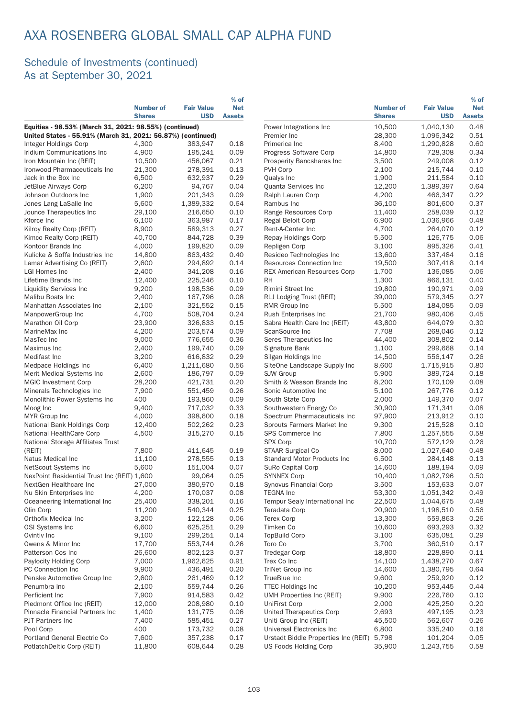### Schedule of Investments (continued) As at September 30, 2021

|                                                                                                                       |                                   |                                 | $%$ of                      |                                            |                                   |                                 | $%$ of               |
|-----------------------------------------------------------------------------------------------------------------------|-----------------------------------|---------------------------------|-----------------------------|--------------------------------------------|-----------------------------------|---------------------------------|----------------------|
|                                                                                                                       | <b>Number of</b><br><b>Shares</b> | <b>Fair Value</b><br><b>USD</b> | <b>Net</b><br><b>Assets</b> |                                            | <b>Number of</b><br><b>Shares</b> | <b>Fair Value</b><br><b>USD</b> | <b>Net</b><br>Assets |
| Equities - 98.53% (March 31, 2021: 98.55%) (continued)<br>United States - 55.91% (March 31, 2021: 56.87%) (continued) |                                   |                                 |                             | Power Integrations Inc<br>Premier Inc      | 10,500<br>28,300                  | 1,040,130<br>1,096,342          | 0.48<br>0.51         |
| Integer Holdings Corp                                                                                                 | 4,300                             | 383.947                         | 0.18                        | Primerica Inc                              | 8,400                             | 1,290,828                       | 0.60                 |
| Iridium Communications Inc                                                                                            | 4,900                             | 195,241                         | 0.09                        | Progress Software Corp                     | 14,800                            | 728,308                         | 0.34                 |
| Iron Mountain Inc (REIT)                                                                                              | 10,500                            | 456,067                         | 0.21                        | Prosperity Bancshares Inc.                 | 3,500                             | 249,008                         | 0.12                 |
| Ironwood Pharmaceuticals Inc                                                                                          | 21,300                            | 278,391                         | 0.13                        | PVH Corp                                   | 2,100                             | 215,744                         | 0.1C                 |
| Jack in the Box Inc                                                                                                   | 6,500                             | 632,937                         | 0.29                        | Qualys Inc                                 | 1,900                             | 211,584                         | 0.10                 |
| JetBlue Airways Corp                                                                                                  | 6,200                             | 94,767                          | 0.04                        | Quanta Services Inc                        | 12,200                            | 1,389,397                       | 0.64                 |
| Johnson Outdoors Inc                                                                                                  | 1,900                             | 201,343                         | 0.09                        | Ralph Lauren Corp                          | 4,200                             | 466,347                         | 0.22                 |
| Jones Lang LaSalle Inc                                                                                                | 5,600                             | 1,389,332                       | 0.64                        | Rambus Inc                                 | 36,100                            | 801,600                         | 0.37                 |
| Jounce Therapeutics Inc                                                                                               | 29,100                            | 216,650                         | 0.10                        | Range Resources Corp                       | 11,400                            | 258,039                         | 0.12                 |
| Kforce Inc                                                                                                            | 6,100                             | 363,987                         | 0.17                        | Regal Beloit Corp                          | 6,900                             | 1,036,966                       | 0.48                 |
| Kilroy Realty Corp (REIT)                                                                                             | 8,900                             | 589,313                         | 0.27                        | Rent-A-Center Inc                          | 4,700                             | 264,070                         | 0.12                 |
| Kimco Realty Corp (REIT)                                                                                              | 40,700                            | 844,728                         | 0.39                        | Repay Holdings Corp                        | 5,500                             | 126,775                         | 0.06                 |
| Kontoor Brands Inc                                                                                                    | 4,000                             | 199,820                         | 0.09                        | Repligen Corp                              | 3,100                             | 895,326                         | 0.41                 |
| Kulicke & Soffa Industries Inc                                                                                        | 14,800                            | 863,432                         | 0.40                        | Resideo Technologies Inc                   | 13,600                            | 337,484                         | 0.16                 |
| Lamar Advertising Co (REIT)                                                                                           | 2,600                             | 294,892                         | 0.14                        | Resources Connection Inc                   | 19,500                            | 307,418                         | 0.14                 |
| <b>LGI Homes Inc</b>                                                                                                  | 2,400                             | 341,208                         | 0.16                        | <b>REX American Resources Corp</b>         | 1,700                             | 136,085                         | 0.06                 |
| Lifetime Brands Inc                                                                                                   | 12,400                            | 225,246                         | 0.10                        | <b>RH</b>                                  | 1,300                             | 866,131                         | 0.4C                 |
| <b>Liquidity Services Inc</b>                                                                                         | 9,200                             | 198,536                         | 0.09                        | Rimini Street Inc                          | 19,800                            | 190,971                         | 0.09                 |
| Malibu Boats Inc                                                                                                      | 2,400                             | 167,796                         | 0.08                        | RLJ Lodging Trust (REIT)                   | 39,000                            | 579,345                         | 0.27                 |
| Manhattan Associates Inc                                                                                              | 2,100                             | 321,552                         | 0.15                        | RMR Group Inc                              | 5,500                             | 184,085                         | 0.09                 |
| ManpowerGroup Inc                                                                                                     | 4,700                             | 508,704                         | 0.24                        | Rush Enterprises Inc                       | 21,700                            | 980,406                         | 0.45                 |
| Marathon Oil Corp                                                                                                     | 23,900                            | 326,833                         | 0.15                        | Sabra Health Care Inc (REIT)               | 43,800                            | 644.079                         | 0.3C                 |
| MarineMax Inc                                                                                                         | 4,200                             | 203,574                         | 0.09                        | ScanSource Inc                             | 7,708                             | 268,046                         | 0.12                 |
| MasTec Inc                                                                                                            | 9,000                             | 776,655                         | 0.36                        | Seres Therapeutics Inc                     | 44,400                            | 308,802                         | 0.14                 |
| Maximus Inc                                                                                                           | 2,400                             | 199,740                         | 0.09                        | Signature Bank                             | 1,100                             | 299,668                         | 0.14                 |
| Medifast Inc                                                                                                          | 3,200                             | 616,832                         | 0.29                        | Silgan Holdings Inc                        | 14,500                            | 556,147                         | 0.26                 |
| Medpace Holdings Inc                                                                                                  | 6,400                             | 1,211,680                       | 0.56                        | SiteOne Landscape Supply Inc               | 8,600                             | 1,715,915                       | 0.8C                 |
| Merit Medical Systems Inc                                                                                             | 2,600                             | 186,797                         | 0.09                        | SJW Group                                  | 5,900                             | 389,724                         | 0.18                 |
| <b>MGIC Investment Corp</b>                                                                                           | 28,200                            | 421,731                         | 0.20                        | Smith & Wesson Brands Inc                  | 8,200                             | 170,109                         | 0.08                 |
| Minerals Technologies Inc                                                                                             | 7,900                             | 551,459                         | 0.26                        | Sonic Automotive Inc                       | 5,100                             | 267,776                         | 0.12                 |
| Monolithic Power Systems Inc                                                                                          | 400                               | 193,860                         | 0.09                        | South State Corp                           | 2,000                             | 149,370                         | 0.07                 |
| Moog Inc                                                                                                              | 9,400                             | 717,032                         | 0.33                        | Southwestern Energy Co                     | 30,900                            | 171,341                         | 0.08                 |
| MYR Group Inc                                                                                                         | 4,000                             | 398,600                         | 0.18                        | Spectrum Pharmaceuticals Inc               | 97,900                            | 213,912                         | 0.1C                 |
| National Bank Holdings Corp                                                                                           | 12,400                            | 502,262                         | 0.23                        | Sprouts Farmers Market Inc                 | 9,300                             | 215,528                         | 0.10                 |
| National HealthCare Corp                                                                                              | 4,500                             | 315,270                         | 0.15                        | SPS Commerce Inc                           | 7,800                             | 1,257,555                       | 0.58                 |
| National Storage Affiliates Trust                                                                                     |                                   |                                 |                             | <b>SPX Corp</b>                            | 10,700                            | 572,129                         | 0.26                 |
| (REIT)                                                                                                                | 7,800                             | 411,645                         | 0.19                        | STAAR Surgical Co                          | 8,000                             | 1,027,640                       | 0.48                 |
| Natus Medical Inc                                                                                                     | 11,100                            | 278,555                         | 0.13                        | <b>Standard Motor Products Inc.</b>        | 6,500                             | 284,148                         | 0.13                 |
| NetScout Systems Inc                                                                                                  | 5,600                             | 151,004                         | 0.07                        | SuRo Capital Corp                          | 14,600                            | 188,194                         | 0.09                 |
| NexPoint Residential Trust Inc (REIT) 1,600                                                                           |                                   | 99,064                          | 0.05                        | <b>SYNNEX Corp</b>                         | 10,400                            | 1,082,796                       | 0.5C                 |
| NextGen Healthcare Inc                                                                                                | 27,000                            | 380,970                         | 0.18                        | Synovus Financial Corp                     | 3,500                             | 153,633                         | 0.07                 |
| Nu Skin Enterprises Inc                                                                                               | 4,200                             | 170,037                         | 0.08                        | <b>TEGNA Inc</b>                           | 53,300                            | 1,051,342                       | 0.49                 |
| Oceaneering International Inc                                                                                         | 25,400                            | 338,201                         | 0.16                        | Tempur Sealy International Inc             | 22,500                            | 1,044,675                       | 0.48                 |
| Olin Corp                                                                                                             | 11,200                            | 540,344                         | 0.25                        | Teradata Corp                              | 20,900                            | 1,198,510                       | 0.56                 |
| Orthofix Medical Inc                                                                                                  | 3,200                             | 122,128                         | 0.06                        | <b>Terex Corp</b>                          | 13,300                            | 559,863                         | 0.26                 |
| OSI Systems Inc                                                                                                       | 6,600                             | 625,251                         | 0.29                        | Timken Co                                  | 10,600                            | 693,293                         | 0.32                 |
| Ovintiv Inc                                                                                                           | 9,100                             | 299,251                         | 0.14                        | <b>TopBuild Corp</b>                       | 3,100                             | 635,081                         | 0.29                 |
| Owens & Minor Inc                                                                                                     | 17,700                            | 553,744                         | 0.26                        | Toro Co                                    | 3,700                             | 360,510                         | 0.17                 |
| Patterson Cos Inc                                                                                                     | 26,600                            | 802,123                         | 0.37                        | <b>Tredegar Corp</b>                       | 18,800                            | 228,890                         | 0.11                 |
| Paylocity Holding Corp                                                                                                | 7,000                             | 1,962,625                       | 0.91                        | Trex Co Inc                                | 14,100                            | 1,438,270                       | 0.67                 |
| PC Connection Inc                                                                                                     | 9,900                             | 436,491                         | 0.20                        | TriNet Group Inc                           | 14,600                            | 1,380,795                       | 0.64                 |
| Penske Automotive Group Inc                                                                                           | 2,600                             | 261,469                         | 0.12                        | TrueBlue Inc                               | 9,600                             | 259,920                         | 0.12                 |
| Penumbra Inc                                                                                                          | 2,100                             | 559,744                         | 0.26                        | <b>TTEC Holdings Inc</b>                   | 10,200                            | 953,445                         | 0.44                 |
| Perficient Inc                                                                                                        | 7,900                             | 914,583                         | 0.42                        | UMH Properties Inc (REIT)                  | 9,900                             | 226,760                         | 0.10                 |
| Piedmont Office Inc (REIT)                                                                                            | 12,000                            | 208,980                         | 0.10                        | <b>UniFirst Corp</b>                       | 2,000                             | 425,250                         | 0.2C                 |
| Pinnacle Financial Partners Inc                                                                                       | 1,400                             | 131,775                         | 0.06                        | United Therapeutics Corp                   | 2,693                             | 497,195                         | 0.23                 |
| PJT Partners Inc                                                                                                      | 7,400                             | 585,451                         | 0.27                        | Uniti Group Inc (REIT)                     | 45,500                            | 562,607                         | 0.26                 |
| Pool Corp                                                                                                             | 400                               | 173,732                         | 0.08                        | Universal Electronics Inc                  | 6,800                             | 335,240                         | 0.16                 |
| Portland General Electric Co                                                                                          | 7,600                             | 357,238                         | 0.17                        | Urstadt Biddle Properties Inc (REIT) 5,798 |                                   | 101,204                         | 0.05                 |
| PotlatchDeltic Corp (REIT)                                                                                            | 11,800                            | 608,644                         | 0.28                        | <b>US Foods Holding Corp</b>               | 35,900                            | 1,243,755                       | 0.58                 |
|                                                                                                                       |                                   |                                 |                             |                                            |                                   |                                 |                      |

% of Net Assets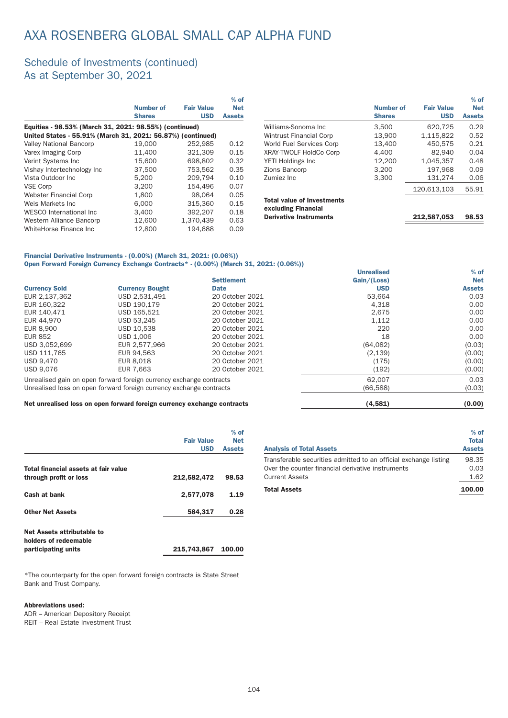### Schedule of Investments (continued) As at September 30, 2021

|                                                             |               |                   | $%$ of        |
|-------------------------------------------------------------|---------------|-------------------|---------------|
|                                                             | Number of     | <b>Fair Value</b> | <b>Net</b>    |
|                                                             | <b>Shares</b> | <b>USD</b>        | <b>Assets</b> |
| Equities - 98.53% (March 31, 2021: 98.55%) (continued)      |               |                   |               |
| United States - 55.91% (March 31, 2021: 56.87%) (continued) |               |                   |               |
| <b>Valley National Bancorp</b>                              | 19,000        | 252,985           | 0.12          |
| Varex Imaging Corp                                          | 11,400        | 321,309           | 0.15          |
| Verint Systems Inc                                          | 15,600        | 698.802           | 0.32          |
| Vishay Intertechnology Inc                                  | 37,500        | 753.562           | 0.35          |
| Vista Outdoor Inc.                                          | 5.200         | 209.794           | 0.10          |
| <b>VSE Corp</b>                                             | 3.200         | 154.496           | 0.07          |
| <b>Webster Financial Corp</b>                               | 1,800         | 98.064            | 0.05          |
| Weis Markets Inc                                            | 6.000         | 315,360           | 0.15          |
| WESCO International Inc.                                    | 3.400         | 392.207           | 0.18          |
| Western Alliance Bancorp                                    | 12,600        | 1.370.439         | 0.63          |
| WhiteHorse Finance Inc                                      | 12.800        | 194.688           | 0.09          |

|                                                          |                  |                   | $%$ of        |
|----------------------------------------------------------|------------------|-------------------|---------------|
|                                                          | <b>Number of</b> | <b>Fair Value</b> | <b>Net</b>    |
|                                                          | <b>Shares</b>    | <b>USD</b>        | <b>Assets</b> |
| Williams-Sonoma Inc                                      | 3.500            | 620.725           | 0.29          |
| <b>Wintrust Financial Corp</b>                           | 13.900           | 1,115,822         | 0.52          |
| World Fuel Services Corp                                 | 13.400           | 450.575           | 0.21          |
| XRAY-TWOLF HoldCo Corp                                   | 4.400            | 82.940            | 0.04          |
| YETI Holdings Inc                                        | 12,200           | 1,045,357         | 0.48          |
| <b>Zions Bancorp</b>                                     | 3.200            | 197.968           | 0.09          |
| Zumiez Inc                                               | 3.300            | 131.274           | 0.06          |
|                                                          |                  | 120.613.103       | 55.91         |
| <b>Total value of Investments</b><br>excluding Financial |                  |                   |               |
| <b>Derivative Instruments</b>                            |                  | 212.587.053       | 98.53         |
|                                                          |                  |                   |               |

Unrealised

% of

% of

#### Financial Derivative Instruments - (0.00%) (March 31, 2021: (0.06%)) Open Forward Foreign Currency Exchange Contracts\* - (0.00%) (March 31, 2021: (0.06%))

|                                                                     |                        | <b>Settlement</b> | Gain/(Loss) | <b>Net</b>    |
|---------------------------------------------------------------------|------------------------|-------------------|-------------|---------------|
| <b>Currency Sold</b>                                                | <b>Currency Bought</b> | <b>Date</b>       | <b>USD</b>  | <b>Assets</b> |
| EUR 2,137,362                                                       | USD 2,531,491          | 20 October 2021   | 53.664      | 0.03          |
| EUR 160,322                                                         | USD 190.179            | 20 October 2021   | 4,318       | 0.00          |
| EUR 140.471                                                         | USD 165.521            | 20 October 2021   | 2.675       | 0.00          |
| EUR 44.970                                                          | USD 53.245             | 20 October 2021   | 1,112       | 0.00          |
| EUR 8.900                                                           | USD 10.538             | 20 October 2021   | 220         | 0.00          |
| <b>EUR 852</b>                                                      | USD 1.006              | 20 October 2021   | 18          | 0.00          |
| USD 3.052.699                                                       | EUR 2.577.966          | 20 October 2021   | (64, 082)   | (0.03)        |
| USD 111.765                                                         | EUR 94.563             | 20 October 2021   | (2, 139)    | (0.00)        |
| USD 9.470                                                           | EUR 8.018              | 20 October 2021   | (175)       | (0.00)        |
| <b>USD 9.076</b>                                                    | EUR 7.663              | 20 October 2021   | (192)       | (0.00)        |
| Unrealised gain on open forward foreign currency exchange contracts |                        |                   | 62.007      | 0.03          |
| Unrealised loss on open forward foreign currency exchange contracts |                        |                   | (66.588)    | (0.03)        |

Net unrealised loss on open forward foreign currency exchange contracts (4,581) (0.00)

|                                                                | <b>Fair Value</b><br><b>USD</b> | $%$ of<br><b>Net</b><br><b>Assets</b> |
|----------------------------------------------------------------|---------------------------------|---------------------------------------|
| Total financial assets at fair value<br>through profit or loss | 212,582,472                     | 98.53                                 |
| Cash at bank                                                   | 2,577,078                       | 1.19                                  |
| <b>Other Net Assets</b>                                        | 584,317                         | 0.28                                  |
| Net Assets attributable to<br>holders of redeemable            |                                 |                                       |
| participating units                                            | 215,743,867                     | 100.00                                |

\*The counterpar ty for the open forward foreign contracts is State Street Bank and Trust Company.

#### Abbreviations used:

ADR – American Depository Receipt REIT – Real Estate Investment Trust

| <b>Analysis of Total Assets</b>                                  | <b>Total</b><br><b>Assets</b> |
|------------------------------------------------------------------|-------------------------------|
| Transferable securities admitted to an official exchange listing | 98.35                         |
| Over the counter financial derivative instruments                | 0.03                          |
| <b>Current Assets</b>                                            | 1.62                          |
| <b>Total Assets</b>                                              | 100.00                        |
|                                                                  |                               |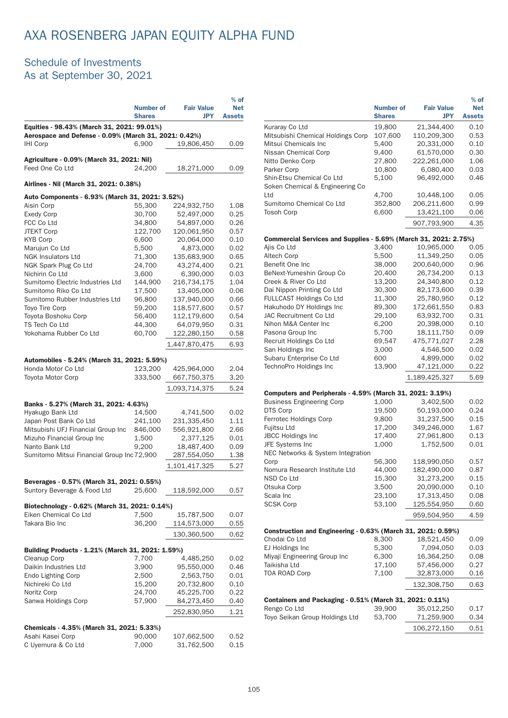# AXA ROSENBERG JAPAN EQUITY ALPHA FUND

### Schedule of Investments As at September 30, 2021

|                                                                                               | <b>Number of</b><br><b>Shares</b> | <b>Fair Value</b><br><b>JPY</b> | $%$ of<br><b>Net</b><br><b>Assets</b> |
|-----------------------------------------------------------------------------------------------|-----------------------------------|---------------------------------|---------------------------------------|
| Equities - 98.43% (March 31, 2021: 99.01%)                                                    |                                   |                                 |                                       |
| Aerospace and Defense - 0.09% (March 31, 2021: 0.42%)                                         |                                   |                                 |                                       |
| <b>IHI Corp</b>                                                                               | 6,900                             | 19,806,450                      | 0.09                                  |
| Agriculture - 0.09% (March 31, 2021: Nil)                                                     |                                   |                                 |                                       |
| Feed One Co Ltd                                                                               | 24,200                            | 18,271,000                      | 0.09                                  |
| Airlines - Nil (March 31, 2021: 0.38%)                                                        |                                   |                                 |                                       |
| Auto Components - 6.93% (March 31, 2021: 3.52%)                                               |                                   |                                 |                                       |
| Aisin Corp                                                                                    | 55,300                            | 224,932,750                     | 1.08                                  |
| <b>Exedy Corp</b>                                                                             | 30,700                            | 52,497,000                      | 0.25                                  |
| FCC Co Ltd                                                                                    | 34,800                            | 54,897,000                      | 0.26                                  |
| <b>JTEKT Corp</b><br><b>KYB Corp</b>                                                          | 122,700<br>6,600                  | 120,061,950<br>20,064,000       | 0.57<br>0.10                          |
| Marujun Co Ltd                                                                                | 5,500                             | 4,873,000                       | 0.02                                  |
| <b>NGK Insulators Ltd</b>                                                                     | 71,300                            | 135,683,900                     | 0.65                                  |
| NGK Spark Plug Co Ltd                                                                         | 24,700                            | 43,274,400                      | 0.21                                  |
| Nichirin Co Ltd                                                                               | 3.600                             | 6,390,000                       | 0.03                                  |
| Sumitomo Electric Industries Ltd                                                              | 144,900                           | 216,734,175                     | 1.04                                  |
| Sumitomo Riko Co Ltd                                                                          | 17,500                            | 13,405,000                      | 0.06                                  |
| Sumitomo Rubber Industries Ltd                                                                | 96,800                            | 137,940,000                     | 0.66                                  |
| Toyo Tire Corp                                                                                | 59.200                            | 118,577,600                     | 0.57                                  |
| Toyota Boshoku Corp                                                                           | 56,400                            | 112,179,600                     | 0.54                                  |
| TS Tech Co Ltd                                                                                | 44,300                            | 64,079,950                      | 0.31                                  |
| Yokohama Rubber Co Ltd                                                                        | 60,700                            | 122,280,150                     | 0.58                                  |
|                                                                                               |                                   | 1,447,870,475                   | 6.93                                  |
| Automobiles - 5.24% (March 31, 2021: 5.59%)<br>Honda Motor Co Ltd<br><b>Toyota Motor Corp</b> | 123,200<br>333,500                | 425,964,000<br>667,750,375      | 2.04<br>3.20                          |
|                                                                                               |                                   | 1,093,714,375                   | 5.24                                  |
| Banks - 5.27% (March 31, 2021: 4.63%)                                                         |                                   |                                 |                                       |
| Hyakugo Bank Ltd                                                                              | 14,500                            | 4,741,500                       | 0.02                                  |
| Japan Post Bank Co Ltd                                                                        | 241,100                           | 231,335,450                     | 1.11                                  |
| Mitsubishi UFJ Financial Group Inc                                                            | 846,000                           | 556,921,800                     | 2.66                                  |
| Mizuho Financial Group Inc                                                                    | 1,500                             | 2,377,125                       | 0.01                                  |
| Nanto Bank Ltd                                                                                | 9.200                             | 18,487,400                      | 0.09                                  |
| Sumitomo Mitsui Financial Group Inc 72,900                                                    |                                   | 287,554,050                     | 1.38                                  |
|                                                                                               |                                   | 1,101,417,325                   | 5.27                                  |
|                                                                                               |                                   |                                 |                                       |
| Beverages - 0.57% (March 31, 2021: 0.55%)<br>Suntory Beverage & Food Ltd                      | 25,600                            | 118,592,000                     | 0.57                                  |
| Biotechnology - 0.62% (March 31, 2021: 0.14%)                                                 |                                   |                                 |                                       |
| Eiken Chemical Co Ltd                                                                         | 7,500                             | 15,787,500                      | 0.07                                  |
| Takara Bio Inc                                                                                | 36,200                            | 114,573,000                     | 0.55                                  |
|                                                                                               |                                   | 130,360,500                     | 0.62                                  |
|                                                                                               |                                   |                                 |                                       |
| Building Products - 1.21% (March 31, 2021: 1.59%)                                             |                                   |                                 |                                       |
| Cleanup Corp                                                                                  | 7,700                             | 4,485,250                       | 0.02                                  |
| Daikin Industries Ltd                                                                         | 3,900                             | 95,550,000                      | 0.46                                  |
| <b>Endo Lighting Corp</b>                                                                     | 2,500                             | 2,563,750                       | 0.01                                  |
| Nichireki Co Ltd                                                                              | 15,200                            | 20,732,800                      | 0.10                                  |
| Noritz Corp                                                                                   | 24,700                            | 45,225,700                      | 0.22                                  |
| Sanwa Holdings Corp                                                                           | 57,900                            | 84,273,450                      | 0.40                                  |
|                                                                                               |                                   | 252,830,950                     | 1.21                                  |
| Chemicals - 4.35% (March 31, 2021: 5.33%)                                                     |                                   |                                 |                                       |
| Asahi Kasei Corp                                                                              | 90,000                            | 107,662,500                     | 0.52                                  |
| C Uyemura & Co Ltd                                                                            | 7,000                             | 31,762,500                      | 0.15                                  |

|                                                                  | <b>Number of</b> | <b>Fair Value</b>         | $%$ of<br><b>Net</b> |
|------------------------------------------------------------------|------------------|---------------------------|----------------------|
|                                                                  | <b>Shares</b>    | JPY                       | <b>Assets</b>        |
| Kuraray Co Ltd                                                   | 19,800           | 21,344,400                | 0.10                 |
| Mitsubishi Chemical Holdings Corp                                | 107,600          | 110,209,300               | 0.53                 |
| Mitsui Chemicals Inc                                             | 5,400            | 20,331,000                | 0.10                 |
| Nissan Chemical Corp                                             | 9,400<br>27,800  | 61,570,000<br>222,261,000 | 0.30<br>1.06         |
| Nitto Denko Corp<br>Parker Corp                                  | 10,800           | 6,080,400                 | 0.03                 |
| Shin-Etsu Chemical Co Ltd                                        | 5,100            | 96,492,000                | 0.46                 |
| Soken Chemical & Engineering Co                                  |                  |                           |                      |
| Ltd                                                              | 4,700            | 10,448,100                | 0.05                 |
| Sumitomo Chemical Co Ltd                                         | 352,800          | 206,211,600               | 0.99                 |
| <b>Tosoh Corp</b>                                                | 6,600            | 13,421,100                | 0.06                 |
|                                                                  |                  | 907,793,900               | 4.35                 |
| Commercial Services and Supplies - 5.69% (March 31, 2021: 2.75%) |                  |                           |                      |
| Ajis Co Ltd                                                      | 3,400            | 10,965,000                | 0.05                 |
| Altech Corp                                                      | 5,500            | 11,349,250                | 0.05                 |
| Benefit One Inc                                                  | 38,000           | 200,640,000               | 0.96                 |
| BeNext-Yumeshin Group Co                                         | 20,400           | 26,734,200                | 0.13                 |
| Creek & River Co Ltd                                             | 13,200           | 24,340,800                | 0.12                 |
| Dai Nippon Printing Co Ltd                                       | 30,300           | 82,173,600                | 0.39                 |
| <b>FULLCAST Holdings Co Ltd</b>                                  | 11,300           | 25,780,950                | 0.12                 |
| Hakuhodo DY Holdings Inc                                         | 89,300           | 172,661,550               | 0.83                 |
| JAC Recruitment Co Ltd                                           | 29,100           | 63,932,700                | 0.31                 |
| Nihon M&A Center Inc                                             | 6,200            | 20,398,000                | 0.10                 |
| Pasona Group Inc                                                 | 5,700            | 18,111,750                | 0.09                 |
| Recruit Holdings Co Ltd                                          | 69,547           | 475,771,027               | 2.28                 |
| San Holdings Inc                                                 | 3,000            | 4,546,500                 | 0.02                 |
| Subaru Enterprise Co Ltd                                         | 600              | 4,899,000                 | 0.02                 |
| TechnoPro Holdings Inc                                           | 13,900           | 47,121,000                | 0.22                 |
|                                                                  |                  | 1,189,425,327             | 5.69                 |
| Computers and Peripherals - 4.59% (March 31, 2021: 3.19%)        |                  |                           |                      |
| <b>Business Engineering Corp</b>                                 | 1,000            | 3,402,500                 | 0.02                 |
| DTS Corp                                                         | 19,500           | 50,193,000                | 0.24                 |
| Ferrotec Holdings Corp                                           | 9,800            | 31,237,500                | 0.15                 |
| Fujitsu Ltd                                                      | 17,200           | 349,246,000               | 1.67                 |
| <b>JBCC Holdings Inc</b>                                         | 17,400           | 27,961,800                | 0.13                 |
| JFE Systems Inc                                                  | 1,000            | 1,752,500                 | 0.01                 |
| NEC Networks & System Integration<br>Corp                        | 56,300           | 118,990,050               | 0.57                 |
| Nomura Research Institute Ltd                                    | 44,000           | 182,490,000               | 0.87                 |
| NSD Co Ltd                                                       | 15,300           | 31,273,200                | 0.15                 |
| Otsuka Corp                                                      | 3,500            | 20,090,000                | 0.10                 |
| Scala Inc                                                        | 23,100           | 17,313,450                | 0.08                 |
| <b>SCSK Corp</b>                                                 | 53,100           | 125,554,950               | 0.60                 |
|                                                                  |                  | 959,504,950               | 4.59                 |
|                                                                  |                  |                           |                      |
| Construction and Engineering - 0.63% (March 31, 2021: 0.59%)     |                  | 18,521,450                |                      |
| Chodai Co Ltd<br>EJ Holdings Inc                                 | 8,300<br>5,300   | 7,094,050                 | 0.09<br>0.03         |
| Miyaji Engineering Group Inc                                     | 6,300            | 16,364,250                | 0.08                 |
| Taikisha Ltd                                                     | 17,100           | 57,456,000                | 0.27                 |
| <b>TOA ROAD Corp</b>                                             | 7,100            | 32,873,000                | 0.16                 |
|                                                                  |                  | 132,308,750               | 0.63                 |
|                                                                  |                  |                           |                      |
| Containers and Packaging - 0.51% (March 31, 2021: 0.11%)         |                  |                           |                      |
| Rengo Co Ltd                                                     | 39,900           | 35,012,250                | 0.17                 |
| Toyo Seikan Group Holdings Ltd                                   | 53,700           | 71,259,900                | 0.34                 |
|                                                                  |                  | 106,272,150               | 0.51                 |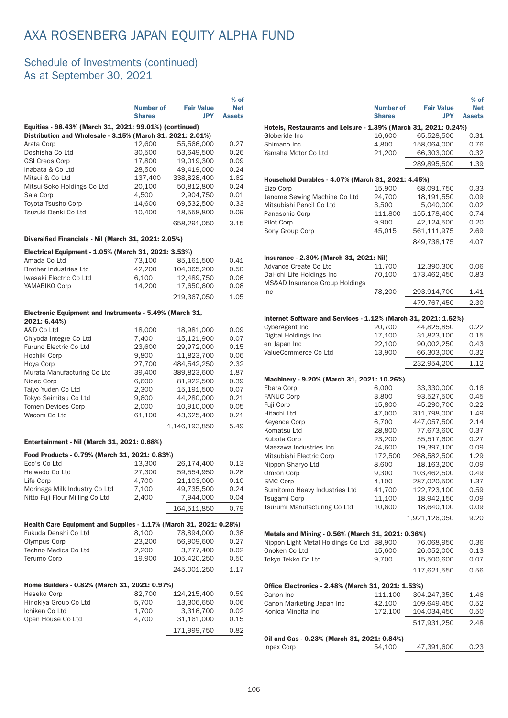# AXA ROSENBERG JAPAN EQUITY ALPHA FUND

### Schedule of Investments (continued) As at September 30, 2021

|                                                            |                  |                   | $%$ of        |
|------------------------------------------------------------|------------------|-------------------|---------------|
|                                                            | <b>Number of</b> | <b>Fair Value</b> | <b>Net</b>    |
|                                                            | <b>Shares</b>    | <b>JPY</b>        | <b>Assets</b> |
| Equities - 98.43% (March 31, 2021: 99.01%) (continued)     |                  |                   |               |
| Distribution and Wholesale - 3.15% (March 31, 2021: 2.01%) |                  |                   |               |
| Arata Corp                                                 | 12.600           | 55,566,000        | 0.27          |
| Doshisha Co Ltd                                            | 30,500           | 53.649.500        | 0.26          |
| <b>GSI Creos Corp</b>                                      | 17,800           | 19.019.300        | 0.09          |
| Inabata & Co Ltd                                           | 28,500           | 49.419.000        | 0.24          |
| Mitsui & Co Ltd                                            | 137.400          | 338,828,400       | 1.62          |
| Mitsui-Soko Holdings Co Ltd                                | 20.100           | 50.812.800        | 0.24          |
| Sala Corp                                                  | 4.500            | 2.904.750         | 0.01          |
| Toyota Tsusho Corp                                         | 14.600           | 69.532.500        | 0.33          |
| Tsuzuki Denki Co Ltd                                       | 10.400           | 18,558,800        | 0.09          |
|                                                            |                  | 658.291.050       | 3.15          |

#### Diversified Financials - Nil (March 31, 2021: 2.05%)

| Electrical Equipment - 1.05% (March 31, 2021: 3.53%) |        |             |      |
|------------------------------------------------------|--------|-------------|------|
| Amada Co Ltd                                         | 73.100 | 85.161.500  | 0.41 |
| <b>Brother Industries Ltd</b>                        | 42,200 | 104.065.200 | 0.50 |
| Iwasaki Electric Co Ltd                              | 6.100  | 12.489.750  | 0.06 |
| YAMABIKO Corp                                        | 14.200 | 17.650.600  | 0.08 |
|                                                      |        | 219.367.050 | 1.05 |

### Electronic Equipment and Instruments - 5.49% (March 31,

| 2021: 6.44%)                |        |               |      |
|-----------------------------|--------|---------------|------|
| A&D Co Ltd                  | 18,000 | 18,981,000    | 0.09 |
| Chiyoda Integre Co Ltd      | 7,400  | 15,121,900    | 0.07 |
| Furuno Electric Co Ltd      | 23,600 | 29.972.000    | 0.15 |
| Hochiki Corp                | 9,800  | 11.823.700    | 0.06 |
| Hoya Corp                   | 27.700 | 484.542.250   | 2.32 |
| Murata Manufacturing Co Ltd | 39,400 | 389.823.600   | 1.87 |
| Nidec Corp                  | 6,600  | 81.922.500    | 0.39 |
| Taiyo Yuden Co Ltd          | 2.300  | 15.191.500    | 0.07 |
| Tokyo Seimitsu Co Ltd       | 9,600  | 44,280,000    | 0.21 |
| <b>Tomen Devices Corp</b>   | 2.000  | 10.910.000    | 0.05 |
| Wacom Co Ltd                | 61,100 | 43,625,400    | 0.21 |
|                             |        | 1.146.193.850 | 5.49 |

#### Entertainment - Nil (March 31, 2021: 0.68%)

| Food Products - 0.79% (March 31, 2021: 0.83%)                      |        |             |      |
|--------------------------------------------------------------------|--------|-------------|------|
| Eco's Co Ltd                                                       | 13,300 | 26,174,400  | 0.13 |
| Heiwado Co Ltd                                                     | 27,300 | 59.554.950  | 0.28 |
| Life Corp                                                          | 4,700  | 21,103,000  | 0.10 |
| Morinaga Milk Industry Co Ltd                                      | 7,100  | 49,735,500  | 0.24 |
| Nitto Fuji Flour Milling Co Ltd                                    | 2,400  | 7.944.000   | 0.04 |
|                                                                    |        | 164,511,850 | 0.79 |
|                                                                    |        |             |      |
| Health Care Equipment and Supplies - 1.17% (March 31, 2021: 0.28%) |        |             |      |
| Fukuda Denshi Co Ltd                                               | 8,100  | 78,894,000  | 0.38 |
| Olympus Corp                                                       | 23,200 | 56,909,600  | 0.27 |
| Techno Medica Co Ltd                                               | 2,200  | 3,777,400   | 0.02 |
| Terumo Corp                                                        | 19,900 | 105,420,250 | 0.50 |
|                                                                    |        | 245.001.250 | 1.17 |
| Home Builders - 0.82% (March 31, 2021: 0.97%)                      |        |             |      |
| Haseko Corp                                                        | 82,700 | 124,215,400 | 0.59 |
| Hinokiya Group Co Ltd                                              | 5,700  | 13,306,650  | 0.06 |
| Ichiken Co Ltd                                                     | 1,700  | 3,316,700   | 0.02 |
| Open House Co Ltd                                                  | 4,700  | 31,161,000  | 0.15 |
|                                                                    |        | 171,999,750 | 0.82 |
|                                                                    |        |             |      |

|                                                                         |                                   |                                 | $%$ of                      |
|-------------------------------------------------------------------------|-----------------------------------|---------------------------------|-----------------------------|
|                                                                         | <b>Number of</b><br><b>Shares</b> | <b>Fair Value</b><br><b>JPY</b> | <b>Net</b><br><b>Assets</b> |
| Hotels, Restaurants and Leisure - 1.39% (March 31, 2021: 0.24%)         |                                   |                                 |                             |
| Globeride Inc                                                           | 16,600                            | 65,528,500                      | 0.31                        |
| Shimano Inc                                                             | 4,800                             | 158,064,000                     | 0.76                        |
| Yamaha Motor Co Ltd                                                     | 21.200                            | 66,303,000                      | 0.32                        |
|                                                                         |                                   | 289,895,500                     | 1.39                        |
| Household Durables - 4.07% (March 31, 2021: 4.45%)                      |                                   |                                 |                             |
| Eizo Corp                                                               | 15,900                            | 68,091,750                      | 0.33                        |
| Janome Sewing Machine Co Ltd                                            | 24,700                            | 18,191,550                      | 0.09                        |
| Mitsubishi Pencil Co Ltd                                                | 3,500                             | 5,040,000                       | 0.02<br>0.74                |
| Panasonic Corp                                                          | 111,800                           | 155,178,400<br>42,124,500       | 0.20                        |
| Pilot Corp<br>Sony Group Corp                                           | 9,900<br>45,015                   | 561,111,975                     | 2.69                        |
|                                                                         |                                   | 849,738,175                     | 4.07                        |
|                                                                         |                                   |                                 |                             |
| Insurance - 2.30% (March 31, 2021: Nil)                                 |                                   |                                 |                             |
| Advance Create Co Ltd                                                   | 11,700                            | 12,390,300                      | 0.06                        |
| Dai-ichi Life Holdings Inc<br><b>MS&amp;AD Insurance Group Holdings</b> | 70,100                            | 173,462,450                     | 0.83                        |
| Inc                                                                     | 78,200                            | 293,914,700                     | 1.41                        |
|                                                                         |                                   | 479,767,450                     | 2.30                        |
| Internet Software and Services - 1.12% (March 31, 2021: 1.52%)          |                                   |                                 |                             |
| CyberAgent Inc                                                          | 20,700                            | 44,825,850                      | 0.22                        |
| Digital Holdings Inc                                                    | 17,100                            | 31,823,100                      | 0.15                        |
| en Japan Inc                                                            | 22,100                            | 90,002,250                      | 0.43                        |
| ValueCommerce Co Ltd                                                    | 13,900                            | 66,303,000                      | 0.32                        |
|                                                                         |                                   | 232,954,200                     | 1.12                        |
| Machinery - 9.20% (March 31, 2021: 10.26%)                              |                                   |                                 |                             |
| Ebara Corp                                                              | 6,000                             | 33,330,000                      | 0.16                        |
| <b>FANUC Corp</b>                                                       | 3,800                             | 93,527,500                      | 0.45                        |
| Fuji Corp                                                               | 15,800                            | 45,290,700                      | 0.22                        |
| Hitachi Ltd                                                             | 47,000                            | 311,798,000                     | 1.49                        |
| <b>Keyence Corp</b><br>Komatsu Ltd                                      | 6,700                             | 447,057,500                     | 2.14<br>0.37                |
| Kubota Corp                                                             | 28,800<br>23,200                  | 77,673,600<br>55,517,600        | 0.27                        |
| Maezawa Industries Inc                                                  | 24,600                            | 19,397,100                      | 0.09                        |
| Mitsubishi Electric Corp                                                | 172,500                           | 268,582,500                     | 1.29                        |
| Nippon Sharyo Ltd                                                       | 8,600                             | 18,163,200                      | 0.09                        |
| Omron Corp                                                              | 9,300                             | 103,462,500                     | 0.49                        |
| <b>SMC Corp</b>                                                         | 4,100                             | 287,020,500                     | 1.37                        |
| Sumitomo Heavy Industries Ltd                                           | 41,700                            | 122,723,100                     | 0.59                        |
| Tsugami Corp                                                            | 11,100                            | 18,942,150                      | 0.09                        |
| Tsurumi Manufacturing Co Ltd                                            | 10,600                            | 18,640,100                      | 0.09                        |
|                                                                         |                                   | 1,921,126,050                   | 9.20                        |
| Metals and Mining - 0.56% (March 31, 2021: 0.36%)                       |                                   |                                 |                             |
| Nippon Light Metal Holdings Co Ltd 38,900                               |                                   | 76,068,950                      | 0.36                        |
| Onoken Co Ltd                                                           | 15,600                            | 26,052,000                      | 0.13                        |
| Tokyo Tekko Co Ltd                                                      | 9,700                             | 15,500,600                      | 0.07                        |
|                                                                         |                                   | 117,621,550                     | 0.56                        |
| Office Electronics - 2.48% (March 31, 2021: 1.53%)                      |                                   |                                 |                             |
| Canon Inc                                                               | 111,100                           | 304,247,350                     | 1.46                        |
| Canon Marketing Japan Inc                                               | 42,100                            | 109,649,450                     | 0.52                        |
| Konica Minolta Inc                                                      | 172,100                           | 104,034,450                     | 0.50                        |
|                                                                         |                                   | 517,931,250                     | 2.48                        |
| Oil and Gas - 0.23% (March 31, 2021: 0.84%)                             |                                   |                                 |                             |
| <b>Inpex Corp</b>                                                       | 54,100                            | 47,391,600                      | 0.23                        |
|                                                                         |                                   |                                 |                             |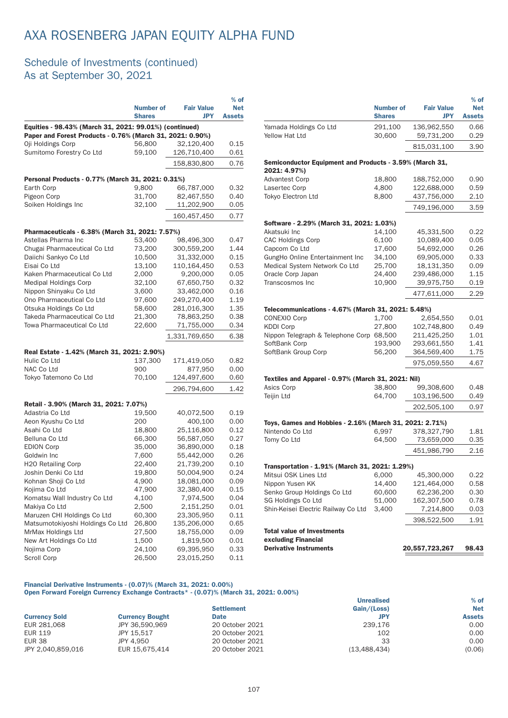### Schedule of Investments (continued) As at September 30, 2021

|                                                           | <b>Number of</b><br><b>Shares</b> | <b>Fair Value</b><br><b>JPY</b> | $%$ of<br><b>Net</b><br><b>Assets</b> |
|-----------------------------------------------------------|-----------------------------------|---------------------------------|---------------------------------------|
| Equities - 98.43% (March 31, 2021: 99.01%) (continued)    |                                   |                                 |                                       |
| Paper and Forest Products - 0.76% (March 31, 2021: 0.90%) |                                   |                                 |                                       |
| Oji Holdings Corp                                         | 56,800                            | 32,120,400                      | 0.15                                  |
| Sumitomo Forestry Co Ltd                                  | 59,100                            | 126,710,400                     | 0.61                                  |
|                                                           |                                   | 158,830,800                     | 0.76                                  |
| Personal Products - 0.77% (March 31, 2021: 0.31%)         |                                   |                                 |                                       |
| Earth Corp                                                | 9,800                             | 66.787.000                      | 0.32                                  |
| Pigeon Corp                                               | 31,700                            | 82,467,550                      | 0.40                                  |
| Soiken Holdings Inc                                       | 32,100                            | 11,202,900                      | 0.05                                  |
|                                                           |                                   | 160,457,450                     | 0.77                                  |
| Pharmaceuticals - 6.38% (March 31, 2021: 7.57%)           |                                   |                                 |                                       |
| Astellas Pharma Inc                                       | 53,400                            | 98,496,300                      | 0.47                                  |
| Chugai Pharmaceutical Co Ltd                              | 73,200                            | 300,559,200                     | 1.44                                  |
| Daiichi Sankyo Co Ltd                                     | 10,500                            | 31,332,000                      | 0.15                                  |
| Eisai Co Ltd                                              | 13,100                            | 110,164,450                     | 0.53                                  |
| Kaken Pharmaceutical Co Ltd                               | 2,000                             | 9,200,000                       | 0.05                                  |
| <b>Medipal Holdings Corp</b>                              | 32,100                            | 67,650,750                      | 0.32                                  |
| Nippon Shinyaku Co Ltd                                    | 3,600                             | 33,462,000                      | 0.16                                  |
| Ono Pharmaceutical Co Ltd                                 | 97,600                            | 249,270,400                     | 1.19                                  |
| Otsuka Holdings Co Ltd                                    | 58,600                            | 281,016,300                     | 1.35                                  |
| Takeda Pharmaceutical Co Ltd                              | 21,300                            | 78,863,250                      | 0.38                                  |
| Towa Pharmaceutical Co Ltd                                | 22,600                            | 71,755,000                      | 0.34                                  |
|                                                           |                                   | 1,331,769,650                   | 6.38                                  |
| Real Estate - 1.42% (March 31, 2021: 2.90%)               |                                   |                                 |                                       |
| Hulic Co Ltd                                              | 137,300                           | 171,419,050                     | 0.82                                  |
| NAC Co Ltd                                                | 900                               | 877,950                         | 0.00                                  |
| Tokyo Tatemono Co Ltd                                     | 70,100                            | 124,497,600                     | 0.60                                  |
|                                                           |                                   | 296,794,600                     | 1.42                                  |
| Retail - 3.90% (March 31, 2021: 7.07%)                    |                                   |                                 |                                       |
| Adastria Co Ltd                                           | 19,500                            | 40,072,500                      | 0.19                                  |
| Aeon Kyushu Co Ltd                                        | 200                               | 400,100                         | 0.00                                  |
| Asahi Co Ltd                                              | 18,800                            | 25,116,800                      | 0.12                                  |
| Belluna Co Ltd                                            | 66,300                            | 56,587,050                      | 0.27                                  |
| <b>EDION Corp</b>                                         | 35,000                            | 36,890,000                      | 0.18                                  |
| Goldwin Inc                                               | 7,600                             | 55,442,000                      | 0.26                                  |
| H2O Retailing Corp                                        | 22,400                            | 21,739,200                      | 0.10                                  |
| Joshin Denki Co Ltd                                       | 19,800                            | 50,004,900                      | 0.24                                  |
| Kohnan Shoji Co Ltd                                       | 4,900                             | 18,081,000                      | 0.09                                  |
| Kojima Co Ltd                                             | 47,900                            | 32,380,400                      | 0.15                                  |
| Komatsu Wall Industry Co Ltd                              | 4,100                             | 7,974,500                       | 0.04                                  |
| Makiya Co Ltd                                             | 2,500                             | 2,151,250                       | 0.01                                  |
| Maruzen CHI Holdings Co Ltd                               | 60,300                            | 23,305,950                      | 0.11                                  |
| Matsumotokiyoshi Holdings Co Ltd                          | 26,800                            | 135,206,000                     | 0.65                                  |
| MrMax Holdings Ltd                                        | 27,500                            | 18,755,000                      | 0.09                                  |
| New Art Holdings Co Ltd                                   | 1,500                             | 1,819,500                       | 0.01                                  |
| Nojima Corp                                               | 24,100                            | 69,395,950                      | 0.33                                  |
| Scroll Corp                                               | 26,500                            | 23,015,250                      | 0.11                                  |

|                                                                         | <b>Shares</b> | JPY                       | Assets |
|-------------------------------------------------------------------------|---------------|---------------------------|--------|
| Yamada Holdings Co Ltd                                                  | 291,100       | 136,962,550               | 0.66   |
| Yellow Hat Ltd                                                          | 30,600        | 59,731,200                | 0.29   |
|                                                                         |               | 815,031,100               | 3.90   |
|                                                                         |               |                           |        |
| Semiconductor Equipment and Products - 3.59% (March 31,<br>2021: 4.97%) |               |                           |        |
| <b>Advantest Corp</b>                                                   | 18,800        | 188,752,000               | 0.90   |
| Lasertec Corp                                                           | 4,800         | 122,688,000               | 0.59   |
| Tokyo Electron Ltd                                                      | 8,800         | 437,756,000               | 2.10   |
|                                                                         |               | 749,196,000               | 3.59   |
|                                                                         |               |                           |        |
| Software - 2.29% (March 31, 2021: 1.03%)                                |               |                           |        |
| Akatsuki Inc                                                            | 14,100        | 45,331,500                | 0.22   |
| <b>CAC Holdings Corp</b>                                                | 6,100         | 10,089,400                | 0.05   |
| Capcom Co Ltd                                                           | 17,600        | 54,692,000                | 0.26   |
| GungHo Online Entertainment Inc                                         | 34,100        | 69,905,000                | 0.33   |
| Medical System Network Co Ltd                                           | 25,700        | 18,131,350                | 0.09   |
| Oracle Corp Japan<br>Transcosmos Inc                                    | 24,400        | 239,486,000               | 1.15   |
|                                                                         | 10,900        | 39,975,750                | 0.19   |
|                                                                         |               | 477,611,000               | 2.29   |
| Telecommunications - 4.67% (March 31, 2021: 5.48%)                      |               |                           |        |
| CONEXIO Corp                                                            | 1,700         | 2,654,550                 | 0.01   |
| <b>KDDI Corp</b>                                                        | 27,800        | 102,748,800               | 0.49   |
| Nippon Telegraph & Telephone Corp 68,500                                |               | 211,425,250               | 1.01   |
| SoftBank Corp                                                           | 193,900       | 293,661,550               | 1.41   |
| SoftBank Group Corp                                                     | 56,200        | 364,569,400               | 1.75   |
|                                                                         |               | 975,059,550               | 4.67   |
|                                                                         |               |                           |        |
| Textiles and Apparel - 0.97% (March 31, 2021: Nil)<br>Asics Corp        | 38,800        | 99,308,600                | 0.48   |
| Teijin Ltd                                                              | 64,700        | 103,196,500               | 0.49   |
|                                                                         |               |                           | 0.97   |
|                                                                         |               | 202,505,100               |        |
| Toys, Games and Hobbies - 2.16% (March 31, 2021: 2.71%)                 |               |                           |        |
| Nintendo Co Ltd                                                         | 6,997         | 378,327,790               | 1.81   |
| Tomy Co Ltd                                                             | 64,500        | 73,659,000                | 0.35   |
|                                                                         |               | 451,986,790               | 2.16   |
|                                                                         |               |                           |        |
| Transportation - 1.91% (March 31, 2021: 1.29%)<br>Mitsui OSK Lines Ltd  | 6.000         |                           | 0.22   |
| Nippon Yusen KK                                                         | 14,400        | 45,300,000<br>121,464,000 | 0.58   |
| Senko Group Holdings Co Ltd                                             | 60,600        | 62,236,200                | 0.30   |
| SG Holdings Co Ltd                                                      | 51,000        | 162,307,500               | 0.78   |
| Shin-Keisei Electric Railway Co Ltd                                     | 3,400         | 7,214,800                 | 0.03   |
|                                                                         |               |                           |        |
|                                                                         |               | 398,522,500               | 1.91   |
| <b>Total value of Investments</b><br>excluding Financial                |               |                           |        |
| <b>Derivative Instruments</b>                                           |               | 20,557,723,267            | 98.43  |
|                                                                         |               |                           |        |

Number of

Fair Value

% of Net

#### Financial Derivative Instruments - (0.07)% (March 31, 2021: 0.00%) Open Forward Foreign Currency Exchange Contracts\* - (0.07)% (March 31, 2021: 0.00%)

|                      |                        |                   | <b>Unrealised</b> | $%$ of     |
|----------------------|------------------------|-------------------|-------------------|------------|
|                      |                        | <b>Settlement</b> | Gain/(Loss)       | <b>Net</b> |
| <b>Currency Sold</b> | <b>Currency Bought</b> | <b>Date</b>       | <b>JPY</b>        | Assets     |
| EUR 281,068          | JPY 36.590.969         | 20 October 2021   | 239.176           | 0.00       |
| EUR 119              | JPY 15.517             | 20 October 2021   | 102               | 0.00       |
| <b>EUR 38</b>        | JPY 4.950              | 20 October 2021   | 33                | 0.00       |
| JPY 2.040.859.016    | EUR 15.675.414         | 20 October 2021   | (13, 488, 434)    | (0.06)     |
|                      |                        |                   |                   |            |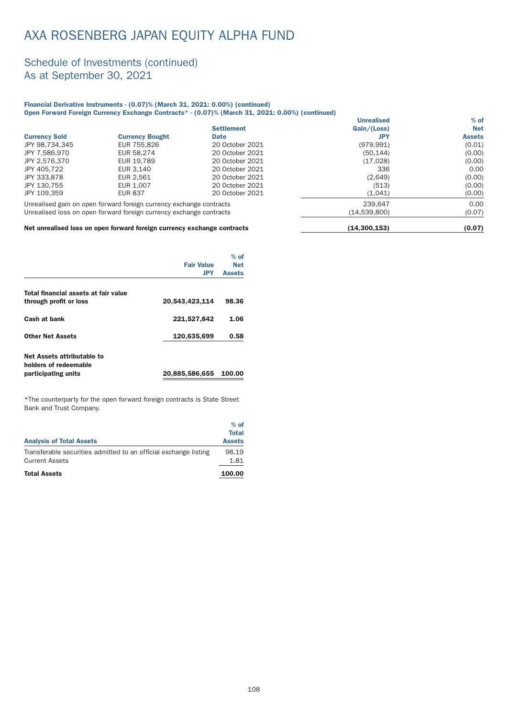#### Schedule of Investments (continued) As at September 30, 2021

#### Financial Derivative Instruments - (0.07)% (March 31, 2021: 0.00%) (continued) Open Forward Foreign Currency Exchange Contracts\* - (0.07)% (March 31, 2021: 0.00%) (continued)

|                      |                                                                     |                   | <b>Unrealised</b> | $%$ of        |
|----------------------|---------------------------------------------------------------------|-------------------|-------------------|---------------|
|                      |                                                                     | <b>Settlement</b> | Gain/(Loss)       | <b>Net</b>    |
| <b>Currency Sold</b> | <b>Currency Bought</b>                                              | <b>Date</b>       | JPY               | <b>Assets</b> |
| JPY 98,734,345       | EUR 755,826                                                         | 20 October 2021   | (979, 991)        | (0.01)        |
| JPY 7.586.970        | EUR 58.274                                                          | 20 October 2021   | (50, 144)         | (0.00)        |
| JPY 2.576.370        | EUR 19.789                                                          | 20 October 2021   | (17,028)          | (0.00)        |
| JPY 405.722          | EUR 3.140                                                           | 20 October 2021   | 336               | 0.00          |
| JPY 333.878          | EUR 2.561                                                           | 20 October 2021   | (2,649)           | (0.00)        |
| JPY 130.755          | EUR 1,007                                                           | 20 October 2021   | (513)             | (0.00)        |
| JPY 109.359          | <b>EUR 837</b>                                                      | 20 October 2021   | (1,041)           | (0.00)        |
|                      | Unrealised gain on open forward foreign currency exchange contracts |                   | 239.647           | 0.00          |
|                      | Unrealised loss on open forward foreign currency exchange contracts |                   | (14,539,800)      | (0.07)        |
| $ -$                 |                                                                     |                   | $\cdots$          |               |

#### Net unrealised loss on open forward foreign currency exchange contracts (14,300,153) (0.07)

|                                                     |                   | $%$ of        |
|-----------------------------------------------------|-------------------|---------------|
|                                                     | <b>Fair Value</b> | <b>Net</b>    |
|                                                     | <b>JPY</b>        | <b>Assets</b> |
| Total financial assets at fair value                |                   |               |
| through profit or loss                              | 20,543,423,114    | 98.36         |
| Cash at bank                                        | 221,527,842       | 1.06          |
| <b>Other Net Assets</b>                             | 120,635,699       | 0.58          |
| Net Assets attributable to<br>holders of redeemable |                   |               |
| participating units                                 | 20,885,586,655    | 100.00        |

\*The counterpar ty for the open forward foreign contracts is State Street Bank and Trust Company.

| <b>Analysis of Total Assets</b>                                  | $%$ of<br><b>Total</b><br><b>Assets</b> |
|------------------------------------------------------------------|-----------------------------------------|
| Transferable securities admitted to an official exchange listing | 98.19                                   |
| <b>Current Assets</b>                                            | 1.81                                    |
| <b>Total Assets</b>                                              | 100.00                                  |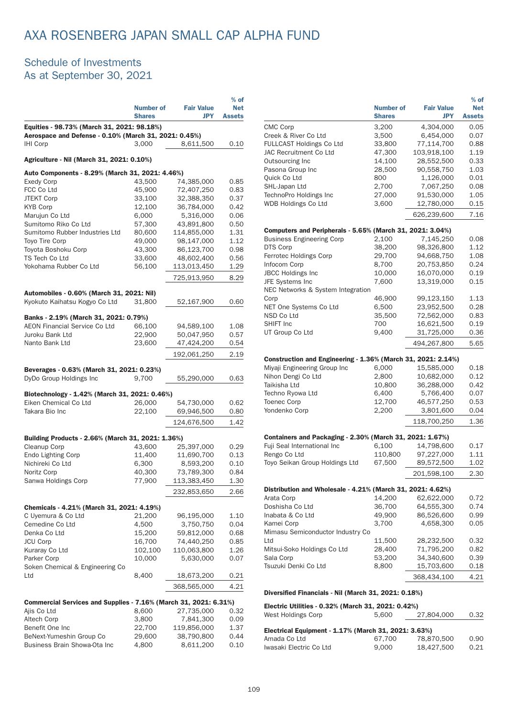### Schedule of Investments As at September 30, 2021

|                                                                                                     |                  |                         | $%$ of        |
|-----------------------------------------------------------------------------------------------------|------------------|-------------------------|---------------|
|                                                                                                     | <b>Number of</b> | <b>Fair Value</b>       | <b>Net</b>    |
|                                                                                                     | <b>Shares</b>    | <b>JPY</b>              | <b>Assets</b> |
| Equities - 98.73% (March 31, 2021: 98.18%)<br>Aerospace and Defense - 0.10% (March 31, 2021: 0.45%) |                  |                         |               |
| <b>IHI Corp</b>                                                                                     | 3,000            | 8,611,500               | 0.10          |
| Agriculture - Nil (March 31, 2021: 0.10%)                                                           |                  |                         |               |
| Auto Components - 8.29% (March 31, 2021: 4.46%)                                                     |                  |                         |               |
| <b>Exedy Corp</b>                                                                                   | 43,500           | 74,385,000              | 0.85          |
| FCC Co Ltd                                                                                          | 45,900           | 72,407,250              | 0.83          |
| <b>JTEKT Corp</b>                                                                                   | 33,100           | 32,388,350              | 0.37          |
| <b>KYB Corp</b>                                                                                     | 12,100           | 36,784,000              | 0.42          |
| Marujun Co Ltd                                                                                      | 6,000            | 5,316,000               | 0.06          |
| Sumitomo Riko Co Ltd                                                                                | 57,300           | 43,891,800              | 0.50          |
| Sumitomo Rubber Industries Ltd                                                                      | 80,600           | 114,855,000             | 1.31          |
| Toyo Tire Corp                                                                                      | 49,000           | 98,147,000              | 1.12          |
| Toyota Boshoku Corp                                                                                 | 43,300           | 86,123,700              | 0.98          |
| TS Tech Co Ltd                                                                                      | 33,600           | 48,602,400              | 0.56          |
| Yokohama Rubber Co Ltd                                                                              | 56,100           | 113,013,450             | 1.29          |
|                                                                                                     |                  | 725,913,950             | 8.29          |
| Automobiles - 0.60% (March 31, 2021: Nil)                                                           |                  |                         |               |
| Kyokuto Kaihatsu Kogyo Co Ltd                                                                       | 31,800           | 52,167,900              | 0.60          |
| Banks - 2.19% (March 31, 2021: 0.79%)                                                               |                  |                         |               |
| AEON Financial Service Co Ltd                                                                       | 66,100           | 94,589,100              | 1.08          |
| Juroku Bank Ltd                                                                                     | 22,900           | 50,047,950              | 0.57          |
| Nanto Bank Ltd                                                                                      | 23,600           | 47,424,200              | 0.54          |
|                                                                                                     |                  | 192,061,250             | 2.19          |
|                                                                                                     |                  |                         |               |
| Beverages - 0.63% (March 31, 2021: 0.23%)<br>DyDo Group Holdings Inc                                | 9,700            | 55,290,000              | 0.63          |
|                                                                                                     |                  |                         |               |
| Biotechnology - 1.42% (March 31, 2021: 0.46%)                                                       |                  |                         |               |
| Eiken Chemical Co Ltd                                                                               | 26,000           | 54,730,000              | 0.62          |
| Takara Bio Inc                                                                                      | 22,100           | 69,946,500              | 0.80          |
|                                                                                                     |                  | 124,676,500             | 1.42          |
| Building Products - 2.66% (March 31, 2021: 1.36%)                                                   |                  |                         |               |
| Cleanup Corp                                                                                        | 43,600           | 25,397,000              | 0.29          |
| <b>Endo Lighting Corp</b>                                                                           | 11,400           | 11,690,700              | 0.13          |
| Nichireki Co Ltd                                                                                    | 6,300            | 8,593,200               | 0.10          |
| Noritz Corp                                                                                         | 40,300           | 73,789,300              | 0.84          |
| Sanwa Holdings Corp                                                                                 | 77,900           | 113,383,450             | 1.30          |
|                                                                                                     |                  | 232,853,650             | 2.66          |
|                                                                                                     |                  |                         |               |
| Chemicals - 4.21% (March 31, 2021: 4.19%)                                                           |                  |                         |               |
| C Uyemura & Co Ltd                                                                                  | 21,200           | 96,195,000              | 1.10          |
| Cemedine Co Ltd<br>Denka Co Ltd                                                                     | 4,500            | 3,750,750<br>59,812,000 | 0.04          |
| <b>JCU Corp</b>                                                                                     | 15,200<br>16,700 | 74,440,250              | 0.68<br>0.85  |
| Kuraray Co Ltd                                                                                      | 102,100          | 110,063,800             | 1.26          |
| Parker Corp                                                                                         | 10,000           | 5,630,000               | 0.07          |
| Soken Chemical & Engineering Co                                                                     |                  |                         |               |
| Ltd                                                                                                 | 8,400            | 18,673,200              | 0.21          |
|                                                                                                     |                  | 368,565,000             | 4.21          |
|                                                                                                     |                  |                         |               |
| Commercial Services and Supplies - 7.16% (March 31, 2021: 6.31%)                                    |                  |                         |               |
| Ajis Co Ltd<br>Altech Corp                                                                          | 8,600<br>3,800   | 27,735,000<br>7,841,300 | 0.32<br>0.09  |
| Benefit One Inc                                                                                     | 22,700           | 119,856,000             | 1.37          |
| BeNext-Yumeshin Group Co                                                                            | 29,600           | 38,790,800              | 0.44          |
| Business Brain Showa-Ota Inc                                                                        | 4,800            | 8,611,200               | 0.10          |
|                                                                                                     |                  |                         |               |

|                                                              | <b>Number of</b><br><b>Shares</b> | <b>Fair Value</b><br><b>JPY</b> | $%$ of<br><b>Net</b><br><b>Assets</b> |
|--------------------------------------------------------------|-----------------------------------|---------------------------------|---------------------------------------|
| CMC Corp                                                     | 3,200                             | 4,304,000                       | 0.05                                  |
| Creek & River Co Ltd                                         | 3,500                             | 6,454,000                       | 0.07                                  |
| <b>FULLCAST Holdings Co Ltd</b>                              | 33,800                            | 77,114,700                      | 0.88                                  |
| JAC Recruitment Co Ltd                                       | 47,300                            | 103,918,100                     | 1.19                                  |
| Outsourcing Inc                                              | 14,100                            | 28,552,500                      | 0.33                                  |
| Pasona Group Inc                                             | 28,500                            | 90,558,750                      | 1.03                                  |
| Quick Co Ltd                                                 | 800                               | 1,126,000                       | 0.01                                  |
| SHL-Japan Ltd                                                | 2,700                             | 7,067,250                       | 0.08                                  |
| TechnoPro Holdings Inc                                       | 27,000                            | 91,530,000                      | 1.05                                  |
| <b>WDB Holdings Co Ltd</b>                                   | 3,600                             | 12,780,000                      | 0.15                                  |
|                                                              |                                   | 626,239,600                     | 7.16                                  |
| Computers and Peripherals - 5.65% (March 31, 2021: 3.04%)    |                                   |                                 |                                       |
| <b>Business Engineering Corp</b>                             | 2,100                             | 7,145,250                       | 0.08                                  |
| DTS Corp                                                     | 38,200                            | 98,326,800                      | 1.12                                  |
| Ferrotec Holdings Corp                                       | 29,700                            | 94,668,750                      | 1.08                                  |
| Infocom Corp                                                 | 8,700                             | 20,753,850                      | 0.24                                  |
| <b>JBCC Holdings Inc</b>                                     | 10,000                            | 16,070,000                      | 0.19                                  |
| JFE Systems Inc                                              | 7.600                             | 13,319,000                      | 0.15                                  |
| NEC Networks & System Integration                            |                                   |                                 |                                       |
| Corp                                                         | 46,900                            | 99,123,150                      | 1.13                                  |
| NET One Systems Co Ltd                                       | 6,500                             | 23,952,500                      | 0.28                                  |
| NSD Co Ltd                                                   | 35,500                            | 72,562,000                      | 0.83                                  |
| SHIFT Inc                                                    | 700                               | 16,621,500                      | 0.19                                  |
| UT Group Co Ltd                                              | 9,400                             | 31,725,000                      | 0.36                                  |
|                                                              |                                   | 494,267,800                     | 5.65                                  |
| Construction and Engineering - 1.36% (March 31, 2021: 2.14%) |                                   |                                 |                                       |
| Miyaji Engineering Group Inc                                 | 6,000                             | 15,585,000                      | 0.18                                  |
| Nihon Dengi Co Ltd                                           | 2,800                             | 10,682,000                      | 0.12                                  |
| Taikisha Ltd                                                 | 10,800                            | 36,288,000                      | 0.42                                  |
| Techno Ryowa Ltd                                             | 6,400                             | 5,766,400                       | 0.07                                  |
| <b>Toenec Corp</b>                                           | 12,700                            | 46,577,250                      | 0.53                                  |
| Yondenko Corp                                                | 2,200                             | 3,801,600                       | 0.04                                  |
|                                                              |                                   | 118,700,250                     | 1.36                                  |
| Containers and Packaging - 2.30% (March 31, 2021: 1.67%)     |                                   |                                 |                                       |
| Fuji Seal International Inc                                  | 6.100                             | 14,798,600                      | 0.17                                  |
| Rengo Co Ltd                                                 | 110,800                           | 97,227,000                      | 1.11                                  |
| Toyo Seikan Group Holdings Ltd                               | 67,500                            | 89,572,500                      | 1.02                                  |
|                                                              |                                   | 201,598,100                     | 2.30                                  |
| Distribution and Wholesale - 4.21% (March 31, 2021: 4.62%)   |                                   |                                 |                                       |
| Arata Corp                                                   | 14,200                            | 62,622,000                      | 0.72                                  |
| Doshisha Co Ltd                                              | 36,700                            | 64,555,300                      | 0.74                                  |
| Inabata & Co Ltd                                             | 49,900                            | 86,526,600                      | 0.99                                  |
| Kamei Corp                                                   | 3,700                             | 4,658,300                       | 0.05                                  |
| Mimasu Semiconductor Industry Co                             |                                   |                                 |                                       |
| Ltd                                                          | 11,500                            | 28,232,500                      | 0.32                                  |
| Mitsui-Soko Holdings Co Ltd                                  | 28,400                            | 71,795,200                      | 0.82                                  |
| Sala Corp                                                    | 53,200                            | 34,340,600                      | 0.39                                  |
| Tsuzuki Denki Co Ltd                                         | 8,800                             | 15,703,600                      | 0.18                                  |
|                                                              |                                   | 368,434,100                     | 4.21                                  |
|                                                              |                                   |                                 |                                       |

#### Diversified Financials - Nil (March 31, 2021: 0.18%)

| Electric Utilities - 0.32% (March 31, 2021: 0.42%)   |        |            |      |
|------------------------------------------------------|--------|------------|------|
| West Holdings Corp                                   | 5.600  | 27,804,000 | 0.32 |
| Electrical Equipment - 1.17% (March 31, 2021: 3.63%) |        |            |      |
| Amada Co Ltd                                         | 67.700 | 78,870,500 | 0.90 |
| Iwasaki Electric Co Ltd                              | 9.000  | 18.427.500 | 0.21 |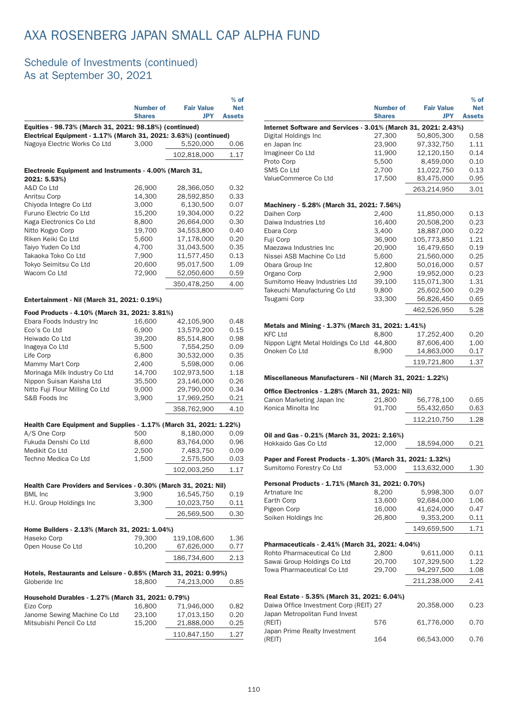### Schedule of Investments (continued) As at September 30, 2021

|                                                                                                  | Number of<br><b>Shares</b> | <b>Fair Value</b><br><b>JPY</b> | $%$ of<br><b>Net</b><br><b>Assets</b> |
|--------------------------------------------------------------------------------------------------|----------------------------|---------------------------------|---------------------------------------|
| Equities - 98.73% (March 31, 2021: 98.18%) (continued)                                           |                            |                                 |                                       |
| Electrical Equipment - 1.17% (March 31, 2021: 3.63%) (continued)<br>Nagoya Electric Works Co Ltd | 3,000                      | 5,520,000                       |                                       |
|                                                                                                  |                            |                                 | 0.06                                  |
|                                                                                                  |                            | 102,818,000                     | 1.17                                  |
| Electronic Equipment and Instruments - 4.00% (March 31,<br>2021: 5.53%)                          |                            |                                 |                                       |
| A&D Co Ltd                                                                                       | 26,900                     | 28.366.050                      | 0.32                                  |
| Anritsu Corp                                                                                     | 14,300                     | 28,592,850                      | 0.33                                  |
| Chiyoda Integre Co Ltd                                                                           | 3,000                      | 6,130,500                       | 0.07                                  |
| Furuno Electric Co Ltd                                                                           | 15,200                     | 19,304,000                      | 0.22                                  |
| Kaga Electronics Co Ltd                                                                          | 8,800                      | 26,664,000                      | 0.30                                  |
| Nitto Kogyo Corp                                                                                 | 19,700                     | 34,553,800                      | 0.40                                  |
| Riken Keiki Co Ltd                                                                               | 5,600                      | 17,178,000                      | 0.20                                  |
| Taiyo Yuden Co Ltd                                                                               | 4,700                      | 31,043,500                      | 0.35                                  |
| Takaoka Toko Co Ltd                                                                              | 7,900                      | 11,577,450                      | 0.13                                  |
| Tokyo Seimitsu Co Ltd                                                                            | 20,600                     | 95,017,500                      | 1.09                                  |
| Wacom Co Ltd                                                                                     | 72,900                     | 52,050,600                      | 0.59                                  |
|                                                                                                  |                            | 350,478,250                     | 4.00                                  |
| Entertainment - Nil (March 31, 2021: 0.19%)                                                      |                            |                                 |                                       |
| Food Products - 4.10% (March 31, 2021: 3.81%)                                                    |                            |                                 |                                       |
| Ebara Foods Industry Inc                                                                         | 16,600                     | 42,105,900                      | 0.48                                  |
| Eco's Co Ltd                                                                                     | 6,900                      | 13,579,200                      | 0.15                                  |
| Heiwado Co Ltd                                                                                   | 39,200                     | 85,514,800                      | 0.98                                  |
| Inageya Co Ltd                                                                                   | 5,500                      | 7,554,250                       | 0.09                                  |
| Life Corp                                                                                        | 6,800                      | 30,532,000                      | 0.35                                  |
| Mammy Mart Corp                                                                                  | 2,400                      | 5,598,000                       | 0.06                                  |
| Morinaga Milk Industry Co Ltd                                                                    | 14,700                     | 102,973,500                     | 1.18                                  |
| Nippon Suisan Kaisha Ltd                                                                         | 35,500                     | 23,146,000                      | 0.26                                  |
| Nitto Fuji Flour Milling Co Ltd<br>S&B Foods Inc                                                 | 9,000<br>3,900             | 29,790,000<br>17,969,250        | 0.34<br>0.21                          |
|                                                                                                  |                            |                                 | 4.10                                  |
|                                                                                                  |                            | 358,762,900                     |                                       |
| Health Care Equipment and Supplies - 1.17% (March 31, 2021: 1.22%)<br>A/S One Corp               | 500                        | 8.180.000                       | 0.09                                  |
| Fukuda Denshi Co Ltd                                                                             | 8,600                      | 83,764,000                      | 0.96                                  |
| Medikit Co Ltd                                                                                   | 2,500                      | 7,483,750                       | 0.09                                  |
| Techno Medica Co Ltd                                                                             | 1,500                      | 2,575,500                       | 0.03                                  |
|                                                                                                  |                            | 102,003,250                     | 1.17                                  |
|                                                                                                  |                            |                                 |                                       |
| Health Care Providers and Services - 0.30% (March 31, 2021: Nil)<br><b>BML</b> Inc               | 3,900                      | 16,545,750                      | 0.19                                  |
| H.U. Group Holdings Inc                                                                          | 3,300                      | 10,023,750                      | 0.11                                  |
|                                                                                                  |                            | 26,569,500                      | 0.30                                  |
|                                                                                                  |                            |                                 |                                       |
| Home Builders - 2.13% (March 31, 2021: 1.04%)                                                    |                            |                                 |                                       |
| Haseko Corp                                                                                      | 79,300                     | 119,108,600                     | 1.36                                  |
| Open House Co Ltd                                                                                | 10,200                     | 67,626,000                      | 0.77                                  |
|                                                                                                  |                            | 186,734,600                     | 2.13                                  |
| Hotels, Restaurants and Leisure - 0.85% (March 31, 2021: 0.99%)<br>Globeride Inc                 | 18,800                     | 74,213,000                      | 0.85                                  |
| Household Durables - 1.27% (March 31, 2021: 0.79%)                                               |                            |                                 |                                       |
| Eizo Corp                                                                                        | 16,800                     | 71,946,000                      | 0.82                                  |
| Janome Sewing Machine Co Ltd                                                                     | 23,100                     | 17,013,150                      | 0.20                                  |
| Mitsubishi Pencil Co Ltd                                                                         | 15,200                     | 21,888,000                      | 0.25                                  |
|                                                                                                  |                            | 110,847,150                     | 1.27                                  |

|                                                                                       |                  |                   | $%$ of        |
|---------------------------------------------------------------------------------------|------------------|-------------------|---------------|
|                                                                                       | <b>Number of</b> | <b>Fair Value</b> | <b>Net</b>    |
|                                                                                       | <b>Shares</b>    | <b>JPY</b>        | <b>Assets</b> |
| Internet Software and Services - 3.01% (March 31, 2021: 2.43%)                        |                  |                   |               |
| Digital Holdings Inc                                                                  | 27,300           | 50,805,300        | 0.58          |
| en Japan Inc                                                                          | 23,900           | 97,332,750        | 1.11          |
| Imagineer Co Ltd                                                                      | 11,900           | 12,120,150        | 0.14          |
| Proto Corp                                                                            | 5,500            | 8,459,000         | 0.10          |
| SMS Co Ltd                                                                            | 2,700            | 11,022,750        | 0.13          |
| ValueCommerce Co Ltd                                                                  | 17,500           | 83,475,000        | 0.95          |
|                                                                                       |                  | 263.214.950       | 3.01          |
|                                                                                       |                  |                   |               |
| Machinery - 5.28% (March 31, 2021: 7.56%)                                             |                  |                   |               |
| Daihen Corp                                                                           | 2,400            | 11,850,000        | 0.13          |
| Daiwa Industries Ltd                                                                  | 16,400           | 20,508,200        | 0.23          |
| Ebara Corp                                                                            | 3,400            | 18,887,000        | 0.22          |
| Fuji Corp                                                                             | 36,900           | 105,773,850       | 1.21          |
| Maezawa Industries Inc                                                                | 20,900           | 16,479,650        | 0.19          |
| Nissei ASB Machine Co Ltd                                                             | 5,600            | 21,560,000        | 0.25          |
| Obara Group Inc                                                                       | 12,800           | 50,016,000        | 0.57          |
| Organo Corp                                                                           | 2,900            | 19,952,000        | 0.23          |
| Sumitomo Heavy Industries Ltd                                                         | 39,100           | 115,071,300       | 1.31          |
| Takeuchi Manufacturing Co Ltd                                                         | 9,800            | 25,602,500        | 0.29          |
| Tsugami Corp                                                                          | 33,300           | 56,826,450        | 0.65          |
|                                                                                       |                  | 462,526,950       | 5.28          |
|                                                                                       |                  |                   |               |
| Metals and Mining - 1.37% (March 31, 2021: 1.41%)                                     |                  |                   |               |
| <b>KFC Ltd</b>                                                                        | 8,800            | 17,252,400        | 0.20          |
| Nippon Light Metal Holdings Co Ltd 44,800                                             |                  | 87,606,400        | 1.00          |
| Onoken Co Ltd                                                                         | 8,900            | 14,863,000        | 0.17          |
|                                                                                       |                  |                   | 1.37          |
|                                                                                       |                  | 119,721,800       |               |
| Miscellaneous Manufacturers - Nil (March 31, 2021: 1.22%)                             |                  |                   |               |
|                                                                                       |                  |                   |               |
| Office Electronics - 1.28% (March 31, 2021: Nil)                                      |                  |                   |               |
| Canon Marketing Japan Inc                                                             | 21,800           | 56,778,100        | 0.65          |
| Konica Minolta Inc                                                                    | 91,700           | 55,432,650        | 0.63          |
|                                                                                       |                  | 112,210,750       | 1.28          |
|                                                                                       |                  |                   |               |
| Oil and Gas - 0.21% (March 31, 2021: 2.16%)                                           |                  |                   |               |
| Hokkaido Gas Co Ltd                                                                   | 12,000           | 18,594,000        | 0.21          |
|                                                                                       |                  |                   |               |
| Paper and Forest Products - 1.30% (March 31, 2021: 1.32%)<br>Sumitomo Forestry Co Ltd | 53,000           | 113,632,000       | 1.30          |
|                                                                                       |                  |                   |               |
| Personal Products - 1.71% (March 31, 2021: 0.70%)                                     |                  |                   |               |
| Artnature Inc                                                                         | 8,200            | 5,998,300         | 0.07          |
| Earth Corp                                                                            | 13,600           | 92,684,000        | 1.06          |
| Pigeon Corp                                                                           | 16,000           | 41,624,000        | 0.47          |
| Soiken Holdings Inc                                                                   | 26,800           | 9,353,200         | 0.11          |
|                                                                                       |                  |                   |               |
|                                                                                       |                  | 149,659,500       | 1.71          |
| Pharmaceuticals - 2.41% (March 31, 2021: 4.04%)                                       |                  |                   |               |
| Rohto Pharmaceutical Co Ltd                                                           | 2,800            | 9,611,000         | 0.11          |
|                                                                                       |                  |                   |               |
| Sawai Group Holdings Co Ltd                                                           | 20,700           | 107,329,500       | 1.22          |
| Towa Pharmaceutical Co Ltd                                                            | 29,700           | 94,297,500        | 1.08          |
|                                                                                       |                  | 211,238,000       | 2.41          |
|                                                                                       |                  |                   |               |
| Real Estate - 5.35% (March 31, 2021: 6.04%)                                           |                  |                   |               |
| Daiwa Office Investment Corp (REIT) 27                                                |                  | 20,358,000        | 0.23          |
| Japan Metropolitan Fund Invest                                                        |                  |                   |               |
| (REIT)                                                                                | 576              | 61,776,000        | 0.70          |
| Japan Prime Realty Investment                                                         |                  |                   |               |
| (REIT)                                                                                | 164              | 66,543,000        | 0.76          |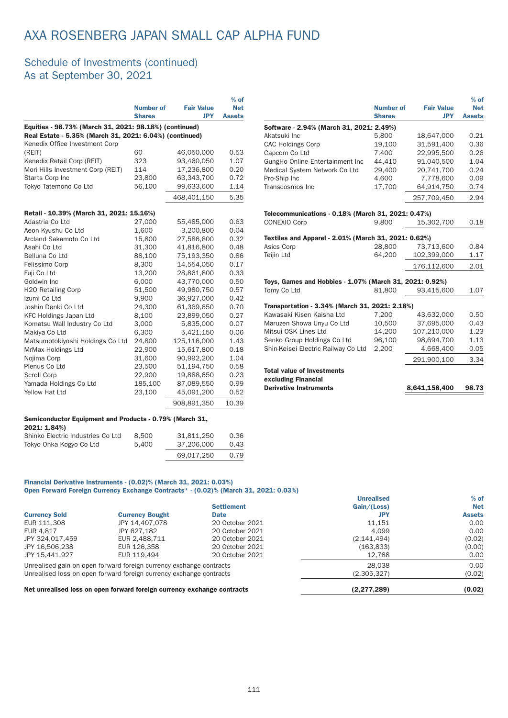#### Schedule of Investments (continued) As at September 30, 2021

|                                                                                                                   | <b>Number of</b><br><b>Shares</b> | <b>Fair Value</b><br><b>JPY</b> | $%$ of<br><b>Net</b><br><b>Assets</b> |
|-------------------------------------------------------------------------------------------------------------------|-----------------------------------|---------------------------------|---------------------------------------|
| Equities - 98.73% (March 31, 2021: 98.18%) (continued)<br>Real Estate - 5.35% (March 31, 2021: 6.04%) (continued) |                                   |                                 |                                       |
| Kenedix Office Investment Corp                                                                                    |                                   |                                 |                                       |
| (REIT)                                                                                                            | 60                                | 46,050,000                      | 0.53                                  |
| Kenedix Retail Corp (REIT)                                                                                        | 323                               | 93,460,050                      | 1.07                                  |
| Mori Hills Investment Corp (REIT)                                                                                 | 114                               | 17,236,800                      | 0.20                                  |
| <b>Starts Corp Inc</b>                                                                                            | 23,800                            | 63,343,700                      | 0.72                                  |
| Tokyo Tatemono Co Ltd                                                                                             | 56,100                            | 99,633,600                      | 1.14                                  |
|                                                                                                                   |                                   | 468,401,150                     | 5.35                                  |
| Retail - 10.39% (March 31, 2021: 15.16%)                                                                          |                                   |                                 |                                       |
| Adastria Co Ltd                                                                                                   | 27,000                            | 55,485,000                      | 0.63                                  |
| Aeon Kyushu Co Ltd                                                                                                | 1,600                             | 3,200,800                       | 0.04                                  |
| Arcland Sakamoto Co Ltd                                                                                           | 15.800                            | 27.586.800                      | 0.32                                  |
| Asahi Co Ltd                                                                                                      | 31,300                            | 41,816,800                      | 0.48                                  |
| Belluna Co Ltd                                                                                                    | 88,100                            | 75,193,350                      | 0.86                                  |
| Felissimo Corp                                                                                                    | 8,300                             | 14,554,050                      | 0.17                                  |
| Fuji Co Ltd                                                                                                       | 13,200                            | 28.861.800                      | 0.33                                  |
| Goldwin Inc                                                                                                       | 6,000                             | 43,770,000                      | 0.50                                  |
| <b>H2O Retailing Corp</b>                                                                                         | 51,500                            | 49,980,750                      | 0.57                                  |
| Izumi Co Ltd                                                                                                      | 9,900                             | 36,927,000                      | 0.42                                  |
| Joshin Denki Co Ltd                                                                                               | 24,300                            | 61,369,650                      | 0.70                                  |
| <b>KFC Holdings Japan Ltd</b>                                                                                     | 8,100                             | 23,899,050                      | 0.27                                  |
| Komatsu Wall Industry Co Ltd                                                                                      | 3.000                             | 5,835,000                       | 0.07                                  |
| Makiya Co Ltd                                                                                                     | 6,300                             | 5,421,150                       | 0.06                                  |
| Matsumotokiyoshi Holdings Co Ltd                                                                                  | 24,800                            | 125,116,000                     | 1.43                                  |
| MrMax Holdings Ltd                                                                                                | 22,900                            | 15,617,800                      | 0.18                                  |
| Nojima Corp                                                                                                       | 31,600                            | 90,992,200                      | 1.04                                  |
| Plenus Co Ltd                                                                                                     | 23,500                            | 51,194,750                      | 0.58                                  |
| Scroll Corp                                                                                                       | 22,900                            | 19,888,650                      | 0.23                                  |
| Yamada Holdings Co Ltd                                                                                            | 185,100                           | 87,089,550                      | 0.99                                  |
| Yellow Hat Ltd                                                                                                    | 23,100                            | 45,091,200                      | 0.52                                  |
|                                                                                                                   |                                   | 908,891,350                     | 10.39                                 |

|                                                         | <b>Number of</b><br><b>Shares</b> | <b>Fair Value</b><br><b>JPY</b> | <b>Net</b><br><b>Assets</b> |
|---------------------------------------------------------|-----------------------------------|---------------------------------|-----------------------------|
| Software - 2.94% (March 31, 2021: 2.49%)                |                                   |                                 |                             |
| Akatsuki Inc                                            | 5,800                             | 18,647,000                      | 0.21                        |
| <b>CAC Holdings Corp</b>                                | 19,100                            | 31,591,400                      | 0.36                        |
| Capcom Co Ltd                                           | 7,400                             | 22,995,500                      | 0.26                        |
| GungHo Online Entertainment Inc                         | 44,410                            | 91,040,500                      | 1.04                        |
| Medical System Network Co Ltd                           | 29,400                            | 20,741,700                      | 0.24                        |
| Pro-Ship Inc                                            | 4.600                             | 7.778.600                       | 0.09                        |
| Transcosmos Inc                                         | 17,700                            | 64,914,750                      | 0.74                        |
|                                                         |                                   | 257,709,450                     | 2.94                        |
| Telecommunications - 0.18% (March 31, 2021: 0.47%)      |                                   |                                 |                             |
| <b>CONEXIO Corp</b>                                     | 9,800                             | 15,302,700                      | 0.18                        |
| Textiles and Apparel - 2.01% (March 31, 2021: 0.62%)    |                                   |                                 |                             |
| Asics Corp                                              | 28,800                            | 73,713,600                      | 0.84                        |
| <b>Teijin Ltd</b>                                       | 64,200                            | 102,399,000                     | 1.17                        |
|                                                         |                                   | 176,112,600                     | 2.01                        |
| Toys, Games and Hobbies - 1.07% (March 31, 2021: 0.92%) |                                   |                                 |                             |
| Tomy Co Ltd                                             | 81,800                            | 93,415,600                      | 1.07                        |
| Transportation - 3.34% (March 31, 2021: 2.18%)          |                                   |                                 |                             |
| Kawasaki Kisen Kaisha Ltd                               | 7,200                             | 43,632,000                      | 0.50                        |
| Maruzen Showa Unyu Co Ltd                               | 10,500                            | 37,695,000                      | 0.43                        |
| Mitsui OSK Lines Ltd                                    | 14,200                            | 107,210,000                     | 1.23                        |
| Senko Group Holdings Co Ltd                             | 96,100                            | 98,694,700                      | 1.13                        |
| Shin-Keisei Electric Railway Co Ltd                     | 2,200                             | 4,668,400                       | 0.05                        |
|                                                         |                                   | 291,900,100                     | 3.34                        |
| <b>Total value of Investments</b>                       |                                   |                                 |                             |
| excluding Financial                                     |                                   |                                 |                             |
| <b>Derivative Instruments</b>                           |                                   | 8,641,158,400                   | 98.73                       |
|                                                         |                                   |                                 |                             |

% of

#### Semiconductor Equipment and Products - 0.79% (March 31, 2021: 1.84%) Shinko Electric Industries Co Ltd 8,500 31,811,250 0.36

|            | 0.43                |
|------------|---------------------|
| 69.017.250 | 0.79                |
|            | 37.206.000<br>5.400 |

#### Financial Derivative Instruments - (0.02)% (March 31, 2021: 0.03%)

Open Forward Foreign Currency Exchange Contracts\* - (0.02)% (March 31, 2021: 0.03%)

|                      |                                                                         |                   | <b>Unrealised</b> | $%$ of        |
|----------------------|-------------------------------------------------------------------------|-------------------|-------------------|---------------|
|                      |                                                                         | <b>Settlement</b> | Gain/(Loss)       | <b>Net</b>    |
| <b>Currency Sold</b> | <b>Currency Bought</b>                                                  | <b>Date</b>       | JPY               | <b>Assets</b> |
| EUR 111,308          | JPY 14.407.078                                                          | 20 October 2021   | 11,151            | 0.00          |
| EUR 4,817            | JPY 627.182                                                             | 20 October 2021   | 4.099             | 0.00          |
| JPY 324,017,459      | EUR 2.488.711                                                           | 20 October 2021   | (2, 141, 494)     | (0.02)        |
| JPY 16.506.238       | EUR 126.358                                                             | 20 October 2021   | (163, 833)        | (0.00)        |
| JPY 15.441.927       | EUR 119.494                                                             | 20 October 2021   | 12.788            | 0.00          |
|                      | Unrealised gain on open forward foreign currency exchange contracts     |                   | 28.038            | 0.00          |
|                      | Unrealised loss on open forward foreign currency exchange contracts     |                   | (2,305,327)       | (0.02)        |
|                      | Net unrealised loss on open forward foreign currency exchange contracts |                   | (2.277.289)       | (0.02)        |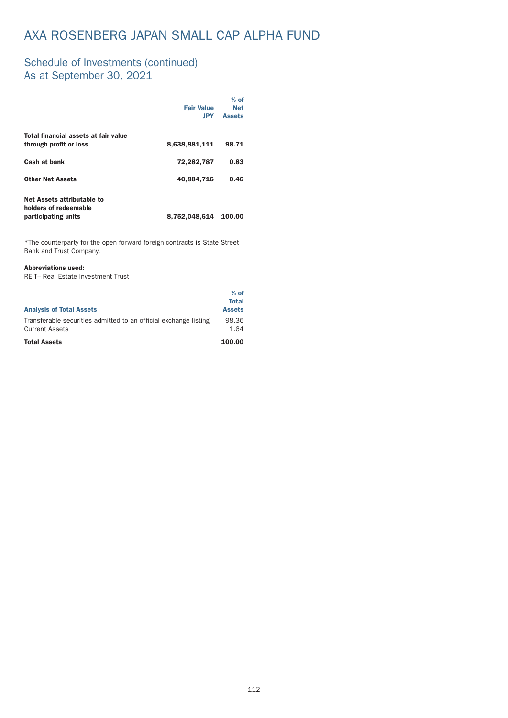### Schedule of Investments (continued) As at September 30, 2021

|                                                     |                   | $%$ of        |
|-----------------------------------------------------|-------------------|---------------|
|                                                     | <b>Fair Value</b> | <b>Net</b>    |
|                                                     | JPY               | <b>Assets</b> |
| Total financial assets at fair value                |                   |               |
| through profit or loss                              | 8,638,881,111     | 98.71         |
| Cash at bank                                        | 72,282,787        | 0.83          |
| <b>Other Net Assets</b>                             | 40,884,716        | 0.46          |
| Net Assets attributable to<br>holders of redeemable |                   |               |
| participating units                                 | 8,752,048,614     | 100.00        |
|                                                     |                   |               |

 $*$ The counterparty for the open forward foreign contracts is State Street Bank and Trust Company.

#### Abbreviations used:

REIT– Real Estate Investment Trust

|                                                                  | $%$ of        |
|------------------------------------------------------------------|---------------|
|                                                                  | <b>Total</b>  |
| <b>Analysis of Total Assets</b>                                  | <b>Assets</b> |
| Transferable securities admitted to an official exchange listing | 98.36         |
| <b>Current Assets</b>                                            | 1.64          |
| <b>Total Assets</b>                                              | 100.00        |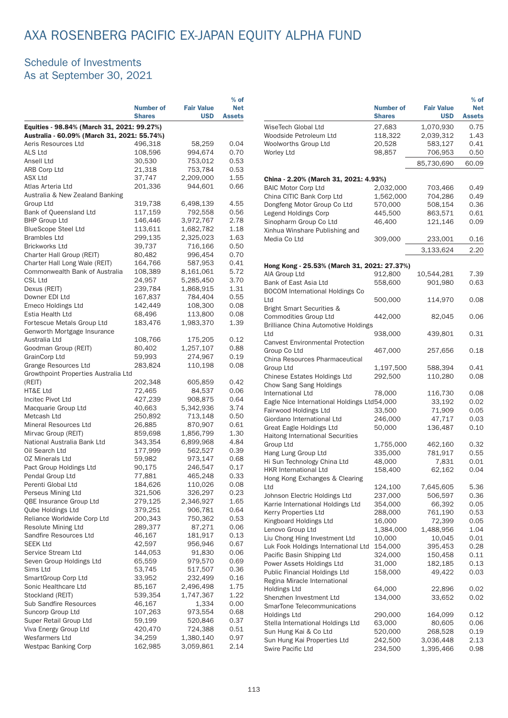# AXA ROSENBERG PACIFIC EX-JAPAN EQUITY ALPHA FUND

### Schedule of Investments As at September 30, 2021

|                                                                    | <b>Number of</b><br><b>Shares</b> | <b>Fair Value</b><br><b>USD</b> | $%$ of<br><b>Net</b><br><b>Assets</b> |               |  |
|--------------------------------------------------------------------|-----------------------------------|---------------------------------|---------------------------------------|---------------|--|
| Equities - 98.84% (March 31, 2021: 99.27%)                         |                                   |                                 |                                       |               |  |
| Australia - 60.09% (March 31, 2021: 55.74%)<br>Aeris Resources Ltd | 496,318                           | 58,259                          | 0.04                                  | Wo<br>Wo      |  |
| ALS Ltd                                                            | 108,596                           | 994,674                         | 0.70                                  | Wo            |  |
| Ansell Ltd                                                         | 30,530                            | 753,012                         | 0.53                                  |               |  |
| <b>ARB Corp Ltd</b>                                                | 21,318                            | 753,784                         | 0.53                                  |               |  |
| <b>ASX Ltd</b>                                                     | 37,747                            | 2,209,000                       | 1.55                                  |               |  |
| Atlas Arteria Ltd                                                  | 201,336                           | 944,601                         | 0.66                                  | Chi           |  |
| Australia & New Zealand Banking                                    |                                   |                                 |                                       | BAI<br>Chi    |  |
| Group Ltd                                                          | 319,738                           | 6,498,139                       | 4.55                                  |               |  |
| Bank of Queensland Ltd                                             | 117,159                           | 792,558                         | 0.56                                  | Dol<br>Leg    |  |
| <b>BHP Group Ltd</b>                                               | 146,446                           | 3,972,767                       | 2.78                                  | Sin           |  |
| <b>BlueScope Steel Ltd</b>                                         | 113,611                           | 1,682,782                       | 1.18                                  | Xin           |  |
| <b>Brambles Ltd</b>                                                | 299,135                           | 2,325,023                       | 1.63                                  | Me            |  |
| <b>Brickworks Ltd</b>                                              | 39,737                            | 716,166                         | 0.50                                  |               |  |
| Charter Hall Group (REIT)                                          | 80,482                            | 996,454                         | 0.70                                  |               |  |
| Charter Hall Long Wale (REIT)                                      | 164,766                           | 587,953                         | 0.41                                  | Ho            |  |
| Commonwealth Bank of Australia                                     | 108,389                           | 8,161,061                       | 5.72                                  | AIA           |  |
| <b>CSL Ltd</b>                                                     | 24,957                            | 5,285,450                       | 3.70                                  | Bar           |  |
| Dexus (REIT)                                                       | 239,784                           | 1,868,915                       | 1.31                                  | BO            |  |
| Downer EDI Ltd                                                     | 167,837                           | 784,404                         | 0.55                                  | Ltd           |  |
| Emeco Holdings Ltd                                                 | 142,449                           | 108,300                         | 0.08                                  | Brig          |  |
| Estia Health Ltd                                                   | 68,496                            | 113,800                         | 0.08                                  | Cor           |  |
| Fortescue Metals Group Ltd                                         | 183,476                           | 1,983,370                       | 1.39                                  | Bril          |  |
| Genworth Mortgage Insurance                                        |                                   |                                 |                                       | Ltd           |  |
| Australia Ltd                                                      | 108,766                           | 175,205                         | 0.12                                  | Caı           |  |
| Goodman Group (REIT)                                               | 80,402                            | 1,257,107                       | 0.88                                  | Grc           |  |
| <b>GrainCorp Ltd</b>                                               | 59,993                            | 274,967                         | 0.19                                  | Chi           |  |
| Grange Resources Ltd                                               | 283,824                           | 110,198                         | 0.08                                  | Gro           |  |
| Growthpoint Properties Australia Ltd                               |                                   |                                 |                                       | Chi           |  |
| (REIT)                                                             | 202,348                           | 605,859                         | 0.42                                  | Cho           |  |
| HT&E Ltd                                                           | 72,465                            | 84,537                          | 0.06                                  | Inte          |  |
| Incitec Pivot Ltd                                                  | 427,239                           | 908,875                         | 0.64                                  | Eag           |  |
| Macquarie Group Ltd                                                | 40,663                            | 5,342,936                       | 3.74                                  | Fai           |  |
| Metcash Ltd                                                        | 250,892                           | 713,148                         | 0.50                                  | Gio           |  |
| <b>Mineral Resources Ltd</b>                                       | 26,885                            | 870,907                         | 0.61<br>1.30                          | Gr $\epsilon$ |  |
| Mirvac Group (REIT)                                                | 859,698                           | 1,856,799                       |                                       | Hai           |  |
| National Australia Bank Ltd<br>Oil Search Ltd                      | 343,354                           | 6,899,968<br>562,527            | 4.84<br>0.39                          | Grc           |  |
| <b>OZ Minerals Ltd</b>                                             | 177,999<br>59,982                 | 973,147                         | 0.68                                  | Ha            |  |
| Pact Group Holdings Ltd                                            | 90,175                            | 246,547                         | 0.17                                  | Hi :          |  |
| Pendal Group Ltd                                                   | 77,881                            | 465,248                         | 0.33                                  | HK            |  |
| Perenti Global Ltd                                                 | 184,626                           | 110,026                         | 0.08                                  | Hol           |  |
| Perseus Mining Ltd                                                 | 321,506                           | 326,297                         | 0.23                                  | Ltd           |  |
| <b>OBE Insurance Group Ltd</b>                                     | 279,125                           | 2,346,927                       | 1.65                                  | Joh           |  |
| Qube Holdings Ltd                                                  | 379,251                           | 906,781                         | 0.64                                  | Kaı           |  |
| Reliance Worldwide Corp Ltd                                        | 200,343                           | 750,362                         | 0.53                                  | Keı           |  |
| Resolute Mining Ltd                                                | 289,377                           | 87,271                          | 0.06                                  | Kin           |  |
| Sandfire Resources Ltd                                             | 46,167                            | 181,917                         | 0.13                                  | Ler           |  |
| <b>SEEK Ltd</b>                                                    | 42,597                            | 956,946                         | 0.67                                  | Liu           |  |
| Service Stream Ltd                                                 | 144,053                           | 91,830                          | 0.06                                  | Luł<br>Pao    |  |
| Seven Group Holdings Ltd                                           | 65,559                            | 979,570                         | 0.69                                  | Po            |  |
| Sims Ltd                                                           | 53,745                            | 517,507                         | 0.36                                  | Pul           |  |
| SmartGroup Corp Ltd                                                | 33,952                            | 232,499                         | 0.16                                  | Reg           |  |
| Sonic Healthcare Ltd                                               | 85,167                            | 2,496,498                       | 1.75                                  | Hol           |  |
| Stockland (REIT)                                                   | 539,354                           | 1,747,367                       | 1.22                                  | Sh            |  |
| <b>Sub Sandfire Resources</b>                                      | 46,167                            | 1,334                           | 0.00                                  | Sm            |  |
| Suncorp Group Ltd                                                  | 107,263                           | 973,554                         | 0.68                                  | Hol           |  |
| Super Retail Group Ltd                                             | 59,199                            | 520,846                         | 0.37                                  | Ste           |  |
| Viva Energy Group Ltd                                              | 420,470                           | 724,388                         | 0.51                                  | Sur           |  |
| Wesfarmers Ltd                                                     | 34,259                            | 1,380,140                       | 0.97                                  | Sur           |  |
| <b>Westpac Banking Corp</b>                                        | 162,985                           | 3,059,861                       | 2.14                                  | $S_{1M}$      |  |

|                                                           | <b>Number of</b><br><b>Shares</b> | <b>Fair Value</b><br><b>USD</b> | $%$ of<br><b>Net</b><br><b>Assets</b> |
|-----------------------------------------------------------|-----------------------------------|---------------------------------|---------------------------------------|
| WiseTech Global Ltd                                       | 27,683                            | 1,070,930                       | 0.75                                  |
| Woodside Petroleum Ltd                                    | 118,322                           | 2,039,312                       | 1.43                                  |
| Woolworths Group Ltd                                      | 20,528                            | 583,127                         | 0.41                                  |
| <b>Worley Ltd</b>                                         | 98,857                            | 706,953                         | 0.50                                  |
|                                                           |                                   | 85,730,690                      | 60.09                                 |
| China - 2.20% (March 31, 2021: 4.93%)                     |                                   |                                 |                                       |
| <b>BAIC Motor Corp Ltd</b>                                | 2,032,000                         | 703,466                         | 0.49                                  |
| China CITIC Bank Corp Ltd                                 | 1,562,000                         | 704,286                         | 0.49                                  |
| Dongfeng Motor Group Co Ltd                               | 570,000                           | 508,154                         | 0.36                                  |
| Legend Holdings Corp                                      | 445,500                           | 863,571                         | 0.61                                  |
| Sinopharm Group Co Ltd                                    | 46,400                            | 121,146                         | 0.09                                  |
| Xinhua Winshare Publishing and<br>Media Co Ltd            |                                   |                                 |                                       |
|                                                           | 309,000                           | 233,001                         | 0.16                                  |
|                                                           |                                   | 3,133,624                       | 2.20                                  |
| Hong Kong - 25.53% (March 31, 2021: 27.37%)               |                                   |                                 |                                       |
| AIA Group Ltd<br>Bank of East Asia Ltd                    | 912,800                           | 10,544,281<br>901,980           | 7.39<br>0.63                          |
| <b>BOCOM International Holdings Co</b>                    | 558,600                           |                                 |                                       |
| Ltd                                                       | 500,000                           | 114,970                         | 0.08                                  |
| Bright Smart Securities &                                 |                                   |                                 |                                       |
| Commodities Group Ltd                                     | 442,000                           | 82,045                          | 0.06                                  |
| <b>Brilliance China Automotive Holdings</b>               |                                   |                                 |                                       |
| Ltd                                                       | 938,000                           | 439,801                         | 0.31                                  |
| <b>Canvest Environmental Protection</b>                   |                                   |                                 |                                       |
| Group Co Ltd<br>China Resources Pharmaceutical            | 467,000                           | 257,656                         | 0.18                                  |
| Group Ltd                                                 | 1,197,500                         | 588,394                         | 0.41                                  |
| Chinese Estates Holdings Ltd                              | 292,500                           | 110,280                         | 0.08                                  |
| Chow Sang Sang Holdings                                   |                                   |                                 |                                       |
| <b>International Ltd</b>                                  | 78,000                            | 116,730                         | 0.08                                  |
| Eagle Nice International Holdings Ltd54,000               |                                   | 33,192                          | 0.02                                  |
| Fairwood Holdings Ltd                                     | 33,500                            | 71,909                          | 0.05                                  |
| Giordano International Ltd                                | 246,000                           | 47,717                          | 0.03                                  |
| Great Eagle Holdings Ltd                                  | 50,000                            | 136,487                         | 0.10                                  |
| <b>Haitong International Securities</b>                   |                                   |                                 |                                       |
| Group Ltd                                                 | 1,755,000                         | 462,160                         | 0.32                                  |
| Hang Lung Group Ltd                                       | 335,000                           | 781,917                         | 0.55                                  |
| Hi Sun Technology China Ltd                               | 48,000                            | 7,831                           | 0.01                                  |
| <b>HKR International Ltd</b>                              | 158,400                           | 62,162                          | 0.04                                  |
| Hong Kong Exchanges & Clearing                            |                                   |                                 |                                       |
| Ltd                                                       | 124,100                           | 7,645,605                       | 5.36                                  |
| Johnson Electric Holdings Ltd                             | 237,000                           | 506,597                         | 0.36                                  |
| Karrie International Holdings Ltd<br>Kerry Properties Ltd | 354,000<br>288,000                | 66,392<br>761,190               | 0.05<br>0.53                          |
| Kingboard Holdings Ltd                                    | 16,000                            | 72,399                          | 0.05                                  |
| Lenovo Group Ltd                                          | 1,384,000                         | 1,488,956                       | 1.04                                  |
| Liu Chong Hing Investment Ltd                             | 10,000                            | 10,045                          | 0.01                                  |
| Luk Fook Holdings International Ltd                       | 154,000                           | 395,453                         | 0.28                                  |
| Pacific Basin Shipping Ltd                                | 324,000                           | 150,458                         | 0.11                                  |
| Power Assets Holdings Ltd                                 | 31,000                            | 182,185                         | 0.13                                  |
| Public Financial Holdings Ltd                             | 158,000                           | 49,422                          | 0.03                                  |
| Regina Miracle International                              |                                   |                                 |                                       |
| Holdings Ltd                                              | 64,000                            | 22,896                          | 0.02                                  |
| Shenzhen Investment Ltd                                   | 134,000                           | 33,652                          | 0.02                                  |
| SmarTone Telecommunications                               |                                   |                                 |                                       |
| Holdings Ltd                                              | 290,000                           | 164,099                         | 0.12                                  |
| Stella International Holdings Ltd                         | 63,000                            | 80,605                          | 0.06                                  |
| Sun Hung Kai & Co Ltd                                     | 520,000                           | 268,528                         | 0.19                                  |
| Sun Hung Kai Properties Ltd                               | 242,500                           | 3,036,448                       | 2.13                                  |
| Swire Pacific Ltd                                         | 234,500                           | 1,395,466                       | 0.98                                  |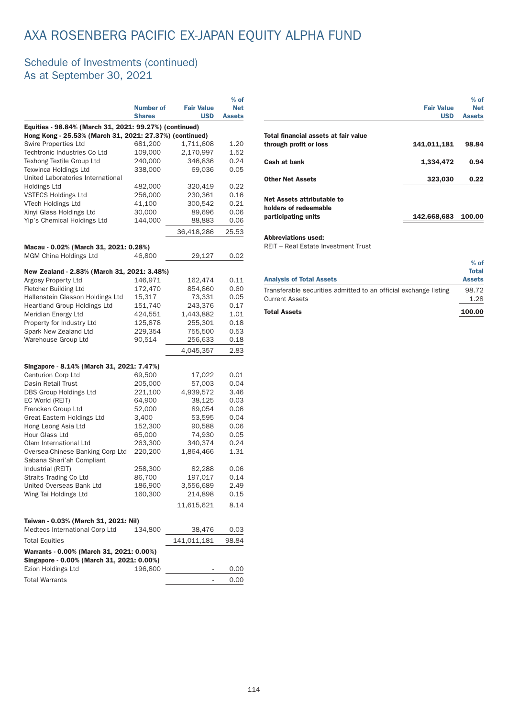# AXA ROSENBERG PACIFIC EX-JAPAN EQUITY ALPHA FUND

### Schedule of Investments (continued) As at September 30, 2021

|                                                                                       |                    |                   | $%$ of        |
|---------------------------------------------------------------------------------------|--------------------|-------------------|---------------|
|                                                                                       | <b>Number of</b>   | <b>Fair Value</b> | <b>Net</b>    |
|                                                                                       | <b>Shares</b>      | <b>USD</b>        | <b>Assets</b> |
| Equities - 98.84% (March 31, 2021: 99.27%) (continued)                                |                    |                   |               |
| Hong Kong - 25.53% (March 31, 2021: 27.37%) (continued)                               |                    |                   |               |
| Swire Properties Ltd                                                                  | 681,200            | 1,711,608         | 1.20          |
| Techtronic Industries Co Ltd                                                          | 109,000            | 2,170,997         | 1.52          |
| Texhong Textile Group Ltd                                                             | 240,000            | 346,836           | 0.24          |
| Texwinca Holdings Ltd<br>United Laboratories International                            | 338,000            | 69,036            | 0.05          |
|                                                                                       |                    | 320,419           | 0.22          |
| Holdings Ltd<br><b>VSTECS Holdings Ltd</b>                                            | 482,000<br>256,000 | 230,361           | 0.16          |
| VTech Holdings Ltd                                                                    | 41,100             | 300,542           | 0.21          |
| Xinyi Glass Holdings Ltd                                                              | 30,000             | 89,696            | 0.06          |
| Yip's Chemical Holdings Ltd                                                           | 144,000            | 88,883            | 0.06          |
|                                                                                       |                    |                   |               |
|                                                                                       |                    | 36,418,286        | 25.53         |
| Macau - 0.02% (March 31, 2021: 0.28%)                                                 |                    |                   |               |
| MGM China Holdings Ltd                                                                | 46,800             | 29,127            | 0.02          |
| New Zealand - 2.83% (March 31, 2021: 3.48%)                                           |                    |                   |               |
| Argosy Property Ltd                                                                   | 146,971            | 162,474           | 0.11          |
| <b>Fletcher Building Ltd</b>                                                          | 172,470            | 854,860           | 0.60          |
| Hallenstein Glasson Holdings Ltd                                                      | 15,317             | 73,331            | 0.05          |
| Heartland Group Holdings Ltd                                                          | 151,740            | 243,376           | 0.17          |
| Meridian Energy Ltd                                                                   | 424,551            | 1,443,882         | 1.01          |
| Property for Industry Ltd                                                             | 125,878            | 255,301           | 0.18          |
| Spark New Zealand Ltd                                                                 | 229,354            | 755,500           | 0.53          |
| Warehouse Group Ltd                                                                   | 90,514             | 256,633           | 0.18          |
|                                                                                       |                    | 4,045,357         | 2.83          |
|                                                                                       |                    |                   |               |
| Singapore - 8.14% (March 31, 2021: 7.47%)                                             |                    |                   |               |
| Centurion Corp Ltd                                                                    | 69,500             | 17,022            | 0.01          |
| Dasin Retail Trust                                                                    | 205,000            | 57,003            | 0.04          |
| DBS Group Holdings Ltd                                                                | 221,100            | 4,939,572         | 3.46          |
| EC World (REIT)                                                                       | 64,900             | 38,125            | 0.03          |
| Frencken Group Ltd<br>Great Eastern Holdings Ltd                                      | 52,000             | 89,054            | 0.06          |
| Hong Leong Asia Ltd                                                                   | 3,400              | 53,595            | 0.04<br>0.06  |
| Hour Glass Ltd                                                                        | 152,300<br>65,000  | 90,588<br>74,930  | 0.05          |
| Olam International Ltd                                                                | 263,300            | 340,374           | 0.24          |
| Oversea-Chinese Banking Corp Ltd                                                      | 220,200            | 1,864,466         | 1.31          |
| Sabana Shari'ah Compliant                                                             |                    |                   |               |
| Industrial (REIT)                                                                     | 258,300            | 82,288            | 0.06          |
| Straits Trading Co Ltd                                                                | 86,700             | 197,017           | 0.14          |
| United Overseas Bank Ltd                                                              | 186,900            | 3,556,689         | 2.49          |
| Wing Tai Holdings Ltd                                                                 | 160,300            | 214,898           | 0.15          |
|                                                                                       |                    | 11,615,621        | 8.14          |
|                                                                                       |                    |                   |               |
| Taiwan - 0.03% (March 31, 2021: Nil)<br>Medtecs International Corp Ltd                | 134,800            | 38,476            | 0.03          |
| <b>Total Equities</b>                                                                 |                    | 141,011,181       | 98.84         |
|                                                                                       |                    |                   |               |
| Warrants - 0.00% (March 31, 2021: 0.00%)<br>Singapore - 0.00% (March 31, 2021: 0.00%) |                    |                   |               |
| Ezion Holdings Ltd                                                                    | 196,800            |                   | 0.00          |
| <b>Total Warrants</b>                                                                 |                    |                   | 0.00          |
|                                                                                       |                    |                   |               |

| <b>Fair Value</b><br><b>USD</b> | $%$ of<br><b>Net</b><br><b>Assets</b> |
|---------------------------------|---------------------------------------|
|                                 |                                       |
| 141,011,181                     | 98.84                                 |
| 1,334,472                       | 0.94                                  |
| 323,030                         | 0.22                                  |
|                                 |                                       |
| 142,668,683                     | 100.00                                |
|                                 |                                       |

REIT – Real Estate Investment Trust

| <b>Analysis of Total Assets</b>                                  | $%$ of<br><b>Total</b><br><b>Assets</b> |
|------------------------------------------------------------------|-----------------------------------------|
| Transferable securities admitted to an official exchange listing | 98.72                                   |
| <b>Current Assets</b>                                            | 1.28                                    |
| <b>Total Assets</b>                                              | 100.00                                  |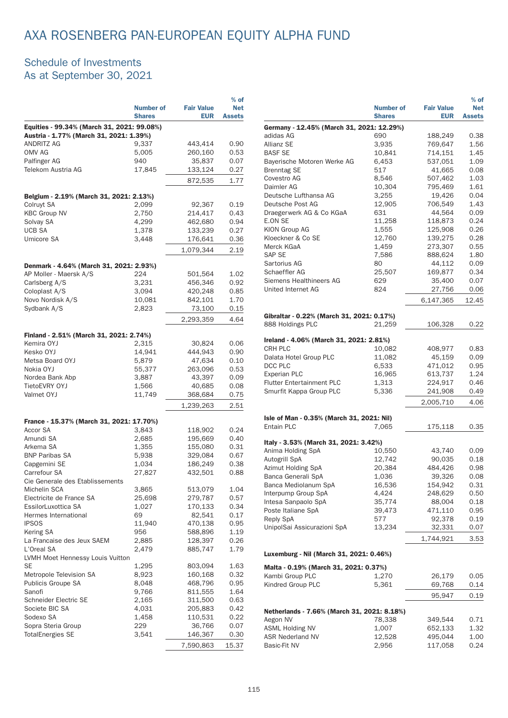### Schedule of Investments As at September 30, 2021

|                                                      | <b>Number of</b><br><b>Shares</b> | <b>Fair Value</b><br><b>EUR</b> | $%$ of<br><b>Net</b><br><b>Assets</b> |
|------------------------------------------------------|-----------------------------------|---------------------------------|---------------------------------------|
| Equities - 99.34% (March 31, 2021: 99.08%)           |                                   |                                 |                                       |
| Austria - 1.77% (March 31, 2021: 1.39%)              |                                   |                                 |                                       |
| ANDRITZ AG                                           | 9,337                             | 443,414                         | 0.90                                  |
| OMV AG<br>Palfinger AG                               | 5,005<br>940                      | 260,160<br>35,837               | 0.53<br>0.07                          |
| Telekom Austria AG                                   | 17,845                            | 133,124                         | 0.27                                  |
|                                                      |                                   | 872,535                         | 1.77                                  |
| Belgium - 2.19% (March 31, 2021: 2.13%)              |                                   |                                 |                                       |
| Colruyt SA                                           | 2,099                             | 92,367                          | 0.19                                  |
| <b>KBC Group NV</b>                                  | 2,750                             | 214,417                         | 0.43                                  |
| Solvay SA                                            | 4,299                             | 462,680                         | 0.94                                  |
| <b>UCB SA</b>                                        | 1,378                             | 133,239                         | 0.27                                  |
| Umicore SA                                           | 3,448                             | 176,641                         | 0.36                                  |
|                                                      |                                   | 1,079,344                       | 2.19                                  |
| Denmark - 4.64% (March 31, 2021: 2.93%)              |                                   |                                 |                                       |
| AP Moller - Maersk A/S                               | 224                               | 501,564                         | 1.02                                  |
| Carlsberg A/S                                        | 3,231                             | 456,346                         | 0.92                                  |
| Coloplast A/S                                        | 3,094                             | 420,248                         | 0.85                                  |
| Novo Nordisk A/S<br>Sydbank A/S                      | 10,081                            | 842,101                         | 1.70                                  |
|                                                      | 2,823                             | 73,100                          | 0.15                                  |
|                                                      |                                   | 2,293,359                       | 4.64                                  |
| Finland - 2.51% (March 31, 2021: 2.74%)              |                                   |                                 |                                       |
| Kemira OYJ                                           | 2,315                             | 30,824                          | 0.06                                  |
| Kesko OYJ                                            | 14,941                            | 444,943                         | 0.90                                  |
| Metsa Board OYJ                                      | 5,879                             | 47,634                          | 0.10                                  |
| Nokia OYJ                                            | 55,377                            | 263,096                         | 0.53                                  |
| Nordea Bank Abp<br>TietoEVRY OYJ                     | 3,887                             | 43,397                          | 0.09                                  |
| Valmet OYJ                                           | 1,566<br>11,749                   | 40,685<br>368,684               | 0.08<br>0.75                          |
|                                                      |                                   | 1,239,263                       | 2.51                                  |
|                                                      |                                   |                                 |                                       |
| France - 15.37% (March 31, 2021: 17.70%)<br>Accor SA | 3,843                             | 118,902                         | 0.24                                  |
| Amundi SA                                            | 2,685                             | 195,669                         | 0.40                                  |
| Arkema SA                                            | 1,355                             | 155,080                         | 0.31                                  |
| <b>BNP Paribas SA</b>                                | 5,938                             | 329,084                         | 0.67                                  |
| Capgemini SE                                         | 1,034                             | 186,249                         | 0.38                                  |
| Carrefour SA                                         | 27,827                            | 432,501                         | 0.88                                  |
| Cie Generale des Etablissements                      |                                   |                                 |                                       |
| Michelin SCA                                         | 3,865                             | 513,079                         | 1.04                                  |
| Electricite de France SA<br>EssilorLuxottica SA      | 25,698<br>1,027                   | 279,787<br>170,133              | 0.57<br>0.34                          |
| Hermes International                                 | 69                                | 82,541                          | 0.17                                  |
| <b>IPSOS</b>                                         | 11,940                            | 470,138                         | 0.95                                  |
| Kering SA                                            | 956                               | 588,896                         | 1.19                                  |
| La Francaise des Jeux SAEM                           | 2,885                             | 128,397                         | 0.26                                  |
| L'Oreal SA                                           | 2,479                             | 885,747                         | 1.79                                  |
| LVMH Moet Hennessy Louis Vuitton                     |                                   |                                 |                                       |
| SE<br>Metropole Television SA                        | 1,295<br>8,923                    | 803,094<br>160,168              | 1.63<br>0.32                          |
| Publicis Groupe SA                                   | 8,048                             | 468,796                         | 0.95                                  |
| Sanofi                                               | 9,766                             | 811,555                         | 1.64                                  |
| Schneider Electric SE                                | 2,165                             | 311,500                         | 0.63                                  |
| Societe BIC SA                                       | 4,031                             | 205,883                         | 0.42                                  |
| Sodexo SA                                            | 1,458                             | 110,531                         | 0.22                                  |
| Sopra Steria Group                                   | 229                               | 36,766                          | 0.07                                  |
| <b>TotalEnergies SE</b>                              | 3,541                             | 146,367                         | 0.30                                  |
|                                                      |                                   | 7,590,863                       | 15.37                                 |

|                                             | <b>Number of</b><br><b>Shares</b> | <b>Fair Value</b><br><b>EUR</b> | $%$ of<br><b>Net</b><br><b>Assets</b> |
|---------------------------------------------|-----------------------------------|---------------------------------|---------------------------------------|
| Germany - 12.45% (March 31, 2021: 12.29%)   |                                   |                                 |                                       |
| adidas AG                                   | 690                               | 188,249                         | 0.38                                  |
| <b>Allianz SE</b>                           | 3,935                             | 769,647                         | 1.56                                  |
| <b>BASF SE</b>                              | 10,841                            | 714,151                         | 1.45                                  |
| Bayerische Motoren Werke AG                 | 6,453                             | 537,051                         | 1.09                                  |
| <b>Brenntag SE</b>                          | 517                               | 41,665                          | 0.08                                  |
| Covestro AG                                 | 8,546                             | 507,462                         | 1.03                                  |
| Daimler AG                                  | 10,304                            | 795,469                         | 1.61                                  |
| Deutsche Lufthansa AG                       | 3,255                             | 19,426                          | 0.04                                  |
| Deutsche Post AG                            | 12,905                            | 706,549                         | 1.43                                  |
| Draegerwerk AG & Co KGaA                    | 631                               | 44,564                          | 0.09                                  |
| E.ON SE                                     | 11,258                            | 118,873                         | 0.24                                  |
| KION Group AG                               | 1,555                             | 125,908                         | 0.26                                  |
| Kloeckner & Co SE                           | 12,760                            | 139,275                         | 0.28                                  |
| Merck KGaA                                  | 1,459                             | 273,307                         | 0.55                                  |
| SAP SE                                      | 7,586                             | 888,624                         | 1.80                                  |
| Sartorius AG<br>Schaeffler AG               | 80                                | 44,112                          | 0.09<br>0.34                          |
| Siemens Healthineers AG                     | 25,507<br>629                     | 169,877                         | 0.07                                  |
| <b>United Internet AG</b>                   | 824                               | 35,400<br>27,756                | 0.06                                  |
|                                             |                                   |                                 |                                       |
|                                             |                                   | 6,147,365                       | 12.45                                 |
| Gibraltar - 0.22% (March 31, 2021: 0.17%)   |                                   |                                 |                                       |
| 888 Holdings PLC                            | 21,259                            | 106,328                         |                                       |
|                                             |                                   |                                 | 0.22                                  |
| Ireland - 4.06% (March 31, 2021: 2.81%)     |                                   |                                 |                                       |
| CRH PLC                                     | 10,082                            | 408,977                         | 0.83                                  |
| Dalata Hotel Group PLC                      | 11,082                            | 45,159                          | 0.09                                  |
| DCC PLC                                     | 6,533                             | 471,012                         | 0.95                                  |
| <b>Experian PLC</b>                         | 16,965                            | 613,737                         | 1.24                                  |
| <b>Flutter Entertainment PLC</b>            | 1,313                             | 224,917                         | 0.46                                  |
| Smurfit Kappa Group PLC                     | 5,336                             | 241,908                         | 0.49                                  |
|                                             |                                   | 2,005,710                       | 4.06                                  |
|                                             |                                   |                                 |                                       |
| Isle of Man - 0.35% (March 31, 2021: Nil)   |                                   |                                 |                                       |
| Entain PLC                                  | 7,065                             | 175,118                         | 0.35                                  |
|                                             |                                   |                                 |                                       |
| Italy - 3.53% (March 31, 2021: 3.42%)       |                                   |                                 |                                       |
| Anima Holding SpA                           | 10,550                            | 43,740                          | 0.09                                  |
| Autogrill SpA                               | 12,742                            | 90,035                          | 0.18                                  |
| Azimut Holding SpA                          | 20,384                            | 484,426                         | 0.98                                  |
| Banca Generali SpA                          | 1,036                             | 39,326                          | 0.08                                  |
| Banca Mediolanum SpA<br>Interpump Group SpA | 16,536<br>4,424                   | 154,942<br>248,629              | 0.31<br>0.50                          |
| Intesa Sanpaolo SpA                         | 35,774                            | 88,004                          | 0.18                                  |
| Poste Italiane SpA                          | 39,473                            | 471,110                         | 0.95                                  |
| <b>Reply SpA</b>                            | 577                               | 92,378                          | 0.19                                  |
| UnipolSai Assicurazioni SpA                 | 13,234                            | 32,331                          | 0.07                                  |
|                                             |                                   |                                 |                                       |
|                                             |                                   | 1,744,921                       | 3.53                                  |
| Luxemburg - Nil (March 31, 2021: 0.46%)     |                                   |                                 |                                       |
| Malta - 0.19% (March 31, 2021: 0.37%)       |                                   |                                 |                                       |
| Kambi Group PLC                             | 1,270                             | 26,179                          | 0.05                                  |
| Kindred Group PLC                           | 5,361                             | 69,768                          | 0.14                                  |
|                                             |                                   |                                 |                                       |
|                                             |                                   | 95,947                          | 0.19                                  |
| Netherlands - 7.66% (March 31, 2021: 8.18%) |                                   |                                 |                                       |
| Aegon NV                                    | 78,338                            | 349,544                         | 0.71                                  |
| <b>ASML Holding NV</b>                      | 1,007                             | 652,133                         | 1.32                                  |
| <b>ASR Nederland NV</b>                     | 12,528                            | 495,044                         | 1.00                                  |
| Basic-Fit NV                                | 2,956                             | 117,058                         | 0.24                                  |
|                                             |                                   |                                 |                                       |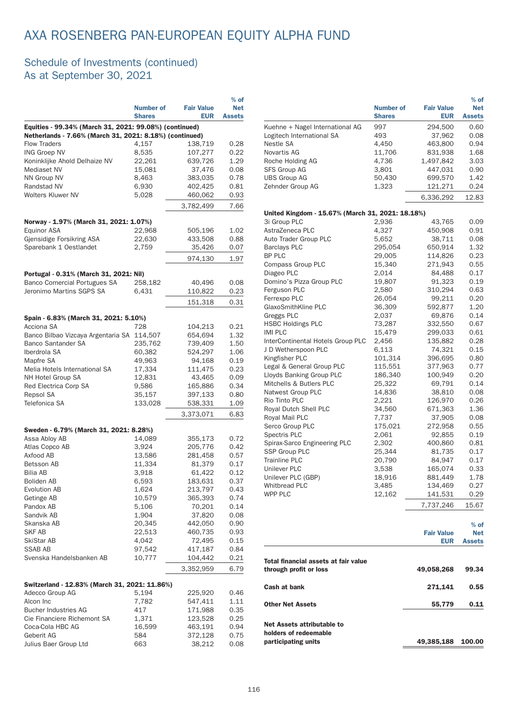### Schedule of Investments (continued) As at September 30, 2021

|                                                                                                                   |                  |                   | $%$ of        |  |  |  |
|-------------------------------------------------------------------------------------------------------------------|------------------|-------------------|---------------|--|--|--|
|                                                                                                                   | <b>Number of</b> | <b>Fair Value</b> | <b>Net</b>    |  |  |  |
|                                                                                                                   | <b>Shares</b>    | <b>EUR</b>        | <b>Assets</b> |  |  |  |
| Equities - 99.34% (March 31, 2021: 99.08%) (continued)<br>Netherlands - 7.66% (March 31, 2021: 8.18%) (continued) |                  |                   |               |  |  |  |
| <b>Flow Traders</b>                                                                                               | 4,157            | 138.719           | 0.28          |  |  |  |
| <b>ING Groep NV</b>                                                                                               | 8,535            | 107,277           | 0.22          |  |  |  |
| Koninklijke Ahold Delhaize NV                                                                                     | 22,261           | 639,726           | 1.29          |  |  |  |
| <b>Mediaset NV</b>                                                                                                | 15,081           | 37,476            | 0.08          |  |  |  |
| <b>NN Group NV</b>                                                                                                | 8,463            | 383,035           | 0.78          |  |  |  |
| Randstad NV                                                                                                       | 6.930            | 402,425           | 0.81          |  |  |  |
| <b>Wolters Kluwer NV</b>                                                                                          | 5,028            | 460,062           | 0.93          |  |  |  |
|                                                                                                                   |                  | 3,782,499         | 7.66          |  |  |  |
| Norway - 1.97% (March 31, 2021: 1.07%)                                                                            |                  |                   |               |  |  |  |
| <b>Equinor ASA</b>                                                                                                | 22,968           | 505,196           | 1.02          |  |  |  |
| Gjensidige Forsikring ASA                                                                                         | 22,630           | 433,508           | 0.88          |  |  |  |
| Sparebank 1 Oestlandet                                                                                            | 2,759            | 35,426            | 0.07          |  |  |  |
|                                                                                                                   |                  |                   |               |  |  |  |
|                                                                                                                   |                  | 974,130           | 1.97          |  |  |  |
| Portugal - 0.31% (March 31, 2021: Nil)                                                                            |                  |                   |               |  |  |  |
| <b>Banco Comercial Portugues SA</b>                                                                               | 258,182          | 40,496            | 0.08          |  |  |  |
| Jeronimo Martins SGPS SA                                                                                          | 6,431            | 110,822           | 0.23          |  |  |  |
|                                                                                                                   |                  | 151,318           | 0.31          |  |  |  |
|                                                                                                                   |                  |                   |               |  |  |  |
| Spain - 6.83% (March 31, 2021: 5.10%)                                                                             |                  |                   |               |  |  |  |
| Acciona SA                                                                                                        | 728              | 104.213           | 0.21          |  |  |  |
| Banco Bilbao Vizcaya Argentaria SA 114,507                                                                        |                  | 654,694           | 1.32          |  |  |  |
| <b>Banco Santander SA</b>                                                                                         | 235,762          | 739,409           | 1.50          |  |  |  |
| Iberdrola SA                                                                                                      | 60,382           | 524,297           | 1.06          |  |  |  |
| Mapfre SA                                                                                                         | 49,963           | 94,168            | 0.19          |  |  |  |
| Melia Hotels International SA                                                                                     | 17,334           | 111,475           | 0.23          |  |  |  |
| NH Hotel Group SA                                                                                                 | 12,831           | 43,465            | 0.09          |  |  |  |
| Red Electrica Corp SA                                                                                             | 9,586            | 165,886           | 0.34          |  |  |  |
| Repsol SA                                                                                                         | 35,157           | 397,133           | 0.80          |  |  |  |
| Telefonica SA                                                                                                     | 133,028          | 538,331           | 1.09          |  |  |  |
|                                                                                                                   |                  | 3,373,071         | 6.83          |  |  |  |
| Sweden - 6.79% (March 31, 2021: 8.28%)                                                                            |                  |                   |               |  |  |  |
| Assa Abloy AB                                                                                                     | 14,089           | 355,173           | 0.72          |  |  |  |
| Atlas Copco AB                                                                                                    | 3,924            | 205,776           | 0.42          |  |  |  |
| Axfood AB                                                                                                         | 13,586           | 281,458           | 0.57          |  |  |  |
| <b>Betsson AB</b>                                                                                                 | 11,334           | 81,379            | 0.17          |  |  |  |
| <b>Bilia AB</b>                                                                                                   | 3,918            | 61,422            | 0.12          |  |  |  |
| Boliden AB                                                                                                        | 6,593            | 183,631           | 0.37          |  |  |  |
| Evolution AB                                                                                                      | 1,624            | 213,797           | 0.43          |  |  |  |
| Getinge AB                                                                                                        | 10,579           | 365,393           | 0.74          |  |  |  |
| Pandox AB                                                                                                         | 5,106            | 70,201            | 0.14          |  |  |  |
| Sandvik AB                                                                                                        | 1,904            | 37,820            | 0.08          |  |  |  |
| Skanska AB                                                                                                        | 20,345           | 442,050           | 0.90          |  |  |  |
| SKF AB                                                                                                            | 22,513           | 460,735           | 0.93          |  |  |  |
| SkiStar AB                                                                                                        | 4,042            | 72,495            | 0.15          |  |  |  |
| <b>SSAB AB</b>                                                                                                    | 97,542           | 417,187           | 0.84          |  |  |  |
| Svenska Handelsbanken AB                                                                                          | 10,777           | 104,442           | 0.21          |  |  |  |
|                                                                                                                   |                  | 3,352,959         | 6.79          |  |  |  |
|                                                                                                                   |                  |                   |               |  |  |  |
| Switzerland - 12.83% (March 31, 2021: 11.86%)                                                                     |                  |                   |               |  |  |  |
| Adecco Group AG                                                                                                   | 5,194            | 225,920           | 0.46          |  |  |  |
| Alcon Inc                                                                                                         | 7,782            | 547,411           | 1.11          |  |  |  |
| <b>Bucher Industries AG</b>                                                                                       | 417              | 171,988           | 0.35          |  |  |  |
| Cie Financiere Richemont SA                                                                                       | 1,371            | 123,528           | 0.25          |  |  |  |
| Coca-Cola HBC AG                                                                                                  | 16,599           | 463,191           | 0.94          |  |  |  |
| Geberit AG<br>Julius Baer Group Ltd                                                                               | 584              | 372,128           | 0.75          |  |  |  |
|                                                                                                                   | 663              | 38,212            | 0.08          |  |  |  |

|                                                                            | <b>Number of</b><br><b>Shares</b> | <b>Fair Value</b><br><b>EUR</b> | $%$ of<br><b>Net</b><br><b>Assets</b> |
|----------------------------------------------------------------------------|-----------------------------------|---------------------------------|---------------------------------------|
| Kuehne + Nagel International AG                                            | 997                               | 294,500                         | 0.60                                  |
| Logitech International SA                                                  | 493                               | 37,962                          | 0.08                                  |
| Nestle SA                                                                  | 4,450                             | 463,800                         | 0.94                                  |
| Novartis AG                                                                | 11,706                            | 831,938                         | 1.68                                  |
| Roche Holding AG                                                           | 4,736                             | 1,497,842                       | 3.03                                  |
| <b>SFS Group AG</b>                                                        | 3,801                             | 447,031                         | 0.90                                  |
| <b>UBS Group AG</b>                                                        | 50,430                            | 699,570                         | 1.42                                  |
| Zehnder Group AG                                                           | 1,323                             | 121,271<br>6,336,292            | 0.24<br>12.83                         |
| United Kingdom - 15.67% (March 31, 2021: 18.18%)                           |                                   |                                 |                                       |
| 3i Group PLC                                                               | 2,936                             | 43,765                          | 0.09                                  |
| AstraZeneca PLC                                                            | 4,327                             | 450,908                         | 0.91                                  |
| Auto Trader Group PLC                                                      | 5,652                             | 38,711                          | 0.08                                  |
| <b>Barclays PLC</b>                                                        | 295,054                           | 650,914                         | 1.32                                  |
| BP PLC                                                                     | 29,005                            | 114,826                         | 0.23                                  |
| Compass Group PLC                                                          | 15,340                            | 271,943                         | 0.55                                  |
| Diageo PLC                                                                 | 2,014                             | 84,488                          | 0.17                                  |
| Domino's Pizza Group PLC                                                   | 19,807                            | 91,323                          | 0.19                                  |
| Ferguson PLC                                                               | 2,580                             | 310,294                         | 0.63                                  |
| Ferrexpo PLC                                                               | 26,054                            | 99,211                          | 0.20                                  |
| GlaxoSmithKline PLC                                                        | 36,309                            | 592,877                         | 1.20                                  |
| Greggs PLC                                                                 | 2,037                             | 69,876                          | 0.14                                  |
| <b>HSBC Holdings PLC</b><br><b>IMI PLC</b>                                 | 73,287<br>15,479                  | 332,550<br>299,033              | 0.67<br>0.61                          |
| InterContinental Hotels Group PLC                                          | 2,456                             | 135,882                         | 0.28                                  |
| J D Wetherspoon PLC                                                        | 6,113                             | 74,321                          | 0.15                                  |
| Kingfisher PLC                                                             | 101,314                           | 396,695                         | 0.80                                  |
| Legal & General Group PLC                                                  | 115,551                           | 377,963                         | 0.77                                  |
| Lloyds Banking Group PLC                                                   | 186,340                           | 100,949                         | 0.20                                  |
| Mitchells & Butlers PLC                                                    | 25,322                            | 69,791                          | 0.14                                  |
| Natwest Group PLC                                                          | 14,836                            | 38,810                          | 0.08                                  |
| Rio Tinto PLC                                                              | 2,221                             | 126,970                         | 0.26                                  |
| Royal Dutch Shell PLC                                                      | 34,560                            | 671,363                         | 1.36                                  |
| Royal Mail PLC                                                             | 7,737                             | 37,905                          | 0.08                                  |
| Serco Group PLC                                                            | 175,021                           | 272,958                         | 0.55                                  |
| Spectris PLC                                                               | 2,061                             | 92,855                          | 0.19                                  |
| Spirax-Sarco Engineering PLC                                               | 2,302                             | 400,860                         | 0.81                                  |
| <b>SSP Group PLC</b>                                                       | 25,344                            | 81,735                          | 0.17                                  |
| <b>Trainline PLC</b><br>Unilever PLC                                       | 20,790                            | 84,947<br>165,074               | 0.17                                  |
| Unilever PLC (GBP)                                                         | 3,538<br>18,916                   | 881,449                         | 0.33<br>1.78                          |
| <b>Whitbread PLC</b>                                                       | 3,485                             | 134,469                         | 0.27                                  |
| WPP PLC                                                                    | 12,162                            | 141,531                         | 0.29                                  |
|                                                                            |                                   | 7,737,246                       | 15.67                                 |
|                                                                            |                                   |                                 |                                       |
|                                                                            |                                   |                                 | $%$ of                                |
|                                                                            |                                   | <b>Fair Value</b><br><b>EUR</b> | <b>Net</b><br><b>Assets</b>           |
|                                                                            |                                   |                                 |                                       |
| Total financial assets at fair value<br>through profit or loss             |                                   | 49,058,268                      | 99.34                                 |
| Cash at bank                                                               |                                   | 271,141                         | 0.55                                  |
| <b>Other Net Assets</b>                                                    |                                   | 55,779                          | 0.11                                  |
| Net Assets attributable to<br>holders of redeemable<br>participating units |                                   | 49,385,188                      | 100.00                                |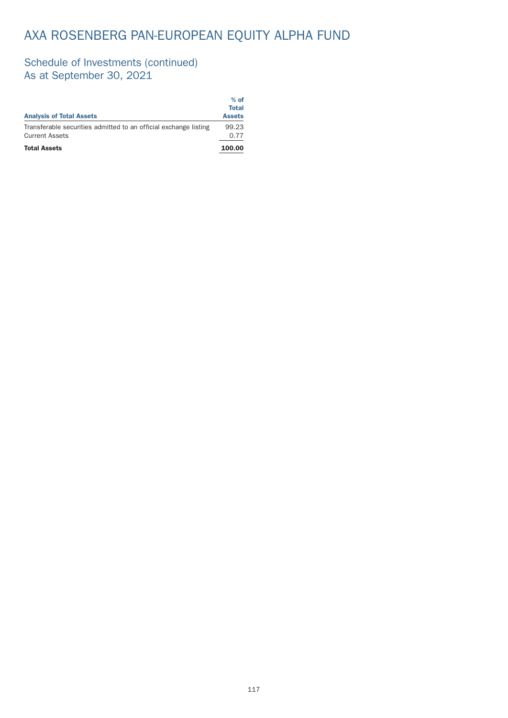### Schedule of Investments (continued) As at September 30, 2021

| <b>Analysis of Total Assets</b>                                                           | $%$ of<br>Total<br><b>Assets</b> |
|-------------------------------------------------------------------------------------------|----------------------------------|
| Transferable securities admitted to an official exchange listing<br><b>Current Assets</b> | 99.23<br>0.77                    |
| <b>Total Assets</b>                                                                       | 100.00                           |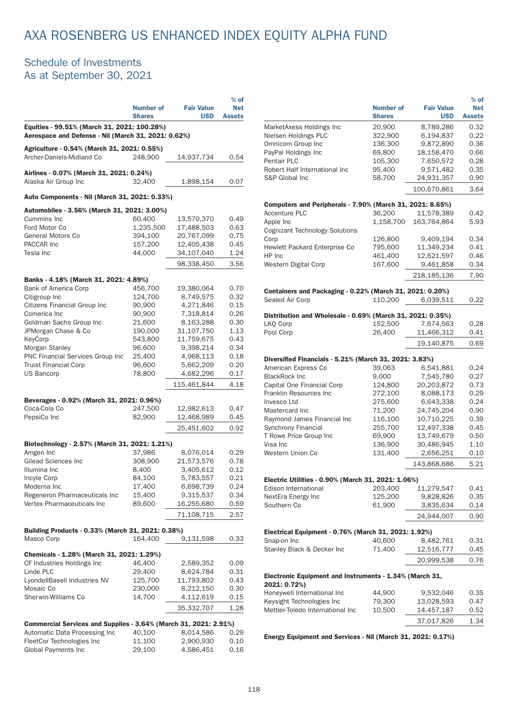#### Schedule of Investments As at September 30, 2021

|                                                                                                    | <b>Number of</b><br><b>Shares</b> | <b>Fair Value</b><br><b>USD</b> | $%$ of<br><b>Net</b><br><b>Assets</b> |
|----------------------------------------------------------------------------------------------------|-----------------------------------|---------------------------------|---------------------------------------|
| Equities - 99.51% (March 31, 2021: 100.28%)<br>Aerospace and Defense - Nil (March 31, 2021: 0.62%) |                                   |                                 |                                       |
| Agriculture - 0.54% (March 31, 2021: 0.55%)                                                        |                                   |                                 |                                       |
| Archer-Daniels-Midland Co                                                                          | 248.900                           | 14,937,734                      | 0.54                                  |
| Airlines - 0.07% (March 31, 2021: 0.24%)                                                           |                                   |                                 |                                       |
| Alaska Air Group Inc                                                                               | 32.400                            | 1,898,154                       | 0.07                                  |
| Auto Components - Nil (March 31, 2021: 0.33%)                                                      |                                   |                                 |                                       |
| Automobiles - 3.56% (March 31, 2021: 3.00%)                                                        |                                   |                                 |                                       |
| Cummins Inc                                                                                        | 60.400                            | 13,570,370                      | 0.49                                  |
| Ford Motor Co                                                                                      | 1,235,500                         | 17,488,503                      | 0.63                                  |
| General Motors Co                                                                                  | 394,100                           | 20,767,099                      | 0.75                                  |
| PACCAR Inc                                                                                         | 157,200                           | 12,405,438                      | 0.45                                  |
| Tesla Inc                                                                                          | 44,000                            | 34,107,040                      | 1.24                                  |
|                                                                                                    |                                   | 98.338.450                      | 3.56                                  |
| Banks - 4.18% (March 31, 2021: 4.89%)                                                              |                                   |                                 |                                       |
| <b>Bank of America Corp</b>                                                                        | 456.700                           | 19,380,064                      | 0.70                                  |
| Citigroup Inc                                                                                      | 124,700                           | 8,749,575                       | 0.32                                  |
| Citizens Financial Group Inc                                                                       | 90,900                            | 4,271,846                       | 0.15                                  |
| Comerica Inc                                                                                       | 90,900                            | 7,318,814                       | 0.26                                  |
| Goldman Sachs Group Inc                                                                            | 21,600                            | 8,163,288                       | 0.30                                  |
| JPMorgan Chase & Co                                                                                | 190,000                           | 31,107,750                      | 1.13                                  |
| KeyCorp                                                                                            | 543,800                           | 11,759,675                      | 0.43                                  |
| Morgan Stanley                                                                                     | 96,600                            | 9,398,214                       | 0.34                                  |
| PNC Financial Services Group Inc                                                                   | 25,400                            | 4,968,113                       | 0.18                                  |
| <b>Truist Financial Corp</b>                                                                       | 96,600                            | 5,662,209                       | 0.20                                  |
| <b>US Bancorp</b>                                                                                  | 78,800                            | 4,682,296                       | 0.17                                  |
|                                                                                                    |                                   | 115,461,844                     | 4.18                                  |
| Beverages - 0.92% (March 31, 2021: 0.96%)                                                          |                                   |                                 |                                       |
| Coca-Cola Co                                                                                       | 247,500                           | 12,982,613                      | 0.47                                  |
| PepsiCo Inc                                                                                        | 82,900                            | 12,468,989                      | 0.45                                  |
|                                                                                                    |                                   | 25,451,602                      | 0.92                                  |
| Biotechnology - 2.57% (March 31, 2021: 1.21%)                                                      |                                   |                                 |                                       |
| Amgen Inc                                                                                          | 37,986                            | 8,076,014                       | 0.29                                  |
| Gilead Sciences Inc                                                                                | 308,900                           | 21,573,576                      | 0.78                                  |
| Illumina Inc                                                                                       | 8,400                             | 3,405,612                       | 0.12                                  |
| Incyte Corp                                                                                        | 84,100                            | 5,783,557                       | 0.21                                  |
| Moderna Inc                                                                                        | 17,400                            | 6,698,739                       | 0.24                                  |
| Regeneron Pharmaceuticals Inc                                                                      | 15,400                            | 9,315,537                       | 0.34                                  |
| Vertex Pharmaceuticals Inc                                                                         | 89,600                            | 16,255,680                      | 0.59                                  |
|                                                                                                    |                                   | 71,108,715                      | 2.57                                  |
| Building Products - 0.33% (March 31, 2021: 0.38%)                                                  |                                   |                                 |                                       |
| Masco Corp                                                                                         | 164.400                           | 9,131,598                       | 0.33                                  |
| Chemicals - 1.28% (March 31, 2021: 1.29%)                                                          |                                   |                                 |                                       |
| CF Industries Holdings Inc                                                                         | 46,400                            | 2,589,352                       | 0.09                                  |
| Linde PLC                                                                                          | 29,400                            | 8,624,784                       | 0.31                                  |
| LyondellBasell Industries NV                                                                       | 125,700                           | 11,793,802                      | 0.43                                  |
| Mosaic Co                                                                                          | 230,000                           | 8,212,150                       | 0.30                                  |
| Sherwin-Williams Co                                                                                | 14,700                            | 4,112,619                       | 0.15                                  |
|                                                                                                    |                                   | 35,332,707                      | 1.28                                  |
|                                                                                                    |                                   |                                 |                                       |
| Commercial Services and Supplies - 3.64% (March 31, 2021: 2.91%)                                   |                                   |                                 |                                       |
| Automatic Data Processing Inc                                                                      | 40,100                            | 8,014,586                       | 0.29                                  |
| FleetCor Technologies Inc                                                                          | 11,100                            | 2,900,930                       | 0.10                                  |
| <b>Global Payments Inc</b>                                                                         | 29,100                            | 4,586,451                       | 0.16                                  |

|                                                                             | <b>Number of</b><br><b>Shares</b> | <b>Fair Value</b><br><b>USD</b> | $%$ of<br><b>Net</b><br><b>Assets</b> |
|-----------------------------------------------------------------------------|-----------------------------------|---------------------------------|---------------------------------------|
| MarketAxess Holdings Inc                                                    | 20,900                            | 8,789,286                       | 0.32                                  |
| Nielsen Holdings PLC                                                        | 322,900                           | 6,194,837                       | 0.22                                  |
| Omnicom Group Inc                                                           | 136,300                           | 9,872,890                       | 0.36                                  |
| PayPal Holdings Inc                                                         | 69,800                            | 18,158,470                      | 0.66                                  |
| <b>Pentair PLC</b>                                                          | 105,300                           | 7,650,572                       | 0.28                                  |
| Robert Half International Inc                                               | 95,400                            | 9,571,482                       | 0.35                                  |
| S&P Global Inc                                                              | 58,700                            | 24,931,357                      | 0.90                                  |
|                                                                             |                                   | 100,670,861                     | 3.64                                  |
| Computers and Peripherals - 7.90% (March 31, 2021: 8.65%)                   |                                   |                                 |                                       |
| <b>Accenture PLC</b>                                                        | 36,200                            | 11,578,389                      | 0.42                                  |
| Apple Inc<br>Cognizant Technology Solutions                                 | 1,158,700                         | 163,764,864                     | 5.93                                  |
| Corp                                                                        | 126,800                           | 9,409,194                       | 0.34                                  |
| Hewlett Packard Enterprise Co                                               | 795,600                           | 11,349,234                      | 0.41                                  |
| HP Inc                                                                      | 461,400                           | 12,621,597                      | 0.46                                  |
| <b>Western Digital Corp</b>                                                 | 167,600                           | 9,461,858                       | 0.34                                  |
|                                                                             |                                   | 218,185,136                     | 7.90                                  |
| Containers and Packaging - 0.22% (March 31, 2021: 0.20%)<br>Sealed Air Corp | 110,200                           | 6,039,511                       | 0.22                                  |
|                                                                             |                                   |                                 |                                       |
| Distribution and Wholesale - 0.69% (March 31, 2021: 0.35%)                  | 152,500                           | 7,674,563                       | 0.28                                  |
| LKO Corp<br>Pool Corp                                                       | 26,400                            | 11,466,312                      | 0.41                                  |
|                                                                             |                                   | 19,140,875                      | 0.69                                  |
|                                                                             |                                   |                                 |                                       |
| Diversified Financials - 5.21% (March 31, 2021: 3.83%)                      |                                   |                                 |                                       |
| American Express Co<br><b>BlackRock Inc</b>                                 | 39,063                            | 6,541,881<br>7,545,780          | 0.24<br>0.27                          |
| Capital One Financial Corp                                                  | 9,000<br>124,800                  | 20,203,872                      | 0.73                                  |
| Franklin Resources Inc                                                      | 272,100                           | 8,088,173                       | 0.29                                  |
| Invesco Ltd                                                                 | 275,600                           | 6,643,338                       | 0.24                                  |
| Mastercard Inc                                                              | 71,200                            | 24,745,204                      | 0.90                                  |
| Raymond James Financial Inc                                                 | 116,100                           | 10,710,225                      | 0.39                                  |
| <b>Synchrony Financial</b>                                                  | 255,700                           | 12,497,338                      | 0.45                                  |
| T Rowe Price Group Inc                                                      | 69,900                            | 13,749,679                      | 0.50                                  |
| Visa Inc                                                                    | 136,900                           | 30,486,945                      | 1.10                                  |
| Western Union Co                                                            | 131,400                           | 2,656,251                       | 0.10                                  |
|                                                                             |                                   | 143,868,686                     | 5.21                                  |
| Electric Utilities - 0.90% (March 31, 2021: 1.06%)                          |                                   |                                 |                                       |
| Edison International                                                        | 203,400                           | 11,279,547                      | 0.41                                  |
| NextEra Energy Inc                                                          | 125,200                           | 9,828,826                       | 0.35                                  |
| Southern Co                                                                 | 61,900                            | 3,835,634                       | 0.14                                  |
|                                                                             |                                   | 24,944,007                      | 0.90                                  |
| Electrical Equipment - 0.76% (March 31, 2021: 1.92%)                        |                                   |                                 |                                       |
| Snap-on Inc                                                                 | 40,600                            | 8,482,761                       | 0.31                                  |
| Stanley Black & Decker Inc                                                  | 71,400                            | 12,516,777                      | 0.45                                  |
|                                                                             |                                   | 20,999,538                      | 0.76                                  |
| Electronic Equipment and Instruments - 1.34% (March 31,<br>2021: 0.72%)     |                                   |                                 |                                       |
| Honeywell International Inc                                                 | 44,900                            | 9,532,046                       | 0.35                                  |
| Keysight Technologies Inc                                                   | 79,300                            | 13,028,593                      | 0.47                                  |
| Mettler-Toledo International Inc                                            | 10,500                            | 14,457,187                      | 0.52                                  |
|                                                                             |                                   | 37,017,826                      | 1.34                                  |
|                                                                             |                                   |                                 |                                       |

Energy Equipment and Services - Nil (March 31, 2021: 0.17%)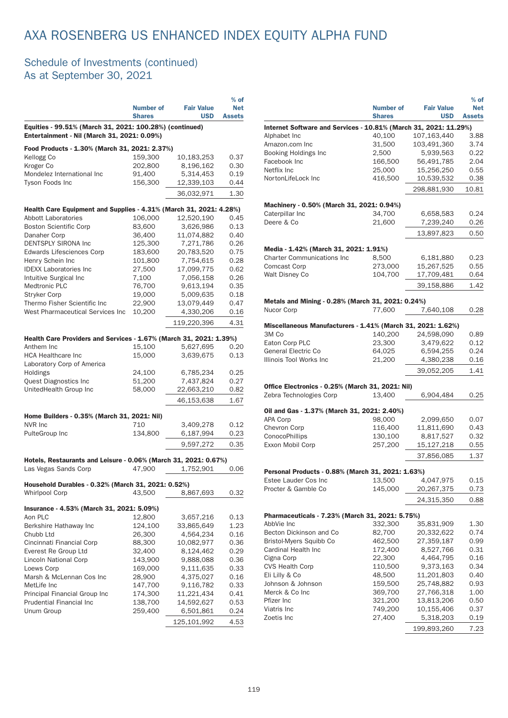### Schedule of Investments (continued) As at September 30, 2021

|                                                                                                        | <b>Number of</b><br><b>Shares</b> | <b>Fair Value</b><br><b>USD</b> | $%$ of<br><b>Net</b><br><b>Assets</b> |
|--------------------------------------------------------------------------------------------------------|-----------------------------------|---------------------------------|---------------------------------------|
| Equities - 99.51% (March 31, 2021: 100.28%) (continued)<br>Entertainment - Nil (March 31, 2021: 0.09%) |                                   |                                 |                                       |
| Food Products - 1.30% (March 31, 2021: 2.37%)                                                          |                                   |                                 |                                       |
| Kellogg Co                                                                                             | 159,300                           | 10,183,253                      | 0.37                                  |
| Kroger Co                                                                                              | 202,800                           | 8,196,162                       | 0.30                                  |
| Mondelez International Inc                                                                             | 91,400                            | 5,314,453                       | 0.19                                  |
| Tyson Foods Inc                                                                                        | 156,300                           | 12,339,103                      | 0.44                                  |
|                                                                                                        |                                   | 36,032,971                      | 1.30                                  |
| Health Care Equipment and Supplies - 4.31% (March 31, 2021: 4.28%)                                     |                                   |                                 |                                       |
| Abbott Laboratories                                                                                    | 106,000                           | 12,520,190                      | 0.45                                  |
| <b>Boston Scientific Corp</b>                                                                          | 83,600                            | 3,626,986                       | 0.13                                  |
| Danaher Corp                                                                                           | 36,400                            | 11,074,882                      | 0.40                                  |
| <b>DENTSPLY SIRONA Inc</b>                                                                             | 125,300                           | 7,271,786                       | 0.26                                  |
| <b>Edwards Lifesciences Corp</b>                                                                       | 183,600                           | 20,783,520                      | 0.75                                  |
| Henry Schein Inc                                                                                       | 101,800                           | 7,754,615                       | 0.28                                  |
| <b>IDEXX Laboratories Inc.</b>                                                                         | 27,500                            | 17,099,775                      | 0.62                                  |
| Intuitive Surgical Inc                                                                                 | 7,100                             | 7,056,158                       | 0.26                                  |
| <b>Medtronic PLC</b>                                                                                   | 76,700                            | 9,613,194                       | 0.35                                  |
| <b>Stryker Corp</b>                                                                                    | 19,000                            | 5,009,635                       | 0.18                                  |
| Thermo Fisher Scientific Inc                                                                           | 22,900                            | 13,079,449                      | 0.47                                  |
| West Pharmaceutical Services Inc.                                                                      | 10,200                            | 4,330,206                       | 0.16                                  |
|                                                                                                        |                                   |                                 |                                       |
|                                                                                                        |                                   | 119,220,396                     | 4.31                                  |
| Health Care Providers and Services - 1.67% (March 31, 2021: 1.39%)                                     |                                   |                                 |                                       |
| Anthem Inc                                                                                             | 15,100                            | 5,627,695                       | 0.20                                  |
| <b>HCA Healthcare Inc</b>                                                                              | 15,000                            | 3,639,675                       | 0.13                                  |
| Laboratory Corp of America                                                                             |                                   |                                 |                                       |
| Holdings                                                                                               | 24,100                            | 6,785,234                       | 0.25                                  |
| Quest Diagnostics Inc                                                                                  | 51,200                            | 7,437,824                       | 0.27                                  |
| UnitedHealth Group Inc                                                                                 | 58,000                            | 22,663,210                      | 0.82                                  |
|                                                                                                        |                                   | 46,153,638                      | 1.67                                  |
| Home Builders - 0.35% (March 31, 2021: Nil)                                                            |                                   |                                 |                                       |
| NVR Inc                                                                                                | 710                               | 3,409,278                       | 0.12                                  |
| PulteGroup Inc                                                                                         | 134,800                           | 6,187,994                       | 0.23                                  |
|                                                                                                        |                                   | 9,597,272                       | 0.35                                  |
|                                                                                                        |                                   |                                 |                                       |
| Hotels, Restaurants and Leisure - 0.06% (March 31, 2021: 0.67%)<br>Las Vegas Sands Corp                | 47,900                            | 1,752,901                       | 0.06                                  |
|                                                                                                        |                                   |                                 |                                       |
| Household Durables - 0.32% (March 31, 2021: 0.52%)<br><b>Whirlpool Corp</b>                            | 43.500                            | 8,867,693                       | 0.32                                  |
|                                                                                                        |                                   |                                 |                                       |
| Insurance - 4.53% (March 31, 2021: 5.09%)                                                              |                                   |                                 |                                       |
| Aon PLC                                                                                                | 12,800                            | 3,657,216                       | 0.13                                  |
| Berkshire Hathaway Inc                                                                                 | 124,100                           | 33,865,649                      | 1.23                                  |
| Chubb Ltd                                                                                              | 26,300                            | 4,564,234                       | 0.16                                  |
| Cincinnati Financial Corp                                                                              | 88,300                            | 10,082,977                      | 0.36                                  |
| Everest Re Group Ltd                                                                                   | 32,400                            | 8,124,462                       | 0.29                                  |
| Lincoln National Corp                                                                                  | 143,900                           | 9,888,088                       | 0.36                                  |
| Loews Corp                                                                                             | 169,000                           | 9,111,635                       | 0.33                                  |
| Marsh & McLennan Cos Inc                                                                               | 28,900                            | 4,375,027                       | 0.16                                  |
| MetLife Inc                                                                                            | 147,700                           | 9,116,782                       | 0.33                                  |
| Principal Financial Group Inc                                                                          | 174,300                           | 11,221,434                      | 0.41                                  |
| Prudential Financial Inc                                                                               | 138,700                           | 14,592,627                      | 0.53                                  |
| Unum Group                                                                                             | 259,400                           | 6,501,861                       | 0.24                                  |
|                                                                                                        |                                   | 125,101,992                     | 4.53                                  |
|                                                                                                        |                                   |                                 |                                       |

|                                                                             |                                   |                                 | $%$ of                      |
|-----------------------------------------------------------------------------|-----------------------------------|---------------------------------|-----------------------------|
|                                                                             | <b>Number of</b><br><b>Shares</b> | <b>Fair Value</b><br><b>USD</b> | <b>Net</b><br><b>Assets</b> |
| Internet Software and Services - 10.81% (March 31, 2021: 11.29%)            |                                   |                                 |                             |
| Alphabet Inc                                                                | 40,100                            | 107,163,440                     | 3.88                        |
| Amazon.com Inc                                                              | 31,500                            | 103,491,360                     | 3.74                        |
| <b>Booking Holdings Inc</b>                                                 | 2,500                             | 5.939.563                       | 0.22                        |
| Facebook Inc                                                                | 166,500                           | 56,491,785                      | 2.04                        |
| Netflix Inc                                                                 | 25,000                            | 15,256,250                      | 0.55                        |
| NortonLifeLock Inc                                                          | 416,500                           | 10,539,532                      | 0.38                        |
|                                                                             |                                   | 298,881,930                     | 10.81                       |
| Machinery - 0.50% (March 31, 2021: 0.94%)                                   |                                   |                                 |                             |
| Caterpillar Inc                                                             | 34,700                            | 6,658,583                       | 0.24                        |
| Deere & Co                                                                  | 21,600                            | 7,239,240                       | 0.26                        |
|                                                                             |                                   | 13,897,823                      | 0.50                        |
| Media - 1.42% (March 31, 2021: 1.91%)                                       |                                   |                                 |                             |
| <b>Charter Communications Inc</b>                                           | 8,500                             | 6,181,880                       | 0.23                        |
| <b>Comcast Corp</b>                                                         | 273,000                           | 15,267,525                      | 0.55                        |
| Walt Disney Co                                                              | 104,700                           | 17,709,481                      | 0.64                        |
|                                                                             |                                   | 39.158.886                      | 1.42                        |
| Metals and Mining - 0.28% (March 31, 2021: 0.24%)                           |                                   |                                 |                             |
| Nucor Corp                                                                  | 77,600                            | 7,640,108                       | 0.28                        |
|                                                                             |                                   |                                 |                             |
| Miscellaneous Manufacturers - 1.41% (March 31, 2021: 1.62%)<br>3M Co        | 140,200                           | 24,598,090                      | 0.89                        |
| Eaton Corp PLC                                                              | 23,300                            | 3,479,622                       | 0.12                        |
| <b>General Electric Co</b>                                                  | 64,025                            | 6,594,255                       | 0.24                        |
| Illinois Tool Works Inc                                                     | 21,200                            | 4,380,238                       | 0.16                        |
|                                                                             |                                   | 39,052,205                      | 1.41                        |
|                                                                             |                                   |                                 |                             |
| Office Electronics - 0.25% (March 31, 2021: Nil)<br>Zebra Technologies Corp | 13,400                            | 6,904,484                       | 0.25                        |
| Oil and Gas - 1.37% (March 31, 2021: 2.40%)                                 |                                   |                                 |                             |
| <b>APA Corp</b>                                                             | 98,000                            | 2,099,650                       | 0.07                        |
| Chevron Corp                                                                | 116,400                           | 11,811,690                      | 0.43                        |
| ConocoPhillips                                                              | 130,100                           | 8,817,527                       | 0.32                        |
| Exxon Mobil Corp                                                            | 257,200                           | 15,127,218                      | 0.55                        |
|                                                                             |                                   | 37,856,085                      | 1.37                        |
| Personal Products - 0.88% (March 31, 2021: 1.63%)                           |                                   |                                 |                             |
| Estee Lauder Cos Inc                                                        | 13,500                            | 4,047,975                       | 0.15                        |
| Procter & Gamble Co                                                         | 145,000                           | 20,267,375                      | 0.73                        |
|                                                                             |                                   | 24,315,350                      | 0.88                        |
|                                                                             |                                   |                                 |                             |
| Pharmaceuticals - 7.23% (March 31, 2021: 5.75%)                             |                                   |                                 |                             |
| AbbVie Inc                                                                  | 332,300                           | 35,831,909                      | 1.30                        |
| Becton Dickinson and Co<br><b>Bristol-Myers Squibb Co</b>                   | 82,700<br>462,500                 | 20,332,622<br>27,359,187        | 0.74<br>0.99                |
| Cardinal Health Inc                                                         | 172,400                           | 8,527,766                       | 0.31                        |
| Cigna Corp                                                                  | 22,300                            | 4,464,795                       | 0.16                        |
| <b>CVS Health Corp</b>                                                      | 110,500                           | 9,373,163                       | 0.34                        |
| Eli Lilly & Co                                                              | 48,500                            | 11,201,803                      | 0.40                        |
| Johnson & Johnson                                                           | 159,500                           | 25,748,882                      | 0.93                        |
| Merck & Co Inc                                                              | 369,700                           | 27,766,318                      | 1.00                        |
| Pfizer Inc                                                                  | 321,200                           | 13,813,206                      | 0.50                        |
| Viatris Inc                                                                 | 749,200                           | 10,155,406                      | 0.37                        |
| Zoetis Inc                                                                  | 27,400                            | 5,318,203                       | 0.19                        |
|                                                                             |                                   | 199,893,260                     | 7.23                        |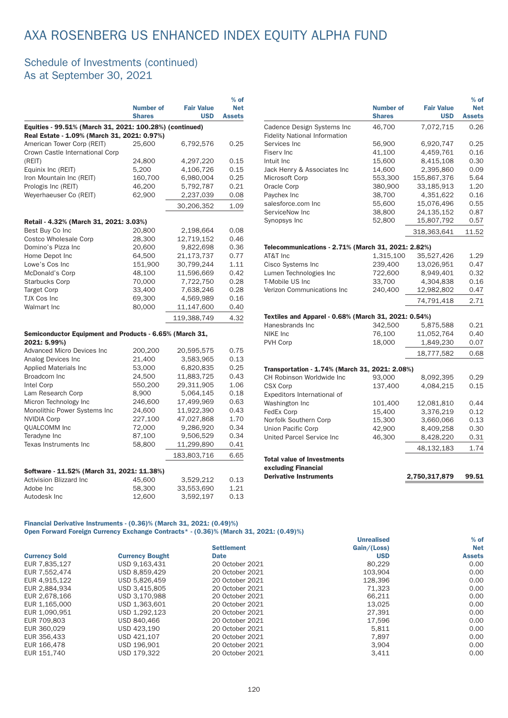#### Schedule of Investments (continued) As at September 30, 2021

|                                                         |                  |                   | $%$ of        |
|---------------------------------------------------------|------------------|-------------------|---------------|
|                                                         | <b>Number of</b> | <b>Fair Value</b> | <b>Net</b>    |
|                                                         | <b>Shares</b>    | <b>USD</b>        | <b>Assets</b> |
| Equities - 99.51% (March 31, 2021: 100.28%) (continued) |                  |                   |               |
| Real Estate - 1.09% (March 31, 2021: 0.97%)             |                  |                   |               |
| American Tower Corp (REIT)                              | 25,600           | 6,792,576         | 0.25          |
| Crown Castle International Corp                         |                  |                   |               |
| (REIT)                                                  | 24,800           | 4,297,220         | 0.15          |
| Equinix Inc (REIT)                                      | 5,200            | 4,106,726         | 0.15          |
| Iron Mountain Inc (REIT)                                | 160,700          | 6,980,004         | 0.25          |
| Prologis Inc (REIT)                                     | 46,200           | 5,792,787         | 0.21          |
| Weyerhaeuser Co (REIT)                                  | 62,900           | 2,237,039         | 0.08          |
|                                                         |                  | 30,206,352        | 1.09          |
| Retail - 4.32% (March 31, 2021: 3.03%)                  |                  |                   |               |
| Best Buy Co Inc                                         | 20,800           | 2,198,664         | 0.08          |
| <b>Costco Wholesale Corp</b>                            | 28,300           | 12,719,152        | 0.46          |
| Domino's Pizza Inc                                      | 20,600           | 9,822,698         | 0.36          |
| Home Depot Inc                                          | 64,500           | 21,173,737        | 0.77          |
| Lowe's Cos Inc                                          | 151,900          | 30,799,244        | 1.11          |
| McDonald's Corp                                         | 48,100           | 11,596,669        | 0.42          |
| <b>Starbucks Corp</b>                                   | 70,000           | 7,722,750         | 0.28          |
| <b>Target Corp</b>                                      | 33,400           | 7,638,246         | 0.28          |
| <b>TJX Cos Inc</b>                                      | 69,300           | 4,569,989         | 0.16          |
| <b>Walmart Inc</b>                                      | 80,000           | 11,147,600        | 0.40          |
|                                                         |                  | 119.388.749       | 4.32          |
| Semiconductor Equipment and Products - 6.65% (March 31, |                  |                   |               |
| 2021: 5.99%)                                            |                  |                   |               |
| <b>Advanced Micro Devices Inc</b>                       | 200,200          | 20,595,575        | 0.75          |
| Analog Devices Inc                                      | 21,400           | 3,583,965         | 0.13          |
| <b>Applied Materials Inc</b>                            | 53,000           | 6,820,835         | 0.25          |
|                                                         |                  |                   | 0.43          |
| Broadcom Inc                                            | 24,500           | 11,883,725        |               |
| Intel Corp                                              | 550,200          | 29,311,905        | 1.06          |
| Lam Research Corp                                       | 8,900            | 5,064,145         | 0.18          |
| Micron Technology Inc                                   | 246,600          | 17,499,969        | 0.63          |
| Monolithic Power Systems Inc                            | 24,600           | 11,922,390        | 0.43          |
| <b>NVIDIA Corp</b>                                      | 227,100          | 47,027,868        | 1.70          |
| <b>QUALCOMM Inc</b>                                     | 72,000           | 9,286,920         | 0.34          |
| Teradyne Inc                                            | 87,100           | 9,506,529         | 0.34          |
| Texas Instruments Inc                                   | 58,800           | 11,299,890        | 0.41          |
|                                                         |                  | 183,803,716       | 6.65          |
| Software - 11.52% (March 31, 2021: 11.38%)              |                  |                   |               |
| <b>Activision Blizzard Inc.</b>                         | 45,600           | 3,529,212         | 0.13          |
| Adobe Inc                                               | 58,300           | 33,553,690        | 1.21          |
| Autodesk Inc                                            | 12,600           | 3,592,197         | 0.13          |
|                                                         |                  |                   |               |

|                                                                    |                  |                   | $%$ of        |
|--------------------------------------------------------------------|------------------|-------------------|---------------|
|                                                                    | <b>Number of</b> | <b>Fair Value</b> | <b>Net</b>    |
|                                                                    | <b>Shares</b>    | <b>USD</b>        | <b>Assets</b> |
| Cadence Design Systems Inc<br><b>Fidelity National Information</b> | 46.700           | 7.072.715         | 0.26          |
| Services Inc                                                       | 56,900           | 6,920,747         | 0.25          |
| Fisery Inc.                                                        | 41,100           | 4,459,761         | 0.16          |
| Intuit Inc                                                         | 15,600           | 8,415,108         | 0.30          |
| Jack Henry & Associates Inc                                        | 14,600           | 2,395,860         | 0.09          |
| Microsoft Corp                                                     | 553,300          | 155,867,376       | 5.64          |
| Oracle Corp                                                        | 380,900          | 33,185,913        | 1.20          |
| Paychex Inc                                                        | 38,700           | 4,351,622         | 0.16          |
| salesforce.com Inc                                                 | 55,600           | 15,076,496        | 0.55          |
| ServiceNow Inc                                                     | 38,800           | 24,135,152        | 0.87          |
| Synopsys Inc                                                       | 52,800           | 15,807,792        | 0.57          |
|                                                                    |                  | 318,363,641       | 11.52         |
| Telecommunications - 2.71% (March 31, 2021: 2.82%)                 |                  |                   |               |
| AT&T Inc                                                           | 1,315,100        | 35,527,426        | 1.29          |
| Cisco Systems Inc                                                  | 239,400          | 13,026,951        | 0.47          |
| Lumen Technologies Inc                                             | 722,600          | 8,949,401         | 0.32          |
| T-Mobile US Inc.                                                   | 33.700           | 4.304.838         | 0.16          |
| Verizon Communications Inc.                                        | 240,400          | 12,982,802        | 0.47          |
|                                                                    |                  | 74,791,418        | 2.71          |
| Textiles and Apparel - 0.68% (March 31, 2021: 0.54%)               |                  |                   |               |
| Hanesbrands Inc.                                                   | 342,500          | 5,875,588         | 0.21          |
| <b>NIKE Inc</b>                                                    | 76,100           | 11,052,764        | 0.40          |
| PVH Corp                                                           | 18,000           | 1,849,230         | 0.07          |
|                                                                    |                  | 18,777,582        | 0.68          |
| Transportation - 1.74% (March 31, 2021: 2.08%)                     |                  |                   |               |
| CH Robinson Worldwide Inc                                          | 93,000           | 8,092,395         | 0.29          |
| <b>CSX Corp</b>                                                    | 137,400          | 4,084,215         | 0.15          |
| Expeditors International of                                        |                  |                   |               |
| Washington Inc                                                     | 101,400          | 12,081,810        | 0.44          |
| FedEx Corp                                                         | 15,400           | 3,376,219         | 0.12          |
| Norfolk Southern Corp                                              | 15,300           | 3,660,066         | 0.13          |
| Union Pacific Corp                                                 | 42,900           | 8,409,258         | 0.30          |
| United Parcel Service Inc                                          | 46,300           | 8,428,220         | 0.31          |
|                                                                    |                  | 48,132,183        | 1.74          |
| <b>Total value of Investments</b>                                  |                  |                   |               |
| excluding Financial                                                |                  |                   |               |
| <b>Derivative Instruments</b>                                      |                  | 2,750,317,879     | 99.51         |
|                                                                    |                  |                   |               |

#### Financial Derivative Instruments - (0.36)% (March 31, 2021: (0.49)%) Open Forward Foreign Currency Exchange Contracts\* - (0.36)% (March 31, 2021: (0.49)%)

|                      |                        |                   | <b>Unrealised</b> | $%$ of        |
|----------------------|------------------------|-------------------|-------------------|---------------|
|                      |                        | <b>Settlement</b> | Gain/(Loss)       | <b>Net</b>    |
| <b>Currency Sold</b> | <b>Currency Bought</b> | <b>Date</b>       | <b>USD</b>        | <b>Assets</b> |
| EUR 7.835.127        | USD 9.163.431          | 20 October 2021   | 80.229            | 0.00          |
| EUR 7,552,474        | USD 8.859.429          | 20 October 2021   | 103.904           | 0.00          |
| EUR 4.915.122        | USD 5.826.459          | 20 October 2021   | 128,396           | 0.00          |
| EUR 2.884.934        | USD 3.415.805          | 20 October 2021   | 71.323            | 0.00          |
| EUR 2,678,166        | USD 3.170.988          | 20 October 2021   | 66.211            | 0.00          |
| EUR 1.165.000        | USD 1.363.601          | 20 October 2021   | 13.025            | 0.00          |
| EUR 1.090.951        | USD 1,292,123          | 20 October 2021   | 27.391            | 0.00          |
| EUR 709,803          | USD 840.466            | 20 October 2021   | 17.596            | 0.00          |
| EUR 360,029          | USD 423.190            | 20 October 2021   | 5,811             | 0.00          |
| EUR 356,433          | USD 421.107            | 20 October 2021   | 7.897             | 0.00          |
| EUR 166,478          | USD 196.901            | 20 October 2021   | 3.904             | 0.00          |
| EUR 151,740          | USD 179.322            | 20 October 2021   | 3.411             | 0.00          |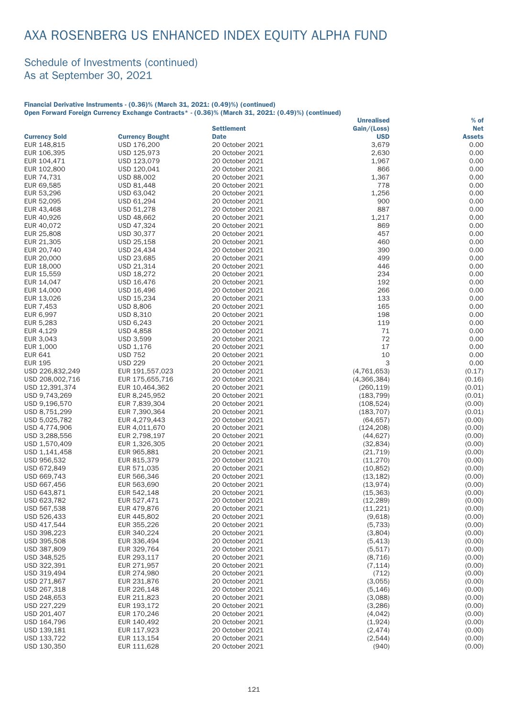#### Schedule of Investments (continued) As at September 30, 2021

#### Financial Derivative Instruments - (0.36)% (March 31, 2021: (0.49)%) (continued) Open Forward Foreign Currency Exchange Contracts\* - (0.36)% (March 31, 2021: (0.49)%) (continued)

|                            |                            |                                    | <b>Unrealised</b>      | % of             |
|----------------------------|----------------------------|------------------------------------|------------------------|------------------|
|                            |                            | <b>Settlement</b>                  | Gain/(Loss)            | <b>Net</b>       |
| <b>Currency Sold</b>       | <b>Currency Bought</b>     | <b>Date</b>                        | <b>USD</b>             | <b>Assets</b>    |
| EUR 148,815                | USD 176,200                | 20 October 2021                    | 3,679                  | 0.00             |
| EUR 106,395                | USD 125,973                | 20 October 2021                    | 2,630                  | 0.00             |
| EUR 104,471                | USD 123,079                | 20 October 2021                    | 1,967                  | 0.00             |
| EUR 102,800                | USD 120,041                | 20 October 2021                    | 866                    | 0.00             |
| EUR 74,731                 | USD 88,002                 | 20 October 2021                    | 1,367                  | 0.00             |
| EUR 69,585                 | USD 81,448                 | 20 October 2021                    | 778                    | 0.00             |
| EUR 53,296                 | USD 63,042                 | 20 October 2021                    | 1,256                  | 0.00             |
| EUR 52,095                 | USD 61,294                 | 20 October 2021                    | 900                    | 0.00             |
| EUR 43,468                 | USD 51,278                 | 20 October 2021                    | 887                    | 0.00             |
| EUR 40,926                 | USD 48,662                 | 20 October 2021                    | 1,217                  | 0.00             |
| EUR 40,072                 | USD 47,324                 | 20 October 2021                    | 869                    | 0.00             |
| EUR 25,808                 | USD 30,377                 | 20 October 2021                    | 457                    | 0.00             |
| EUR 21,305                 | USD 25,158                 | 20 October 2021                    | 460                    | 0.00             |
| EUR 20,740                 | USD 24,434                 | 20 October 2021                    | 390                    | 0.00             |
| EUR 20,000                 | USD 23,685                 | 20 October 2021                    | 499                    | 0.00             |
| EUR 18,000                 | USD 21,314                 | 20 October 2021                    | 446                    | 0.00             |
| EUR 15,559                 | USD 18,272                 | 20 October 2021                    | 234                    | 0.00             |
| EUR 14,047                 | USD 16,476                 | 20 October 2021                    | 192                    | 0.00             |
| EUR 14,000                 | USD 16,496                 | 20 October 2021                    | 266                    | 0.00             |
| EUR 13,026                 | USD 15,234                 | 20 October 2021                    | 133                    | 0.00             |
| EUR 7,453                  | <b>USD 8,806</b>           | 20 October 2021                    | 165                    | 0.00             |
| EUR 6,997                  | USD 8,310                  | 20 October 2021                    | 198                    | 0.00             |
| EUR 5,283                  | USD 6,243                  | 20 October 2021                    | 119                    | 0.00             |
| EUR 4,129                  | <b>USD 4,858</b>           | 20 October 2021                    | 71                     | 0.00             |
| EUR 3,043                  | <b>USD 3,599</b>           | 20 October 2021                    | 72                     | 0.00             |
| EUR 1,000                  | USD 1,176                  | 20 October 2021                    | 17                     | 0.00             |
| <b>EUR 641</b>             | <b>USD 752</b>             | 20 October 2021                    | 10                     | 0.00             |
| <b>EUR 195</b>             | <b>USD 229</b>             | 20 October 2021                    | 3                      | 0.00             |
| USD 226,832,249            | EUR 191,557,023            | 20 October 2021                    | (4,761,653)            | (0.17)           |
| USD 208,002,716            | EUR 175,655,716            | 20 October 2021                    | (4,366,384)            | (0.16)           |
| USD 12,391,374             | EUR 10,464,362             | 20 October 2021                    | (260, 119)             | (0.01)           |
| USD 9,743,269              | EUR 8,245,952              | 20 October 2021                    | (183, 799)             | (0.01)           |
| USD 9,196,570              | EUR 7,839,304              | 20 October 2021                    | (108, 524)             | (0.00)           |
| USD 8,751,299              | EUR 7,390,364              | 20 October 2021                    | (183, 707)             | (0.01)           |
| USD 5,025,782              | EUR 4,279,443              | 20 October 2021                    | (64, 657)              | (0.00)           |
| USD 4,774,906              | EUR 4,011,670              | 20 October 2021                    | (124, 208)             | (0.00)           |
| USD 3,288,556              | EUR 2,798,197              | 20 October 2021                    | (44, 627)              | (0.00)           |
| USD 1,570,409              | EUR 1,326,305              | 20 October 2021                    | (32, 834)              | (0.00)           |
| USD 1,141,458              | EUR 965,881                | 20 October 2021                    | (21, 719)              | (0.00)           |
| USD 956,532                | EUR 815,379                | 20 October 2021                    | (11, 270)              | (0.00)           |
| USD 672,849                | EUR 571,035                | 20 October 2021                    | (10, 852)              | (0.00)           |
| USD 669,743<br>USD 667,456 | EUR 566,346                | 20 October 2021                    | (13, 182)              | (0.00)           |
|                            | EUR 563,690<br>EUR 542.148 | 20 October 2021                    | (13, 974)              | (0.00)           |
| USD 643,871                |                            | 20 October 2021                    | (15, 363)              | (0.00)           |
| USD 623,782<br>USD 567,538 | EUR 527,471<br>EUR 479,876 | 20 October 2021<br>20 October 2021 | (12, 289)<br>(11, 221) | (0.00)<br>(0.00) |
| USD 526,433                | EUR 445,802                | 20 October 2021                    | (9,618)                | (0.00)           |
| USD 417,544                | EUR 355,226                | 20 October 2021                    | (5, 733)               | (0.00)           |
| USD 398,223                | EUR 340,224                | 20 October 2021                    | (3,804)                | (0.00)           |
| USD 395,508                | EUR 336,494                | 20 October 2021                    | (5, 413)               | (0.00)           |
| USD 387,809                | EUR 329,764                | 20 October 2021                    | (5, 517)               | (0.00)           |
| USD 348,525                | EUR 293,117                | 20 October 2021                    | (8, 716)               | (0.00)           |
| USD 322,391                | EUR 271,957                | 20 October 2021                    | (7, 114)               | (0.00)           |
| USD 319,494                | EUR 274,980                | 20 October 2021                    | (712)                  | (0.00)           |
| USD 271,867                | EUR 231,876                | 20 October 2021                    | (3,055)                | (0.00)           |
| USD 267,318                | EUR 226,148                | 20 October 2021                    | (5, 146)               | (0.00)           |
| USD 248,653                | EUR 211,823                | 20 October 2021                    | (3,088)                | (0.00)           |
| USD 227,229                | EUR 193,172                | 20 October 2021                    | (3,286)                | (0.00)           |
| USD 201,407                | EUR 170,246                | 20 October 2021                    | (4,042)                | (0.00)           |
| USD 164,796                | EUR 140,492                | 20 October 2021                    | (1,924)                | (0.00)           |
| USD 139,181                | EUR 117,923                | 20 October 2021                    | (2, 474)               | (0.00)           |
| USD 133,722                | EUR 113,154                | 20 October 2021                    | (2,544)                | (0.00)           |
| USD 130,350                | EUR 111,628                | 20 October 2021                    | (940)                  | (0.00)           |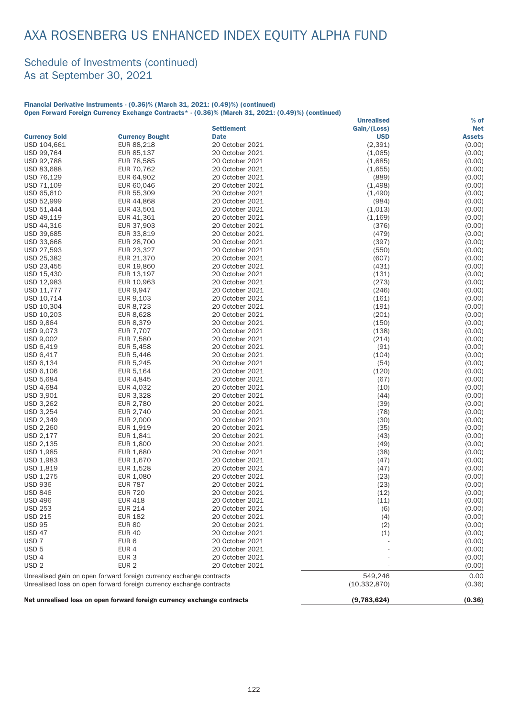#### Schedule of Investments (continued) As at September 30, 2021

#### Financial Derivative Instruments - (0.36)% (March 31, 2021: (0.49)%) (continued) Open Forward Foreign Currency Exchange Contracts\* - (0.36)% (March 31, 2021: (0.49)%) (continued)

|                                  |                                                                         |                                    | <b>Unrealised</b> | $%$ of           |
|----------------------------------|-------------------------------------------------------------------------|------------------------------------|-------------------|------------------|
|                                  |                                                                         | <b>Settlement</b>                  | Gain/(Loss)       | <b>Net</b>       |
| <b>Currency Sold</b>             | <b>Currency Bought</b>                                                  | <b>Date</b>                        | <b>USD</b>        | <b>Assets</b>    |
| USD 104,661                      | EUR 88,218                                                              | 20 October 2021                    | (2, 391)          | (0.00)           |
| USD 99,764                       | EUR 85,137                                                              | 20 October 2021                    | (1,065)           | (0.00)           |
| USD 92,788                       | EUR 78,585                                                              | 20 October 2021                    | (1,685)           | (0.00)           |
| USD 83,688                       | EUR 70,762                                                              | 20 October 2021                    | (1,655)           | (0.00)           |
| USD 76,129                       | EUR 64,902                                                              | 20 October 2021                    | (889)             | (0.00)           |
| USD 71,109                       | EUR 60,046                                                              | 20 October 2021                    | (1, 498)          | (0.00)           |
| USD 65,610                       | EUR 55,309                                                              | 20 October 2021                    | (1,490)           | (0.00)           |
| USD 52,999                       | EUR 44,868                                                              | 20 October 2021                    | (984)             | (0.00)           |
| USD 51,444                       | EUR 43,501                                                              | 20 October 2021                    | (1,013)           | (0.00)           |
| USD 49,119                       | EUR 41,361                                                              | 20 October 2021                    | (1, 169)          | (0.00)           |
| USD 44,316                       | EUR 37,903                                                              | 20 October 2021                    | (376)             | (0.00)           |
| USD 39,685                       | EUR 33,819                                                              | 20 October 2021                    | (479)             | (0.00)           |
| USD 33,668                       | EUR 28,700                                                              | 20 October 2021                    | (397)             | (0.00)           |
| USD 27,593                       | EUR 23,327                                                              | 20 October 2021                    | (550)             | (0.00)           |
| USD 25,382                       | EUR 21,370                                                              | 20 October 2021                    | (607)             | (0.00)           |
| USD 23,455                       | EUR 19,860                                                              | 20 October 2021                    | (431)             | (0.00)           |
| USD 15,430                       | EUR 13,197                                                              | 20 October 2021                    | (131)             | (0.00)           |
| USD 12,983                       | EUR 10,963                                                              | 20 October 2021                    | (273)             | (0.00)           |
| USD 11,777                       | EUR 9,947                                                               | 20 October 2021                    | (246)             | (0.00)           |
| USD 10,714                       | EUR 9,103                                                               | 20 October 2021                    | (161)             | (0.00)           |
| USD 10,304                       | EUR 8,723                                                               | 20 October 2021                    | (191)             | (0.00)           |
| USD 10,203                       | EUR 8,628                                                               | 20 October 2021                    | (201)             | (0.00)           |
| <b>USD 9,864</b>                 | EUR 8,379                                                               | 20 October 2021                    | (150)             | (0.00)           |
| USD 9,073                        | <b>EUR 7,707</b>                                                        | 20 October 2021                    | (138)             | (0.00)           |
| USD 9,002                        | EUR 7,580                                                               | 20 October 2021                    | (214)             | (0.00)           |
| USD 6,419                        | EUR 5,458                                                               | 20 October 2021                    | (91)              | (0.00)           |
| USD 6,417                        | EUR 5,446                                                               | 20 October 2021                    | (104)             | (0.00)           |
| USD 6,134                        | EUR 5,245                                                               | 20 October 2021                    | (54)              | (0.00)           |
| USD 6,106                        | EUR 5,164                                                               | 20 October 2021                    | (120)             | (0.00)           |
| USD 5,684                        | EUR 4,845                                                               | 20 October 2021                    | (67)              | (0.00)           |
| USD 4,684                        | EUR 4,032                                                               | 20 October 2021                    | (10)              | (0.00)           |
| USD 3,901                        | EUR 3,328                                                               | 20 October 2021                    | (44)              | (0.00)           |
| USD 3,262                        | EUR 2,780                                                               | 20 October 2021                    | (39)              | (0.00)           |
| USD 3,254                        | EUR 2,740                                                               | 20 October 2021                    | (78)              | (0.00)           |
| USD 2,349                        | EUR 2,000                                                               | 20 October 2021                    | (30)              | (0.00)           |
| USD 2,260                        | EUR 1,919                                                               | 20 October 2021                    | (35)              | (0.00)           |
| USD 2,177                        | EUR 1,841                                                               | 20 October 2021                    | (43)              | (0.00)           |
| USD 2,135                        | EUR 1,800                                                               | 20 October 2021                    | (49)              | (0.00)           |
| USD 1,985                        | EUR 1,680                                                               | 20 October 2021                    | (38)              | (0.00)<br>(0.00) |
| USD 1,983                        | EUR 1,670                                                               | 20 October 2021                    | (47)              |                  |
| USD 1,819                        | EUR 1,528                                                               | 20 October 2021                    | (47)              | (0.00)           |
| USD 1,275                        | EUR 1,080                                                               | 20 October 2021<br>20 October 2021 | (23)              | (0.00)           |
| <b>USD 936</b>                   | <b>EUR 787</b><br><b>EUR 720</b>                                        |                                    | (23)              | (0.00)           |
| <b>USD 846</b>                   | <b>EUR 418</b>                                                          | 20 October 2021<br>20 October 2021 | (12)              | (0.00)<br>(0.00) |
| <b>USD 496</b><br><b>USD 253</b> | <b>EUR 214</b>                                                          | 20 October 2021                    | (11)              | (0.00)           |
| <b>USD 215</b>                   | <b>EUR 182</b>                                                          | 20 October 2021                    | (6)<br>(4)        | (0.00)           |
| <b>USD 95</b>                    | <b>EUR 80</b>                                                           | 20 October 2021                    |                   | (0.00)           |
| <b>USD 47</b>                    | <b>EUR 40</b>                                                           | 20 October 2021                    | (2)<br>(1)        | (0.00)           |
| USD <sub>7</sub>                 | EUR 6                                                                   | 20 October 2021                    |                   | (0.00)           |
| USD <sub>5</sub>                 | EUR 4                                                                   | 20 October 2021                    |                   | (0.00)           |
| USD <sub>4</sub>                 | EUR <sub>3</sub>                                                        | 20 October 2021                    |                   | (0.00)           |
| USD <sub>2</sub>                 | EUR <sub>2</sub>                                                        | 20 October 2021                    |                   | (0.00)           |
|                                  |                                                                         |                                    |                   |                  |
|                                  | Unrealised gain on open forward foreign currency exchange contracts     |                                    | 549,246           | 0.00             |
|                                  | Unrealised loss on open forward foreign currency exchange contracts     |                                    | (10, 332, 870)    | (0.36)           |
|                                  | Net unrealised loss on open forward foreign currency exchange contracts |                                    | (9,783,624)       | (0.36)           |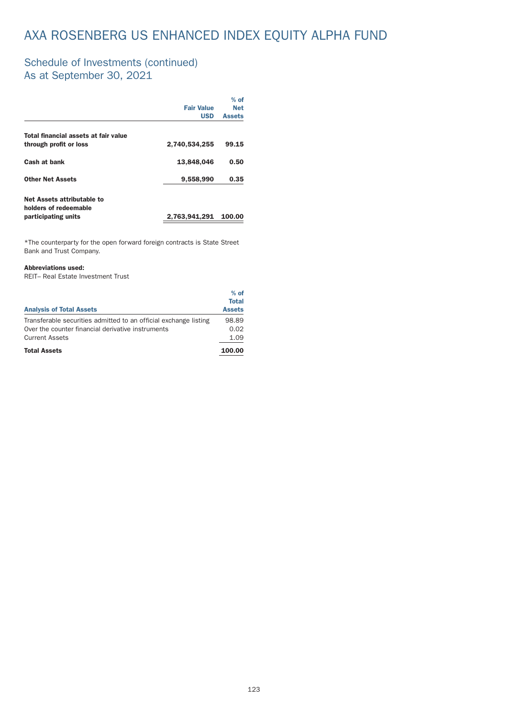#### Schedule of Investments (continued) As at September 30, 2021

|                                                     |                   | $%$ of        |
|-----------------------------------------------------|-------------------|---------------|
|                                                     | <b>Fair Value</b> | <b>Net</b>    |
|                                                     | <b>USD</b>        | <b>Assets</b> |
| Total financial assets at fair value                |                   |               |
| through profit or loss                              | 2,740,534,255     | 99.15         |
| Cash at bank                                        | 13,848,046        | 0.50          |
| <b>Other Net Assets</b>                             | 9,558,990         | 0.35          |
| Net Assets attributable to<br>holders of redeemable |                   |               |
| participating units                                 | 2,763,941,291     | 100.00        |
|                                                     |                   |               |

 $*$ The counterparty for the open forward foreign contracts is State Street Bank and Trust Company.

#### Abbreviations used:

REIT– Real Estate Investment Trust

|                                                                  | $%$ of        |
|------------------------------------------------------------------|---------------|
|                                                                  | <b>Total</b>  |
| <b>Analysis of Total Assets</b>                                  | <b>Assets</b> |
| Transferable securities admitted to an official exchange listing | 98.89         |
| Over the counter financial derivative instruments                | 0.02          |
| <b>Current Assets</b>                                            | 1.09          |
| <b>Total Assets</b>                                              | 100.00        |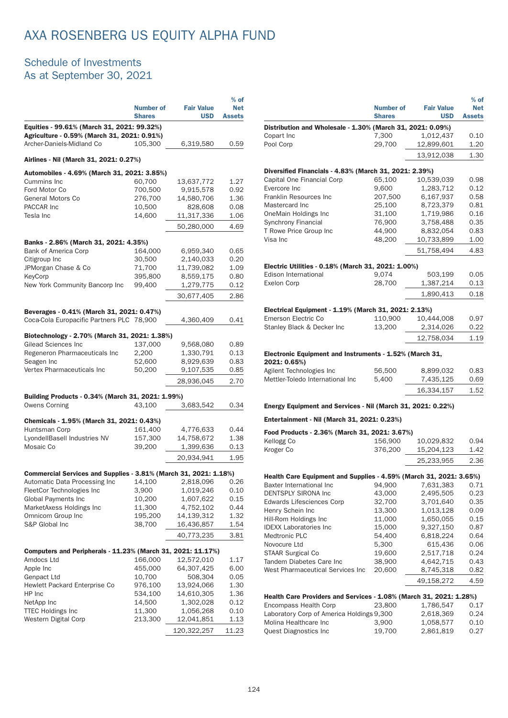### Schedule of Investments As at September 30, 2021

|                                                                                           |                                   |                                 | % of                        |  |
|-------------------------------------------------------------------------------------------|-----------------------------------|---------------------------------|-----------------------------|--|
|                                                                                           | <b>Number of</b><br><b>Shares</b> | <b>Fair Value</b><br><b>USD</b> | <b>Net</b><br><b>Assets</b> |  |
| Equities - 99.61% (March 31, 2021: 99.32%)<br>Agriculture - 0.59% (March 31, 2021: 0.91%) |                                   |                                 |                             |  |
| Archer-Daniels-Midland Co                                                                 | 105,300                           | 6,319,580                       | 0.59                        |  |
|                                                                                           |                                   |                                 |                             |  |
| Airlines - Nil (March 31, 2021: 0.27%)                                                    |                                   |                                 |                             |  |
| Automobiles - 4.69% (March 31, 2021: 3.85%)                                               |                                   |                                 |                             |  |
| Cummins Inc                                                                               | 60,700                            | 13,637,772                      | 1.27                        |  |
| Ford Motor Co                                                                             | 700,500                           | 9,915,578                       | 0.92                        |  |
| <b>General Motors Co</b><br>PACCAR Inc                                                    | 276,700<br>10,500                 | 14,580,706<br>828,608           | 1.36<br>0.08                |  |
| Tesla Inc                                                                                 | 14,600                            | 11,317,336                      | 1.06                        |  |
|                                                                                           |                                   | 50,280,000                      | 4.69                        |  |
|                                                                                           |                                   |                                 |                             |  |
| Banks - 2.86% (March 31, 2021: 4.35%)                                                     |                                   |                                 |                             |  |
| Bank of America Corp                                                                      | 164,000                           | 6,959,340                       | 0.65                        |  |
| Citigroup Inc                                                                             | 30,500                            | 2,140,033                       | 0.20                        |  |
| JPMorgan Chase & Co<br>KeyCorp                                                            | 71,700<br>395,800                 | 11,739,082<br>8,559,175         | 1.09<br>0.80                |  |
| New York Community Bancorp Inc                                                            | 99,400                            | 1,279,775                       | 0.12                        |  |
|                                                                                           |                                   | 30,677,405                      | 2.86                        |  |
|                                                                                           |                                   |                                 |                             |  |
| Beverages - 0.41% (March 31, 2021: 0.47%)                                                 |                                   |                                 |                             |  |
| Coca-Cola Europacific Partners PLC 78,900                                                 |                                   | 4,360,409                       | 0.41                        |  |
| Biotechnology - 2.70% (March 31, 2021: 1.38%)                                             |                                   |                                 |                             |  |
| Gilead Sciences Inc                                                                       | 137,000                           | 9,568,080                       | 0.89                        |  |
| Regeneron Pharmaceuticals Inc                                                             | 2,200                             | 1,330,791                       | 0.13                        |  |
| Seagen Inc                                                                                | 52,600                            | 8,929,639                       | 0.83                        |  |
| Vertex Pharmaceuticals Inc                                                                | 50,200                            | 9,107,535                       | 0.85                        |  |
|                                                                                           |                                   | 28,936,045                      | 2.70                        |  |
| Building Products - 0.34% (March 31, 2021: 1.99%)                                         |                                   |                                 |                             |  |
| <b>Owens Corning</b>                                                                      | 43,100                            | 3,683,542                       | 0.34                        |  |
|                                                                                           |                                   |                                 |                             |  |
| Chemicals - 1.95% (March 31, 2021: 0.43%)                                                 |                                   |                                 |                             |  |
| Huntsman Corp<br>LyondellBasell Industries NV                                             | 161,400<br>157,300                | 4,776,633<br>14,758,672         | 0.44<br>1.38                |  |
| Mosaic Co                                                                                 | 39,200                            | 1,399,636                       | 0.13                        |  |
|                                                                                           |                                   | 20,934,941                      | 1.95                        |  |
|                                                                                           |                                   |                                 |                             |  |
| Commercial Services and Supplies - 3.81% (March 31, 2021: 1.18%)                          |                                   |                                 |                             |  |
| Automatic Data Processing Inc                                                             | 14,100                            | 2,818,096                       | 0.26                        |  |
| FleetCor Technologies Inc                                                                 | 3,900                             | 1,019,246                       | 0.10                        |  |
| Global Payments Inc<br>MarketAxess Holdings Inc                                           | 10,200<br>11,300                  | 1,607,622<br>4,752,102          | 0.15<br>0.44                |  |
| Omnicom Group Inc                                                                         | 195,200                           | 14,139,312                      | 1.32                        |  |
| S&P Global Inc                                                                            | 38,700                            | 16,436,857                      | 1.54                        |  |
|                                                                                           |                                   | 40,773,235                      | 3.81                        |  |
|                                                                                           |                                   |                                 |                             |  |
| Computers and Peripherals - 11.23% (March 31, 2021: 11.17%)                               |                                   |                                 |                             |  |
| Amdocs Ltd<br>Apple Inc                                                                   | 166,000<br>455,000                | 12,572,010<br>64,307,425        | 1.17<br>6.00                |  |
| Genpact Ltd                                                                               | 10,700                            | 508,304                         | 0.05                        |  |
| Hewlett Packard Enterprise Co                                                             | 976,100                           | 13,924,066                      | 1.30                        |  |
| HP Inc                                                                                    | 534,100                           | 14,610,305                      | 1.36                        |  |
| NetApp Inc                                                                                | 14,500                            | 1,302,028                       | 0.12                        |  |
| <b>TTEC Holdings Inc</b>                                                                  | 11,300                            | 1,056,268                       | 0.10                        |  |
| Western Digital Corp                                                                      | 213,300                           | 12,041,851                      | 1.13                        |  |
|                                                                                           |                                   | 120,322,257                     | 11.23                       |  |

|                                                                                                |                                   |                                 | $%$ of                      |
|------------------------------------------------------------------------------------------------|-----------------------------------|---------------------------------|-----------------------------|
|                                                                                                | <b>Number of</b><br><b>Shares</b> | <b>Fair Value</b><br><b>USD</b> | <b>Net</b><br><b>Assets</b> |
| Distribution and Wholesale - 1.30% (March 31, 2021: 0.09%)                                     |                                   |                                 |                             |
| Copart Inc                                                                                     | 7.300                             | 1,012,437                       | 0.10                        |
| Pool Corp                                                                                      | 29,700                            | 12,899,601                      | 1.20                        |
|                                                                                                |                                   | 13,912,038                      | 1.30                        |
| Diversified Financials - 4.83% (March 31, 2021: 2.39%)                                         |                                   |                                 |                             |
| Capital One Financial Corp                                                                     | 65.100                            | 10,539,039                      | 0.98                        |
| Evercore Inc                                                                                   | 9,600                             | 1,283,712                       | 0.12                        |
| Franklin Resources Inc                                                                         | 207,500                           | 6,167,937                       | 0.58                        |
| Mastercard Inc                                                                                 | 25,100                            | 8,723,379                       | 0.81                        |
| OneMain Holdings Inc                                                                           | 31,100                            | 1,719,986                       | 0.16                        |
| Synchrony Financial                                                                            | 76,900                            | 3,758,488                       | 0.35                        |
| T Rowe Price Group Inc                                                                         | 44,900                            | 8,832,054                       | 0.83                        |
| Visa Inc                                                                                       | 48,200                            | 10,733,899                      | 1.00                        |
|                                                                                                |                                   | 51,758,494                      | 4.83                        |
|                                                                                                |                                   |                                 |                             |
| Electric Utilities - 0.18% (March 31, 2021: 1.00%)<br>Edison International                     | 9,074                             | 503,199                         | 0.05                        |
| Exelon Corp                                                                                    | 28,700                            | 1,387,214                       | 0.13                        |
|                                                                                                |                                   |                                 |                             |
|                                                                                                |                                   | 1,890,413                       | 0.18                        |
| Electrical Equipment - 1.19% (March 31, 2021: 2.13%)                                           |                                   |                                 |                             |
| Emerson Electric Co                                                                            | 110,900                           | 10,444,008                      | 0.97                        |
| Stanley Black & Decker Inc                                                                     | 13,200                            | 2,314,026                       | 0.22                        |
|                                                                                                |                                   | 12,758,034                      | 1.19                        |
| Electronic Equipment and Instruments - 1.52% (March 31,                                        |                                   |                                 |                             |
| 2021: 0.65%)                                                                                   |                                   |                                 |                             |
| Agilent Technologies Inc                                                                       |                                   |                                 |                             |
|                                                                                                |                                   |                                 |                             |
| Mettler-Toledo International Inc.                                                              | 56,500                            | 8,899,032                       | 0.83                        |
|                                                                                                | 5.400                             | 7,435,125                       | 0.69                        |
|                                                                                                |                                   | 16,334,157                      | 1.52                        |
| Energy Equipment and Services - Nil (March 31, 2021: 0.22%)                                    |                                   |                                 |                             |
| Entertainment - Nil (March 31, 2021: 0.23%)                                                    |                                   |                                 |                             |
| Food Products - 2.36% (March 31, 2021: 3.67%)                                                  |                                   |                                 |                             |
| Kellogg Co                                                                                     | 156,900                           | 10,029,832                      | 0.94                        |
| Kroger Co                                                                                      | 376,200                           | 15,204,123                      | 1.42                        |
|                                                                                                |                                   | 25,233,955                      | 2.36                        |
|                                                                                                |                                   |                                 |                             |
| Health Care Equipment and Supplies - 4.59% (March 31, 2021: 3.65%)<br>Baxter International Inc |                                   |                                 |                             |
| <b>DENTSPLY SIRONA Inc.</b>                                                                    | 94,900<br>43,000                  | 7,631,383<br>2,495,505          | 0.71<br>0.23                |

| Kellogg Co                                                         | 156,900 | 10,029,832 | 0.94 |
|--------------------------------------------------------------------|---------|------------|------|
| Kroger Co                                                          | 376,200 | 15,204,123 | 1.42 |
|                                                                    |         | 25,233,955 | 2.36 |
|                                                                    |         |            |      |
| Health Care Equipment and Supplies - 4.59% (March 31, 2021: 3.65%) |         |            |      |
| Baxter International Inc                                           | 94,900  | 7,631,383  | 0.71 |
| <b>DENTSPLY SIRONA Inc.</b>                                        | 43,000  | 2,495,505  | 0.23 |
| Edwards Lifesciences Corp                                          | 32,700  | 3,701,640  | 0.35 |
| Henry Schein Inc                                                   | 13,300  | 1,013,128  | 0.09 |
| Hill-Rom Holdings Inc                                              | 11,000  | 1,650,055  | 0.15 |
| <b>IDEXX Laboratories Inc.</b>                                     | 15,000  | 9,327,150  | 0.87 |
| Medtronic PLC                                                      | 54,400  | 6,818,224  | 0.64 |
| Novocure Ltd                                                       | 5,300   | 615,436    | 0.06 |
| <b>STAAR Surgical Co</b>                                           | 19,600  | 2,517,718  | 0.24 |
| Tandem Diabetes Care Inc                                           | 38,900  | 4,642,715  | 0.43 |
| West Pharmaceutical Services Inc                                   | 20,600  | 8,745,318  | 0.82 |
|                                                                    |         | 49,158,272 | 4.59 |
| Health Care Providers and Services - 1.08% (March 31, 2021: 1.28%) |         |            |      |
| Encompass Health Corp                                              | 23,800  | 1,786,547  | 0.17 |
| Laboratory Corp of America Holdings 9,300                          |         | 2,618,369  | 0.24 |
| Molina Healthcare Inc                                              | 3,900   | 1,058,577  | 0.10 |
| <b>Quest Diagnostics Inc.</b>                                      | 19,700  | 2,861,819  | 0.27 |
|                                                                    |         |            |      |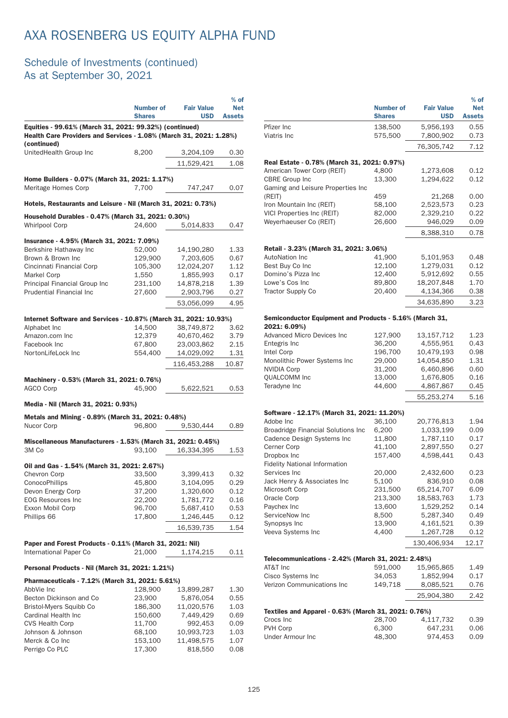### Schedule of Investments (continued) As at September 30, 2021

|                                                                                  |                                                                                                                              |                   | $%$ of        |  |  |
|----------------------------------------------------------------------------------|------------------------------------------------------------------------------------------------------------------------------|-------------------|---------------|--|--|
|                                                                                  | <b>Number of</b>                                                                                                             | <b>Fair Value</b> | <b>Net</b>    |  |  |
|                                                                                  | <b>Shares</b>                                                                                                                | <b>USD</b>        | <b>Assets</b> |  |  |
|                                                                                  | Equities - 99.61% (March 31, 2021: 99.32%) (continued)<br>Health Care Providers and Services - 1.08% (March 31, 2021: 1.28%) |                   |               |  |  |
| (continued)<br>UnitedHealth Group Inc                                            | 8,200                                                                                                                        | 3,204,109         | 0.30          |  |  |
|                                                                                  |                                                                                                                              | 11,529,421        | 1.08          |  |  |
|                                                                                  |                                                                                                                              |                   |               |  |  |
| Home Builders - 0.07% (March 31, 2021: 1.17%)<br>Meritage Homes Corp             | 7,700                                                                                                                        | 747,247           | 0.07          |  |  |
| Hotels, Restaurants and Leisure - Nil (March 31, 2021: 0.73%)                    |                                                                                                                              |                   |               |  |  |
| Household Durables - 0.47% (March 31, 2021: 0.30%)                               |                                                                                                                              |                   |               |  |  |
| <b>Whirlpool Corp</b>                                                            | 24,600                                                                                                                       | 5,014,833         | 0.47          |  |  |
| Insurance - 4.95% (March 31, 2021: 7.09%)                                        |                                                                                                                              |                   |               |  |  |
| Berkshire Hathaway Inc                                                           | 52,000                                                                                                                       | 14,190,280        | 1.33          |  |  |
| Brown & Brown Inc                                                                | 129,900                                                                                                                      | 7,203,605         | 0.67          |  |  |
| Cincinnati Financial Corp                                                        | 105,300                                                                                                                      | 12,024,207        | 1.12          |  |  |
| Markel Corp                                                                      | 1,550                                                                                                                        | 1,855,993         | 0.17          |  |  |
| Principal Financial Group Inc                                                    | 231,100                                                                                                                      | 14,878,218        | 1.39          |  |  |
| <b>Prudential Financial Inc.</b>                                                 | 27,600                                                                                                                       | 2,903,796         | 0.27          |  |  |
|                                                                                  |                                                                                                                              | 53,056,099        | 4.95          |  |  |
|                                                                                  |                                                                                                                              |                   |               |  |  |
| Internet Software and Services - 10.87% (March 31, 2021: 10.93%)<br>Alphabet Inc | 14,500                                                                                                                       | 38,749,872        | 3.62          |  |  |
| Amazon.com Inc                                                                   | 12,379                                                                                                                       | 40,670,462        | 3.79          |  |  |
| Facebook Inc                                                                     |                                                                                                                              | 23,003,862        | 2.15          |  |  |
| NortonLifeLock Inc                                                               | 67,800                                                                                                                       |                   | 1.31          |  |  |
|                                                                                  | 554,400                                                                                                                      | 14,029,092        |               |  |  |
|                                                                                  |                                                                                                                              | 116,453,288       | 10.87         |  |  |
| Machinery - 0.53% (March 31, 2021: 0.76%)                                        |                                                                                                                              |                   |               |  |  |
| AGCO Corp                                                                        | 45,900                                                                                                                       | 5,622,521         | 0.53          |  |  |
| Media - Nil (March 31, 2021: 0.93%)                                              |                                                                                                                              |                   |               |  |  |
| Metals and Mining - 0.89% (March 31, 2021: 0.48%)                                |                                                                                                                              |                   |               |  |  |
| Nucor Corp                                                                       | 96,800                                                                                                                       | 9,530,444         | 0.89          |  |  |
| Miscellaneous Manufacturers - 1.53% (March 31, 2021: 0.45%)                      |                                                                                                                              |                   |               |  |  |
| 3M Co                                                                            | 93,100                                                                                                                       | 16,334,395        | 1.53          |  |  |
| Oil and Gas - 1.54% (March 31, 2021: 2.67%)                                      |                                                                                                                              |                   |               |  |  |
| Chevron Corp                                                                     | 33,500                                                                                                                       | 3,399,413         | 0.32          |  |  |
| ConocoPhillips                                                                   | 45,800                                                                                                                       | 3,104,095         | 0.29          |  |  |
| Devon Energy Corp                                                                | 37,200                                                                                                                       | 1,320,600         | 0.12          |  |  |
| <b>EOG Resources Inc</b>                                                         | 22,200                                                                                                                       | 1,781,772         | 0.16          |  |  |
| Exxon Mobil Corp                                                                 | 96,700                                                                                                                       | 5,687,410         | 0.53          |  |  |
| Phillips 66                                                                      | 17,800                                                                                                                       | 1,246,445         | 0.12          |  |  |
|                                                                                  |                                                                                                                              | 16,539,735        | 1.54          |  |  |
|                                                                                  |                                                                                                                              |                   |               |  |  |
| Paper and Forest Products - 0.11% (March 31, 2021: Nil)                          |                                                                                                                              |                   |               |  |  |
| International Paper Co                                                           | 21,000                                                                                                                       | 1,174,215         | 0.11          |  |  |
| Personal Products - Nil (March 31, 2021: 1.21%)                                  |                                                                                                                              |                   |               |  |  |
| Pharmaceuticals - 7.12% (March 31, 2021: 5.61%)                                  |                                                                                                                              |                   |               |  |  |
| AbbVie Inc                                                                       | 128,900                                                                                                                      | 13,899,287        | 1.30          |  |  |
| Becton Dickinson and Co                                                          | 23,900                                                                                                                       | 5,876,054         | 0.55          |  |  |
| Bristol-Myers Squibb Co                                                          | 186,300                                                                                                                      | 11,020,576        | 1.03          |  |  |
| Cardinal Health Inc                                                              | 150,600                                                                                                                      | 7,449,429         | 0.69          |  |  |
| <b>CVS Health Corp</b>                                                           | 11,700                                                                                                                       | 992,453           | 0.09          |  |  |
| Johnson & Johnson                                                                | 68,100                                                                                                                       | 10,993,723        | 1.03          |  |  |
| Merck & Co Inc                                                                   | 153,100                                                                                                                      | 11,498,575        | 1.07          |  |  |
| Perrigo Co PLC                                                                   | 17,300                                                                                                                       | 818,550           | 0.08          |  |  |

Perrigo Co PLC

|                                                                | <b>Number of</b><br><b>Shares</b> | <b>Fair Value</b><br><b>USD</b> | $%$ of<br><b>Net</b><br><b>Assets</b> |
|----------------------------------------------------------------|-----------------------------------|---------------------------------|---------------------------------------|
| Pfizer Inc                                                     | 138,500                           | 5,956,193                       | 0.55                                  |
| Viatris Inc                                                    | 575,500                           | 7,800,902                       | 0.73                                  |
|                                                                |                                   | 76,305,742                      | 7.12                                  |
| Real Estate - 0.78% (March 31, 2021: 0.97%)                    |                                   |                                 |                                       |
| American Tower Corp (REIT)                                     | 4,800                             | 1,273,608                       | 0.12                                  |
| <b>CBRE</b> Group Inc<br>Gaming and Leisure Properties Inc     | 13,300                            | 1,294,622                       | 0.12                                  |
| (REIT)                                                         | 459                               | 21.268                          | 0.00                                  |
| Iron Mountain Inc (REIT)                                       | 58,100                            | 2,523,573                       | 0.23                                  |
| VICI Properties Inc (REIT)                                     | 82,000                            | 2,329,210                       | 0.22                                  |
| Weyerhaeuser Co (REIT)                                         | 26,600                            | 946,029                         | 0.09                                  |
|                                                                |                                   | 8,388,310                       | 0.78                                  |
| Retail - 3.23% (March 31, 2021: 3.06%)                         |                                   |                                 |                                       |
| <b>AutoNation Inc</b>                                          | 41,900                            | 5,101,953                       | 0.48                                  |
| Best Buy Co Inc<br>Domino's Pizza Inc                          | 12,100<br>12,400                  | 1,279,031<br>5,912,692          | 0.12<br>0.55                          |
| Lowe's Cos Inc                                                 | 89.800                            | 18,207,848                      | 1.70                                  |
| <b>Tractor Supply Co</b>                                       | 20,400                            | 4,134,366                       | 0.38                                  |
|                                                                |                                   | 34,635,890                      | 3.23                                  |
| Semiconductor Equipment and Products - 5.16% (March 31,        |                                   |                                 |                                       |
| 2021: 6.09%)                                                   |                                   |                                 |                                       |
| <b>Advanced Micro Devices Inc</b>                              | 127,900                           | 13,157,712                      | 1.23                                  |
| Entegris Inc                                                   | 36,200                            | 4,555,951                       | 0.43                                  |
| Intel Corp<br>Monolithic Power Systems Inc                     | 196,700<br>29,000                 | 10,479,193<br>14,054,850        | 0.98<br>1.31                          |
| <b>NVIDIA Corp</b>                                             | 31,200                            | 6,460,896                       | 0.60                                  |
| QUALCOMM Inc                                                   | 13,000                            | 1,676,805                       | 0.16                                  |
| Teradyne Inc                                                   | 44,600                            | 4,867,867                       | 0.45                                  |
|                                                                |                                   | 55,253,274                      | 5.16                                  |
| Software - 12.17% (March 31, 2021: 11.20%)                     |                                   |                                 |                                       |
| Adobe Inc                                                      | 36,100                            | 20,776,813                      | 1.94                                  |
| <b>Broadridge Financial Solutions Inc</b>                      | 6,200                             | 1,033,199                       | 0.09                                  |
| Cadence Design Systems Inc                                     | 11,800                            | 1,787,110                       | 0.17                                  |
| Cerner Corp                                                    | 41,100                            | 2,897,550                       | 0.27                                  |
| Dropbox Inc<br><b>Fidelity National Information</b>            | 157,400                           | 4,598,441                       | 0.43                                  |
| Services Inc                                                   | 20,000                            | 2,432,600                       | 0.23                                  |
| Jack Henry & Associates Inc                                    | 5,100                             | 836,910                         | 0.08                                  |
| Microsoft Corp                                                 | 231,500                           | 65,214,707                      | 6.09                                  |
| Oracle Corp                                                    | 213,300                           | 18,583,763                      | 1.73                                  |
| Paychex Inc                                                    | 13,600                            | 1,529,252                       | 0.14                                  |
| ServiceNow Inc                                                 | 8,500                             | 5,287,340                       | 0.49                                  |
| Synopsys Inc<br>Veeva Systems Inc                              | 13,900<br>4,400                   | 4,161,521<br>1,267,728          | 0.39<br>0.12                          |
|                                                                |                                   | 130,406,934                     | 12.17                                 |
|                                                                |                                   |                                 |                                       |
| Telecommunications - 2.42% (March 31, 2021: 2.48%)<br>AT&T Inc | 591,000                           | 15,965,865                      | 1.49                                  |
| Cisco Systems Inc                                              | 34,053                            | 1,852,994                       | 0.17                                  |
| Verizon Communications Inc                                     | 149,718                           | 8,085,521                       | 0.76                                  |
|                                                                |                                   | 25,904,380                      | 2.42                                  |
| Textiles and Apparel - 0.63% (March 31, 2021: 0.76%)           |                                   |                                 |                                       |
| Crocs Inc                                                      | 28,700                            | 4,117,732                       | 0.39                                  |
| PVH Corp                                                       | 6,300                             | 647,231                         | 0.06                                  |
| Under Armour Inc                                               | 48,300                            | 974,453                         | 0.09                                  |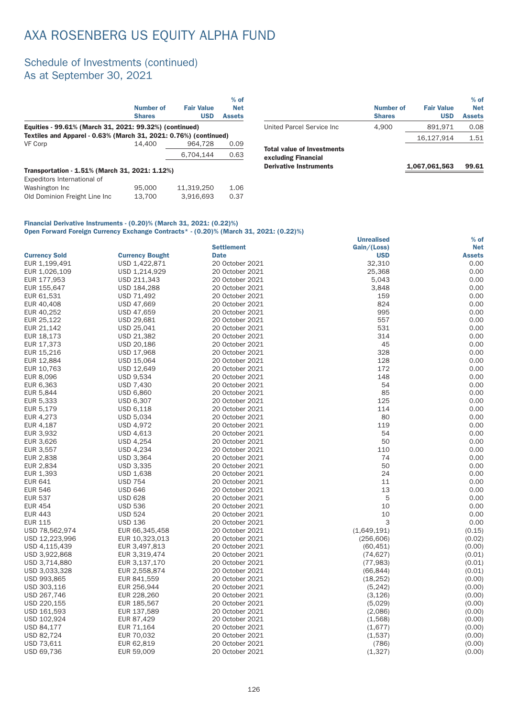### Schedule of Investments (continued) As at September 30, 2021

|                                                                  |               |                   | $%$ of        |
|------------------------------------------------------------------|---------------|-------------------|---------------|
|                                                                  | Number of     | <b>Fair Value</b> | <b>Net</b>    |
|                                                                  | <b>Shares</b> | <b>USD</b>        | <b>Assets</b> |
| Equities - 99.61% (March 31, 2021: 99.32%) (continued)           |               |                   |               |
| Textiles and Apparel - 0.63% (March 31, 2021: 0.76%) (continued) |               |                   |               |
| VF Corp                                                          | 14.400        | 964.728           | 0.09          |
|                                                                  |               | 6.704.144         | 0.63          |
| Transportation - 1.51% (March 31, 2021: 1.12%)                   |               |                   |               |
| Expeditors International of                                      |               |                   |               |
| Washington Inc                                                   | 95,000        | 11.319.250        | 1.06          |
| Old Dominion Freight Line Inc                                    | 13.700        | 3.916.693         | 0.37          |

|                                                                                           | <b>Number of</b><br><b>Shares</b> | <b>Fair Value</b><br><b>USD</b> | $%$ of<br><b>Net</b><br><b>Assets</b> |
|-------------------------------------------------------------------------------------------|-----------------------------------|---------------------------------|---------------------------------------|
| United Parcel Service Inc.                                                                | 4.900                             | 891.971                         | 0.08                                  |
|                                                                                           |                                   | 16.127.914                      | 1.51                                  |
| <b>Total value of Investments</b><br>excluding Financial<br><b>Derivative Instruments</b> |                                   | 1,067,061,563                   | 99.61                                 |

#### Financial Derivative Instruments - (0.20)% (March 31, 2021: (0.22)%) Open Forward Foreign Currency Exchange Contracts\* - (0.20)% (March 31, 2021: (0.22)%)

| <b>Open Forward Foreign Outfolley Exentings Opinitates</b> |                        | $\sim$ (0.20) /// (march 01. 2021. (0.22) // |                   |               |
|------------------------------------------------------------|------------------------|----------------------------------------------|-------------------|---------------|
|                                                            |                        |                                              | <b>Unrealised</b> | $%$ of        |
|                                                            |                        | <b>Settlement</b>                            | Gain/(Loss)       | <b>Net</b>    |
| <b>Currency Sold</b>                                       | <b>Currency Bought</b> | <b>Date</b>                                  | <b>USD</b>        | <b>Assets</b> |
| EUR 1,199,491                                              | USD 1,422,871          | 20 October 2021                              | 32,310            | 0.00          |
| EUR 1,026,109                                              | USD 1,214,929          | 20 October 2021                              | 25,368            | 0.00          |
| EUR 177,953                                                | USD 211,343            | 20 October 2021                              | 5,043             | 0.00          |
| EUR 155,647                                                | USD 184,288            | 20 October 2021                              | 3,848             | 0.00          |
| EUR 61,531                                                 | USD 71,492             | 20 October 2021                              | 159               | 0.00          |
| EUR 40,408                                                 | USD 47,669             | 20 October 2021                              | 824               | 0.00          |
| EUR 40,252                                                 | USD 47,659             | 20 October 2021                              | 995               | 0.00          |
| EUR 25,122                                                 | USD 29,681             | 20 October 2021                              | 557               | 0.00          |
| EUR 21,142                                                 | USD 25,041             | 20 October 2021                              | 531               | 0.00          |
| EUR 18,173                                                 | USD 21,382             | 20 October 2021                              | 314               | 0.00          |
| EUR 17,373                                                 | USD 20,186             | 20 October 2021                              | 45                | 0.00          |
| EUR 15,216                                                 | USD 17,968             | 20 October 2021                              | 328               | 0.00          |
| EUR 12,884                                                 | USD 15,064             | 20 October 2021                              | 128               | 0.00          |
| EUR 10,763                                                 | USD 12,649             | 20 October 2021                              | 172               | 0.00          |
| EUR 8,096                                                  | <b>USD 9,534</b>       | 20 October 2021                              | 148               | 0.00          |
| EUR 6,363                                                  | <b>USD 7,430</b>       | 20 October 2021                              | 54                | 0.00          |
| EUR 5,844                                                  | <b>USD 6,860</b>       | 20 October 2021                              | 85                | 0.00          |
| EUR 5,333                                                  | <b>USD 6,307</b>       | 20 October 2021                              | 125               | 0.00          |
| EUR 5,179                                                  | USD 6,118              | 20 October 2021                              | 114               | 0.00          |
| EUR 4,273                                                  | USD 5,034              | 20 October 2021                              | 80                | 0.00          |
| EUR 4,187                                                  | <b>USD 4,972</b>       | 20 October 2021                              | 119               | 0.00          |
| EUR 3,932                                                  | USD 4,613              | 20 October 2021                              | 54                | 0.00          |
| EUR 3,626                                                  | USD 4,254              | 20 October 2021                              | 50                | 0.00          |
| EUR 3,557                                                  | <b>USD 4,234</b>       | 20 October 2021                              | 110               | 0.00          |
| EUR 2,838                                                  | USD 3,364              | 20 October 2021                              | 74                | 0.00          |
| EUR 2,834                                                  | USD 3,335              | 20 October 2021                              | 50                | 0.00          |
| EUR 1,393                                                  | USD 1,638              | 20 October 2021                              | 24                | 0.00          |
| <b>EUR 641</b>                                             | <b>USD 754</b>         | 20 October 2021                              | 11                | 0.00          |
| <b>EUR 546</b>                                             | <b>USD 646</b>         | 20 October 2021                              | 13                | 0.00          |
| <b>EUR 537</b>                                             | <b>USD 628</b>         | 20 October 2021                              | 5                 | 0.00          |
| <b>EUR 454</b>                                             | <b>USD 536</b>         | 20 October 2021                              | 10                | 0.00          |
| <b>EUR 443</b>                                             | <b>USD 524</b>         | 20 October 2021                              | 10                | 0.00          |
| <b>EUR 115</b>                                             | <b>USD 136</b>         | 20 October 2021                              | 3                 | 0.00          |
| USD 78,562,974                                             |                        | 20 October 2021                              | (1,649,191)       | (0.15)        |
|                                                            | EUR 66,345,458         | 20 October 2021                              |                   | (0.02)        |
| USD 12,223,996                                             | EUR 10,323,013         |                                              | (256, 606)        |               |
| USD 4,115,439                                              | EUR 3,497,813          | 20 October 2021                              | (60, 451)         | (0.00)        |
| USD 3,922,868                                              | EUR 3,319,474          | 20 October 2021                              | (74, 627)         | (0.01)        |
| USD 3,714,880                                              | EUR 3,137,170          | 20 October 2021                              | (77, 983)         | (0.01)        |
| USD 3,033,328                                              | EUR 2,558,874          | 20 October 2021                              | (66, 844)         | (0.01)        |
| USD 993,865                                                | EUR 841,559            | 20 October 2021                              | (18, 252)         | (0.00)        |
| USD 303,116                                                | EUR 256,944            | 20 October 2021                              | (5, 242)          | (0.00)        |
| USD 267,746                                                | EUR 228,260            | 20 October 2021                              | (3, 126)          | (0.00)        |
| USD 220,155                                                | EUR 185,567            | 20 October 2021                              | (5,029)           | (0.00)        |
| USD 161,593                                                | EUR 137,589            | 20 October 2021                              | (2,086)           | (0.00)        |
| USD 102,924                                                | EUR 87,429             | 20 October 2021                              | (1,568)           | (0.00)        |
| USD 84,177                                                 | EUR 71,164             | 20 October 2021                              | (1,677)           | (0.00)        |
| USD 82,724                                                 | EUR 70,032             | 20 October 2021                              | (1,537)           | (0.00)        |
| USD 73,611                                                 | EUR 62,819             | 20 October 2021                              | (786)             | (0.00)        |
| USD 69,736                                                 | EUR 59,009             | 20 October 2021                              | (1, 327)          | (0.00)        |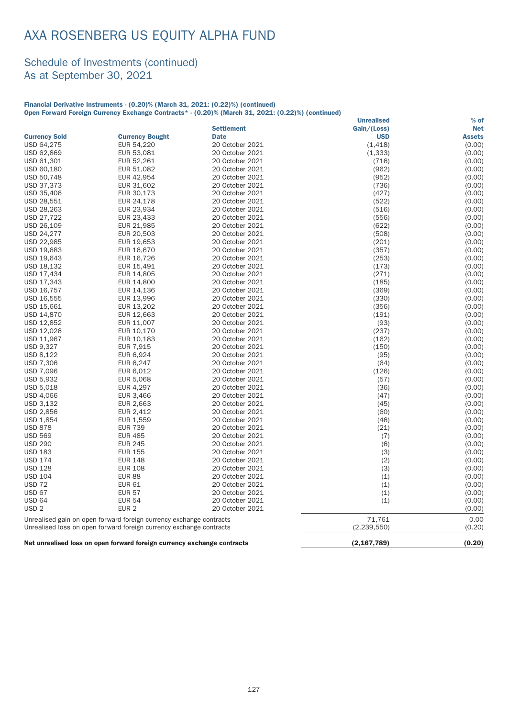#### Schedule of Investments (continued) As at September 30, 2021

#### Financial Derivative Instruments - (0.20)% (March 31, 2021: (0.22)%) (continued) Open Forward Foreign Currency Exchange Contracts\* - (0.20)% (March 31, 2021: (0.22)%) (continued)

|                      |                                                                     |                   | <b>Unrealised</b> | $%$ of        |
|----------------------|---------------------------------------------------------------------|-------------------|-------------------|---------------|
|                      |                                                                     | <b>Settlement</b> | Gain/(Loss)       | <b>Net</b>    |
| <b>Currency Sold</b> | <b>Currency Bought</b>                                              | <b>Date</b>       | <b>USD</b>        | <b>Assets</b> |
| USD 64,275           | EUR 54,220                                                          | 20 October 2021   | (1, 418)          | (0.00)        |
| USD 62,869           | EUR 53,081                                                          | 20 October 2021   | (1, 333)          | (0.00)        |
| USD 61,301           | EUR 52,261                                                          | 20 October 2021   | (716)             | (0.00)        |
| USD 60,180           | EUR 51,082                                                          | 20 October 2021   | (962)             | (0.00)        |
| USD 50,748           | EUR 42,954                                                          | 20 October 2021   | (952)             | (0.00)        |
| USD 37,373           | EUR 31,602                                                          | 20 October 2021   | (736)             | (0.00)        |
| USD 35,406           | EUR 30,173                                                          | 20 October 2021   | (427)             | (0.00)        |
| USD 28,551           | EUR 24,178                                                          | 20 October 2021   | (522)             | (0.00)        |
| USD 28,263           | EUR 23,934                                                          | 20 October 2021   | (516)             | (0.00)        |
| USD 27,722           | EUR 23,433                                                          | 20 October 2021   | (556)             | (0.00)        |
| USD 26,109           | EUR 21,985                                                          | 20 October 2021   | (622)             | (0.00)        |
| USD 24,277           | EUR 20,503                                                          | 20 October 2021   | (508)             | (0.00)        |
| USD 22,985           | EUR 19,653                                                          | 20 October 2021   | (201)             | (0.00)        |
| USD 19,683           | EUR 16,670                                                          | 20 October 2021   | (357)             | (0.00)        |
| USD 19,643           | EUR 16,726                                                          | 20 October 2021   | (253)             | (0.00)        |
| USD 18,132           | EUR 15,491                                                          | 20 October 2021   | (173)             | (0.00)        |
| USD 17,434           | EUR 14,805                                                          | 20 October 2021   | (271)             | (0.00)        |
| USD 17,343           | EUR 14,800                                                          | 20 October 2021   | (185)             | (0.00)        |
| USD 16,757           | EUR 14,136                                                          | 20 October 2021   | (369)             | (0.00)        |
| USD 16,555           | EUR 13,996                                                          | 20 October 2021   | (330)             | (0.00)        |
| USD 15,661           | EUR 13,202                                                          | 20 October 2021   | (356)             | (0.00)        |
| USD 14,870           | EUR 12,663                                                          | 20 October 2021   | (191)             | (0.00)        |
| USD 12,852           | EUR 11,007                                                          | 20 October 2021   | (93)              | (0.00)        |
| USD 12,026           | EUR 10,170                                                          | 20 October 2021   | (237)             | (0.00)        |
| USD 11,967           | EUR 10,183                                                          | 20 October 2021   | (162)             | (0.00)        |
| <b>USD 9,327</b>     | EUR 7,915                                                           | 20 October 2021   | (150)             | (0.00)        |
| USD 8,122            | EUR 6,924                                                           | 20 October 2021   | (95)              | (0.00)        |
| <b>USD 7,306</b>     | EUR 6,247                                                           | 20 October 2021   | (64)              | (0.00)        |
| <b>USD 7,096</b>     | EUR 6,012                                                           | 20 October 2021   | (126)             | (0.00)        |
| USD 5,932            | EUR 5,068                                                           | 20 October 2021   | (57)              | (0.00)        |
| USD 5,018            | EUR 4,297                                                           | 20 October 2021   | (36)              | (0.00)        |
| USD 4,066            | EUR 3,466                                                           | 20 October 2021   | (47)              | (0.00)        |
| USD 3,132            | EUR 2,663                                                           | 20 October 2021   | (45)              | (0.00)        |
| USD 2,856            | EUR 2,412                                                           | 20 October 2021   | (60)              | (0.00)        |
| USD 1,854            | EUR 1,559                                                           | 20 October 2021   | (46)              | (0.00)        |
| <b>USD 878</b>       | <b>EUR 739</b>                                                      | 20 October 2021   | (21)              | (0.00)        |
| <b>USD 569</b>       | <b>EUR 485</b>                                                      | 20 October 2021   | (7)               | (0.00)        |
| <b>USD 290</b>       | <b>EUR 245</b>                                                      | 20 October 2021   | (6)               | (0.00)        |
| <b>USD 183</b>       | <b>EUR 155</b>                                                      | 20 October 2021   | (3)               | (0.00)        |
| <b>USD 174</b>       | <b>EUR 148</b>                                                      | 20 October 2021   | (2)               | (0.00)        |
| <b>USD 128</b>       | <b>EUR 108</b>                                                      | 20 October 2021   | (3)               | (0.00)        |
| <b>USD 104</b>       | <b>EUR 88</b>                                                       | 20 October 2021   | (1)               | (0.00)        |
| <b>USD 72</b>        | <b>EUR 61</b>                                                       | 20 October 2021   | (1)               | (0.00)        |
| <b>USD 67</b>        | <b>EUR 57</b>                                                       | 20 October 2021   | (1)               | (0.00)        |
| <b>USD 64</b>        | <b>EUR 54</b>                                                       | 20 October 2021   | (1)               | (0.00)        |
| USD <sub>2</sub>     | EUR <sub>2</sub>                                                    | 20 October 2021   |                   | (0.00)        |
|                      |                                                                     |                   | 71,761            | 0.00          |
|                      | Unrealised gain on open forward foreign currency exchange contracts |                   |                   |               |
|                      | Unrealised loss on open forward foreign currency exchange contracts |                   | (2, 239, 550)     | (0.20)        |

Net unrealised loss on open forward foreign currency exchange contracts (2,167,789) (0.20)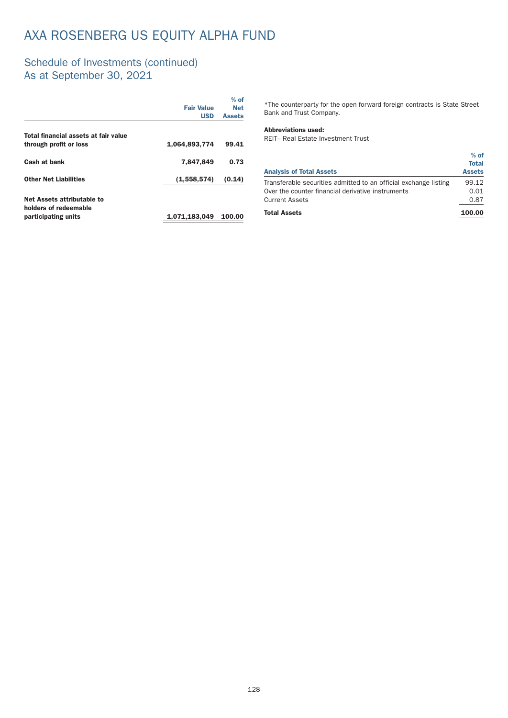### Schedule of Investments (continued) As at September 30, 2021

|                                                                            | <b>Fair Value</b><br><b>USD</b> | $%$ of<br><b>Net</b><br><b>Assets</b> |
|----------------------------------------------------------------------------|---------------------------------|---------------------------------------|
| Total financial assets at fair value                                       |                                 |                                       |
| through profit or loss                                                     | 1,064,893,774                   | 99.41                                 |
| Cash at bank                                                               | 7,847,849                       | 0.73                                  |
| <b>Other Net Liabilities</b>                                               | (1,558,574)                     | (0.14)                                |
| Net Assets attributable to<br>holders of redeemable<br>participating units | 1,071,183,049                   | 100.00                                |

\*The counterpar ty for the open forward foreign contracts is State Street Bank and Trust Company.

#### Abbreviations used:

REIT– Real Estate Investment Trust

| <b>Analysis of Total Assets</b>                                  | $%$ of<br><b>Total</b><br><b>Assets</b> |
|------------------------------------------------------------------|-----------------------------------------|
|                                                                  |                                         |
| Transferable securities admitted to an official exchange listing | 99.12                                   |
| Over the counter financial derivative instruments                | 0.01                                    |
| <b>Current Assets</b>                                            | 0.87                                    |
| <b>Total Assets</b>                                              | 100.00                                  |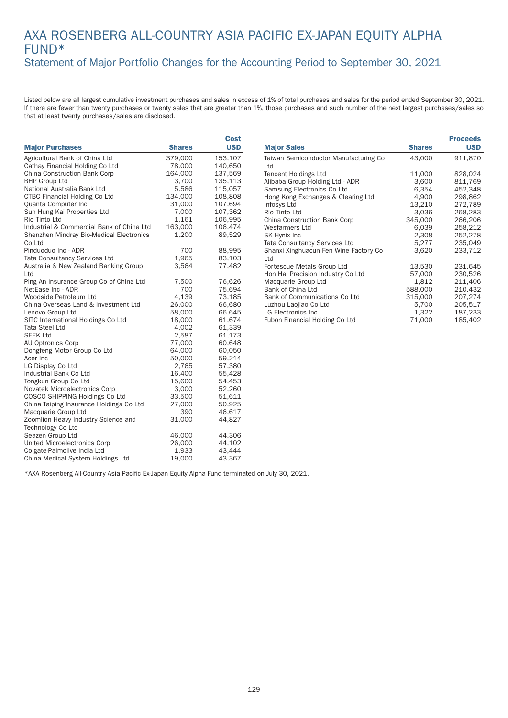### AXA ROSENBERG ALL-COUNTRY ASIA PACIFIC EX-JAPAN EQUITY ALPHA FUND\* Statement of Major Portfolio Changes for the Accounting Period to September 30, 2021

Listed below are all largest cumulative investment purchases and sales in excess of 1% of total purchases and sales for the period ended September 30, 2021. If there are fewer than twenty purchases or twenty sales that are greater than 1%, those purchases and such number of the next largest purchases/sales so that at least twenty purchases/sales are disclosed.

|                                                          |               | Cost       |
|----------------------------------------------------------|---------------|------------|
| <b>Major Purchases</b>                                   | <b>Shares</b> | <b>USD</b> |
| Agricultural Bank of China Ltd                           | 379,000       | 153,107    |
| Cathay Financial Holding Co Ltd                          | 78,000        | 140,650    |
| <b>China Construction Bank Corp</b>                      | 164,000       | 137,569    |
| <b>BHP Group Ltd</b>                                     | 3,700         | 135,113    |
| National Australia Bank Ltd                              | 5,586         | 115,057    |
| <b>CTBC Financial Holding Co Ltd</b>                     | 134,000       | 108,808    |
| Quanta Computer Inc                                      | 31,000        | 107,694    |
| Sun Hung Kai Properties Ltd                              | 7,000         | 107,362    |
| Rio Tinto Ltd                                            | 1,161         | 106,995    |
| Industrial & Commercial Bank of China Ltd                | 163,000       | 106,474    |
| Shenzhen Mindray Bio-Medical Electronics<br>Co Ltd       | 1,200         | 89,529     |
| Pinduoduo Inc - ADR                                      | 700           | 88,995     |
| <b>Tata Consultancy Services Ltd</b>                     | 1,965         | 83,103     |
| Australia & New Zealand Banking Group                    | 3,564         | 77,482     |
| Ltd                                                      |               |            |
| Ping An Insurance Group Co of China Ltd                  | 7,500         | 76,626     |
| NetEase Inc - ADR                                        | 700           | 75,694     |
| Woodside Petroleum Ltd                                   | 4,139         | 73,185     |
| China Overseas Land & Investment Ltd                     | 26,000        | 66,680     |
| Lenovo Group Ltd                                         | 58,000        | 66,645     |
| SITC International Holdings Co Ltd                       | 18,000        | 61,674     |
| Tata Steel Ltd                                           | 4,002         | 61,339     |
| <b>SEEK Ltd</b>                                          | 2,587         | 61,173     |
| AU Optronics Corp                                        | 77,000        | 60,648     |
| Dongfeng Motor Group Co Ltd                              | 64,000        | 60,050     |
| Acer Inc                                                 | 50,000        | 59,214     |
| LG Display Co Ltd                                        | 2,765         | 57,380     |
| Industrial Bank Co Ltd                                   | 16,400        | 55,428     |
| Tongkun Group Co Ltd                                     | 15,600        | 54,453     |
| Novatek Microelectronics Corp                            | 3,000         | 52,260     |
| COSCO SHIPPING Holdings Co Ltd                           | 33,500        | 51,611     |
| China Taiping Insurance Holdings Co Ltd                  | 27,000        | 50,925     |
| Macquarie Group Ltd                                      | 390           | 46,617     |
| Zoomlion Heavy Industry Science and<br>Technology Co Ltd | 31,000        | 44,827     |
| Seazen Group Ltd                                         | 46,000        | 44,306     |
| United Microelectronics Corp                             | 26,000        | 44,102     |
| Colgate-Palmolive India Ltd                              | 1,933         | 43,444     |
| China Medical System Holdings Ltd                        | 19,000        | 43,367     |
|                                                          |               |            |

|                                               |               | <b>Proceeds</b> |
|-----------------------------------------------|---------------|-----------------|
| <b>Major Sales</b>                            | <b>Shares</b> | <b>USD</b>      |
| Taiwan Semiconductor Manufacturing Co<br>ht I | 43,000        | 911,870         |
| <b>Tencent Holdings Ltd</b>                   | 11,000        | 828,024         |
| Alibaba Group Holding Ltd - ADR               | 3,600         | 811,769         |
| Samsung Electronics Co Ltd                    | 6,354         | 452,348         |
| Hong Kong Exchanges & Clearing Ltd            | 4,900         | 298,862         |
| Infosys Ltd                                   | 13,210        | 272,789         |
| Rio Tinto Ltd                                 | 3,036         | 268,283         |
| China Construction Bank Corp                  | 345,000       | 266,206         |
| Wesfarmers Ltd                                | 6,039         | 258,212         |
| SK Hynix Inc                                  | 2,308         | 252,278         |
| <b>Tata Consultancy Services Ltd</b>          | 5,277         | 235,049         |
| Shanxi Xinghuacun Fen Wine Factory Co<br>Ltd  | 3,620         | 233,712         |
| Fortescue Metals Group Ltd                    | 13,530        | 231,645         |
| Hon Hai Precision Industry Co Ltd             | 57,000        | 230,526         |
| Macquarie Group Ltd                           | 1,812         | 211,406         |
| Bank of China Ltd                             | 588,000       | 210,432         |
| Bank of Communications Co Ltd                 | 315,000       | 207,274         |
| Luzhou Laojiao Co Ltd                         | 5,700         | 205,517         |
| <b>LG Electronics Inc.</b>                    | 1,322         | 187,233         |
| Fubon Financial Holding Co Ltd                | 71,000        | 185,402         |

\*AXA Rosenberg All-Country Asia Pacific Ex-Japan Equity Alpha Fund terminated on July 30, 2021.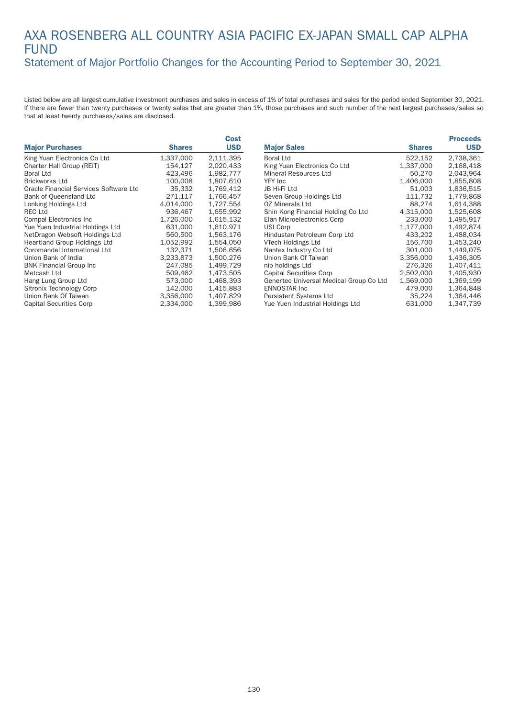#### AXA ROSENBERG ALL COUNTRY ASIA PACIFIC EX-JAPAN SMALL CAP ALPHA FUND Statement of Major Portfolio Changes for the Accounting Period to September 30, 2021

|                                        |               | <b>Cost</b> |
|----------------------------------------|---------------|-------------|
| <b>Major Purchases</b>                 | <b>Shares</b> | <b>USD</b>  |
| King Yuan Electronics Co Ltd           | 1,337,000     | 2,111,395   |
| Charter Hall Group (REIT)              | 154,127       | 2,020,433   |
| <b>Boral Ltd</b>                       | 423,496       | 1,982,777   |
| <b>Brickworks Ltd</b>                  | 100.008       | 1.807.610   |
| Oracle Financial Services Software Ltd | 35,332        | 1,769,412   |
| Bank of Queensland Ltd                 | 271.117       | 1.766.457   |
| Lonking Holdings Ltd                   | 4,014,000     | 1,727,554   |
| <b>REC Ltd</b>                         | 936,467       | 1,655,992   |
| <b>Compal Electronics Inc.</b>         | 1,726,000     | 1.615.132   |
| Yue Yuen Industrial Holdings Ltd       | 631,000       | 1,610,971   |
| NetDragon Websoft Holdings Ltd         | 560,500       | 1,563,176   |
| <b>Heartland Group Holdings Ltd</b>    | 1,052,992     | 1,554,050   |
| Coromandel International Ltd           | 132.371       | 1,506,656   |
| Union Bank of India                    | 3,233,873     | 1,500,276   |
| <b>BNK Financial Group Inc.</b>        | 247,085       | 1,499,729   |
| Metcash Ltd                            | 509.462       | 1,473,505   |
| Hang Lung Group Ltd                    | 573,000       | 1,468,393   |
| Sitronix Technology Corp               | 142.000       | 1,415,883   |
| Union Bank Of Taiwan                   | 3,356,000     | 1,407,829   |
| <b>Capital Securities Corp</b>         | 2,334,000     | 1,399,986   |

|                                         |               | <b>Proceeds</b> |
|-----------------------------------------|---------------|-----------------|
| <b>Major Sales</b>                      | <b>Shares</b> | <b>USD</b>      |
| Boral Ltd                               | 522,152       | 2,738,361       |
| King Yuan Electronics Co Ltd            | 1,337,000     | 2,168,418       |
| Mineral Resources Ltd                   | 50,270        | 2.043.964       |
| YFY Inc                                 | 1,406,000     | 1,855,808       |
| JB Hi-Fi Ltd                            | 51,003        | 1,836,515       |
| Seven Group Holdings Ltd                | 111,732       | 1,779,868       |
| OZ Minerals Ltd                         | 88,274        | 1,614,388       |
| Shin Kong Financial Holding Co Ltd      | 4,315,000     | 1,525,608       |
| Elan Microelectronics Corp              | 233,000       | 1,495,917       |
| USI Corp                                | 1,177,000     | 1,492,874       |
| Hindustan Petroleum Corp Ltd            | 433,202       | 1,488,034       |
| VTech Holdings Ltd                      | 156,700       | 1,453,240       |
| Nantex Industry Co Ltd                  | 301,000       | 1,449,075       |
| Union Bank Of Taiwan                    | 3,356,000     | 1.436.305       |
| nib holdings Ltd                        | 276,326       | 1,407,411       |
| <b>Capital Securities Corp</b>          | 2,502,000     | 1,405,930       |
| Genertec Universal Medical Group Co Ltd | 1,569,000     | 1,369,199       |
| <b>ENNOSTAR Inc.</b>                    | 479,000       | 1,364,848       |
| Persistent Systems Ltd                  | 35,224        | 1,364,446       |
| Yue Yuen Industrial Holdings Ltd        | 631,000       | 1,347,739       |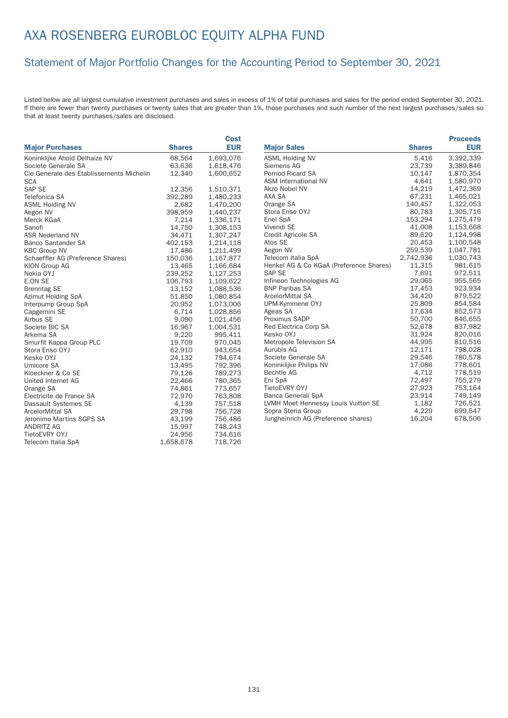## AXA ROSENBERG EUROBLOC EQUITY ALPHA FUND

#### Statement of Major Portfolio Changes for the Accounting Period to September 30, 2021

|                                          |               | <b>Cost</b> |                                         |               | <b>Proceeds</b> |
|------------------------------------------|---------------|-------------|-----------------------------------------|---------------|-----------------|
| <b>Major Purchases</b>                   | <b>Shares</b> | <b>EUR</b>  | <b>Major Sales</b>                      | <b>Shares</b> | <b>EUR</b>      |
| Koninklijke Ahold Delhaize NV            | 68,564        | 1,693,076   | <b>ASML Holding NV</b>                  | 5,416         | 3,392,339       |
| Societe Generale SA                      | 63,636        | 1,618,476   | Siemens AG                              | 23,739        | 3,389,846       |
| Cie Generale des Etablissements Michelin | 12,340        | 1,600,652   | <b>Pernod Ricard SA</b>                 | 10,147        | 1,870,354       |
| <b>SCA</b>                               |               |             | <b>ASM International NV</b>             | 4,641         | 1,580,970       |
| SAP SE                                   | 12,356        | 1,510,371   | Akzo Nobel NV                           | 14,219        | 1,472,369       |
| Telefonica SA                            | 392,289       | 1,480,233   | AXA SA                                  | 67,231        | 1,465,021       |
| <b>ASML Holding NV</b>                   | 2,682         | 1,470,200   | Orange SA                               | 140,457       | 1,322,053       |
| Aegon NV                                 | 398,959       | 1,440,237   | Stora Enso OYJ                          | 80,783        | 1,305,716       |
| Merck KGaA                               | 7,214         | 1,336,171   | Enel SpA                                | 153,294       | 1,275,479       |
| Sanofi                                   | 14,750        | 1,308,153   | Vivendi SE                              | 41,008        | 1,153,668       |
| <b>ASR Nederland NV</b>                  | 34,471        | 1,307,247   | Credit Agricole SA                      | 89,620        | 1,124,998       |
| <b>Banco Santander SA</b>                | 402,153       | 1,214,118   | Atos SE                                 | 20,453        | 1,100,548       |
| <b>KBC Group NV</b>                      | 17,486        | 1,211,499   | Aegon NV                                | 259,539       | 1,047,781       |
| Schaeffler AG (Preference Shares)        | 150,036       | 1,167,877   | Telecom Italia SpA                      | 2,742,936     | 1,030,743       |
| <b>KION Group AG</b>                     | 13,465        | 1,166,684   | Henkel AG & Co KGaA (Preference Shares) | 11,315        | 981,615         |
| Nokia OYJ                                | 239,252       | 1,127,253   | <b>SAP SE</b>                           | 7,691         | 972,511         |
| E.ON SE                                  | 106,793       | 1,109,622   | Infineon Technologies AG                | 29,065        | 955,565         |
| <b>Brenntag SE</b>                       | 13,152        | 1,088,536   | <b>BNP Paribas SA</b>                   | 17,453        | 923,934         |
| Azimut Holding SpA                       | 51,850        | 1,080,854   | ArcelorMittal SA                        | 34,420        | 879,522         |
| Interpump Group SpA                      | 20,952        | 1,073,006   | UPM-Kymmene OYJ                         | 25,809        | 854,584         |
| Capgemini SE                             | 6,714         | 1,028,856   | Ageas SA                                | 17,634        | 852,573         |
| Airbus SE                                | 9,090         | 1,021,456   | Proximus SADP                           | 50,700        | 846,655         |
| Societe BIC SA                           | 16,967        | 1,004,531   | Red Electrica Corp SA                   | 52,678        | 837,982         |
| Arkema SA                                | 9,220         | 995,411     | Kesko OYJ                               | 31,924        | 820,016         |
| Smurfit Kappa Group PLC                  | 19,709        | 970,045     | Metropole Television SA                 | 44,995        | 810,516         |
| Stora Enso OYJ                           | 62,910        | 943,654     | Aurubis AG                              | 12,171        | 798,028         |
| Kesko OYJ                                | 24,132        | 794,674     | Societe Generale SA                     | 29,546        | 780,578         |
| Umicore SA                               | 13,495        | 792,396     | Koninklijke Philips NV                  | 17,086        | 778,601         |
| Kloeckner & Co SE                        | 79,126        | 789,273     | <b>Bechtle AG</b>                       | 4,712         | 778,519         |
| United Internet AG                       | 22,466        | 780,365     | Eni SpA                                 | 72,497        | 755,279         |
| Orange SA                                | 74,861        | 773,657     | TietoEVRY OYJ                           | 27,923        | 753,164         |
| Electricite de France SA                 | 72,970        | 763,808     | Banca Generali SpA                      | 23,914        | 749,149         |
| Dassault Systemes SE                     | 4,139         | 757,518     | LVMH Moet Hennessy Louis Vuitton SE     | 1,182         | 726,521         |
| <b>ArcelorMittal SA</b>                  | 29,798        | 756,728     | Sopra Steria Group                      | 4,229         | 699,547         |
| Jeronimo Martins SGPS SA                 | 43,199        | 756,486     | Jungheinrich AG (Preference shares)     | 16,204        | 678,506         |
| <b>ANDRITZ AG</b>                        | 15,997        | 748,243     |                                         |               |                 |
| TietoEVRY OYJ                            | 24,956        | 734,616     |                                         |               |                 |
| Telecom Italia SpA                       | 1,658,678     | 718,726     |                                         |               |                 |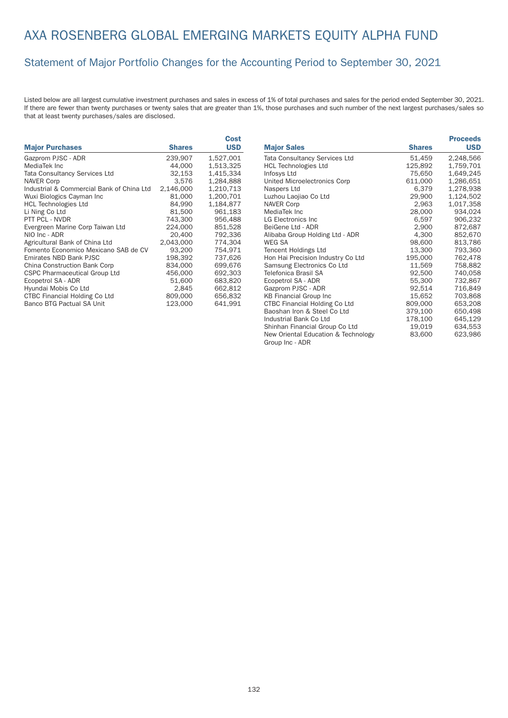## AXA ROSENBERG GLOBAL EMERGING MARKETS EQUITY ALPHA FUND

#### Statement of Major Portfolio Changes for the Accounting Period to September 30, 2021

|                                           |               | Cost       |
|-------------------------------------------|---------------|------------|
| <b>Major Purchases</b>                    | <b>Shares</b> | <b>USD</b> |
| Gazprom PJSC - ADR                        | 239,907       | 1,527,001  |
| MediaTek Inc                              | 44,000        | 1,513,325  |
| <b>Tata Consultancy Services Ltd</b>      | 32,153        | 1.415.334  |
| <b>NAVER Corp</b>                         | 3.576         | 1.284.888  |
| Industrial & Commercial Bank of China Ltd | 2,146,000     | 1,210,713  |
| Wuxi Biologics Cayman Inc                 | 81,000        | 1,200,701  |
| <b>HCL Technologies Ltd</b>               | 84,990        | 1,184,877  |
| Li Ning Co Ltd                            | 81,500        | 961,183    |
| PTT PCL - NVDR                            | 743,300       | 956,488    |
| Evergreen Marine Corp Taiwan Ltd          | 224,000       | 851,528    |
| NIO Inc - ADR                             | 20,400        | 792.336    |
| Agricultural Bank of China Ltd            | 2,043,000     | 774,304    |
| Fomento Economico Mexicano SAB de CV      | 93,200        | 754,971    |
| Emirates NBD Bank PJSC                    | 198.392       | 737.626    |
| China Construction Bank Corp              | 834,000       | 699,676    |
| <b>CSPC Pharmaceutical Group Ltd</b>      | 456,000       | 692,303    |
| Ecopetrol SA - ADR                        | 51,600        | 683.820    |
| Hyundai Mobis Co Ltd                      | 2.845         | 662,812    |
| <b>CTBC Financial Holding Co Ltd</b>      | 809,000       | 656,832    |
| Banco BTG Pactual SA Unit                 | 123.000       | 641.991    |

|                                      |               | <b>Proceeds</b> |
|--------------------------------------|---------------|-----------------|
| <b>Major Sales</b>                   | <b>Shares</b> | <b>USD</b>      |
| <b>Tata Consultancy Services Ltd</b> | 51,459        | 2,248,566       |
| <b>HCL Technologies Ltd</b>          | 125,892       | 1,759,701       |
| Infosys Ltd                          | 75,650        | 1,649,245       |
| United Microelectronics Corp         | 611,000       | 1,286,651       |
| Naspers Ltd                          | 6,379         | 1,278,938       |
| Luzhou Laojiao Co Ltd                | 29,900        | 1,124,502       |
| <b>NAVER Corp</b>                    | 2,963         | 1,017,358       |
| MediaTek Inc                         | 28,000        | 934,024         |
| <b>LG Electronics Inc</b>            | 6,597         | 906,232         |
| BeiGene Ltd - ADR                    | 2,900         | 872,687         |
| Alibaba Group Holding Ltd - ADR      | 4,300         | 852,670         |
| WEG SA                               | 98,600        | 813,786         |
| <b>Tencent Holdings Ltd</b>          | 13,300        | 793,360         |
| Hon Hai Precision Industry Co Ltd    | 195,000       | 762,478         |
| Samsung Electronics Co Ltd           | 11,569        | 758,882         |
| Telefonica Brasil SA                 | 92,500        | 740,058         |
| Ecopetrol SA - ADR                   | 55,300        | 732,867         |
| Gazprom PJSC - ADR                   | 92,514        | 716,849         |
| <b>KB Financial Group Inc</b>        | 15,652        | 703,868         |
| <b>CTBC Financial Holding Co Ltd</b> | 809,000       | 653,208         |
| Baoshan Iron & Steel Co Ltd          | 379,100       | 650,498         |
| Industrial Bank Co Ltd               | 178,100       | 645,129         |
| Shinhan Financial Group Co Ltd       | 19,019        | 634,553         |
| New Oriental Education & Technology  | 83,600        | 623,986         |
| Group Inc - ADR                      |               |                 |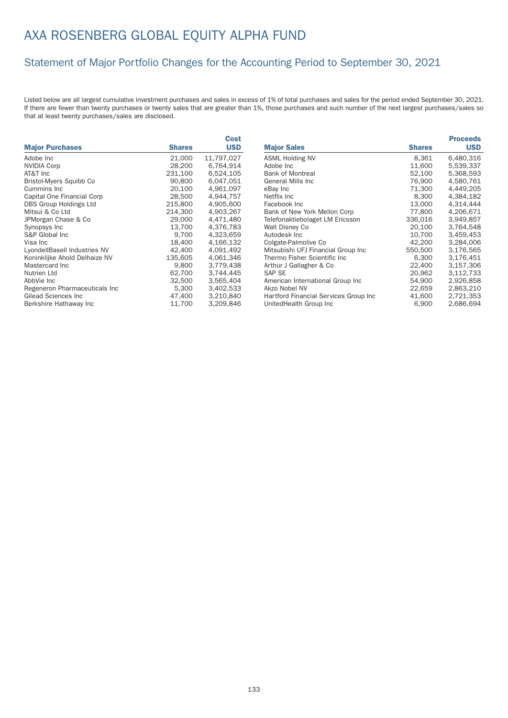## AXA ROSENBERG GLOBAL EQUITY ALPHA FUND

### Statement of Major Portfolio Changes for the Accounting Period to September 30, 2021

|                               |               | Cost       |
|-------------------------------|---------------|------------|
| <b>Major Purchases</b>        | <b>Shares</b> | <b>USD</b> |
| Adobe Inc                     | 21,000        | 11,797,027 |
| <b>NVIDIA Corp</b>            | 28,200        | 6,764,914  |
| AT&T Inc                      | 231,100       | 6,524,105  |
| Bristol-Myers Squibb Co       | 90,800        | 6,047,051  |
| Cummins Inc.                  | 20,100        | 4,961,097  |
| Capital One Financial Corp    | 28,500        | 4,944,757  |
| <b>DBS Group Holdings Ltd</b> | 215,800       | 4,905,600  |
| Mitsui & Co Ltd               | 214,300       | 4,903,267  |
| JPMorgan Chase & Co           | 29,000        | 4.471.480  |
| Synopsys Inc                  | 13.700        | 4.376.783  |
| S&P Global Inc.               | 9,700         | 4,323,659  |
| Visa Inc                      | 18,400        | 4,166,132  |
| LyondellBasell Industries NV  | 42,400        | 4.091.492  |
| Koninklijke Ahold Delhaize NV | 135,605       | 4,061,346  |
| Mastercard Inc.               | 9,800         | 3,779,438  |
| Nutrien Ltd                   | 62,700        | 3,744,445  |
| AbbVie Inc                    | 32,500        | 3,565,404  |
| Regeneron Pharmaceuticals Inc | 5,300         | 3,402,533  |
| <b>Gilead Sciences Inc</b>    | 47,400        | 3,210,840  |
| Berkshire Hathaway Inc        | 11,700        | 3,209,846  |

|                                       |               | <b>Proceeds</b> |
|---------------------------------------|---------------|-----------------|
| <b>Major Sales</b>                    | <b>Shares</b> | <b>USD</b>      |
| <b>ASML Holding NV</b>                | 8,361         | 6,480,316       |
| Adobe Inc                             | 11,600        | 5,539,337       |
| <b>Bank of Montreal</b>               | 52,100        | 5,368,593       |
| <b>General Mills Inc</b>              | 76.900        | 4.580.761       |
| eBay Inc                              | 71,300        | 4,449,205       |
| Netflix Inc.                          | 8,300         | 4.384.182       |
| Facebook Inc                          | 13,000        | 4.314.444       |
| Bank of New York Mellon Corp          | 77,800        | 4,206,671       |
| Telefonaktiebolaget LM Ericsson       | 336,016       | 3.949.857       |
| Walt Disney Co                        | 20,100        | 3,764,548       |
| Autodesk Inc                          | 10,700        | 3,459,453       |
| Colgate-Palmolive Co                  | 42,200        | 3,284,006       |
| Mitsubishi UFJ Financial Group Inc    | 550,500       | 3.176.565       |
| Thermo Fisher Scientific Inc          | 6,300         | 3,176,451       |
| Arthur J Gallagher & Co               | 22,400        | 3,157,306       |
| <b>SAP SE</b>                         | 20,962        | 3,112,733       |
| American International Group Inc      | 54,900        | 2,926,858       |
| Akzo Nobel NV                         | 22,659        | 2,863,210       |
| Hartford Financial Services Group Inc | 41,600        | 2,721,353       |
| UnitedHealth Group Inc                | 6,900         | 2,686,694       |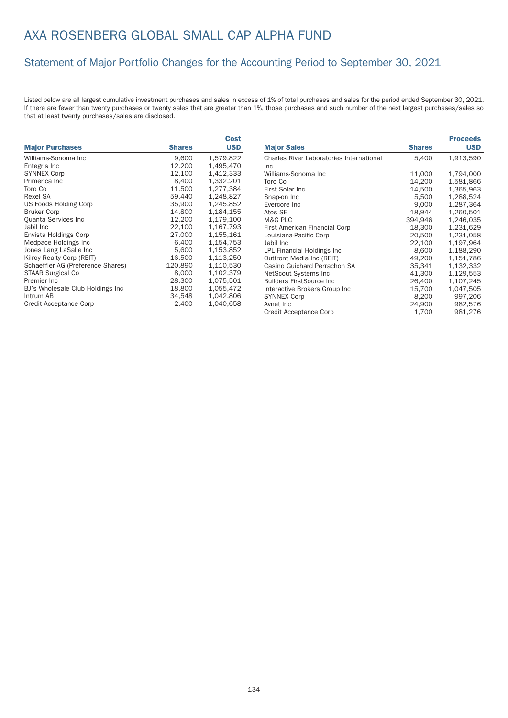## AXA ROSENBERG GLOBAL SMALL CAP ALPHA FUND

### Statement of Major Portfolio Changes for the Accounting Period to September 30, 2021

|                                   |               | Cost       |
|-----------------------------------|---------------|------------|
| <b>Major Purchases</b>            | <b>Shares</b> | <b>USD</b> |
| Williams-Sonoma Inc               | 9,600         | 1,579,822  |
| Entegris Inc                      | 12,200        | 1,495,470  |
| <b>SYNNEX Corp</b>                | 12.100        | 1,412,333  |
| Primerica Inc                     | 8.400         | 1.332.201  |
| Toro Co                           | 11.500        | 1,277,384  |
| Rexel SA                          | 59,440        | 1,248,827  |
| US Foods Holding Corp             | 35,900        | 1,245,852  |
| <b>Bruker Corp</b>                | 14,800        | 1,184,155  |
| Quanta Services Inc               | 12,200        | 1,179,100  |
| Jabil Inc                         | 22,100        | 1,167,793  |
| Envista Holdings Corp             | 27,000        | 1,155,161  |
| Medpace Holdings Inc.             | 6,400         | 1,154,753  |
| Jones Lang LaSalle Inc            | 5,600         | 1,153,852  |
| Kilroy Realty Corp (REIT)         | 16,500        | 1,113,250  |
| Schaeffler AG (Preference Shares) | 120,890       | 1,110,530  |
| <b>STAAR Surgical Co</b>          | 8,000         | 1,102,379  |
| Premier Inc.                      | 28,300        | 1.075.501  |
| BJ's Wholesale Club Holdings Inc  | 18,800        | 1,055,472  |
| Intrum AB                         | 34,548        | 1,042,806  |
| Credit Acceptance Corp            | 2.400         | 1.040.658  |

|                                                 |               | <b>Proceeds</b> |
|-------------------------------------------------|---------------|-----------------|
| <b>Major Sales</b>                              | <b>Shares</b> | <b>USD</b>      |
| <b>Charles River Laboratories International</b> | 5,400         | 1,913,590       |
| <b>Inc</b>                                      |               |                 |
| Williams-Sonoma Inc                             | 11,000        | 1,794,000       |
| Toro Co                                         | 14,200        | 1,581,866       |
| First Solar Inc.                                | 14,500        | 1,365,963       |
| Snap-on Inc                                     | 5,500         | 1,288,524       |
| Evercore Inc                                    | 9,000         | 1,287,364       |
| Atos SE                                         | 18,944        | 1,260,501       |
| M&G PLC                                         | 394,946       | 1,246,035       |
| First American Financial Corp                   | 18,300        | 1,231,629       |
| Louisiana-Pacific Corp                          | 20,500        | 1,231,058       |
| Jabil Inc                                       | 22,100        | 1,197,964       |
| LPL Financial Holdings Inc                      | 8,600         | 1,188,290       |
| Outfront Media Inc (REIT)                       | 49.200        | 1,151,786       |
| Casino Guichard Perrachon SA                    | 35,341        | 1,132,332       |
| NetScout Systems Inc                            | 41,300        | 1,129,553       |
| <b>Builders FirstSource Inc.</b>                | 26,400        | 1,107,245       |
| Interactive Brokers Group Inc                   | 15,700        | 1,047,505       |
| <b>SYNNEX Corp</b>                              | 8,200         | 997,206         |
| Avnet Inc                                       | 24,900        | 982,576         |
| <b>Credit Acceptance Corp</b>                   | 1,700         | 981,276         |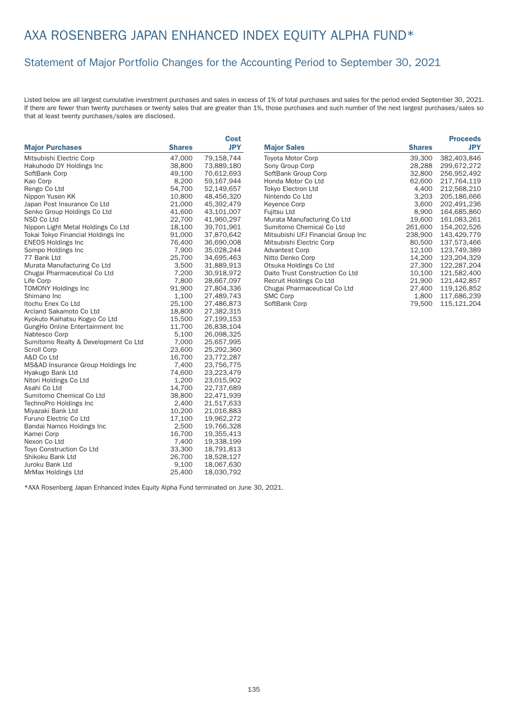#### Statement of Major Portfolio Changes for the Accounting Period to September 30, 2021

Listed below are all largest cumulative investment purchases and sales in excess of 1% of total purchases and sales for the period ended September 30, 2021. If there are fewer than twenty purchases or twenty sales that are greater than 1%, those purchases and such number of the next largest purchases/sales so that at least twenty purchases/sales are disclosed.

|                                      |               | Cost       |
|--------------------------------------|---------------|------------|
| <b>Major Purchases</b>               | <b>Shares</b> | <b>JPY</b> |
| Mitsubishi Electric Corp             | 47,000        | 79,158,744 |
| Hakuhodo DY Holdings Inc             | 38,800        | 73,889,180 |
| SoftBank Corp                        | 49,100        | 70,612,693 |
| Kao Corp                             | 8,200         | 59,167,944 |
| Rengo Co Ltd                         | 54,700        | 52,149,657 |
| Nippon Yusen KK                      | 10,800        | 48,456,320 |
| Japan Post Insurance Co Ltd          | 21,000        | 45,392,479 |
| Senko Group Holdings Co Ltd          | 41,600        | 43,101,007 |
| NSD Co Ltd                           | 22,700        | 41,960,297 |
| Nippon Light Metal Holdings Co Ltd   | 18,100        | 39,701,961 |
| Tokai Tokyo Financial Holdings Inc   | 91,000        | 37,870,642 |
| <b>ENEOS Holdings Inc</b>            | 76,400        | 36,690,008 |
| Sompo Holdings Inc                   | 7,900         | 35,028,244 |
| 77 Bank Ltd                          | 25,700        | 34,695,463 |
| Murata Manufacturing Co Ltd          | 3,500         | 31,889,913 |
| Chugai Pharmaceutical Co Ltd         | 7,200         | 30,918,972 |
| Life Corp                            | 7,800         | 28,667,097 |
| <b>TOMONY Holdings Inc</b>           | 91,900        | 27,804,336 |
| Shimano Inc                          | 1,100         | 27,489,743 |
| Itochu Enex Co Ltd                   | 25,100        | 27,486,873 |
| Arcland Sakamoto Co Ltd              | 18,800        | 27,382,315 |
| Kyokuto Kaihatsu Kogyo Co Ltd        | 15,500        | 27,199,153 |
| GungHo Online Entertainment Inc      | 11,700        | 26,838,104 |
| Nabtesco Corp                        | 5,100         | 26,098,325 |
| Sumitomo Realty & Development Co Ltd | 7,000         | 25,657,995 |
| Scroll Corp                          | 23,600        | 25,292,360 |
| A&D Co Ltd                           | 16,700        | 23,772,287 |
| MS&AD Insurance Group Holdings Inc   | 7,400         | 23,756,775 |
| Hyakugo Bank Ltd                     | 74,600        | 23,223,479 |
| Nitori Holdings Co Ltd               | 1,200         | 23,015,902 |
| Asahi Co Ltd                         | 14,700        | 22,737,689 |
| Sumitomo Chemical Co Ltd             | 38,800        | 22,471,939 |
| TechnoPro Holdings Inc               | 2,400         | 21,517,633 |
| Miyazaki Bank Ltd                    | 10,200        | 21,016,883 |
| Furuno Electric Co Ltd               | 17,100        | 19,962,272 |
| Bandai Namco Holdings Inc            | 2,500         | 19,766,328 |
| Kamei Corp                           | 16,700        | 19,355,413 |
| Nexon Co Ltd                         | 7,400         | 19,338,199 |
| Toyo Construction Co Ltd             | 33,300        | 18,791,813 |
| Shikoku Bank Ltd                     | 26,700        | 18,528,127 |
| Juroku Bank Ltd                      | 9,100         | 18,067,630 |
| MrMax Holdings Ltd                   | 25,400        | 18,030,792 |

|                                    |               | <b>Proceeds</b> |
|------------------------------------|---------------|-----------------|
| <b>Major Sales</b>                 | <b>Shares</b> | <b>JPY</b>      |
| Toyota Motor Corp                  | 39,300        | 382,403,846     |
| Sony Group Corp                    | 28,288        | 299,672,272     |
| SoftBank Group Corp                | 32,800        | 256.952.492     |
| Honda Motor Co Ltd                 | 62,600        | 217.764.119     |
| Tokyo Electron Ltd                 | 4,400         | 212,568,210     |
| Nintendo Co Ltd                    | 3,203         | 205,186,666     |
| <b>Keyence Corp</b>                | 3,600         | 202,491,236     |
| Fujitsu Ltd                        | 8,900         | 164,685,860     |
| Murata Manufacturing Co Ltd        | 19,600        | 161,083,261     |
| Sumitomo Chemical Co Ltd           | 261,600       | 154,202,526     |
| Mitsubishi UFJ Financial Group Inc | 238,900       | 143,429,779     |
| Mitsubishi Electric Corp           | 80,500        | 137,573,466     |
| <b>Advantest Corp</b>              | 12,100        | 123,749,389     |
| Nitto Denko Corp                   | 14,200        | 123.204.329     |
| Otsuka Holdings Co Ltd             | 27,300        | 122,287,204     |
| Daito Trust Construction Co Ltd    | 10,100        | 121,582,400     |
| Recruit Holdings Co Ltd            | 21,900        | 121.442.857     |
| Chugai Pharmaceutical Co Ltd       | 27,400        | 119,126,852     |
| <b>SMC Corp</b>                    | 1,800         | 117,686,239     |
| SoftBank Corp                      | 79,500        | 115,121,204     |

\*AXA Rosenberg Japan Enhanced Index Equity Alpha Fund terminated on June 30, 2021.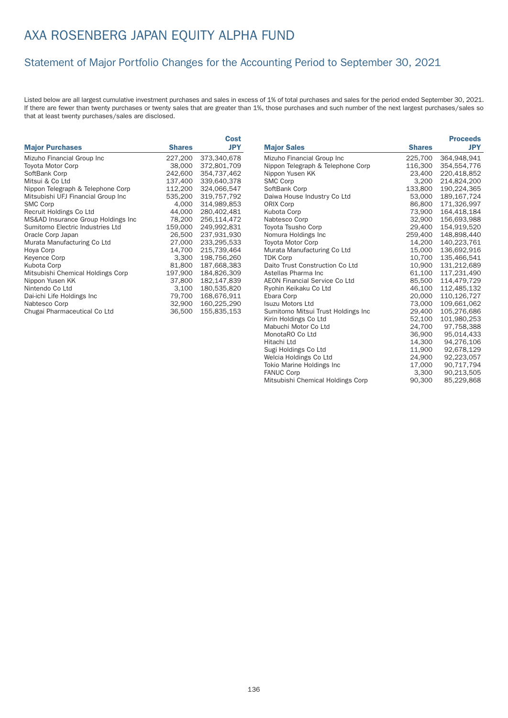### Statement of Major Portfolio Changes for the Accounting Period to September 30, 2021

|                                    |               | Cost        |
|------------------------------------|---------------|-------------|
| <b>Major Purchases</b>             | <b>Shares</b> | <b>JPY</b>  |
| Mizuho Financial Group Inc         | 227,200       | 373,340,678 |
| <b>Toyota Motor Corp</b>           | 38,000        | 372,801,709 |
| SoftBank Corp                      | 242,600       | 354.737.462 |
| Mitsui & Co Ltd                    | 137.400       | 339.640.378 |
| Nippon Telegraph & Telephone Corp  | 112,200       | 324,066,547 |
| Mitsubishi UFJ Financial Group Inc | 535,200       | 319,757,792 |
| <b>SMC Corp</b>                    | 4,000         | 314,989,853 |
| Recruit Holdings Co Ltd            | 44,000        | 280,402,481 |
| MS&AD Insurance Group Holdings Inc | 78,200        | 256,114,472 |
| Sumitomo Electric Industries Ltd   | 159,000       | 249.992.831 |
| Oracle Corp Japan                  | 26,500        | 237,931,930 |
| Murata Manufacturing Co Ltd        | 27,000        | 233,295,533 |
| Hoya Corp                          | 14,700        | 215,739,464 |
| <b>Keyence Corp</b>                | 3,300         | 198,756,260 |
| Kubota Corp                        | 81,800        | 187,668,383 |
| Mitsubishi Chemical Holdings Corp  | 197.900       | 184.826.309 |
| Nippon Yusen KK                    | 37,800        | 182,147,839 |
| Nintendo Co Ltd                    | 3,100         | 180,535,820 |
| Dai-ichi Life Holdings Inc         | 79,700        | 168,676,911 |
| Nabtesco Corp                      | 32,900        | 160,225,290 |
| Chugai Pharmaceutical Co Ltd       | 36,500        | 155,835,153 |

|                                      |               | <b>Proceeds</b> |
|--------------------------------------|---------------|-----------------|
| <b>Major Sales</b>                   | <b>Shares</b> | <b>JPY</b>      |
| Mizuho Financial Group Inc           | 225,700       | 364,948,941     |
| Nippon Telegraph & Telephone Corp    | 116,300       | 354,554,776     |
| Nippon Yusen KK                      | 23,400        | 220,418,852     |
| <b>SMC Corp</b>                      | 3,200         | 214,824,200     |
| SoftBank Corp                        | 133,800       | 190,224,365     |
| Daiwa House Industry Co Ltd          | 53,000        | 189,167,724     |
| <b>ORIX Corp</b>                     | 86,800        | 171,326,997     |
| Kubota Corp                          | 73,900        | 164,418,184     |
| Nabtesco Corp                        | 32,900        | 156,693,988     |
| Toyota Tsusho Corp                   | 29,400        | 154,919,520     |
| Nomura Holdings Inc                  | 259,400       | 148,898,440     |
| <b>Toyota Motor Corp</b>             | 14,200        | 140,223,761     |
| Murata Manufacturing Co Ltd          | 15,000        | 136,692,916     |
| <b>TDK Corp</b>                      | 10,700        | 135,466,541     |
| Daito Trust Construction Co Ltd      | 10,900        | 131,212,689     |
| Astellas Pharma Inc                  | 61,100        | 117,231,490     |
| <b>AEON Financial Service Co Ltd</b> | 85,500        | 114,479,729     |
| Ryohin Keikaku Co Ltd                | 46,100        | 112,485,132     |
| Ebara Corp                           | 20,000        | 110,126,727     |
| <b>Isuzu Motors Ltd</b>              | 73,000        | 109,661,062     |
| Sumitomo Mitsui Trust Holdings Inc   | 29,400        | 105,276,686     |
| Kirin Holdings Co Ltd                | 52,100        | 101,980,253     |
| Mabuchi Motor Co Ltd                 | 24,700        | 97,758,388      |
| MonotaRO Co Ltd                      | 36,900        | 95,014,433      |
| Hitachi Ltd                          | 14,300        | 94,276,106      |
| Sugi Holdings Co Ltd                 | 11,900        | 92,678,129      |
| Welcia Holdings Co Ltd               | 24,900        | 92,223,057      |
| Tokio Marine Holdings Inc            | 17,000        | 90,717,794      |
| <b>FANUC Corp</b>                    | 3,300         | 90,213,505      |
| Mitsubishi Chemical Holdings Corp    | 90,300        | 85,229,868      |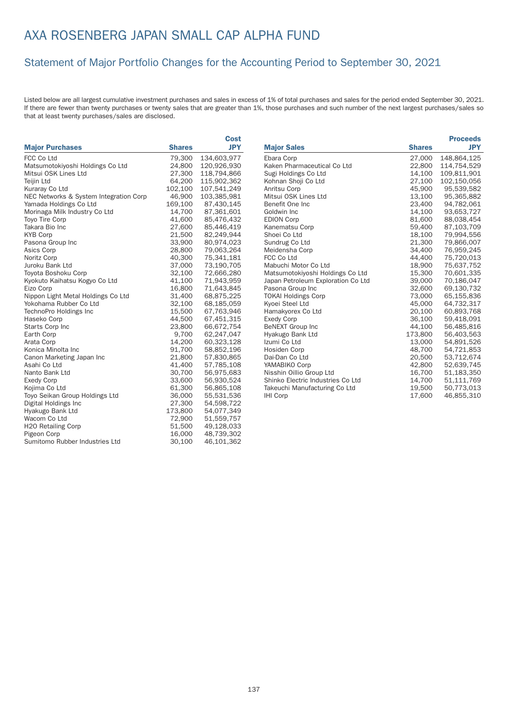#### Statement of Major Portfolio Changes for the Accounting Period to September 30, 2021

|                                        |               | <b>Cost</b> |                                    |               | <b>Proceeds</b> |
|----------------------------------------|---------------|-------------|------------------------------------|---------------|-----------------|
| <b>Major Purchases</b>                 | <b>Shares</b> | <b>JPY</b>  | <b>Major Sales</b>                 | <b>Shares</b> | <b>JPY</b>      |
| FCC Co Ltd                             | 79,300        | 134,603,977 | Ebara Corp                         | 27,000        | 148,864,125     |
| Matsumotokiyoshi Holdings Co Ltd       | 24,800        | 120,926,930 | Kaken Pharmaceutical Co Ltd        | 22,800        | 114,754,529     |
| Mitsui OSK Lines Ltd                   | 27,300        | 118,794,866 | Sugi Holdings Co Ltd               | 14,100        | 109,811,901     |
| Teijin Ltd                             | 64,200        | 115,902,362 | Kohnan Shoji Co Ltd                | 27,100        | 102,150,056     |
| Kuraray Co Ltd                         | 102,100       | 107,541,249 | Anritsu Corp                       | 45,900        | 95,539,582      |
| NEC Networks & System Integration Corp | 46,900        | 103,385,981 | Mitsui OSK Lines Ltd               | 13,100        | 95,365,882      |
| Yamada Holdings Co Ltd                 | 169,100       | 87,430,145  | Benefit One Inc                    | 23,400        | 94,782,061      |
| Morinaga Milk Industry Co Ltd          | 14,700        | 87,361,601  | Goldwin Inc                        | 14,100        | 93,653,727      |
| Toyo Tire Corp                         | 41,600        | 85,476,432  | <b>EDION Corp</b>                  | 81,600        | 88,038,454      |
| Takara Bio Inc                         | 27,600        | 85,446,419  | Kanematsu Corp                     | 59,400        | 87,103,709      |
| <b>KYB Corp</b>                        | 21,500        | 82,249,944  | Shoei Co Ltd                       | 18,100        | 79,994,556      |
| Pasona Group Inc                       | 33,900        | 80,974,023  | Sundrug Co Ltd                     | 21,300        | 79,866,007      |
| Asics Corp                             | 28,800        | 79,063,264  | Meidensha Corp                     | 34,400        | 76,959,245      |
| Noritz Corp                            | 40,300        | 75,341,181  | FCC Co Ltd                         | 44,400        | 75,720,013      |
| Juroku Bank Ltd                        | 37,000        | 73,190,705  | Mabuchi Motor Co Ltd               | 18,900        | 75,637,752      |
| Toyota Boshoku Corp                    | 32,100        | 72,666,280  | Matsumotokiyoshi Holdings Co Ltd   | 15,300        | 70,601,335      |
| Kyokuto Kaihatsu Kogyo Co Ltd          | 41,100        | 71,943,959  | Japan Petroleum Exploration Co Ltd | 39,000        | 70,186,047      |
| Eizo Corp                              | 16,800        | 71,643,845  | Pasona Group Inc                   | 32,600        | 69,130,732      |
| Nippon Light Metal Holdings Co Ltd     | 31,400        | 68,875,225  | <b>TOKAI Holdings Corp</b>         | 73,000        | 65,155,836      |
| Yokohama Rubber Co Ltd                 | 32,100        | 68,185,059  | Kyoei Steel Ltd                    | 45,000        | 64,732,317      |
| TechnoPro Holdings Inc                 | 15,500        | 67,763,946  | Hamakyorex Co Ltd                  | 20,100        | 60,893,768      |
| Haseko Corp                            | 44,500        | 67,451,315  | <b>Exedy Corp</b>                  | 36,100        | 59,418,091      |
| Starts Corp Inc                        | 23,800        | 66,672,754  | BeNEXT Group Inc                   | 44,100        | 56,485,816      |
| Earth Corp                             | 9,700         | 62,247,047  | Hyakugo Bank Ltd                   | 173,800       | 56,403,563      |
| Arata Corp                             | 14,200        | 60,323,128  | Izumi Co Ltd                       | 13,000        | 54,891,526      |
| Konica Minolta Inc                     | 91,700        | 58,852,196  | Hosiden Corp                       | 48,700        | 54,721,853      |
| Canon Marketing Japan Inc              | 21,800        | 57,830,865  | Dai-Dan Co Ltd                     | 20,500        | 53,712,674      |
| Asahi Co Ltd                           | 41,400        | 57,785,108  | YAMABIKO Corp                      | 42,800        | 52,639,745      |
| Nanto Bank Ltd                         | 30,700        | 56,975,683  | Nisshin Oillio Group Ltd           | 16,700        | 51,183,350      |
| <b>Exedy Corp</b>                      | 33,600        | 56,930,524  | Shinko Electric Industries Co Ltd  | 14,700        | 51,111,769      |
| Kojima Co Ltd                          | 61,300        | 56,865,108  | Takeuchi Manufacturing Co Ltd      | 19,500        | 50,773,013      |
| Toyo Seikan Group Holdings Ltd         | 36,000        | 55,531,536  | <b>IHI Corp</b>                    | 17,600        | 46,855,310      |
| Digital Holdings Inc                   | 27,300        | 54,598,722  |                                    |               |                 |
| Hyakugo Bank Ltd                       | 173,800       | 54,077,349  |                                    |               |                 |
| Wacom Co Ltd                           | 72,900        | 51,559,757  |                                    |               |                 |
| <b>H2O Retailing Corp</b>              | 51,500        | 49,128,033  |                                    |               |                 |
| Pigeon Corp                            | 16,000        | 48,739,302  |                                    |               |                 |
| Sumitomo Rubber Industries Ltd         | 30,100        | 46,101,362  |                                    |               |                 |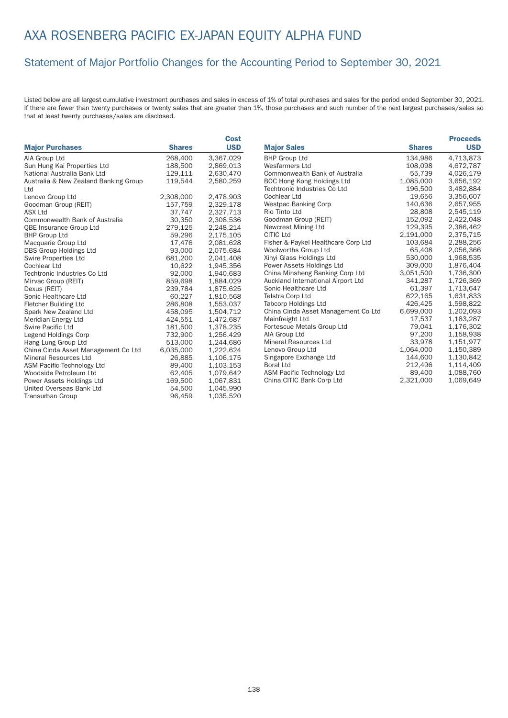## AXA ROSENBERG PACIFIC EX-JAPAN EQUITY ALPHA FUND

#### Statement of Major Portfolio Changes for the Accounting Period to September 30, 2021

|                                       |               | Cost       |                                     |               | <b>Proceeds</b> |
|---------------------------------------|---------------|------------|-------------------------------------|---------------|-----------------|
| <b>Major Purchases</b>                | <b>Shares</b> | <b>USD</b> | <b>Major Sales</b>                  | <b>Shares</b> | <b>USD</b>      |
| AIA Group Ltd                         | 268,400       | 3,367,029  | <b>BHP Group Ltd</b>                | 134,986       | 4,713,873       |
| Sun Hung Kai Properties Ltd           | 188,500       | 2.869.013  | Wesfarmers Ltd                      | 108.098       | 4,672,787       |
| National Australia Bank Ltd           | 129,111       | 2,630,470  | Commonwealth Bank of Australia      | 55,739        | 4,026,179       |
| Australia & New Zealand Banking Group | 119,544       | 2,580,259  | BOC Hong Kong Holdings Ltd          | 1,085,000     | 3,656,192       |
| Ltd                                   |               |            | Techtronic Industries Co Ltd        | 196,500       | 3,482,884       |
| Lenovo Group Ltd                      | 2,308,000     | 2,478,903  | Cochlear Ltd                        | 19,656        | 3,356,607       |
| Goodman Group (REIT)                  | 157,759       | 2,329,178  | <b>Westpac Banking Corp</b>         | 140,636       | 2,657,955       |
| <b>ASX Ltd</b>                        | 37,747        | 2,327,713  | Rio Tinto Ltd                       | 28,808        | 2,545,119       |
| <b>Commonwealth Bank of Australia</b> | 30,350        | 2,308,536  | Goodman Group (REIT)                | 152,092       | 2,422,048       |
| QBE Insurance Group Ltd               | 279,125       | 2,248,214  | Newcrest Mining Ltd                 | 129,395       | 2,386,462       |
| <b>BHP Group Ltd</b>                  | 59,296        | 2,175,105  | CITIC Ltd                           | 2,191,000     | 2,375,715       |
| Macquarie Group Ltd                   | 17,476        | 2,081,628  | Fisher & Paykel Healthcare Corp Ltd | 103,684       | 2,288,256       |
| DBS Group Holdings Ltd                | 93,000        | 2,075,684  | Woolworths Group Ltd                | 65,408        | 2,056,366       |
| Swire Properties Ltd                  | 681.200       | 2.041.408  | Xinyi Glass Holdings Ltd            | 530,000       | 1,968,535       |
| <b>Cochlear Ltd</b>                   | 10.622        | 1.945.356  | Power Assets Holdings Ltd           | 309,000       | 1,876,404       |
| Techtronic Industries Co Ltd          | 92,000        | 1,940,683  | China Minsheng Banking Corp Ltd     | 3,051,500     | 1,736,300       |
| Mirvac Group (REIT)                   | 859,698       | 1,884,029  | Auckland International Airport Ltd  | 341,287       | 1,726,369       |
| Dexus (REIT)                          | 239,784       | 1,875,625  | Sonic Healthcare Ltd                | 61,397        | 1,713,647       |
| Sonic Healthcare Ltd                  | 60,227        | 1,810,568  | <b>Telstra Corp Ltd</b>             | 622,165       | 1,631,833       |
| <b>Fletcher Building Ltd</b>          | 286,808       | 1,553,037  | <b>Tabcorp Holdings Ltd</b>         | 426.425       | 1,598,822       |
| Spark New Zealand Ltd                 | 458,095       | 1,504,712  | China Cinda Asset Management Co Ltd | 6,699,000     | 1,202,093       |
| Meridian Energy Ltd                   | 424,551       | 1,472,687  | Mainfreight Ltd                     | 17,537        | 1,183,287       |
| Swire Pacific Ltd                     | 181,500       | 1,378,235  | Fortescue Metals Group Ltd          | 79,041        | 1,176,302       |
| Legend Holdings Corp                  | 732,900       | 1,256,429  | AIA Group Ltd                       | 97.200        | 1,158,938       |
| Hang Lung Group Ltd                   | 513,000       | 1,244,686  | <b>Mineral Resources Ltd</b>        | 33,978        | 1,151,977       |
| China Cinda Asset Management Co Ltd   | 6,035,000     | 1,222,624  | Lenovo Group Ltd                    | 1,064,000     | 1,150,389       |
| <b>Mineral Resources Ltd</b>          | 26.885        | 1,106,175  | Singapore Exchange Ltd              | 144,600       | 1,130,842       |
| <b>ASM Pacific Technology Ltd</b>     | 89,400        | 1,103,153  | <b>Boral Ltd</b>                    | 212,496       | 1,114,409       |
| Woodside Petroleum Ltd                | 62,405        | 1,079,642  | ASM Pacific Technology Ltd          | 89,400        | 1,088,760       |
| Power Assets Holdings Ltd             | 169,500       | 1,067,831  | China CITIC Bank Corp Ltd           | 2,321,000     | 1,069,649       |
| United Overseas Bank Ltd              | 54,500        | 1,045,990  |                                     |               |                 |
| <b>Transurban Group</b>               | 96,459        | 1,035,520  |                                     |               |                 |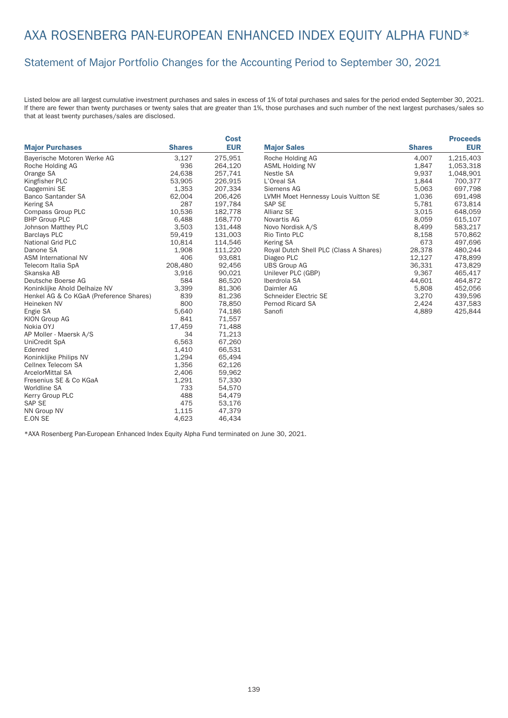## AXA ROSENBERG PAN-EUROPEAN ENHANCED INDEX EQUITY ALPHA FUND\*

#### Statement of Major Portfolio Changes for the Accounting Period to September 30, 2021

Listed below are all largest cumulative investment purchases and sales in excess of 1% of total purchases and sales for the period ended September 30, 2021. If there are fewer than twenty purchases or twenty sales that are greater than 1%, those purchases and such number of the next largest purchases/sales so that at least twenty purchases/sales are disclosed.

|                                         |               | Cost       |
|-----------------------------------------|---------------|------------|
| <b>Major Purchases</b>                  | <b>Shares</b> | <b>EUR</b> |
| Bayerische Motoren Werke AG             | 3,127         | 275,951    |
| Roche Holding AG                        | 936           | 264,120    |
| Orange SA                               | 24,638        | 257,741    |
| Kingfisher PLC                          | 53,905        | 226,915    |
| Capgemini SE                            | 1,353         | 207,334    |
| <b>Banco Santander SA</b>               | 62,004        | 206,426    |
| <b>Kering SA</b>                        | 287           | 197,784    |
| Compass Group PLC                       | 10,536        | 182,778    |
| <b>BHP Group PLC</b>                    | 6,488         | 168,770    |
| <b>Johnson Matthey PLC</b>              | 3,503         | 131,448    |
| <b>Barclays PLC</b>                     | 59,419        | 131,003    |
| National Grid PLC                       | 10,814        | 114,546    |
| Danone SA                               | 1,908         | 111,220    |
| <b>ASM International NV</b>             | 406           | 93,681     |
| Telecom Italia SpA                      | 208,480       | 92,456     |
| Skanska AB                              | 3,916         | 90,021     |
| Deutsche Boerse AG                      | 584           | 86,520     |
| Koninklijke Ahold Delhaize NV           | 3,399         | 81,306     |
| Henkel AG & Co KGaA (Preference Shares) | 839           | 81,236     |
| Heineken NV                             | 800           | 78,850     |
| Engie SA                                | 5,640         | 74,186     |
| <b>KION Group AG</b>                    | 841           | 71,557     |
| Nokia OYJ                               | 17,459        | 71,488     |
| AP Moller - Maersk A/S                  | 34            | 71,213     |
| UniCredit SpA                           | 6,563         | 67,260     |
| Edenred                                 | 1,410         | 66,531     |
| Koninklijke Philips NV                  | 1,294         | 65,494     |
| Cellnex Telecom SA                      | 1,356         | 62,126     |
| ArcelorMittal SA                        | 2,406         | 59,962     |
| Fresenius SE & Co KGaA                  | 1,291         | 57,330     |
| Worldline SA                            | 733           | 54,570     |
| Kerry Group PLC                         | 488           | 54,479     |
| <b>SAP SE</b>                           | 475           | 53,176     |
| NN Group NV                             | 1,115         | 47,379     |
| <b>E.ON SE</b>                          | 4,623         | 46,434     |

|                                        |               | <b>Proceeds</b> |
|----------------------------------------|---------------|-----------------|
| <b>Major Sales</b>                     | <b>Shares</b> | <b>EUR</b>      |
| Roche Holding AG                       | 4,007         | 1,215,403       |
| <b>ASML Holding NV</b>                 | 1,847         | 1,053,318       |
| Nestle SA                              | 9,937         | 1,048,901       |
| L'Oreal SA                             | 1.844         | 700.377         |
| Siemens AG                             | 5,063         | 697,798         |
| LVMH Moet Hennessy Louis Vuitton SE    | 1,036         | 691,498         |
| SAP SE                                 | 5,781         | 673,814         |
| <b>Allianz SE</b>                      | 3.015         | 648.059         |
| Novartis AG                            | 8,059         | 615,107         |
| Novo Nordisk A/S                       | 8,499         | 583,217         |
| Rio Tinto PLC                          | 8,158         | 570,862         |
| Kering SA                              | 673           | 497,696         |
| Royal Dutch Shell PLC (Class A Shares) | 28,378        | 480,244         |
| Diageo PLC                             | 12,127        | 478.899         |
| <b>UBS Group AG</b>                    | 36,331        | 473,829         |
| Unilever PLC (GBP)                     | 9,367         | 465,417         |
| Iberdrola SA                           | 44,601        | 464,872         |
| Daimler AG                             | 5,808         | 452,056         |
| Schneider Electric SE                  | 3,270         | 439,596         |
| <b>Pernod Ricard SA</b>                | 2,424         | 437,583         |
| Sanofi                                 | 4,889         | 425,844         |

\*AXA Rosenberg Pan-European Enhanced Index Equity Alpha Fund terminated on June 30, 2021.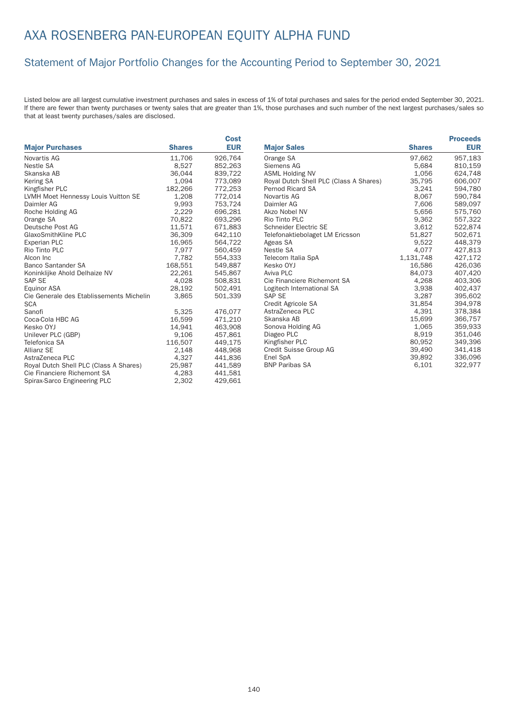#### Statement of Major Portfolio Changes for the Accounting Period to September 30, 2021

Listed below are all largest cumulative investment purchases and sales in excess of 1% of total purchases and sales for the period ended September 30, 2021. If there are fewer than twenty purchases or twenty sales that are greater than 1%, those purchases and such number of the next largest purchases/sales so that at least twenty purchases/sales are disclosed.

|                                          |               | <b>Cost</b> |                                        |               | <b>Proceeds</b> |
|------------------------------------------|---------------|-------------|----------------------------------------|---------------|-----------------|
| <b>Major Purchases</b>                   | <b>Shares</b> | <b>EUR</b>  | <b>Major Sales</b>                     | <b>Shares</b> | <b>EUR</b>      |
| Novartis AG                              | 11.706        | 926.764     | Orange SA                              | 97.662        | 957.183         |
| Nestle SA                                | 8,527         | 852,263     | Siemens AG                             | 5,684         | 810,159         |
| Skanska AB                               | 36.044        | 839,722     | <b>ASML Holding NV</b>                 | 1,056         | 624,748         |
| Kering SA                                | 1,094         | 773,089     | Royal Dutch Shell PLC (Class A Shares) | 35,795        | 606,007         |
| Kingfisher PLC                           | 182,266       | 772,253     | <b>Pernod Ricard SA</b>                | 3,241         | 594,780         |
| LVMH Moet Hennessy Louis Vuitton SE      | 1,208         | 772,014     | Novartis AG                            | 8.067         | 590,784         |
| Daimler AG                               | 9,993         | 753,724     | Daimler AG                             | 7,606         | 589,097         |
| Roche Holding AG                         | 2,229         | 696,281     | Akzo Nobel NV                          | 5,656         | 575,760         |
| Orange SA                                | 70.822        | 693,296     | Rio Tinto PLC                          | 9,362         | 557,322         |
| Deutsche Post AG                         | 11,571        | 671,883     | Schneider Electric SE                  | 3,612         | 522,874         |
| GlaxoSmithKline PLC                      | 36,309        | 642,110     | Telefonaktiebolaget LM Ericsson        | 51,827        | 502,671         |
| Experian PLC                             | 16,965        | 564,722     | Ageas SA                               | 9,522         | 448,379         |
| Rio Tinto PLC                            | 7,977         | 560,459     | Nestle SA                              | 4,077         | 427,813         |
| Alcon Inc                                | 7,782         | 554,333     | Telecom Italia SpA                     | 1,131,748     | 427,172         |
| <b>Banco Santander SA</b>                | 168,551       | 549,887     | Kesko OYJ                              | 16,586        | 426,036         |
| Koninklijke Ahold Delhaize NV            | 22,261        | 545,867     | Aviva PLC                              | 84,073        | 407,420         |
| SAP SE                                   | 4,028         | 508,831     | Cie Financiere Richemont SA            | 4.268         | 403,306         |
| Equinor ASA                              | 28,192        | 502,491     | Logitech International SA              | 3,938         | 402,437         |
| Cie Generale des Etablissements Michelin | 3,865         | 501,339     | SAP SE                                 | 3,287         | 395,602         |
| <b>SCA</b>                               |               |             | Credit Agricole SA                     | 31,854        | 394,978         |
| Sanofi                                   | 5,325         | 476,077     | AstraZeneca PLC                        | 4,391         | 378,384         |
| Coca-Cola HBC AG                         | 16,599        | 471,210     | Skanska AB                             | 15,699        | 366,757         |
| Kesko OYJ                                | 14.941        | 463,908     | Sonova Holding AG                      | 1,065         | 359,933         |
| Unilever PLC (GBP)                       | 9,106         | 457,861     | Diageo PLC                             | 8,919         | 351,046         |
| Telefonica SA                            | 116,507       | 449,175     | Kingfisher PLC                         | 80.952        | 349,396         |
| Allianz SE                               | 2,148         | 448,968     | Credit Suisse Group AG                 | 39,490        | 341,418         |
| AstraZeneca PLC                          | 4,327         | 441,836     | Enel SpA                               | 39,892        | 336,096         |
| Royal Dutch Shell PLC (Class A Shares)   | 25,987        | 441,589     | <b>BNP Paribas SA</b>                  | 6,101         | 322,977         |
| Cie Financiere Richemont SA              | 4,283         | 441,581     |                                        |               |                 |
| Spirax-Sarco Engineering PLC             | 2,302         | 429,661     |                                        |               |                 |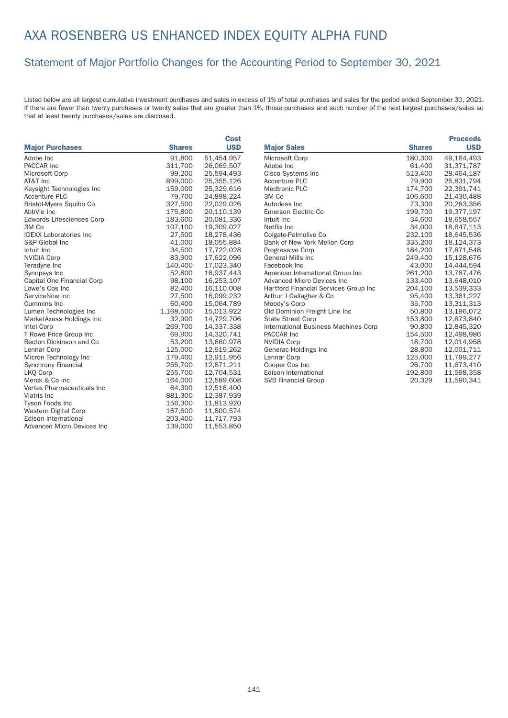#### Statement of Major Portfolio Changes for the Accounting Period to September 30, 2021

|                                  |               | Cost       |
|----------------------------------|---------------|------------|
| <b>Major Purchases</b>           | <b>Shares</b> | <b>USD</b> |
| Adobe Inc                        | 91,800        | 51,454,957 |
| PACCAR Inc                       | 311,700       | 26,069,507 |
| Microsoft Corp                   | 99,200        | 25,594,493 |
| AT&T Inc                         | 899,000       | 25,355,126 |
| Keysight Technologies Inc        | 159,000       | 25,329,616 |
| <b>Accenture PLC</b>             | 79,700        | 24,898,224 |
| <b>Bristol-Myers Squibb Co</b>   | 327,500       | 22,029,026 |
| AbbVie Inc                       | 175,800       | 20,110,139 |
| <b>Edwards Lifesciences Corp</b> | 183,600       | 20,081,336 |
| 3M Co                            | 107,100       | 19,309,027 |
| <b>IDEXX Laboratories Inc.</b>   | 27,500        | 18,278,436 |
| S&P Global Inc.                  | 41,000        | 18,055,884 |
| Intuit Inc                       | 34,500        | 17,722,028 |
| <b>NVIDIA Corp</b>               | 83,900        | 17,622,096 |
| Teradyne Inc                     | 140,400       | 17,023,340 |
| Synopsys Inc                     | 52,800        | 16,937,443 |
| Capital One Financial Corp       | 98,100        | 16,253,107 |
| Lowe's Cos Inc                   | 82,400        | 16,110,008 |
| ServiceNow Inc                   | 27,500        | 16,099,232 |
| Cummins Inc.                     | 60,400        | 15,064,789 |
| Lumen Technologies Inc           | 1,168,500     | 15,013,922 |
| MarketAxess Holdings Inc         | 32,900        | 14,729,706 |
| Intel Corp                       | 269,700       | 14,337,338 |
| T Rowe Price Group Inc           | 69,900        | 14,320,741 |
| Becton Dickinson and Co          | 53,200        | 13,660,978 |
| Lennar Corp                      | 125,000       | 12,919,262 |
| Micron Technology Inc            | 179,400       | 12,911,956 |
| <b>Synchrony Financial</b>       | 255,700       | 12,871,211 |
| LKO Corp                         | 255,700       | 12,704,531 |
| Merck & Co Inc                   | 164,000       | 12,589,608 |
| Vertex Pharmaceuticals Inc       | 64,300        | 12,516,400 |
| Viatris Inc                      | 881,300       | 12,387,939 |
| Tyson Foods Inc                  | 156,300       | 11,813,920 |
| Western Digital Corp             | 167,600       | 11,800,574 |
| Edison International             | 203,400       | 11,717,793 |
| Advanced Micro Devices Inc       | 139,000       | 11,553,850 |

|                                       |               | <b>Proceeds</b> |
|---------------------------------------|---------------|-----------------|
| <b>Major Sales</b>                    | <b>Shares</b> | <b>USD</b>      |
| Microsoft Corp                        | 180,300       | 49,164,493      |
| Adobe Inc                             | 61,400        | 31,371,787      |
| Cisco Systems Inc                     | 513,400       | 28,464,187      |
| <b>Accenture PLC</b>                  | 79,900        | 25,831,794      |
| Medtronic PLC                         | 174,700       | 22,391,741      |
| 3M Co                                 | 106,600       | 21,430,488      |
| Autodesk Inc                          | 73,300        | 20,283,356      |
| Emerson Electric Co                   | 199,700       | 19,377,197      |
| Intuit Inc.                           | 34,600        | 18,658,557      |
| Netflix Inc.                          | 34,000        | 18,647,113      |
| Colgate-Palmolive Co                  | 232,100       | 18,645,536      |
| Bank of New York Mellon Corp          | 335,200       | 18,124,373      |
| <b>Progressive Corp</b>               | 184,200       | 17,871,548      |
| <b>General Mills Inc.</b>             | 249.400       | 15,128,676      |
| Facebook Inc                          | 43,000        | 14.444.594      |
| American International Group Inc      | 261,200       | 13,787,476      |
| Advanced Micro Devices Inc.           | 133,400       | 13,648,010      |
| Hartford Financial Services Group Inc | 204,100       | 13,539,333      |
| Arthur J Gallagher & Co               | 95,400        | 13,361,227      |
| Moody's Corp                          | 35,700        | 13,311,313      |
| Old Dominion Freight Line Inc         | 50,800        | 13,196,072      |
| <b>State Street Corp</b>              | 153,800       | 12,873,840      |
| International Business Machines Corp  | 90,800        | 12,845,320      |
| PACCAR Inc                            | 154,500       | 12,498,986      |
| <b>NVIDIA Corp</b>                    | 18.700        | 12,014,958      |
| Generac Holdings Inc                  | 28,800        | 12,001,711      |
| Lennar Corp                           | 125,000       | 11,799,277      |
| Cooper Cos Inc                        | 26,700        | 11,673,410      |
| Edison International                  | 192,800       | 11,598,358      |
| <b>SVB Financial Group</b>            | 20,329        | 11,590,341      |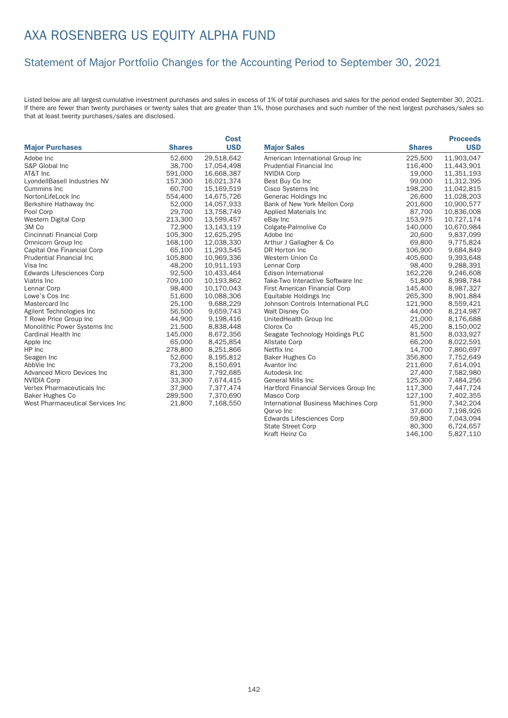### Statement of Major Portfolio Changes for the Accounting Period to September 30, 2021

Listed below are all largest cumulative investment purchases and sales in excess of 1% of total purchases and sales for the period ended September 30, 2021. If there are fewer than twenty purchases or twenty sales that are greater than 1%, those purchases and such number of the next largest purchases/sales so that at least twenty purchases/sales are disclosed.

|                                    |               | Cost       |                                       |               | <b>Proceeds</b> |
|------------------------------------|---------------|------------|---------------------------------------|---------------|-----------------|
| <b>Major Purchases</b>             | <b>Shares</b> | <b>USD</b> | <b>Major Sales</b>                    | <b>Shares</b> | <b>USD</b>      |
| Adobe Inc                          | 52,600        | 29,518,642 | American International Group Inc      | 225,500       | 11,903,047      |
| S&P Global Inc                     | 38,700        | 17,054,498 | Prudential Financial Inc              | 116,400       | 11,443,901      |
| AT&T Inc                           | 591,000       | 16,668,387 | <b>NVIDIA Corp</b>                    | 19,000        | 11,351,193      |
| LyondellBasell Industries NV       | 157,300       | 16,021,374 | Best Buy Co Inc                       | 99,000        | 11,312,395      |
| Cummins Inc                        | 60,700        | 15,169,519 | Cisco Systems Inc                     | 198,200       | 11,042,815      |
| NortonLifeLock Inc                 | 554,400       | 14,675,726 | Generac Holdings Inc                  | 26,600        | 11,028,203      |
| Berkshire Hathaway Inc             | 52,000        | 14,057,933 | Bank of New York Mellon Corp          | 201,600       | 10,900,577      |
| Pool Corp                          | 29,700        | 13,758,749 | Applied Materials Inc.                | 87,700        | 10,836,008      |
| Western Digital Corp               | 213,300       | 13,599,457 | eBay Inc                              | 153,975       | 10,727,174      |
| 3M Co                              | 72,900        | 13,143,119 | Colgate-Palmolive Co                  | 140,000       | 10,670,984      |
| Cincinnati Financial Corp          | 105,300       | 12,625,295 | Adobe Inc                             | 20,600        | 9,837,099       |
| Omnicom Group Inc                  | 168,100       | 12,038,330 | Arthur J Gallagher & Co               | 69,800        | 9,775,824       |
| Capital One Financial Corp         | 65,100        | 11,293,545 | DR Horton Inc                         | 106,900       | 9,684,849       |
| <b>Prudential Financial Inc.</b>   | 105,800       | 10,969,336 | Western Union Co                      | 405,600       | 9,393,648       |
| Visa Inc                           | 48,200        | 10,911,193 | Lennar Corp                           | 98,400        | 9,288,391       |
| <b>Edwards Lifesciences Corp</b>   | 92,500        | 10,433,464 | Edison International                  | 162,226       | 9,246,608       |
| Viatris Inc                        | 709,100       | 10,193,862 | Take-Two Interactive Software Inc     | 51,800        | 8,998,784       |
| Lennar Corp                        | 98,400        | 10,170,043 | First American Financial Corp         | 145,400       | 8,987,327       |
| Lowe's Cos Inc                     | 51,600        | 10,088,306 | Equitable Holdings Inc                | 265,300       | 8,901,884       |
| Mastercard Inc                     | 25,100        | 9,688,229  | Johnson Controls International PLC    | 121,900       | 8,559,421       |
| Agilent Technologies Inc           | 56,500        | 9,659,743  | Walt Disney Co                        | 44,000        | 8,214,987       |
| T Rowe Price Group Inc             | 44,900        | 9,198,416  | UnitedHealth Group Inc                | 21,000        | 8,176,688       |
| Monolithic Power Systems Inc       | 21,500        | 8,838,448  | Clorox Co                             | 45,200        | 8,150,002       |
| Cardinal Health Inc                | 145,000       | 8,672,356  | Seagate Technology Holdings PLC       | 81,500        | 8,033,927       |
| Apple Inc                          | 65,000        | 8,425,854  | <b>Allstate Corp</b>                  | 66,200        | 8,022,591       |
| HP Inc                             | 278,800       | 8,251,866  | Netflix Inc                           | 14,700        | 7,860,697       |
| Seagen Inc                         | 52,600        | 8,195,812  | Baker Hughes Co                       | 356,800       | 7,752,649       |
| AbbVie Inc                         | 73,200        | 8,150,691  | Avantor Inc                           | 211,600       | 7,614,091       |
| <b>Advanced Micro Devices Inc.</b> | 81,300        | 7,792,685  | Autodesk Inc                          | 27,400        | 7,582,980       |
| <b>NVIDIA Corp</b>                 | 33,300        | 7,674,415  | <b>General Mills Inc</b>              | 125,300       | 7,484,256       |
| Vertex Pharmaceuticals Inc         | 37,900        | 7,377,474  | Hartford Financial Services Group Inc | 117,300       | 7,447,724       |
| <b>Baker Hughes Co</b>             | 289,500       | 7,370,690  | Masco Corp                            | 127,100       | 7,402,355       |
| West Pharmaceutical Services Inc   | 21,800        | 7,168,550  | International Business Machines Corp  | 51,900        | 7,342,204       |
|                                    |               |            | Oorvo Inc                             | 37,600        | 7,198,926       |
|                                    |               |            | <b>Edwards Lifesciences Corp</b>      | 59,800        | 7,043,094       |
|                                    |               |            | <b>State Street Corp</b>              | 80,300        | 6.724.657       |

Kraft Heinz Co

State Street Corp 80,300 6,724,657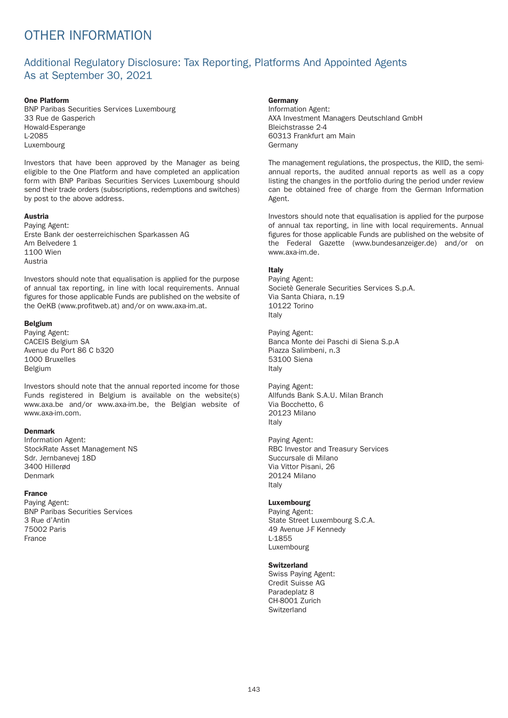# OTHER INFORMATION

## Additional Regulatory Disclosure: Tax Reporting, Platforms And Appointed Agents As at September 30, 2021

#### One Platform

BNP Paribas Securities Services Luxembourg 33 Rue de Gasperich Howald-Esperange L-2085 Luxembourg

Investors that have been approved by the Manager as being eligible to the One Platform and have completed an application form with BNP Paribas Securities Services Luxembourg should send their trade orders (subscriptions, redemptions and switches) by post to the above address.

#### Austria

Paying Agent: Erste Bank der oesterreichischen Sparkassen AG Am Belvedere 1 1100 Wien Austria

Investors should note that equalisation is applied for the purpose of annual tax reporting, in line with local requirements. Annual figures for those applicable Funds are published on the website of the OeKB (www.profitweb.at) and/or on www.axa-im.at.

#### Belgium

Paying Agent: CACEIS Belgium SA Avenue du Port 86 C b320 1000 Bruxelles Belgium

Investors should note that the annual reported income for those Funds registered in Belgium is available on the website(s) www.axa.be and/or www.axa-im.be, the Belgian website of www.axa-im.com.

#### Denmark

Information Agent: StockRate Asset Management NS Sdr. Jernbanevej 18D 3400 Hillerød Denmark

### France

Paying Agent: BNP Paribas Securities Services 3 Rue d'Antin 75002 Paris France

### **Germany**

Information Agent: AXA Investment Managers Deutschland GmbH Bleichstrasse 2-4 60313 Frankfurt am Main Germany

The management regulations, the prospectus, the KIID, the semiannual reports, the audited annual reports as well as a copy listing the changes in the portfolio during the period under review can be obtained free of charge from the German Information Agent.

Investors should note that equalisation is applied for the purpose of annual tax reporting, in line with local requirements. Annual figures for those applicable Funds are published on the website of the Federal Gazette (www.bundesanzeiger.de) and/or on www.axa-im.de.

### Italy

Paying Agent: Societè Generale Securities Services S.p.A. Via Santa Chiara, n.19 10122 Torino Italy

Paying Agent: Banca Monte dei Paschi di Siena S.p.A Piazza Salimbeni, n.3 53100 Siena Italy

Paying Agent: Allfunds Bank S.A.U. Milan Branch Via Bocchetto, 6 20123 Milano Italy

Paying Agent: RBC Investor and Treasury Services Succursale di Milano Via Vittor Pisani, 26 20124 Milano Italy

#### Luxembourg

Paying Agent: State Street Luxembourg S.C.A. 49 Avenue J-F Kennedy L-1855 Luxembourg

#### **Switzerland**

Swiss Paying Agent: Credit Suisse AG Paradeplatz 8 CH-8001 Zurich **Switzerland**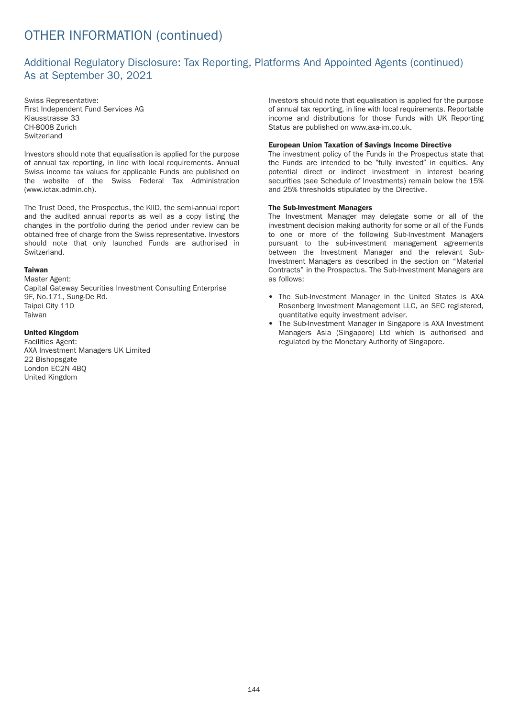# OTHER INFORMATION (continued)

## Additional Regulatory Disclosure: Tax Reporting, Platforms And Appointed Agents (continued) As at September 30, 2021

Swiss Representative: First Independent Fund Services AG Klausstrasse 33 CH-8008 Zurich **Switzerland** 

Investors should note that equalisation is applied for the purpose of annual tax reporting, in line with local requirements. Annual Swiss income tax values for applicable Funds are published on the website of the Swiss Federal Tax Administration (www.ictax.admin.ch).

The Trust Deed, the Prospectus, the KIID, the semi-annual report and the audited annual reports as well as a copy listing the changes in the portfolio during the period under review can be obtained free of charge from the Swiss representative. Investors should note that only launched Funds are authorised in **Switzerland** 

### Taiwan

Master Agent: Capital Gateway Securities Investment Consulting Enterprise 9F, No.171, Sung-De Rd. Taipei City 110 Taiwan

### United Kingdom

Facilities Agent: AXA Investment Managers UK Limited 22 Bishopsgate London EC2N 4BQ United Kingdom

Investors should note that equalisation is applied for the purpose of annual tax reporting, in line with local requirements. Reportable income and distributions for those Funds with UK Reporting Status are published on www.axa-im.co.uk.

#### European Union Taxation of Savings Income Directive

The investment policy of the Funds in the Prospectus state that the Funds are intended to be "fully invested" in equities. Any potential direct or indirect investment in interest bearing securities (see Schedule of Investments) remain below the 15% and 25% thresholds stipulated by the Directive.

#### The Sub-Investment Managers

The Investment Manager may delegate some or all of the investment decision making authority for some or all of the Funds to one or more of the following Sub-Investment Managers pursuant to the sub-investment management agreements between the Investment Manager and the relevant Sub-Investment Managers as described in the section on "Material Contracts" in the Prospectus. The Sub-Investment Managers are as follows:

- The Sub-Investment Manager in the United States is AXA Rosenberg Investment Management LLC, an SEC registered, quantitative equity investment adviser.
- The Sub-Investment Manager in Singapore is AXA Investment Managers Asia (Singapore) Ltd which is authorised and regulated by the Monetary Authority of Singapore.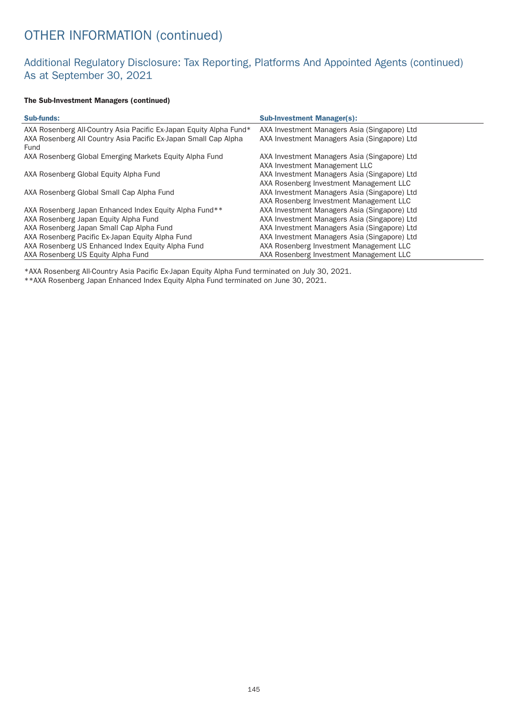# OTHER INFORMATION (continued)

## Additional Regulatory Disclosure: Tax Reporting, Platforms And Appointed Agents (continued) As at September 30, 2021

### The Sub-Investment Managers (continued)

| <b>Sub-funds:</b>                                                       | <b>Sub-Investment Manager(s):</b>            |
|-------------------------------------------------------------------------|----------------------------------------------|
| AXA Rosenberg All-Country Asia Pacific Ex-Japan Equity Alpha Fund*      | AXA Investment Managers Asia (Singapore) Ltd |
| AXA Rosenberg All Country Asia Pacific Ex-Japan Small Cap Alpha<br>Fund | AXA Investment Managers Asia (Singapore) Ltd |
| AXA Rosenberg Global Emerging Markets Equity Alpha Fund                 | AXA Investment Managers Asia (Singapore) Ltd |
|                                                                         | AXA Investment Management LLC                |
| AXA Rosenberg Global Equity Alpha Fund                                  | AXA Investment Managers Asia (Singapore) Ltd |
|                                                                         | AXA Rosenberg Investment Management LLC      |
| AXA Rosenberg Global Small Cap Alpha Fund                               | AXA Investment Managers Asia (Singapore) Ltd |
|                                                                         | AXA Rosenberg Investment Management LLC      |
| AXA Rosenberg Japan Enhanced Index Equity Alpha Fund**                  | AXA Investment Managers Asia (Singapore) Ltd |
| AXA Rosenberg Japan Equity Alpha Fund                                   | AXA Investment Managers Asia (Singapore) Ltd |
| AXA Rosenberg Japan Small Cap Alpha Fund                                | AXA Investment Managers Asia (Singapore) Ltd |
| AXA Rosenberg Pacific Ex-Japan Equity Alpha Fund                        | AXA Investment Managers Asia (Singapore) Ltd |
| AXA Rosenberg US Enhanced Index Equity Alpha Fund                       | AXA Rosenberg Investment Management LLC      |
| AXA Rosenberg US Equity Alpha Fund                                      | AXA Rosenberg Investment Management LLC      |

\*AXA Rosenberg All-Country Asia Pacific Ex-Japan Equity Alpha Fund terminated on July 30, 2021.

\*\*AXA Rosenberg Japan Enhanced Index Equity Alpha Fund terminated on June 30, 2021.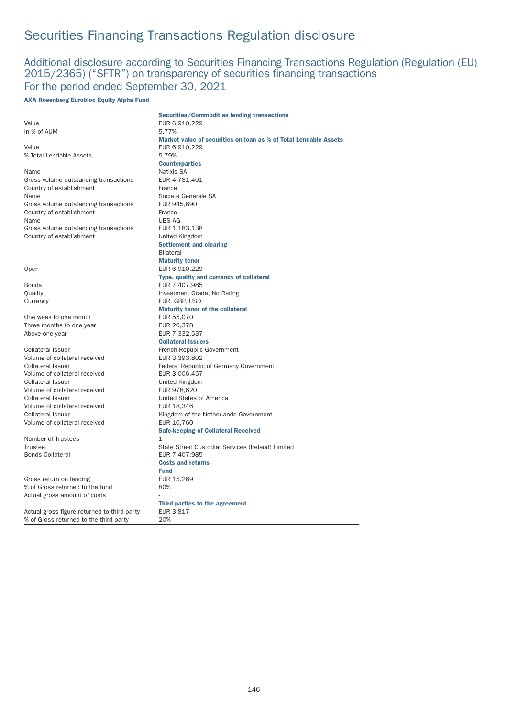## Additional disclosure according to Securities Financing Transactions Regulation (Regulation (EU) 2015/2365) ("SFTR") on transparency of securities financing transactions For the period ended September 30, 2021

#### AXA Rosenberg Eurobloc Equity Alpha Fund

|                                             | <b>Securities/Commodities lending transactions</b>               |
|---------------------------------------------|------------------------------------------------------------------|
| Value                                       | EUR 6,910,229                                                    |
| In % of AUM                                 | 5.77%                                                            |
|                                             | Market value of securities on loan as % of Total Lendable Assets |
| Value                                       | EUR 6,910,229                                                    |
| % Total Lendable Assets                     | 5.79%                                                            |
|                                             | <b>Counterparties</b>                                            |
| Name                                        | Natixis SA                                                       |
| Gross volume outstanding transactions       | EUR 4,781,401                                                    |
| Country of establishment                    | France                                                           |
| Name                                        | Societe Generale SA                                              |
| Gross volume outstanding transactions       | EUR 945,690                                                      |
| Country of establishment                    | France                                                           |
| Name                                        | <b>UBS AG</b>                                                    |
| Gross volume outstanding transactions       | EUR 1,183,138                                                    |
| Country of establishment                    | United Kingdom                                                   |
|                                             | <b>Settlement and clearing</b>                                   |
|                                             | <b>Bilateral</b>                                                 |
|                                             | <b>Maturity tenor</b>                                            |
| Open                                        | EUR 6,910,229                                                    |
|                                             | Type, quality and currency of collateral                         |
| Bonds                                       | EUR 7,407,985                                                    |
| Quality                                     | Investment Grade, No Rating                                      |
| Currency                                    | EUR, GBP, USD                                                    |
|                                             | <b>Maturity tenor of the collateral</b>                          |
| One week to one month                       | EUR 55,070                                                       |
| Three months to one year                    | EUR 20,378                                                       |
| Above one year                              | EUR 7,332,537                                                    |
|                                             | <b>Collateral Issuers</b>                                        |
| Collateral Issuer                           | French Republic Government                                       |
| Volume of collateral received               | EUR 3,393,802                                                    |
| Collateral Issuer                           | Federal Republic of Germany Government                           |
| Volume of collateral received               | EUR 3,006,457                                                    |
| Collateral Issuer                           | United Kingdom                                                   |
| Volume of collateral received               | EUR 978,620                                                      |
| Collateral Issuer                           | United States of America                                         |
| Volume of collateral received               | EUR 18,346                                                       |
| Collateral Issuer                           | Kingdom of the Netherlands Government                            |
| Volume of collateral received               | EUR 10,760                                                       |
|                                             | <b>Safe-keeping of Collateral Received</b>                       |
| Number of Trustees                          | $\mathbf{1}$                                                     |
| Trustee                                     | State Street Custodial Services (Ireland) Limited                |
| <b>Bonds Collateral</b>                     | EUR 7,407,985<br><b>Costs and returns</b>                        |
|                                             |                                                                  |
|                                             | <b>Fund</b>                                                      |
| Gross return on lending                     | EUR 15,269                                                       |
| % of Gross returned to the fund             | 80%                                                              |
| Actual gross amount of costs                |                                                                  |
|                                             | Third parties to the agreement                                   |
| Actual gross figure returned to third party | EUR 3,817                                                        |
| % of Gross returned to the third party      | 20%                                                              |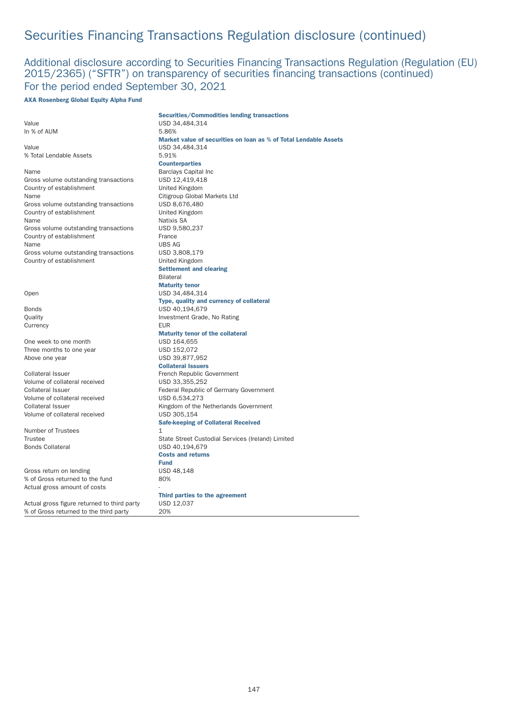## Additional disclosure according to Securities Financing Transactions Regulation (Regulation (EU) 2015/2365) ("SFTR") on transparency of securities financing transactions (continued) For the period ended September 30, 2021

#### AXA Rosenberg Global Equity Alpha Fund

|                                             | <b>Securities/Commodities lending transactions</b>               |
|---------------------------------------------|------------------------------------------------------------------|
| Value                                       | USD 34,484,314                                                   |
| In % of AUM                                 | 5.86%                                                            |
|                                             | Market value of securities on loan as % of Total Lendable Assets |
| Value                                       | USD 34,484,314                                                   |
| % Total Lendable Assets                     | 5.91%                                                            |
|                                             | <b>Counterparties</b>                                            |
| Name                                        | <b>Barclays Capital Inc</b>                                      |
| Gross volume outstanding transactions       | USD 12,419,418                                                   |
| Country of establishment                    | United Kingdom                                                   |
| Name                                        | Citigroup Global Markets Ltd                                     |
| Gross volume outstanding transactions       | USD 8,676,480                                                    |
| Country of establishment                    | United Kingdom                                                   |
| Name                                        | Natixis SA                                                       |
| Gross volume outstanding transactions       | USD 9,580,237                                                    |
| Country of establishment                    | France                                                           |
| Name                                        | <b>UBS AG</b>                                                    |
| Gross volume outstanding transactions       | USD 3,808,179                                                    |
| Country of establishment                    | United Kingdom                                                   |
|                                             | <b>Settlement and clearing</b>                                   |
|                                             | <b>Bilateral</b>                                                 |
|                                             | <b>Maturity tenor</b>                                            |
| Open                                        | USD 34,484,314                                                   |
|                                             | Type, quality and currency of collateral                         |
| <b>Bonds</b>                                | USD 40,194,679                                                   |
| Quality                                     | Investment Grade, No Rating                                      |
|                                             | <b>EUR</b>                                                       |
| Currency                                    |                                                                  |
|                                             | <b>Maturity tenor of the collateral</b>                          |
| One week to one month                       | USD 164,655                                                      |
| Three months to one year                    | USD 152,072                                                      |
| Above one year                              | USD 39,877,952                                                   |
|                                             | <b>Collateral Issuers</b>                                        |
| <b>Collateral Issuer</b>                    | French Republic Government                                       |
| Volume of collateral received               | USD 33,355,252                                                   |
| <b>Collateral Issuer</b>                    | Federal Republic of Germany Government                           |
| Volume of collateral received               | USD 6,534,273                                                    |
| <b>Collateral Issuer</b>                    | Kingdom of the Netherlands Government                            |
| Volume of collateral received               | USD 305.154                                                      |
|                                             | <b>Safe-keeping of Collateral Received</b>                       |
| Number of Trustees                          | $\mathbf{1}$                                                     |
| Trustee                                     | State Street Custodial Services (Ireland) Limited                |
| <b>Bonds Collateral</b>                     | USD 40,194,679                                                   |
|                                             | <b>Costs and returns</b>                                         |
|                                             | <b>Fund</b>                                                      |
| Gross return on lending                     | USD 48,148                                                       |
| % of Gross returned to the fund             | 80%                                                              |
| Actual gross amount of costs                |                                                                  |
|                                             | Third parties to the agreement                                   |
| Actual gross figure returned to third party | USD 12,037                                                       |
| % of Gross returned to the third party      | 20%                                                              |
|                                             |                                                                  |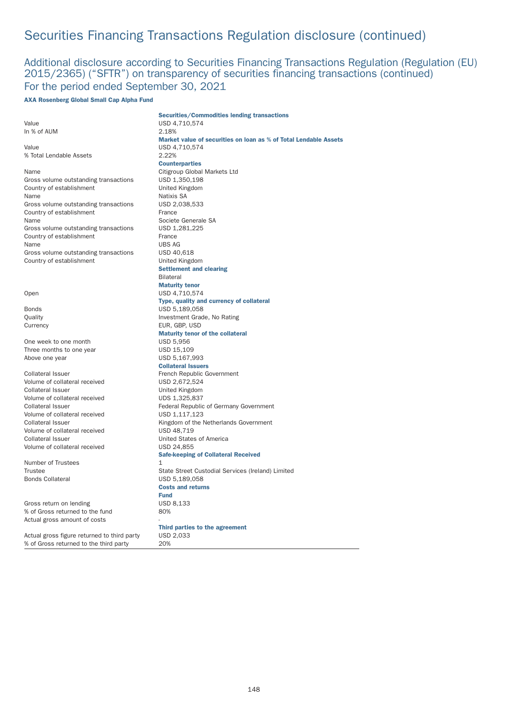## Additional disclosure according to Securities Financing Transactions Regulation (Regulation (EU) 2015/2365) ("SFTR") on transparency of securities financing transactions (continued) For the period ended September 30, 2021

### AXA Rosenberg Global Small Cap Alpha Fund

|                                                    | <b>Securities/Commodities lending transactions</b>               |
|----------------------------------------------------|------------------------------------------------------------------|
| Value                                              | USD 4,710,574                                                    |
| In % of AUM                                        | 2.18%                                                            |
|                                                    | Market value of securities on loan as % of Total Lendable Assets |
| Value                                              | USD 4,710,574                                                    |
| % Total Lendable Assets                            | 2.22%                                                            |
|                                                    | <b>Counterparties</b>                                            |
| Name                                               | Citigroup Global Markets Ltd                                     |
| Gross volume outstanding transactions              | USD 1,350,198                                                    |
| Country of establishment                           | United Kingdom                                                   |
| Name                                               | <b>Natixis SA</b>                                                |
| Gross volume outstanding transactions              | USD 2,038,533                                                    |
| Country of establishment                           | France                                                           |
| Name                                               | Societe Generale SA                                              |
| Gross volume outstanding transactions              | USD 1,281,225                                                    |
| Country of establishment                           | France                                                           |
| Name                                               | <b>UBS AG</b>                                                    |
| Gross volume outstanding transactions              | USD 40,618                                                       |
| Country of establishment                           | United Kingdom                                                   |
|                                                    | <b>Settlement and clearing</b>                                   |
|                                                    | <b>Bilateral</b>                                                 |
|                                                    | <b>Maturity tenor</b>                                            |
| Open                                               | USD 4,710,574                                                    |
|                                                    | Type, quality and currency of collateral                         |
| Bonds                                              | USD 5,189,058                                                    |
| Quality                                            | Investment Grade, No Rating                                      |
| Currency                                           | EUR, GBP, USD                                                    |
|                                                    | <b>Maturity tenor of the collateral</b>                          |
| One week to one month                              | <b>USD 5,956</b>                                                 |
| Three months to one year                           | USD 15,109                                                       |
| Above one year                                     | USD 5,167,993                                                    |
|                                                    | <b>Collateral Issuers</b>                                        |
| Collateral Issuer                                  | French Republic Government                                       |
| Volume of collateral received                      | USD 2,672,524                                                    |
| Collateral Issuer                                  | United Kingdom                                                   |
| Volume of collateral received<br>Collateral Issuer | UDS 1,325,837<br>Federal Republic of Germany Government          |
| Volume of collateral received                      | USD 1,117,123                                                    |
| Collateral Issuer                                  | Kingdom of the Netherlands Government                            |
| Volume of collateral received                      | USD 48,719                                                       |
| Collateral Issuer                                  | United States of America                                         |
| Volume of collateral received                      | USD 24,855                                                       |
|                                                    | <b>Safe-keeping of Collateral Received</b>                       |
| Number of Trustees                                 | 1                                                                |
| Trustee                                            | State Street Custodial Services (Ireland) Limited                |
| <b>Bonds Collateral</b>                            | USD 5,189,058                                                    |
|                                                    | <b>Costs and returns</b>                                         |
|                                                    | <b>Fund</b>                                                      |
| Gross return on lending                            | USD 8,133                                                        |
| % of Gross returned to the fund                    | 80%                                                              |
| Actual gross amount of costs                       |                                                                  |
|                                                    | Third parties to the agreement                                   |
| Actual gross figure returned to third party        | USD 2,033                                                        |
| % of Gross returned to the third party             | 20%                                                              |
|                                                    |                                                                  |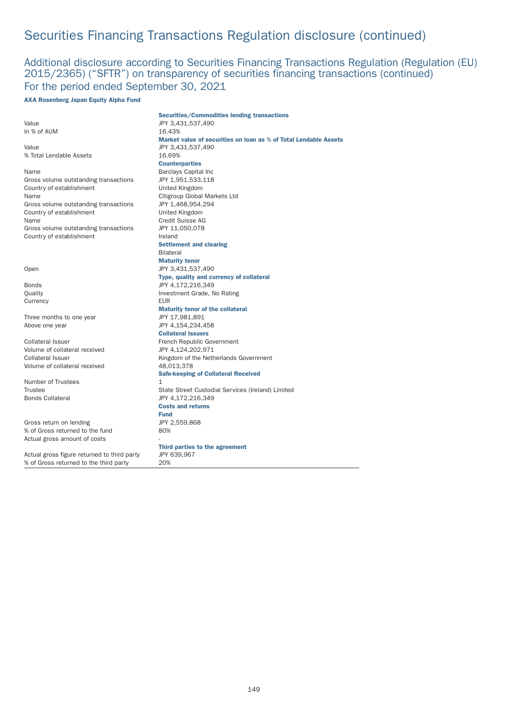## Additional disclosure according to Securities Financing Transactions Regulation (Regulation (EU) 2015/2365) ("SFTR") on transparency of securities financing transactions (continued) For the period ended September 30, 2021

#### AXA Rosenberg Japan Equity Alpha Fund

| JPY 3,431,537,490<br>16.43%<br>Market value of securities on loan as % of Total Lendable Assets<br>JPY 3,431,537,490<br>16.69%<br><b>Counterparties</b><br>Name<br><b>Barclays Capital Inc</b><br>Gross volume outstanding transactions<br>JPY 1,951,533,118<br>Country of establishment<br>United Kingdom<br>Name<br>Citigroup Global Markets Ltd<br>Gross volume outstanding transactions<br>JPY 1,468,954,294<br>Country of establishment<br>United Kingdom<br>Name<br>Credit Suisse AG<br>Gross volume outstanding transactions<br>JPY 11,050,078<br>Country of establishment<br>Ireland<br><b>Settlement and clearing</b><br><b>Bilateral</b><br><b>Maturity tenor</b><br>Open<br>JPY 3,431,537,490<br>Type, quality and currency of collateral<br>JPY 4,172,216,349<br>Bonds<br>Investment Grade, No Rating<br>Quality<br><b>EUR</b><br>Currency<br><b>Maturity tenor of the collateral</b><br>Three months to one year<br>JPY 17,981,891<br>Above one year<br>JPY 4,154,234,458<br><b>Collateral Issuers</b><br>Collateral Issuer<br>French Republic Government<br>Volume of collateral received<br>JPY 4,124,202,971<br>Collateral Issuer<br>Kingdom of the Netherlands Government<br>Volume of collateral received<br>48,013,378<br><b>Safe-keeping of Collateral Received</b><br>$\mathbf{1}$<br>State Street Custodial Services (Ireland) Limited<br>JPY 4,172,216,349<br><b>Costs and returns</b><br><b>Fund</b><br>JPY 2,559,868<br>80%<br>Third parties to the agreement<br>Actual gross figure returned to third party<br>JPY 639,967<br>% of Gross returned to the third party<br>20% |                                 | <b>Securities/Commodities lending transactions</b> |
|-------------------------------------------------------------------------------------------------------------------------------------------------------------------------------------------------------------------------------------------------------------------------------------------------------------------------------------------------------------------------------------------------------------------------------------------------------------------------------------------------------------------------------------------------------------------------------------------------------------------------------------------------------------------------------------------------------------------------------------------------------------------------------------------------------------------------------------------------------------------------------------------------------------------------------------------------------------------------------------------------------------------------------------------------------------------------------------------------------------------------------------------------------------------------------------------------------------------------------------------------------------------------------------------------------------------------------------------------------------------------------------------------------------------------------------------------------------------------------------------------------------------------------------------------------------------------------------------------------|---------------------------------|----------------------------------------------------|
|                                                                                                                                                                                                                                                                                                                                                                                                                                                                                                                                                                                                                                                                                                                                                                                                                                                                                                                                                                                                                                                                                                                                                                                                                                                                                                                                                                                                                                                                                                                                                                                                       | Value                           |                                                    |
|                                                                                                                                                                                                                                                                                                                                                                                                                                                                                                                                                                                                                                                                                                                                                                                                                                                                                                                                                                                                                                                                                                                                                                                                                                                                                                                                                                                                                                                                                                                                                                                                       | In % of AUM                     |                                                    |
|                                                                                                                                                                                                                                                                                                                                                                                                                                                                                                                                                                                                                                                                                                                                                                                                                                                                                                                                                                                                                                                                                                                                                                                                                                                                                                                                                                                                                                                                                                                                                                                                       |                                 |                                                    |
|                                                                                                                                                                                                                                                                                                                                                                                                                                                                                                                                                                                                                                                                                                                                                                                                                                                                                                                                                                                                                                                                                                                                                                                                                                                                                                                                                                                                                                                                                                                                                                                                       | Value                           |                                                    |
|                                                                                                                                                                                                                                                                                                                                                                                                                                                                                                                                                                                                                                                                                                                                                                                                                                                                                                                                                                                                                                                                                                                                                                                                                                                                                                                                                                                                                                                                                                                                                                                                       | % Total Lendable Assets         |                                                    |
|                                                                                                                                                                                                                                                                                                                                                                                                                                                                                                                                                                                                                                                                                                                                                                                                                                                                                                                                                                                                                                                                                                                                                                                                                                                                                                                                                                                                                                                                                                                                                                                                       |                                 |                                                    |
|                                                                                                                                                                                                                                                                                                                                                                                                                                                                                                                                                                                                                                                                                                                                                                                                                                                                                                                                                                                                                                                                                                                                                                                                                                                                                                                                                                                                                                                                                                                                                                                                       |                                 |                                                    |
|                                                                                                                                                                                                                                                                                                                                                                                                                                                                                                                                                                                                                                                                                                                                                                                                                                                                                                                                                                                                                                                                                                                                                                                                                                                                                                                                                                                                                                                                                                                                                                                                       |                                 |                                                    |
|                                                                                                                                                                                                                                                                                                                                                                                                                                                                                                                                                                                                                                                                                                                                                                                                                                                                                                                                                                                                                                                                                                                                                                                                                                                                                                                                                                                                                                                                                                                                                                                                       |                                 |                                                    |
|                                                                                                                                                                                                                                                                                                                                                                                                                                                                                                                                                                                                                                                                                                                                                                                                                                                                                                                                                                                                                                                                                                                                                                                                                                                                                                                                                                                                                                                                                                                                                                                                       |                                 |                                                    |
|                                                                                                                                                                                                                                                                                                                                                                                                                                                                                                                                                                                                                                                                                                                                                                                                                                                                                                                                                                                                                                                                                                                                                                                                                                                                                                                                                                                                                                                                                                                                                                                                       |                                 |                                                    |
|                                                                                                                                                                                                                                                                                                                                                                                                                                                                                                                                                                                                                                                                                                                                                                                                                                                                                                                                                                                                                                                                                                                                                                                                                                                                                                                                                                                                                                                                                                                                                                                                       |                                 |                                                    |
|                                                                                                                                                                                                                                                                                                                                                                                                                                                                                                                                                                                                                                                                                                                                                                                                                                                                                                                                                                                                                                                                                                                                                                                                                                                                                                                                                                                                                                                                                                                                                                                                       |                                 |                                                    |
|                                                                                                                                                                                                                                                                                                                                                                                                                                                                                                                                                                                                                                                                                                                                                                                                                                                                                                                                                                                                                                                                                                                                                                                                                                                                                                                                                                                                                                                                                                                                                                                                       |                                 |                                                    |
|                                                                                                                                                                                                                                                                                                                                                                                                                                                                                                                                                                                                                                                                                                                                                                                                                                                                                                                                                                                                                                                                                                                                                                                                                                                                                                                                                                                                                                                                                                                                                                                                       |                                 |                                                    |
|                                                                                                                                                                                                                                                                                                                                                                                                                                                                                                                                                                                                                                                                                                                                                                                                                                                                                                                                                                                                                                                                                                                                                                                                                                                                                                                                                                                                                                                                                                                                                                                                       |                                 |                                                    |
|                                                                                                                                                                                                                                                                                                                                                                                                                                                                                                                                                                                                                                                                                                                                                                                                                                                                                                                                                                                                                                                                                                                                                                                                                                                                                                                                                                                                                                                                                                                                                                                                       |                                 |                                                    |
|                                                                                                                                                                                                                                                                                                                                                                                                                                                                                                                                                                                                                                                                                                                                                                                                                                                                                                                                                                                                                                                                                                                                                                                                                                                                                                                                                                                                                                                                                                                                                                                                       |                                 |                                                    |
|                                                                                                                                                                                                                                                                                                                                                                                                                                                                                                                                                                                                                                                                                                                                                                                                                                                                                                                                                                                                                                                                                                                                                                                                                                                                                                                                                                                                                                                                                                                                                                                                       |                                 |                                                    |
|                                                                                                                                                                                                                                                                                                                                                                                                                                                                                                                                                                                                                                                                                                                                                                                                                                                                                                                                                                                                                                                                                                                                                                                                                                                                                                                                                                                                                                                                                                                                                                                                       |                                 |                                                    |
|                                                                                                                                                                                                                                                                                                                                                                                                                                                                                                                                                                                                                                                                                                                                                                                                                                                                                                                                                                                                                                                                                                                                                                                                                                                                                                                                                                                                                                                                                                                                                                                                       |                                 |                                                    |
|                                                                                                                                                                                                                                                                                                                                                                                                                                                                                                                                                                                                                                                                                                                                                                                                                                                                                                                                                                                                                                                                                                                                                                                                                                                                                                                                                                                                                                                                                                                                                                                                       |                                 |                                                    |
|                                                                                                                                                                                                                                                                                                                                                                                                                                                                                                                                                                                                                                                                                                                                                                                                                                                                                                                                                                                                                                                                                                                                                                                                                                                                                                                                                                                                                                                                                                                                                                                                       |                                 |                                                    |
|                                                                                                                                                                                                                                                                                                                                                                                                                                                                                                                                                                                                                                                                                                                                                                                                                                                                                                                                                                                                                                                                                                                                                                                                                                                                                                                                                                                                                                                                                                                                                                                                       |                                 |                                                    |
|                                                                                                                                                                                                                                                                                                                                                                                                                                                                                                                                                                                                                                                                                                                                                                                                                                                                                                                                                                                                                                                                                                                                                                                                                                                                                                                                                                                                                                                                                                                                                                                                       |                                 |                                                    |
|                                                                                                                                                                                                                                                                                                                                                                                                                                                                                                                                                                                                                                                                                                                                                                                                                                                                                                                                                                                                                                                                                                                                                                                                                                                                                                                                                                                                                                                                                                                                                                                                       |                                 |                                                    |
|                                                                                                                                                                                                                                                                                                                                                                                                                                                                                                                                                                                                                                                                                                                                                                                                                                                                                                                                                                                                                                                                                                                                                                                                                                                                                                                                                                                                                                                                                                                                                                                                       |                                 |                                                    |
|                                                                                                                                                                                                                                                                                                                                                                                                                                                                                                                                                                                                                                                                                                                                                                                                                                                                                                                                                                                                                                                                                                                                                                                                                                                                                                                                                                                                                                                                                                                                                                                                       |                                 |                                                    |
|                                                                                                                                                                                                                                                                                                                                                                                                                                                                                                                                                                                                                                                                                                                                                                                                                                                                                                                                                                                                                                                                                                                                                                                                                                                                                                                                                                                                                                                                                                                                                                                                       |                                 |                                                    |
|                                                                                                                                                                                                                                                                                                                                                                                                                                                                                                                                                                                                                                                                                                                                                                                                                                                                                                                                                                                                                                                                                                                                                                                                                                                                                                                                                                                                                                                                                                                                                                                                       |                                 |                                                    |
|                                                                                                                                                                                                                                                                                                                                                                                                                                                                                                                                                                                                                                                                                                                                                                                                                                                                                                                                                                                                                                                                                                                                                                                                                                                                                                                                                                                                                                                                                                                                                                                                       |                                 |                                                    |
|                                                                                                                                                                                                                                                                                                                                                                                                                                                                                                                                                                                                                                                                                                                                                                                                                                                                                                                                                                                                                                                                                                                                                                                                                                                                                                                                                                                                                                                                                                                                                                                                       |                                 |                                                    |
|                                                                                                                                                                                                                                                                                                                                                                                                                                                                                                                                                                                                                                                                                                                                                                                                                                                                                                                                                                                                                                                                                                                                                                                                                                                                                                                                                                                                                                                                                                                                                                                                       |                                 |                                                    |
|                                                                                                                                                                                                                                                                                                                                                                                                                                                                                                                                                                                                                                                                                                                                                                                                                                                                                                                                                                                                                                                                                                                                                                                                                                                                                                                                                                                                                                                                                                                                                                                                       | Number of Trustees              |                                                    |
|                                                                                                                                                                                                                                                                                                                                                                                                                                                                                                                                                                                                                                                                                                                                                                                                                                                                                                                                                                                                                                                                                                                                                                                                                                                                                                                                                                                                                                                                                                                                                                                                       | <b>Trustee</b>                  |                                                    |
|                                                                                                                                                                                                                                                                                                                                                                                                                                                                                                                                                                                                                                                                                                                                                                                                                                                                                                                                                                                                                                                                                                                                                                                                                                                                                                                                                                                                                                                                                                                                                                                                       | <b>Bonds Collateral</b>         |                                                    |
|                                                                                                                                                                                                                                                                                                                                                                                                                                                                                                                                                                                                                                                                                                                                                                                                                                                                                                                                                                                                                                                                                                                                                                                                                                                                                                                                                                                                                                                                                                                                                                                                       |                                 |                                                    |
|                                                                                                                                                                                                                                                                                                                                                                                                                                                                                                                                                                                                                                                                                                                                                                                                                                                                                                                                                                                                                                                                                                                                                                                                                                                                                                                                                                                                                                                                                                                                                                                                       |                                 |                                                    |
|                                                                                                                                                                                                                                                                                                                                                                                                                                                                                                                                                                                                                                                                                                                                                                                                                                                                                                                                                                                                                                                                                                                                                                                                                                                                                                                                                                                                                                                                                                                                                                                                       | Gross return on lending         |                                                    |
|                                                                                                                                                                                                                                                                                                                                                                                                                                                                                                                                                                                                                                                                                                                                                                                                                                                                                                                                                                                                                                                                                                                                                                                                                                                                                                                                                                                                                                                                                                                                                                                                       | % of Gross returned to the fund |                                                    |
|                                                                                                                                                                                                                                                                                                                                                                                                                                                                                                                                                                                                                                                                                                                                                                                                                                                                                                                                                                                                                                                                                                                                                                                                                                                                                                                                                                                                                                                                                                                                                                                                       | Actual gross amount of costs    |                                                    |
|                                                                                                                                                                                                                                                                                                                                                                                                                                                                                                                                                                                                                                                                                                                                                                                                                                                                                                                                                                                                                                                                                                                                                                                                                                                                                                                                                                                                                                                                                                                                                                                                       |                                 |                                                    |
|                                                                                                                                                                                                                                                                                                                                                                                                                                                                                                                                                                                                                                                                                                                                                                                                                                                                                                                                                                                                                                                                                                                                                                                                                                                                                                                                                                                                                                                                                                                                                                                                       |                                 |                                                    |
|                                                                                                                                                                                                                                                                                                                                                                                                                                                                                                                                                                                                                                                                                                                                                                                                                                                                                                                                                                                                                                                                                                                                                                                                                                                                                                                                                                                                                                                                                                                                                                                                       |                                 |                                                    |
|                                                                                                                                                                                                                                                                                                                                                                                                                                                                                                                                                                                                                                                                                                                                                                                                                                                                                                                                                                                                                                                                                                                                                                                                                                                                                                                                                                                                                                                                                                                                                                                                       |                                 |                                                    |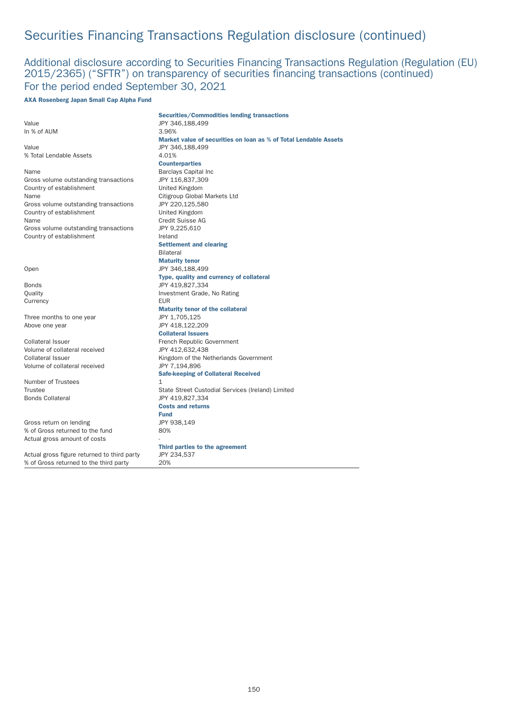## Additional disclosure according to Securities Financing Transactions Regulation (Regulation (EU) 2015/2365) ("SFTR") on transparency of securities financing transactions (continued) For the period ended September 30, 2021

### AXA Rosenberg Japan Small Cap Alpha Fund

|                                             | <b>Securities/Commodities lending transactions</b>               |
|---------------------------------------------|------------------------------------------------------------------|
| Value                                       | JPY 346,188,499                                                  |
| In % of AUM                                 | 3.96%                                                            |
|                                             | Market value of securities on loan as % of Total Lendable Assets |
| Value                                       | JPY 346,188,499                                                  |
| % Total Lendable Assets                     | 4.01%                                                            |
|                                             | <b>Counterparties</b>                                            |
| Name                                        | <b>Barclays Capital Inc</b>                                      |
| Gross volume outstanding transactions       | JPY 116,837,309                                                  |
| Country of establishment                    | United Kingdom                                                   |
| Name                                        | Citigroup Global Markets Ltd                                     |
| Gross volume outstanding transactions       | JPY 220,125,580                                                  |
| Country of establishment                    | United Kingdom                                                   |
| Name                                        | Credit Suisse AG                                                 |
| Gross volume outstanding transactions       | JPY 9,225,610                                                    |
| Country of establishment                    | Ireland                                                          |
|                                             | <b>Settlement and clearing</b>                                   |
|                                             | <b>Bilateral</b>                                                 |
|                                             | <b>Maturity tenor</b>                                            |
| Open                                        | JPY 346,188,499                                                  |
|                                             | Type, quality and currency of collateral                         |
| Bonds                                       | JPY 419,827,334                                                  |
| Quality                                     | Investment Grade, No Rating                                      |
| Currency                                    | <b>EUR</b>                                                       |
|                                             | <b>Maturity tenor of the collateral</b>                          |
| Three months to one year                    | JPY 1,705,125                                                    |
| Above one year                              | JPY 418,122,209                                                  |
|                                             | <b>Collateral Issuers</b>                                        |
| Collateral Issuer                           | French Republic Government                                       |
| Volume of collateral received               | JPY 412,632,438                                                  |
| Collateral Issuer                           | Kingdom of the Netherlands Government                            |
| Volume of collateral received               | JPY 7,194,896                                                    |
|                                             |                                                                  |
|                                             | <b>Safe-keeping of Collateral Received</b>                       |
| Number of Trustees                          | $\mathbf{1}$                                                     |
| <b>Trustee</b>                              | State Street Custodial Services (Ireland) Limited                |
| <b>Bonds Collateral</b>                     | JPY 419,827,334                                                  |
|                                             | <b>Costs and returns</b>                                         |
|                                             | <b>Fund</b>                                                      |
| Gross return on lending                     | JPY 938,149                                                      |
| % of Gross returned to the fund             | 80%                                                              |
| Actual gross amount of costs                |                                                                  |
|                                             | Third parties to the agreement                                   |
| Actual gross figure returned to third party | JPY 234,537                                                      |
| % of Gross returned to the third party      | 20%                                                              |
|                                             |                                                                  |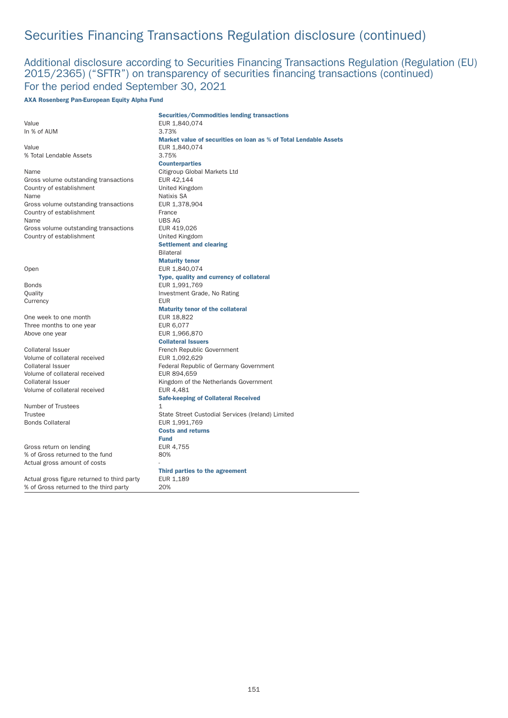## Additional disclosure according to Securities Financing Transactions Regulation (Regulation (EU) 2015/2365) ("SFTR") on transparency of securities financing transactions (continued) For the period ended September 30, 2021

### AXA Rosenberg Pan-European Equity Alpha Fund

|                                             | <b>Securities/Commodities lending transactions</b>               |
|---------------------------------------------|------------------------------------------------------------------|
| Value                                       | EUR 1,840,074                                                    |
| In % of AUM                                 | 3.73%                                                            |
|                                             | Market value of securities on loan as % of Total Lendable Assets |
| Value                                       | EUR 1.840.074                                                    |
| % Total Lendable Assets                     | 3.75%                                                            |
|                                             | <b>Counterparties</b>                                            |
| Name                                        | Citigroup Global Markets Ltd                                     |
| Gross volume outstanding transactions       | EUR 42,144                                                       |
| Country of establishment                    | United Kingdom                                                   |
| Name                                        | Natixis SA                                                       |
| Gross volume outstanding transactions       | EUR 1,378,904                                                    |
| Country of establishment                    | France                                                           |
| Name                                        | <b>UBS AG</b>                                                    |
| Gross volume outstanding transactions       | EUR 419,026                                                      |
| Country of establishment                    | United Kingdom                                                   |
|                                             | <b>Settlement and clearing</b>                                   |
|                                             | <b>Bilateral</b>                                                 |
|                                             | <b>Maturity tenor</b>                                            |
| Open                                        | EUR 1,840,074                                                    |
|                                             | Type, quality and currency of collateral                         |
| <b>Bonds</b>                                | EUR 1,991,769                                                    |
| Quality                                     | Investment Grade, No Rating                                      |
| Currency                                    | <b>EUR</b>                                                       |
|                                             | <b>Maturity tenor of the collateral</b>                          |
| One week to one month                       | EUR 18,822                                                       |
| Three months to one year                    | EUR 6,077                                                        |
| Above one year                              | EUR 1,966,870                                                    |
|                                             | <b>Collateral Issuers</b>                                        |
| <b>Collateral Issuer</b>                    | French Republic Government                                       |
| Volume of collateral received               | EUR 1,092,629                                                    |
| <b>Collateral Issuer</b>                    | Federal Republic of Germany Government                           |
| Volume of collateral received               | EUR 894,659                                                      |
| <b>Collateral Issuer</b>                    | Kingdom of the Netherlands Government                            |
| Volume of collateral received               | EUR 4,481                                                        |
|                                             | <b>Safe-keeping of Collateral Received</b>                       |
| Number of Trustees                          | 1                                                                |
| Trustee                                     | State Street Custodial Services (Ireland) Limited                |
| <b>Bonds Collateral</b>                     | EUR 1,991,769                                                    |
|                                             | <b>Costs and returns</b>                                         |
|                                             | <b>Fund</b>                                                      |
| Gross return on lending                     | EUR 4,755                                                        |
| % of Gross returned to the fund             | 80%                                                              |
| Actual gross amount of costs                |                                                                  |
|                                             | Third parties to the agreement                                   |
| Actual gross figure returned to third party | EUR 1,189                                                        |
| % of Gross returned to the third party      | 20%                                                              |
|                                             |                                                                  |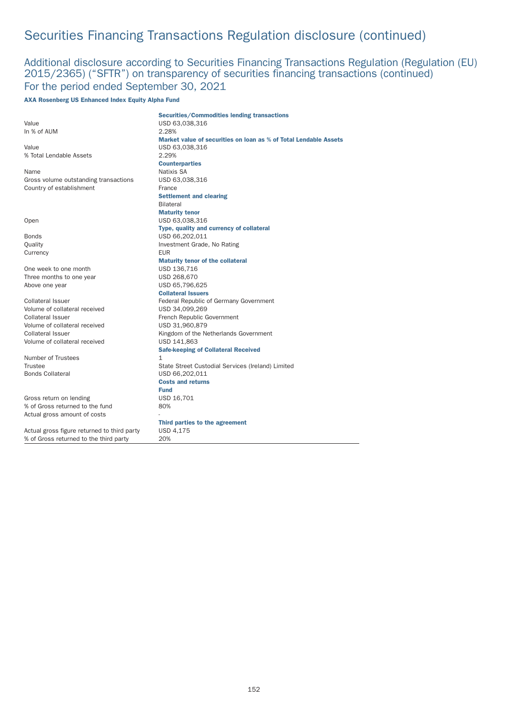## Additional disclosure according to Securities Financing Transactions Regulation (Regulation (EU) 2015/2365) ("SFTR") on transparency of securities financing transactions (continued) For the period ended September 30, 2021

### AXA Rosenberg US Enhanced Index Equity Alpha Fund

|                                             | <b>Securities/Commodities lending transactions</b>               |
|---------------------------------------------|------------------------------------------------------------------|
| Value                                       | USD 63,038,316                                                   |
| In % of AUM                                 | 2.28%                                                            |
|                                             | Market value of securities on loan as % of Total Lendable Assets |
| Value                                       | USD 63,038,316                                                   |
| % Total Lendable Assets                     | 2.29%                                                            |
|                                             | <b>Counterparties</b>                                            |
| Name                                        | Natixis SA                                                       |
| Gross volume outstanding transactions       | USD 63,038,316                                                   |
| Country of establishment                    | France                                                           |
|                                             | <b>Settlement and clearing</b>                                   |
|                                             | <b>Bilateral</b>                                                 |
|                                             | <b>Maturity tenor</b>                                            |
| Open                                        | USD 63,038,316                                                   |
|                                             | Type, quality and currency of collateral                         |
| <b>Bonds</b>                                | USD 66,202,011                                                   |
| Quality                                     | Investment Grade, No Rating                                      |
| Currency                                    | <b>EUR</b>                                                       |
|                                             | <b>Maturity tenor of the collateral</b>                          |
| One week to one month                       | USD 136,716                                                      |
| Three months to one year                    | USD 268,670                                                      |
| Above one year                              | USD 65,796,625                                                   |
|                                             | <b>Collateral Issuers</b>                                        |
| Collateral Issuer                           | Federal Republic of Germany Government                           |
| Volume of collateral received               | USD 34,099,269                                                   |
| Collateral Issuer                           | French Republic Government                                       |
| Volume of collateral received               | USD 31,960,879                                                   |
| <b>Collateral Issuer</b>                    | Kingdom of the Netherlands Government                            |
| Volume of collateral received               | USD 141,863                                                      |
|                                             | <b>Safe-keeping of Collateral Received</b>                       |
| Number of Trustees                          | 1                                                                |
| Trustee                                     | State Street Custodial Services (Ireland) Limited                |
| <b>Bonds Collateral</b>                     | USD 66,202,011                                                   |
|                                             | <b>Costs and returns</b>                                         |
|                                             | <b>Fund</b>                                                      |
| Gross return on lending                     | USD 16,701                                                       |
| % of Gross returned to the fund             | 80%                                                              |
| Actual gross amount of costs                |                                                                  |
|                                             | Third parties to the agreement                                   |
| Actual gross figure returned to third party | <b>USD 4,175</b>                                                 |
| % of Gross returned to the third party      | 20%                                                              |